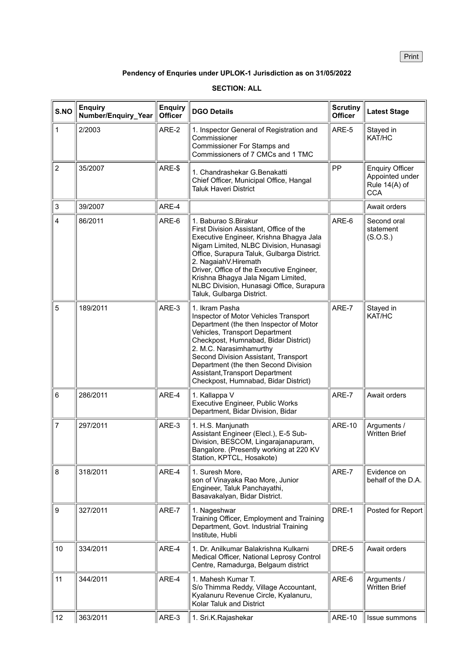Print

## **Pendency of Enquries under UPLOK-1 Jurisdiction as on 31/05/2022**

## **SECTION: ALL**

| S.NO                      | <b>Enquiry</b><br>Number/Enquiry_Year | <b>Enquiry</b><br><b>Officer</b> | <b>DGO Details</b>                                                                                                                                                                                                                                                                                                                                                                     | <b>Scrutiny</b><br><b>Officer</b> | <b>Latest Stage</b>                                                      |
|---------------------------|---------------------------------------|----------------------------------|----------------------------------------------------------------------------------------------------------------------------------------------------------------------------------------------------------------------------------------------------------------------------------------------------------------------------------------------------------------------------------------|-----------------------------------|--------------------------------------------------------------------------|
| $\mathbf{1}$              | 2/2003                                | ARE-2                            | 1. Inspector General of Registration and<br>Commissioner<br>Commissioner For Stamps and<br>Commissioners of 7 CMCs and 1 TMC                                                                                                                                                                                                                                                           | ARE-5                             | Stayed in<br>KAT/HC                                                      |
| $\boldsymbol{2}$          | 35/2007                               | ARE-\$                           | 1. Chandrashekar G.Benakatti<br>Chief Officer, Municipal Office, Hangal<br><b>Taluk Haveri District</b>                                                                                                                                                                                                                                                                                | PP                                | <b>Enquiry Officer</b><br>Appointed under<br>Rule 14(A) of<br><b>CCA</b> |
| $\ensuremath{\mathsf{3}}$ | 39/2007                               | ARE-4                            |                                                                                                                                                                                                                                                                                                                                                                                        |                                   | Await orders                                                             |
| $\overline{4}$            | 86/2011                               | ARE-6                            | 1. Baburao S.Birakur<br>First Division Assistant, Office of the<br>Executive Engineer, Krishna Bhagya Jala<br>Nigam Limited, NLBC Division, Hunasagi<br>Office, Surapura Taluk, Gulbarga District.<br>2. NagaiahV.Hiremath<br>Driver, Office of the Executive Engineer,<br>Krishna Bhagya Jala Nigam Limited,<br>NLBC Division, Hunasagi Office, Surapura<br>Taluk, Gulbarga District. | ARE-6                             | Second oral<br>statement<br>(S.O.S.)                                     |
| 5                         | 189/2011                              | ARE-3                            | 1. Ikram Pasha<br>Inspector of Motor Vehicles Transport<br>Department (the then Inspector of Motor<br>Vehicles, Transport Department<br>Checkpost, Humnabad, Bidar District)<br>2. M.C. Narasimhamurthy<br>Second Division Assistant, Transport<br>Department (the then Second Division<br>Assistant, Transport Department<br>Checkpost, Humnabad, Bidar District)                     | ARE-7                             | Stayed in<br>KAT/HC                                                      |
| $\,6$                     | 286/2011                              | ARE-4                            | 1. Kallappa V<br><b>Executive Engineer, Public Works</b><br>Department, Bidar Division, Bidar                                                                                                                                                                                                                                                                                          | ARE-7                             | Await orders                                                             |
| $\overline{7}$            | 297/2011                              | ARE-3                            | 1. H.S. Manjunath<br>Assistant Engineer (Elecl.), E-5 Sub-<br>Division, BESCOM, Lingarajanapuram,<br>Bangalore. (Presently working at 220 KV<br>Station, KPTCL, Hosakote)                                                                                                                                                                                                              | <b>ARE-10</b>                     | Arguments /<br><b>Written Brief</b>                                      |
| $\bf 8$                   | 318/2011                              | ARE-4                            | 1. Suresh More.<br>son of Vinayaka Rao More, Junior<br>Engineer, Taluk Panchayathi,<br>Basavakalyan, Bidar District.                                                                                                                                                                                                                                                                   | ARE-7                             | Evidence on<br>behalf of the D.A.                                        |
| $\boldsymbol{9}$          | 327/2011                              | ARE-7                            | 1. Nageshwar<br>Training Officer, Employment and Training<br>Department, Govt. Industrial Training<br>Institute, Hubli                                                                                                                                                                                                                                                                 | DRE-1                             | Posted for Report                                                        |
| 10                        | 334/2011                              | ARE-4                            | 1. Dr. Anilkumar Balakrishna Kulkarni<br>Medical Officer, National Leprosy Control<br>Centre, Ramadurga, Belgaum district                                                                                                                                                                                                                                                              | DRE-5                             | Await orders                                                             |
| 11                        | 344/2011                              | ARE-4                            | 1. Mahesh Kumar T.<br>S/o Thimma Reddy, Village Accountant,<br>Kyalanuru Revenue Circle, Kyalanuru,<br>Kolar Taluk and District                                                                                                                                                                                                                                                        | ARE-6                             | Arguments /<br><b>Written Brief</b>                                      |
| 12                        | 363/2011                              | ARE-3                            | 1. Sri.K.Rajashekar                                                                                                                                                                                                                                                                                                                                                                    | <b>ARE-10</b>                     | Issue summons                                                            |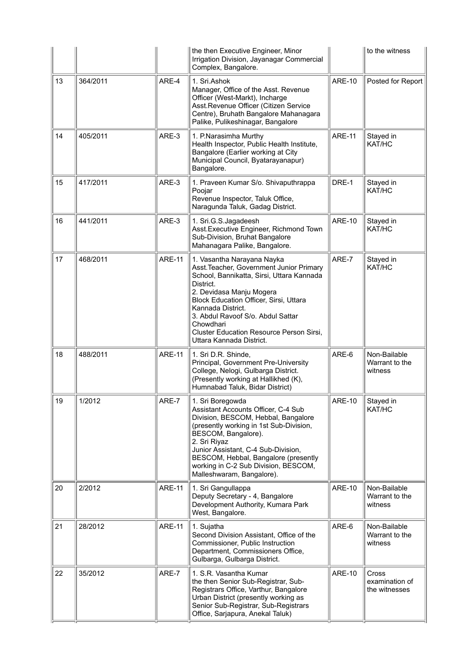|    |          |               | the then Executive Engineer, Minor<br>Irrigation Division, Jayanagar Commercial<br>Complex, Bangalore.                                                                                                                                                                                                                                                |               | to the witness                            |
|----|----------|---------------|-------------------------------------------------------------------------------------------------------------------------------------------------------------------------------------------------------------------------------------------------------------------------------------------------------------------------------------------------------|---------------|-------------------------------------------|
| 13 | 364/2011 | ARE-4         | 1. Sri.Ashok<br>Manager, Office of the Asst. Revenue<br>Officer (West-Markt), Incharge<br>Asst.Revenue Officer (Citizen Service<br>Centre), Bruhath Bangalore Mahanagara<br>Palike, Pulikeshinagar, Bangalore                                                                                                                                         | <b>ARE-10</b> | Posted for Report                         |
| 14 | 405/2011 | ARE-3         | 1. P.Narasimha Murthy<br>Health Inspector, Public Health Institute,<br>Bangalore (Earlier working at City<br>Municipal Council, Byatarayanapur)<br>Bangalore.                                                                                                                                                                                         | <b>ARE-11</b> | Stayed in<br>KAT/HC                       |
| 15 | 417/2011 | ARE-3         | 1. Praveen Kumar S/o. Shivaputhrappa<br>Poojar<br>Revenue Inspector, Taluk Office,<br>Naragunda Taluk, Gadag District.                                                                                                                                                                                                                                | DRE-1         | Stayed in<br>KAT/HC                       |
| 16 | 441/2011 | ARE-3         | 1. Sri.G.S.Jagadeesh<br>Asst. Executive Engineer, Richmond Town<br>Sub-Division, Bruhat Bangalore<br>Mahanagara Palike, Bangalore.                                                                                                                                                                                                                    | <b>ARE-10</b> | Stayed in<br>KAT/HC                       |
| 17 | 468/2011 | <b>ARE-11</b> | 1. Vasantha Narayana Nayka<br>Asst. Teacher, Government Junior Primary<br>School, Bannikatta, Sirsi, Uttara Kannada<br>District.<br>2. Devidasa Manju Mogera<br>Block Education Officer, Sirsi, Uttara<br>Kannada District.<br>3. Abdul Ravoof S/o. Abdul Sattar<br>Chowdhari<br>Cluster Education Resource Person Sirsi,<br>Uttara Kannada District. | ARE-7         | Stayed in<br>KAT/HC                       |
| 18 | 488/2011 | <b>ARE-11</b> | 1. Sri D.R. Shinde,<br>Principal, Government Pre-University<br>College, Nelogi, Gulbarga District.<br>(Presently working at Hallikhed (K),<br>Humnabad Taluk, Bidar District)                                                                                                                                                                         | ARE-6         | Non-Bailable<br>Warrant to the<br>witness |
| 19 | 1/2012   | ARE-7         | 1. Sri Boregowda<br>Assistant Accounts Officer, C-4 Sub<br>Division, BESCOM, Hebbal, Bangalore<br>(presently working in 1st Sub-Division,<br>BESCOM, Bangalore).<br>2. Sri Riyaz<br>Junior Assistant, C-4 Sub-Division,<br>BESCOM, Hebbal, Bangalore (presently<br>working in C-2 Sub Division, BESCOM,<br>Malleshwaram, Bangalore).                  | <b>ARE-10</b> | Stayed in<br>KAT/HC                       |
| 20 | 2/2012   | <b>ARE-11</b> | 1. Sri Gangullappa<br>Deputy Secretary - 4, Bangalore<br>Development Authority, Kumara Park<br>West, Bangalore.                                                                                                                                                                                                                                       | <b>ARE-10</b> | Non-Bailable<br>Warrant to the<br>witness |
| 21 | 28/2012  | <b>ARE-11</b> | 1. Sujatha<br>Second Division Assistant, Office of the<br>Commissioner, Public Instruction<br>Department, Commissioners Office,<br>Gulbarga, Gulbarga District.                                                                                                                                                                                       | ARE-6         | Non-Bailable<br>Warrant to the<br>witness |
| 22 | 35/2012  | ARE-7         | 1. S.R. Vasantha Kumar<br>the then Senior Sub-Registrar, Sub-<br>Registrars Office, Varthur, Bangalore<br>Urban District (presently working as<br>Senior Sub-Registrar, Sub-Registrars<br>Office, Sarjapura, Anekal Taluk)                                                                                                                            | <b>ARE-10</b> | Cross<br>examination of<br>the witnesses  |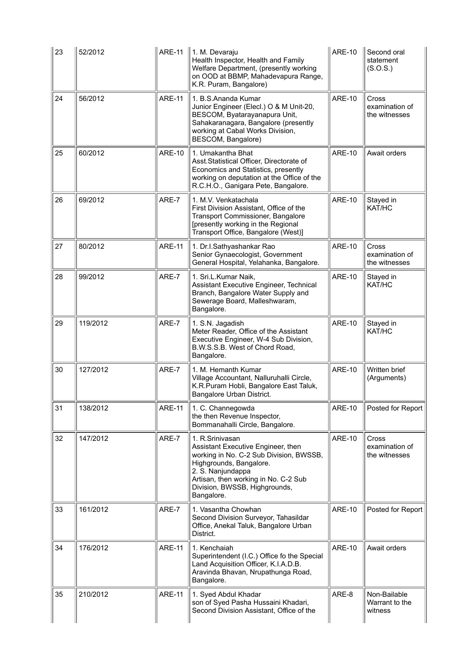| 23 | 52/2012  | <b>ARE-11</b> | 1. M. Devaraju<br>Health Inspector, Health and Family<br>Welfare Department, (presently working<br>on OOD at BBMP, Mahadevapura Range,<br>K.R. Puram, Bangalore)                                                                        | <b>ARE-10</b> | Second oral<br>statement<br>(S.O.S.)      |
|----|----------|---------------|-----------------------------------------------------------------------------------------------------------------------------------------------------------------------------------------------------------------------------------------|---------------|-------------------------------------------|
| 24 | 56/2012  | <b>ARE-11</b> | 1. B.S.Ananda Kumar<br>Junior Engineer (Elecl.) O & M Unit-20,<br>BESCOM, Byatarayanapura Unit,<br>Sahakaranagara, Bangalore (presently<br>working at Cabal Works Division,<br>BESCOM, Bangalore)                                       | <b>ARE-10</b> | Cross<br>examination of<br>the witnesses  |
| 25 | 60/2012  | <b>ARE-10</b> | 1. Umakantha Bhat<br>Asst.Statistical Officer, Directorate of<br>Economics and Statistics, presently<br>working on deputation at the Office of the<br>R.C.H.O., Ganigara Pete, Bangalore.                                               | <b>ARE-10</b> | Await orders                              |
| 26 | 69/2012  | ARE-7         | 1. M.V. Venkatachala<br>First Division Assistant, Office of the<br>Transport Commissioner, Bangalore<br>[presently working in the Regional<br>Transport Office, Bangalore (West)]                                                       | <b>ARE-10</b> | Stayed in<br>KAT/HC                       |
| 27 | 80/2012  | <b>ARE-11</b> | 1. Dr.I.Sathyashankar Rao<br>Senior Gynaecologist, Government<br>General Hospital, Yelahanka, Bangalore.                                                                                                                                | <b>ARE-10</b> | Cross<br>examination of<br>the witnesses  |
| 28 | 99/2012  | ARE-7         | 1. Sri.L.Kumar Naik,<br>Assistant Executive Engineer, Technical<br>Branch, Bangalore Water Supply and<br>Sewerage Board, Malleshwaram,<br>Bangalore.                                                                                    | <b>ARE-10</b> | Stayed in<br>KAT/HC                       |
| 29 | 119/2012 | ARE-7         | 1. S.N. Jagadish<br>Meter Reader, Office of the Assistant<br>Executive Engineer, W-4 Sub Division,<br>B.W.S.S.B. West of Chord Road,<br>Bangalore.                                                                                      | <b>ARE-10</b> | Stayed in<br>KAT/HC                       |
| 30 | 127/2012 | ARE-7         | 1. M. Hemanth Kumar<br>Village Accountant, Nalluruhalli Circle,<br>K.R.Puram Hobli, Bangalore East Taluk,<br>Bangalore Urban District.                                                                                                  | <b>ARE-10</b> | Written brief<br>(Arguments)              |
| 31 | 138/2012 | <b>ARE-11</b> | 1. C. Channegowda<br>the then Revenue Inspector,<br>Bommanahalli Circle, Bangalore.                                                                                                                                                     | <b>ARE-10</b> | Posted for Report                         |
| 32 | 147/2012 | ARE-7         | 1. R.Srinivasan<br>Assistant Executive Engineer, then<br>working in No. C-2 Sub Division, BWSSB,<br>Highgrounds, Bangalore.<br>2. S. Nanjundappa<br>Artisan, then working in No. C-2 Sub<br>Division, BWSSB, Highgrounds,<br>Bangalore. | <b>ARE-10</b> | Cross<br>examination of<br>the witnesses  |
| 33 | 161/2012 | ARE-7         | 1. Vasantha Chowhan<br>Second Division Surveyor, Tahasildar<br>Office, Anekal Taluk, Bangalore Urban<br>District.                                                                                                                       | <b>ARE-10</b> | Posted for Report                         |
| 34 | 176/2012 | <b>ARE-11</b> | 1. Kenchaiah<br>Superintendent (I.C.) Office fo the Special<br>Land Acquisition Officer, K.I.A.D.B.<br>Aravinda Bhavan, Nrupathunga Road,<br>Bangalore.                                                                                 | <b>ARE-10</b> | Await orders                              |
| 35 | 210/2012 | ARE-11        | 1. Syed Abdul Khadar<br>son of Syed Pasha Hussaini Khadari,<br>Second Division Assistant, Office of the                                                                                                                                 | ARE-8         | Non-Bailable<br>Warrant to the<br>witness |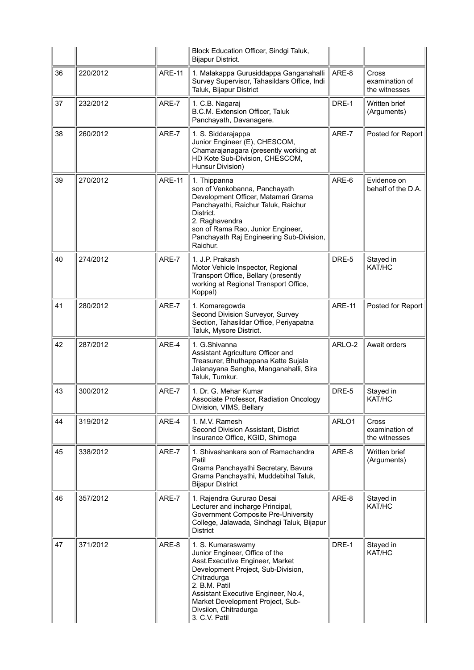|    |          |               | Block Education Officer, Sindgi Taluk,<br><b>Bijapur District.</b>                                                                                                                                                                                                                 |               |                                          |
|----|----------|---------------|------------------------------------------------------------------------------------------------------------------------------------------------------------------------------------------------------------------------------------------------------------------------------------|---------------|------------------------------------------|
| 36 | 220/2012 | <b>ARE-11</b> | 1. Malakappa Gurusiddappa Ganganahalli<br>Survey Supervisor, Tahasildars Office, Indi<br>Taluk, Bijapur District                                                                                                                                                                   | ARE-8         | Cross<br>examination of<br>the witnesses |
| 37 | 232/2012 | ARE-7         | 1. C.B. Nagaraj<br>B.C.M. Extension Officer, Taluk<br>Panchayath, Davanagere.                                                                                                                                                                                                      | DRE-1         | Written brief<br>(Arguments)             |
| 38 | 260/2012 | ARE-7         | 1. S. Siddarajappa<br>Junior Engineer (E), CHESCOM,<br>Chamarajanagara (presently working at<br>HD Kote Sub-Division, CHESCOM,<br>Hunsur Division)                                                                                                                                 | ARE-7         | Posted for Report                        |
| 39 | 270/2012 | <b>ARE-11</b> | 1. Thippanna<br>son of Venkobanna, Panchayath<br>Development Officer, Matamari Grama<br>Panchayathi, Raichur Taluk, Raichur<br>District.<br>2. Raghavendra<br>son of Rama Rao, Junior Engineer,<br>Panchayath Raj Engineering Sub-Division,<br>Raichur.                            | ARE-6         | Evidence on<br>behalf of the D.A.        |
| 40 | 274/2012 | ARE-7         | 1. J.P. Prakash<br>Motor Vehicle Inspector, Regional<br>Transport Office, Bellary (presently<br>working at Regional Transport Office,<br>Koppal)                                                                                                                                   | DRE-5         | Stayed in<br>KAT/HC                      |
| 41 | 280/2012 | ARE-7         | 1. Komaregowda<br>Second Division Surveyor, Survey<br>Section, Tahasildar Office, Periyapatna<br>Taluk, Mysore District.                                                                                                                                                           | <b>ARE-11</b> | Posted for Report                        |
| 42 | 287/2012 | ARE-4         | 1. G.Shivanna<br>Assistant Agriculture Officer and<br>Treasurer, Bhuthappana Katte Sujala<br>Jalanayana Sangha, Manganahalli, Sira<br>Taluk, Tumkur.                                                                                                                               | ARLO-2        | Await orders                             |
| 43 | 300/2012 | ARE-7         | 1. Dr. G. Mehar Kumar<br>Associate Professor, Radiation Oncology<br>Division, VIMS, Bellary                                                                                                                                                                                        | DRE-5         | Stayed in<br>KAT/HC                      |
| 44 | 319/2012 | ARE-4         | 1. M.V. Ramesh<br>Second Division Assistant, District<br>Insurance Office, KGID, Shimoga                                                                                                                                                                                           | ARLO1         | Cross<br>examination of<br>the witnesses |
| 45 | 338/2012 | ARE-7         | 1. Shivashankara son of Ramachandra<br>Patil<br>Grama Panchayathi Secretary, Bavura<br>Grama Panchayathi, Muddebihal Taluk,<br><b>Bijapur District</b>                                                                                                                             | ARE-8         | Written brief<br>(Arguments)             |
| 46 | 357/2012 | ARE-7         | 1. Rajendra Gururao Desai<br>Lecturer and incharge Principal,<br>Government Composite Pre-University<br>College, Jalawada, Sindhagi Taluk, Bijapur<br><b>District</b>                                                                                                              | ARE-8         | Stayed in<br>KAT/HC                      |
| 47 | 371/2012 | ARE-8         | 1. S. Kumaraswamy<br>Junior Engineer, Office of the<br>Asst. Executive Engineer, Market<br>Development Project, Sub-Division,<br>Chitradurga<br>2. B.M. Patil<br>Assistant Executive Engineer, No.4,<br>Market Development Project, Sub-<br>Divsiion, Chitradurga<br>3. C.V. Patil | DRE-1         | Stayed in<br>KAT/HC                      |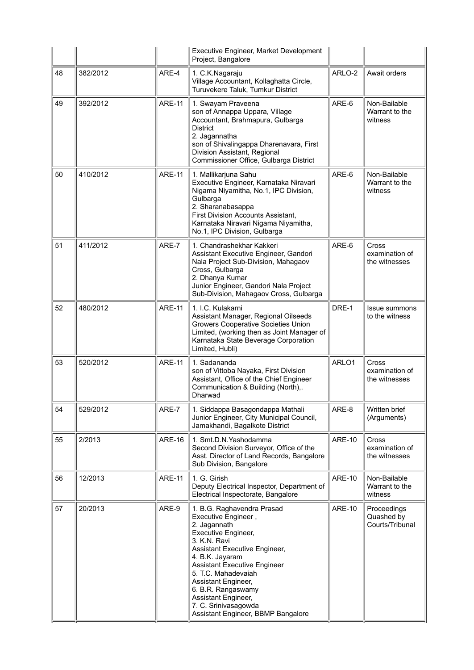|    |          |               | Executive Engineer, Market Development<br>Project, Bangalore                                                                                                                                                                                                                                                                                                 |               |                                              |
|----|----------|---------------|--------------------------------------------------------------------------------------------------------------------------------------------------------------------------------------------------------------------------------------------------------------------------------------------------------------------------------------------------------------|---------------|----------------------------------------------|
| 48 | 382/2012 | ARE-4         | 1. C.K.Nagaraju<br>Village Accountant, Kollaghatta Circle,<br>Turuvekere Taluk, Tumkur District                                                                                                                                                                                                                                                              | ARLO-2        | Await orders                                 |
| 49 | 392/2012 | <b>ARE-11</b> | 1. Swayam Praveena<br>son of Annappa Uppara, Village<br>Accountant, Brahmapura, Gulbarga<br><b>District</b><br>2. Jagannatha<br>son of Shivalingappa Dharenavara, First<br>Division Assistant, Regional<br>Commissioner Office, Gulbarga District                                                                                                            | ARE-6         | Non-Bailable<br>Warrant to the<br>witness    |
| 50 | 410/2012 | <b>ARE-11</b> | 1. Mallikarjuna Sahu<br>Executive Engineer, Karnataka Niravari<br>Nigama Niyamitha, No.1, IPC Division,<br>Gulbarga<br>2. Sharanabasappa<br>First Division Accounts Assistant,<br>Karnataka Niravari Nigama Niyamitha,<br>No.1, IPC Division, Gulbarga                                                                                                       | ARE-6         | Non-Bailable<br>Warrant to the<br>witness    |
| 51 | 411/2012 | ARE-7         | 1. Chandrashekhar Kakkeri<br>Assistant Executive Engineer, Gandori<br>Nala Project Sub-Division, Mahagaov<br>Cross, Gulbarga<br>2. Dhanya Kumar<br>Junior Engineer, Gandori Nala Project<br>Sub-Division, Mahagaov Cross, Gulbarga                                                                                                                           | ARE-6         | Cross<br>examination of<br>the witnesses     |
| 52 | 480/2012 | <b>ARE-11</b> | 1. I.C. Kulakarni<br>Assistant Manager, Regional Oilseeds<br><b>Growers Cooperative Societies Union</b><br>Limited, (working then as Joint Manager of<br>Karnataka State Beverage Corporation<br>Limited, Hubli)                                                                                                                                             | DRE-1         | <b>Issue summons</b><br>to the witness       |
| 53 | 520/2012 | <b>ARE-11</b> | 1. Sadananda<br>son of Vittoba Nayaka, First Division<br>Assistant, Office of the Chief Engineer<br>Communication & Building (North),.<br>Dharwad                                                                                                                                                                                                            | ARLO1         | Cross<br>examination of<br>the witnesses     |
| 54 | 529/2012 | ARE-7         | 1. Siddappa Basagondappa Mathali<br>Junior Engineer, City Municipal Council,<br>Jamakhandi, Bagalkote District                                                                                                                                                                                                                                               | ARE-8         | Written brief<br>(Arguments)                 |
| 55 | 2/2013   | <b>ARE-16</b> | 1. Smt.D.N. Yashodamma<br>Second Division Surveyor, Office of the<br>Asst. Director of Land Records, Bangalore<br>Sub Division, Bangalore                                                                                                                                                                                                                    | <b>ARE-10</b> | Cross<br>examination of<br>the witnesses     |
| 56 | 12/2013  | <b>ARE-11</b> | 1. G. Girish<br>Deputy Electrical Inspector, Department of<br>Electrical Inspectorate, Bangalore                                                                                                                                                                                                                                                             | <b>ARE-10</b> | Non-Bailable<br>Warrant to the<br>witness    |
| 57 | 20/2013  | ARE-9         | 1. B.G. Raghavendra Prasad<br>Executive Engineer,<br>2. Jagannath<br>Executive Engineer,<br>3. K.N. Ravi<br>Assistant Executive Engineer,<br>4. B.K. Jayaram<br><b>Assistant Executive Engineer</b><br>5. T.C. Mahadevaiah<br>Assistant Engineer,<br>6. B.R. Rangaswamy<br>Assistant Engineer,<br>7. C. Srinivasagowda<br>Assistant Engineer, BBMP Bangalore | <b>ARE-10</b> | Proceedings<br>Quashed by<br>Courts/Tribunal |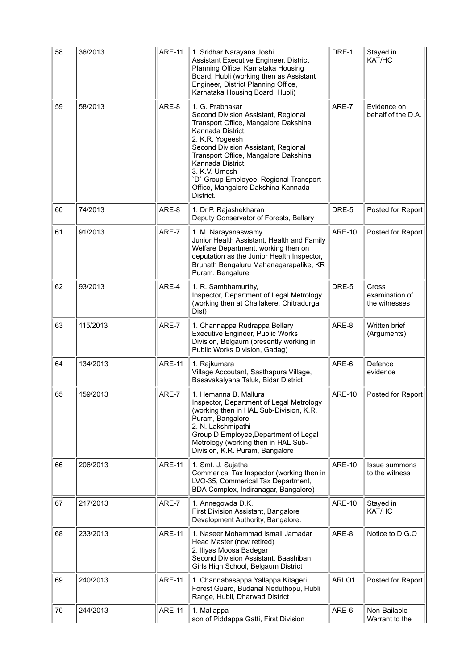| 58 | 36/2013  | <b>ARE-11</b> | 1. Sridhar Narayana Joshi<br>Assistant Executive Engineer, District<br>Planning Office, Karnataka Housing<br>Board, Hubli (working then as Assistant<br>Engineer, District Planning Office,<br>Karnataka Housing Board, Hubli)                                                                                                                           | DRE-1         | Stayed in<br>KAT/HC                      |
|----|----------|---------------|----------------------------------------------------------------------------------------------------------------------------------------------------------------------------------------------------------------------------------------------------------------------------------------------------------------------------------------------------------|---------------|------------------------------------------|
| 59 | 58/2013  | ARE-8         | 1. G. Prabhakar<br>Second Division Assistant, Regional<br>Transport Office, Mangalore Dakshina<br>Kannada District.<br>2. K.R. Yogeesh<br>Second Division Assistant, Regional<br>Transport Office, Mangalore Dakshina<br>Kannada District.<br>3. K.V. Umesh<br>'D' Group Employee, Regional Transport<br>Office, Mangalore Dakshina Kannada<br>District. | ARE-7         | Evidence on<br>behalf of the D.A.        |
| 60 | 74/2013  | ARE-8         | 1. Dr.P. Rajashekharan<br>Deputy Conservator of Forests, Bellary                                                                                                                                                                                                                                                                                         | DRE-5         | Posted for Report                        |
| 61 | 91/2013  | ARE-7         | 1. M. Narayanaswamy<br>Junior Health Assistant, Health and Family<br>Welfare Department, working then on<br>deputation as the Junior Health Inspector,<br>Bruhath Bengaluru Mahanagarapalike, KR<br>Puram, Bengalure                                                                                                                                     | <b>ARE-10</b> | Posted for Report                        |
| 62 | 93/2013  | ARE-4         | 1. R. Sambhamurthy,<br>Inspector, Department of Legal Metrology<br>(working then at Challakere, Chitradurga<br>Dist)                                                                                                                                                                                                                                     | DRE-5         | Cross<br>examination of<br>the witnesses |
| 63 | 115/2013 | ARE-7         | 1. Channappa Rudrappa Bellary<br>Executive Engineer, Public Works<br>Division, Belgaum (presently working in<br>Public Works Division, Gadag)                                                                                                                                                                                                            | ARE-8         | Written brief<br>(Arguments)             |
| 64 | 134/2013 | <b>ARE-11</b> | 1. Rajkumara<br>Village Accoutant, Sasthapura Village,<br>Basavakalyana Taluk, Bidar District                                                                                                                                                                                                                                                            | ARE-6         | Defence<br>evidence                      |
| 65 | 159/2013 | ARE-7         | 1. Hemanna B. Mallura<br>Inspector, Department of Legal Metrology<br>(working then in HAL Sub-Division, K.R.<br>Puram, Bangalore<br>2. N. Lakshmipathi<br>Group D Employee, Department of Legal<br>Metrology (working then in HAL Sub-<br>Division, K.R. Puram, Bangalore                                                                                | <b>ARE-10</b> | Posted for Report                        |
| 66 | 206/2013 | <b>ARE-11</b> | 1. Smt. J. Sujatha<br>Commerical Tax Inspector (working then in<br>LVO-35, Commerical Tax Department,<br>BDA Complex, Indiranagar, Bangalore)                                                                                                                                                                                                            | <b>ARE-10</b> | Issue summons<br>to the witness          |
| 67 | 217/2013 | ARE-7         | 1. Annegowda D.K.<br>First Division Assistant, Bangalore<br>Development Authority, Bangalore.                                                                                                                                                                                                                                                            | <b>ARE-10</b> | Stayed in<br>KAT/HC                      |
| 68 | 233/2013 | <b>ARE-11</b> | 1. Naseer Mohammad Ismail Jamadar<br>Head Master (now retired)<br>2. Iliyas Moosa Badegar<br>Second Division Assistant, Baashiban<br>Girls High School, Belgaum District                                                                                                                                                                                 | ARE-8         | Notice to D.G.O                          |
| 69 | 240/2013 | <b>ARE-11</b> | 1. Channabasappa Yallappa Kitageri<br>Forest Guard, Budanal Neduthopu, Hubli<br>Range, Hubli, Dharwad District                                                                                                                                                                                                                                           | ARLO1         | Posted for Report                        |
| 70 | 244/2013 | <b>ARE-11</b> | 1. Mallappa<br>son of Piddappa Gatti, First Division                                                                                                                                                                                                                                                                                                     | ARE-6         | Non-Bailable<br>Warrant to the           |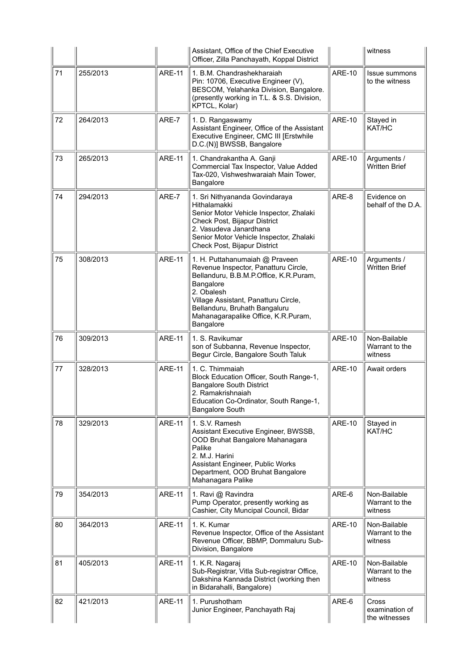|    |          |               | Assistant, Office of the Chief Executive<br>Officer, Zilla Panchayath, Koppal District                                                                                                                                                                                   |               | witness                                   |
|----|----------|---------------|--------------------------------------------------------------------------------------------------------------------------------------------------------------------------------------------------------------------------------------------------------------------------|---------------|-------------------------------------------|
| 71 | 255/2013 | <b>ARE-11</b> | 1. B.M. Chandrashekharaiah<br>Pin: 10706, Executive Engineer (V),<br>BESCOM, Yelahanka Division, Bangalore.<br>(presently working in T.L. & S.S. Division,<br>KPTCL, Kolar)                                                                                              | <b>ARE-10</b> | Issue summons<br>to the witness           |
| 72 | 264/2013 | ARE-7         | 1. D. Rangaswamy<br>Assistant Engineer, Office of the Assistant<br>Executive Engineer, CMC III [Erstwhile<br>D.C.(N)] BWSSB, Bangalore                                                                                                                                   | <b>ARE-10</b> | Stayed in<br>KAT/HC                       |
| 73 | 265/2013 | <b>ARE-11</b> | 1. Chandrakantha A. Ganji<br>Commercial Tax Inspector, Value Added<br>Tax-020, Vishweshwaraiah Main Tower,<br>Bangalore                                                                                                                                                  | <b>ARE-10</b> | Arguments /<br><b>Written Brief</b>       |
| 74 | 294/2013 | ARE-7         | 1. Sri Nithyananda Govindaraya<br>Hithalamakki<br>Senior Motor Vehicle Inspector, Zhalaki<br>Check Post, Bijapur District<br>2. Vasudeva Janardhana<br>Senior Motor Vehicle Inspector, Zhalaki<br>Check Post, Bijapur District                                           | ARE-8         | Evidence on<br>behalf of the D.A.         |
| 75 | 308/2013 | ARE-11        | 1. H. Puttahanumaiah @ Praveen<br>Revenue Inspector, Panatturu Circle,<br>Bellanduru, B.B.M.P.Office, K.R.Puram,<br>Bangalore<br>2. Obalesh<br>Village Assistant, Panatturu Circle,<br>Bellanduru, Bruhath Bangaluru<br>Mahanagarapalike Office, K.R.Puram,<br>Bangalore | <b>ARE-10</b> | Arguments /<br><b>Written Brief</b>       |
| 76 | 309/2013 | <b>ARE-11</b> | 1. S. Ravikumar<br>son of Subbanna, Revenue Inspector,<br>Begur Circle, Bangalore South Taluk                                                                                                                                                                            | <b>ARE-10</b> | Non-Bailable<br>Warrant to the<br>witness |
| 77 | 328/2013 | <b>ARE-11</b> | 1. C. Thimmaiah<br>Block Education Officer, South Range-1,<br><b>Bangalore South District</b><br>2. Ramakrishnaiah<br>Education Co-Ordinator, South Range-1,<br><b>Bangalore South</b>                                                                                   | <b>ARE-10</b> | Await orders                              |
| 78 | 329/2013 | <b>ARE-11</b> | 1. S.V. Ramesh<br>Assistant Executive Engineer, BWSSB,<br>OOD Bruhat Bangalore Mahanagara<br>Palike<br>2. M.J. Harini<br>Assistant Engineer, Public Works<br>Department, OOD Bruhat Bangalore<br>Mahanagara Palike                                                       | <b>ARE-10</b> | Stayed in<br>KAT/HC                       |
| 79 | 354/2013 | <b>ARE-11</b> | 1. Ravi @ Ravindra<br>Pump Operator, presently working as<br>Cashier, City Muncipal Council, Bidar                                                                                                                                                                       | ARE-6         | Non-Bailable<br>Warrant to the<br>witness |
| 80 | 364/2013 | ARE-11        | 1. K. Kumar<br>Revenue Inspector, Office of the Assistant<br>Revenue Officer, BBMP, Dommaluru Sub-<br>Division, Bangalore                                                                                                                                                | <b>ARE-10</b> | Non-Bailable<br>Warrant to the<br>witness |
| 81 | 405/2013 | <b>ARE-11</b> | 1. K.R. Nagaraj<br>Sub-Registrar, Vitla Sub-registrar Office,<br>Dakshina Kannada District (working then<br>in Bidarahalli, Bangalore)                                                                                                                                   | <b>ARE-10</b> | Non-Bailable<br>Warrant to the<br>witness |
| 82 | 421/2013 | <b>ARE-11</b> | 1. Purushotham<br>Junior Engineer, Panchayath Raj                                                                                                                                                                                                                        | ARE-6         | Cross<br>examination of<br>the witnesses  |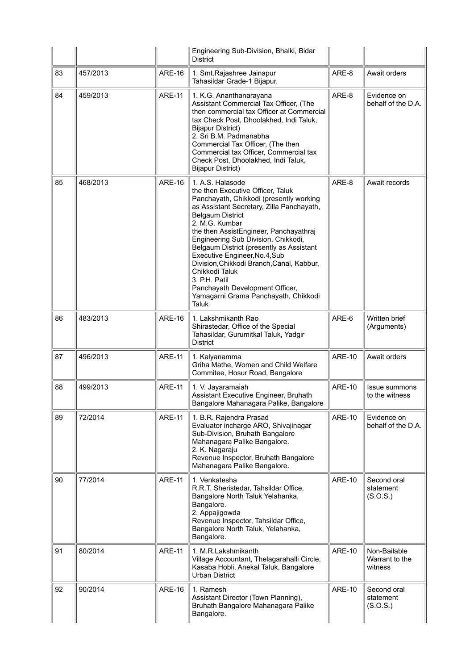|    |          |               | Engineering Sub-Division, Bhalki, Bidar<br><b>District</b>                                                                                                                                                                                                                                                                                                                                                                                                                                                                   |               |                                           |
|----|----------|---------------|------------------------------------------------------------------------------------------------------------------------------------------------------------------------------------------------------------------------------------------------------------------------------------------------------------------------------------------------------------------------------------------------------------------------------------------------------------------------------------------------------------------------------|---------------|-------------------------------------------|
| 83 | 457/2013 | <b>ARE-16</b> | 1. Smt. Rajashree Jainapur<br>Tahasildar Grade-1 Bijapur.                                                                                                                                                                                                                                                                                                                                                                                                                                                                    | ARE-8         | Await orders                              |
| 84 | 459/2013 | <b>ARE-11</b> | 1. K.G. Ananthanarayana<br>Assistant Commercial Tax Officer, (The<br>then commercial tax Officer at Commercial<br>tax Check Post, Dhoolakhed, Indi Taluk,<br><b>Bijapur District)</b><br>2. Sri B.M. Padmanabha<br>Commercial Tax Officer, (The then<br>Commercial tax Officer, Commercial tax<br>Check Post, Dhoolakhed, Indi Taluk,<br><b>Bijapur District)</b>                                                                                                                                                            | ARE-8         | Evidence on<br>behalf of the D.A.         |
| 85 | 468/2013 | <b>ARE-16</b> | 1. A.S. Halasode<br>the then Executive Officer, Taluk<br>Panchayath, Chikkodi (presently working<br>as Assistant Secretary, Zilla Panchayath,<br><b>Belgaum District</b><br>2. M.G. Kumbar<br>the then AssistEngineer, Panchayathraj<br>Engineering Sub Division, Chikkodi,<br>Belgaum District (presently as Assistant<br>Executive Engineer, No.4, Sub<br>Division, Chikkodi Branch, Canal, Kabbur,<br>Chikkodi Taluk<br>3. P.H. Patil<br>Panchayath Development Officer,<br>Yamagarni Grama Panchayath, Chikkodi<br>Taluk | ARE-8         | Await records                             |
| 86 | 483/2013 | <b>ARE-16</b> | 1. Lakshmikanth Rao<br>Shirastedar, Office of the Special<br>Tahasildar, Gurumitkal Taluk, Yadgir<br><b>District</b>                                                                                                                                                                                                                                                                                                                                                                                                         | ARE-6         | Written brief<br>(Arguments)              |
| 87 | 496/2013 | <b>ARE-11</b> | 1. Kalyanamma<br>Griha Mathe, Women and Child Welfare<br>Commitee, Hosur Road, Bangalore                                                                                                                                                                                                                                                                                                                                                                                                                                     | <b>ARE-10</b> | Await orders                              |
| 88 | 499/2013 | <b>ARE-11</b> | 1. V. Jayaramaiah<br>Assistant Executive Engineer, Bruhath<br>Bangalore Mahanagara Palike, Bangalore                                                                                                                                                                                                                                                                                                                                                                                                                         | <b>ARE-10</b> | Issue summons<br>to the witness           |
| 89 | 72/2014  | <b>ARE-11</b> | 1. B.R. Rajendra Prasad<br>Evaluator incharge ARO, Shivajinagar<br>Sub-Division, Bruhath Bangalore<br>Mahanagara Palike Bangalore.<br>2. K. Nagaraju<br>Revenue Inspector, Bruhath Bangalore<br>Mahanagara Palike Bangalore.                                                                                                                                                                                                                                                                                                 | <b>ARE-10</b> | Evidence on<br>behalf of the D.A.         |
| 90 | 77/2014  | <b>ARE-11</b> | 1. Venkatesha<br>R.R.T. Sheristedar, Tahsildar Office,<br>Bangalore North Taluk Yelahanka,<br>Bangalore.<br>2. Appajigowda<br>Revenue Inspector, Tahsildar Office,<br>Bangalore North Taluk, Yelahanka,<br>Bangalore.                                                                                                                                                                                                                                                                                                        | <b>ARE-10</b> | Second oral<br>statement<br>(S.O.S.)      |
| 91 | 80/2014  | <b>ARE-11</b> | 1. M.R.Lakshmikanth<br>Village Accountant, Thelagarahalli Circle,<br>Kasaba Hobli, Anekal Taluk, Bangalore<br><b>Urban District</b>                                                                                                                                                                                                                                                                                                                                                                                          | <b>ARE-10</b> | Non-Bailable<br>Warrant to the<br>witness |
| 92 | 90/2014  | <b>ARE-16</b> | 1. Ramesh<br>Assistant Director (Town Planning),<br>Bruhath Bangalore Mahanagara Palike<br>Bangalore.                                                                                                                                                                                                                                                                                                                                                                                                                        | <b>ARE-10</b> | Second oral<br>statement<br>(S.O.S.)      |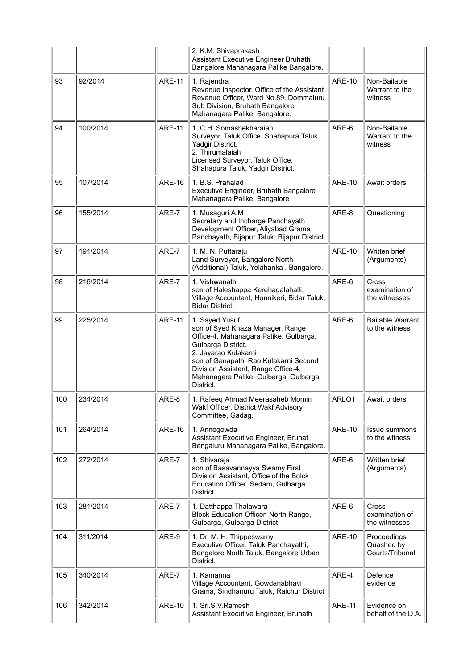|     |          |               | 2. K.M. Shivaprakash<br>Assistant Executive Engineer Bruhath<br>Bangalore Mahanagara Palike Bangalore.                                                                                                                                                                           |               |                                                 |
|-----|----------|---------------|----------------------------------------------------------------------------------------------------------------------------------------------------------------------------------------------------------------------------------------------------------------------------------|---------------|-------------------------------------------------|
| 93  | 92/2014  | <b>ARE-11</b> | 1. Rajendra<br>Revenue Inspector, Office of the Assistant<br>Revenue Officer, Ward No.89, Dommaluru<br>Sub Division, Bruhath Bangalore<br>Mahanagara Palike, Bangalore.                                                                                                          | <b>ARE-10</b> | Non-Bailable<br>Warrant to the<br>witness       |
| 94  | 100/2014 | <b>ARE-11</b> | 1. C.H. Somashekharaiah<br>Surveyor, Taluk Office, Shahapura Taluk,<br>Yadgir District.<br>2. Thirumalaiah<br>Licensed Surveyor, Taluk Office,<br>Shahapura Taluk, Yadgir District.                                                                                              | ARE-6         | Non-Bailable<br>Warrant to the<br>witness       |
| 95  | 107/2014 | <b>ARE-16</b> | 1. B.S. Prahalad<br>Executive Engineer, Bruhath Bangalore<br>Mahanagara Palike, Bangalore                                                                                                                                                                                        | <b>ARE-10</b> | Await orders                                    |
| 96  | 155/2014 | ARE-7         | 1. Musaguri.A.M<br>Secretary and Incharge Panchayath<br>Development Officer, Aliyabad Grama<br>Panchayath, Bijapur Taluk, Bijapur District.                                                                                                                                      | ARE-8         | Questioning                                     |
| 97  | 191/2014 | ARE-7         | 1. M. N. Puttaraju<br>Land Surveyor, Bangalore North<br>(Additional) Taluk, Yelahanka, Bangalore.                                                                                                                                                                                | <b>ARE-10</b> | Written brief<br>(Arguments)                    |
| 98  | 216/2014 | ARE-7         | 1. Vishwanath<br>son of Haleshappa Kerehagalahalli,<br>Village Accountant, Honnikeri, Bidar Taluk,<br><b>Bidar District.</b>                                                                                                                                                     | ARE-6         | <b>Cross</b><br>examination of<br>the witnesses |
| 99  | 225/2014 | <b>ARE-11</b> | 1. Sayed Yusuf<br>son of Syed Khaza Manager, Range<br>Office-4, Mahanagara Palike, Gulbarga,<br>Gulbarga District.<br>2. Jayarao Kulakarni<br>son of Ganapathi Rao Kulakarni Second<br>Division Assistant, Range Office-4,<br>Mahanagara Palike, Gulbarga, Gulbarga<br>District. | ARE-6         | <b>Bailable Warrant</b><br>to the witness       |
| 100 | 234/2014 | ARE-8         | 1. Rafeeq Ahmad Meerasaheb Momin<br>Wakf Officer, District Wakf Advisory<br>Committee, Gadag.                                                                                                                                                                                    | ARLO1         | Await orders                                    |
| 101 | 264/2014 | <b>ARE-16</b> | 1. Annegowda<br>Assistant Executive Engineer, Bruhat<br>Bengaluru Mahanagara Palike, Bangalore.                                                                                                                                                                                  | <b>ARE-10</b> | Issue summons<br>to the witness                 |
| 102 | 272/2014 | ARE-7         | 1. Shivaraja<br>son of Basavannayya Swamy First<br>Division Assistant, Office of the Bolck<br>Education Officer, Sedam, Gulbarga<br>District.                                                                                                                                    | ARE-6         | Written brief<br>(Arguments)                    |
| 103 | 281/2014 | ARE-7         | 1. Datthappa Thalawara<br>Block Education Officer, North Range,<br>Gulbarga, Gulbarga District.                                                                                                                                                                                  | ARE-6         | <b>Cross</b><br>examination of<br>the witnesses |
| 104 | 311/2014 | ARE-9         | 1. Dr. M. H. Thippeswamy<br>Executive Officer, Taluk Panchayathi,<br>Bangalore North Taluk, Bangalore Urban<br>District.                                                                                                                                                         | <b>ARE-10</b> | Proceedings<br>Quashed by<br>Courts/Tribunal    |
| 105 | 340/2014 | ARE-7         | 1. Kamanna<br>Village Accountant, Gowdanabhavi<br>Grama, Sindhanuru Taluk, Raichur District                                                                                                                                                                                      | ARE-4         | Defence<br>evidence                             |
| 106 | 342/2014 | <b>ARE-10</b> | 1. Sri.S.V.Ramesh<br>Assistant Executive Engineer, Bruhath                                                                                                                                                                                                                       | <b>ARE-11</b> | Evidence on<br>behalf of the D.A.               |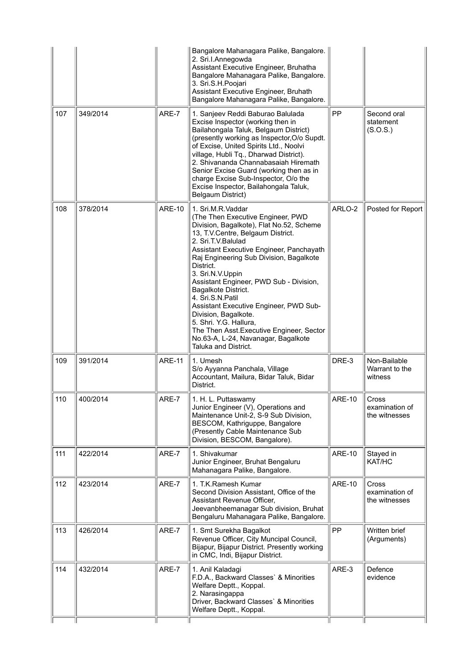|     |          |               | Bangalore Mahanagara Palike, Bangalore.<br>2. Sri.l.Annegowda<br>Assistant Executive Engineer, Bruhatha<br>Bangalore Mahanagara Palike, Bangalore.<br>3. Sri.S.H.Poojari<br>Assistant Executive Engineer, Bruhath<br>Bangalore Mahanagara Palike, Bangalore.                                                                                                                                                                                                                                                                                                                        |               |                                                 |
|-----|----------|---------------|-------------------------------------------------------------------------------------------------------------------------------------------------------------------------------------------------------------------------------------------------------------------------------------------------------------------------------------------------------------------------------------------------------------------------------------------------------------------------------------------------------------------------------------------------------------------------------------|---------------|-------------------------------------------------|
| 107 | 349/2014 | ARE-7         | 1. Sanjeev Reddi Baburao Balulada<br>Excise Inspector (working then in<br>Bailahongala Taluk, Belgaum District)<br>(presently working as Inspector, O/o Supdt.<br>of Excise, United Spirits Ltd., Noolvi<br>village, Hubli Tq., Dharwad District).<br>2. Shivananda Channabasaiah Hiremath<br>Senior Excise Guard (working then as in<br>charge Excise Sub-Inspector, O/o the<br>Excise Inspector, Bailahongala Taluk,<br>Belgaum District)                                                                                                                                         | <b>PP</b>     | Second oral<br>statement<br>(S.O.S.)            |
| 108 | 378/2014 | <b>ARE-10</b> | 1. Sri.M.R.Vaddar<br>(The Then Executive Engineer, PWD<br>Division, Bagalkote), Flat No.52, Scheme<br>13, T.V.Centre, Belgaum District.<br>2. Sri.T.V.Balulad<br>Assistant Executive Engineer, Panchayath<br>Raj Engineering Sub Division, Bagalkote<br>District.<br>3. Sri.N.V.Uppin<br>Assistant Engineer, PWD Sub - Division,<br>Bagalkote District.<br>4. Sri.S.N.Patil<br>Assistant Executive Engineer, PWD Sub-<br>Division, Bagalkote.<br>5. Shri. Y.G. Hallura,<br>The Then Asst. Executive Engineer, Sector<br>No.63-A, L-24, Navanagar, Bagalkote<br>Taluka and District. | ARLO-2        | Posted for Report                               |
| 109 | 391/2014 | <b>ARE-11</b> | 1. Umesh<br>S/o Ayyanna Panchala, Village<br>Accountant, Mailura, Bidar Taluk, Bidar<br>District.                                                                                                                                                                                                                                                                                                                                                                                                                                                                                   | DRE-3         | Non-Bailable<br>Warrant to the<br>witness       |
| 110 | 400/2014 | ARE-7         | 1. H. L. Puttaswamy<br>Junior Engineer (V), Operations and<br>Maintenance Unit-2, S-9 Sub Division,<br>BESCOM, Kathriguppe, Bangalore<br>(Presently Cable Maintenance Sub<br>Division, BESCOM, Bangalore).                                                                                                                                                                                                                                                                                                                                                                          | <b>ARE-10</b> | Cross<br>examination of<br>the witnesses        |
| 111 | 422/2014 | ARE-7         | 1. Shivakumar<br>Junior Engineer, Bruhat Bengaluru<br>Mahanagara Palike, Bangalore.                                                                                                                                                                                                                                                                                                                                                                                                                                                                                                 | <b>ARE-10</b> | Stayed in<br>KAT/HC                             |
| 112 | 423/2014 | ARE-7         | 1. T.K. Ramesh Kumar<br>Second Division Assistant, Office of the<br>Assistant Revenue Officer,<br>Jeevanbheemanagar Sub division, Bruhat<br>Bengaluru Mahanagara Palike, Bangalore.                                                                                                                                                                                                                                                                                                                                                                                                 | <b>ARE-10</b> | <b>Cross</b><br>examination of<br>the witnesses |
| 113 | 426/2014 | ARE-7         | 1. Smt Surekha Bagalkot<br>Revenue Officer, City Muncipal Council,<br>Bijapur, Bijapur District. Presently working<br>in CMC, Indi, Bijapur District.                                                                                                                                                                                                                                                                                                                                                                                                                               | <b>PP</b>     | Written brief<br>(Arguments)                    |
| 114 | 432/2014 | ARE-7         | 1. Anil Kaladagi<br>F.D.A., Backward Classes' & Minorities<br>Welfare Deptt., Koppal.<br>2. Narasingappa<br>Driver, Backward Classes` & Minorities<br>Welfare Deptt., Koppal.                                                                                                                                                                                                                                                                                                                                                                                                       | ARE-3         | Defence<br>evidence                             |
|     |          |               |                                                                                                                                                                                                                                                                                                                                                                                                                                                                                                                                                                                     |               |                                                 |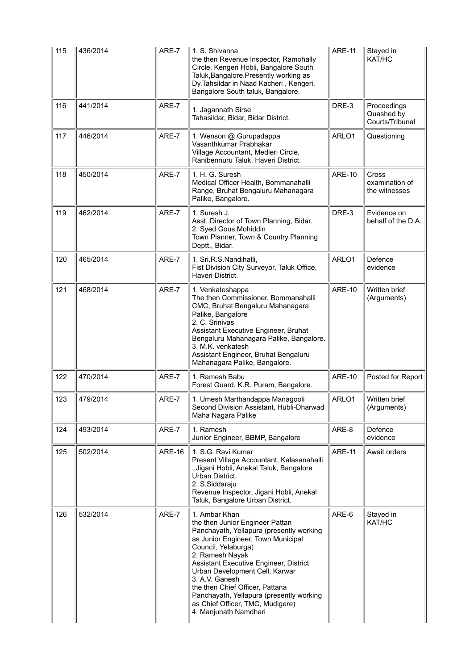| 115 | 436/2014 | ARE-7         | 1. S. Shivanna<br>the then Revenue Inspector, Ramohally<br>Circle, Kengeri Hobli, Bangalore South<br>Taluk, Bangalore. Presently working as<br>Dy. Tahsildar in Naad Kacheri, Kengeri,<br>Bangalore South taluk, Bangalore.                                                                                                                                                                                            | <b>ARE-11</b> | Stayed in<br>KAT/HC                          |
|-----|----------|---------------|------------------------------------------------------------------------------------------------------------------------------------------------------------------------------------------------------------------------------------------------------------------------------------------------------------------------------------------------------------------------------------------------------------------------|---------------|----------------------------------------------|
| 116 | 441/2014 | ARE-7         | 1. Jagannath Sirse<br>Tahasildar, Bidar, Bidar District.                                                                                                                                                                                                                                                                                                                                                               | DRE-3         | Proceedings<br>Quashed by<br>Courts/Tribunal |
| 117 | 446/2014 | ARE-7         | 1. Wenson @ Gurupadappa<br>Vasanthkumar Prabhakar<br>Village Accountant, Medleri Circle,<br>Ranibennuru Taluk, Haveri District.                                                                                                                                                                                                                                                                                        | ARLO1         | Questioning                                  |
| 118 | 450/2014 | ARE-7         | 1. H. G. Suresh<br>Medical Officer Health, Bommanahalli<br>Range, Bruhat Bengaluru Mahanagara<br>Palike, Bangalore.                                                                                                                                                                                                                                                                                                    | <b>ARE-10</b> | Cross<br>examination of<br>the witnesses     |
| 119 | 462/2014 | ARE-7         | 1. Suresh J.<br>Asst. Director of Town Planning, Bidar.<br>2. Syed Gous Mohiddin<br>Town Planner, Town & Country Planning<br>Deptt., Bidar.                                                                                                                                                                                                                                                                            | DRE-3         | Evidence on<br>behalf of the D.A.            |
| 120 | 465/2014 | ARE-7         | 1. Sri.R.S.Nandihalli,<br>Fist Division City Surveyor, Taluk Office,<br>Haveri District.                                                                                                                                                                                                                                                                                                                               | ARLO1         | Defence<br>evidence                          |
| 121 | 468/2014 | ARE-7         | 1. Venkateshappa<br>The then Commissioner, Bommanahalli<br>CMC, Bruhat Bengaluru Mahanagara<br>Palike, Bangalore<br>2. C. Srinivas<br>Assistant Executive Engineer, Bruhat<br>Bengaluru Mahanagara Palike, Bangalore.<br>3. M.K. venkatesh<br>Assistant Engineer, Bruhat Bengaluru<br>Mahanagara Palike, Bangalore.                                                                                                    | <b>ARE-10</b> | Written brief<br>(Arguments)                 |
| 122 | 470/2014 | ARE-7         | 1. Ramesh Babu<br>Forest Guard, K.R. Puram, Bangalore.                                                                                                                                                                                                                                                                                                                                                                 | <b>ARE-10</b> | Posted for Report                            |
| 123 | 479/2014 | ARE-7         | 1. Umesh Marthandappa Managooli<br>Second Division Assistant, Hubli-Dharwad<br>Maha Nagara Palike                                                                                                                                                                                                                                                                                                                      | ARLO1         | Written brief<br>(Arguments)                 |
| 124 | 493/2014 | ARE-7         | 1. Ramesh<br>Junior Engineer, BBMP, Bangalore                                                                                                                                                                                                                                                                                                                                                                          | ARE-8         | Defence<br>evidence                          |
| 125 | 502/2014 | <b>ARE-16</b> | 1. S.G. Ravi Kumar<br>Present Village Accountant, Kalasanahalli<br>, Jigani Hobli, Anekal Taluk, Bangalore<br>Urban District.<br>2. S.Siddaraju<br>Revenue Inspector, Jigani Hobli, Anekal<br>Taluk, Bangalore Urban District.                                                                                                                                                                                         | <b>ARE-11</b> | Await orders                                 |
| 126 | 532/2014 | ARE-7         | 1. Ambar Khan<br>the then Junior Engineer Pattan<br>Panchayath, Yellapura (presently working<br>as Junior Engineer, Town Municipal<br>Council, Yelaburga)<br>2. Ramesh Nayak<br>Assistant Executive Engineer, District<br>Urban Development Cell, Karwar<br>3. A.V. Ganesh<br>the then Chief Officer, Pattana<br>Panchayath, Yellapura (presently working<br>as Chief Officer, TMC, Mudigere)<br>4. Manjunath Namdhari | ARE-6         | Stayed in<br>KAT/HC                          |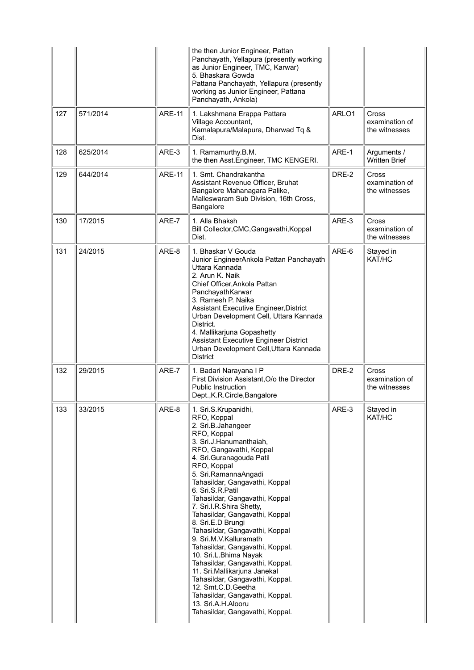|     |          |               | the then Junior Engineer, Pattan<br>Panchayath, Yellapura (presently working<br>as Junior Engineer, TMC, Karwar)<br>5. Bhaskara Gowda<br>Pattana Panchayath, Yellapura (presently<br>working as Junior Engineer, Pattana<br>Panchayath, Ankola)                                                                                                                                                                                                                                                                                                                                                                                                                                                                               |       |                                                 |
|-----|----------|---------------|-------------------------------------------------------------------------------------------------------------------------------------------------------------------------------------------------------------------------------------------------------------------------------------------------------------------------------------------------------------------------------------------------------------------------------------------------------------------------------------------------------------------------------------------------------------------------------------------------------------------------------------------------------------------------------------------------------------------------------|-------|-------------------------------------------------|
| 127 | 571/2014 | <b>ARE-11</b> | 1. Lakshmana Erappa Pattara<br>Village Accountant,<br>Kamalapura/Malapura, Dharwad Tq &<br>Dist.                                                                                                                                                                                                                                                                                                                                                                                                                                                                                                                                                                                                                              | ARLO1 | Cross<br>examination of<br>the witnesses        |
| 128 | 625/2014 | ARE-3         | 1. Ramamurthy.B.M.<br>the then Asst. Engineer, TMC KENGERI.                                                                                                                                                                                                                                                                                                                                                                                                                                                                                                                                                                                                                                                                   | ARE-1 | Arguments /<br><b>Written Brief</b>             |
| 129 | 644/2014 | <b>ARE-11</b> | 1. Smt. Chandrakantha<br>Assistant Revenue Officer, Bruhat<br>Bangalore Mahanagara Palike,<br>Malleswaram Sub Division, 16th Cross,<br>Bangalore                                                                                                                                                                                                                                                                                                                                                                                                                                                                                                                                                                              | DRE-2 | Cross<br>examination of<br>the witnesses        |
| 130 | 17/2015  | ARE-7         | 1. Alla Bhaksh<br>Bill Collector, CMC, Gangavathi, Koppal<br>Dist.                                                                                                                                                                                                                                                                                                                                                                                                                                                                                                                                                                                                                                                            | ARE-3 | Cross<br>examination of<br>the witnesses        |
| 131 | 24/2015  | ARE-8         | 1. Bhaskar V Gouda<br>Junior EngineerAnkola Pattan Panchayath<br>Uttara Kannada<br>2. Arun K. Naik<br>Chief Officer, Ankola Pattan<br>PanchayathKarwar<br>3. Ramesh P. Naika<br>Assistant Executive Engineer, District<br>Urban Development Cell, Uttara Kannada<br>District.<br>4. Mallikarjuna Gopashetty<br>Assistant Executive Engineer District<br>Urban Development Cell, Uttara Kannada<br><b>District</b>                                                                                                                                                                                                                                                                                                             | ARE-6 | Stayed in<br>KAT/HC                             |
| 132 | 29/2015  | ARE-7         | 1. Badari Narayana I P<br>First Division Assistant, O/o the Director<br>Public Instruction<br>Dept., K.R. Circle, Bangalore                                                                                                                                                                                                                                                                                                                                                                                                                                                                                                                                                                                                   | DRE-2 | <b>Cross</b><br>examination of<br>the witnesses |
| 133 | 33/2015  | ARE-8         | 1. Sri.S.Krupanidhi,<br>RFO, Koppal<br>2. Sri.B.Jahangeer<br>RFO, Koppal<br>3. Sri.J.Hanumanthaiah,<br>RFO, Gangavathi, Koppal<br>4. Sri. Guranagouda Patil<br>RFO, Koppal<br>5. Sri.RamannaAngadi<br>Tahasildar, Gangavathi, Koppal<br>6. Sri.S.R.Patil<br>Tahasildar, Gangavathi, Koppal<br>7. Sri.I.R.Shira Shetty,<br>Tahasildar, Gangavathi, Koppal<br>8. Sri.E.D Brungi<br>Tahasildar, Gangavathi, Koppal<br>9. Sri.M.V.Kalluramath<br>Tahasildar, Gangavathi, Koppal.<br>10. Sri.L.Bhima Nayak<br>Tahasildar, Gangavathi, Koppal.<br>11. Sri.Mallikarjuna Janekal<br>Tahasildar, Gangavathi, Koppal.<br>12. Smt.C.D.Geetha<br>Tahasildar, Gangavathi, Koppal.<br>13. Sri.A.H.Alooru<br>Tahasildar, Gangavathi, Koppal. | ARE-3 | Stayed in<br>KAT/HC                             |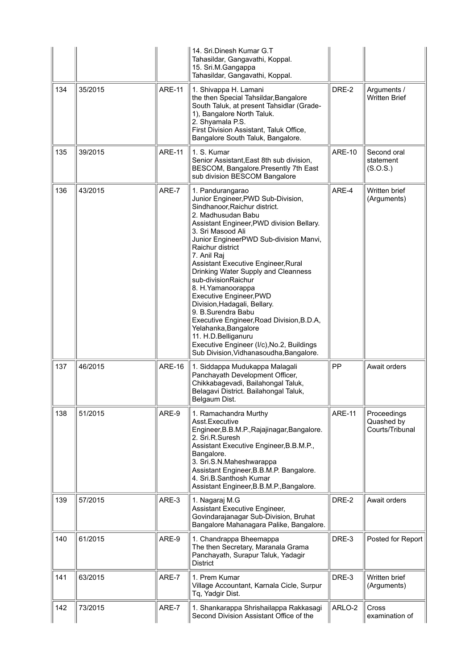|     |         |               | 14. Sri.Dinesh Kumar G.T<br>Tahasildar, Gangavathi, Koppal.<br>15. Sri.M.Gangappa<br>Tahasildar, Gangavathi, Koppal.                                                                                                                                                                                                                                                                                                                                                                                                                                                                                                                                         |               |                                              |
|-----|---------|---------------|--------------------------------------------------------------------------------------------------------------------------------------------------------------------------------------------------------------------------------------------------------------------------------------------------------------------------------------------------------------------------------------------------------------------------------------------------------------------------------------------------------------------------------------------------------------------------------------------------------------------------------------------------------------|---------------|----------------------------------------------|
| 134 | 35/2015 | <b>ARE-11</b> | 1. Shivappa H. Lamani<br>the then Special Tahsildar, Bangalore<br>South Taluk, at present Tahsidlar (Grade-<br>1), Bangalore North Taluk.<br>2. Shyamala P.S.<br>First Division Assistant, Taluk Office,<br>Bangalore South Taluk, Bangalore.                                                                                                                                                                                                                                                                                                                                                                                                                | DRE-2         | Arguments /<br><b>Written Brief</b>          |
| 135 | 39/2015 | <b>ARE-11</b> | 1. S. Kumar<br>Senior Assistant, East 8th sub division,<br>BESCOM, Bangalore.Presently 7th East<br>sub division BESCOM Bangalore                                                                                                                                                                                                                                                                                                                                                                                                                                                                                                                             | <b>ARE-10</b> | Second oral<br>statement<br>(S.O.S.)         |
| 136 | 43/2015 | ARE-7         | 1. Pandurangarao<br>Junior Engineer, PWD Sub-Division,<br>Sindhanoor, Raichur district.<br>2. Madhusudan Babu<br>Assistant Engineer, PWD division Bellary.<br>3. Sri Masood Ali<br>Junior EngineerPWD Sub-division Manvi,<br>Raichur district<br>7. Anil Raj<br>Assistant Executive Engineer, Rural<br>Drinking Water Supply and Cleanness<br>sub-divisionRaichur<br>8. H. Yamanoorappa<br>Executive Engineer, PWD<br>Division, Hadagali, Bellary.<br>9. B.Surendra Babu<br>Executive Engineer, Road Division, B.D.A,<br>Yelahanka, Bangalore<br>11. H.D.Belliganuru<br>Executive Engineer (I/c), No.2, Buildings<br>Sub Division, Vidhanasoudha, Bangalore. | ARE-4         | Written brief<br>(Arguments)                 |
| 137 | 46/2015 | <b>ARE-16</b> | 1. Siddappa Mudukappa Malagali<br>Panchayath Development Officer,<br>Chikkabagevadi, Bailahongal Taluk,<br>Belagavi District. Bailahongal Taluk,<br>Belgaum Dist.                                                                                                                                                                                                                                                                                                                                                                                                                                                                                            | PP            | Await orders                                 |
| 138 | 51/2015 | ARE-9         | 1. Ramachandra Murthy<br>Asst.Executive<br>Engineer, B.B.M.P., Rajajinagar, Bangalore.<br>2. Sri.R.Suresh<br>Assistant Executive Engineer, B.B.M.P.,<br>Bangalore.<br>3. Sri.S.N.Maheshwarappa<br>Assistant Engineer, B.B.M.P. Bangalore.<br>4. Sri.B.Santhosh Kumar<br>Assistant Engineer, B.B.M.P., Bangalore.                                                                                                                                                                                                                                                                                                                                             | <b>ARE-11</b> | Proceedings<br>Quashed by<br>Courts/Tribunal |
| 139 | 57/2015 | ARE-3         | 1. Nagaraj M.G<br>Assistant Executive Engineer,<br>Govindarajanagar Sub-Division, Bruhat<br>Bangalore Mahanagara Palike, Bangalore.                                                                                                                                                                                                                                                                                                                                                                                                                                                                                                                          | DRE-2         | Await orders                                 |
| 140 | 61/2015 | ARE-9         | 1. Chandrappa Bheemappa<br>The then Secretary, Maranala Grama<br>Panchayath, Surapur Taluk, Yadagir<br><b>District</b>                                                                                                                                                                                                                                                                                                                                                                                                                                                                                                                                       | DRE-3         | Posted for Report                            |
| 141 | 63/2015 | ARE-7         | 1. Prem Kumar<br>Village Accountant, Karnala Cicle, Surpur<br>Tq, Yadgir Dist.                                                                                                                                                                                                                                                                                                                                                                                                                                                                                                                                                                               | DRE-3         | Written brief<br>(Arguments)                 |
| 142 | 73/2015 | ARE-7         | 1. Shankarappa Shrishailappa Rakkasagi<br>Second Division Assistant Office of the                                                                                                                                                                                                                                                                                                                                                                                                                                                                                                                                                                            | ARLO-2        | <b>Cross</b><br>examination of               |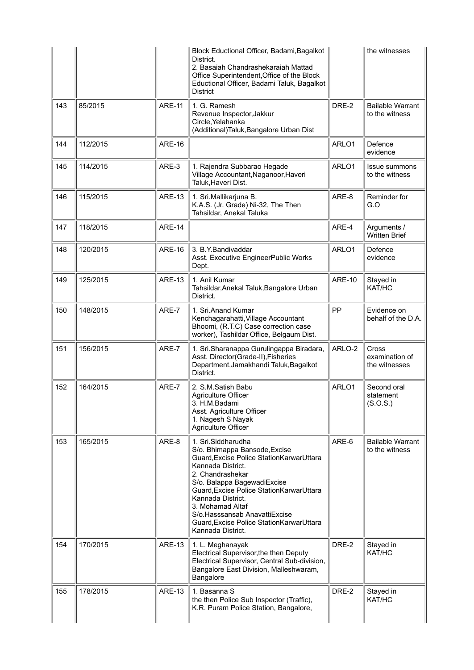|     |          |               | Block Eductional Officer, Badami, Bagalkot<br>District.<br>2. Basaiah Chandrashekaraiah Mattad<br>Office Superintendent, Office of the Block<br>Eductional Officer, Badami Taluk, Bagalkot<br><b>District</b>                                                                                                                                                        |               | the witnesses                                   |
|-----|----------|---------------|----------------------------------------------------------------------------------------------------------------------------------------------------------------------------------------------------------------------------------------------------------------------------------------------------------------------------------------------------------------------|---------------|-------------------------------------------------|
| 143 | 85/2015  | <b>ARE-11</b> | 1. G. Ramesh<br>Revenue Inspector, Jakkur<br>Circle, Yelahanka<br>(Additional)Taluk, Bangalore Urban Dist                                                                                                                                                                                                                                                            | DRE-2         | <b>Bailable Warrant</b><br>to the witness       |
| 144 | 112/2015 | <b>ARE-16</b> |                                                                                                                                                                                                                                                                                                                                                                      | ARLO1         | Defence<br>evidence                             |
| 145 | 114/2015 | ARE-3         | 1. Rajendra Subbarao Hegade<br>Village Accountant, Naganoor, Haveri<br>Taluk, Haveri Dist.                                                                                                                                                                                                                                                                           | ARLO1         | Issue summons<br>to the witness                 |
| 146 | 115/2015 | <b>ARE-13</b> | 1. Sri. Mallikarjuna B.<br>K.A.S. (Jr. Grade) Ni-32, The Then<br>Tahsildar, Anekal Taluka                                                                                                                                                                                                                                                                            | ARE-8         | Reminder for<br>G.O                             |
| 147 | 118/2015 | <b>ARE-14</b> |                                                                                                                                                                                                                                                                                                                                                                      | ARE-4         | Arguments /<br><b>Written Brief</b>             |
| 148 | 120/2015 | <b>ARE-16</b> | 3. B.Y.Bandivaddar<br>Asst. Executive EngineerPublic Works<br>Dept.                                                                                                                                                                                                                                                                                                  | ARLO1         | Defence<br>evidence                             |
| 149 | 125/2015 | <b>ARE-13</b> | 1. Anil Kumar<br>Tahsildar, Anekal Taluk, Bangalore Urban<br>District.                                                                                                                                                                                                                                                                                               | <b>ARE-10</b> | Stayed in<br>KAT/HC                             |
| 150 | 148/2015 | ARE-7         | 1. Sri.Anand Kumar<br>Kenchagarahatti, Village Accountant<br>Bhoomi, (R.T.C) Case correction case<br>worker), Tashildar Office, Belgaum Dist.                                                                                                                                                                                                                        | PP            | Evidence on<br>behalf of the D.A.               |
| 151 | 156/2015 | ARE-7         | 1. Sri.Sharanappa Gurulingappa Biradara,<br>Asst. Director(Grade-II), Fisheries<br>Department, Jamakhandi Taluk, Bagalkot<br>District.                                                                                                                                                                                                                               | ARLO-2        | <b>Cross</b><br>examination of<br>the witnesses |
| 152 | 164/2015 | ARE-7         | 2. S.M.Satish Babu<br>Agriculture Officer<br>3. H.M.Badami<br>Asst. Agriculture Officer<br>1. Nagesh S Nayak<br>Agriculture Officer                                                                                                                                                                                                                                  | ARLO1         | Second oral<br>statement<br>(S.O.S.)            |
| 153 | 165/2015 | ARE-8         | 1. Sri.Siddharudha<br>S/o. Bhimappa Bansode, Excise<br>Guard, Excise Police Station Karwar Uttara<br>Kannada District.<br>2. Chandrashekar<br>S/o. Balappa BagewadiExcise<br>Guard, Excise Police Station Karwar Uttara<br>Kannada District.<br>3. Mohamad Altaf<br>S/o.Hasssansab AnavattiExcise<br>Guard, Excise Police Station Karwar Uttara<br>Kannada District. | ARE-6         | <b>Bailable Warrant</b><br>to the witness       |
| 154 | 170/2015 | <b>ARE-13</b> | 1. L. Meghanayak<br>Electrical Supervisor, the then Deputy<br>Electrical Supervisor, Central Sub-division,<br>Bangalore East Division, Malleshwaram,<br>Bangalore                                                                                                                                                                                                    | DRE-2         | Stayed in<br>KAT/HC                             |
| 155 | 178/2015 | <b>ARE-13</b> | 1. Basanna S<br>the then Police Sub Inspector (Traffic),<br>K.R. Puram Police Station, Bangalore,                                                                                                                                                                                                                                                                    | DRE-2         | Stayed in<br>KAT/HC                             |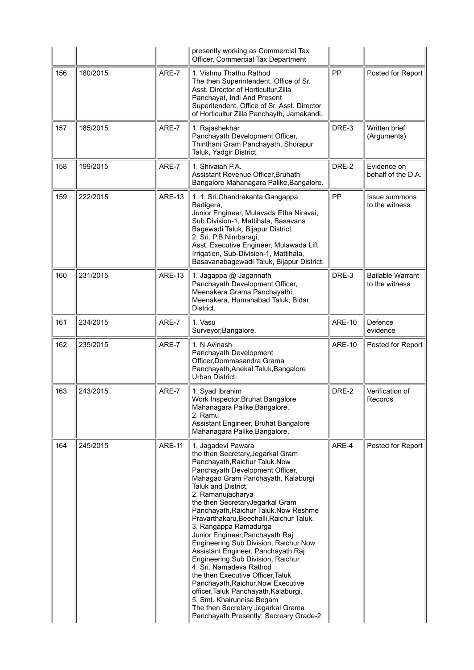|     |          |               | presently working as Commercial Tax<br>Officer, Commercial Tax Department                                                                                                                                                                                                                                                                                                                                                                                                                                                                                                                                                                                                                                                                                                          |               |                                           |
|-----|----------|---------------|------------------------------------------------------------------------------------------------------------------------------------------------------------------------------------------------------------------------------------------------------------------------------------------------------------------------------------------------------------------------------------------------------------------------------------------------------------------------------------------------------------------------------------------------------------------------------------------------------------------------------------------------------------------------------------------------------------------------------------------------------------------------------------|---------------|-------------------------------------------|
| 156 | 180/2015 | ARE-7         | 1. Vishnu Thathu Rathod<br>The then Superintendent, Office of Sr.<br>Asst. Director of Horticultur, Zilla<br>Panchayat, Indi And Present<br>Superitendent, Office of Sr. Asst. Director<br>of Horticultur Zilla Panchayth, Jamakandi.                                                                                                                                                                                                                                                                                                                                                                                                                                                                                                                                              | PP            | Posted for Report                         |
| 157 | 185/2015 | ARE-7         | 1. Rajashekhar<br>Panchayath Development Officer,<br>Thinthani Gram Panchayath, Shorapur<br>Taluk, Yadgir District.                                                                                                                                                                                                                                                                                                                                                                                                                                                                                                                                                                                                                                                                | DRE-3         | Written brief<br>(Arguments)              |
| 158 | 199/2015 | ARE-7         | 1. Shivaiah P.A.<br>Assistant Revenue Officer, Bruhath<br>Bangalore Mahanagara Palike, Bangalore.                                                                                                                                                                                                                                                                                                                                                                                                                                                                                                                                                                                                                                                                                  | DRE-2         | Evidence on<br>behalf of the D.A.         |
| 159 | 222/2015 | <b>ARE-13</b> | 1. 1. Sri. Chandrakanta Gangappa<br>Badigera,<br>Junior Engineer, Mulavada Etha Niravai,<br>Sub Division-1, Mattihala, Basavana<br>Bagewadi Taluk, Bijapur District<br>2. Sri. P.B.Nimbaragi,<br>Asst. Executive Engineer, Mulawada Lift<br>Irrigation, Sub-Division-1, Mattihala,<br>Basavanabagewadi Taluk, Bijapur District.                                                                                                                                                                                                                                                                                                                                                                                                                                                    | PP            | <b>Issue summons</b><br>to the witness    |
| 160 | 231/2015 | <b>ARE-13</b> | 1. Jagappa @ Jagannath<br>Panchayath Development Officer,<br>Meenakera Grama Panchayathi,<br>Meenakera, Humanabad Taluk, Bidar<br>District.                                                                                                                                                                                                                                                                                                                                                                                                                                                                                                                                                                                                                                        | DRE-3         | <b>Bailable Warrant</b><br>to the witness |
| 161 | 234/2015 | ARE-7         | 1. Vasu<br>Surveyor, Bangalore.                                                                                                                                                                                                                                                                                                                                                                                                                                                                                                                                                                                                                                                                                                                                                    | <b>ARE-10</b> | Defence<br>evidence                       |
| 162 | 235/2015 | ARE-7         | 1. N Avinash<br>Panchayath Development<br>Officer, Dommasandra Grama<br>Panchayath, Anekal Taluk, Bangalore<br>Urban District.                                                                                                                                                                                                                                                                                                                                                                                                                                                                                                                                                                                                                                                     | <b>ARE-10</b> | Posted for Report                         |
| 163 | 243/2015 | ARE-7         | 1. Syad Ibrahim<br>Work Inspector, Bruhat Bangalore<br>Mahanagara Palike, Bangalore.<br>2. Ramu<br>Assistant Engineer, Bruhat Bangalore<br>Mahanagara Palike, Bangalore.                                                                                                                                                                                                                                                                                                                                                                                                                                                                                                                                                                                                           | DRE-2         | Verification of<br>Records                |
| 164 | 245/2015 | <b>ARE-11</b> | 1. Jagadevi Pawara<br>the then Secretary, Jegarkal Gram<br>Panchayath, Raichur Taluk. Now<br>Panchayath Development Officer,<br>Mahagao Gram Panchayath, Kalaburgi<br>Taluk and District.<br>2. Ramanujacharya<br>the then SecretaryJegarkal Gram<br>Panchayath, Raichur Taluk. Now Reshme<br>Pravarthakaru, Beechalli, Raichur Taluk.<br>3. Rangappa Ramadurga<br>Junior Engineer, Panchayath Raj<br>Engineering Sub Division, Raichur.Now<br>Assistant Engineer, Panchayath Raj<br>Engineering Sub Division, Raichur.<br>4. Sri. Namadeva Rathod<br>the then Executive Officer, Taluk<br>Panchayath, Raichur. Now Executive<br>officer, Taluk Panchayath, Kalaburgi.<br>5. Smt. Khairunnisa Begam<br>The then Secretary Jegarkal Grama<br>Panchayath Presently: Secreary Grade-2 | ARE-4         | Posted for Report                         |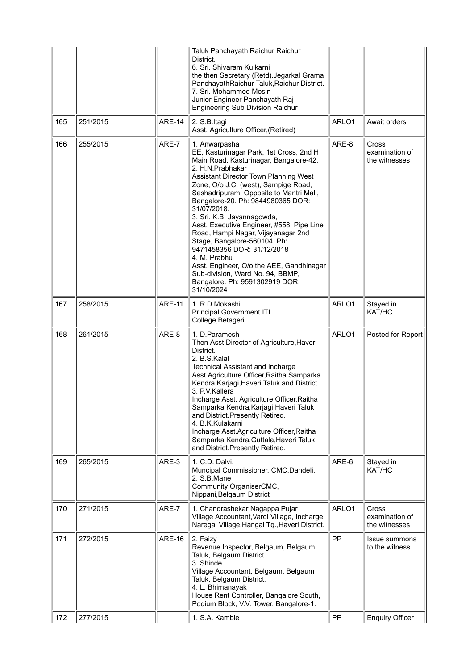|     |          |               | Taluk Panchayath Raichur Raichur<br>District.<br>6. Sri. Shivaram Kulkarni<br>the then Secretary (Retd). Jegarkal Grama<br>PanchayathRaichur Taluk, Raichur District.<br>7. Sri. Mohammed Mosin<br>Junior Engineer Panchayath Raj<br><b>Engineering Sub Division Raichur</b>                                                                                                                                                                                                                                                                                                                                                           |       |                                                 |
|-----|----------|---------------|----------------------------------------------------------------------------------------------------------------------------------------------------------------------------------------------------------------------------------------------------------------------------------------------------------------------------------------------------------------------------------------------------------------------------------------------------------------------------------------------------------------------------------------------------------------------------------------------------------------------------------------|-------|-------------------------------------------------|
| 165 | 251/2015 | <b>ARE-14</b> | 2. S.B.Itagi<br>Asst. Agriculture Officer, (Retired)                                                                                                                                                                                                                                                                                                                                                                                                                                                                                                                                                                                   | ARLO1 | Await orders                                    |
| 166 | 255/2015 | ARE-7         | 1. Anwarpasha<br>EE, Kasturinagar Park, 1st Cross, 2nd H<br>Main Road, Kasturinagar, Bangalore-42.<br>2. H.N. Prabhakar<br>Assistant Director Town Planning West<br>Zone, O/o J.C. (west), Sampige Road,<br>Seshadripuram, Opposite to Mantri Mall,<br>Bangalore-20. Ph: 9844980365 DOR:<br>31/07/2018.<br>3. Sri. K.B. Jayannagowda,<br>Asst. Executive Engineer, #558, Pipe Line<br>Road, Hampi Nagar, Vijayanagar 2nd<br>Stage, Bangalore-560104. Ph:<br>9471458356 DOR: 31/12/2018<br>4. M. Prabhu<br>Asst. Engineer, O/o the AEE, Gandhinagar<br>Sub-division, Ward No. 94, BBMP,<br>Bangalore. Ph: 9591302919 DOR:<br>31/10/2024 | ARE-8 | <b>Cross</b><br>examination of<br>the witnesses |
| 167 | 258/2015 | <b>ARE-11</b> | 1. R.D.Mokashi<br>Principal, Government ITI<br>College, Betageri.                                                                                                                                                                                                                                                                                                                                                                                                                                                                                                                                                                      | ARLO1 | Stayed in<br>KAT/HC                             |
| 168 | 261/2015 | ARE-8         | 1. D.Paramesh<br>Then Asst.Director of Agriculture, Haveri<br>District.<br>2. B.S.Kalal<br><b>Technical Assistant and Incharge</b><br>Asst.Agriculture Officer, Raitha Samparka<br>Kendra, Karjagi, Haveri Taluk and District.<br>3. P.V.Kallera<br>Incharge Asst. Agriculture Officer, Raitha<br>Samparka Kendra, Karjagi, Haveri Taluk<br>and District.Presently Retired.<br>4. B.K.Kulakarni<br>Incharge Asst.Agriculture Officer, Raitha<br>Samparka Kendra, Guttala, Haveri Taluk<br>and District. Presently Retired.                                                                                                             | ARLO1 | Posted for Report                               |
| 169 | 265/2015 | ARE-3         | 1. C.D. Dalvi,<br>Muncipal Commissioner, CMC, Dandeli.<br>2. S.B.Mane<br>Community OrganiserCMC,<br>Nippani, Belgaum District                                                                                                                                                                                                                                                                                                                                                                                                                                                                                                          | ARE-6 | Stayed in<br>KAT/HC                             |
| 170 | 271/2015 | ARE-7         | 1. Chandrashekar Nagappa Pujar<br>Village Accountant, Vardi Village, Incharge<br>Naregal Village, Hangal Tq., Haveri District.                                                                                                                                                                                                                                                                                                                                                                                                                                                                                                         | ARLO1 | <b>Cross</b><br>examination of<br>the witnesses |
| 171 | 272/2015 | <b>ARE-16</b> | 2. Faizy<br>Revenue Inspector, Belgaum, Belgaum<br>Taluk, Belgaum District.<br>3. Shinde<br>Village Accountant, Belgaum, Belgaum<br>Taluk, Belgaum District.<br>4. L. Bhimanayak<br>House Rent Controller, Bangalore South,<br>Podium Block, V.V. Tower, Bangalore-1.                                                                                                                                                                                                                                                                                                                                                                  | PP    | Issue summons<br>to the witness                 |
| 172 | 277/2015 |               | 1. S.A. Kamble                                                                                                                                                                                                                                                                                                                                                                                                                                                                                                                                                                                                                         | PP    | <b>Enquiry Officer</b>                          |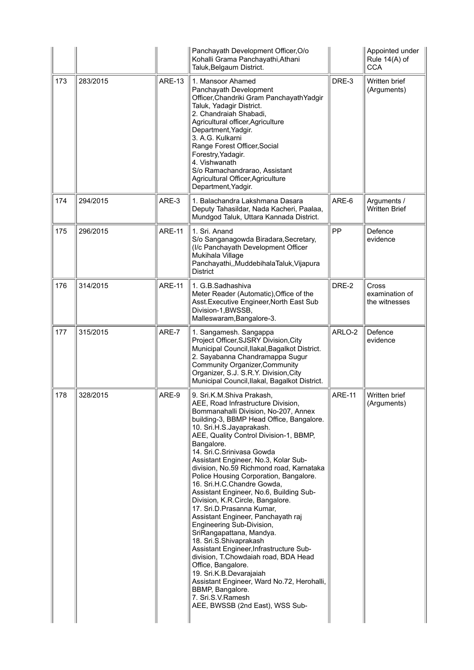|     |          |               | Panchayath Development Officer, O/o<br>Kohalli Grama Panchayathi, Athani<br>Taluk, Belgaum District.                                                                                                                                                                                                                                                                                                                                                                                                                                                                                                                                                                                                                                                                                                                                                                                                                                |               | Appointed under<br>Rule 14(A) of<br><b>CCA</b>  |
|-----|----------|---------------|-------------------------------------------------------------------------------------------------------------------------------------------------------------------------------------------------------------------------------------------------------------------------------------------------------------------------------------------------------------------------------------------------------------------------------------------------------------------------------------------------------------------------------------------------------------------------------------------------------------------------------------------------------------------------------------------------------------------------------------------------------------------------------------------------------------------------------------------------------------------------------------------------------------------------------------|---------------|-------------------------------------------------|
| 173 | 283/2015 | <b>ARE-13</b> | 1. Mansoor Ahamed<br>Panchayath Development<br>Officer, Chandriki Gram Panchayath Yadgir<br>Taluk, Yadagir District.<br>2. Chandraiah Shabadi,<br>Agricultural officer, Agriculture<br>Department, Yadgir.<br>3. A.G. Kulkarni<br>Range Forest Officer, Social<br>Forestry, Yadagir.<br>4. Vishwanath<br>S/o Ramachandrarao, Assistant<br>Agricultural Officer, Agriculture<br>Department, Yadgir.                                                                                                                                                                                                                                                                                                                                                                                                                                                                                                                                  | DRE-3         | Written brief<br>(Arguments)                    |
| 174 | 294/2015 | ARE-3         | 1. Balachandra Lakshmana Dasara<br>Deputy Tahasildar, Nada Kacheri, Paalaa,<br>Mundgod Taluk, Uttara Kannada District.                                                                                                                                                                                                                                                                                                                                                                                                                                                                                                                                                                                                                                                                                                                                                                                                              | ARE-6         | Arguments /<br><b>Written Brief</b>             |
| 175 | 296/2015 | <b>ARE-11</b> | 1. Sri. Anand<br>S/o Sanganagowda Biradara, Secretary,<br>(I/c Panchayath Development Officer<br>Mukihala Village<br>Panchayathi,,MuddebihalaTaluk,Vijapura<br><b>District</b>                                                                                                                                                                                                                                                                                                                                                                                                                                                                                                                                                                                                                                                                                                                                                      | PP            | Defence<br>evidence                             |
| 176 | 314/2015 | <b>ARE-11</b> | 1. G.B.Sadhashiva<br>Meter Reader (Automatic), Office of the<br>Asst. Executive Engineer, North East Sub<br>Division-1, BWSSB,<br>Malleswaram, Bangalore-3.                                                                                                                                                                                                                                                                                                                                                                                                                                                                                                                                                                                                                                                                                                                                                                         | DRE-2         | <b>Cross</b><br>examination of<br>the witnesses |
| 177 | 315/2015 | ARE-7         | 1. Sangamesh. Sangappa<br>Project Officer, SJSRY Division, City<br>Municipal Council, Ilakal, Bagalkot District.<br>2. Sayabanna Chandramappa Sugur<br><b>Community Organizer, Community</b><br>Organizer, S.J. S.R.Y. Division, City<br>Municipal Council, Ilakal, Bagalkot District.                                                                                                                                                                                                                                                                                                                                                                                                                                                                                                                                                                                                                                              | ARLO-2        | Defence<br>evidence                             |
| 178 | 328/2015 | ARE-9         | 9. Sri.K.M.Shiva Prakash,<br>AEE, Road Infrastructure Division,<br>Bommanahalli Division, No-207, Annex<br>building-3, BBMP Head Office, Bangalore.<br>10. Sri.H.S.Jayaprakash.<br>AEE, Quality Control Division-1, BBMP,<br>Bangalore.<br>14. Sri.C.Srinivasa Gowda<br>Assistant Engineer, No.3, Kolar Sub-<br>division, No.59 Richmond road, Karnataka<br>Police Housing Corporation, Bangalore.<br>16. Sri.H.C.Chandre Gowda,<br>Assistant Engineer, No.6, Building Sub-<br>Division, K.R.Circle, Bangalore.<br>17. Sri.D.Prasanna Kumar,<br>Assistant Engineer, Panchayath raj<br>Engineering Sub-Division,<br>SriRangapattana, Mandya.<br>18. Sri.S.Shivaprakash<br>Assistant Engineer, Infrastructure Sub-<br>division, T.Chowdaiah road, BDA Head<br>Office, Bangalore.<br>19. Sri.K.B.Devarajaiah<br>Assistant Engineer, Ward No.72, Herohalli,<br>BBMP, Bangalore.<br>7. Sri.S.V.Ramesh<br>AEE, BWSSB (2nd East), WSS Sub- | <b>ARE-11</b> | Written brief<br>(Arguments)                    |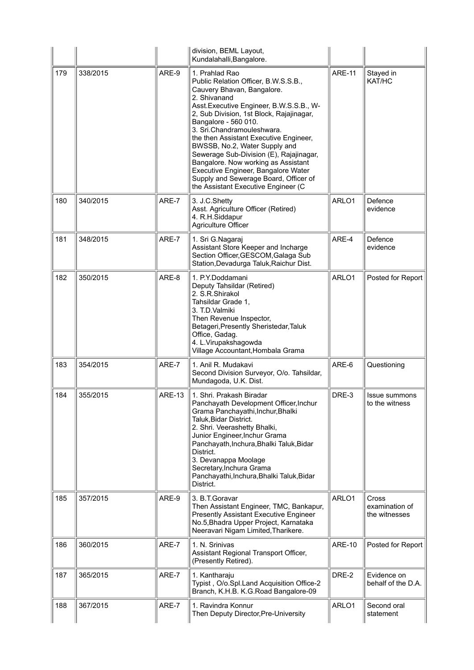|     |          |               | division, BEML Layout,<br>Kundalahalli, Bangalore.                                                                                                                                                                                                                                                                                                                                                                                                                                                                                     |               |                                          |
|-----|----------|---------------|----------------------------------------------------------------------------------------------------------------------------------------------------------------------------------------------------------------------------------------------------------------------------------------------------------------------------------------------------------------------------------------------------------------------------------------------------------------------------------------------------------------------------------------|---------------|------------------------------------------|
| 179 | 338/2015 | ARE-9         | 1. Prahlad Rao<br>Public Relation Officer, B.W.S.S.B.,<br>Cauvery Bhavan, Bangalore.<br>2. Shivanand<br>Asst. Executive Engineer, B.W.S.S.B., W-<br>2, Sub Division, 1st Block, Rajajinagar,<br>Bangalore - 560 010.<br>3. Sri.Chandramouleshwara.<br>the then Assistant Executive Engineer,<br>BWSSB, No.2, Water Supply and<br>Sewerage Sub-Division (E), Rajajinagar,<br>Bangalore. Now working as Assistant<br>Executive Engineer, Bangalore Water<br>Supply and Sewerage Board, Officer of<br>the Assistant Executive Engineer (C | <b>ARE-11</b> | Stayed in<br>KAT/HC                      |
| 180 | 340/2015 | ARE-7         | 3. J.C.Shetty<br>Asst. Agriculture Officer (Retired)<br>4. R.H.Siddapur<br>Agriculture Officer                                                                                                                                                                                                                                                                                                                                                                                                                                         | ARLO1         | Defence<br>evidence                      |
| 181 | 348/2015 | ARE-7         | 1. Sri G.Nagaraj<br>Assistant Store Keeper and Incharge<br>Section Officer, GESCOM, Galaga Sub<br>Station, Devadurga Taluk, Raichur Dist.                                                                                                                                                                                                                                                                                                                                                                                              | ARE-4         | Defence<br>evidence                      |
| 182 | 350/2015 | ARE-8         | 1. P.Y.Doddamani<br>Deputy Tahsildar (Retired)<br>2. S.R.Shirakol<br>Tahsildar Grade 1,<br>3. T.D.Valmiki<br>Then Revenue Inspector,<br>Betageri, Presently Sheristedar, Taluk<br>Office, Gadag.<br>4. L.Virupakshagowda<br>Village Accountant, Hombala Grama                                                                                                                                                                                                                                                                          | ARLO1         | Posted for Report                        |
| 183 | 354/2015 | ARE-7         | 1. Anil R. Mudakavi<br>Second Division Surveyor, O/o. Tahsildar,<br>Mundagoda, U.K. Dist.                                                                                                                                                                                                                                                                                                                                                                                                                                              | ARE-6         | Questioning                              |
| 184 | 355/2015 | <b>ARE-13</b> | 1. Shri. Prakash Biradar<br>Panchayath Development Officer, Inchur<br>Grama Panchayathi, Inchur, Bhalki<br>Taluk, Bidar District.<br>2. Shri. Veerashetty Bhalki,<br>Junior Engineer, Inchur Grama<br>Panchayath, Inchura, Bhalki Taluk, Bidar<br>District.<br>3. Devanappa Moolage<br>Secretary, Inchura Grama<br>Panchayathi, Inchura, Bhalki Taluk, Bidar<br>District.                                                                                                                                                              | DRE-3         | Issue summons<br>to the witness          |
| 185 | 357/2015 | ARE-9         | 3. B.T.Goravar<br>Then Assistant Engineer, TMC, Bankapur,<br><b>Presently Assistant Executive Engineer</b><br>No.5, Bhadra Upper Project, Karnataka<br>Neeravari Nigam Limited, Tharikere.                                                                                                                                                                                                                                                                                                                                             | ARLO1         | Cross<br>examination of<br>the witnesses |
| 186 | 360/2015 | ARE-7         | 1. N. Srinivas<br>Assistant Regional Transport Officer,<br>(Presently Retired).                                                                                                                                                                                                                                                                                                                                                                                                                                                        | <b>ARE-10</b> | Posted for Report                        |
| 187 | 365/2015 | ARE-7         | 1. Kantharaju<br>Typist, O/o.Spl.Land Acquisition Office-2<br>Branch, K.H.B. K.G.Road Bangalore-09                                                                                                                                                                                                                                                                                                                                                                                                                                     | DRE-2         | Evidence on<br>behalf of the D.A.        |
| 188 | 367/2015 | ARE-7         | 1. Ravindra Konnur<br>Then Deputy Director, Pre-University                                                                                                                                                                                                                                                                                                                                                                                                                                                                             | ARLO1         | Second oral<br>statement                 |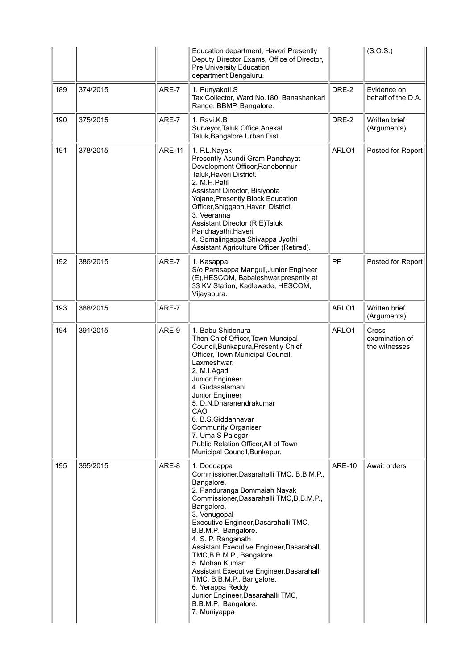|     |          |               | Education department, Haveri Presently<br>Deputy Director Exams, Office of Director,<br>Pre University Education<br>department, Bengaluru.                                                                                                                                                                                                                                                                                                                                                                                                   |               | (S.O.S.)                                 |
|-----|----------|---------------|----------------------------------------------------------------------------------------------------------------------------------------------------------------------------------------------------------------------------------------------------------------------------------------------------------------------------------------------------------------------------------------------------------------------------------------------------------------------------------------------------------------------------------------------|---------------|------------------------------------------|
| 189 | 374/2015 | ARE-7         | 1. Punyakoti.S<br>Tax Collector, Ward No.180, Banashankari<br>Range, BBMP, Bangalore.                                                                                                                                                                                                                                                                                                                                                                                                                                                        | DRE-2         | Evidence on<br>behalf of the D.A.        |
| 190 | 375/2015 | ARE-7         | 1. Ravi.K.B<br>Surveyor, Taluk Office, Anekal<br>Taluk, Bangalore Urban Dist.                                                                                                                                                                                                                                                                                                                                                                                                                                                                | DRE-2         | Written brief<br>(Arguments)             |
| 191 | 378/2015 | <b>ARE-11</b> | 1. P.L.Nayak<br>Presently Asundi Gram Panchayat<br>Development Officer, Ranebennur<br>Taluk, Haveri District.<br>2. M.H.Patil<br>Assistant Director, Bisiyoota<br>Yojane, Presently Block Education<br>Officer, Shiggaon, Haveri District.<br>3. Veeranna<br>Assistant Director (R E)Taluk<br>Panchayathi, Haveri<br>4. Somalingappa Shivappa Jyothi<br>Assistant Agriculture Officer (Retired).                                                                                                                                             | ARLO1         | Posted for Report                        |
| 192 | 386/2015 | ARE-7         | 1. Kasappa<br>S/o Parasappa Manguli, Junior Engineer<br>(E), HESCOM, Babaleshwar.presently at<br>33 KV Station, Kadlewade, HESCOM,<br>Vijayapura.                                                                                                                                                                                                                                                                                                                                                                                            | PP            | Posted for Report                        |
| 193 | 388/2015 | ARE-7         |                                                                                                                                                                                                                                                                                                                                                                                                                                                                                                                                              | ARLO1         | Written brief<br>(Arguments)             |
| 194 | 391/2015 | ARE-9         | 1. Babu Shidenura<br>Then Chief Officer, Town Muncipal<br>Council, Bunkapura, Presently Chief<br>Officer, Town Municipal Council,<br>Laxmeshwar.<br>2. M.I.Agadi<br>Junior Engineer<br>4. Gudasalamani<br>Junior Engineer<br>5. D.N.Dharanendrakumar<br>CAO<br>6. B.S.Giddannavar<br><b>Community Organiser</b><br>7. Uma S Palegar<br>Public Relation Officer, All of Town<br>Municipal Council, Bunkapur.                                                                                                                                  | ARLO1         | Cross<br>examination of<br>the witnesses |
| 195 | 395/2015 | ARE-8         | 1. Doddappa<br>Commissioner, Dasarahalli TMC, B.B.M.P.,<br>Bangalore.<br>2. Panduranga Bommaiah Nayak<br>Commissioner, Dasarahalli TMC, B.B.M.P.,<br>Bangalore.<br>3. Venugopal<br>Executive Engineer, Dasarahalli TMC,<br>B.B.M.P., Bangalore.<br>4. S. P. Ranganath<br>Assistant Executive Engineer, Dasarahalli<br>TMC, B.B.M.P., Bangalore.<br>5. Mohan Kumar<br>Assistant Executive Engineer, Dasarahalli<br>TMC, B.B.M.P., Bangalore.<br>6. Yerappa Reddy<br>Junior Engineer, Dasarahalli TMC,<br>B.B.M.P., Bangalore.<br>7. Muniyappa | <b>ARE-10</b> | Await orders                             |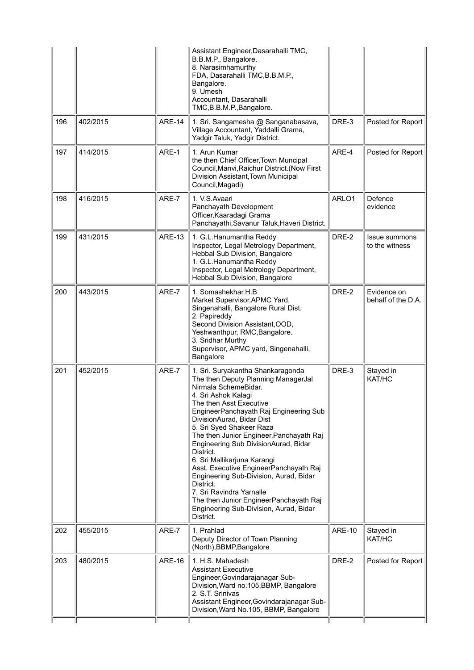|     |          |               | Assistant Engineer, Dasarahalli TMC,<br>B.B.M.P., Bangalore.<br>8. Narasimhamurthy<br>FDA, Dasarahalli TMC, B.B.M.P.,<br>Bangalore.<br>9. Umesh<br>Accountant, Dasarahalli<br>TMC, B.B.M.P., Bangalore.                                                                                                                                                                                                                                                                                                                                                                                                             |               |                                        |
|-----|----------|---------------|---------------------------------------------------------------------------------------------------------------------------------------------------------------------------------------------------------------------------------------------------------------------------------------------------------------------------------------------------------------------------------------------------------------------------------------------------------------------------------------------------------------------------------------------------------------------------------------------------------------------|---------------|----------------------------------------|
| 196 | 402/2015 | <b>ARE-14</b> | 1. Sri. Sangamesha @ Sanganabasava,<br>Village Accountant, Yaddalli Grama,<br>Yadgir Taluk, Yadgir District.                                                                                                                                                                                                                                                                                                                                                                                                                                                                                                        | DRE-3         | Posted for Report                      |
| 197 | 414/2015 | ARE-1         | 1. Arun Kumar<br>the then Chief Officer, Town Muncipal<br>Council, Manvi, Raichur District. (Now First<br>Division Assistant, Town Municipal<br>Council, Magadi)                                                                                                                                                                                                                                                                                                                                                                                                                                                    | ARE-4         | Posted for Report                      |
| 198 | 416/2015 | ARE-7         | 1. V.S. Avaari<br>Panchayath Development<br>Officer, Kaaradagi Grama<br>Panchayathi, Savanur Taluk, Haveri District.                                                                                                                                                                                                                                                                                                                                                                                                                                                                                                | ARLO1         | Defence<br>evidence                    |
| 199 | 431/2015 | <b>ARE-13</b> | 1. G.L.Hanumantha Reddy<br>Inspector, Legal Metrology Department,<br>Hebbal Sub Division, Bangalore<br>1. G.L.Hanumantha Reddy<br>Inspector, Legal Metrology Department,<br>Hebbal Sub Division, Bangalore                                                                                                                                                                                                                                                                                                                                                                                                          | DRE-2         | <b>Issue summons</b><br>to the witness |
| 200 | 443/2015 | ARE-7         | 1. Somashekhar.H.B<br>Market Supervisor, APMC Yard,<br>Singenahalli, Bangalore Rural Dist.<br>2. Papireddy<br>Second Division Assistant, OOD,<br>Yeshwanthpur, RMC, Bangalore.<br>3. Sridhar Murthy<br>Supervisor, APMC yard, Singenahalli,<br>Bangalore                                                                                                                                                                                                                                                                                                                                                            | DRE-2         | Evidence on<br>behalf of the D.A.      |
| 201 | 452/2015 | ARE-7         | 1. Sri. Suryakantha Shankaragonda<br>The then Deputy Planning ManagerJal<br>Nirmala SchemeBidar.<br>4. Sri Ashok Kalagi<br>The then Asst Executive<br>EngineerPanchayath Raj Engineering Sub<br>DivisionAurad, Bidar Dist<br>5. Sri Syed Shakeer Raza<br>The then Junior Engineer, Panchayath Raj<br>Engineering Sub DivisionAurad, Bidar<br>District.<br>6. Sri Mallikarjuna Karangi<br>Asst. Executive EngineerPanchayath Raj<br>Engineering Sub-Division, Aurad, Bidar<br>District.<br>7. Sri Ravindra Yarnalle<br>The then Junior EngineerPanchayath Raj<br>Engineering Sub-Division, Aurad, Bidar<br>District. | DRE-3         | Stayed in<br>KAT/HC                    |
| 202 | 455/2015 | ARE-7         | 1. Prahlad<br>Deputy Director of Town Planning<br>(North), BBMP, Bangalore                                                                                                                                                                                                                                                                                                                                                                                                                                                                                                                                          | <b>ARE-10</b> | Stayed in<br>KAT/HC                    |
| 203 | 480/2015 | <b>ARE-16</b> | 1. H.S. Mahadesh<br><b>Assistant Executive</b><br>Engineer, Govindarajanagar Sub-<br>Division, Ward no.105, BBMP, Bangalore<br>2. S.T. Srinivas<br>Assistant Engineer, Govindarajanagar Sub-<br>Division, Ward No.105, BBMP, Bangalore                                                                                                                                                                                                                                                                                                                                                                              | DRE-2         | Posted for Report                      |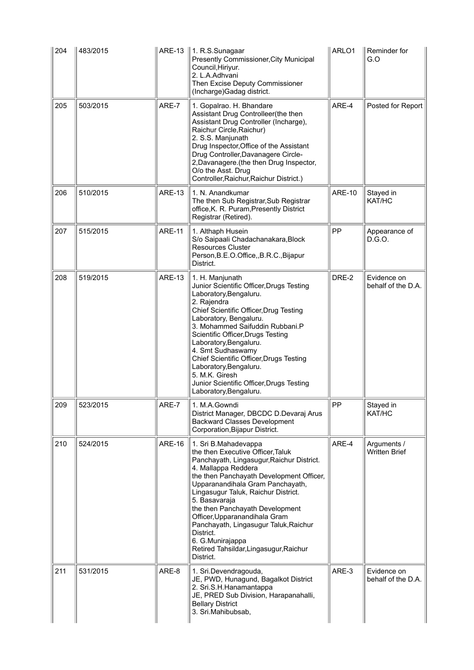| 204 | 483/2015 | ARE-13        | 1. R.S.Sunagaar<br>Presently Commissioner, City Municipal<br>Council, Hiriyur.<br>2. L.A.Adhvani<br>Then Excise Deputy Commissioner<br>(Incharge) Gadag district.                                                                                                                                                                                                                                                                                                          | ARLO1         | Reminder for<br>G.O                 |
|-----|----------|---------------|----------------------------------------------------------------------------------------------------------------------------------------------------------------------------------------------------------------------------------------------------------------------------------------------------------------------------------------------------------------------------------------------------------------------------------------------------------------------------|---------------|-------------------------------------|
| 205 | 503/2015 | ARE-7         | 1. Gopalrao. H. Bhandare<br>Assistant Drug Controlleer(the then<br>Assistant Drug Controller (Incharge),<br>Raichur Circle, Raichur)<br>2. S.S. Manjunath<br>Drug Inspector, Office of the Assistant<br>Drug Controller, Davanagere Circle-<br>2, Davanagere. (the then Drug Inspector,<br>O/o the Asst. Drug<br>Controller, Raichur, Raichur District.)                                                                                                                   | ARE-4         | Posted for Report                   |
| 206 | 510/2015 | <b>ARE-13</b> | 1. N. Anandkumar<br>The then Sub Registrar, Sub Registrar<br>office, K. R. Puram, Presently District<br>Registrar (Retired).                                                                                                                                                                                                                                                                                                                                               | <b>ARE-10</b> | Stayed in<br>KAT/HC                 |
| 207 | 515/2015 | <b>ARE-11</b> | 1. Althaph Husein<br>S/o Saipaali Chadachanakara, Block<br><b>Resources Cluster</b><br>Person, B.E.O.Office, , B.R.C., Bijapur<br>District.                                                                                                                                                                                                                                                                                                                                | PP            | Appearance of<br>D.G.O.             |
| 208 | 519/2015 | <b>ARE-13</b> | 1. H. Manjunath<br>Junior Scientific Officer, Drugs Testing<br>Laboratory, Bengaluru.<br>2. Rajendra<br>Chief Scientific Officer, Drug Testing<br>Laboratory, Bengaluru.<br>3. Mohammed Saifuddin Rubbani.P<br>Scientific Officer, Drugs Testing<br>Laboratory, Bengaluru.<br>4. Smt Sudhaswamy<br>Chief Scientific Officer, Drugs Testing<br>Laboratory, Bengaluru.<br>5. M.K. Giresh<br>Junior Scientific Officer, Drugs Testing<br>Laboratory, Bengaluru.               | DRE-2         | Evidence on<br>behalf of the D.A.   |
| 209 | 523/2015 | ARE-7         | 1. M.A.Gowndi<br>District Manager, DBCDC D.Devaraj Arus<br><b>Backward Classes Development</b><br>Corporation, Bijapur District.                                                                                                                                                                                                                                                                                                                                           | PP            | Stayed in<br>KAT/HC                 |
| 210 | 524/2015 | <b>ARE-16</b> | 1. Sri B.Mahadevappa<br>the then Executive Officer, Taluk<br>Panchayath, Lingasugur, Raichur District.<br>4. Mallappa Reddera<br>the then Panchayath Development Officer,<br>Upparanandihala Gram Panchayath,<br>Lingasugur Taluk, Raichur District.<br>5. Basavaraja<br>the then Panchayath Development<br>Officer, Upparanandihala Gram<br>Panchayath, Lingasugur Taluk, Raichur<br>District.<br>6. G.Munirajappa<br>Retired Tahsildar, Lingasugur, Raichur<br>District. | ARE-4         | Arguments /<br><b>Written Brief</b> |
| 211 | 531/2015 | ARE-8         | 1. Sri.Devendragouda,<br>JE, PWD, Hunagund, Bagalkot District<br>2. Sri.S.H.Hanamantappa<br>JE, PRED Sub Division, Harapanahalli,<br><b>Bellary District</b><br>3. Sri.Mahibubsab,                                                                                                                                                                                                                                                                                         | ARE-3         | Evidence on<br>behalf of the D.A.   |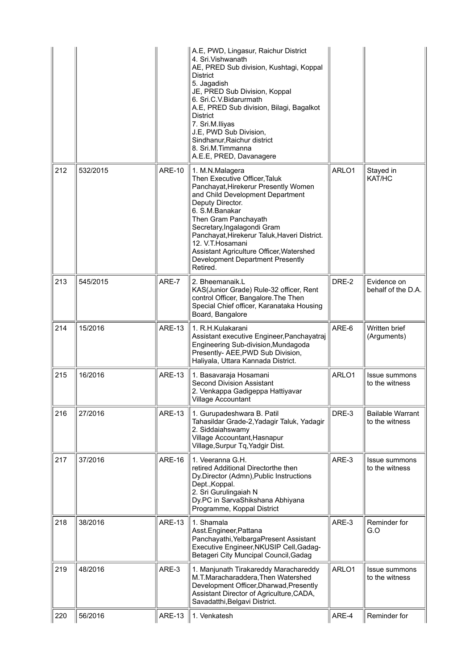|     |          |               | A.E, PWD, Lingasur, Raichur District<br>4. Sri. Vishwanath<br>AE, PRED Sub division, Kushtagi, Koppal<br><b>District</b><br>5. Jagadish<br>JE, PRED Sub Division, Koppal<br>6. Sri.C.V. Bidarurmath<br>A.E, PRED Sub division, Bilagi, Bagalkot<br><b>District</b><br>7. Sri.M.lliyas<br>J.E, PWD Sub Division,<br>Sindhanur, Raichur district<br>8. Sri.M.Timmanna<br>A.E.E, PRED, Davanagere    |       |                                           |
|-----|----------|---------------|---------------------------------------------------------------------------------------------------------------------------------------------------------------------------------------------------------------------------------------------------------------------------------------------------------------------------------------------------------------------------------------------------|-------|-------------------------------------------|
| 212 | 532/2015 | <b>ARE-10</b> | 1. M.N.Malagera<br>Then Executive Officer, Taluk<br>Panchayat, Hirekerur Presently Women<br>and Child Development Department<br>Deputy Director.<br>6. S.M.Banakar<br>Then Gram Panchayath<br>Secretary, Ingalagondi Gram<br>Panchayat, Hirekerur Taluk, Haveri District.<br>12. V.T. Hosamani<br>Assistant Agriculture Officer, Watershed<br><b>Development Department Presently</b><br>Retired. | ARLO1 | Stayed in<br>KAT/HC                       |
| 213 | 545/2015 | ARE-7         | 2. Bheemanaik.L<br>KAS(Junior Grade) Rule-32 officer, Rent<br>control Officer, Bangalore. The Then<br>Special Chief officer, Karanataka Housing<br>Board, Bangalore                                                                                                                                                                                                                               | DRE-2 | Evidence on<br>behalf of the D.A.         |
| 214 | 15/2016  | <b>ARE-13</b> | 1. R.H.Kulakarani<br>Assistant executive Engineer, Panchayatraj<br>Engineering Sub-division, Mundagoda<br>Presently- AEE, PWD Sub Division,<br>Haliyala, Uttara Kannada District.                                                                                                                                                                                                                 | ARE-6 | Written brief<br>(Arguments)              |
| 215 | 16/2016  | <b>ARE-13</b> | 1. Basavaraja Hosamani<br><b>Second Division Assistant</b><br>2. Venkappa Gadigeppa Hattiyavar<br><b>Village Accountant</b>                                                                                                                                                                                                                                                                       | ARLO1 | Issue summons<br>to the witness           |
| 216 | 27/2016  | <b>ARE-13</b> | 1. Gurupadeshwara B. Patil<br>Tahasildar Grade-2, Yadagir Taluk, Yadagir<br>2. Siddaiahswamy<br>Village Accountant, Hasnapur<br>Village, Surpur Tq, Yadgir Dist.                                                                                                                                                                                                                                  | DRE-3 | <b>Bailable Warrant</b><br>to the witness |
| 217 | 37/2016  | <b>ARE-16</b> | 1. Veeranna G.H.<br>retired Additional Directorthe then<br>Dy.Director (Admn), Public Instructions<br>Dept., Koppal.<br>2. Sri Gurulingaiah N<br>Dy.PC in SarvaShikshana Abhiyana<br>Programme, Koppal District                                                                                                                                                                                   | ARE-3 | Issue summons<br>to the witness           |
| 218 | 38/2016  | <b>ARE-13</b> | 1. Shamala<br>Asst.Engineer, Pattana<br>Panchayathi, YelbargaPresent Assistant<br>Executive Engineer, NKUSIP Cell, Gadag-<br>Betageri City Muncipal Council, Gadag                                                                                                                                                                                                                                | ARE-3 | Reminder for<br>G.O                       |
| 219 | 48/2016  | ARE-3         | 1. Manjunath Tirakareddy Marachareddy<br>M.T.Maracharaddera, Then Watershed<br>Development Officer, Dharwad, Presently<br>Assistant Director of Agriculture, CADA,<br>Savadatthi, Belgavi District.                                                                                                                                                                                               | ARLO1 | <b>Issue summons</b><br>to the witness    |
| 220 | 56/2016  | <b>ARE-13</b> | 1. Venkatesh                                                                                                                                                                                                                                                                                                                                                                                      | ARE-4 | Reminder for                              |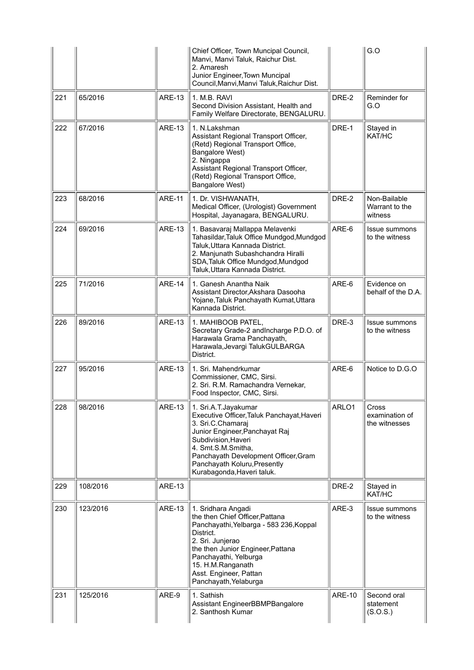|     |          |               | Chief Officer, Town Muncipal Council,<br>Manvi, Manvi Taluk, Raichur Dist.<br>2. Amaresh<br>Junior Engineer, Town Muncipal<br>Council, Manvi, Manvi Taluk, Raichur Dist.                                                                                                     |               | G.O                                       |
|-----|----------|---------------|------------------------------------------------------------------------------------------------------------------------------------------------------------------------------------------------------------------------------------------------------------------------------|---------------|-------------------------------------------|
| 221 | 65/2016  | <b>ARE-13</b> | 1. M.B. RAVI<br>Second Division Assistant, Health and<br>Family Welfare Directorate, BENGALURU.                                                                                                                                                                              | DRE-2         | Reminder for<br>G.O                       |
| 222 | 67/2016  | <b>ARE-13</b> | 1. N.Lakshman<br>Assistant Regional Transport Officer,<br>(Retd) Regional Transport Office,<br>Bangalore West)<br>2. Ningappa<br>Assistant Regional Transport Officer,<br>(Retd) Regional Transport Office,<br>Bangalore West)                                               | DRE-1         | Stayed in<br>KAT/HC                       |
| 223 | 68/2016  | <b>ARE-11</b> | 1. Dr. VISHWANATH,<br>Medical Officer, (Urologist) Government<br>Hospital, Jayanagara, BENGALURU.                                                                                                                                                                            | DRE-2         | Non-Bailable<br>Warrant to the<br>witness |
| 224 | 69/2016  | <b>ARE-13</b> | 1. Basavaraj Mallappa Melavenki<br>Tahasildar, Taluk Office Mundgod, Mundgod<br>Taluk, Uttara Kannada District.<br>2. Manjunath Subashchandra Hiralli<br>SDA, Taluk Office Mundgod, Mundgod<br>Taluk, Uttara Kannada District.                                               | ARE-6         | Issue summons<br>to the witness           |
| 225 | 71/2016  | <b>ARE-14</b> | 1. Ganesh Anantha Naik<br>Assistant Director, Akshara Dasooha<br>Yojane, Taluk Panchayath Kumat, Uttara<br>Kannada District.                                                                                                                                                 | ARE-6         | Evidence on<br>behalf of the D.A.         |
| 226 | 89/2016  | <b>ARE-13</b> | 1. MAHIBOOB PATEL,<br>Secretary Grade-2 andIncharge P.D.O. of<br>Harawala Grama Panchayath,<br>Harawala, Jevargi TalukGULBARGA<br>District.                                                                                                                                  | DRE-3         | <b>Issue summons</b><br>to the witness    |
| 227 | 95/2016  | <b>ARE-13</b> | 1. Sri. Mahendrkumar<br>Commissioner, CMC, Sirsi.<br>2. Sri. R.M. Ramachandra Vernekar,<br>Food Inspector, CMC, Sirsi.                                                                                                                                                       | ARE-6         | Notice to D.G.O                           |
| 228 | 98/2016  | <b>ARE-13</b> | 1. Sri.A.T.Jayakumar<br>Executive Officer, Taluk Panchayat, Haveri<br>3. Sri.C.Chamaraj<br>Junior Engineer, Panchayat Raj<br>Subdivision, Haveri<br>4. Smt.S.M.Smitha,<br>Panchayath Development Officer, Gram<br>Panchayath Koluru, Presently<br>Kurabagonda, Haveri taluk. | ARLO1         | Cross<br>examination of<br>the witnesses  |
| 229 | 108/2016 | <b>ARE-13</b> |                                                                                                                                                                                                                                                                              | DRE-2         | Stayed in<br>KAT/HC                       |
| 230 | 123/2016 | <b>ARE-13</b> | 1. Sridhara Angadi<br>the then Chief Officer, Pattana<br>Panchayathi, Yelbarga - 583 236, Koppal<br>District.<br>2. Sri. Junjerao<br>the then Junior Engineer, Pattana<br>Panchayathi, Yelburga<br>15. H.M.Ranganath<br>Asst. Engineer, Pattan<br>Panchayath, Yelaburga      | ARE-3         | Issue summons<br>to the witness           |
| 231 | 125/2016 | ARE-9         | 1. Sathish<br>Assistant EngineerBBMPBangalore<br>2. Santhosh Kumar                                                                                                                                                                                                           | <b>ARE-10</b> | Second oral<br>statement<br>(S.O.S.)      |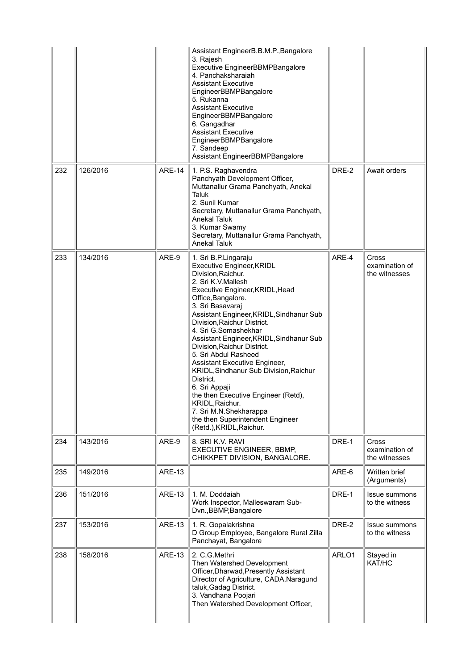|     |          |               | Assistant EngineerB.B.M.P., Bangalore<br>3. Rajesh<br>Executive EngineerBBMPBangalore<br>4. Panchaksharaiah<br><b>Assistant Executive</b><br>EngineerBBMPBangalore<br>5. Rukanna<br><b>Assistant Executive</b><br>EngineerBBMPBangalore<br>6. Gangadhar<br><b>Assistant Executive</b><br>EngineerBBMPBangalore<br>7. Sandeep<br>Assistant EngineerBBMPBangalore                                                                                                                                                                                                                                                                               |       |                                                 |
|-----|----------|---------------|-----------------------------------------------------------------------------------------------------------------------------------------------------------------------------------------------------------------------------------------------------------------------------------------------------------------------------------------------------------------------------------------------------------------------------------------------------------------------------------------------------------------------------------------------------------------------------------------------------------------------------------------------|-------|-------------------------------------------------|
| 232 | 126/2016 | <b>ARE-14</b> | 1. P.S. Raghavendra<br>Panchyath Development Officer,<br>Muttanallur Grama Panchyath, Anekal<br><b>Taluk</b><br>2. Sunil Kumar<br>Secretary, Muttanallur Grama Panchyath,<br>Anekal Taluk<br>3. Kumar Swamy<br>Secretary, Muttanallur Grama Panchyath,<br><b>Anekal Taluk</b>                                                                                                                                                                                                                                                                                                                                                                 | DRE-2 | Await orders                                    |
| 233 | 134/2016 | ARE-9         | 1. Sri B.P.Lingaraju<br>Executive Engineer, KRIDL<br>Division, Raichur.<br>2. Sri K.V.Mallesh<br>Executive Engineer, KRIDL, Head<br>Office, Bangalore.<br>3. Sri Basavaraj<br>Assistant Engineer, KRIDL, Sindhanur Sub<br>Division, Raichur District.<br>4. Sri G.Somashekhar<br>Assistant Engineer, KRIDL, Sindhanur Sub<br>Division, Raichur District.<br>5. Sri Abdul Rasheed<br>Assistant Executive Engineer,<br>KRIDL, Sindhanur Sub Division, Raichur<br>District.<br>6. Sri Appaji<br>the then Executive Engineer (Retd),<br>KRIDL, Raichur.<br>7. Sri M.N.Shekharappa<br>the then Superintendent Engineer<br>(Retd.), KRIDL, Raichur. | ARE-4 | <b>Cross</b><br>examination of<br>the witnesses |
| 234 | 143/2016 | ARE-9         | 8. SRI K.V. RAVI<br><b>EXECUTIVE ENGINEER, BBMP,</b><br>CHIKKPET DIVISION, BANGALORE.                                                                                                                                                                                                                                                                                                                                                                                                                                                                                                                                                         | DRE-1 | Cross<br>examination of<br>the witnesses        |
| 235 | 149/2016 | <b>ARE-13</b> |                                                                                                                                                                                                                                                                                                                                                                                                                                                                                                                                                                                                                                               | ARE-6 | Written brief<br>(Arguments)                    |
| 236 | 151/2016 | <b>ARE-13</b> | 1. M. Doddaiah<br>Work Inspector, Malleswaram Sub-<br>Dvn., BBMP, Bangalore                                                                                                                                                                                                                                                                                                                                                                                                                                                                                                                                                                   | DRE-1 | Issue summons<br>to the witness                 |
| 237 | 153/2016 | <b>ARE-13</b> | 1. R. Gopalakrishna<br>D Group Employee, Bangalore Rural Zilla<br>Panchayat, Bangalore                                                                                                                                                                                                                                                                                                                                                                                                                                                                                                                                                        | DRE-2 | <b>Issue summons</b><br>to the witness          |
| 238 | 158/2016 | <b>ARE-13</b> | 2. C.G.Methri<br>Then Watershed Development<br>Officer, Dharwad, Presently Assistant<br>Director of Agriculture, CADA, Naragund<br>taluk, Gadag District.<br>3. Vandhana Poojari<br>Then Watershed Development Officer,                                                                                                                                                                                                                                                                                                                                                                                                                       | ARLO1 | Stayed in<br>KAT/HC                             |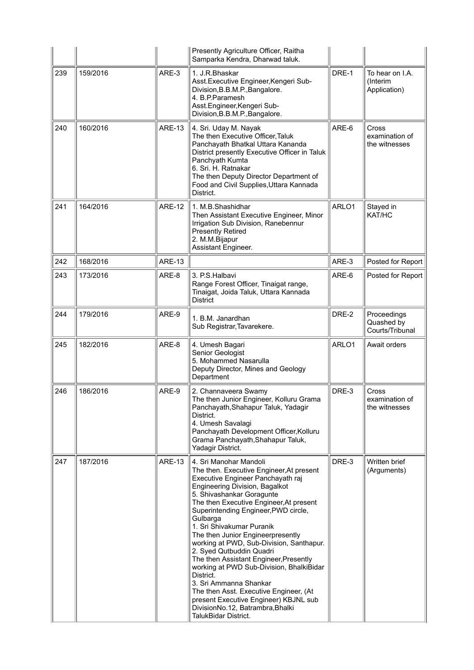|     |          |               | Presently Agriculture Officer, Raitha<br>Samparka Kendra, Dharwad taluk.                                                                                                                                                                                                                                                                                                                                                                                                                                                                                                                                                                                                                    |       |                                              |
|-----|----------|---------------|---------------------------------------------------------------------------------------------------------------------------------------------------------------------------------------------------------------------------------------------------------------------------------------------------------------------------------------------------------------------------------------------------------------------------------------------------------------------------------------------------------------------------------------------------------------------------------------------------------------------------------------------------------------------------------------------|-------|----------------------------------------------|
| 239 | 159/2016 | ARE-3         | 1. J.R.Bhaskar<br>Asst. Executive Engineer, Kengeri Sub-<br>Division, B.B.M.P., Bangalore.<br>4. B.P.Paramesh<br>Asst.Engineer, Kengeri Sub-<br>Division, B.B.M.P., Bangalore.                                                                                                                                                                                                                                                                                                                                                                                                                                                                                                              | DRE-1 | To hear on I.A.<br>(Interim<br>Application)  |
| 240 | 160/2016 | <b>ARE-13</b> | 4. Sri. Uday M. Nayak<br>The then Executive Officer, Taluk<br>Panchayath Bhatkal Uttara Kananda<br>District presently Executive Officer in Taluk<br>Panchyath Kumta<br>6. Sri. H. Ratnakar<br>The then Deputy Director Department of<br>Food and Civil Supplies, Uttara Kannada<br>District.                                                                                                                                                                                                                                                                                                                                                                                                | ARE-6 | Cross<br>examination of<br>the witnesses     |
| 241 | 164/2016 | <b>ARE-12</b> | 1. M.B.Shashidhar<br>Then Assistant Executive Engineer, Minor<br>Irrigation Sub Division, Ranebennur<br><b>Presently Retired</b><br>2. M.M.Bijapur<br>Assistant Engineer.                                                                                                                                                                                                                                                                                                                                                                                                                                                                                                                   | ARLO1 | Stayed in<br>KAT/HC                          |
| 242 | 168/2016 | <b>ARE-13</b> |                                                                                                                                                                                                                                                                                                                                                                                                                                                                                                                                                                                                                                                                                             | ARE-3 | Posted for Report                            |
| 243 | 173/2016 | ARE-8         | 3. P.S. Halbavi<br>Range Forest Officer, Tinaigat range,<br>Tinaigat, Joida Taluk, Uttara Kannada<br><b>District</b>                                                                                                                                                                                                                                                                                                                                                                                                                                                                                                                                                                        | ARE-6 | Posted for Report                            |
| 244 | 179/2016 | ARE-9         | 1. B.M. Janardhan<br>Sub Registrar, Tavarekere.                                                                                                                                                                                                                                                                                                                                                                                                                                                                                                                                                                                                                                             | DRE-2 | Proceedings<br>Quashed by<br>Courts/Tribunal |
| 245 | 182/2016 | ARE-8         | 4. Umesh Bagari<br>Senior Geologist<br>5. Mohammed Nasarulla<br>Deputy Director, Mines and Geology<br>Department                                                                                                                                                                                                                                                                                                                                                                                                                                                                                                                                                                            | ARLO1 | Await orders                                 |
| 246 | 186/2016 | ARE-9         | 2. Channaveera Swamy<br>The then Junior Engineer, Kolluru Grama<br>Panchayath, Shahapur Taluk, Yadagir<br>District.<br>4. Umesh Savalagi<br>Panchayath Development Officer, Kolluru<br>Grama Panchayath, Shahapur Taluk,<br>Yadagir District.                                                                                                                                                                                                                                                                                                                                                                                                                                               | DRE-3 | Cross<br>examination of<br>the witnesses     |
| 247 | 187/2016 | <b>ARE-13</b> | 4. Sri Manohar Mandoli<br>The then. Executive Engineer, At present<br>Executive Engineer Panchayath raj<br>Engineering Division, Bagalkot<br>5. Shivashankar Goragunte<br>The then Executive Engineer, At present<br>Superintending Engineer, PWD circle,<br>Gulbarga<br>1. Sri Shivakumar Puranik<br>The then Junior Engineerpresently<br>working at PWD, Sub-Division, Santhapur.<br>2. Syed Qutbuddin Quadri<br>The then Assistant Engineer, Presently<br>working at PWD Sub-Division, BhalkiBidar<br>District.<br>3. Sri Ammanna Shankar<br>The then Asst. Executive Engineer, (At<br>present Executive Engineer) KBJNL sub<br>DivisionNo.12, Batrambra, Bhalki<br>TalukBidar District. | DRE-3 | Written brief<br>(Arguments)                 |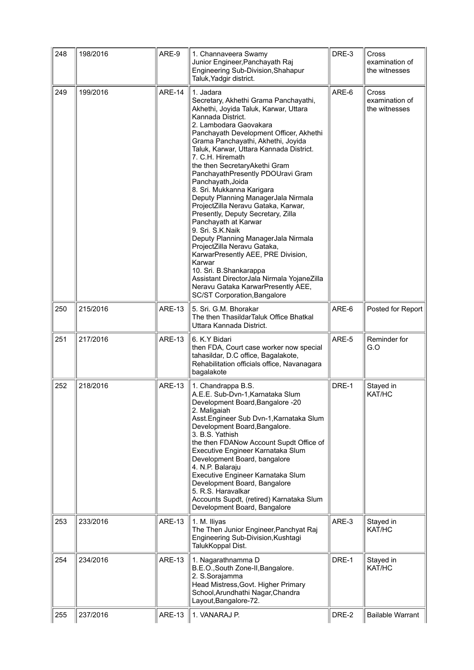| 248 | 198/2016 | ARE-9         | 1. Channaveera Swamy<br>Junior Engineer, Panchayath Raj<br>Engineering Sub-Division, Shahapur<br>Taluk, Yadgir district.                                                                                                                                                                                                                                                                                                                                                                                                                                                                                                                                                                                                                                                                                                                               | DRE-3 | Cross<br>examination of<br>the witnesses |
|-----|----------|---------------|--------------------------------------------------------------------------------------------------------------------------------------------------------------------------------------------------------------------------------------------------------------------------------------------------------------------------------------------------------------------------------------------------------------------------------------------------------------------------------------------------------------------------------------------------------------------------------------------------------------------------------------------------------------------------------------------------------------------------------------------------------------------------------------------------------------------------------------------------------|-------|------------------------------------------|
| 249 | 199/2016 | <b>ARE-14</b> | 1. Jadara<br>Secretary, Akhethi Grama Panchayathi,<br>Akhethi, Joyida Taluk, Karwar, Uttara<br>Kannada District.<br>2. Lambodara Gaovakara<br>Panchayath Development Officer, Akhethi<br>Grama Panchayathi, Akhethi, Joyida<br>Taluk, Karwar, Uttara Kannada District.<br>7. C.H. Hiremath<br>the then SecretaryAkethi Gram<br>PanchayathPresently PDOUravi Gram<br>Panchayath, Joida<br>8. Sri. Mukkanna Karigara<br>Deputy Planning ManagerJala Nirmala<br>ProjectZilla Neravu Gataka, Karwar,<br>Presently, Deputy Secretary, Zilla<br>Panchayath at Karwar<br>9. Sri. S.K.Naik<br>Deputy Planning ManagerJala Nirmala<br>ProjectZilla Neravu Gataka,<br>KarwarPresently AEE, PRE Division,<br>Karwar<br>10. Sri. B.Shankarappa<br>Assistant DirectorJala Nirmala YojaneZilla<br>Neravu Gataka KarwarPresently AEE,<br>SC/ST Corporation, Bangalore | ARE-6 | Cross<br>examination of<br>the witnesses |
| 250 | 215/2016 | <b>ARE-13</b> | 5. Sri. G.M. Bhorakar<br>The then ThasildarTaluk Office Bhatkal<br>Uttara Kannada District.                                                                                                                                                                                                                                                                                                                                                                                                                                                                                                                                                                                                                                                                                                                                                            | ARE-6 | Posted for Report                        |
| 251 | 217/2016 | <b>ARE-13</b> | 6. K.Y Bidari<br>then FDA, Court case worker now special<br>tahasildar, D.C office, Bagalakote,<br>Rehabilitation officials office, Navanagara<br>bagalakote                                                                                                                                                                                                                                                                                                                                                                                                                                                                                                                                                                                                                                                                                           | ARE-5 | Reminder for<br>G.O                      |
| 252 | 218/2016 | <b>ARE-13</b> | 1. Chandrappa B.S.<br>A.E.E. Sub-Dvn-1, Karnataka Slum<br>Development Board, Bangalore -20<br>2. Maligaiah<br>Asst. Engineer Sub Dvn-1, Karnataka Slum<br>Development Board, Bangalore.<br>3. B.S. Yathish<br>the then FDANow Account Supdt Office of<br>Executive Engineer Karnataka Slum<br>Development Board, bangalore<br>4. N.P. Balaraju<br>Executive Engineer Karnataka Slum<br>Development Board, Bangalore<br>5. R.S. Haravalkar<br>Accounts Supdt, (retired) Karnataka Slum<br>Development Board, Bangalore                                                                                                                                                                                                                                                                                                                                  | DRE-1 | Stayed in<br>KAT/HC                      |
| 253 | 233/2016 | <b>ARE-13</b> | 1. M. Iliyas<br>The Then Junior Engineer, Panchyat Raj<br>Engineering Sub-Division, Kushtagi<br>TalukKoppal Dist.                                                                                                                                                                                                                                                                                                                                                                                                                                                                                                                                                                                                                                                                                                                                      | ARE-3 | Stayed in<br>KAT/HC                      |
| 254 | 234/2016 | <b>ARE-13</b> | 1. Nagarathnamma D<br>B.E.O., South Zone-II, Bangalore.<br>2. S.Sorajamma<br>Head Mistress, Govt. Higher Primary<br>School, Arundhathi Nagar, Chandra<br>Layout, Bangalore-72.                                                                                                                                                                                                                                                                                                                                                                                                                                                                                                                                                                                                                                                                         | DRE-1 | Stayed in<br>KAT/HC                      |
| 255 | 237/2016 | <b>ARE-13</b> | 1. VANARAJ P.                                                                                                                                                                                                                                                                                                                                                                                                                                                                                                                                                                                                                                                                                                                                                                                                                                          | DRE-2 | <b>Bailable Warrant</b>                  |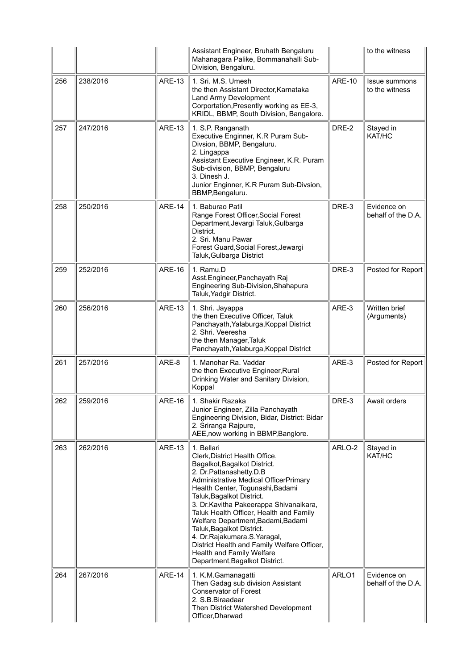|     |          |               | Assistant Engineer, Bruhath Bengaluru<br>Mahanagara Palike, Bommanahalli Sub-<br>Division, Bengaluru.                                                                                                                                                                                                                                                                                                                                                                                                                   |               | to the witness                         |
|-----|----------|---------------|-------------------------------------------------------------------------------------------------------------------------------------------------------------------------------------------------------------------------------------------------------------------------------------------------------------------------------------------------------------------------------------------------------------------------------------------------------------------------------------------------------------------------|---------------|----------------------------------------|
| 256 | 238/2016 | <b>ARE-13</b> | 1. Sri. M.S. Umesh<br>the then Assistant Director, Karnataka<br>Land Army Development<br>Corportation, Presently working as EE-3,<br>KRIDL, BBMP, South Division, Bangalore.                                                                                                                                                                                                                                                                                                                                            | <b>ARE-10</b> | <b>Issue summons</b><br>to the witness |
| 257 | 247/2016 | <b>ARE-13</b> | 1. S.P. Ranganath<br>Executive Enginner, K.R Puram Sub-<br>Divsion, BBMP, Bengaluru.<br>2. Lingappa<br>Assistant Executive Engineer, K.R. Puram<br>Sub-division, BBMP, Bengaluru<br>3. Dinesh J.<br>Junior Enginner, K.R Puram Sub-Divsion,<br>BBMP, Bengaluru.                                                                                                                                                                                                                                                         | DRE-2         | Stayed in<br>KAT/HC                    |
| 258 | 250/2016 | <b>ARE-14</b> | 1. Baburao Patil<br>Range Forest Officer, Social Forest<br>Department, Jevargi Taluk, Gulbarga<br>District.<br>2. Sri. Manu Pawar<br>Forest Guard, Social Forest, Jewargi<br>Taluk, Gulbarga District                                                                                                                                                                                                                                                                                                                   | DRE-3         | Evidence on<br>behalf of the D.A.      |
| 259 | 252/2016 | <b>ARE-16</b> | 1. Ramu.D<br>Asst.Engineer, Panchayath Raj<br>Engineering Sub-Division, Shahapura<br>Taluk, Yadgir District.                                                                                                                                                                                                                                                                                                                                                                                                            | DRE-3         | Posted for Report                      |
| 260 | 256/2016 | <b>ARE-13</b> | 1. Shri. Jayappa<br>the then Executive Officer, Taluk<br>Panchayath, Yalaburga, Koppal District<br>2. Shri. Veeresha<br>the then Manager, Taluk<br>Panchayath, Yalaburga, Koppal District                                                                                                                                                                                                                                                                                                                               | ARE-3         | Written brief<br>(Arguments)           |
| 261 | 257/2016 | ARE-8         | 1. Manohar Ra. Vaddar<br>the then Executive Engineer, Rural<br>Drinking Water and Sanitary Division,<br>Koppal                                                                                                                                                                                                                                                                                                                                                                                                          | ARE-3         | Posted for Report                      |
| 262 | 259/2016 | ARE-16        | 1. Shakir Razaka<br>Junior Engineer, Zilla Panchayath<br>Engineering Division, Bidar, District: Bidar<br>2. Sriranga Rajpure,<br>AEE, now working in BBMP, Banglore.                                                                                                                                                                                                                                                                                                                                                    | DRE-3         | Await orders                           |
| 263 | 262/2016 | <b>ARE-13</b> | 1. Bellari<br>Clerk, District Health Office,<br>Bagalkot, Bagalkot District.<br>2. Dr.Pattanashetty.D.B<br>Administrative Medical OfficerPrimary<br>Health Center, Togunashi, Badami<br>Taluk, Bagalkot District.<br>3. Dr. Kavitha Pakeerappa Shivanaikara,<br>Taluk Health Officer, Health and Family<br>Welfare Department, Badami, Badami<br>Taluk, Bagalkot District.<br>4. Dr.Rajakumara.S.Yaragal,<br>District Health and Family Welfare Officer,<br>Health and Family Welfare<br>Department, Bagalkot District. | ARLO-2        | Stayed in<br>KAT/HC                    |
| 264 | 267/2016 | <b>ARE-14</b> | 1. K.M.Gamanagatti<br>Then Gadag sub division Assistant<br><b>Conservator of Forest</b><br>2. S.B. Biraadaar<br>Then District Watershed Development<br>Officer, Dharwad                                                                                                                                                                                                                                                                                                                                                 | ARLO1         | Evidence on<br>behalf of the D.A.      |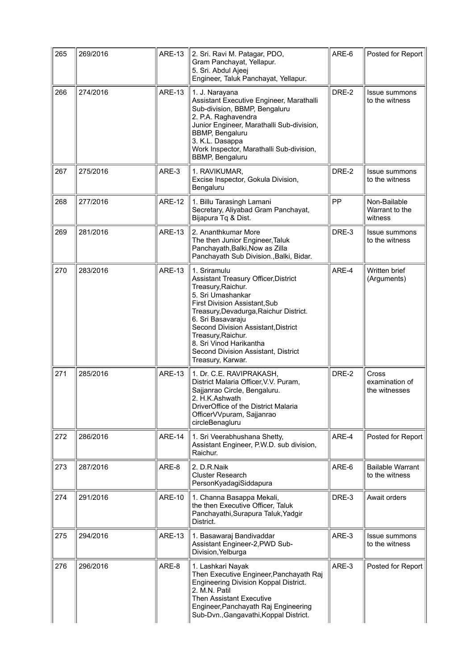| 265 | 269/2016 | <b>ARE-13</b> | 2. Sri. Ravi M. Patagar, PDO,<br>Gram Panchayat, Yellapur.<br>5. Sri. Abdul Ajeej<br>Engineer, Taluk Panchayat, Yellapur.                                                                                                                                                                                                                           | ARE-6 | Posted for Report                         |
|-----|----------|---------------|-----------------------------------------------------------------------------------------------------------------------------------------------------------------------------------------------------------------------------------------------------------------------------------------------------------------------------------------------------|-------|-------------------------------------------|
| 266 | 274/2016 | <b>ARE-13</b> | 1. J. Narayana<br>Assistant Executive Engineer, Marathalli<br>Sub-division, BBMP, Bengaluru<br>2. P.A. Raghavendra<br>Junior Engineer, Marathalli Sub-division,<br><b>BBMP, Bengaluru</b><br>3. K.L. Dasappa<br>Work Inspector, Marathalli Sub-division,<br><b>BBMP, Bengaluru</b>                                                                  | DRE-2 | Issue summons<br>to the witness           |
| 267 | 275/2016 | ARE-3         | 1. RAVIKUMAR,<br>Excise Inspector, Gokula Division,<br>Bengaluru                                                                                                                                                                                                                                                                                    | DRE-2 | <b>Issue summons</b><br>to the witness    |
| 268 | 277/2016 | <b>ARE-12</b> | 1. Billu Tarasingh Lamani<br>Secretary, Aliyabad Gram Panchayat,<br>Bijapura Tq & Dist.                                                                                                                                                                                                                                                             | PP    | Non-Bailable<br>Warrant to the<br>witness |
| 269 | 281/2016 | <b>ARE-13</b> | 2. Ananthkumar More<br>The then Junior Engineer, Taluk<br>Panchayath, Balki, Now as Zilla<br>Panchayath Sub Division., Balki, Bidar.                                                                                                                                                                                                                | DRE-3 | Issue summons<br>to the witness           |
| 270 | 283/2016 | <b>ARE-13</b> | 1. Sriramulu<br>Assistant Treasury Officer, District<br>Treasury, Raichur.<br>5. Sri Umashankar<br>First Division Assistant, Sub<br>Treasury, Devadurga, Raichur District.<br>6. Sri Basavaraju<br>Second Division Assistant, District<br>Treasury, Raichur.<br>8. Sri Vinod Harikantha<br>Second Division Assistant, District<br>Treasury, Karwar. | ARE-4 | Written brief<br>(Arguments)              |
| 271 | 285/2016 | <b>ARE-13</b> | 1. Dr. C.E. RAVIPRAKASH,<br>District Malaria Officer, V.V. Puram,<br>Sajjanrao Circle, Bengaluru.<br>2. H.K.Ashwath<br>DriverOffice of the District Malaria<br>OfficerVVpuram, Sajjanrao<br>circleBenagluru                                                                                                                                         | DRE-2 | Cross<br>examination of<br>the witnesses  |
| 272 | 286/2016 | <b>ARE-14</b> | 1. Sri Veerabhushana Shetty,<br>Assistant Engineer, P.W.D. sub division,<br>Raichur.                                                                                                                                                                                                                                                                | ARE-4 | Posted for Report                         |
| 273 | 287/2016 | ARE-8         | 2. D.R.Naik<br><b>Cluster Research</b><br>PersonKyadagiSiddapura                                                                                                                                                                                                                                                                                    | ARE-6 | <b>Bailable Warrant</b><br>to the witness |
| 274 | 291/2016 | <b>ARE-10</b> | 1. Channa Basappa Mekali,<br>the then Executive Officer, Taluk<br>Panchayathi, Surapura Taluk, Yadgir<br>District.                                                                                                                                                                                                                                  | DRE-3 | Await orders                              |
| 275 | 294/2016 | <b>ARE-13</b> | 1. Basawaraj Bandivaddar<br>Assistant Engineer-2, PWD Sub-<br>Division, Yelburga                                                                                                                                                                                                                                                                    | ARE-3 | Issue summons<br>to the witness           |
| 276 | 296/2016 | ARE-8         | 1. Lashkari Nayak<br>Then Executive Engineer, Panchayath Raj<br>Engineering Division Koppal District.<br>2. M.N. Patil<br><b>Then Assistant Executive</b><br>Engineer, Panchayath Raj Engineering<br>Sub-Dvn., Gangavathi, Koppal District.                                                                                                         | ARE-3 | Posted for Report                         |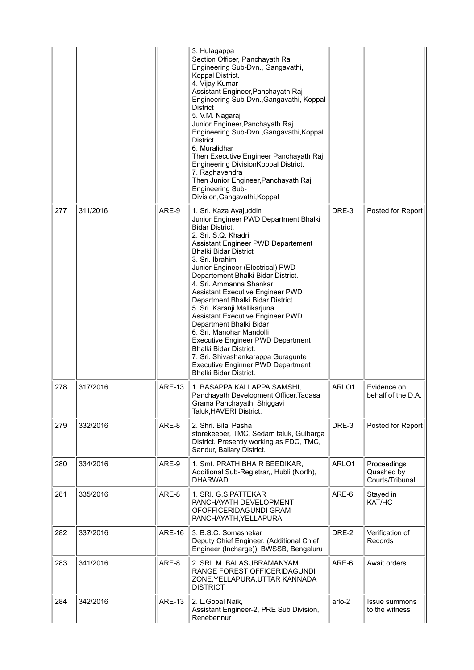|     |          |               | 3. Hulagappa<br>Section Officer, Panchayath Raj<br>Engineering Sub-Dvn., Gangavathi,<br>Koppal District.<br>4. Vijay Kumar<br>Assistant Engineer, Panchayath Raj<br>Engineering Sub-Dvn., Gangavathi, Koppal<br><b>District</b><br>5. V.M. Nagaraj<br>Junior Engineer, Panchayath Raj<br>Engineering Sub-Dvn., Gangavathi, Koppal<br>District.<br>6. Muralidhar<br>Then Executive Engineer Panchayath Raj<br>Engineering DivisionKoppal District.<br>7. Raghavendra<br>Then Junior Engineer, Panchayath Raj<br>Engineering Sub-<br>Division, Gangavathi, Koppal                                                                                                                                             |        |                                              |
|-----|----------|---------------|-------------------------------------------------------------------------------------------------------------------------------------------------------------------------------------------------------------------------------------------------------------------------------------------------------------------------------------------------------------------------------------------------------------------------------------------------------------------------------------------------------------------------------------------------------------------------------------------------------------------------------------------------------------------------------------------------------------|--------|----------------------------------------------|
| 277 | 311/2016 | ARE-9         | 1. Sri. Kaza Ayajuddin<br>Junior Engineer PWD Department Bhalki<br><b>Bidar District.</b><br>2. Sri. S.Q. Khadri<br>Assistant Engineer PWD Departement<br><b>Bhalki Bidar District</b><br>3. Sri. Ibrahim<br>Junior Engineer (Electrical) PWD<br>Departement Bhalki Bidar District.<br>4. Sri. Ammanna Shankar<br>Assistant Executive Engineer PWD<br>Department Bhalki Bidar District.<br>5. Sri. Karanji Mallikarjuna<br>Assistant Executive Engineer PWD<br>Department Bhalki Bidar<br>6. Sri. Manohar Mandolli<br><b>Executive Engineer PWD Department</b><br>Bhalki Bidar District.<br>7. Sri. Shivashankarappa Guragunte<br><b>Executive Enginner PWD Department</b><br><b>Bhalki Bidar District.</b> | DRE-3  | Posted for Report                            |
| 278 | 317/2016 | <b>ARE-13</b> | 1. BASAPPA KALLAPPA SAMSHI,<br>Panchayath Development Officer, Tadasa<br>Grama Panchayath, Shiggavi<br>Taluk, HAVERI District.                                                                                                                                                                                                                                                                                                                                                                                                                                                                                                                                                                              | ARLO1  | Evidence on<br>behalf of the D.A.            |
| 279 | 332/2016 | ARE-8         | 2. Shri, Bilal Pasha<br>storekeeper, TMC, Sedam taluk, Gulbarga<br>District. Presently working as FDC, TMC,<br>Sandur, Ballary District.                                                                                                                                                                                                                                                                                                                                                                                                                                                                                                                                                                    | DRE-3  | Posted for Report                            |
| 280 | 334/2016 | ARE-9         | 1. Smt. PRATHIBHA R BEEDIKAR,<br>Additional Sub-Registrar,, Hubli (North),<br><b>DHARWAD</b>                                                                                                                                                                                                                                                                                                                                                                                                                                                                                                                                                                                                                | ARLO1  | Proceedings<br>Quashed by<br>Courts/Tribunal |
| 281 | 335/2016 | ARE-8         | 1. SRI. G.S.PATTEKAR<br>PANCHAYATH DEVELOPMENT<br>OFOFFICERIDAGUNDI GRAM<br>PANCHAYATH, YELLAPURA                                                                                                                                                                                                                                                                                                                                                                                                                                                                                                                                                                                                           | ARE-6  | Stayed in<br>KAT/HC                          |
| 282 | 337/2016 | <b>ARE-16</b> | 3. B.S.C. Somashekar<br>Deputy Chief Engineer, (Additional Chief<br>Engineer (Incharge)), BWSSB, Bengaluru                                                                                                                                                                                                                                                                                                                                                                                                                                                                                                                                                                                                  | DRE-2  | Verification of<br>Records                   |
| 283 | 341/2016 | ARE-8         | 2. SRI. M. BALASUBRAMANYAM<br>RANGE FOREST OFFICERIDAGUNDI<br>ZONE, YELLAPURA, UTTAR KANNADA<br>DISTRICT.                                                                                                                                                                                                                                                                                                                                                                                                                                                                                                                                                                                                   | ARE-6  | Await orders                                 |
| 284 | 342/2016 | <b>ARE-13</b> | 2. L.Gopal Naik,<br>Assistant Engineer-2, PRE Sub Division,<br>Renebennur                                                                                                                                                                                                                                                                                                                                                                                                                                                                                                                                                                                                                                   | arlo-2 | Issue summons<br>to the witness              |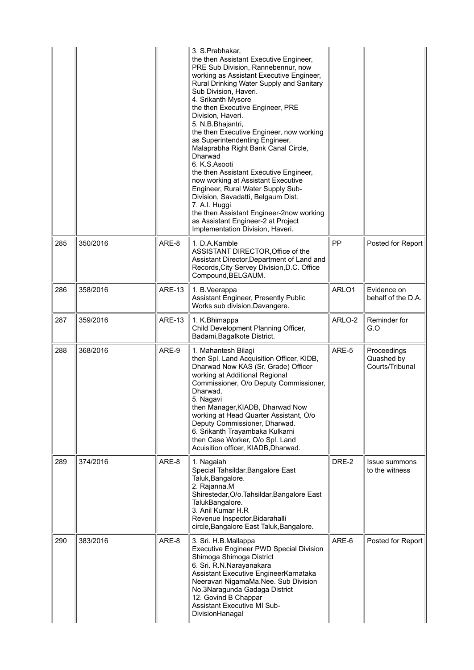|     |          |               | 3. S.Prabhakar,<br>the then Assistant Executive Engineer,<br>PRE Sub Division, Rannebennur, now<br>working as Assistant Executive Engineer,<br>Rural Drinking Water Supply and Sanitary<br>Sub Division, Haveri.<br>4. Srikanth Mysore<br>the then Executive Engineer, PRE<br>Division, Haveri.<br>5. N.B.Bhajantri,<br>the then Executive Engineer, now working<br>as Superintendenting Engineer,<br>Malaprabha Right Bank Canal Circle,<br>Dharwad<br>6. K.S. Asooti<br>the then Assistant Executive Engineer,<br>now working at Assistant Executive<br>Engineer, Rural Water Supply Sub-<br>Division, Savadatti, Belgaum Dist.<br>7. A.I. Huggi<br>the then Assistant Engineer-2now working<br>as Assistant Engineer-2 at Project<br>Implementation Division, Haveri. |        |                                              |
|-----|----------|---------------|--------------------------------------------------------------------------------------------------------------------------------------------------------------------------------------------------------------------------------------------------------------------------------------------------------------------------------------------------------------------------------------------------------------------------------------------------------------------------------------------------------------------------------------------------------------------------------------------------------------------------------------------------------------------------------------------------------------------------------------------------------------------------|--------|----------------------------------------------|
| 285 | 350/2016 | ARE-8         | 1. D.A.Kamble<br>ASSISTANT DIRECTOR, Office of the<br>Assistant Director, Department of Land and<br>Records, City Servey Division, D.C. Office<br>Compound, BELGAUM.                                                                                                                                                                                                                                                                                                                                                                                                                                                                                                                                                                                                     | PP     | Posted for Report                            |
| 286 | 358/2016 | <b>ARE-13</b> | 1. B. Veerappa<br><b>Assistant Engineer, Presently Public</b><br>Works sub division, Davangere.                                                                                                                                                                                                                                                                                                                                                                                                                                                                                                                                                                                                                                                                          | ARLO1  | Evidence on<br>behalf of the D.A.            |
| 287 | 359/2016 | <b>ARE-13</b> | 1. K.Bhimappa<br>Child Development Planning Officer,<br>Badami, Bagalkote District.                                                                                                                                                                                                                                                                                                                                                                                                                                                                                                                                                                                                                                                                                      | ARLO-2 | Reminder for<br>G.O                          |
| 288 | 368/2016 | ARE-9         | 1. Mahantesh Bilagi<br>then Spl. Land Acquisition Officer, KIDB,<br>Dharwad Now KAS (Sr. Grade) Officer<br>working at Additional Regional<br>Commissioner, O/o Deputy Commissioner,<br>Dharwad.<br>5. Nagavi<br>then Manager, KIADB, Dharwad Now<br>working at Head Quarter Assistant, O/o<br>Deputy Commissioner, Dharwad.<br>6. Srikanth Trayambaka Kulkarni<br>then Case Worker, O/o Spl. Land<br>Acuisition officer, KIADB, Dharwad.                                                                                                                                                                                                                                                                                                                                 | ARE-5  | Proceedings<br>Quashed by<br>Courts/Tribunal |
| 289 | 374/2016 | ARE-8         | 1. Nagaiah<br>Special Tahsildar, Bangalore East<br>Taluk, Bangalore.<br>2. Rajanna.M<br>Shirestedar, O/o. Tahsildar, Bangalore East<br>TalukBangalore.<br>3. Anil Kumar H.R<br>Revenue Inspector, Bidarahalli<br>circle, Bangalore East Taluk, Bangalore.                                                                                                                                                                                                                                                                                                                                                                                                                                                                                                                | DRE-2  | Issue summons<br>to the witness              |
| 290 | 383/2016 | ARE-8         | 3. Sri. H.B.Mallappa<br><b>Executive Engineer PWD Special Division</b><br>Shimoga Shimoga District<br>6. Sri. R.N.Narayanakara<br>Assistant Executive EngineerKarnataka<br>Neeravari NigamaMa.Nee. Sub Division<br>No.3Naragunda Gadaga District<br>12. Govind B Chappar<br><b>Assistant Executive MI Sub-</b><br>DivisionHanagal                                                                                                                                                                                                                                                                                                                                                                                                                                        | ARE-6  | Posted for Report                            |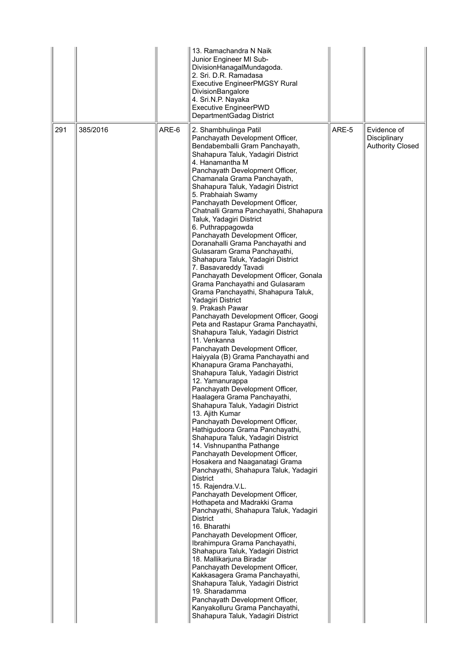|     |          |       | 13. Ramachandra N Naik<br>Junior Engineer MI Sub-<br>DivisionHanagalMundagoda.<br>2. Sri. D.R. Ramadasa<br><b>Executive EngineerPMGSY Rural</b><br>DivisionBangalore<br>4. Sri.N.P. Nayaka<br><b>Executive EngineerPWD</b><br>DepartmentGadag District                                                                                                                                                                                                                                                                                                                                                                                                                                                                                                                                                                                                                                                                                                                                                                                                                                                                                                                                                                                                                                                                                                                                                                                                                                                                                                                                                                                                                                                                                                                                                                                                                                                                                                                                                                   |       |                                                        |
|-----|----------|-------|--------------------------------------------------------------------------------------------------------------------------------------------------------------------------------------------------------------------------------------------------------------------------------------------------------------------------------------------------------------------------------------------------------------------------------------------------------------------------------------------------------------------------------------------------------------------------------------------------------------------------------------------------------------------------------------------------------------------------------------------------------------------------------------------------------------------------------------------------------------------------------------------------------------------------------------------------------------------------------------------------------------------------------------------------------------------------------------------------------------------------------------------------------------------------------------------------------------------------------------------------------------------------------------------------------------------------------------------------------------------------------------------------------------------------------------------------------------------------------------------------------------------------------------------------------------------------------------------------------------------------------------------------------------------------------------------------------------------------------------------------------------------------------------------------------------------------------------------------------------------------------------------------------------------------------------------------------------------------------------------------------------------------|-------|--------------------------------------------------------|
| 291 | 385/2016 | ARE-6 | 2. Shambhulinga Patil<br>Panchayath Development Officer,<br>Bendabemballi Gram Panchayath,<br>Shahapura Taluk, Yadagiri District<br>4. Hanamantha M<br>Panchayath Development Officer,<br>Chamanala Grama Panchayath,<br>Shahapura Taluk, Yadagiri District<br>5. Prabhaiah Swamy<br>Panchayath Development Officer,<br>Chatnalli Grama Panchayathi, Shahapura<br>Taluk, Yadagiri District<br>6. Puthrappagowda<br>Panchayath Development Officer,<br>Doranahalli Grama Panchayathi and<br>Gulasaram Grama Panchayathi,<br>Shahapura Taluk, Yadagiri District<br>7. Basavareddy Tavadi<br>Panchayath Development Officer, Gonala<br>Grama Panchayathi and Gulasaram<br>Grama Panchayathi, Shahapura Taluk,<br>Yadagiri District<br>9. Prakash Pawar<br>Panchayath Development Officer, Googi<br>Peta and Rastapur Grama Panchayathi,<br>Shahapura Taluk, Yadagiri District<br>11. Venkanna<br>Panchayath Development Officer,<br>Haiyyala (B) Grama Panchayathi and<br>Khanapura Grama Panchayathi,<br>Shahapura Taluk, Yadagiri District<br>12. Yamanurappa<br>Panchayath Development Officer,<br>Haalagera Grama Panchayathi,<br>Shahapura Taluk, Yadagiri District<br>13. Ajith Kumar<br>Panchayath Development Officer,<br>Hathigudoora Grama Panchayathi,<br>Shahapura Taluk, Yadagiri District<br>14. Vishnupantha Pathange<br>Panchayath Development Officer,<br>Hosakera and Naaganatagi Grama<br>Panchayathi, Shahapura Taluk, Yadagiri<br><b>District</b><br>15. Rajendra.V.L.<br>Panchayath Development Officer,<br>Hothapeta and Madrakki Grama<br>Panchayathi, Shahapura Taluk, Yadagiri<br><b>District</b><br>16. Bharathi<br>Panchayath Development Officer,<br>Ibrahimpura Grama Panchayathi,<br>Shahapura Taluk, Yadagiri District<br>18. Mallikarjuna Biradar<br>Panchayath Development Officer,<br>Kakkasagera Grama Panchayathi,<br>Shahapura Taluk, Yadagiri District<br>19. Sharadamma<br>Panchayath Development Officer,<br>Kanyakolluru Grama Panchayathi,<br>Shahapura Taluk, Yadagiri District | ARE-5 | Evidence of<br>Disciplinary<br><b>Authority Closed</b> |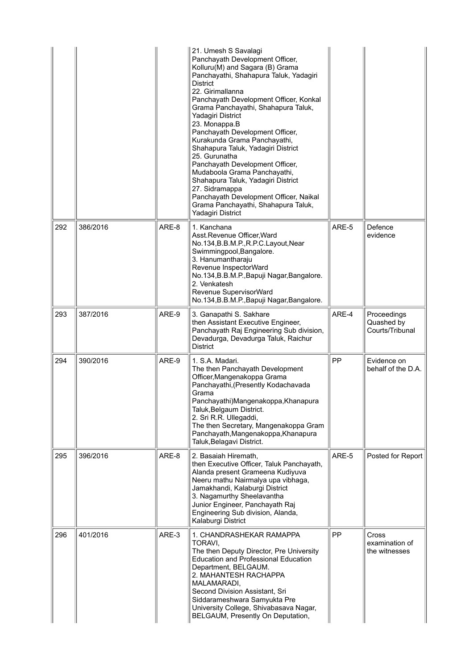|     |          |       | 21. Umesh S Savalagi<br>Panchayath Development Officer,<br>Kolluru(M) and Sagara (B) Grama<br>Panchayathi, Shahapura Taluk, Yadagiri<br><b>District</b><br>22. Girimallanna<br>Panchayath Development Officer, Konkal<br>Grama Panchayathi, Shahapura Taluk,<br>Yadagiri District<br>23. Monappa.B<br>Panchayath Development Officer,<br>Kurakunda Grama Panchayathi,<br>Shahapura Taluk, Yadagiri District<br>25. Gurunatha<br>Panchayath Development Officer,<br>Mudaboola Grama Panchayathi,<br>Shahapura Taluk, Yadagiri District<br>27. Sidramappa<br>Panchayath Development Officer, Naikal<br>Grama Panchayathi, Shahapura Taluk,<br>Yadagiri District |       |                                              |
|-----|----------|-------|---------------------------------------------------------------------------------------------------------------------------------------------------------------------------------------------------------------------------------------------------------------------------------------------------------------------------------------------------------------------------------------------------------------------------------------------------------------------------------------------------------------------------------------------------------------------------------------------------------------------------------------------------------------|-------|----------------------------------------------|
| 292 | 386/2016 | ARE-8 | 1. Kanchana<br>Asst.Revenue Officer, Ward<br>No.134, B.B.M.P., R.P.C. Layout, Near<br>Swimmingpool, Bangalore.<br>3. Hanumantharaju<br>Revenue InspectorWard<br>No.134, B.B.M.P., Bapuji Nagar, Bangalore.<br>2. Venkatesh<br>Revenue SupervisorWard<br>No.134, B.B.M.P., Bapuji Nagar, Bangalore.                                                                                                                                                                                                                                                                                                                                                            | ARE-5 | Defence<br>evidence                          |
| 293 | 387/2016 | ARE-9 | 3. Ganapathi S. Sakhare<br>then Assistant Executive Engineer,<br>Panchayath Raj Engineering Sub division,<br>Devadurga, Devadurga Taluk, Raichur<br><b>District</b>                                                                                                                                                                                                                                                                                                                                                                                                                                                                                           | ARE-4 | Proceedings<br>Quashed by<br>Courts/Tribunal |
| 294 | 390/2016 | ARE-9 | 1. S.A. Madari.<br>The then Panchayath Development<br>Officer, Mangenakoppa Grama<br>Panchayathi, (Presently Kodachavada<br>Grama<br>Panchayathi) Mangenakoppa, Khanapura<br>Taluk, Belgaum District.<br>2. Sri R.R. Ullegaddi,<br>The then Secretary, Mangenakoppa Gram<br>Panchayath, Mangenakoppa, Khanapura<br>Taluk, Belagavi District.                                                                                                                                                                                                                                                                                                                  | PP    | Evidence on<br>behalf of the D.A.            |
| 295 | 396/2016 | ARE-8 | 2. Basaiah Hiremath,<br>then Executive Officer, Taluk Panchayath,<br>Alanda present Grameena Kudiyuva<br>Neeru mathu Nairmalya upa vibhaga,<br>Jamakhandi, Kalaburgi District<br>3. Nagamurthy Sheelavantha<br>Junior Engineer, Panchayath Raj<br>Engineering Sub division, Alanda,<br>Kalaburgi District                                                                                                                                                                                                                                                                                                                                                     | ARE-5 | Posted for Report                            |
| 296 | 401/2016 | ARE-3 | 1. CHANDRASHEKAR RAMAPPA<br>TORAVI,<br>The then Deputy Director, Pre University<br><b>Education and Professional Education</b><br>Department, BELGAUM.<br>2. MAHANTESH RACHAPPA<br>MALAMARADI,<br>Second Division Assistant, Sri<br>Siddarameshwara Samyukta Pre<br>University College, Shivabasava Nagar,<br>BELGAUM, Presently On Deputation,                                                                                                                                                                                                                                                                                                               | PP    | Cross<br>examination of<br>the witnesses     |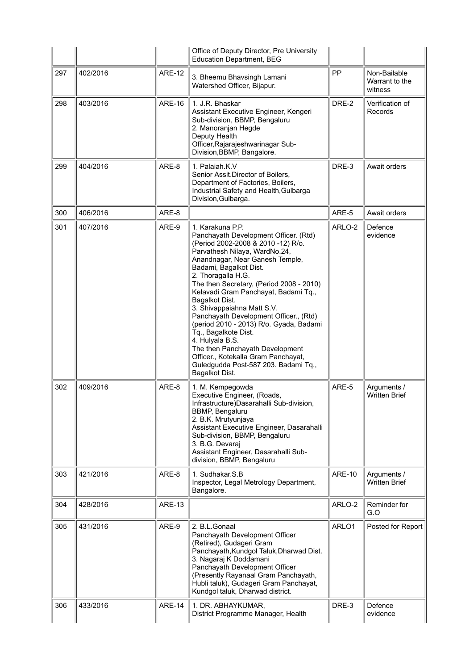|     |          |               | Office of Deputy Director, Pre University<br><b>Education Department, BEG</b>                                                                                                                                                                                                                                                                                                                                                                                                                                                                                                                                               |               |                                           |
|-----|----------|---------------|-----------------------------------------------------------------------------------------------------------------------------------------------------------------------------------------------------------------------------------------------------------------------------------------------------------------------------------------------------------------------------------------------------------------------------------------------------------------------------------------------------------------------------------------------------------------------------------------------------------------------------|---------------|-------------------------------------------|
| 297 | 402/2016 | <b>ARE-12</b> | 3. Bheemu Bhavsingh Lamani<br>Watershed Officer, Bijapur.                                                                                                                                                                                                                                                                                                                                                                                                                                                                                                                                                                   | PP            | Non-Bailable<br>Warrant to the<br>witness |
| 298 | 403/2016 | <b>ARE-16</b> | 1. J.R. Bhaskar<br>Assistant Executive Engineer, Kengeri<br>Sub-division, BBMP, Bengaluru<br>2. Manoranjan Hegde<br>Deputy Health<br>Officer, Rajarajeshwarinagar Sub-<br>Division, BBMP, Bangalore.                                                                                                                                                                                                                                                                                                                                                                                                                        | DRE-2         | Verification of<br>Records                |
| 299 | 404/2016 | ARE-8         | 1. Palaiah.K.V<br>Senior Assit.Director of Boilers,<br>Department of Factories, Boilers,<br>Industrial Safety and Health, Gulbarga<br>Division, Gulbarga.                                                                                                                                                                                                                                                                                                                                                                                                                                                                   | DRE-3         | Await orders                              |
| 300 | 406/2016 | ARE-8         |                                                                                                                                                                                                                                                                                                                                                                                                                                                                                                                                                                                                                             | ARE-5         | Await orders                              |
| 301 | 407/2016 | ARE-9         | 1. Karakuna P.P.<br>Panchayath Development Officer. (Rtd)<br>(Period 2002-2008 & 2010 -12) R/o.<br>Parvathesh Nilaya, WardNo.24,<br>Anandnagar, Near Ganesh Temple,<br>Badami, Bagalkot Dist.<br>2. Thoragalla H.G.<br>The then Secretary, (Period 2008 - 2010)<br>Kelavadi Gram Panchayat, Badami Tq.,<br>Bagalkot Dist.<br>3. Shivappaiahna Matt S.V.<br>Panchayath Development Officer., (Rtd)<br>(period 2010 - 2013) R/o. Gyada, Badami<br>Tq., Bagalkote Dist.<br>4. Hulyala B.S.<br>The then Panchayath Development<br>Officer., Kotekalla Gram Panchayat,<br>Guledgudda Post-587 203. Badami Tq.,<br>Bagalkot Dist. | ARLO-2        | Defence<br>evidence                       |
| 302 | 409/2016 | ARE-8         | 1. M. Kempegowda<br>Executive Engineer, (Roads,<br>Infrastructure) Dasarahalli Sub-division,<br>BBMP, Bengaluru<br>2. B.K. Mrutyunjaya<br>Assistant Executive Engineer, Dasarahalli<br>Sub-division, BBMP, Bengaluru<br>3. B.G. Devaraj<br>Assistant Engineer, Dasarahalli Sub-<br>division, BBMP, Bengaluru                                                                                                                                                                                                                                                                                                                | ARE-5         | Arguments /<br><b>Written Brief</b>       |
| 303 | 421/2016 | ARE-8         | 1. Sudhakar, S.B.<br>Inspector, Legal Metrology Department,<br>Bangalore.                                                                                                                                                                                                                                                                                                                                                                                                                                                                                                                                                   | <b>ARE-10</b> | Arguments /<br><b>Written Brief</b>       |
| 304 | 428/2016 | <b>ARE-13</b> |                                                                                                                                                                                                                                                                                                                                                                                                                                                                                                                                                                                                                             | ARLO-2        | Reminder for<br>G.O                       |
| 305 | 431/2016 | ARE-9         | 2. B.L.Gonaal<br>Panchayath Development Officer<br>(Retired), Gudageri Gram<br>Panchayath, Kundgol Taluk, Dharwad Dist.<br>3. Nagaraj K Doddamani<br>Panchayath Development Officer<br>(Presently Rayanaal Gram Panchayath,<br>Hubli taluk), Gudageri Gram Panchayat,<br>Kundgol taluk, Dharwad district.                                                                                                                                                                                                                                                                                                                   | ARLO1         | Posted for Report                         |
| 306 | 433/2016 | <b>ARE-14</b> | 1. DR. ABHAYKUMAR,<br>District Programme Manager, Health                                                                                                                                                                                                                                                                                                                                                                                                                                                                                                                                                                    | DRE-3         | Defence<br>evidence                       |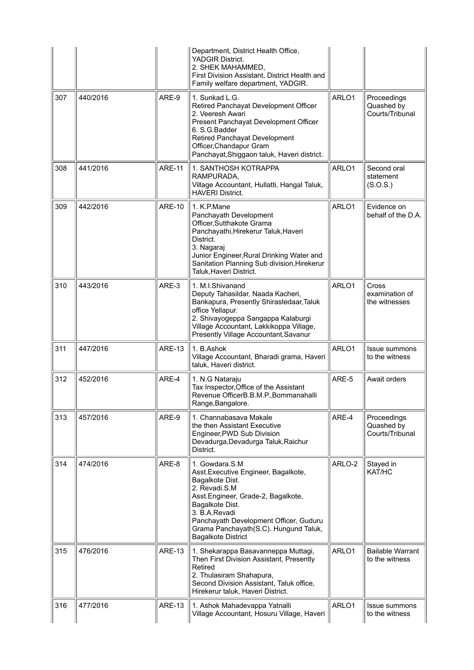|     |          |               | Department, District Health Office,<br><b>YADGIR District.</b><br>2. SHEK MAHAMMED,<br>First Division Assistant, District Health and<br>Family welfare department, YADGIR.                                                                                                             |        |                                                 |
|-----|----------|---------------|----------------------------------------------------------------------------------------------------------------------------------------------------------------------------------------------------------------------------------------------------------------------------------------|--------|-------------------------------------------------|
| 307 | 440/2016 | ARE-9         | 1. Sunkad L.G.<br>Retired Panchayat Development Officer<br>2. Veeresh Awari<br>Present Panchayat Development Officer<br>6. S.G. Badder<br>Retired Panchayat Development<br>Officer, Chandapur Gram<br>Panchayat, Shiggaon taluk, Haveri district.                                      | ARLO1  | Proceedings<br>Quashed by<br>Courts/Tribunal    |
| 308 | 441/2016 | <b>ARE-11</b> | 1. SANTHOSH KOTRAPPA<br>RAMPURADA,<br>Village Accountant, Hullatti, Hangal Taluk,<br><b>HAVERI District.</b>                                                                                                                                                                           | ARLO1  | Second oral<br>statement<br>(S.O.S.)            |
| 309 | 442/2016 | <b>ARE-10</b> | 1. K.P.Mane<br>Panchayath Development<br>Officer, Sutthakote Grama<br>Panchayathi, Hirekerur Taluk, Haveri<br>District.<br>3. Nagaraj<br>Junior Engineer, Rural Drinking Water and<br>Sanitation Planning Sub division, Hirekerur<br>Taluk, Haveri District.                           | ARLO1  | Evidence on<br>behalf of the D.A.               |
| 310 | 443/2016 | ARE-3         | 1. M.I.Shivanand<br>Deputy Tahasildar, Naada Kacheri,<br>Bankapura, Presently Shirastedaar, Taluk<br>office Yellapur.<br>2. Shivayogeppa Sangappa Kalaburgi<br>Village Accountant, Lakkikoppa Village,<br>Presently Village Accountant, Savanur                                        | ARLO1  | <b>Cross</b><br>examination of<br>the witnesses |
| 311 | 447/2016 | <b>ARE-13</b> | 1. B.Ashok<br>Village Accountant, Bharadi grama, Haveri<br>taluk, Haveri district.                                                                                                                                                                                                     | ARLO1  | Issue summons<br>to the witness                 |
| 312 | 452/2016 | ARE-4         | 1. N.G Nataraju<br>Tax Inspector, Office of the Assistant<br>Revenue OfficerB.B.M.P., Bommanahalli<br>Range, Bangalore.                                                                                                                                                                | ARE-5  | Await orders                                    |
| 313 | 457/2016 | ARE-9         | 1. Channabasava Makale<br>the then Assistant Executive<br>Engineer, PWD Sub Division<br>Devadurga, Devadurga Taluk, Raichur<br>District.                                                                                                                                               | ARE-4  | Proceedings<br>Quashed by<br>Courts/Tribunal    |
| 314 | 474/2016 | ARE-8         | 1. Gowdara, S.M.<br>Asst. Executive Engineer, Bagalkote,<br>Bagalkote Dist.<br>2. Revadi.S.M<br>Asst.Engineer, Grade-2, Bagalkote,<br>Bagalkote Dist.<br>3. B.A.Revadi<br>Panchayath Development Officer, Guduru<br>Grama Panchayath(S.C). Hungund Taluk,<br><b>Bagalkote District</b> | ARLO-2 | Stayed in<br>KAT/HC                             |
| 315 | 476/2016 | <b>ARE-13</b> | 1. Shekarappa Basavanneppa Muttagi,<br>Then First Division Assistant, Presently<br>Retired<br>2. Thulasiram Shahapura,<br>Second Division Assistant, Taluk office,<br>Hirekerur taluk, Haveri District.                                                                                | ARLO1  | <b>Bailable Warrant</b><br>to the witness       |
| 316 | 477/2016 | <b>ARE-13</b> | 1. Ashok Mahadevappa Yatnalli<br>Village Accountant, Hosuru Village, Haveri                                                                                                                                                                                                            | ARLO1  | Issue summons<br>to the witness                 |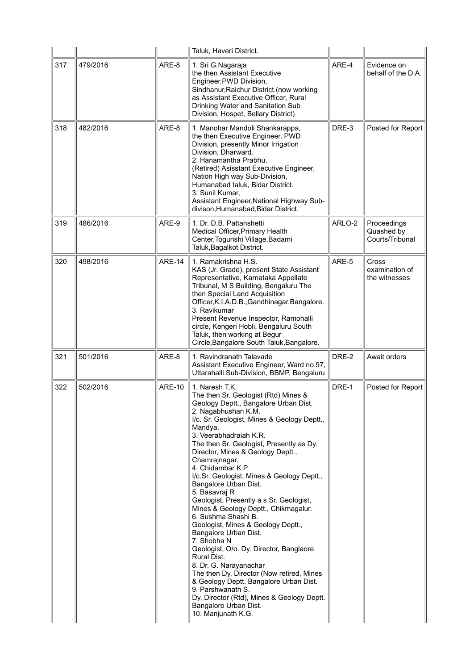|     |          |               | Taluk, Haveri District.                                                                                                                                                                                                                                                                                                                                                                                                                                                                                                                                                                                                                                                                                                                                                                                                                                                                                        |        |                                              |
|-----|----------|---------------|----------------------------------------------------------------------------------------------------------------------------------------------------------------------------------------------------------------------------------------------------------------------------------------------------------------------------------------------------------------------------------------------------------------------------------------------------------------------------------------------------------------------------------------------------------------------------------------------------------------------------------------------------------------------------------------------------------------------------------------------------------------------------------------------------------------------------------------------------------------------------------------------------------------|--------|----------------------------------------------|
| 317 | 479/2016 | ARE-8         | 1. Sri G.Nagaraja<br>the then Assistant Executive<br>Engineer, PWD Division,<br>Sindhanur, Raichur District. (now working<br>as Assistant Executive Officer, Rural<br>Drinking Water and Sanitation Sub<br>Division, Hospet, Bellary District)                                                                                                                                                                                                                                                                                                                                                                                                                                                                                                                                                                                                                                                                 | ARE-4  | Evidence on<br>behalf of the D.A.            |
| 318 | 482/2016 | ARE-8         | 1. Manohar Mandoli Shankarappa,<br>the then Executive Engineer, PWD<br>Division, presently Minor Irrigation<br>Division, Dharward.<br>2. Hanamantha Prabhu,<br>(Retired) Asisstant Executive Engineer,<br>Nation High way Sub-Division,<br>Humanabad taluk, Bidar District.<br>3. Sunil Kumar,<br>Assistant Engineer, National Highway Sub-<br>divison, Humanabad, Bidar District.                                                                                                                                                                                                                                                                                                                                                                                                                                                                                                                             | DRE-3  | Posted for Report                            |
| 319 | 486/2016 | ARE-9         | 1. Dr. D.B. Pattanshetti<br>Medical Officer, Primary Health<br>Center, Togunshi Village, Badami<br>Taluk, Bagalkot District.                                                                                                                                                                                                                                                                                                                                                                                                                                                                                                                                                                                                                                                                                                                                                                                   | ARLO-2 | Proceedings<br>Quashed by<br>Courts/Tribunal |
| 320 | 498/2016 | <b>ARE-14</b> | 1. Ramakrishna H.S.<br>KAS (Jr. Grade), present State Assistant<br>Representative, Karnataka Appellate<br>Tribunal, M S Building, Bengaluru The<br>then Special Land Acquisition<br>Officer, K.I.A.D.B., Gandhinagar, Bangalore.<br>3. Ravikumar<br>Present Revenue Inspector, Ramohalli<br>circle, Kengeri Hobli, Bengaluru South<br>Taluk, then working at Begur<br>Circle, Bangalore South Taluk, Bangalore.                                                                                                                                                                                                                                                                                                                                                                                                                                                                                                | ARE-5  | Cross<br>examination of<br>the witnesses     |
| 321 | 501/2016 | ARE-8         | 1. Ravindranath Talavade<br>Assistant Executive Engineer, Ward no.97,<br>Uttarahalli Sub-Division, BBMP, Bengaluru                                                                                                                                                                                                                                                                                                                                                                                                                                                                                                                                                                                                                                                                                                                                                                                             | DRE-2  | Await orders                                 |
| 322 | 502/2016 | <b>ARE-10</b> | 1. Naresh T.K.<br>The then Sr. Geologist (Rtd) Mines &<br>Geology Deptt., Bangalore Urban Dist.<br>2. Nagabhushan K.M.<br>I/c. Sr. Geologist, Mines & Geology Deptt.,<br>Mandya.<br>3. Veerabhadraiah K.R.<br>The then Sr. Geologist, Presently as Dy.<br>Director, Mines & Geology Deptt.,<br>Chamrajnagar.<br>4. Chidambar K.P.<br>I/c.Sr. Geologist, Mines & Geology Deptt.,<br>Bangalore Urban Dist.<br>5. Basavraj R<br>Geologist, Presently a s Sr. Geologist,<br>Mines & Geology Deptt., Chikmagalur.<br>6. Sushma Shashi B.<br>Geologist, Mines & Geology Deptt.,<br>Bangalore Urban Dist.<br>7. Shobha N<br>Geologist, O/o. Dy. Director, Banglaore<br>Rural Dist.<br>8. Dr. G. Narayanachar<br>The then Dy. Director (Now retired, Mines<br>& Geology Deptt. Bangalore Urban Dist.<br>9. Parshwanath S.<br>Dy. Director (Rtd), Mines & Geology Deptt.<br>Bangalore Urban Dist.<br>10. Manjunath K.G. | DRE-1  | Posted for Report                            |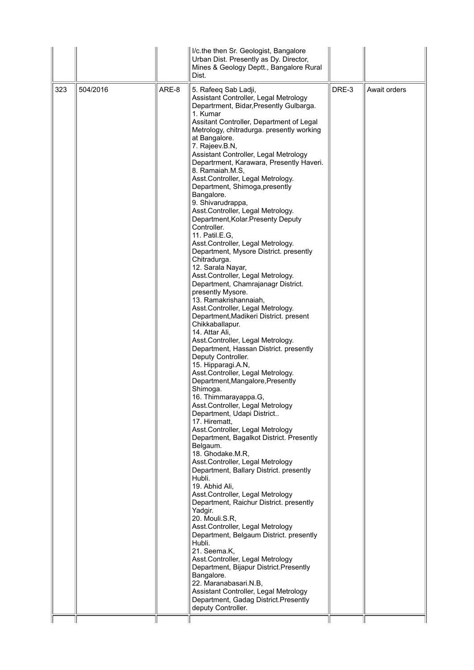|     |          |       | I/c.the then Sr. Geologist, Bangalore<br>Urban Dist. Presently as Dy. Director,<br>Mines & Geology Deptt., Bangalore Rural<br>Dist.                                                                                                                                                                                                                                                                                                                                                                                                                                                                                                                                                                                                                                                                                                                                                                                                                                                                                                                                                                                                                                                                                                                                                                                                                                                                                                                                                                                                                                                                                                                                                                                                                                                                                                                                                                                                                     |       |              |
|-----|----------|-------|---------------------------------------------------------------------------------------------------------------------------------------------------------------------------------------------------------------------------------------------------------------------------------------------------------------------------------------------------------------------------------------------------------------------------------------------------------------------------------------------------------------------------------------------------------------------------------------------------------------------------------------------------------------------------------------------------------------------------------------------------------------------------------------------------------------------------------------------------------------------------------------------------------------------------------------------------------------------------------------------------------------------------------------------------------------------------------------------------------------------------------------------------------------------------------------------------------------------------------------------------------------------------------------------------------------------------------------------------------------------------------------------------------------------------------------------------------------------------------------------------------------------------------------------------------------------------------------------------------------------------------------------------------------------------------------------------------------------------------------------------------------------------------------------------------------------------------------------------------------------------------------------------------------------------------------------------------|-------|--------------|
| 323 | 504/2016 | ARE-8 | 5. Rafeeq Sab Ladji,<br>Assistant Controller, Legal Metrology<br>Departrment, Bidar, Presently Gulbarga.<br>1. Kumar<br>Assitant Controller, Department of Legal<br>Metrology, chitradurga. presently working<br>at Bangalore.<br>7. Rajeev.B.N,<br>Assistant Controller, Legal Metrology<br>Departrment, Karawara, Presently Haveri.<br>8. Ramaiah.M.S,<br>Asst.Controller, Legal Metrology.<br>Department, Shimoga, presently<br>Bangalore.<br>9. Shivarudrappa,<br>Asst.Controller, Legal Metrology.<br>Department, Kolar. Presenty Deputy<br>Controller.<br>11. Patil.E.G.<br>Asst.Controller, Legal Metrology.<br>Department, Mysore District. presently<br>Chitradurga.<br>12. Sarala Nayar,<br>Asst.Controller, Legal Metrology.<br>Department, Chamrajanagr District.<br>presently Mysore.<br>13. Ramakrishannaiah,<br>Asst.Controller, Legal Metrology.<br>Department, Madikeri District. present<br>Chikkaballapur.<br>14. Attar Ali,<br>Asst.Controller, Legal Metrology.<br>Department, Hassan District. presently<br>Deputy Controller.<br>15. Hipparagi.A.N,<br>Asst.Controller, Legal Metrology.<br>Department, Mangalore, Presently<br>Shimoga.<br>16. Thimmarayappa.G,<br>Asst.Controller, Legal Metrology<br>Department, Udapi District<br>17. Hirematt,<br>Asst.Controller, Legal Metrology<br>Department, Bagalkot District. Presently<br>Belgaum.<br>18. Ghodake.M.R,<br>Asst.Controller, Legal Metrology<br>Department, Ballary District. presently<br>Hubli.<br>19. Abhid Ali,<br>Asst.Controller, Legal Metrology<br>Department, Raichur District. presently<br>Yadgir.<br>20. Mouli.S.R,<br>Asst.Controller, Legal Metrology<br>Department, Belgaum District. presently<br>Hubli.<br>21. Seema.K,<br>Asst.Controller, Legal Metrology<br>Department, Bijapur District.Presently<br>Bangalore.<br>22. Maranabasari.N.B,<br>Assistant Controller, Legal Metrology<br>Department, Gadag District. Presently<br>deputy Controller. | DRE-3 | Await orders |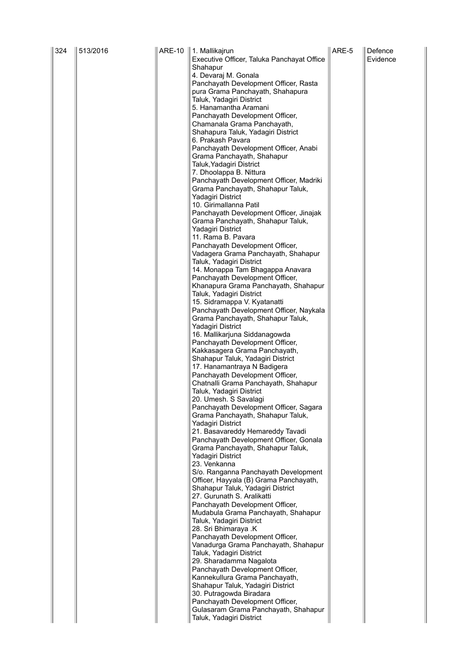| 324 | 513/2016 | ARE-10   1. Mallikajrun                                                      | ARE-5 | Defence  |
|-----|----------|------------------------------------------------------------------------------|-------|----------|
|     |          | Executive Officer, Taluka Panchayat Office                                   |       | Evidence |
|     |          | Shahapur<br>4. Devaraj M. Gonala                                             |       |          |
|     |          | Panchayath Development Officer, Rasta                                        |       |          |
|     |          | pura Grama Panchayath, Shahapura                                             |       |          |
|     |          | Taluk, Yadagiri District                                                     |       |          |
|     |          | 5. Hanamantha Aramani                                                        |       |          |
|     |          | Panchayath Development Officer,                                              |       |          |
|     |          | Chamanala Grama Panchayath,<br>Shahapura Taluk, Yadagiri District            |       |          |
|     |          | 6. Prakash Pavara                                                            |       |          |
|     |          | Panchayath Development Officer, Anabi                                        |       |          |
|     |          | Grama Panchayath, Shahapur                                                   |       |          |
|     |          | Taluk, Yadagiri District                                                     |       |          |
|     |          | 7. Dhoolappa B. Nittura<br>Panchayath Development Officer, Madriki           |       |          |
|     |          | Grama Panchayath, Shahapur Taluk,                                            |       |          |
|     |          | Yadagiri District                                                            |       |          |
|     |          | 10. Girimallanna Patil                                                       |       |          |
|     |          | Panchayath Development Officer, Jinajak                                      |       |          |
|     |          | Grama Panchayath, Shahapur Taluk,<br>Yadagiri District                       |       |          |
|     |          | 11. Rama B. Pavara                                                           |       |          |
|     |          | Panchayath Development Officer,                                              |       |          |
|     |          | Vadagera Grama Panchayath, Shahapur                                          |       |          |
|     |          | Taluk, Yadagiri District                                                     |       |          |
|     |          | 14. Monappa Tam Bhagappa Anavara<br>Panchayath Development Officer,          |       |          |
|     |          | Khanapura Grama Panchayath, Shahapur                                         |       |          |
|     |          | Taluk, Yadagiri District                                                     |       |          |
|     |          | 15. Sidramappa V. Kyatanatti                                                 |       |          |
|     |          | Panchayath Development Officer, Naykala<br>Grama Panchayath, Shahapur Taluk, |       |          |
|     |          | Yadagiri District                                                            |       |          |
|     |          | 16. Mallikarjuna Siddanagowda                                                |       |          |
|     |          | Panchayath Development Officer,                                              |       |          |
|     |          | Kakkasagera Grama Panchayath,<br>Shahapur Taluk, Yadagiri District           |       |          |
|     |          | 17. Hanamantraya N Badigera                                                  |       |          |
|     |          | Panchayath Development Officer,                                              |       |          |
|     |          | Chatnalli Grama Panchayath, Shahapur                                         |       |          |
|     |          | Taluk, Yadagiri District                                                     |       |          |
|     |          | 20. Umesh. S Savalagi<br>Panchayath Development Officer, Sagara              |       |          |
|     |          | Grama Panchayath, Shahapur Taluk,                                            |       |          |
|     |          | Yadagiri District                                                            |       |          |
|     |          | 21. Basavareddy Hemareddy Tavadi                                             |       |          |
|     |          | Panchayath Development Officer, Gonala<br>Grama Panchayath, Shahapur Taluk,  |       |          |
|     |          | Yadagiri District                                                            |       |          |
|     |          | 23. Venkanna                                                                 |       |          |
|     |          | S/o. Ranganna Panchayath Development                                         |       |          |
|     |          | Officer, Hayyala (B) Grama Panchayath,<br>Shahapur Taluk, Yadagiri District  |       |          |
|     |          | 27. Gurunath S. Aralikatti                                                   |       |          |
|     |          | Panchayath Development Officer,                                              |       |          |
|     |          | Mudabula Grama Panchayath, Shahapur                                          |       |          |
|     |          | Taluk, Yadagiri District<br>28. Sri Bhimaraya .K                             |       |          |
|     |          | Panchayath Development Officer,                                              |       |          |
|     |          | Vanadurga Grama Panchayath, Shahapur                                         |       |          |
|     |          | Taluk, Yadagiri District                                                     |       |          |
|     |          | 29. Sharadamma Nagalota<br>Panchayath Development Officer,                   |       |          |
|     |          | Kannekullura Grama Panchayath,                                               |       |          |
|     |          | Shahapur Taluk, Yadagiri District                                            |       |          |
|     |          | 30. Putragowda Biradara                                                      |       |          |
|     |          | Panchayath Development Officer,                                              |       |          |
|     |          | Gulasaram Grama Panchayath, Shahapur<br>Taluk, Yadagiri District             |       |          |
|     |          |                                                                              |       |          |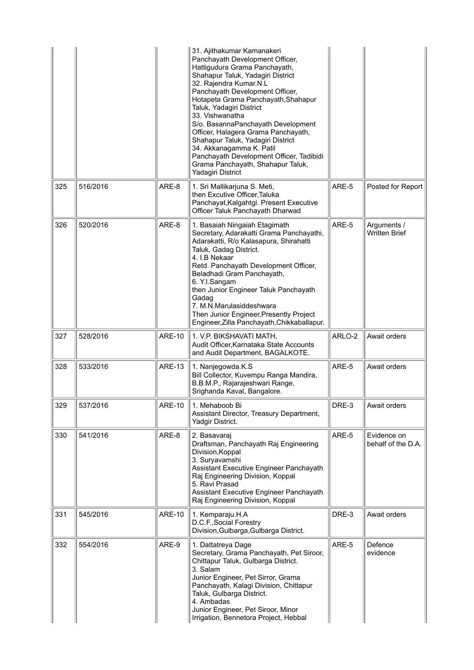|     |          |               | 31. Ajithakumar Kamanakeri<br>Panchayath Development Officer,<br>Hattigudura Grama Panchayath,<br>Shahapur Taluk, Yadagiri District<br>32. Rajendra Kumar.N.L<br>Panchayath Development Officer,<br>Hotapeta Grama Panchayath, Shahapur<br>Taluk, Yadagiri District<br>33. Vishwanatha<br>S/o. BasannaPanchayath Development<br>Officer, Halagera Grama Panchayath,<br>Shahapur Taluk, Yadagiri District<br>34. Akkanagamma K. Patil<br>Panchayath Development Officer, Tadibidi<br>Grama Panchayath, Shahapur Taluk,<br>Yadagiri District |        |                                     |
|-----|----------|---------------|--------------------------------------------------------------------------------------------------------------------------------------------------------------------------------------------------------------------------------------------------------------------------------------------------------------------------------------------------------------------------------------------------------------------------------------------------------------------------------------------------------------------------------------------|--------|-------------------------------------|
| 325 | 516/2016 | ARE-8         | 1. Sri Mallikarjuna S. Meti,<br>then Excutive Officer, Taluka<br>Panchayat, Kalgahtgi. Present Executive<br>Officer Taluk Panchayath Dharwad                                                                                                                                                                                                                                                                                                                                                                                               | ARE-5  | Posted for Report                   |
| 326 | 520/2016 | ARE-8         | 1. Basaiah Ningaiah Etagimath<br>Secretary, Adarakatti Grama Panchayathi,<br>Adarakatti, R/o Kalasapura, Shirahatti<br>Taluk, Gadag District.<br>4. I.B Nekaar<br>Retd. Panchayath Development Officer,<br>Beladhadi Gram Panchayath,<br>6. Y.I.Sangam<br>then Junior Engineer Taluk Panchayath<br>Gadag<br>7. M.N.Marulasiddeshwara<br>Then Junior Engineer, Presently Project<br>Engineer, Zilla Panchayath, Chikkaballapur.                                                                                                             | ARE-5  | Arguments /<br><b>Written Brief</b> |
| 327 | 528/2016 | <b>ARE-10</b> | 1. V.P. BIKSHAVATI MATH,<br>Audit Officer, Karnataka State Accounts<br>and Audit Department, BAGALKOTE.                                                                                                                                                                                                                                                                                                                                                                                                                                    | ARLO-2 | Await orders                        |
| 328 | 533/2016 | <b>ARE-13</b> | 1. Nanjegowda.K.S<br>Bill Collector, Kuvempu Ranga Mandira,<br>B.B.M.P., Rajarajeshwari Range,<br>Srighanda Kaval, Bangalore.                                                                                                                                                                                                                                                                                                                                                                                                              | ARE-5  | Await orders                        |
| 329 | 537/2016 | <b>ARE-10</b> | 1. Mehaboob Bi<br>Assistant Director, Treasury Department,<br>Yadgir District.                                                                                                                                                                                                                                                                                                                                                                                                                                                             | DRE-3  | Await orders                        |
| 330 | 541/2016 | ARE-8         | 2. Basavaraj<br>Draftsman, Panchayath Raj Engineering<br>Division, Koppal<br>3. Suryavamshi<br>Assistant Executive Engineer Panchayath<br>Raj Engineering Division, Koppal<br>5. Ravi Prasad<br>Assistant Executive Engineer Panchayath<br>Raj Engineering Division, Koppal                                                                                                                                                                                                                                                                | ARE-5  | Evidence on<br>behalf of the D.A.   |
| 331 | 545/2016 | <b>ARE-10</b> | 1. Kemparaju.H.A<br>D.C.F., Social Forestry<br>Division, Gulbarga, Gulbarga District.                                                                                                                                                                                                                                                                                                                                                                                                                                                      | DRE-3  | Await orders                        |
| 332 | 554/2016 | ARE-9         | 1. Dattatreya Dage<br>Secretary, Grama Panchayath, Pet Siroor,<br>Chittapur Taluk, Gulbarga District.<br>3. Salam<br>Junior Engineer, Pet Sirror, Grama<br>Panchayath, Kalagi Division, Chittapur<br>Taluk, Gulbarga District.<br>4. Ambadas<br>Junior Engineer, Pet Siroor, Minor<br>Irrigation, Bennetora Project, Hebbal                                                                                                                                                                                                                | ARE-5  | Defence<br>evidence                 |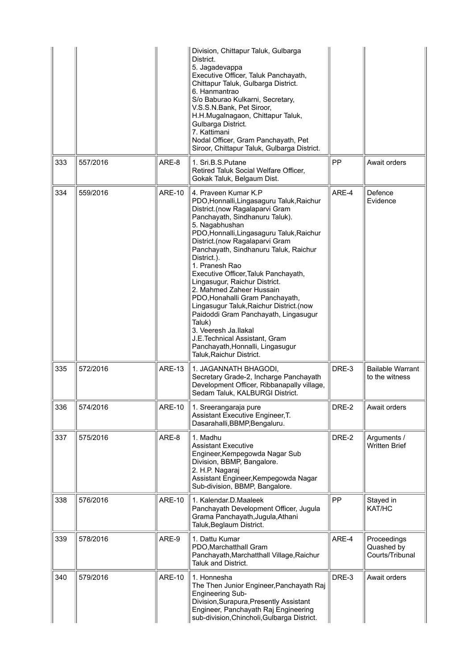|     |          |               | Division, Chittapur Taluk, Gulbarga<br>District.<br>5. Jagadevappa<br>Executive Officer, Taluk Panchayath,<br>Chittapur Taluk, Gulbarga District.<br>6. Hanmantrao<br>S/o Baburao Kulkarni, Secretary,<br>V.S.S.N.Bank, Pet Siroor,<br>H.H.Mugalnagaon, Chittapur Taluk,<br>Gulbarga District.<br>7. Kattimani<br>Nodal Officer, Gram Panchayath, Pet<br>Siroor, Chittapur Taluk, Gulbarga District.                                                                                                                                                                                                                                                                            |       |                                              |
|-----|----------|---------------|---------------------------------------------------------------------------------------------------------------------------------------------------------------------------------------------------------------------------------------------------------------------------------------------------------------------------------------------------------------------------------------------------------------------------------------------------------------------------------------------------------------------------------------------------------------------------------------------------------------------------------------------------------------------------------|-------|----------------------------------------------|
| 333 | 557/2016 | ARE-8         | 1. Sri.B.S.Putane<br>Retired Taluk Social Welfare Officer,<br>Gokak Taluk, Belgaum Dist.                                                                                                                                                                                                                                                                                                                                                                                                                                                                                                                                                                                        | PP    | Await orders                                 |
| 334 | 559/2016 | <b>ARE-10</b> | 4. Praveen Kumar K.P<br>PDO, Honnalli, Lingasaguru Taluk, Raichur<br>District.(now Ragalaparvi Gram<br>Panchayath, Sindhanuru Taluk).<br>5. Nagabhushan<br>PDO, Honnalli, Lingasaguru Taluk, Raichur<br>District.(now Ragalaparvi Gram<br>Panchayath, Sindhanuru Taluk, Raichur<br>District.).<br>1. Pranesh Rao<br>Executive Officer, Taluk Panchayath,<br>Lingasugur, Raichur District.<br>2. Mahmed Zaheer Hussain<br>PDO, Honahalli Gram Panchayath,<br>Lingasugur Taluk, Raichur District. (now<br>Paidoddi Gram Panchayath, Lingasugur<br>Taluk)<br>3. Veeresh Ja.llakal<br>J.E.Technical Assistant, Gram<br>Panchayath, Honnalli, Lingasugur<br>Taluk, Raichur District. | ARE-4 | Defence<br>Evidence                          |
| 335 | 572/2016 | <b>ARE-13</b> | 1. JAGANNATH BHAGODI,<br>Secretary Grade-2, Incharge Panchayath<br>Development Officer, Ribbanapally village,<br>Sedam Taluk, KALBURGI District.                                                                                                                                                                                                                                                                                                                                                                                                                                                                                                                                | DRE-3 | <b>Bailable Warrant</b><br>to the witness    |
| 336 | 574/2016 | ARE-10        | 1. Sreerangaraja pure<br>Assistant Executive Engineer, T.<br>Dasarahalli, BBMP, Bengaluru.                                                                                                                                                                                                                                                                                                                                                                                                                                                                                                                                                                                      | DRE-2 | Await orders                                 |
| 337 | 575/2016 | ARE-8         | 1. Madhu<br><b>Assistant Executive</b><br>Engineer, Kempegowda Nagar Sub<br>Division, BBMP, Bangalore.<br>2. H.P. Nagaraj<br>Assistant Engineer, Kempegowda Nagar<br>Sub-division, BBMP, Bangalore.                                                                                                                                                                                                                                                                                                                                                                                                                                                                             | DRE-2 | Arguments /<br><b>Written Brief</b>          |
| 338 | 576/2016 | <b>ARE-10</b> | 1. Kalendar.D.Maaleek<br>Panchayath Development Officer, Jugula<br>Grama Panchayath, Jugula, Athani<br>Taluk, Beglaum District.                                                                                                                                                                                                                                                                                                                                                                                                                                                                                                                                                 | PP    | Stayed in<br>KAT/HC                          |
| 339 | 578/2016 | ARE-9         | 1. Dattu Kumar<br>PDO, Marchatthall Gram<br>Panchayath, Marchatthall Village, Raichur<br><b>Taluk and District.</b>                                                                                                                                                                                                                                                                                                                                                                                                                                                                                                                                                             | ARE-4 | Proceedings<br>Quashed by<br>Courts/Tribunal |
| 340 | 579/2016 | <b>ARE-10</b> | 1. Honnesha<br>The Then Junior Engineer, Panchayath Raj<br><b>Engineering Sub-</b><br>Division, Surapura, Presently Assistant<br>Engineer, Panchayath Raj Engineering<br>sub-division, Chincholi, Gulbarga District.                                                                                                                                                                                                                                                                                                                                                                                                                                                            | DRE-3 | Await orders                                 |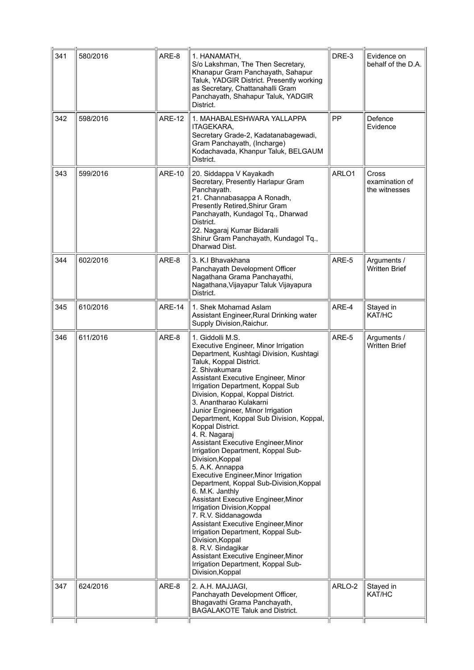| 341 | 580/2016 | ARE-8         | 1. HANAMATH,<br>S/o Lakshman, The Then Secretary,<br>Khanapur Gram Panchayath, Sahapur<br>Taluk, YADGIR District. Presently working<br>as Secretary, Chattanahalli Gram<br>Panchayath, Shahapur Taluk, YADGIR<br>District.                                                                                                                                                                                                                                                                                                                                                                                                                                                                                                                                                                                                                                                                                                                                                  | DRE-3  | Evidence on<br>behalf of the D.A.        |
|-----|----------|---------------|-----------------------------------------------------------------------------------------------------------------------------------------------------------------------------------------------------------------------------------------------------------------------------------------------------------------------------------------------------------------------------------------------------------------------------------------------------------------------------------------------------------------------------------------------------------------------------------------------------------------------------------------------------------------------------------------------------------------------------------------------------------------------------------------------------------------------------------------------------------------------------------------------------------------------------------------------------------------------------|--------|------------------------------------------|
| 342 | 598/2016 | <b>ARE-12</b> | 1. MAHABALESHWARA YALLAPPA<br>ITAGEKARA,<br>Secretary Grade-2, Kadatanabagewadi,<br>Gram Panchayath, (Incharge)<br>Kodachavada, Khanpur Taluk, BELGAUM<br>District.                                                                                                                                                                                                                                                                                                                                                                                                                                                                                                                                                                                                                                                                                                                                                                                                         | PP     | Defence<br>Evidence                      |
| 343 | 599/2016 | <b>ARE-10</b> | 20. Siddappa V Kayakadh<br>Secretary, Presently Harlapur Gram<br>Panchayath.<br>21. Channabasappa A Ronadh,<br>Presently Retired, Shirur Gram<br>Panchayath, Kundagol Tq., Dharwad<br>District.<br>22. Nagaraj Kumar Bidaralli<br>Shirur Gram Panchayath, Kundagol Tq.,<br>Dharwad Dist.                                                                                                                                                                                                                                                                                                                                                                                                                                                                                                                                                                                                                                                                                    | ARLO1  | Cross<br>examination of<br>the witnesses |
| 344 | 602/2016 | ARE-8         | 3. K.I Bhavakhana<br>Panchayath Development Officer<br>Nagathana Grama Panchayathi,<br>Nagathana, Vijayapur Taluk Vijayapura<br>District.                                                                                                                                                                                                                                                                                                                                                                                                                                                                                                                                                                                                                                                                                                                                                                                                                                   | ARE-5  | Arguments /<br><b>Written Brief</b>      |
| 345 | 610/2016 | <b>ARE-14</b> | 1. Shek Mohamad Aslam<br>Assistant Engineer, Rural Drinking water<br>Supply Division, Raichur.                                                                                                                                                                                                                                                                                                                                                                                                                                                                                                                                                                                                                                                                                                                                                                                                                                                                              | ARE-4  | Stayed in<br>KAT/HC                      |
| 346 | 611/2016 | ARE-8         | 1. Giddolli M.S.<br>Executive Engineer, Minor Irrigation<br>Department, Kushtagi Division, Kushtagi<br>Taluk, Koppal District.<br>2. Shivakumara<br>Assistant Executive Engineer, Minor<br>Irrigation Department, Koppal Sub<br>Division, Koppal, Koppal District.<br>3. Anantharao Kulakarni.<br>Junior Engineer, Minor Irrigation<br>Department, Koppal Sub Division, Koppal,<br>Koppal District.<br>4. R. Nagaraj<br>Assistant Executive Engineer, Minor<br>Irrigation Department, Koppal Sub-<br>Division, Koppal<br>5. A.K. Annappa<br><b>Executive Engineer, Minor Irrigation</b><br>Department, Koppal Sub-Division, Koppal<br>6. M.K. Janthly<br>Assistant Executive Engineer, Minor<br>Irrigation Division, Koppal<br>7. R.V. Siddanagowda<br>Assistant Executive Engineer, Minor<br>Irrigation Department, Koppal Sub-<br>Division, Koppal<br>8. R.V. Sindagikar<br>Assistant Executive Engineer, Minor<br>Irrigation Department, Koppal Sub-<br>Division, Koppal | ARE-5  | Arguments /<br><b>Written Brief</b>      |
| 347 | 624/2016 | ARE-8         | 2. A.H. MAJJAGI,<br>Panchayath Development Officer,<br>Bhagavathi Grama Panchayath,<br><b>BAGALAKOTE Taluk and District.</b>                                                                                                                                                                                                                                                                                                                                                                                                                                                                                                                                                                                                                                                                                                                                                                                                                                                | ARLO-2 | Stayed in<br>KAT/HC                      |
|     |          |               |                                                                                                                                                                                                                                                                                                                                                                                                                                                                                                                                                                                                                                                                                                                                                                                                                                                                                                                                                                             |        |                                          |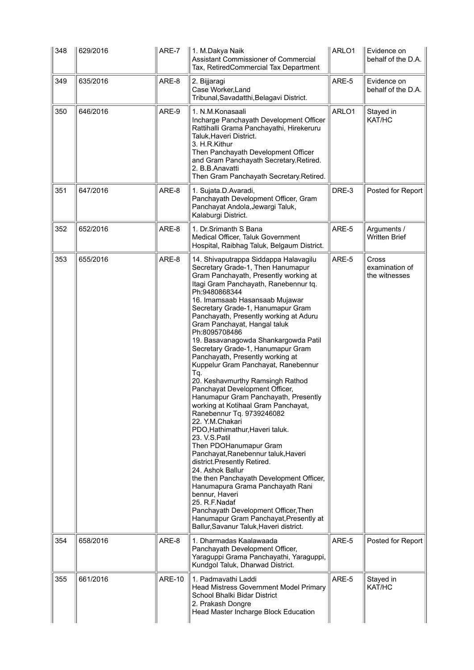| 348 | 629/2016 | ARE-7         | 1. M.Dakya Naik<br>Assistant Commissioner of Commercial<br>Tax, RetiredCommercial Tax Department                                                                                                                                                                                                                                                                                                                                                                                                                                                                                                                                                                                                                                                                                                                                                                                                                                                                                                                                                                                                                                            | ARLO1 | Evidence on<br>behalf of the D.A.               |
|-----|----------|---------------|---------------------------------------------------------------------------------------------------------------------------------------------------------------------------------------------------------------------------------------------------------------------------------------------------------------------------------------------------------------------------------------------------------------------------------------------------------------------------------------------------------------------------------------------------------------------------------------------------------------------------------------------------------------------------------------------------------------------------------------------------------------------------------------------------------------------------------------------------------------------------------------------------------------------------------------------------------------------------------------------------------------------------------------------------------------------------------------------------------------------------------------------|-------|-------------------------------------------------|
| 349 | 635/2016 | ARE-8         | 2. Bijjaragi<br>Case Worker, Land<br>Tribunal, Savadatthi, Belagavi District.                                                                                                                                                                                                                                                                                                                                                                                                                                                                                                                                                                                                                                                                                                                                                                                                                                                                                                                                                                                                                                                               | ARE-5 | Evidence on<br>behalf of the D.A.               |
| 350 | 646/2016 | ARE-9         | 1. N.M.Konasaali<br>Incharge Panchayath Development Officer<br>Rattihalli Grama Panchayathi, Hirekeruru<br>Taluk, Haveri District.<br>3. H.R.Kithur<br>Then Panchayath Development Officer<br>and Gram Panchayath Secretary.Retired.<br>2. B.B.Anavatti<br>Then Gram Panchayath Secretary.Retired.                                                                                                                                                                                                                                                                                                                                                                                                                                                                                                                                                                                                                                                                                                                                                                                                                                          | ARLO1 | Stayed in<br>KAT/HC                             |
| 351 | 647/2016 | ARE-8         | 1. Sujata.D.Avaradi,<br>Panchayath Development Officer, Gram<br>Panchayat Andola, Jewargi Taluk,<br>Kalaburgi District.                                                                                                                                                                                                                                                                                                                                                                                                                                                                                                                                                                                                                                                                                                                                                                                                                                                                                                                                                                                                                     | DRE-3 | Posted for Report                               |
| 352 | 652/2016 | ARE-8         | 1. Dr.Srimanth S Bana<br>Medical Officer, Taluk Government<br>Hospital, Raibhag Taluk, Belgaum District.                                                                                                                                                                                                                                                                                                                                                                                                                                                                                                                                                                                                                                                                                                                                                                                                                                                                                                                                                                                                                                    | ARE-5 | Arguments /<br><b>Written Brief</b>             |
| 353 | 655/2016 | ARE-8         | 14. Shivaputrappa Siddappa Halavagilu<br>Secretary Grade-1, Then Hanumapur<br>Gram Panchayath, Presently working at<br>Itagi Gram Panchayath, Ranebennur tq.<br>Ph:9480868344<br>16. Imamsaab Hasansaab Mujawar<br>Secretary Grade-1, Hanumapur Gram<br>Panchayath, Presently working at Aduru<br>Gram Panchayat, Hangal taluk<br>Ph:8095708486<br>19. Basavanagowda Shankargowda Patil<br>Secretary Grade-1, Hanumapur Gram<br>Panchayath, Presently working at<br>Kuppelur Gram Panchayat, Ranebennur<br>Tq.<br>20. Keshavmurthy Ramsingh Rathod<br>Panchayat Development Officer,<br>Hanumapur Gram Panchayath, Presently<br>working at Kotihaal Gram Panchayat,<br>Ranebennur Tq. 9739246082<br>22. Y.M.Chakari<br>PDO, Hathimathur, Haveri taluk.<br>23. V.S.Patil<br>Then PDOHanumapur Gram<br>Panchayat, Ranebennur taluk, Haveri<br>district.Presently Retired.<br>24. Ashok Ballur<br>the then Panchayath Development Officer,<br>Hanumapura Grama Panchayath Rani<br>bennur, Haveri<br>25. R.F.Nadaf<br>Panchayath Development Officer, Then<br>Hanumapur Gram Panchayat, Presently at<br>Ballur, Savanur Taluk, Haveri district. | ARE-5 | <b>Cross</b><br>examination of<br>the witnesses |
| 354 | 658/2016 | ARE-8         | 1. Dharmadas Kaalawaada<br>Panchayath Development Officer,<br>Yaraguppi Grama Panchayathi, Yaraguppi,<br>Kundgol Taluk, Dharwad District.                                                                                                                                                                                                                                                                                                                                                                                                                                                                                                                                                                                                                                                                                                                                                                                                                                                                                                                                                                                                   | ARE-5 | Posted for Report                               |
| 355 | 661/2016 | <b>ARE-10</b> | 1. Padmavathi Laddi<br>Head Mistress Government Model Primary<br>School Bhalki Bidar District<br>2. Prakash Dongre<br>Head Master Incharge Block Education                                                                                                                                                                                                                                                                                                                                                                                                                                                                                                                                                                                                                                                                                                                                                                                                                                                                                                                                                                                  | ARE-5 | Stayed in<br>KAT/HC                             |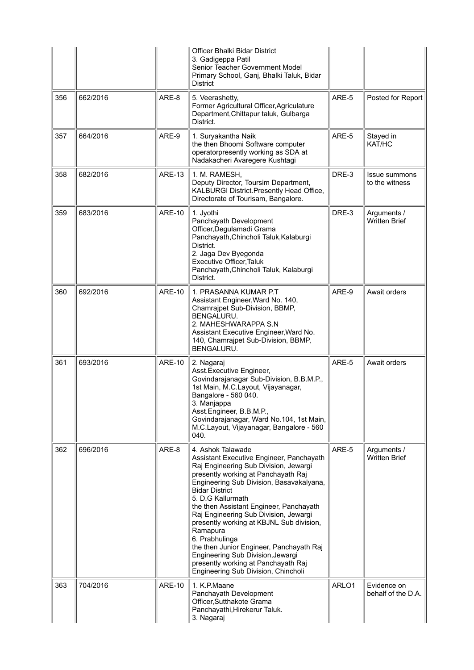|     |          |               | Officer Bhalki Bidar District<br>3. Gadigeppa Patil<br>Senior Teacher Government Model<br>Primary School, Ganj, Bhalki Taluk, Bidar<br>District                                                                                                                                                                                                                                                                                                                                                                                                                      |       |                                     |
|-----|----------|---------------|----------------------------------------------------------------------------------------------------------------------------------------------------------------------------------------------------------------------------------------------------------------------------------------------------------------------------------------------------------------------------------------------------------------------------------------------------------------------------------------------------------------------------------------------------------------------|-------|-------------------------------------|
| 356 | 662/2016 | ARE-8         | 5. Veerashetty,<br>Former Agricultural Officer, Agriculature<br>Department, Chittapur taluk, Gulbarga<br>District.                                                                                                                                                                                                                                                                                                                                                                                                                                                   | ARE-5 | Posted for Report                   |
| 357 | 664/2016 | ARE-9         | 1. Suryakantha Naik<br>the then Bhoomi Software computer<br>operatorpresently working as SDA at<br>Nadakacheri Avaregere Kushtagi                                                                                                                                                                                                                                                                                                                                                                                                                                    | ARE-5 | Stayed in<br>KAT/HC                 |
| 358 | 682/2016 | <b>ARE-13</b> | 1. M. RAMESH,<br>Deputy Director, Toursim Department,<br>KALBURGI District. Presently Head Office,<br>Directorate of Tourisam, Bangalore.                                                                                                                                                                                                                                                                                                                                                                                                                            | DRE-3 | Issue summons<br>to the witness     |
| 359 | 683/2016 | <b>ARE-10</b> | 1. Jyothi<br>Panchayath Development<br>Officer, Degulamadi Grama<br>Panchayath, Chincholi Taluk, Kalaburgi<br>District.<br>2. Jaga Dev Byegonda<br>Executive Officer, Taluk<br>Panchayath, Chincholi Taluk, Kalaburgi<br>District.                                                                                                                                                                                                                                                                                                                                   | DRE-3 | Arguments /<br><b>Written Brief</b> |
| 360 | 692/2016 | <b>ARE-10</b> | 1. PRASANNA KUMAR P.T<br>Assistant Engineer, Ward No. 140,<br>Chamrajpet Sub-Division, BBMP,<br>BENGALURU.<br>2. MAHESHWARAPPA S.N<br>Assistant Executive Engineer, Ward No.<br>140, Chamrajpet Sub-Division, BBMP,<br>BENGALURU.                                                                                                                                                                                                                                                                                                                                    | ARE-9 | Await orders                        |
| 361 | 693/2016 | <b>ARE-10</b> | 2. Nagaraj<br>Asst.Executive Engineer,<br>Govindarajanagar Sub-Division, B.B.M.P.,<br>1st Main, M.C.Layout, Vijayanagar,<br>Bangalore - 560 040.<br>3. Manjappa<br>Asst.Engineer, B.B.M.P.,<br>Govindarajanagar, Ward No.104, 1st Main,<br>M.C.Layout, Vijayanagar, Bangalore - 560<br>040.                                                                                                                                                                                                                                                                          | ARE-5 | Await orders                        |
| 362 | 696/2016 | ARE-8         | 4. Ashok Talawade<br>Assistant Executive Engineer, Panchayath<br>Raj Engineering Sub Division, Jewargi<br>presently working at Panchayath Raj<br>Engineering Sub Division, Basavakalyana,<br><b>Bidar District</b><br>5. D.G Kallurmath<br>the then Assistant Engineer, Panchayath<br>Raj Engineering Sub Division, Jewargi<br>presently working at KBJNL Sub division,<br>Ramapura<br>6. Prabhulinga<br>the then Junior Engineer, Panchayath Raj<br>Engineering Sub Division, Jewargi<br>presently working at Panchayath Raj<br>Engineering Sub Division, Chincholi | ARE-5 | Arguments /<br><b>Written Brief</b> |
| 363 | 704/2016 | <b>ARE-10</b> | 1. K.P.Maane<br>Panchayath Development<br>Officer, Sutthakote Grama<br>Panchayathi, Hirekerur Taluk.<br>3. Nagaraj                                                                                                                                                                                                                                                                                                                                                                                                                                                   | ARLO1 | Evidence on<br>behalf of the D.A.   |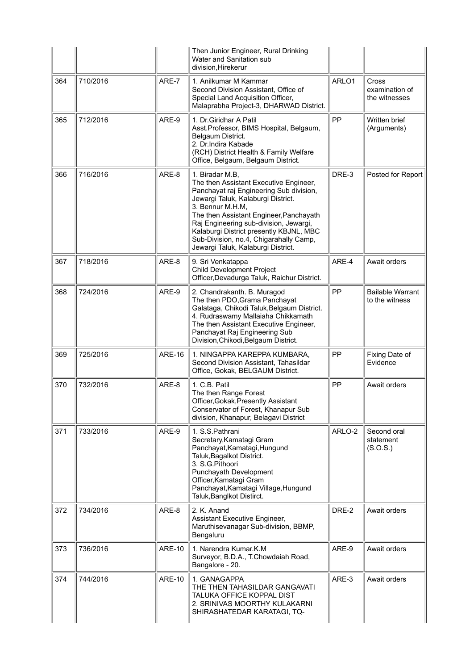|     |          |               | Then Junior Engineer, Rural Drinking<br>Water and Sanitation sub<br>division, Hirekerur                                                                                                                                                                                                                                                                                        |        |                                           |
|-----|----------|---------------|--------------------------------------------------------------------------------------------------------------------------------------------------------------------------------------------------------------------------------------------------------------------------------------------------------------------------------------------------------------------------------|--------|-------------------------------------------|
| 364 | 710/2016 | ARE-7         | 1. Anilkumar M Kammar<br>Second Division Assistant, Office of<br>Special Land Acquisition Officer,<br>Malaprabha Project-3, DHARWAD District.                                                                                                                                                                                                                                  | ARLO1  | Cross<br>examination of<br>the witnesses  |
| 365 | 712/2016 | ARE-9         | 1. Dr. Giridhar A Patil<br>Asst.Professor, BIMS Hospital, Belgaum,<br>Belgaum District.<br>2. Dr. Indira Kabade<br>(RCH) District Health & Family Welfare<br>Office, Belgaum, Belgaum District.                                                                                                                                                                                | PP     | Written brief<br>(Arguments)              |
| 366 | 716/2016 | ARE-8         | 1. Biradar M.B,<br>The then Assistant Executive Engineer,<br>Panchayat raj Engineering Sub division,<br>Jewargi Taluk, Kalaburgi District.<br>3. Bennur M.H.M,<br>The then Assistant Engineer, Panchayath<br>Raj Engineering sub-division, Jewargi,<br>Kalaburgi District presently KBJNL, MBC<br>Sub-Division, no.4, Chigarahally Camp,<br>Jewargi Taluk, Kalaburgi District. | DRE-3  | Posted for Report                         |
| 367 | 718/2016 | ARE-8         | 9. Sri Venkatappa<br>Child Development Project<br>Officer, Devadurga Taluk, Raichur District.                                                                                                                                                                                                                                                                                  | ARE-4  | Await orders                              |
| 368 | 724/2016 | ARE-9         | 2. Chandrakanth. B. Muragod<br>The then PDO, Grama Panchayat<br>Galataga, Chikodi Taluk, Belgaum District.<br>4. Rudraswamy Mallaiaha Chikkamath<br>The then Assistant Executive Engineer,<br>Panchayat Raj Engineering Sub<br>Division, Chikodi, Belgaum District.                                                                                                            | PP     | <b>Bailable Warrant</b><br>to the witness |
| 369 | 725/2016 | <b>ARE-16</b> | 1. NINGAPPA KAREPPA KUMBARA.<br>Second Division Assistant, Tahasildar<br>Office, Gokak, BELGAUM District.                                                                                                                                                                                                                                                                      | PP     | Fixing Date of<br>Evidence                |
| 370 | 732/2016 | ARE-8         | 1. C.B. Patil<br>The then Range Forest<br>Officer, Gokak, Presently Assistant<br>Conservator of Forest, Khanapur Sub<br>division, Khanapur, Belagavi District                                                                                                                                                                                                                  | PP     | Await orders                              |
| 371 | 733/2016 | ARE-9         | 1. S.S. Pathrani<br>Secretary, Kamatagi Gram<br>Panchayat, Kamatagi, Hungund<br>Taluk, Bagalkot District.<br>3. S.G.Pithoori<br>Punchayath Development<br>Officer, Kamatagi Gram<br>Panchayat, Kamatagi Village, Hungund<br>Taluk, Banglkot Distirct.                                                                                                                          | ARLO-2 | Second oral<br>statement<br>(S.O.S.)      |
| 372 | 734/2016 | ARE-8         | 2. K. Anand<br>Assistant Executive Engineer,<br>Maruthisevanagar Sub-division, BBMP,<br>Bengaluru                                                                                                                                                                                                                                                                              | DRE-2  | Await orders                              |
| 373 | 736/2016 | <b>ARE-10</b> | 1. Narendra Kumar.K.M<br>Surveyor, B.D.A., T.Chowdaiah Road,<br>Bangalore - 20.                                                                                                                                                                                                                                                                                                | ARE-9  | Await orders                              |
| 374 | 744/2016 | <b>ARE-10</b> | 1. GANAGAPPA<br>THE THEN TAHASILDAR GANGAVATI<br>TALUKA OFFICE KOPPAL DIST<br>2. SRINIVAS MOORTHY KULAKARNI<br>SHIRASHATEDAR KARATAGI, TQ-                                                                                                                                                                                                                                     | ARE-3  | Await orders                              |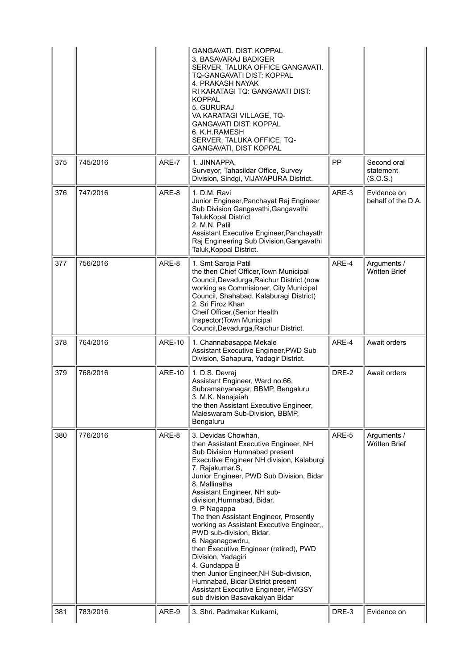|     |          |               | GANGAVATI. DIST: KOPPAL<br>3. BASAVARAJ BADIGER<br>SERVER, TALUKA OFFICE GANGAVATI.<br>TQ-GANGAVATI DIST: KOPPAL<br>4. PRAKASH NAYAK<br>RI KARATAGI TQ: GANGAVATI DIST:<br>KOPPAL<br>5. GURURAJ<br>VA KARATAGI VILLAGE, TQ-<br><b>GANGAVATI DIST: KOPPAL</b><br>6. K.H.RAMESH<br>SERVER, TALUKA OFFICE, TQ-<br>GANGAVATI, DIST KOPPAL                                                                                                                                                                                                                                                                                                                                                   |       |                                      |
|-----|----------|---------------|-----------------------------------------------------------------------------------------------------------------------------------------------------------------------------------------------------------------------------------------------------------------------------------------------------------------------------------------------------------------------------------------------------------------------------------------------------------------------------------------------------------------------------------------------------------------------------------------------------------------------------------------------------------------------------------------|-------|--------------------------------------|
| 375 | 745/2016 | ARE-7         | 1. JINNAPPA,<br>Surveyor, Tahasildar Office, Survey<br>Division, Sindgi, VIJAYAPURA District.                                                                                                                                                                                                                                                                                                                                                                                                                                                                                                                                                                                           | PP    | Second oral<br>statement<br>(S.O.S.) |
| 376 | 747/2016 | ARE-8         | 1. D.M. Ravi<br>Junior Engineer, Panchayat Raj Engineer<br>Sub Division Gangavathi, Gangavathi<br><b>TalukKopal District</b><br>2. M.N. Patil<br>Assistant Executive Engineer, Panchayath<br>Raj Engineering Sub Division, Gangavathi<br>Taluk, Koppal District.                                                                                                                                                                                                                                                                                                                                                                                                                        | ARE-3 | Evidence on<br>behalf of the D.A.    |
| 377 | 756/2016 | ARE-8         | 1. Smt Saroja Patil<br>the then Chief Officer, Town Municipal<br>Council, Devadurga, Raichur District. (now<br>working as Commisioner, City Municipal<br>Council, Shahabad, Kalaburagi District)<br>2. Sri Firoz Khan<br>Cheif Officer, (Senior Health<br>Inspector) Town Municipal<br>Council, Devadurga, Raichur District.                                                                                                                                                                                                                                                                                                                                                            | ARE-4 | Arguments /<br>Written Brief         |
| 378 | 764/2016 | <b>ARE-10</b> | 1. Channabasappa Mekale<br>Assistant Executive Engineer, PWD Sub<br>Division, Sahapura, Yadagir District.                                                                                                                                                                                                                                                                                                                                                                                                                                                                                                                                                                               | ARE-4 | Await orders                         |
| 379 | 768/2016 | <b>ARE-10</b> | 1. D.S. Devraj<br>Assistant Engineer, Ward no.66,<br>Subramanyanagar, BBMP, Bengaluru<br>3. M.K. Nanajaiah<br>the then Assistant Executive Engineer,<br>Maleswaram Sub-Division, BBMP,<br>Bengaluru                                                                                                                                                                                                                                                                                                                                                                                                                                                                                     | DRE-2 | Await orders                         |
| 380 | 776/2016 | ARE-8         | 3. Devidas Chowhan,<br>then Assistant Executive Engineer, NH<br>Sub Division Humnabad present<br>Executive Engineer NH division, Kalaburgi<br>7. Rajakumar.S,<br>Junior Engineer, PWD Sub Division, Bidar<br>8. Mallinatha<br>Assistant Engineer, NH sub-<br>division, Humnabad, Bidar.<br>9. P Nagappa<br>The then Assistant Engineer, Presently<br>working as Assistant Executive Engineer,,<br>PWD sub-division, Bidar.<br>6. Naganagowdru,<br>then Executive Engineer (retired), PWD<br>Division, Yadagiri<br>4. Gundappa B<br>then Junior Engineer, NH Sub-division,<br>Humnabad, Bidar District present<br>Assistant Executive Engineer, PMGSY<br>sub division Basavakalyan Bidar | ARE-5 | Arguments /<br>Written Brief         |
| 381 | 783/2016 | ARE-9         | 3. Shri. Padmakar Kulkarni,                                                                                                                                                                                                                                                                                                                                                                                                                                                                                                                                                                                                                                                             | DRE-3 | Evidence on                          |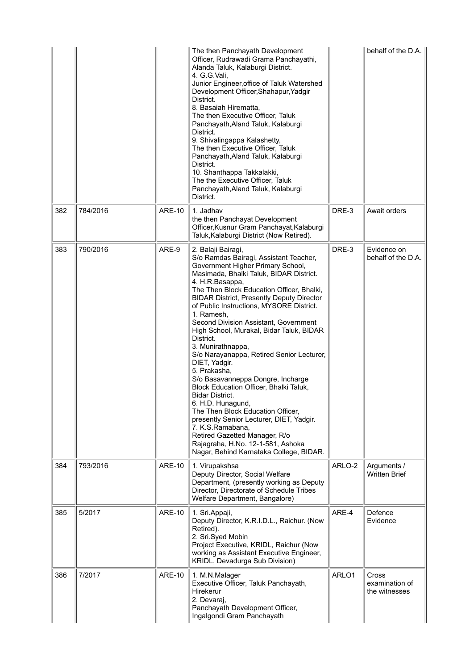|     |          |               | The then Panchayath Development<br>Officer, Rudrawadi Grama Panchayathi,<br>Alanda Taluk, Kalaburgi District.<br>4. G.G. Vali,<br>Junior Engineer, office of Taluk Watershed<br>Development Officer, Shahapur, Yadgir<br>District.<br>8. Basaiah Hirematta,<br>The then Executive Officer, Taluk<br>Panchayath, Aland Taluk, Kalaburgi<br>District.<br>9. Shivalingappa Kalashetty,<br>The then Executive Officer, Taluk<br>Panchayath, Aland Taluk, Kalaburgi<br>District.<br>10. Shanthappa Takkalakki,<br>The the Executive Officer, Taluk<br>Panchayath, Aland Taluk, Kalaburgi<br>District.                                                                                                                                                                                                                                                                                    |        | behalf of the D.A. $ $                          |
|-----|----------|---------------|-------------------------------------------------------------------------------------------------------------------------------------------------------------------------------------------------------------------------------------------------------------------------------------------------------------------------------------------------------------------------------------------------------------------------------------------------------------------------------------------------------------------------------------------------------------------------------------------------------------------------------------------------------------------------------------------------------------------------------------------------------------------------------------------------------------------------------------------------------------------------------------|--------|-------------------------------------------------|
| 382 | 784/2016 | <b>ARE-10</b> | 1. Jadhav<br>the then Panchayat Development<br>Officer, Kusnur Gram Panchayat, Kalaburgi<br>Taluk, Kalaburgi District (Now Retired).                                                                                                                                                                                                                                                                                                                                                                                                                                                                                                                                                                                                                                                                                                                                                | DRE-3  | Await orders                                    |
| 383 | 790/2016 | ARE-9         | 2. Balaji Bairagi,<br>S/o Ramdas Bairagi, Assistant Teacher,<br>Government Higher Primary School,<br>Masimada, Bhalki Taluk, BIDAR District.<br>4. H.R.Basappa,<br>The Then Block Education Officer, Bhalki,<br><b>BIDAR District, Presently Deputy Director</b><br>of Public Instructions, MYSORE District.<br>1. Ramesh,<br>Second Division Assistant, Government<br>High School, Murakal, Bidar Taluk, BIDAR<br>District.<br>3. Munirathnappa,<br>S/o Narayanappa, Retired Senior Lecturer,<br>DIET, Yadgir.<br>5. Prakasha,<br>S/o Basavanneppa Dongre, Incharge<br>Block Education Officer, Bhalki Taluk,<br><b>Bidar District.</b><br>6. H.D. Hunagund,<br>The Then Block Education Officer,<br>presently Senior Lecturer, DIET, Yadgir.<br>7. K.S.Ramabana,<br>Retired Gazetted Manager, R/o<br>Rajagraha, H.No. 12-1-581, Ashoka<br>Nagar, Behind Karnataka College, BIDAR. | DRE-3  | Evidence on<br>behalf of the D.A.               |
| 384 | 793/2016 | <b>ARE-10</b> | 1. Virupakshsa<br>Deputy Director, Social Welfare<br>Department, (presently working as Deputy<br>Director, Directorate of Schedule Tribes<br>Welfare Department, Bangalore)                                                                                                                                                                                                                                                                                                                                                                                                                                                                                                                                                                                                                                                                                                         | ARLO-2 | Arguments /<br><b>Written Brief</b>             |
| 385 | 5/2017   | <b>ARE-10</b> | 1. Sri. Appaji,<br>Deputy Director, K.R.I.D.L., Raichur. (Now<br>Retired).<br>2. Sri.Syed Mobin<br>Project Executive, KRIDL, Raichur (Now<br>working as Assistant Executive Engineer,<br>KRIDL, Devadurga Sub Division)                                                                                                                                                                                                                                                                                                                                                                                                                                                                                                                                                                                                                                                             | ARE-4  | Defence<br>Evidence                             |
| 386 | 7/2017   | <b>ARE-10</b> | 1. M.N.Malager<br>Executive Officer, Taluk Panchayath,<br>Hirekerur<br>2. Devaraj,<br>Panchayath Development Officer,<br>Ingalgondi Gram Panchayath                                                                                                                                                                                                                                                                                                                                                                                                                                                                                                                                                                                                                                                                                                                                 | ARLO1  | <b>Cross</b><br>examination of<br>the witnesses |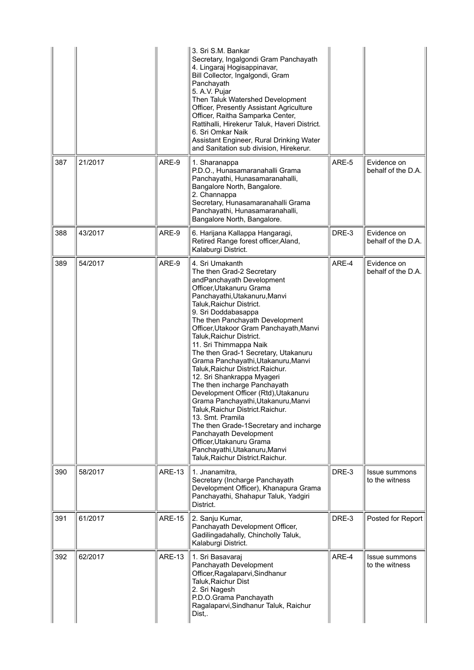|     |         |               | 3. Sri S.M. Bankar<br>Secretary, Ingalgondi Gram Panchayath<br>4. Lingaraj Hogisappinavar,<br>Bill Collector, Ingalgondi, Gram<br>Panchayath<br>5. A.V. Pujar<br>Then Taluk Watershed Development<br>Officer, Presently Assistant Agriculture<br>Officer, Raitha Samparka Center,<br>Rattihalli, Hirekerur Taluk, Haveri District.<br>6. Sri Omkar Naik<br>Assistant Engineer, Rural Drinking Water<br>and Sanitation sub division, Hirekerur.                                                                                                                                                                                                                                                                                                                                                                                |       |                                   |
|-----|---------|---------------|-------------------------------------------------------------------------------------------------------------------------------------------------------------------------------------------------------------------------------------------------------------------------------------------------------------------------------------------------------------------------------------------------------------------------------------------------------------------------------------------------------------------------------------------------------------------------------------------------------------------------------------------------------------------------------------------------------------------------------------------------------------------------------------------------------------------------------|-------|-----------------------------------|
| 387 | 21/2017 | ARE-9         | 1. Sharanappa<br>P.D.O., Hunasamaranahalli Grama<br>Panchayathi, Hunasamaranahalli,<br>Bangalore North, Bangalore.<br>2. Channappa<br>Secretary, Hunasamaranahalli Grama<br>Panchayathi, Hunasamaranahalli,<br>Bangalore North, Bangalore.                                                                                                                                                                                                                                                                                                                                                                                                                                                                                                                                                                                    | ARE-5 | Evidence on<br>behalf of the D.A. |
| 388 | 43/2017 | ARE-9         | 6. Harijana Kallappa Hangaragi,<br>Retired Range forest officer, Aland,<br>Kalaburgi District.                                                                                                                                                                                                                                                                                                                                                                                                                                                                                                                                                                                                                                                                                                                                | DRE-3 | Evidence on<br>behalf of the D.A. |
| 389 | 54/2017 | ARE-9         | 4. Sri Umakanth<br>The then Grad-2 Secretary<br>andPanchayath Development<br>Officer, Utakanuru Grama<br>Panchayathi, Utakanuru, Manvi<br>Taluk, Raichur District.<br>9. Sri Doddabasappa<br>The then Panchayath Development<br>Officer, Utakoor Gram Panchayath, Manvi<br>Taluk, Raichur District.<br>11. Sri Thimmappa Naik<br>The then Grad-1 Secretary, Utakanuru<br>Grama Panchayathi, Utakanuru, Manvi<br>Taluk, Raichur District. Raichur.<br>12. Sri Shankrappa Myageri<br>The then incharge Panchayath<br>Development Officer (Rtd), Utakanuru<br>Grama Panchayathi, Utakanuru, Manvi<br>Taluk, Raichur District. Raichur.<br>13. Smt. Pramila<br>The then Grade-1Secretary and incharge<br>Panchayath Development<br>Officer, Utakanuru Grama<br>Panchayathi, Utakanuru, Manvi<br>Taluk, Raichur District. Raichur. | ARE-4 | Evidence on<br>behalf of the D.A. |
| 390 | 58/2017 | <b>ARE-13</b> | 1. Jnanamitra,<br>Secretary (Incharge Panchayath<br>Development Officer), Khanapura Grama<br>Panchayathi, Shahapur Taluk, Yadgiri<br>District.                                                                                                                                                                                                                                                                                                                                                                                                                                                                                                                                                                                                                                                                                | DRE-3 | Issue summons<br>to the witness   |
| 391 | 61/2017 | <b>ARE-15</b> | 2. Sanju Kumar,<br>Panchayath Development Officer,<br>Gadilingadahally, Chincholly Taluk,<br>Kalaburgi District.                                                                                                                                                                                                                                                                                                                                                                                                                                                                                                                                                                                                                                                                                                              | DRE-3 | Posted for Report                 |
| 392 | 62/2017 | <b>ARE-13</b> | 1. Sri Basavaraj<br>Panchayath Development<br>Officer, Ragalaparvi, Sindhanur<br>Taluk, Raichur Dist<br>2. Sri Nagesh<br>P.D.O.Grama Panchayath<br>Ragalaparvi, Sindhanur Taluk, Raichur<br>Dist,.                                                                                                                                                                                                                                                                                                                                                                                                                                                                                                                                                                                                                            | ARE-4 | Issue summons<br>to the witness   |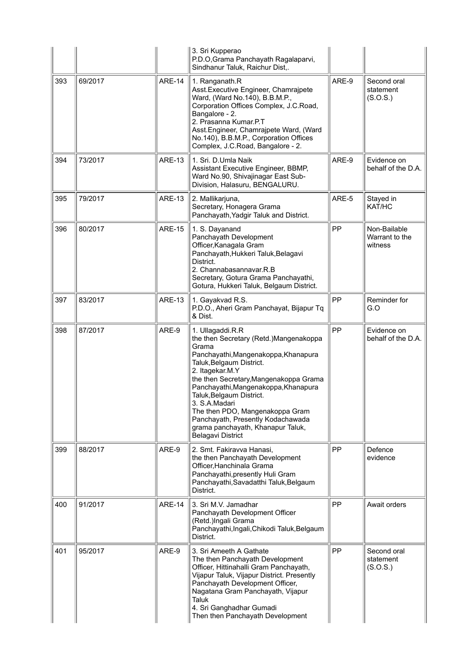|     |         |               | 3. Sri Kupperao<br>P.D.O, Grama Panchayath Ragalaparvi,<br>Sindhanur Taluk, Raichur Dist,.                                                                                                                                                                                                                                                                                                                                          |       |                                           |
|-----|---------|---------------|-------------------------------------------------------------------------------------------------------------------------------------------------------------------------------------------------------------------------------------------------------------------------------------------------------------------------------------------------------------------------------------------------------------------------------------|-------|-------------------------------------------|
| 393 | 69/2017 | <b>ARE-14</b> | 1. Ranganath.R<br>Asst. Executive Engineer, Chamrajpete<br>Ward, (Ward No.140), B.B.M.P.,<br>Corporation Offices Complex, J.C.Road,<br>Bangalore - 2.<br>2. Prasanna Kumar.P.T<br>Asst.Engineer, Chamrajpete Ward, (Ward<br>No.140), B.B.M.P., Corporation Offices<br>Complex, J.C.Road, Bangalore - 2.                                                                                                                             | ARE-9 | Second oral<br>statement<br>(S.O.S.)      |
| 394 | 73/2017 | <b>ARE-13</b> | 1. Sri. D.Umla Naik<br>Assistant Executive Engineer, BBMP,<br>Ward No.90, Shivajinagar East Sub-<br>Division, Halasuru, BENGALURU.                                                                                                                                                                                                                                                                                                  | ARE-9 | Evidence on<br>behalf of the D.A.         |
| 395 | 79/2017 | <b>ARE-13</b> | 2. Mallikarjuna,<br>Secretary, Honagera Grama<br>Panchayath, Yadgir Taluk and District.                                                                                                                                                                                                                                                                                                                                             | ARE-5 | Stayed in<br>KAT/HC                       |
| 396 | 80/2017 | <b>ARE-15</b> | 1. S. Dayanand<br>Panchayath Development<br>Officer, Kanagala Gram<br>Panchayath, Hukkeri Taluk, Belagavi<br>District.<br>2. Channabasannavar.R.B<br>Secretary, Gotura Grama Panchayathi,<br>Gotura, Hukkeri Taluk, Belgaum District.                                                                                                                                                                                               | PP    | Non-Bailable<br>Warrant to the<br>witness |
| 397 | 83/2017 | <b>ARE-13</b> | 1. Gayakvad R.S.<br>P.D.O., Aheri Gram Panchayat, Bijapur Tq<br>& Dist.                                                                                                                                                                                                                                                                                                                                                             | PP    | Reminder for<br>G.O                       |
| 398 | 87/2017 | ARE-9         | 1. Ullagaddi.R.R<br>the then Secretary (Retd.) Mangenakoppa<br>Grama<br>Panchayathi, Mangenakoppa, Khanapura<br>Taluk, Belgaum District.<br>2. Itagekar.M.Y<br>the then Secretary, Mangenakoppa Grama<br>Panchayathi, Mangenakoppa, Khanapura<br>Taluk, Belgaum District.<br>3. S.A.Madari<br>The then PDO, Mangenakoppa Gram<br>Panchayath, Presently Kodachawada<br>grama panchayath, Khanapur Taluk,<br><b>Belagavi District</b> | PP    | Evidence on<br>behalf of the D.A.         |
| 399 | 88/2017 | ARE-9         | 2. Smt. Fakiravva Hanasi,<br>the then Panchayath Development<br>Officer, Hanchinala Grama<br>Panchayathi, presently Huli Gram<br>Panchayathi, Savadatthi Taluk, Belgaum<br>District.                                                                                                                                                                                                                                                | PP    | Defence<br>evidence                       |
| 400 | 91/2017 | <b>ARE-14</b> | 3. Sri M.V. Jamadhar<br>Panchayath Development Officer<br>(Retd.)Ingali Grama<br>Panchayathi, Ingali, Chikodi Taluk, Belgaum<br>District.                                                                                                                                                                                                                                                                                           | PP    | Await orders                              |
| 401 | 95/2017 | ARE-9         | 3. Sri Ameeth A Gathate<br>The then Panchayath Development<br>Officer, Hittinahalli Gram Panchayath,<br>Vijapur Taluk, Vijapur District. Presently<br>Panchayath Development Officer,<br>Nagatana Gram Panchayath, Vijapur<br>Taluk<br>4. Sri Ganghadhar Gumadi<br>Then then Panchayath Development                                                                                                                                 | PP    | Second oral<br>statement<br>(S.O.S.)      |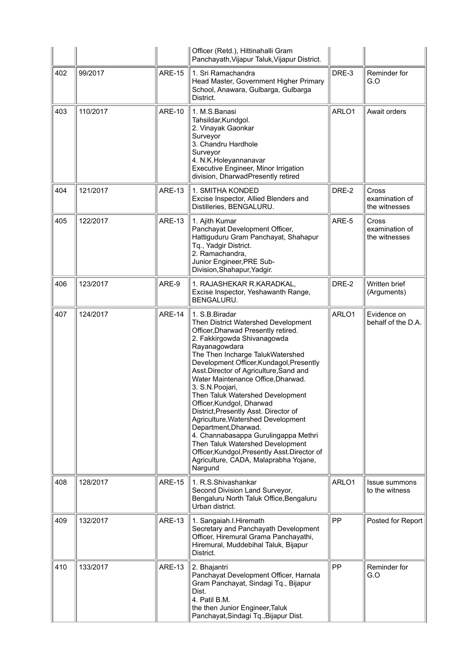|     |          |               | Officer (Retd.), Hittinahalli Gram<br>Panchayath, Vijapur Taluk, Vijapur District.                                                                                                                                                                                                                                                                                                                                                                                                                                                                                                                                                                                                         |       |                                                 |
|-----|----------|---------------|--------------------------------------------------------------------------------------------------------------------------------------------------------------------------------------------------------------------------------------------------------------------------------------------------------------------------------------------------------------------------------------------------------------------------------------------------------------------------------------------------------------------------------------------------------------------------------------------------------------------------------------------------------------------------------------------|-------|-------------------------------------------------|
| 402 | 99/2017  | <b>ARE-15</b> | 1. Sri Ramachandra<br>Head Master, Government Higher Primary<br>School, Anawara, Gulbarga, Gulbarga<br>District.                                                                                                                                                                                                                                                                                                                                                                                                                                                                                                                                                                           | DRE-3 | Reminder for<br>G.O                             |
| 403 | 110/2017 | <b>ARE-10</b> | 1. M.S.Banasi<br>Tahsildar, Kundgol.<br>2. Vinayak Gaonkar<br>Surveyor<br>3. Chandru Hardhole<br>Surveyor<br>4. N.K.Holeyannanavar<br>Executive Engineer, Minor Irrigation<br>division, DharwadPresently retired                                                                                                                                                                                                                                                                                                                                                                                                                                                                           | ARLO1 | Await orders                                    |
| 404 | 121/2017 | <b>ARE-13</b> | 1. SMITHA KONDED<br>Excise Inspector, Allied Blenders and<br>Distilleries, BENGALURU.                                                                                                                                                                                                                                                                                                                                                                                                                                                                                                                                                                                                      | DRE-2 | <b>Cross</b><br>examination of<br>the witnesses |
| 405 | 122/2017 | <b>ARE-13</b> | 1. Ajith Kumar<br>Panchayat Development Officer,<br>Hattiguduru Gram Panchayat, Shahapur<br>Tq., Yadgir District.<br>2. Ramachandra,<br>Junior Engineer, PRE Sub-<br>Division, Shahapur, Yadgir.                                                                                                                                                                                                                                                                                                                                                                                                                                                                                           | ARE-5 | Cross<br>examination of<br>the witnesses        |
| 406 | 123/2017 | ARE-9         | 1. RAJASHEKAR R.KARADKAL,<br>Excise Inspector, Yeshawanth Range,<br>BENGALURU.                                                                                                                                                                                                                                                                                                                                                                                                                                                                                                                                                                                                             | DRE-2 | Written brief<br>(Arguments)                    |
| 407 | 124/2017 | <b>ARE-14</b> | 1. S.B. Biradar<br>Then District Watershed Development<br>Officer, Dharwad Presently retired.<br>2. Fakkirgowda Shivanagowda<br>Rayanagowdara<br>The Then Incharge TalukWatershed<br>Development Officer, Kundagol, Presently<br>Asst.Director of Agriculture, Sand and<br>Water Maintenance Office, Dharwad.<br>3. S.N. Poojari,<br>Then Taluk Watershed Development<br>Officer, Kundgol, Dharwad<br>District, Presently Asst. Director of<br>Agriculture, Watershed Development<br>Department, Dharwad.<br>4. Channabasappa Gurulingappa Methri<br>Then Taluk Watershed Development<br>Officer, Kundgol, Presently Asst. Director of<br>Agriculture, CADA, Malaprabha Yojane,<br>Nargund | ARLO1 | Evidence on<br>behalf of the D.A.               |
| 408 | 128/2017 | <b>ARE-15</b> | 1. R.S.Shivashankar<br>Second Division Land Surveyor,<br>Bengaluru North Taluk Office, Bengaluru<br>Urban district.                                                                                                                                                                                                                                                                                                                                                                                                                                                                                                                                                                        | ARLO1 | Issue summons<br>to the witness                 |
| 409 | 132/2017 | <b>ARE-13</b> | 1. Sangaiah.I. Hiremath<br>Secretary and Panchayath Development<br>Officer, Hiremural Grama Panchayathi,<br>Hiremural, Muddebihal Taluk, Bijapur<br>District.                                                                                                                                                                                                                                                                                                                                                                                                                                                                                                                              | PP    | Posted for Report                               |
| 410 | 133/2017 | <b>ARE-13</b> | 2. Bhajantri<br>Panchayat Development Officer, Harnala<br>Gram Panchayat, Sindagi Tq., Bijapur<br>Dist.<br>4. Patil B.M.<br>the then Junior Engineer, Taluk<br>Panchayat, Sindagi Tq., Bijapur Dist.                                                                                                                                                                                                                                                                                                                                                                                                                                                                                       | PP    | Reminder for<br>G.O                             |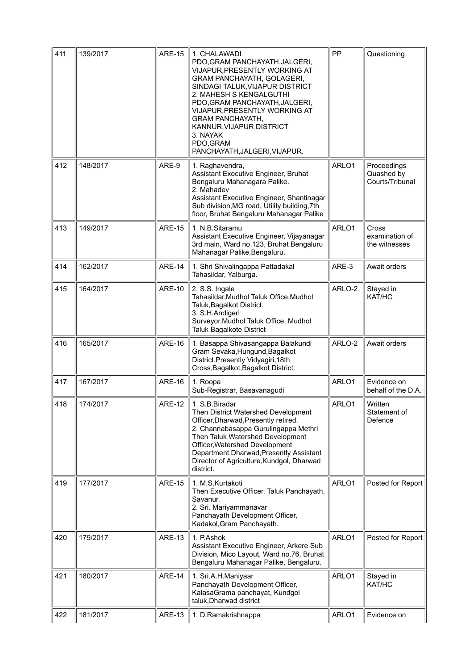| 411 | 139/2017 | <b>ARE-15</b> | 1. CHALAWADI<br>PDO, GRAM PANCHAYATH, JALGERI,<br>VIJAPUR, PRESENTLY WORKING AT<br>GRAM PANCHAYATH, GOLAGERI,<br>SINDAGI TALUK, VIJAPUR DISTRICT<br>2. MAHESH S KENGALGUTHI<br>PDO, GRAM PANCHAYATH, JALGERI,<br>VIJAPUR, PRESENTLY WORKING AT<br><b>GRAM PANCHAYATH,</b><br>KANNUR, VIJAPUR DISTRICT<br>3. NAYAK<br>PDO, GRAM<br>PANCHAYATH, JALGERI, VIJAPUR. | PP     | Questioning                                  |
|-----|----------|---------------|-----------------------------------------------------------------------------------------------------------------------------------------------------------------------------------------------------------------------------------------------------------------------------------------------------------------------------------------------------------------|--------|----------------------------------------------|
| 412 | 148/2017 | ARE-9         | 1. Raghavendra,<br>Assistant Executive Engineer, Bruhat<br>Bengaluru Mahanagara Palike.<br>2. Mahadev<br>Assistant Executive Engineer, Shantinagar<br>Sub division, MG road, Utility building, 7th<br>floor, Bruhat Bengaluru Mahanagar Palike                                                                                                                  | ARLO1  | Proceedings<br>Quashed by<br>Courts/Tribunal |
| 413 | 149/2017 | <b>ARE-15</b> | 1. N.B.Sitaramu<br>Assistant Executive Engineer, Vijayanagar<br>3rd main, Ward no.123, Bruhat Bengaluru<br>Mahanagar Palike, Bengaluru.                                                                                                                                                                                                                         | ARLO1  | Cross<br>examination of<br>the witnesses     |
| 414 | 162/2017 | <b>ARE-14</b> | 1. Shri Shivalingappa Pattadakal<br>Tahasildar, Yalburga.                                                                                                                                                                                                                                                                                                       | ARE-3  | Await orders                                 |
| 415 | 164/2017 | <b>ARE-10</b> | 2. S.S. Ingale<br>Tahasildar, Mudhol Taluk Office, Mudhol<br>Taluk, Bagalkot District.<br>3. S.H.Andigeri<br>Surveyor, Mudhol Taluk Office, Mudhol<br>Taluk Bagalkote District                                                                                                                                                                                  | ARLO-2 | Stayed in<br>KAT/HC                          |
| 416 | 165/2017 | <b>ARE-16</b> | 1. Basappa Shivasangappa Balakundi<br>Gram Sevaka, Hungund, Bagalkot<br>District.Presently Vidyagiri, 18th<br>Cross, Bagalkot, Bagalkot District.                                                                                                                                                                                                               | ARLO-2 | Await orders                                 |
| 417 | 167/2017 | <b>ARE-16</b> | 1. Roopa<br>Sub-Registrar, Basavanagudi                                                                                                                                                                                                                                                                                                                         | ARLO1  | Evidence on<br>behalf of the D.A.            |
| 418 | 174/2017 | <b>ARE-12</b> | 1. S.B.Biradar<br>Then District Watershed Development<br>Officer, Dharwad, Presently retired.<br>2. Channabasappa Gurulingappa Methri<br>Then Taluk Watershed Development<br>Officer, Watershed Development<br>Department, Dharwad, Presently Assistant<br>Director of Agriculture, Kundgol, Dharwad<br>district.                                               | ARLO1  | Written<br>Statement of<br>Defence           |
| 419 | 177/2017 | <b>ARE-15</b> | 1. M.S.Kurtakoti<br>Then Executive Officer. Taluk Panchayath,<br>Savanur.<br>2. Sri. Mariyammanavar<br>Panchayath Development Officer,<br>Kadakol, Gram Panchayath.                                                                                                                                                                                             | ARLO1  | Posted for Report                            |
| 420 | 179/2017 | <b>ARE-13</b> | 1. P.Ashok<br>Assistant Executive Engineer, Arkere Sub<br>Division, Mico Layout, Ward no.76, Bruhat<br>Bengaluru Mahanagar Palike, Bengaluru.                                                                                                                                                                                                                   | ARLO1  | Posted for Report                            |
| 421 | 180/2017 | <b>ARE-14</b> | 1. Sri.A.H.Maniyaar<br>Panchayath Development Officer,<br>KalasaGrama panchayat, Kundgol<br>taluk, Dharwad district                                                                                                                                                                                                                                             | ARLO1  | Stayed in<br>KAT/HC                          |
| 422 | 181/2017 | <b>ARE-13</b> | 1. D.Ramakrishnappa                                                                                                                                                                                                                                                                                                                                             | ARLO1  | Evidence on                                  |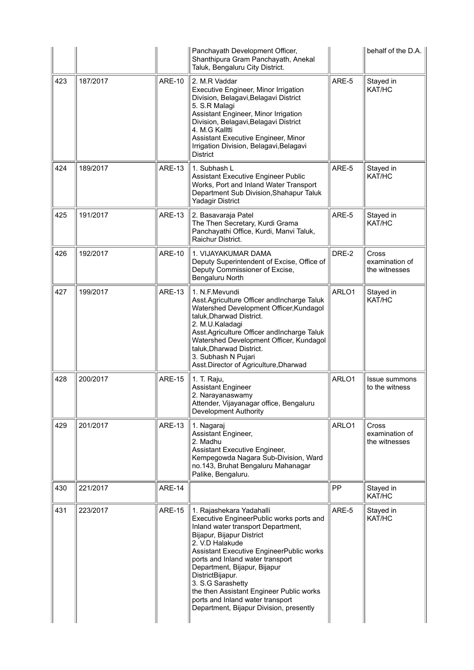|     |          |               | Panchayath Development Officer,<br>Shanthipura Gram Panchayath, Anekal<br>Taluk, Bengaluru City District.                                                                                                                                                                                                                                                                                                                                      |       | behalf of the D.A.                       |
|-----|----------|---------------|------------------------------------------------------------------------------------------------------------------------------------------------------------------------------------------------------------------------------------------------------------------------------------------------------------------------------------------------------------------------------------------------------------------------------------------------|-------|------------------------------------------|
| 423 | 187/2017 | <b>ARE-10</b> | 2. M.R Vaddar<br>Executive Engineer, Minor Irrigation<br>Division, Belagavi, Belagavi District<br>5. S.R Malagi<br>Assistant Engineer, Minor Irrigation<br>Division, Belagavi, Belagavi District<br>4. M.G Kalltti<br>Assistant Executive Engineer, Minor<br>Irrigation Division, Belagavi, Belagavi<br><b>District</b>                                                                                                                        | ARE-5 | Stayed in<br>KAT/HC                      |
| 424 | 189/2017 | <b>ARE-13</b> | 1. Subhash L<br>Assistant Executive Engineer Public<br>Works, Port and Inland Water Transport<br>Department Sub Division, Shahapur Taluk<br><b>Yadagir District</b>                                                                                                                                                                                                                                                                            | ARE-5 | Stayed in<br>KAT/HC                      |
| 425 | 191/2017 | <b>ARE-13</b> | 2. Basavaraja Patel<br>The Then Secretary, Kurdi Grama<br>Panchayathi Office, Kurdi, Manvi Taluk,<br>Raichur District.                                                                                                                                                                                                                                                                                                                         | ARE-5 | Stayed in<br>KAT/HC                      |
| 426 | 192/2017 | <b>ARE-10</b> | 1. VIJAYAKUMAR DAMA<br>Deputy Superintendent of Excise, Office of<br>Deputy Commissioner of Excise,<br>Bengaluru North                                                                                                                                                                                                                                                                                                                         | DRE-2 | Cross<br>examination of<br>the witnesses |
| 427 | 199/2017 | <b>ARE-13</b> | 1. N.F.Mevundi<br>Asst.Agriculture Officer andIncharge Taluk<br>Watershed Development Officer, Kundagol<br>taluk, Dharwad District.<br>2. M.U.Kaladagi<br>Asst. Agriculture Officer and Incharge Taluk<br>Watershed Development Officer, Kundagol<br>taluk, Dharwad District.<br>3. Subhash N Pujari<br>Asst.Director of Agriculture, Dharwad                                                                                                  | ARLO1 | Stayed in<br>KAT/HC                      |
| 428 | 200/2017 | <b>ARE-15</b> | 1. T. Raju,<br><b>Assistant Engineer</b><br>2. Narayanaswamy<br>Attender, Vijayanagar office, Bengaluru<br>Development Authority                                                                                                                                                                                                                                                                                                               | ARLO1 | Issue summons<br>to the witness          |
| 429 | 201/2017 | <b>ARE-13</b> | 1. Nagaraj<br>Assistant Engineer,<br>2. Madhu<br>Assistant Executive Engineer,<br>Kempegowda Nagara Sub-Division, Ward<br>no.143, Bruhat Bengaluru Mahanagar<br>Palike, Bengaluru.                                                                                                                                                                                                                                                             | ARLO1 | Cross<br>examination of<br>the witnesses |
| 430 | 221/2017 | <b>ARE-14</b> |                                                                                                                                                                                                                                                                                                                                                                                                                                                | PP    | Stayed in<br>KAT/HC                      |
| 431 | 223/2017 | <b>ARE-15</b> | 1. Rajashekara Yadahalli<br>Executive EngineerPublic works ports and<br>Inland water transport Department,<br>Bijapur, Bijapur District<br>2. V.D Halakude<br>Assistant Executive EngineerPublic works<br>ports and Inland water transport<br>Department, Bijapur, Bijapur<br>DistrictBijapur.<br>3. S.G Sarashetty<br>the then Assistant Engineer Public works<br>ports and Inland water transport<br>Department, Bijapur Division, presently | ARE-5 | Stayed in<br>KAT/HC                      |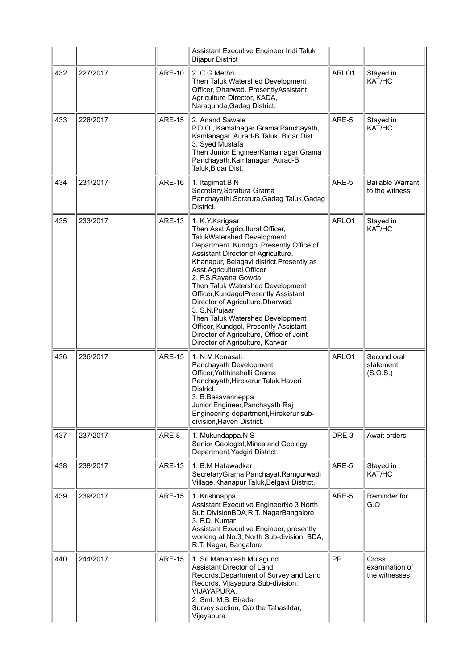|     |          |               | Assistant Executive Engineer Indi Taluk<br><b>Bijapur District</b>                                                                                                                                                                                                                                                                                                                                                                                                                                                                                                  |       |                                           |
|-----|----------|---------------|---------------------------------------------------------------------------------------------------------------------------------------------------------------------------------------------------------------------------------------------------------------------------------------------------------------------------------------------------------------------------------------------------------------------------------------------------------------------------------------------------------------------------------------------------------------------|-------|-------------------------------------------|
| 432 | 227/2017 | <b>ARE-10</b> | 2. C.G.Methri<br>Then Taluk Watershed Development<br>Officer, Dharwad. PresentlyAssistant<br>Agriculture Director, KADA,<br>Naragunda, Gadag District.                                                                                                                                                                                                                                                                                                                                                                                                              | ARLO1 | Stayed in<br>KAT/HC                       |
| 433 | 228/2017 | <b>ARE-15</b> | 2. Anand Sawale<br>P.D.O., Kamalnagar Grama Panchayath,<br>Kamlanagar, Aurad-B Taluk, Bidar Dist.<br>3. Syed Mustafa<br>Then Junior EngineerKamalnagar Grama<br>Panchayath, Kamlanagar, Aurad-B<br>Taluk, Bidar Dist.                                                                                                                                                                                                                                                                                                                                               | ARE-5 | Stayed in<br>KAT/HC                       |
| 434 | 231/2017 | <b>ARE-16</b> | 1. Itagimat.B N<br>Secretary, Soratura Grama<br>Panchayathi, Soratura, Gadag Taluk, Gadag<br>District.                                                                                                                                                                                                                                                                                                                                                                                                                                                              | ARE-5 | <b>Bailable Warrant</b><br>to the witness |
| 435 | 233/2017 | <b>ARE-13</b> | 1. K.Y. Karigaar<br>Then Asst.Agricultural Officer,<br>TalukWatershed Development<br>Department, Kundgol, Presently Office of<br>Assistant Director of Agriculture,<br>Khanapur, Belagavi district. Presently as<br>Asst.Agricultural Officer<br>2. F.S.Rayana Gowda<br>Then Taluk Watershed Development<br>Officer, Kundagol Presently Assistant<br>Director of Agriculture, Dharwad.<br>3. S.N.Pujaar<br>Then Taluk Watershed Development<br>Officer, Kundgol, Presently Assistant<br>Director of Agriculture, Office of Joint<br>Director of Agriculture, Karwar | ARLO1 | Stayed in<br>KAT/HC                       |
| 436 | 236/2017 | <b>ARE-15</b> | 1. N.M.Konasali.<br>Panchayath Development<br>Officer, Yatthinahalli Grama<br>Panchayath, Hirekerur Taluk, Haveri<br>District.<br>3. B.Basavanneppa<br>Junior Engineer,Panchayath Raj<br>Engineering department, Hirekerur sub-<br>division, Haveri District.                                                                                                                                                                                                                                                                                                       | ARLO1 | Second oral<br>statement<br>(S.O.S.)      |
| 437 | 237/2017 | ARE-8         | 1. Mukundappa.N.S<br>Senior Geologist, Mines and Geology<br>Department, Yadgiri District.                                                                                                                                                                                                                                                                                                                                                                                                                                                                           | DRE-3 | Await orders                              |
| 438 | 238/2017 | <b>ARE-13</b> | 1. B.M Hatawadkar<br>SecretaryGrama Panchayat, Ramgurwadi<br>Village, Khanapur Taluk, Belgavi District.                                                                                                                                                                                                                                                                                                                                                                                                                                                             | ARE-5 | Stayed in<br>KAT/HC                       |
| 439 | 239/2017 | <b>ARE-15</b> | 1. Krishnappa<br>Assistant Executive EngineerNo 3 North<br>Sub DivisionBDA, R.T. NagarBangalore<br>3. P.D. Kumar<br>Assistant Executive Engineer, presently<br>working at No.3, North Sub-division, BDA,<br>R.T. Nagar, Bangalore                                                                                                                                                                                                                                                                                                                                   | ARE-5 | Reminder for<br>G.O                       |
| 440 | 244/2017 | <b>ARE-15</b> | 1. Sri Mahantesh Mulagund<br>Assistant Director of Land<br>Records, Department of Survey and Land<br>Records, Vijayapura Sub-division,<br><b>VIJAYAPURA.</b><br>2. Smt. M.B. Biradar<br>Survey section, O/o the Tahasildar,<br>Vijayapura                                                                                                                                                                                                                                                                                                                           | PP    | Cross<br>examination of<br>the witnesses  |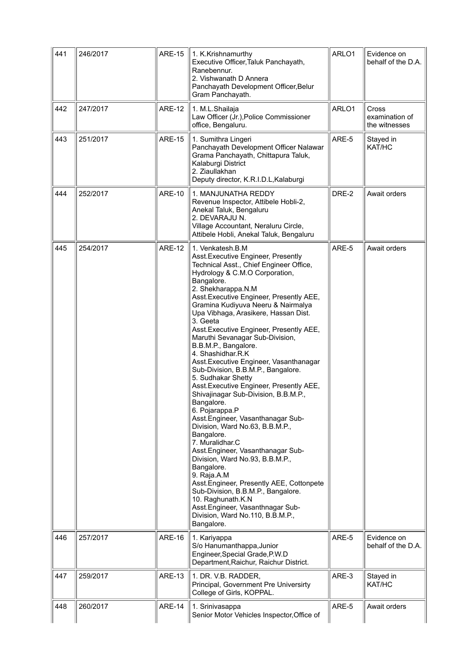| 441 | 246/2017 | <b>ARE-15</b> | 1. K.Krishnamurthy<br>Executive Officer, Taluk Panchayath,<br>Ranebennur.<br>2. Vishwanath D Annera<br>Panchayath Development Officer, Belur<br>Gram Panchayath.                                                                                                                                                                                                                                                                                                                                                                                                                                                                                                                                                                                                                                                                                                                                                                                                                                                                                                                     | ARLO1 | Evidence on<br>behalf of the D.A.        |
|-----|----------|---------------|--------------------------------------------------------------------------------------------------------------------------------------------------------------------------------------------------------------------------------------------------------------------------------------------------------------------------------------------------------------------------------------------------------------------------------------------------------------------------------------------------------------------------------------------------------------------------------------------------------------------------------------------------------------------------------------------------------------------------------------------------------------------------------------------------------------------------------------------------------------------------------------------------------------------------------------------------------------------------------------------------------------------------------------------------------------------------------------|-------|------------------------------------------|
| 442 | 247/2017 | <b>ARE-12</b> | 1. M.L.Shailaja<br>Law Officer (Jr.), Police Commissioner<br>office, Bengaluru.                                                                                                                                                                                                                                                                                                                                                                                                                                                                                                                                                                                                                                                                                                                                                                                                                                                                                                                                                                                                      | ARLO1 | Cross<br>examination of<br>the witnesses |
| 443 | 251/2017 | <b>ARE-15</b> | 1. Sumithra Lingeri<br>Panchayath Development Officer Nalawar<br>Grama Panchayath, Chittapura Taluk,<br>Kalaburgi District<br>2. Ziaullakhan<br>Deputy director, K.R.I.D.L, Kalaburgi                                                                                                                                                                                                                                                                                                                                                                                                                                                                                                                                                                                                                                                                                                                                                                                                                                                                                                | ARE-5 | Stayed in<br>KAT/HC                      |
| 444 | 252/2017 | <b>ARE-10</b> | 1. MANJUNATHA REDDY<br>Revenue Inspector, Attibele Hobli-2,<br>Anekal Taluk, Bengaluru<br>2. DEVARAJU N.<br>Village Accountant, Neraluru Circle,<br>Attibele Hobli, Anekal Taluk, Bengaluru                                                                                                                                                                                                                                                                                                                                                                                                                                                                                                                                                                                                                                                                                                                                                                                                                                                                                          | DRE-2 | Await orders                             |
| 445 | 254/2017 | <b>ARE-12</b> | 1. Venkatesh.B.M<br>Asst. Executive Engineer, Presently<br>Technical Asst., Chief Engineer Office,<br>Hydrology & C.M.O Corporation,<br>Bangalore.<br>2. Shekharappa.N.M<br>Asst. Executive Engineer, Presently AEE,<br>Gramina Kudiyuva Neeru & Nairmalya<br>Upa Vibhaga, Arasikere, Hassan Dist.<br>3. Geeta<br>Asst. Executive Engineer, Presently AEE,<br>Maruthi Sevanagar Sub-Division,<br>B.B.M.P., Bangalore.<br>4. Shashidhar.R.K<br>Asst. Executive Engineer, Vasanthanagar<br>Sub-Division, B.B.M.P., Bangalore.<br>5. Sudhakar Shetty<br>Asst. Executive Engineer, Presently AEE,<br>Shivajinagar Sub-Division, B.B.M.P.,<br>Bangalore.<br>6. Pojarappa.P<br>Asst. Engineer, Vasanthanagar Sub-<br>Division, Ward No.63, B.B.M.P.,<br>Bangalore.<br>7. Muralidhar.C<br>Asst. Engineer, Vasanthanagar Sub-<br>Division, Ward No.93, B.B.M.P.,<br>Bangalore.<br>9. Raja.A.M<br>Asst. Engineer, Presently AEE, Cottonpete<br>Sub-Division, B.B.M.P., Bangalore.<br>10. Raghunath.K.N<br>Asst. Engineer, Vasanthnagar Sub-<br>Division, Ward No.110, B.B.M.P.,<br>Bangalore. | ARE-5 | Await orders                             |
| 446 | 257/2017 | <b>ARE-16</b> | 1. Kariyappa<br>S/o Hanumanthappa, Junior<br>Engineer, Special Grade, P.W.D<br>Department, Raichur, Raichur District.                                                                                                                                                                                                                                                                                                                                                                                                                                                                                                                                                                                                                                                                                                                                                                                                                                                                                                                                                                | ARE-5 | Evidence on<br>behalf of the D.A.        |
| 447 | 259/2017 | <b>ARE-13</b> | 1. DR. V.B. RADDER,<br>Principal, Government Pre Universirty<br>College of Girls, KOPPAL.                                                                                                                                                                                                                                                                                                                                                                                                                                                                                                                                                                                                                                                                                                                                                                                                                                                                                                                                                                                            | ARE-3 | Stayed in<br>KAT/HC                      |
| 448 | 260/2017 | <b>ARE-14</b> | 1. Srinivasappa<br>Senior Motor Vehicles Inspector, Office of                                                                                                                                                                                                                                                                                                                                                                                                                                                                                                                                                                                                                                                                                                                                                                                                                                                                                                                                                                                                                        | ARE-5 | Await orders                             |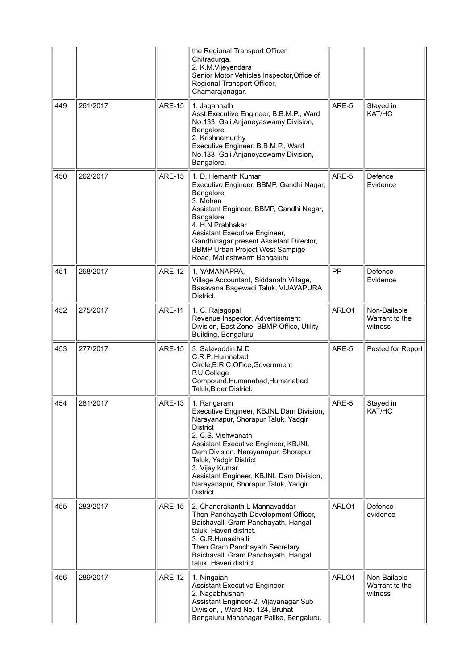|     |          |               | the Regional Transport Officer,<br>Chitradurga.<br>2. K.M.Vijeyendara<br>Senior Motor Vehicles Inspector, Office of<br>Regional Transport Officer,<br>Chamarajanagar.                                                                                                                                                                                                 |       |                                           |
|-----|----------|---------------|-----------------------------------------------------------------------------------------------------------------------------------------------------------------------------------------------------------------------------------------------------------------------------------------------------------------------------------------------------------------------|-------|-------------------------------------------|
| 449 | 261/2017 | <b>ARE-15</b> | 1. Jagannath<br>Asst. Executive Engineer, B.B.M.P., Ward<br>No.133, Gali Anjaneyaswamy Division,<br>Bangalore.<br>2. Krishnamurthy<br>Executive Engineer, B.B.M.P., Ward<br>No.133, Gali Anjaneyaswamy Division,<br>Bangalore.                                                                                                                                        | ARE-5 | Stayed in<br>KAT/HC                       |
| 450 | 262/2017 | <b>ARE-15</b> | 1. D. Hemanth Kumar<br>Executive Engineer, BBMP, Gandhi Nagar,<br>Bangalore<br>3. Mohan<br>Assistant Engineer, BBMP, Gandhi Nagar,<br>Bangalore<br>4. H.N Prabhakar<br>Assistant Executive Engineer,<br>Gandhinagar present Assistant Director,<br><b>BBMP Urban Project West Sampige</b><br>Road, Malleshwarm Bengaluru                                              | ARE-5 | Defence<br>Evidence                       |
| 451 | 268/2017 | <b>ARE-12</b> | 1. YAMANAPPA,<br>Village Accountant, Siddanath Village,<br>Basavana Bagewadi Taluk, VIJAYAPURA<br>District.                                                                                                                                                                                                                                                           | PP    | Defence<br>Evidence                       |
| 452 | 275/2017 | <b>ARE-11</b> | 1. C. Rajagopal<br>Revenue Inspector, Advertisement<br>Division, East Zone, BBMP Office, Utility<br>Building, Bengaluru                                                                                                                                                                                                                                               | ARLO1 | Non-Bailable<br>Warrant to the<br>witness |
| 453 | 277/2017 | <b>ARE-15</b> | 3. Salavoddin.M.D<br>C.R.P., Humnabad<br>Circle, B.R.C.Office, Government<br>P.U.College<br>Compound, Humanabad, Humanabad<br>Taluk, Bidar District.                                                                                                                                                                                                                  | ARE-5 | Posted for Report                         |
| 454 | 281/2017 | <b>ARE-13</b> | 1. Rangaram<br>Executive Engineer, KBJNL Dam Division,<br>Narayanapur, Shorapur Taluk, Yadgir<br><b>District</b><br>2. C.S. Vishwanath<br>Assistant Executive Engineer, KBJNL<br>Dam Division, Narayanapur, Shorapur<br>Taluk, Yadgir District<br>3. Vijay Kumar<br>Assistant Engineer, KBJNL Dam Division,<br>Narayanapur, Shorapur Taluk, Yadgir<br><b>District</b> | ARE-5 | Stayed in<br>KAT/HC                       |
| 455 | 283/2017 | <b>ARE-15</b> | 2. Chandrakanth L Mannavaddar<br>Then Panchayath Development Officer,<br>Baichavalli Gram Panchayath, Hangal<br>taluk, Haveri district.<br>3. G.R.Hunasihalli<br>Then Gram Panchayath Secretary,<br>Baichavalli Gram Panchayath, Hangal<br>taluk, Haveri district.                                                                                                    | ARLO1 | Defence<br>evidence                       |
| 456 | 289/2017 | <b>ARE-12</b> | 1. Ningaiah<br><b>Assistant Executive Engineer</b><br>2. Nagabhushan<br>Assistant Engineer-2, Vijayanagar Sub<br>Division, , Ward No. 124, Bruhat<br>Bengaluru Mahanagar Palike, Bengaluru.                                                                                                                                                                           | ARLO1 | Non-Bailable<br>Warrant to the<br>witness |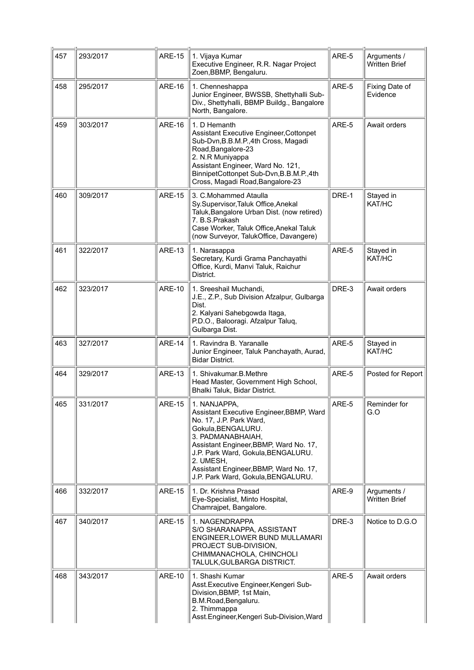| 457 | 293/2017 | <b>ARE-15</b> | 1. Vijaya Kumar<br>Executive Engineer, R.R. Nagar Project<br>Zoen, BBMP, Bengaluru.                                                                                                                                                                                                                         | ARE-5 | Arguments /<br><b>Written Brief</b> |
|-----|----------|---------------|-------------------------------------------------------------------------------------------------------------------------------------------------------------------------------------------------------------------------------------------------------------------------------------------------------------|-------|-------------------------------------|
| 458 | 295/2017 | <b>ARE-16</b> | 1. Chenneshappa<br>Junior Engineer, BWSSB, Shettyhalli Sub-<br>Div., Shettyhalli, BBMP Buildg., Bangalore<br>North, Bangalore.                                                                                                                                                                              | ARE-5 | Fixing Date of<br>Evidence          |
| 459 | 303/2017 | <b>ARE-16</b> | 1. D Hemanth<br>Assistant Executive Engineer, Cottonpet<br>Sub-Dvn, B.B.M.P., 4th Cross, Magadi<br>Road, Bangalore-23<br>2. N.R Muniyappa<br>Assistant Engineer, Ward No. 121,<br>BinnipetCottonpet Sub-Dvn, B.B.M.P., 4th<br>Cross, Magadi Road, Bangalore-23                                              | ARE-5 | Await orders                        |
| 460 | 309/2017 | <b>ARE-15</b> | 3. C.Mohammed Ataulla<br>Sy.Supervisor, Taluk Office, Anekal<br>Taluk, Bangalore Urban Dist. (now retired)<br>7. B.S.Prakash<br>Case Worker, Taluk Office, Anekal Taluk<br>(now Surveyor, TalukOffice, Davangere)                                                                                           | DRE-1 | Stayed in<br>KAT/HC                 |
| 461 | 322/2017 | <b>ARE-13</b> | 1. Narasappa<br>Secretary, Kurdi Grama Panchayathi<br>Office, Kurdi, Manvi Taluk, Raichur<br>District.                                                                                                                                                                                                      | ARE-5 | Stayed in<br>KAT/HC                 |
| 462 | 323/2017 | <b>ARE-10</b> | 1. Sreeshail Muchandi,<br>J.E., Z.P., Sub Division Afzalpur, Gulbarga<br>Dist.<br>2. Kalyani Sahebgowda Itaga,<br>P.D.O., Balooragi. Afzalpur Taluq,<br>Gulbarga Dist.                                                                                                                                      | DRE-3 | Await orders                        |
| 463 | 327/2017 | <b>ARE-14</b> | 1. Ravindra B. Yaranalle<br>Junior Engineer, Taluk Panchayath, Aurad,<br><b>Bidar District.</b>                                                                                                                                                                                                             | ARE-5 | Stayed in<br>KAT/HC                 |
| 464 | 329/2017 | <b>ARE-13</b> | 1. Shivakumar.B.Methre<br>Head Master, Government High School,<br>Bhalki Taluk, Bidar District.                                                                                                                                                                                                             | ARE-5 | Posted for Report                   |
| 465 | 331/2017 | <b>ARE-15</b> | 1. NANJAPPA,<br>Assistant Executive Engineer, BBMP, Ward<br>No. 17, J.P. Park Ward,<br>Gokula, BENGALURU.<br>3. PADMANABHAIAH,<br>Assistant Engineer, BBMP, Ward No. 17,<br>J.P. Park Ward, Gokula, BENGALURU.<br>2. UMESH.<br>Assistant Engineer, BBMP, Ward No. 17,<br>J.P. Park Ward, Gokula, BENGALURU. | ARE-5 | Reminder for<br>G.O                 |
| 466 | 332/2017 | <b>ARE-15</b> | 1. Dr. Krishna Prasad<br>Eye-Specialist, Minto Hospital,<br>Chamrajpet, Bangalore.                                                                                                                                                                                                                          | ARE-9 | Arguments /<br><b>Written Brief</b> |
| 467 | 340/2017 | <b>ARE-15</b> | 1. NAGENDRAPPA<br>S/O SHARANAPPA, ASSISTANT<br>ENGINEER, LOWER BUND MULLAMARI<br>PROJECT SUB-DIVISION,<br>CHIMMANACHOLA, CHINCHOLI<br>TALULK, GULBARGA DISTRICT.                                                                                                                                            | DRE-3 | Notice to D.G.O                     |
| 468 | 343/2017 | <b>ARE-10</b> | 1. Shashi Kumar<br>Asst. Executive Engineer, Kengeri Sub-<br>Division, BBMP, 1st Main,<br>B.M.Road, Bengaluru.<br>2. Thimmappa<br>Asst.Engineer, Kengeri Sub-Division, Ward                                                                                                                                 | ARE-5 | Await orders                        |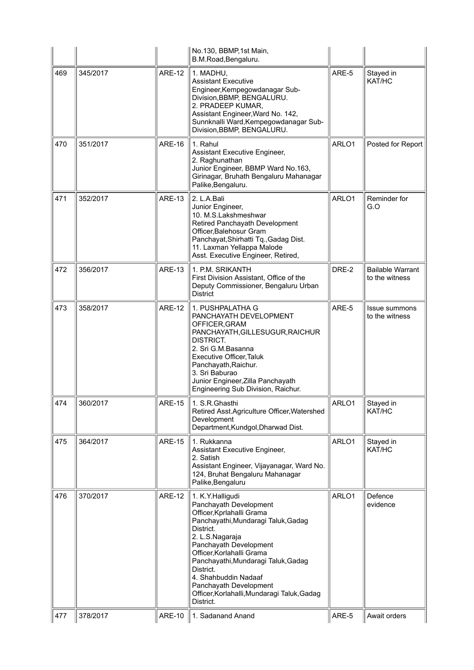|     |          |               | No.130, BBMP,1st Main,<br>B.M.Road, Bengaluru.                                                                                                                                                                                                                                                                                                                           |       |                                           |
|-----|----------|---------------|--------------------------------------------------------------------------------------------------------------------------------------------------------------------------------------------------------------------------------------------------------------------------------------------------------------------------------------------------------------------------|-------|-------------------------------------------|
| 469 | 345/2017 | <b>ARE-12</b> | 1. MADHU.<br><b>Assistant Executive</b><br>Engineer, Kempegowdanagar Sub-<br>Division, BBMP, BENGALURU.<br>2. PRADEEP KUMAR,<br>Assistant Engineer, Ward No. 142,<br>Sunnknalli Ward, Kempegowdanagar Sub-<br>Division, BBMP, BENGALURU.                                                                                                                                 | ARE-5 | Stayed in<br>KAT/HC                       |
| 470 | 351/2017 | <b>ARE-16</b> | 1. Rahul<br>Assistant Executive Engineer,<br>2. Raghunathan<br>Junior Engineer, BBMP Ward No.163,<br>Girinagar, Bruhath Bengaluru Mahanagar<br>Palike, Bengaluru.                                                                                                                                                                                                        | ARLO1 | Posted for Report                         |
| 471 | 352/2017 | <b>ARE-13</b> | 2. L.A.Bali<br>Junior Engineer,<br>10. M.S.Lakshmeshwar<br>Retired Panchayath Development<br>Officer, Balehosur Gram<br>Panchayat, Shirhatti Tq., Gadag Dist.<br>11. Laxman Yellappa Malode<br>Asst. Executive Engineer, Retired,                                                                                                                                        | ARLO1 | Reminder for<br>G.O                       |
| 472 | 356/2017 | <b>ARE-13</b> | 1. P.M. SRIKANTH<br>First Division Assistant, Office of the<br>Deputy Commissioner, Bengaluru Urban<br><b>District</b>                                                                                                                                                                                                                                                   | DRE-2 | <b>Bailable Warrant</b><br>to the witness |
| 473 | 358/2017 | <b>ARE-12</b> | 1. PUSHPALATHA G<br>PANCHAYATH DEVELOPMENT<br>OFFICER, GRAM<br>PANCHAYATH, GILLESUGUR, RAICHUR<br>DISTRICT.<br>2. Sri G.M.Basanna<br>Executive Officer, Taluk<br>Panchayath, Raichur.<br>3. Sri Baburao<br>Junior Engineer, Zilla Panchayath<br>Engineering Sub Division, Raichur.                                                                                       | ARE-5 | Issue summons<br>to the witness           |
| 474 | 360/2017 | <b>ARE-15</b> | 1. S.R.Ghasthi<br>Retired Asst.Agriculture Officer, Watershed<br>Development<br>Department, Kundgol, Dharwad Dist.                                                                                                                                                                                                                                                       | ARLO1 | Stayed in<br>KAT/HC                       |
| 475 | 364/2017 | <b>ARE-15</b> | 1. Rukkanna<br>Assistant Executive Engineer,<br>2. Satish<br>Assistant Engineer, Vijayanagar, Ward No.<br>124, Bruhat Bengaluru Mahanagar<br>Palike, Bengaluru                                                                                                                                                                                                           | ARLO1 | Stayed in<br>KAT/HC                       |
| 476 | 370/2017 | <b>ARE-12</b> | 1. K.Y. Halligudi<br>Panchayath Development<br>Officer, Kprlahalli Grama<br>Panchayathi, Mundaragi Taluk, Gadag<br>District.<br>2. L.S.Nagaraja<br>Panchayath Development<br>Officer, Korlahalli Grama<br>Panchayathi, Mundaragi Taluk, Gadag<br>District.<br>4. Shahbuddin Nadaaf<br>Panchayath Development<br>Officer, Korlahalli, Mundaragi Taluk, Gadag<br>District. | ARLO1 | Defence<br>evidence                       |
| 477 | 378/2017 | <b>ARE-10</b> | 1. Sadanand Anand                                                                                                                                                                                                                                                                                                                                                        | ARE-5 | Await orders                              |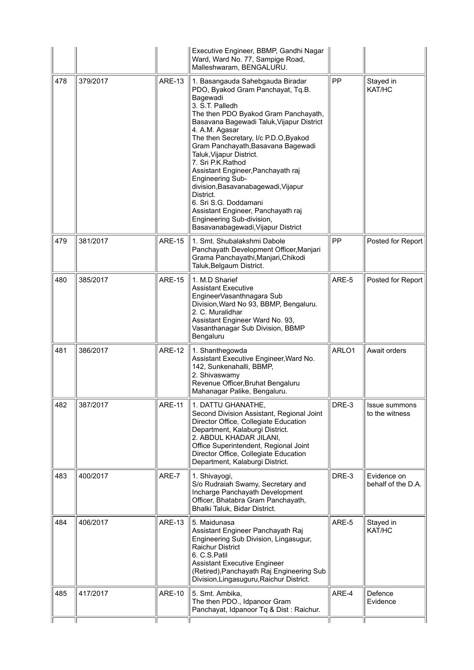|     |          |               | Executive Engineer, BBMP, Gandhi Nagar<br>Ward, Ward No. 77, Sampige Road,<br>Malleshwaram, BENGALURU.                                                                                                                                                                                                                                                                                                                                                                                                                                                                                             |       |                                   |
|-----|----------|---------------|----------------------------------------------------------------------------------------------------------------------------------------------------------------------------------------------------------------------------------------------------------------------------------------------------------------------------------------------------------------------------------------------------------------------------------------------------------------------------------------------------------------------------------------------------------------------------------------------------|-------|-----------------------------------|
| 478 | 379/2017 | <b>ARE-13</b> | 1. Basangauda Sahebgauda Biradar<br>PDO, Byakod Gram Panchayat, Tq.B.<br>Bagewadi<br>3. S.T. Palledh<br>The then PDO Byakod Gram Panchayath,<br>Basavana Bagewadi Taluk, Vijapur District<br>4. A.M. Agasar<br>The then Secretary, I/c P.D.O, Byakod<br>Gram Panchayath, Basavana Bagewadi<br>Taluk, Vijapur District.<br>7. Sri P.K.Rathod<br>Assistant Engineer, Panchayath raj<br><b>Engineering Sub-</b><br>division, Basavanabagewadi, Vijapur<br>District.<br>6. Sri S.G. Doddamani<br>Assistant Engineer, Panchayath raj<br>Engineering Sub-division,<br>Basavanabagewadi, Vijapur District | PP    | Stayed in<br>KAT/HC               |
| 479 | 381/2017 | <b>ARE-15</b> | 1. Smt. Shubalakshmi Dabole<br>Panchayath Development Officer, Manjari<br>Grama Panchayathi, Manjari, Chikodi<br>Taluk, Belgaum District.                                                                                                                                                                                                                                                                                                                                                                                                                                                          | PP    | Posted for Report                 |
| 480 | 385/2017 | <b>ARE-15</b> | 1. M.D Sharief<br><b>Assistant Executive</b><br>EngineerVasanthnagara Sub<br>Division, Ward No 93, BBMP, Bengaluru.<br>2. C. Muralidhar<br>Assistant Engineer Ward No. 93,<br>Vasanthanagar Sub Division, BBMP<br>Bengaluru                                                                                                                                                                                                                                                                                                                                                                        | ARE-5 | Posted for Report                 |
| 481 | 386/2017 | <b>ARE-12</b> | 1. Shanthegowda<br>Assistant Executive Engineer, Ward No.<br>142, Sunkenahalli, BBMP,<br>2. Shivaswamy<br>Revenue Officer, Bruhat Bengaluru<br>Mahanagar Palike, Bengaluru.                                                                                                                                                                                                                                                                                                                                                                                                                        | ARLO1 | Await orders                      |
| 482 | 387/2017 | ARE-11        | 1. DAI IU GHANAIHE,<br>Second Division Assistant, Regional Joint<br>Director Office, Collegiate Education<br>Department, Kalaburgi District.<br>2. ABDUL KHADAR JILANI,<br>Office Superintendent, Regional Joint<br>Director Office, Collegiate Education<br>Department, Kalaburgi District.                                                                                                                                                                                                                                                                                                       | DRE-3 | Issue summons<br>to the witness   |
| 483 | 400/2017 | ARE-7         | 1. Shivayogi,<br>S/o Rudraiah Swamy, Secretary and<br>Incharge Panchayath Development<br>Officer, Bhatabra Gram Panchayath,<br>Bhalki Taluk, Bidar District.                                                                                                                                                                                                                                                                                                                                                                                                                                       | DRE-3 | Evidence on<br>behalf of the D.A. |
| 484 | 406/2017 | <b>ARE-13</b> | 5. Maidunasa<br>Assistant Engineer Panchayath Raj<br>Engineering Sub Division, Lingasugur,<br><b>Raichur District</b><br>6. C.S.Patil<br><b>Assistant Executive Engineer</b><br>(Retired), Panchayath Raj Engineering Sub<br>Division, Lingasuguru, Raichur District.                                                                                                                                                                                                                                                                                                                              | ARE-5 | Stayed in<br>KAT/HC               |
| 485 | 417/2017 | <b>ARE-10</b> | 5. Smt. Ambika,<br>The then PDO., Idpanoor Gram<br>Panchayat, Idpanoor Tq & Dist: Raichur.                                                                                                                                                                                                                                                                                                                                                                                                                                                                                                         | ARE-4 | Defence<br>Evidence               |
|     |          |               |                                                                                                                                                                                                                                                                                                                                                                                                                                                                                                                                                                                                    |       |                                   |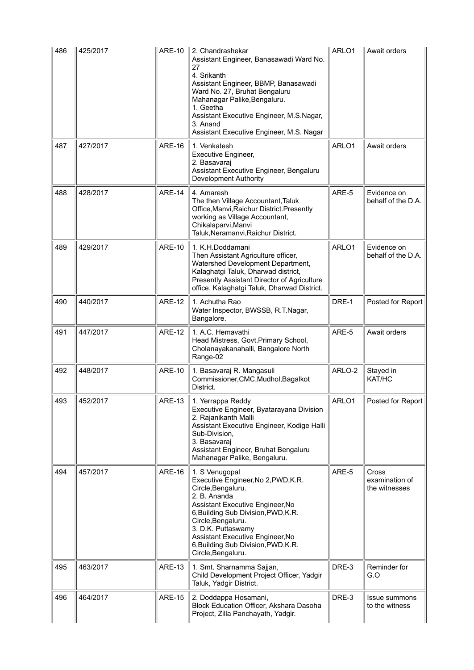| 486 | 425/2017 |               | ARE-10 $\parallel$ 2. Chandrashekar<br>Assistant Engineer, Banasawadi Ward No.<br>27<br>4. Srikanth<br>Assistant Engineer, BBMP, Banasawadi<br>Ward No. 27, Bruhat Bengaluru<br>Mahanagar Palike, Bengaluru.<br>1. Geetha<br>Assistant Executive Engineer, M.S.Nagar,<br>3. Anand<br>Assistant Executive Engineer, M.S. Nagar | ARLO1  | Await orders                             |
|-----|----------|---------------|-------------------------------------------------------------------------------------------------------------------------------------------------------------------------------------------------------------------------------------------------------------------------------------------------------------------------------|--------|------------------------------------------|
| 487 | 427/2017 | <b>ARE-16</b> | 1. Venkatesh<br>Executive Engineer,<br>2. Basavaraj<br>Assistant Executive Engineer, Bengaluru<br>Development Authority                                                                                                                                                                                                       | ARLO1  | Await orders                             |
| 488 | 428/2017 | <b>ARE-14</b> | 4. Amaresh<br>The then Village Accountant, Taluk<br>Office, Manvi, Raichur District. Presently<br>working as Village Accountant,<br>Chikalaparvi, Manvi<br>Taluk, Neramanvi, Raichur District.                                                                                                                                | ARE-5  | Evidence on<br>behalf of the D.A.        |
| 489 | 429/2017 | <b>ARE-10</b> | 1. K.H.Doddamani<br>Then Assistant Agriculture officer,<br>Watershed Development Department,<br>Kalaghatgi Taluk, Dharwad district,<br>Presently Assistant Director of Agriculture<br>office, Kalaghatgi Taluk, Dharwad District.                                                                                             | ARLO1  | Evidence on<br>behalf of the D.A.        |
| 490 | 440/2017 | <b>ARE-12</b> | 1. Achutha Rao<br>Water Inspector, BWSSB, R.T.Nagar,<br>Bangalore.                                                                                                                                                                                                                                                            | DRE-1  | Posted for Report                        |
| 491 | 447/2017 | <b>ARE-12</b> | 1. A.C. Hemavathi<br>Head Mistress, Govt. Primary School,<br>Cholanayakanahalli, Bangalore North<br>Range-02                                                                                                                                                                                                                  | ARE-5  | Await orders                             |
| 492 | 448/2017 | <b>ARE-10</b> | 1. Basavaraj R. Mangasuli<br>Commissioner, CMC, Mudhol, Bagalkot<br>District.                                                                                                                                                                                                                                                 | ARLO-2 | Stayed in<br>KAT/HC                      |
| 493 | 452/2017 | <b>ARE-13</b> | 1. Yerrappa Reddy<br>Executive Engineer, Byatarayana Division<br>2. Rajanikanth Malli<br>Assistant Executive Engineer, Kodige Halli<br>Sub-Division,<br>3. Basavaraj<br>Assistant Engineer, Bruhat Bengaluru<br>Mahanagar Palike, Bengaluru.                                                                                  | ARLO1  | Posted for Report                        |
| 494 | 457/2017 | <b>ARE-16</b> | 1. S Venugopal<br>Executive Engineer, No 2, PWD, K.R.<br>Circle, Bengaluru.<br>2. B. Ananda<br>Assistant Executive Engineer, No<br>6, Building Sub Division, PWD, K.R.<br>Circle, Bengaluru.<br>3. D.K. Puttaswamy<br>Assistant Executive Engineer, No<br>6, Building Sub Division, PWD, K.R.<br>Circle, Bengaluru.           | ARE-5  | Cross<br>examination of<br>the witnesses |
| 495 | 463/2017 | <b>ARE-13</b> | 1. Smt. Sharnamma Sajjan,<br>Child Development Project Officer, Yadgir<br>Taluk, Yadgir District.                                                                                                                                                                                                                             | DRE-3  | Reminder for<br>G.O                      |
| 496 | 464/2017 | <b>ARE-15</b> | 2. Doddappa Hosamani,<br>Block Education Officer, Akshara Dasoha<br>Project, Zilla Panchayath, Yadgir.                                                                                                                                                                                                                        | DRE-3  | <b>Issue summons</b><br>to the witness   |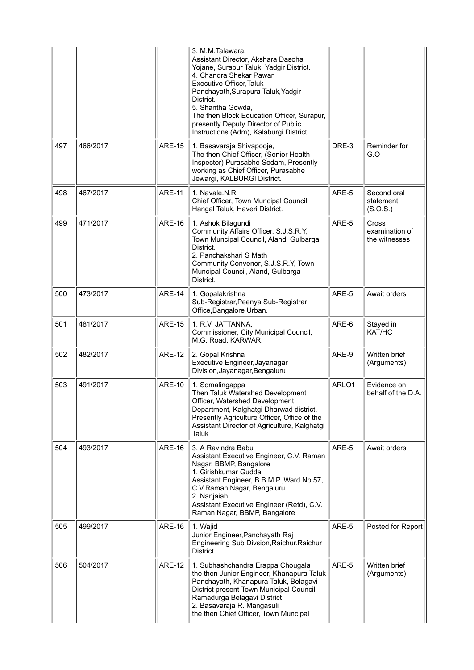|     |          |               | 3. M.M.Talawara,<br>Assistant Director, Akshara Dasoha<br>Yojane, Surapur Taluk, Yadgir District.<br>4. Chandra Shekar Pawar,<br>Executive Officer, Taluk<br>Panchayath, Surapura Taluk, Yadgir<br>District.<br>5. Shantha Gowda,<br>The then Block Education Officer, Surapur,<br>presently Deputy Director of Public<br>Instructions (Adm), Kalaburgi District. |       |                                          |
|-----|----------|---------------|-------------------------------------------------------------------------------------------------------------------------------------------------------------------------------------------------------------------------------------------------------------------------------------------------------------------------------------------------------------------|-------|------------------------------------------|
| 497 | 466/2017 | <b>ARE-15</b> | 1. Basavaraja Shivapooje,<br>The then Chief Officer, (Senior Health<br>Inspector) Purasabhe Sedam, Presently<br>working as Chief Officer, Purasabhe<br>Jewargi, KALBURGI District.                                                                                                                                                                                | DRE-3 | Reminder for<br>G.O                      |
| 498 | 467/2017 | <b>ARE-11</b> | 1. Navale, N.R.<br>Chief Officer, Town Muncipal Council,<br>Hangal Taluk, Haveri District.                                                                                                                                                                                                                                                                        | ARE-5 | Second oral<br>statement<br>(S.O.S.)     |
| 499 | 471/2017 | <b>ARE-16</b> | 1. Ashok Bilagundi<br>Community Affairs Officer, S.J.S.R.Y,<br>Town Muncipal Council, Aland, Gulbarga<br>District.<br>2. Panchakshari S Math<br>Community Convenor, S.J.S.R.Y, Town<br>Muncipal Council, Aland, Gulbarga<br>District.                                                                                                                             | ARE-5 | Cross<br>examination of<br>the witnesses |
| 500 | 473/2017 | <b>ARE-14</b> | 1. Gopalakrishna<br>Sub-Registrar, Peenya Sub-Registrar<br>Office, Bangalore Urban.                                                                                                                                                                                                                                                                               | ARE-5 | Await orders                             |
| 501 | 481/2017 | <b>ARE-15</b> | 1. R.V. JATTANNA,<br>Commissioner, City Municipal Council,<br>M.G. Road, KARWAR.                                                                                                                                                                                                                                                                                  | ARE-6 | Stayed in<br>KAT/HC                      |
| 502 | 482/2017 | <b>ARE-12</b> | 2. Gopal Krishna<br>Executive Engineer, Jayanagar<br>Division, Jayanagar, Bengaluru                                                                                                                                                                                                                                                                               | ARE-9 | Written brief<br>(Arguments)             |
| 503 | 491/2017 | <b>ARE-10</b> | 1. Somalingappa<br>Then Taluk Watershed Development<br>Officer, Watershed Development<br>Department, Kalghatgi Dharwad district.<br>Presently Agriculture Officer, Office of the<br>Assistant Director of Agriculture, Kalghatgi<br>Taluk                                                                                                                         | ARLO1 | Evidence on<br>behalf of the D.A.        |
| 504 | 493/2017 | <b>ARE-16</b> | 3. A Ravindra Babu<br>Assistant Executive Engineer, C.V. Raman<br>Nagar, BBMP, Bangalore<br>1. Girishkumar Gudda<br>Assistant Engineer, B.B.M.P., Ward No.57,<br>C.V.Raman Nagar, Bengaluru<br>2. Nanjaiah<br>Assistant Executive Engineer (Retd), C.V.<br>Raman Nagar, BBMP, Bangalore                                                                           | ARE-5 | Await orders                             |
| 505 | 499/2017 | ARE-16        | 1. Wajid<br>Junior Engineer, Panchayath Raj<br>Engineering Sub Divsion, Raichur. Raichur<br>District.                                                                                                                                                                                                                                                             | ARE-5 | Posted for Report                        |
| 506 | 504/2017 | <b>ARE-12</b> | 1. Subhashchandra Erappa Chougala<br>the then Junior Engineer, Khanapura Taluk<br>Panchayath, Khanapura Taluk, Belagavi<br>District present Town Municipal Council<br>Ramadurga Belagavi District<br>2. Basavaraja R. Mangasuli<br>the then Chief Officer, Town Muncipal                                                                                          | ARE-5 | Written brief<br>(Arguments)             |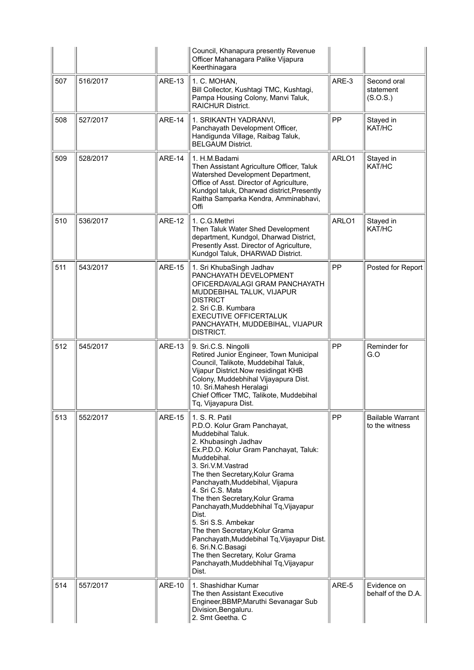|     |          |               | Council, Khanapura presently Revenue<br>Officer Mahanagara Palike Vijapura<br>Keerthinagara                                                                                                                                                                                                                                                                                                                                                                                                                                                                                  |       |                                           |
|-----|----------|---------------|------------------------------------------------------------------------------------------------------------------------------------------------------------------------------------------------------------------------------------------------------------------------------------------------------------------------------------------------------------------------------------------------------------------------------------------------------------------------------------------------------------------------------------------------------------------------------|-------|-------------------------------------------|
| 507 | 516/2017 | <b>ARE-13</b> | 1. C. MOHAN,<br>Bill Collector, Kushtagi TMC, Kushtagi,<br>Pampa Housing Colony, Manvi Taluk,<br><b>RAICHUR District.</b>                                                                                                                                                                                                                                                                                                                                                                                                                                                    | ARE-3 | Second oral<br>statement<br>(S.O.S.)      |
| 508 | 527/2017 | <b>ARE-14</b> | 1. SRIKANTH YADRANVI,<br>Panchayath Development Officer,<br>Handigunda Village, Raibag Taluk,<br><b>BELGAUM District.</b>                                                                                                                                                                                                                                                                                                                                                                                                                                                    | PP    | Stayed in<br>KAT/HC                       |
| 509 | 528/2017 | <b>ARE-14</b> | 1. H.M.Badami<br>Then Assistant Agriculture Officer, Taluk<br>Watershed Development Department,<br>Office of Asst. Director of Agriculture,<br>Kundgol taluk, Dharwad district, Presently<br>Raitha Samparka Kendra, Amminabhavi,<br>Offi                                                                                                                                                                                                                                                                                                                                    | ARLO1 | Stayed in<br>KAT/HC                       |
| 510 | 536/2017 | <b>ARE-12</b> | 1. C.G.Methri<br>Then Taluk Water Shed Development<br>department, Kundgol, Dharwad District,<br>Presently Asst. Director of Agriculture,<br>Kundgol Taluk, DHARWAD District.                                                                                                                                                                                                                                                                                                                                                                                                 | ARLO1 | Stayed in<br>KAT/HC                       |
| 511 | 543/2017 | <b>ARE-15</b> | 1. Sri KhubaSingh Jadhav<br>PANCHAYATH DEVELOPMENT<br>OFICERDAVALAGI GRAM PANCHAYATH<br>MUDDEBIHAL TALUK, VIJAPUR<br><b>DISTRICT</b><br>2. Sri C.B. Kumbara<br><b>EXECUTIVE OFFICERTALUK</b><br>PANCHAYATH, MUDDEBIHAL, VIJAPUR<br>DISTRICT.                                                                                                                                                                                                                                                                                                                                 | PP    | Posted for Report                         |
| 512 | 545/2017 | <b>ARE-13</b> | 9. Sri.C.S. Ningolli<br>Retired Junior Engineer, Town Municipal<br>Council, Talikote, Muddebihal Taluk,<br>Vijapur District. Now residingat KHB<br>Colony, Muddebhihal Vijayapura Dist.<br>10. Sri.Mahesh Heralagi<br>Chief Officer TMC, Talikote, Muddebihal<br>Tq, Vijayapura Dist.                                                                                                                                                                                                                                                                                        | PP    | Reminder for<br>G.O                       |
| 513 | 552/2017 | <b>ARE-15</b> | 1. S. R. Patil<br>P.D.O. Kolur Gram Panchayat,<br>Muddebihal Taluk.<br>2. Khubasingh Jadhav<br>Ex.P.D.O. Kolur Gram Panchayat, Taluk:<br>Muddebihal.<br>3. Sri.V.M.Vastrad<br>The then Secretary, Kolur Grama<br>Panchayath, Muddebihal, Vijapura<br>4. Sri C.S. Mata<br>The then Secretary, Kolur Grama<br>Panchayath, Muddebhihal Tq, Vijayapur<br>Dist.<br>5. Sri S.S. Ambekar<br>The then Secretary, Kolur Grama<br>Panchayath, Muddebihal Tq, Vijayapur Dist.<br>6. Sri.N.C.Basagi<br>The then Secretary, Kolur Grama<br>Panchayath, Muddebhihal Tq, Vijayapur<br>Dist. | PP    | <b>Bailable Warrant</b><br>to the witness |
| 514 | 557/2017 | <b>ARE-10</b> | 1. Shashidhar Kumar<br>The then Assistant Executive<br>Engineer, BBMP, Maruthi Sevanagar Sub<br>Division, Bengaluru.<br>2. Smt Geetha. C                                                                                                                                                                                                                                                                                                                                                                                                                                     | ARE-5 | Evidence on<br>behalf of the D.A.         |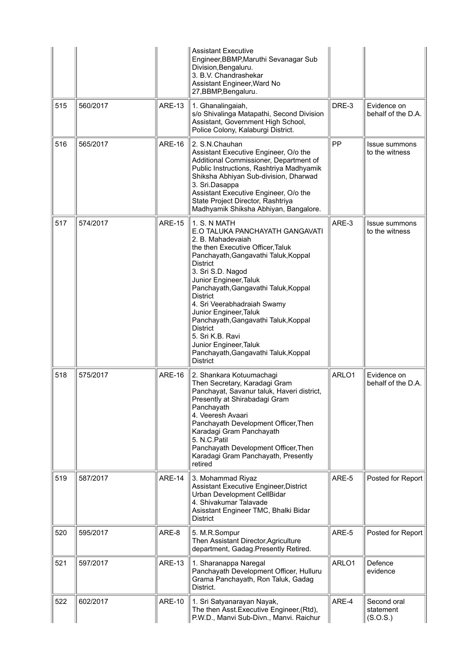|     |          |               | <b>Assistant Executive</b><br>Engineer, BBMP, Maruthi Sevanagar Sub<br>Division, Bengaluru.<br>3. B.V. Chandrashekar<br>Assistant Engineer, Ward No<br>27, BBMP, Bengaluru.                                                                                                                                                                                                                                                                                                                          |       |                                        |
|-----|----------|---------------|------------------------------------------------------------------------------------------------------------------------------------------------------------------------------------------------------------------------------------------------------------------------------------------------------------------------------------------------------------------------------------------------------------------------------------------------------------------------------------------------------|-------|----------------------------------------|
| 515 | 560/2017 | <b>ARE-13</b> | 1. Ghanalingaiah,<br>s/o Shivalinga Matapathi, Second Division<br>Assistant, Government High School,<br>Police Colony, Kalaburgi District.                                                                                                                                                                                                                                                                                                                                                           | DRE-3 | Evidence on<br>behalf of the D.A.      |
| 516 | 565/2017 | <b>ARE-16</b> | 2. S.N.Chauhan<br>Assistant Executive Engineer, O/o the<br>Additional Commissioner, Department of<br>Public Instructions, Rashtriya Madhyamik<br>Shiksha Abhiyan Sub-division, Dharwad<br>3. Sri.Dasappa<br>Assistant Executive Engineer, O/o the<br>State Project Director, Rashtriya<br>Madhyamik Shiksha Abhiyan, Bangalore.                                                                                                                                                                      | PP    | <b>Issue summons</b><br>to the witness |
| 517 | 574/2017 | <b>ARE-15</b> | 1. S. N MATH<br>E.O TALUKA PANCHAYATH GANGAVATI<br>2. B. Mahadevaiah<br>the then Executive Officer, Taluk<br>Panchayath, Gangavathi Taluk, Koppal<br><b>District</b><br>3. Sri S.D. Nagod<br>Junior Engineer, Taluk<br>Panchayath, Gangavathi Taluk, Koppal<br><b>District</b><br>4. Sri Veerabhadraiah Swamy<br>Junior Engineer, Taluk<br>Panchayath, Gangavathi Taluk, Koppal<br><b>District</b><br>5. Sri K.B. Ravi<br>Junior Engineer, Taluk<br>Panchayath, Gangavathi Taluk, Koppal<br>District | ARE-3 | Issue summons<br>to the witness        |
| 518 | 575/2017 | <b>ARE-16</b> | 2. Shankara Kotuumachagi<br>Then Secretary, Karadagi Gram<br>Panchayat, Savanur taluk, Haveri district,<br>Presently at Shirabadagi Gram<br>Panchayath<br>4. Veeresh Avaari<br>Panchayath Development Officer, Then<br>Karadagi Gram Panchayath<br>5. N.C. Patil<br>Panchayath Development Officer, Then<br>Karadagi Gram Panchayath, Presently<br>retired                                                                                                                                           | ARLO1 | Evidence on<br>behalf of the D.A.      |
| 519 | 587/2017 | ARE-14        | 3. Mohammad Riyaz<br>Assistant Executive Engineer, District<br>Urban Development CellBidar<br>4. Shivakumar Talavade<br>Asisstant Engineer TMC, Bhalki Bidar<br>District                                                                                                                                                                                                                                                                                                                             | ARE-5 | Posted for Report                      |
| 520 | 595/2017 | ARE-8         | 5. M.R.Sompur<br>Then Assistant Director, Agriculture<br>department, Gadag.Presently Retired.                                                                                                                                                                                                                                                                                                                                                                                                        | ARE-5 | Posted for Report                      |
| 521 | 597/2017 | <b>ARE-13</b> | 1. Sharanappa Naregal<br>Panchayath Development Officer, Hulluru<br>Grama Panchayath, Ron Taluk, Gadag<br>District.                                                                                                                                                                                                                                                                                                                                                                                  | ARLO1 | Defence<br>evidence                    |
| 522 | 602/2017 | <b>ARE-10</b> | 1. Sri Satyanarayan Nayak,<br>The then Asst. Executive Engineer, (Rtd),<br>P.W.D., Manvi Sub-Divn., Manvi. Raichur                                                                                                                                                                                                                                                                                                                                                                                   | ARE-4 | Second oral<br>statement<br>(S.O.S.)   |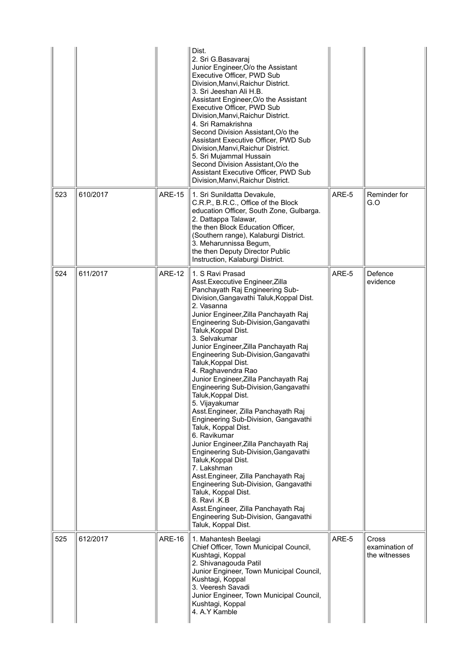|     |          |               | Dist.<br>2. Sri G.Basavaraj<br>Junior Engineer, O/o the Assistant<br>Executive Officer, PWD Sub<br>Division, Manvi, Raichur District.<br>3. Sri Jeeshan Ali H.B.<br>Assistant Engineer, O/o the Assistant<br>Executive Officer, PWD Sub<br>Division, Manvi, Raichur District.<br>4. Sri Ramakrishna<br>Second Division Assistant, O/o the<br>Assistant Executive Officer, PWD Sub<br>Division, Manvi, Raichur District.<br>5. Sri Mujammal Hussain<br>Second Division Assistant, O/o the<br>Assistant Executive Officer, PWD Sub<br>Division, Manvi, Raichur District.                                                                                                                                                                                                                                                                                                                                                                                                                                        |       |                                          |
|-----|----------|---------------|---------------------------------------------------------------------------------------------------------------------------------------------------------------------------------------------------------------------------------------------------------------------------------------------------------------------------------------------------------------------------------------------------------------------------------------------------------------------------------------------------------------------------------------------------------------------------------------------------------------------------------------------------------------------------------------------------------------------------------------------------------------------------------------------------------------------------------------------------------------------------------------------------------------------------------------------------------------------------------------------------------------|-------|------------------------------------------|
| 523 | 610/2017 | <b>ARE-15</b> | 1. Sri Sunildatta Devakule,<br>C.R.P., B.R.C., Office of the Block<br>education Officer, South Zone, Gulbarga.<br>2. Dattappa Talawar,<br>the then Block Education Officer,<br>(Southern range), Kalaburgi District.<br>3. Meharunnissa Begum,<br>the then Deputy Director Public<br>Instruction, Kalaburgi District.                                                                                                                                                                                                                                                                                                                                                                                                                                                                                                                                                                                                                                                                                         | ARE-5 | Reminder for<br>G.O                      |
| 524 | 611/2017 | <b>ARE-12</b> | 1. S Ravi Prasad<br>Asst. Execcutive Engineer, Zilla<br>Panchayath Raj Engineering Sub-<br>Division, Gangavathi Taluk, Koppal Dist.<br>2. Vasanna<br>Junior Engineer, Zilla Panchayath Raj<br>Engineering Sub-Division, Gangavathi<br>Taluk, Koppal Dist.<br>3. Selvakumar<br>Junior Engineer, Zilla Panchayath Raj<br>Engineering Sub-Division, Gangavathi<br>Taluk, Koppal Dist.<br>4. Raghavendra Rao<br>Junior Engineer, Zilla Panchayath Raj<br>Engineering Sub-Division, Gangavathi<br>Taluk, Koppal Dist.<br>5. Vijayakumar<br>Asst. Engineer, Zilla Panchayath Raj<br>Engineering Sub-Division, Gangavathi<br>Taluk, Koppal Dist.<br>6. Ravikumar<br>Junior Engineer, Zilla Panchayath Raj<br>Engineering Sub-Division, Gangavathi<br>Taluk, Koppal Dist.<br>7. Lakshman<br>Asst.Engineer, Zilla Panchayath Raj<br>Engineering Sub-Division, Gangavathi<br>Taluk, Koppal Dist.<br>8. Ravi .K.B<br>Asst. Engineer, Zilla Panchayath Raj<br>Engineering Sub-Division, Gangavathi<br>Taluk, Koppal Dist. | ARE-5 | Defence<br>evidence                      |
| 525 | 612/2017 | <b>ARE-16</b> | 1. Mahantesh Beelagi<br>Chief Officer, Town Municipal Council,<br>Kushtagi, Koppal<br>2. Shivanagouda Patil<br>Junior Engineer, Town Municipal Council,<br>Kushtagi, Koppal<br>3. Veeresh Savadi<br>Junior Engineer, Town Municipal Council,<br>Kushtagi, Koppal<br>4. A.Y Kamble                                                                                                                                                                                                                                                                                                                                                                                                                                                                                                                                                                                                                                                                                                                             | ARE-5 | Cross<br>examination of<br>the witnesses |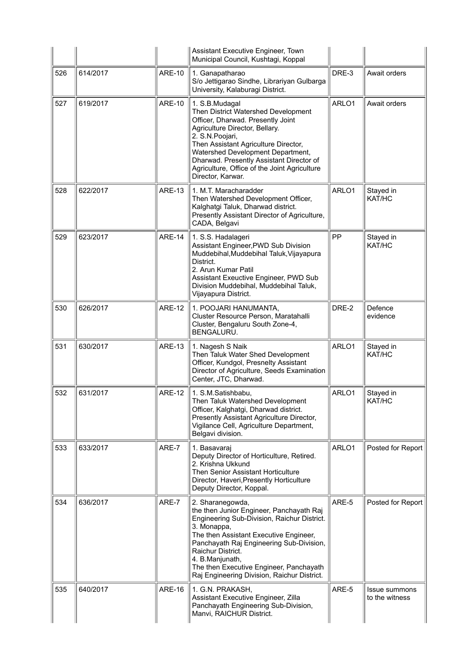|     |          |               | Assistant Executive Engineer, Town<br>Municipal Council, Kushtagi, Koppal                                                                                                                                                                                                                                                                          |       |                                 |
|-----|----------|---------------|----------------------------------------------------------------------------------------------------------------------------------------------------------------------------------------------------------------------------------------------------------------------------------------------------------------------------------------------------|-------|---------------------------------|
| 526 | 614/2017 | <b>ARE-10</b> | 1. Ganapatharao<br>S/o Jettigarao Sindhe, Librariyan Gulbarga<br>University, Kalaburagi District.                                                                                                                                                                                                                                                  | DRE-3 | Await orders                    |
| 527 | 619/2017 | <b>ARE-10</b> | 1. S.B.Mudagal<br>Then District Watershed Development<br>Officer, Dharwad. Presently Joint<br>Agriculture Director, Bellary.<br>2. S.N. Poojari,<br>Then Assistant Agriculture Director,<br>Watershed Development Department,<br>Dharwad. Presently Assistant Director of<br>Agriculture, Office of the Joint Agriculture<br>Director, Karwar.     | ARLO1 | Await orders                    |
| 528 | 622/2017 | <b>ARE-13</b> | 1. M.T. Maracharadder<br>Then Watershed Development Officer,<br>Kalghatgi Taluk, Dharwad district.<br>Presently Assistant Director of Agriculture,<br>CADA, Belgavi                                                                                                                                                                                | ARLO1 | Stayed in<br>KAT/HC             |
| 529 | 623/2017 | <b>ARE-14</b> | 1. S.S. Hadalageri<br>Assistant Engineer, PWD Sub Division<br>Muddebihal, Muddebihal Taluk, Vijayapura<br>District.<br>2. Arun Kumar Patil<br>Assistant Exeuctive Engineer, PWD Sub<br>Division Muddebihal, Muddebihal Taluk,<br>Vijayapura District.                                                                                              | PP    | Stayed in<br>KAT/HC             |
| 530 | 626/2017 | <b>ARE-12</b> | 1. POOJARI HANUMANTA,<br>Cluster Resource Person, Maratahalli<br>Cluster, Bengaluru South Zone-4,<br>BENGALURU.                                                                                                                                                                                                                                    | DRE-2 | Defence<br>evidence             |
| 531 | 630/2017 | <b>ARE-13</b> | 1. Nagesh S Naik<br>Then Taluk Water Shed Development<br>Officer, Kundgol, Presnelty Assistant<br>Director of Agriculture, Seeds Examination<br>Center, JTC, Dharwad.                                                                                                                                                                              | ARLO1 | Stayed in<br>KAT/HC             |
| 532 | 631/2017 | <b>ARE-12</b> | 1. S.M.Satishbabu,<br>Then Taluk Watershed Development<br>Officer, Kalghatgi, Dharwad district.<br>Presently Assistant Agriculture Director,<br>Vigilance Cell, Agriculture Department,<br>Belgavi division.                                                                                                                                       | ARLO1 | Stayed in<br>KAT/HC             |
| 533 | 633/2017 | ARE-7         | 1. Basavaraj<br>Deputy Director of Horticulture, Retired.<br>2. Krishna Ukkund<br>Then Senior Assistant Horticulture<br>Director, Haveri, Presently Horticulture<br>Deputy Director, Koppal.                                                                                                                                                       | ARLO1 | Posted for Report               |
| 534 | 636/2017 | ARE-7         | 2. Sharanegowda,<br>the then Junior Engineer, Panchayath Raj<br>Engineering Sub-Division, Raichur District.<br>3. Monappa,<br>The then Assistant Executive Engineer,<br>Panchayath Raj Engineering Sub-Division,<br>Raichur District.<br>4. B.Manjunath,<br>The then Executive Engineer, Panchayath<br>Raj Engineering Division, Raichur District. | ARE-5 | Posted for Report               |
| 535 | 640/2017 | <b>ARE-16</b> | 1. G.N. PRAKASH,<br>Assistant Executive Engineer, Zilla<br>Panchayath Engineering Sub-Division,<br>Manvi, RAICHUR District.                                                                                                                                                                                                                        | ARE-5 | Issue summons<br>to the witness |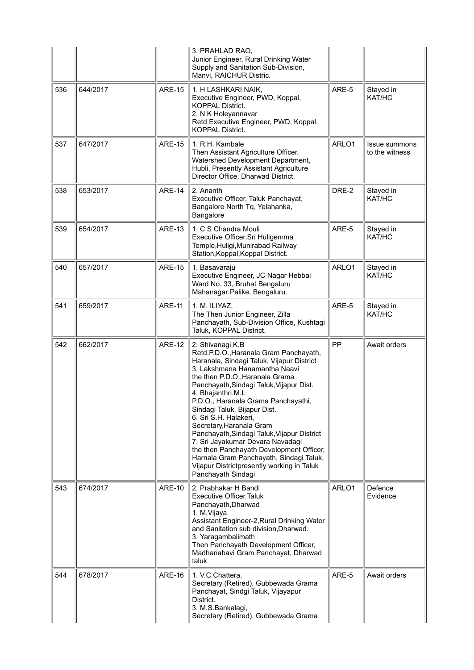|     |          |               | 3. PRAHLAD RAO,<br>Junior Engineer, Rural Drinking Water<br>Supply and Sanitation Sub-Division,<br>Manvi, RAICHUR Distric.                                                                                                                                                                                                                                                                                                                                                                                                                                                                                             |       |                                 |
|-----|----------|---------------|------------------------------------------------------------------------------------------------------------------------------------------------------------------------------------------------------------------------------------------------------------------------------------------------------------------------------------------------------------------------------------------------------------------------------------------------------------------------------------------------------------------------------------------------------------------------------------------------------------------------|-------|---------------------------------|
| 536 | 644/2017 | <b>ARE-15</b> | 1. H LASHKARI NAIK,<br>Executive Engineer, PWD, Koppal,<br><b>KOPPAL District.</b><br>2. N K Holeyannavar<br>Retd Executive Engineer, PWD, Koppal,<br><b>KOPPAL District.</b>                                                                                                                                                                                                                                                                                                                                                                                                                                          | ARE-5 | Stayed in<br>KAT/HC             |
| 537 | 647/2017 | <b>ARE-15</b> | 1. R.H. Kambale<br>Then Assistant Agriculture Officer,<br>Watershed Development Department,<br>Hubli, Presently Assistant Agriculture<br>Director Office, Dharwad District.                                                                                                                                                                                                                                                                                                                                                                                                                                            | ARLO1 | Issue summons<br>to the witness |
| 538 | 653/2017 | <b>ARE-14</b> | 2. Ananth<br>Executive Officer, Taluk Panchayat,<br>Bangalore North Tq, Yelahanka,<br>Bangalore                                                                                                                                                                                                                                                                                                                                                                                                                                                                                                                        | DRE-2 | Stayed in<br>KAT/HC             |
| 539 | 654/2017 | <b>ARE-13</b> | 1. C S Chandra Mouli<br>Executive Officer, Sri Huligemma<br>Temple, Huligi, Munirabad Railway<br>Station, Koppal, Koppal District.                                                                                                                                                                                                                                                                                                                                                                                                                                                                                     | ARE-5 | Stayed in<br>KAT/HC             |
| 540 | 657/2017 | <b>ARE-15</b> | 1. Basavaraju<br>Executive Engineer, JC Nagar Hebbal<br>Ward No. 33, Bruhat Bengaluru<br>Mahanagar Palike, Bengaluru.                                                                                                                                                                                                                                                                                                                                                                                                                                                                                                  | ARLO1 | Stayed in<br>KAT/HC             |
| 541 | 659/2017 | <b>ARE-11</b> | 1. M. ILIYAZ,<br>The Then Junior Engineer, Zilla<br>Panchayath, Sub-Division Office, Kushtagi<br>Taluk, KOPPAL District.                                                                                                                                                                                                                                                                                                                                                                                                                                                                                               | ARE-5 | Stayed in<br>KAT/HC             |
| 542 | 662/2017 | <b>ARE-12</b> | 2. Shivanagi.K.B<br>Retd.P.D.O., Haranala Gram Panchayath,<br>Haranala, Sindagi Taluk, Vijapur District<br>3. Lakshmana Hanamantha Naavi<br>the then P.D.O., Haranala Grama<br>Panchayath, Sindagi Taluk, Vijapur Dist.<br>4. Bhajanthri.M.L<br>P.D.O., Haranala Grama Panchayathi,<br>Sindagi Taluk, Bijapur Dist.<br>6. Sri S.H. Halakeri,<br>Secretary, Haranala Gram<br>Panchayath, Sindagi Taluk, Vijapur District<br>7. Sri Jayakumar Devara Navadagi<br>the then Panchayath Development Officer,<br>Harnala Gram Panchayath, Sindagi Taluk,<br>Vijapur Districtpresently working in Taluk<br>Panchayath Sindagi | PP    | Await orders                    |
| 543 | 674/2017 | <b>ARE-10</b> | 2. Prabhakar H Bandi<br>Executive Officer, Taluk<br>Panchayath, Dharwad<br>1. M.Vijaya<br>Assistant Engineer-2, Rural Drinking Water<br>and Sanitation sub division, Dharwad.<br>3. Yaragambalimath<br>Then Panchayath Development Officer,<br>Madhanabavi Gram Panchayat, Dharwad<br>taluk                                                                                                                                                                                                                                                                                                                            | ARLO1 | Defence<br>Evidence             |
| 544 | 678/2017 | <b>ARE-16</b> | 1. V.C.Chattera,<br>Secretary (Retired), Gubbewada Grama<br>Panchayat, Sindgi Taluk, Vijayapur<br>District.<br>3. M.S.Bankalagi,<br>Secretary (Retired), Gubbewada Grama                                                                                                                                                                                                                                                                                                                                                                                                                                               | ARE-5 | Await orders                    |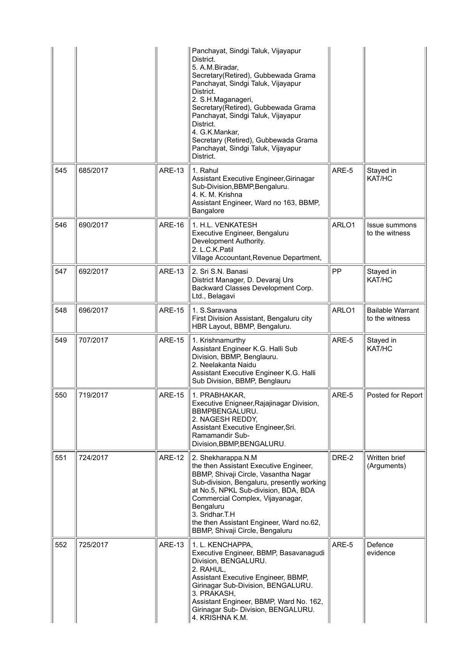|     |          |               | Panchayat, Sindgi Taluk, Vijayapur<br>District.<br>5. A.M.Biradar,<br>Secretary(Retired), Gubbewada Grama<br>Panchayat, Sindgi Taluk, Vijayapur<br>District.<br>2. S.H.Maganageri,<br>Secretary(Retired), Gubbewada Grama<br>Panchayat, Sindgi Taluk, Vijayapur<br>District.<br>4. G.K.Mankar,<br>Secretary (Retired), Gubbewada Grama<br>Panchayat, Sindgi Taluk, Vijayapur<br>District. |       |                                           |
|-----|----------|---------------|-------------------------------------------------------------------------------------------------------------------------------------------------------------------------------------------------------------------------------------------------------------------------------------------------------------------------------------------------------------------------------------------|-------|-------------------------------------------|
| 545 | 685/2017 | <b>ARE-13</b> | 1. Rahul<br>Assistant Executive Engineer, Girinagar<br>Sub-Division, BBMP, Bengaluru.<br>4. K. M. Krishna<br>Assistant Engineer, Ward no 163, BBMP,<br>Bangalore                                                                                                                                                                                                                          | ARE-5 | Stayed in<br>KAT/HC                       |
| 546 | 690/2017 | <b>ARE-16</b> | 1. H.L. VENKATESH<br>Executive Engineer, Bengaluru<br>Development Authority.<br>2. L.C.K.Patil<br>Village Accountant, Revenue Department,                                                                                                                                                                                                                                                 | ARLO1 | <b>Issue summons</b><br>to the witness    |
| 547 | 692/2017 | <b>ARE-13</b> | 2. Sri S.N. Banasi<br>District Manager, D. Devaraj Urs<br>Backward Classes Development Corp.<br>Ltd., Belagavi                                                                                                                                                                                                                                                                            | PP    | Stayed in<br>KAT/HC                       |
| 548 | 696/2017 | <b>ARE-15</b> | 1. S.Saravana<br>First Division Assistant, Bengaluru city<br>HBR Layout, BBMP, Bengaluru.                                                                                                                                                                                                                                                                                                 | ARLO1 | <b>Bailable Warrant</b><br>to the witness |
| 549 | 707/2017 | <b>ARE-15</b> | 1. Krishnamurthy<br>Assistant Engineer K.G. Halli Sub<br>Division, BBMP, Benglauru.<br>2. Neelakanta Naidu<br>Assistant Executive Engineer K.G. Halli<br>Sub Division, BBMP, Benglauru                                                                                                                                                                                                    | ARE-5 | Stayed in<br>KAT/HC                       |
| 550 | 719/2017 | <b>ARE-15</b> | 1. PRABHAKAR,<br>Executive Enigneer, Rajajinagar Division,<br>BBMPBENGALURU.<br>2. NAGESH REDDY,<br>Assistant Executive Engineer, Sri.<br>Ramamandir Sub-<br>Division, BBMP, BENGALURU.                                                                                                                                                                                                   | ARE-5 | Posted for Report                         |
| 551 | 724/2017 | <b>ARE-12</b> | 2. Shekharappa.N.M<br>the then Assistant Executive Engineer,<br>BBMP, Shivaji Circle, Vasantha Nagar<br>Sub-division, Bengaluru, presently working<br>at No.5, NPKL Sub-division, BDA, BDA<br>Commercial Complex, Vijayanagar,<br>Bengaluru<br>3. Sridhar.T.H<br>the then Assistant Engineer, Ward no.62,<br>BBMP, Shivaji Circle, Bengaluru                                              | DRE-2 | Written brief<br>(Arguments)              |
| 552 | 725/2017 | <b>ARE-13</b> | 1. L. KENCHAPPA,<br>Executive Engineer, BBMP, Basavanagudi<br>Division, BENGALURU.<br>2. RAHUL,<br>Assistant Executive Engineer, BBMP,<br>Girinagar Sub-Division, BENGALURU.<br>3. PRAKASH,<br>Assistant Engineer, BBMP, Ward No. 162,<br>Girinagar Sub- Division, BENGALURU.<br>4. KRISHNA K.M.                                                                                          | ARE-5 | Defence<br>evidence                       |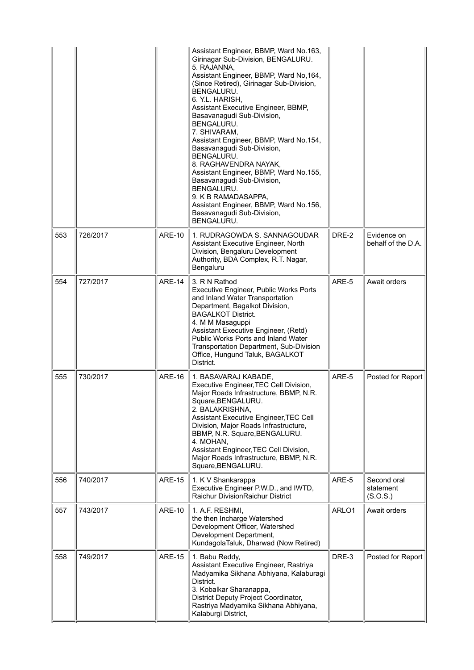|     |          |               | Assistant Engineer, BBMP, Ward No.163,<br>Girinagar Sub-Division, BENGALURU.<br>5. RAJANNA,<br>Assistant Engineer, BBMP, Ward No, 164,<br>(Since Retired), Girinagar Sub-Division,<br>BENGALURU.<br>6. Y.L. HARISH,<br>Assistant Executive Engineer, BBMP,<br>Basavanagudi Sub-Division,<br>BENGALURU.<br>7. SHIVARAM,<br>Assistant Engineer, BBMP, Ward No.154,<br>Basavanagudi Sub-Division,<br>BENGALURU.<br>8. RAGHAVENDRA NAYAK,<br>Assistant Engineer, BBMP, Ward No.155,<br>Basavanagudi Sub-Division,<br>BENGALURU.<br>9. K B RAMADASAPPA,<br>Assistant Engineer, BBMP, Ward No.156,<br>Basavanagudi Sub-Division,<br>BENGALURU. |       |                                      |
|-----|----------|---------------|------------------------------------------------------------------------------------------------------------------------------------------------------------------------------------------------------------------------------------------------------------------------------------------------------------------------------------------------------------------------------------------------------------------------------------------------------------------------------------------------------------------------------------------------------------------------------------------------------------------------------------------|-------|--------------------------------------|
| 553 | 726/2017 | <b>ARE-10</b> | 1. RUDRAGOWDA S. SANNAGOUDAR<br>Assistant Executive Engineer, North<br>Division, Bengaluru Development<br>Authority, BDA Complex, R.T. Nagar,<br>Bengaluru                                                                                                                                                                                                                                                                                                                                                                                                                                                                               | DRE-2 | Evidence on<br>behalf of the D.A.    |
| 554 | 727/2017 | ARE-14        | 3. R N Rathod<br>Executive Engineer, Public Works Ports<br>and Inland Water Transportation<br>Department, Bagalkot Division,<br><b>BAGALKOT District.</b><br>4. M M Masaguppi<br>Assistant Executive Engineer, (Retd)<br>Public Works Ports and Inland Water<br>Transportation Department, Sub-Division<br>Office, Hungund Taluk, BAGALKOT<br>District.                                                                                                                                                                                                                                                                                  | ARE-5 | Await orders                         |
| 555 | 730/2017 | <b>ARE-16</b> | 1. BASAVARAJ KABADE,<br>Executive Engineer, TEC Cell Division,<br>Major Roads Infrastructure, BBMP, N.R.<br>Square, BENGALURU.<br>2. BALAKRISHNA,<br>Assistant Executive Engineer, TEC Cell<br>Division, Major Roads Infrastructure,<br>BBMP, N.R. Square, BENGALURU.<br>4. MOHAN,<br>Assistant Engineer, TEC Cell Division,<br>Major Roads Infrastructure, BBMP, N.R.<br>Square, BENGALURU.                                                                                                                                                                                                                                             | ARE-5 | Posted for Report                    |
| 556 | 740/2017 | <b>ARE-15</b> | 1. K V Shankarappa<br>Executive Engineer P.W.D., and IWTD,<br>Raichur DivisionRaichur District                                                                                                                                                                                                                                                                                                                                                                                                                                                                                                                                           | ARE-5 | Second oral<br>statement<br>(S.O.S.) |
| 557 | 743/2017 | <b>ARE-10</b> | 1. A.F. RESHMI,<br>the then Incharge Watershed<br>Development Officer, Watershed<br>Development Department,<br>KundagolaTaluk, Dharwad (Now Retired)                                                                                                                                                                                                                                                                                                                                                                                                                                                                                     | ARLO1 | Await orders                         |
| 558 | 749/2017 | <b>ARE-15</b> | 1. Babu Reddy,<br>Assistant Executive Engineer, Rastriya<br>Madyamika Sikhana Abhiyana, Kalaburagi<br>District.<br>3. Kobalkar Sharanappa,<br>District Deputy Project Coordinator,<br>Rastriya Madyamika Sikhana Abhiyana,<br>Kalaburgi District,                                                                                                                                                                                                                                                                                                                                                                                        | DRE-3 | Posted for Report                    |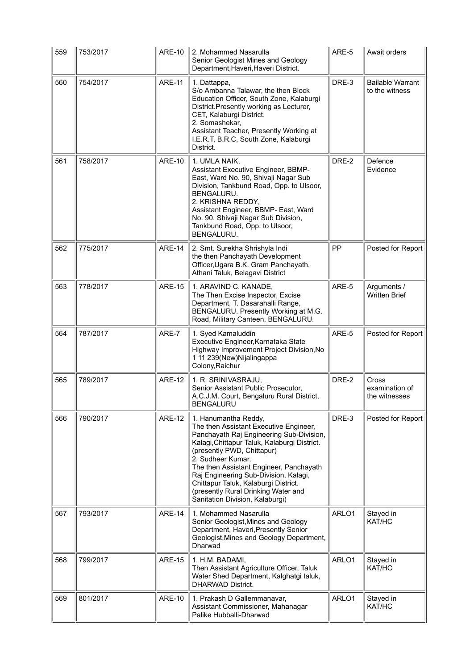| 559 | 753/2017 | <b>ARE-10</b> | 2. Mohammed Nasarulla<br>Senior Geologist Mines and Geology<br>Department, Haveri, Haveri District.                                                                                                                                                                                                                                                                                                                 | ARE-5 | Await orders                              |
|-----|----------|---------------|---------------------------------------------------------------------------------------------------------------------------------------------------------------------------------------------------------------------------------------------------------------------------------------------------------------------------------------------------------------------------------------------------------------------|-------|-------------------------------------------|
| 560 | 754/2017 | <b>ARE-11</b> | 1. Dattappa,<br>S/o Ambanna Talawar, the then Block<br>Education Officer, South Zone, Kalaburgi<br>District.Presently working as Lecturer,<br>CET, Kalaburgi District.<br>2. Somashekar,<br>Assistant Teacher, Presently Working at<br>I.E.R.T, B.R.C, South Zone, Kalaburgi<br>District.                                                                                                                           | DRE-3 | <b>Bailable Warrant</b><br>to the witness |
| 561 | 758/2017 | <b>ARE-10</b> | 1. UMLA NAIK,<br>Assistant Executive Engineer, BBMP-<br>East, Ward No. 90, Shivaji Nagar Sub<br>Division, Tankbund Road, Opp. to Ulsoor,<br>BENGALURU.<br>2. KRISHNA REDDY,<br>Assistant Engineer, BBMP- East, Ward<br>No. 90, Shivaji Nagar Sub Division,<br>Tankbund Road, Opp. to Ulsoor,<br>BENGALURU.                                                                                                          | DRE-2 | Defence<br>Evidence                       |
| 562 | 775/2017 | <b>ARE-14</b> | 2. Smt. Surekha Shrishyla Indi<br>the then Panchayath Development<br>Officer, Ugara B.K. Gram Panchayath,<br>Athani Taluk, Belagavi District                                                                                                                                                                                                                                                                        | PP    | Posted for Report                         |
| 563 | 778/2017 | <b>ARE-15</b> | 1. ARAVIND C. KANADE,<br>The Then Excise Inspector, Excise<br>Department, T. Dasarahalli Range,<br>BENGALURU. Presently Working at M.G.<br>Road, Military Canteen, BENGALURU.                                                                                                                                                                                                                                       | ARE-5 | Arguments /<br><b>Written Brief</b>       |
| 564 | 787/2017 | ARE-7         | 1. Syed Kamaluddin<br>Executive Engineer, Karnataka State<br>Highway Improvement Project Division, No<br>1 11 239(New)Nijalingappa<br>Colony, Raichur                                                                                                                                                                                                                                                               | ARE-5 | Posted for Report                         |
| 565 | 789/2017 | <b>ARE-12</b> | 1. R. SRINIVASRAJU,<br>Senior Assistant Public Prosecutor,<br>A.C.J.M. Court, Bengaluru Rural District,<br><b>BENGALURU</b>                                                                                                                                                                                                                                                                                         | DRE-2 | Cross<br>examination of<br>the witnesses  |
| 566 | 790/2017 | <b>ARE-12</b> | 1. Hanumantha Reddy,<br>The then Assistant Executive Engineer,<br>Panchayath Raj Engineering Sub-Division,<br>Kalagi, Chittapur Taluk, Kalaburgi District.<br>(presently PWD, Chittapur)<br>2. Sudheer Kumar,<br>The then Assistant Engineer, Panchayath<br>Raj Engineering Sub-Division, Kalagi,<br>Chittapur Taluk, Kalaburgi District.<br>(presently Rural Drinking Water and<br>Sanitation Division, Kalaburgi) | DRE-3 | Posted for Report                         |
| 567 | 793/2017 | <b>ARE-14</b> | 1. Mohammed Nasarulla<br>Senior Geologist, Mines and Geology<br>Department, Haveri, Presently Senior<br>Geologist, Mines and Geology Department,<br>Dharwad                                                                                                                                                                                                                                                         | ARLO1 | Stayed in<br>KAT/HC                       |
| 568 | 799/2017 | <b>ARE-15</b> | 1. H.M. BADAMI,<br>Then Assistant Agriculture Officer, Taluk<br>Water Shed Department, Kalghatgi taluk,<br><b>DHARWAD District.</b>                                                                                                                                                                                                                                                                                 | ARLO1 | Stayed in<br>KAT/HC                       |
| 569 | 801/2017 | <b>ARE-10</b> | 1. Prakash D Gallemmanavar,<br>Assistant Commissioner, Mahanagar<br>Palike Hubballi-Dharwad                                                                                                                                                                                                                                                                                                                         | ARLO1 | Stayed in<br>KAT/HC                       |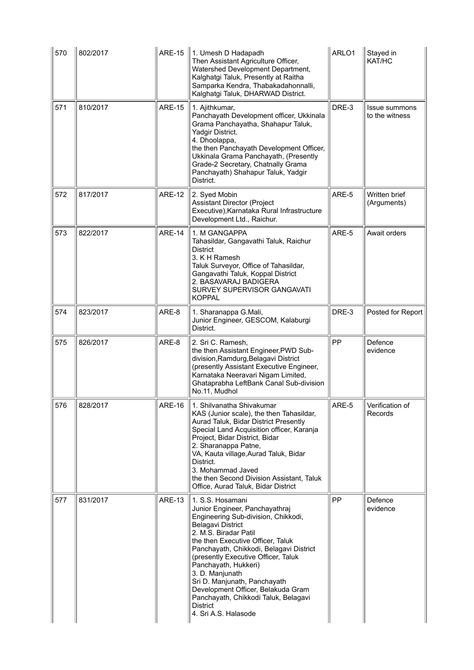| 570 | 802/2017 | <b>ARE-15</b> | 1. Umesh D Hadapadh<br>Then Assistant Agriculture Officer,<br>Watershed Development Department,<br>Kalghatgi Taluk, Presently at Raitha<br>Samparka Kendra, Thabakadahonnalli,<br>Kalghatgi Taluk, DHARWAD District.                                                                                                                                                                 | ARLO1 | Stayed in<br>KAT/HC             |
|-----|----------|---------------|--------------------------------------------------------------------------------------------------------------------------------------------------------------------------------------------------------------------------------------------------------------------------------------------------------------------------------------------------------------------------------------|-------|---------------------------------|
| 571 | 810/2017 | <b>ARE-15</b> | 1. Ajithkumar,<br>Panchayath Development officer, Ukkinala<br>Grama Panchayatha, Shahapur Taluk,<br>Yadgir District.<br>4. Dhoolappa,<br>the then Panchayath Development Officer,<br>Ukkinala Grama Panchayath, (Presently<br>Grade-2 Secretary, Chatnally Grama<br>Panchayath) Shahapur Taluk, Yadgir<br>District.                                                                  | DRE-3 | Issue summons<br>to the witness |
| 572 | 817/2017 | <b>ARE-12</b> | 2. Syed Mobin<br>Assistant Director (Project<br>Executive), Karnataka Rural Infrastructure<br>Development Ltd., Raichur.                                                                                                                                                                                                                                                             | ARE-5 | Written brief<br>(Arguments)    |
| 573 | 822/2017 | <b>ARE-14</b> | 1. M GANGAPPA<br>Tahasildar, Gangavathi Taluk, Raichur<br><b>District</b><br>3. K H Ramesh<br>Taluk Surveyor, Office of Tahasildar,<br>Gangavathi Taluk, Koppal District<br>2. BASAVARAJ BADIGERA<br>SURVEY SUPERVISOR GANGAVATI<br><b>KOPPAL</b>                                                                                                                                    | ARE-5 | Await orders                    |
| 574 | 823/2017 | ARE-8         | 1. Sharanappa G.Mali,<br>Junior Engineer, GESCOM, Kalaburgi<br>District.                                                                                                                                                                                                                                                                                                             | DRE-3 | Posted for Report               |
| 575 | 826/2017 | ARE-8         | 2. Sri C. Ramesh,<br>the then Assistant Engineer, PWD Sub-<br>division, Ramdurg, Belagavi District                                                                                                                                                                                                                                                                                   | PP    | Defence<br>evidence             |
|     |          |               | (presently Assistant Executive Engineer,<br>Karnataka Neeravari Nigam Limited,<br>Ghataprabha LeftBank Canal Sub-division<br>No.11, Mudhol                                                                                                                                                                                                                                           |       |                                 |
| 576 | 828/2017 | ARE-16        | 1. Shilvanatha Shivakumar<br>KAS (Junior scale), the then Tahasildar,<br>Aurad Taluk, Bidar District Presently<br>Special Land Acquisition officer, Karanja<br>Project, Bidar District, Bidar<br>2. Sharanappa Patne,<br>VA, Kauta village, Aurad Taluk, Bidar<br>District.<br>3. Mohammad Javed<br>the then Second Division Assistant, Taluk<br>Office, Aurad Taluk, Bidar District | ARE-5 | Verification of<br>Records      |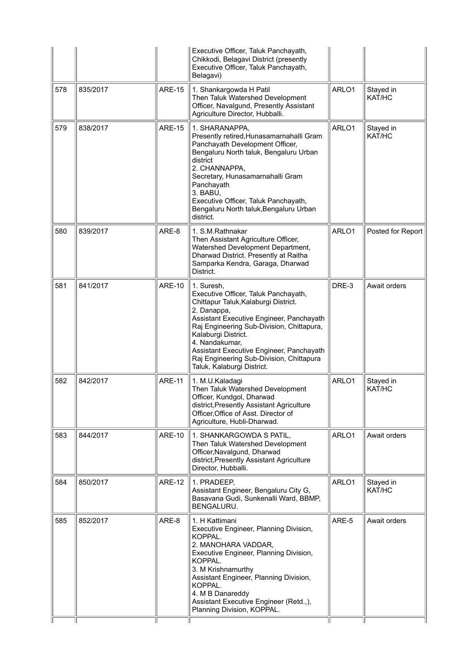|     |          |               | Executive Officer, Taluk Panchayath,<br>Chikkodi, Belagavi District (presently<br>Executive Officer, Taluk Panchayath,<br>Belagavi)                                                                                                                                                                                                                               |       |                     |
|-----|----------|---------------|-------------------------------------------------------------------------------------------------------------------------------------------------------------------------------------------------------------------------------------------------------------------------------------------------------------------------------------------------------------------|-------|---------------------|
| 578 | 835/2017 | <b>ARE-15</b> | 1. Shankargowda H Patil<br>Then Taluk Watershed Development<br>Officer, Navalgund, Presently Assistant<br>Agriculture Director, Hubballi.                                                                                                                                                                                                                         | ARLO1 | Stayed in<br>KAT/HC |
| 579 | 838/2017 | <b>ARE-15</b> | 1. SHARANAPPA,<br>Presently retired, Hunasamarnahalli Gram<br>Panchayath Development Officer,<br>Bengaluru North taluk, Bengaluru Urban<br>district<br>2. CHANNAPPA,<br>Secretary, Hunasamarnahalli Gram<br>Panchayath<br>3. BABU,<br>Executive Officer, Taluk Panchayath,<br>Bengaluru North taluk, Bengaluru Urban<br>district.                                 | ARLO1 | Stayed in<br>KAT/HC |
| 580 | 839/2017 | ARE-8         | 1. S.M.Rathnakar<br>Then Assistant Agriculture Officer,<br>Watershed Development Department,<br>Dharwad District. Presently at Raitha<br>Samparka Kendra, Garaga, Dharwad<br>District.                                                                                                                                                                            | ARLO1 | Posted for Report   |
| 581 | 841/2017 | <b>ARE-10</b> | 1. Suresh,<br>Executive Officer, Taluk Panchayath,<br>Chittapur Taluk, Kalaburgi District.<br>2. Danappa,<br>Assistant Executive Engineer, Panchayath<br>Raj Engineering Sub-Division, Chittapura,<br>Kalaburgi District.<br>4. Nandakumar,<br>Assistant Executive Engineer, Panchayath<br>Raj Engineering Sub-Division, Chittapura<br>Taluk, Kalaburgi District. | DRE-3 | Await orders        |
| 582 | 842/2017 | <b>ARE-11</b> | 1. M.U.Kaladagi<br>Then Taluk Watershed Development<br>Officer, Kundgol, Dharwad<br>district,Presently Assistant Agriculture<br>Officer, Office of Asst. Director of<br>Agriculture, Hubli-Dharwad.                                                                                                                                                               | ARLO1 | Stayed in<br>KAT/HC |
| 583 | 844/2017 | <b>ARE-10</b> | 1. SHANKARGOWDA S PATIL,<br>Then Taluk Watershed Development<br>Officer, Navalgund, Dharwad<br>district, Presently Assistant Agriculture<br>Director, Hubballi.                                                                                                                                                                                                   | ARLO1 | Await orders        |
| 584 | 850/2017 | <b>ARE-12</b> | 1. PRADEEP,<br>Assistant Engineer, Bengaluru City G,<br>Basavana Gudi, Sunkenalli Ward, BBMP,<br><b>BENGALURU.</b>                                                                                                                                                                                                                                                | ARLO1 | Stayed in<br>KAT/HC |
| 585 | 852/2017 | ARE-8         | 1. H Kattimani<br>Executive Engineer, Planning Division,<br>KOPPAL.<br>2. MANOHARA VADDAR,<br>Executive Engineer, Planning Division,<br>KOPPAL.<br>3. M Krishnamurthy<br>Assistant Engineer, Planning Division,<br>KOPPAL.<br>4. M B Danareddy<br>Assistant Executive Engineer (Retd.,),<br>Planning Division, KOPPAL.                                            | ARE-5 | Await orders        |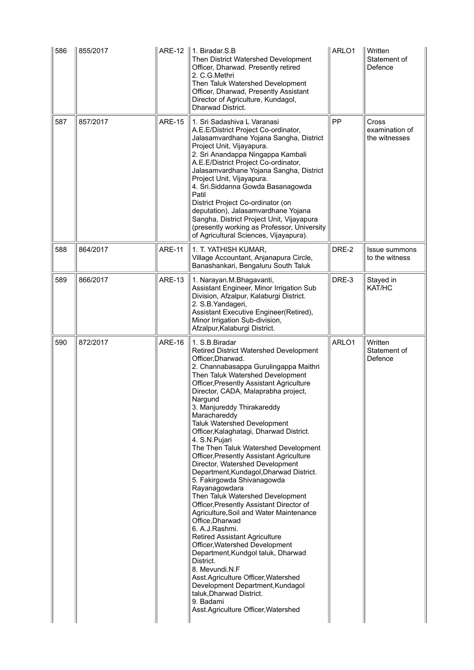| 586 | 855/2017 | <b>ARE-12</b> | 1. Biradar.S.B<br>Then District Watershed Development<br>Officer, Dharwad. Presently retired<br>2. C.G.Methri<br>Then Taluk Watershed Development<br>Officer, Dharwad, Presently Assistant<br>Director of Agriculture, Kundagol,<br>Dharwad District.                                                                                                                                                                                                                                                                                                                                                                                                                                                                                                                                                                                                                                                                                                                                                                                                                                         | ARLO1 | Written<br>Statement of<br>Defence       |
|-----|----------|---------------|-----------------------------------------------------------------------------------------------------------------------------------------------------------------------------------------------------------------------------------------------------------------------------------------------------------------------------------------------------------------------------------------------------------------------------------------------------------------------------------------------------------------------------------------------------------------------------------------------------------------------------------------------------------------------------------------------------------------------------------------------------------------------------------------------------------------------------------------------------------------------------------------------------------------------------------------------------------------------------------------------------------------------------------------------------------------------------------------------|-------|------------------------------------------|
| 587 | 857/2017 | <b>ARE-15</b> | 1. Sri Sadashiva L Varanasi<br>A.E.E/District Project Co-ordinator,<br>Jalasamvardhane Yojana Sangha, District<br>Project Unit, Vijayapura.<br>2. Sri Anandappa Ningappa Kambali<br>A.E.E/District Project Co-ordinator,<br>Jalasamvardhane Yojana Sangha, District<br>Project Unit, Vijayapura.<br>4. Sri.Siddanna Gowda Basanagowda<br>Patil<br>District Project Co-ordinator (on<br>deputation), Jalasamvardhane Yojana<br>Sangha, District Project Unit, Vijayapura<br>(presently working as Professor, University<br>of Agricultural Sciences, Vijayapura).                                                                                                                                                                                                                                                                                                                                                                                                                                                                                                                              | PP    | Cross<br>examination of<br>the witnesses |
| 588 | 864/2017 | <b>ARE-11</b> | 1. T. YATHISH KUMAR,<br>Village Accountant, Anjanapura Circle,<br>Banashankari, Bengaluru South Taluk                                                                                                                                                                                                                                                                                                                                                                                                                                                                                                                                                                                                                                                                                                                                                                                                                                                                                                                                                                                         | DRE-2 | <b>Issue summons</b><br>to the witness   |
| 589 | 866/2017 | <b>ARE-13</b> | 1. Narayan.M.Bhagavanti,<br>Assistant Engineer, Minor Irrigation Sub<br>Division, Afzalpur, Kalaburgi District.<br>2. S.B. Yandageri,<br>Assistant Executive Engineer(Retired),<br>Minor Irrigation Sub-division,<br>Afzalpur, Kalaburgi District.                                                                                                                                                                                                                                                                                                                                                                                                                                                                                                                                                                                                                                                                                                                                                                                                                                            | DRE-3 | Stayed in<br>KAT/HC                      |
| 590 | 872/2017 | <b>ARE-16</b> | 1. S.B. Biradar<br>Retired District Watershed Development<br>Officer, Dharwad.<br>2. Channabasappa Gurulingappa Maithri<br>Then Taluk Watershed Development<br><b>Officer, Presently Assistant Agriculture</b><br>Director, CADA, Malaprabha project,<br>Nargund<br>3. Manjureddy Thirakareddy<br>Marachareddy<br>Taluk Watershed Development<br>Officer, Kalaghatagi, Dharwad District.<br>4. S.N.Pujari<br>The Then Taluk Watershed Development<br>Officer, Presently Assistant Agriculture<br>Director, Watershed Development<br>Department, Kundagol, Dharwad District.<br>5. Fakirgowda Shivanagowda<br>Rayanagowdara<br>Then Taluk Watershed Development<br>Officer, Presently Assistant Director of<br>Agriculture, Soil and Water Maintenance<br>Office, Dharwad<br>6. A.J.Rashmi.<br>Retired Assistant Agriculture<br>Officer, Watershed Development<br>Department, Kundgol taluk, Dharwad<br>District.<br>8. Mevundi.N.F<br>Asst.Agriculture Officer, Watershed<br>Development Department, Kundagol<br>taluk, Dharwad District.<br>9. Badami<br>Asst.Agriculture Officer, Watershed | ARLO1 | Written<br>Statement of<br>Defence       |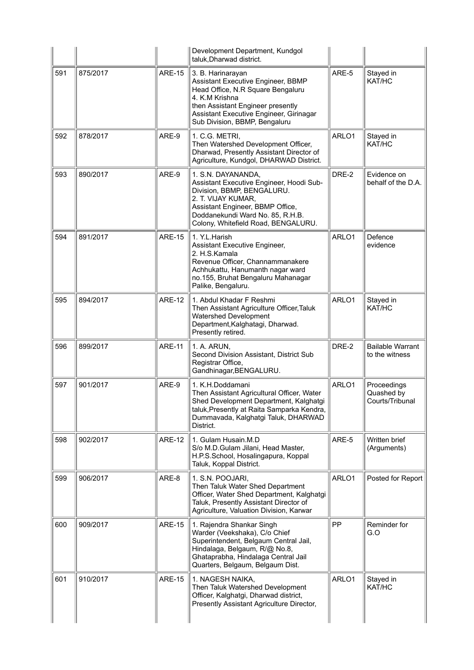|     |          |               | Development Department, Kundgol<br>taluk, Dharwad district.                                                                                                                                                                       |       |                                              |
|-----|----------|---------------|-----------------------------------------------------------------------------------------------------------------------------------------------------------------------------------------------------------------------------------|-------|----------------------------------------------|
| 591 | 875/2017 | <b>ARE-15</b> | 3. B. Harinarayan<br>Assistant Executive Engineer, BBMP<br>Head Office, N.R Square Bengaluru<br>4. K.M Krishna<br>then Assistant Engineer presently<br>Assistant Executive Engineer, Girinagar<br>Sub Division, BBMP, Bengaluru   | ARE-5 | Stayed in<br>KAT/HC                          |
| 592 | 878/2017 | ARE-9         | 1. C.G. METRI,<br>Then Watershed Development Officer,<br>Dharwad, Presently Assistant Director of<br>Agriculture, Kundgol, DHARWAD District.                                                                                      | ARLO1 | Stayed in<br>KAT/HC                          |
| 593 | 890/2017 | ARE-9         | 1. S.N. DAYANANDA,<br>Assistant Executive Engineer, Hoodi Sub-<br>Division, BBMP, BENGALURU.<br>2. T. VIJAY KUMAR,<br>Assistant Engineer, BBMP Office,<br>Doddanekundi Ward No. 85, R.H.B.<br>Colony, Whitefield Road, BENGALURU. | DRE-2 | Evidence on<br>behalf of the D.A.            |
| 594 | 891/2017 | <b>ARE-15</b> | 1. Y.L.Harish<br>Assistant Executive Engineer,<br>2. H.S.Kamala<br>Revenue Officer, Channammanakere<br>Achhukattu, Hanumanth nagar ward<br>no.155, Bruhat Bengaluru Mahanagar<br>Palike, Bengaluru.                               | ARLO1 | Defence<br>evidence                          |
| 595 | 894/2017 | <b>ARE-12</b> | 1. Abdul Khadar F Reshmi<br>Then Assistant Agriculture Officer, Taluk<br>Watershed Development<br>Department, Kalghatagi, Dharwad.<br>Presently retired.                                                                          | ARLO1 | Stayed in<br>KAT/HC                          |
| 596 | 899/2017 | <b>ARE-11</b> | 1. A. ARUN,<br>Second Division Assistant, District Sub<br>Registrar Office,<br>Gandhinagar, BENGALURU.                                                                                                                            | DRE-2 | <b>Bailable Warrant</b><br>to the witness    |
| 597 | 901/2017 | ARE-9         | 1. K.H.Doddamani<br>Then Assistant Agricultural Officer, Water<br>Shed Development Department, Kalghatgi<br>taluk, Presently at Raita Samparka Kendra,<br>Dummavada, Kalghatgi Taluk, DHARWAD<br>District.                        | ARLO1 | Proceedings<br>Quashed by<br>Courts/Tribunal |
| 598 | 902/2017 | <b>ARE-12</b> | 1. Gulam Husain.M.D<br>S/o M.D.Gulam Jilani, Head Master,<br>H.P.S.School, Hosalingapura, Koppal<br>Taluk, Koppal District.                                                                                                       | ARE-5 | Written brief<br>(Arguments)                 |
| 599 | 906/2017 | ARE-8         | 1. S.N. POOJARI,<br>Then Taluk Water Shed Department<br>Officer, Water Shed Department, Kalghatgi<br>Taluk, Presently Assistant Director of<br>Agriculture, Valuation Division, Karwar                                            | ARLO1 | Posted for Report                            |
| 600 | 909/2017 | <b>ARE-15</b> | 1. Rajendra Shankar Singh<br>Warder (Veekshaka), C/o Chief<br>Superintendent, Belgaum Central Jail,<br>Hindalaga, Belgaum, R/@ No.8,<br>Ghataprabha, Hindalaga Central Jail<br>Quarters, Belgaum, Belgaum Dist.                   | PP    | Reminder for<br>G.O                          |
| 601 | 910/2017 | <b>ARE-15</b> | 1. NAGESH NAIKA,<br>Then Taluk Watershed Development<br>Officer, Kalghatgi, Dharwad district,<br>Presently Assistant Agriculture Director,                                                                                        | ARLO1 | Stayed in<br>KAT/HC                          |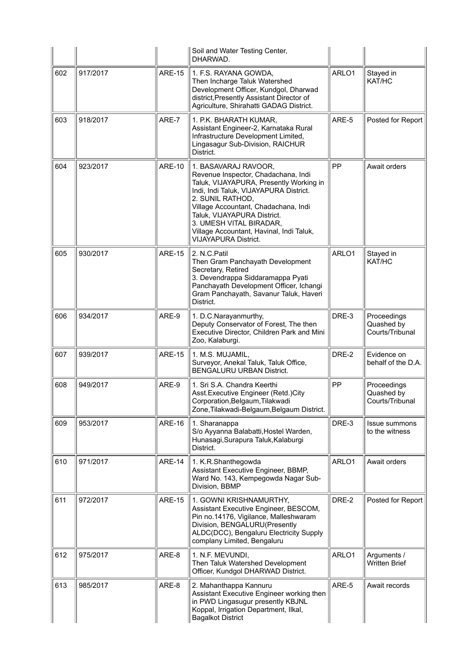|     |          |               | Soil and Water Testing Center,<br>DHARWAD.                                                                                                                                                                                                                                                                                                        |       |                                              |
|-----|----------|---------------|---------------------------------------------------------------------------------------------------------------------------------------------------------------------------------------------------------------------------------------------------------------------------------------------------------------------------------------------------|-------|----------------------------------------------|
| 602 | 917/2017 | <b>ARE-15</b> | 1. F.S. RAYANA GOWDA,<br>Then Incharge Taluk Watershed<br>Development Officer, Kundgol, Dharwad<br>district, Presently Assistant Director of<br>Agriculture, Shirahatti GADAG District.                                                                                                                                                           | ARLO1 | Stayed in<br>KAT/HC                          |
| 603 | 918/2017 | ARE-7         | 1. P.K. BHARATH KUMAR,<br>Assistant Engineer-2, Karnataka Rural<br>Infrastructure Development Limited,<br>Lingasagur Sub-Division, RAICHUR<br>District.                                                                                                                                                                                           | ARE-5 | Posted for Report                            |
| 604 | 923/2017 | <b>ARE-10</b> | 1. BASAVARAJ RAVOOR,<br>Revenue Inspector, Chadachana, Indi<br>Taluk, VIJAYAPURA, Presently Working in<br>Indi, Indi Taluk, VIJAYAPURA District.<br>2. SUNIL RATHOD,<br>Village Accountant, Chadachana, Indi<br>Taluk, VIJAYAPURA District.<br>3. UMESH VITAL BIRADAR,<br>Village Accountant, Havinal, Indi Taluk,<br><b>VIJAYAPURA District.</b> | PP    | Await orders                                 |
| 605 | 930/2017 | <b>ARE-15</b> | 2. N.C.Patil<br>Then Gram Panchayath Development<br>Secretary, Retired<br>3. Devendrappa Siddaramappa Pyati<br>Panchayath Development Officer, Ichangi<br>Gram Panchayath, Savanur Taluk, Haveri<br>District.                                                                                                                                     | ARLO1 | Stayed in<br>KAT/HC                          |
| 606 | 934/2017 | ARE-9         | 1. D.C.Narayanmurthy,<br>Deputy Conservator of Forest, The then<br>Executive Director, Children Park and Mini<br>Zoo, Kalaburgi.                                                                                                                                                                                                                  | DRE-3 | Proceedings<br>Quashed by<br>Courts/Tribunal |
| 607 | 939/2017 | <b>ARE-15</b> | 1. M.S. MUJAMIL,<br>Surveyor, Anekal Taluk, Taluk Office,<br><b>BENGALURU URBAN District.</b>                                                                                                                                                                                                                                                     | DRE-2 | Evidence on<br>behalf of the D.A.            |
| 608 | 949/2017 | ARE-9         | 1. Sri S.A. Chandra Keerthi<br>Asst. Executive Engineer (Retd.) City<br>Corporation, Belgaum, Tilakwadi<br>Zone, Tilakwadi-Belgaum, Belgaum District.                                                                                                                                                                                             | PP    | Proceedings<br>Quashed by<br>Courts/Tribunal |
| 609 | 953/2017 | <b>ARE-16</b> | 1. Sharanappa<br>S/o Ayyanna Balabatti, Hostel Warden,<br>Hunasagi, Surapura Taluk, Kalaburgi<br>District.                                                                                                                                                                                                                                        | DRE-3 | <b>Issue summons</b><br>to the witness       |
| 610 | 971/2017 | <b>ARE-14</b> | 1. K.R.Shanthegowda<br>Assistant Executive Engineer, BBMP,<br>Ward No. 143, Kempegowda Nagar Sub-<br>Division, BBMP                                                                                                                                                                                                                               | ARLO1 | Await orders                                 |
| 611 | 972/2017 | <b>ARE-15</b> | 1. GOWNI KRISHNAMURTHY,<br>Assistant Executive Engineer, BESCOM,<br>Pin no.14176, Vigilance, Malleshwaram<br>Division, BENGALURU(Presently<br>ALDC(DCC), Bengaluru Electricity Supply<br>complany Limited, Bengaluru                                                                                                                              | DRE-2 | Posted for Report                            |
| 612 | 975/2017 | ARE-8         | 1. N.F. MEVUNDI,<br>Then Taluk Watershed Development<br>Officer, Kundgol DHARWAD District.                                                                                                                                                                                                                                                        | ARLO1 | Arguments /<br><b>Written Brief</b>          |
| 613 | 985/2017 | ARE-8         | 2. Mahanthappa Kannuru<br>Assistant Executive Engineer working then<br>in PWD Lingasugur presently KBJNL<br>Koppal, Irrigation Department, Ilkal,<br><b>Bagalkot District</b>                                                                                                                                                                     | ARE-5 | Await records                                |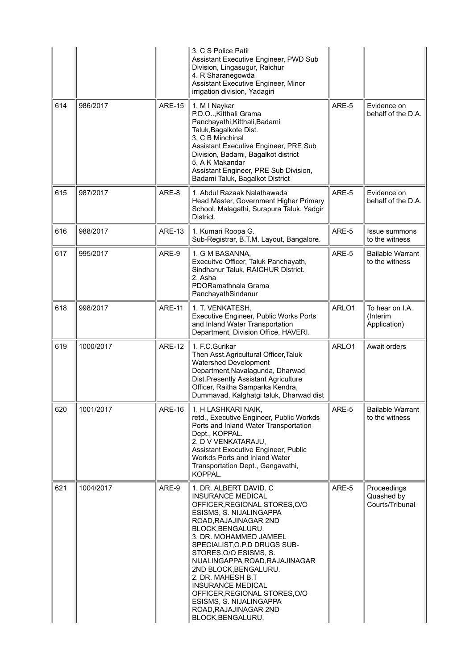| 614 | 986/2017  | <b>ARE-15</b> | 3. C S Police Patil<br>Assistant Executive Engineer, PWD Sub<br>Division, Lingasugur, Raichur<br>4. R Sharanegowda<br>Assistant Executive Engineer, Minor<br>irrigation division, Yadagiri<br>1. M I Naykar<br>P.D.O, Kitthali Grama<br>Panchayathi, Kitthali, Badami                                                                                                                                                                                                  | ARE-5 | Evidence on<br>behalf of the D.A.            |
|-----|-----------|---------------|------------------------------------------------------------------------------------------------------------------------------------------------------------------------------------------------------------------------------------------------------------------------------------------------------------------------------------------------------------------------------------------------------------------------------------------------------------------------|-------|----------------------------------------------|
|     |           |               | Taluk, Bagalkote Dist.<br>3. C B Minchinal<br>Assistant Executive Engineer, PRE Sub<br>Division, Badami, Bagalkot district<br>5. A K Makandar<br>Assistant Engineer, PRE Sub Division,<br>Badami Taluk, Bagalkot District                                                                                                                                                                                                                                              |       |                                              |
| 615 | 987/2017  | ARE-8         | 1. Abdul Razaak Nalathawada<br>Head Master, Government Higher Primary<br>School, Malagathi, Surapura Taluk, Yadgir<br>District.                                                                                                                                                                                                                                                                                                                                        | ARE-5 | Evidence on<br>behalf of the D.A.            |
| 616 | 988/2017  | <b>ARE-13</b> | 1. Kumari Roopa G.<br>Sub-Registrar, B.T.M. Layout, Bangalore.                                                                                                                                                                                                                                                                                                                                                                                                         | ARE-5 | Issue summons<br>to the witness              |
| 617 | 995/2017  | ARE-9         | 1. G M BASANNA,<br>Execuitve Officer, Taluk Panchayath,<br>Sindhanur Taluk, RAICHUR District.<br>2. Asha<br>PDORamathnala Grama<br>PanchayathSindanur                                                                                                                                                                                                                                                                                                                  | ARE-5 | <b>Bailable Warrant</b><br>to the witness    |
| 618 | 998/2017  | <b>ARE-11</b> | 1. T. VENKATESH,<br>Executive Engineer, Public Works Ports<br>and Inland Water Transportation<br>Department, Division Office, HAVERI.                                                                                                                                                                                                                                                                                                                                  | ARLO1 | To hear on I.A.<br>(Interim<br>Application)  |
| 619 | 1000/2017 | <b>ARE-12</b> | 1. F.C. Gurikar<br>Then Asst.Agricultural Officer, Taluk<br><b>Watershed Development</b><br>Department, Navalagunda, Dharwad<br>Dist. Presently Assistant Agriculture<br>Officer, Raitha Samparka Kendra,<br>Dummavad, Kalghatgi taluk, Dharwad dist                                                                                                                                                                                                                   | ARLO1 | Await orders                                 |
| 620 | 1001/2017 | <b>ARE-16</b> | 1. H LASHKARI NAIK,<br>retd., Executive Engineer, Public Workds<br>Ports and Inland Water Transportation<br>Dept., KOPPAL.<br>2. D V VENKATARAJU,<br>Assistant Executive Engineer, Public<br>Workds Ports and Inland Water<br>Transportation Dept., Gangavathi,<br>KOPPAL.                                                                                                                                                                                             | ARE-5 | <b>Bailable Warrant</b><br>to the witness    |
| 621 | 1004/2017 | ARE-9         | 1. DR. ALBERT DAVID. C<br><b>INSURANCE MEDICAL</b><br>OFFICER, REGIONAL STORES, O/O<br>ESISMS, S. NIJALINGAPPA<br>ROAD, RAJAJINAGAR 2ND<br>BLOCK, BENGALURU.<br>3. DR. MOHAMMED JAMEEL<br>SPECIALIST, O.P.D DRUGS SUB-<br>STORES, O/O ESISMS, S.<br>NIJALINGAPPA ROAD, RAJAJINAGAR<br>2ND BLOCK, BENGALURU.<br>2. DR. MAHESH B.T<br><b>INSURANCE MEDICAL</b><br>OFFICER, REGIONAL STORES, O/O<br>ESISMS, S. NIJALINGAPPA<br>ROAD, RAJAJINAGAR 2ND<br>BLOCK, BENGALURU. | ARE-5 | Proceedings<br>Quashed by<br>Courts/Tribunal |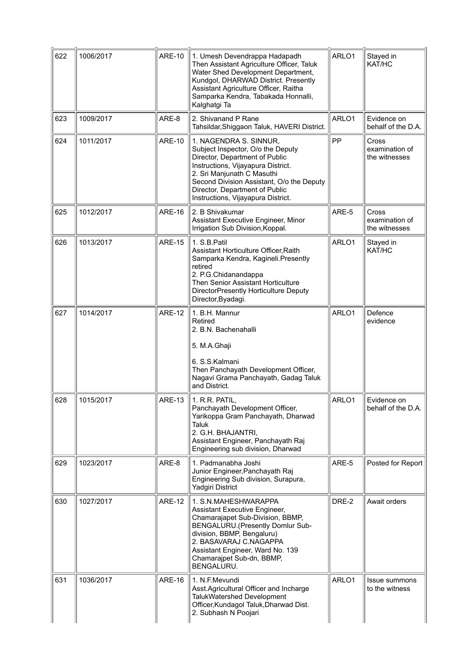| 622 | 1006/2017 | <b>ARE-10</b> | 1. Umesh Devendrappa Hadapadh<br>Then Assistant Agriculture Officer, Taluk<br>Water Shed Development Department,<br>Kundgol, DHARWAD District. Presently<br>Assistant Agriculture Officer, Raitha<br>Samparka Kendra, Tabakada Honnalli,<br>Kalghatgi Ta                               | ARLO1 | Stayed in<br>KAT/HC                      |
|-----|-----------|---------------|----------------------------------------------------------------------------------------------------------------------------------------------------------------------------------------------------------------------------------------------------------------------------------------|-------|------------------------------------------|
| 623 | 1009/2017 | ARE-8         | 2. Shivanand P Rane<br>Tahsildar, Shiggaon Taluk, HAVERI District.                                                                                                                                                                                                                     | ARLO1 | Evidence on<br>behalf of the D.A.        |
| 624 | 1011/2017 | <b>ARE-10</b> | 1. NAGENDRA S. SINNUR,<br>Subject Inspector, O/o the Deputy<br>Director, Department of Public<br>Instructions, Vijayapura District.<br>2. Sri Manjunath C Masuthi<br>Second Division Assistant, O/o the Deputy<br>Director, Department of Public<br>Instructions, Vijayapura District. | PP    | Cross<br>examination of<br>the witnesses |
| 625 | 1012/2017 | <b>ARE-16</b> | 2. B Shivakumar<br>Assistant Executive Engineer, Minor<br>Irrigation Sub Division, Koppal.                                                                                                                                                                                             | ARE-5 | Cross<br>examination of<br>the witnesses |
| 626 | 1013/2017 | <b>ARE-15</b> | 1. S.B. Patil<br>Assistant Horticulture Officer, Raith<br>Samparka Kendra, Kagineli.Presently<br>retired<br>2. P.G.Chidanandappa<br><b>Then Senior Assistant Horticulture</b><br>DirectorPresently Horticulture Deputy<br>Director, Byadagi.                                           | ARLO1 | Stayed in<br>KAT/HC                      |
| 627 | 1014/2017 | <b>ARE-12</b> | 1. B.H. Mannur<br>Retired<br>2. B.N. Bachenahalli<br>5. M.A.Ghaji<br>6. S.S.Kalmani<br>Then Panchayath Development Officer,<br>Nagavi Grama Panchayath, Gadag Taluk<br>and District.                                                                                                   | ARLO1 | Defence<br>evidence                      |
| 628 | 1015/2017 | <b>ARE-13</b> | 1. R.R. PATIL,<br>Panchayath Development Officer,<br>Yarikoppa Gram Panchayath, Dharwad<br>Taluk<br>2. G.H. BHAJANTRI,<br>Assistant Engineer, Panchayath Raj<br>Engineering sub division, Dharwad                                                                                      | ARLO1 | Evidence on<br>behalf of the D.A.        |
| 629 | 1023/2017 | ARE-8         | 1. Padmanabha Joshi<br>Junior Engineer, Panchayath Raj<br>Engineering Sub division, Surapura,<br>Yadgiri District                                                                                                                                                                      | ARE-5 | Posted for Report                        |
| 630 | 1027/2017 | <b>ARE-12</b> | 1. S.N.MAHESHWARAPPA<br>Assistant Executive Engineer,<br>Chamarajapet Sub-Division, BBMP,<br>BENGALURU.(Presently Domlur Sub-<br>division, BBMP, Bengaluru)<br>2. BASAVARAJ C.NAGAPPA<br>Assistant Engineer, Ward No. 139<br>Chamarajpet Sub-dn, BBMP,<br>BENGALURU.                   | DRE-2 | Await orders                             |
| 631 | 1036/2017 | <b>ARE-16</b> | 1. N.F.Mevundi<br>Asst.Agricultural Officer and Incharge<br>TalukWatershed Development<br>Officer, Kundagol Taluk, Dharwad Dist.<br>2. Subhash N Poojari                                                                                                                               | ARLO1 | Issue summons<br>to the witness          |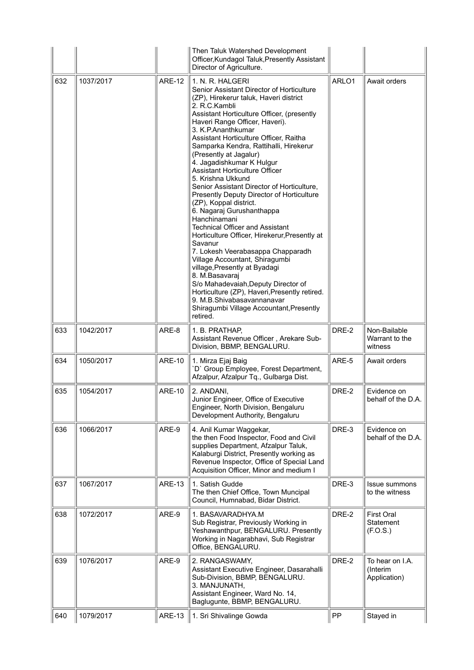|     |           |               | Then Taluk Watershed Development<br>Officer, Kundagol Taluk, Presently Assistant<br>Director of Agriculture.                                                                                                                                                                                                                                                                                                                                                                                                                                                                                                                                                                                                                                                                                                                                                                                                                                                                                                     |       |                                             |
|-----|-----------|---------------|------------------------------------------------------------------------------------------------------------------------------------------------------------------------------------------------------------------------------------------------------------------------------------------------------------------------------------------------------------------------------------------------------------------------------------------------------------------------------------------------------------------------------------------------------------------------------------------------------------------------------------------------------------------------------------------------------------------------------------------------------------------------------------------------------------------------------------------------------------------------------------------------------------------------------------------------------------------------------------------------------------------|-------|---------------------------------------------|
| 632 | 1037/2017 | <b>ARE-12</b> | 1. N. R. HALGERI<br>Senior Assistant Director of Horticulture<br>(ZP), Hirekerur taluk, Haveri district<br>2. R.C.Kambli<br>Assistant Horticulture Officer, (presently<br>Haveri Range Officer, Haveri).<br>3. K.P.Ananthkumar<br>Assistant Horticulture Officer, Raitha<br>Samparka Kendra, Rattihalli, Hirekerur<br>(Presently at Jagalur)<br>4. Jagadishkumar K Hulgur<br>Assistant Horticulture Officer<br>5. Krishna Ukkund<br>Senior Assistant Director of Horticulture,<br>Presently Deputy Director of Horticulture<br>(ZP), Koppal district.<br>6. Nagaraj Gurushanthappa<br>Hanchinamani<br><b>Technical Officer and Assistant</b><br>Horticulture Officer, Hirekerur, Presently at<br>Savanur<br>7. Lokesh Veerabasappa Chapparadh<br>Village Accountant, Shiragumbi<br>village, Presently at Byadagi<br>8. M.Basavaraj<br>S/o Mahadevaiah, Deputy Director of<br>Horticulture (ZP), Haveri, Presently retired.<br>9. M.B.Shivabasavannanavar<br>Shiragumbi Village Accountant, Presently<br>retired. | ARLO1 | Await orders                                |
| 633 | 1042/2017 | ARE-8         | 1. B. PRATHAP,<br>Assistant Revenue Officer, Arekare Sub-<br>Division, BBMP, BENGALURU.                                                                                                                                                                                                                                                                                                                                                                                                                                                                                                                                                                                                                                                                                                                                                                                                                                                                                                                          | DRE-2 | Non-Bailable<br>Warrant to the<br>witness   |
| 634 | 1050/2017 | <b>ARE-10</b> | 1. Mirza Ejaj Baig<br>'D' Group Employee, Forest Department,<br>Afzalpur, Afzalpur Tq., Gulbarga Dist.                                                                                                                                                                                                                                                                                                                                                                                                                                                                                                                                                                                                                                                                                                                                                                                                                                                                                                           | ARE-5 | Await orders                                |
| 635 | 1054/2017 | <b>ARE-10</b> | 2. ANDANI,<br>Junior Engineer, Office of Executive<br>Engineer, North Division, Bengaluru<br>Development Authority, Bengaluru                                                                                                                                                                                                                                                                                                                                                                                                                                                                                                                                                                                                                                                                                                                                                                                                                                                                                    | DRE-2 | Evidence on<br>behalf of the D.A.           |
| 636 | 1066/2017 | ARE-9         | 4. Anil Kumar Waggekar,<br>the then Food Inspector, Food and Civil<br>supplies Department, Afzalpur Taluk,<br>Kalaburgi District, Presently working as<br>Revenue Inspector, Office of Special Land<br>Acquisition Officer, Minor and medium I                                                                                                                                                                                                                                                                                                                                                                                                                                                                                                                                                                                                                                                                                                                                                                   | DRE-3 | Evidence on<br>behalf of the D.A.           |
| 637 | 1067/2017 | <b>ARE-13</b> | 1. Satish Gudde<br>The then Chief Office, Town Muncipal<br>Council, Humnabad, Bidar District.                                                                                                                                                                                                                                                                                                                                                                                                                                                                                                                                                                                                                                                                                                                                                                                                                                                                                                                    | DRE-3 | <b>Issue summons</b><br>to the witness      |
| 638 | 1072/2017 | ARE-9         | 1. BASAVARADHYA.M<br>Sub Registrar, Previously Working in<br>Yeshawanthpur, BENGALURU. Presently<br>Working in Nagarabhavi, Sub Registrar<br>Office, BENGALURU.                                                                                                                                                                                                                                                                                                                                                                                                                                                                                                                                                                                                                                                                                                                                                                                                                                                  | DRE-2 | First Oral<br>Statement<br>(F.O.S.)         |
| 639 | 1076/2017 | ARE-9         | 2. RANGASWAMY,<br>Assistant Executive Engineer, Dasarahalli<br>Sub-Division, BBMP, BENGALURU.<br>3. MANJUNATH,<br>Assistant Engineer, Ward No. 14,<br>Baglugunte, BBMP, BENGALURU.                                                                                                                                                                                                                                                                                                                                                                                                                                                                                                                                                                                                                                                                                                                                                                                                                               | DRE-2 | To hear on I.A.<br>(Interim<br>Application) |
| 640 | 1079/2017 | ARE-13        | 1. Sri Shivalinge Gowda                                                                                                                                                                                                                                                                                                                                                                                                                                                                                                                                                                                                                                                                                                                                                                                                                                                                                                                                                                                          | PP    | Stayed in                                   |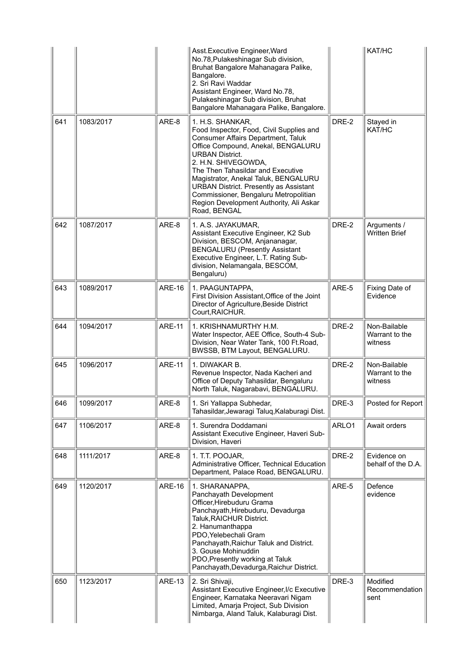|     |           |               | Asst.Executive Engineer, Ward<br>No.78, Pulakeshinagar Sub division,<br>Bruhat Bangalore Mahanagara Palike,<br>Bangalore.<br>2. Sri Ravi Waddar<br>Assistant Engineer, Ward No.78,<br>Pulakeshinagar Sub division, Bruhat<br>Bangalore Mahanagara Palike, Bangalore.                                                                                                                                                               |       | KAT/HC                                    |
|-----|-----------|---------------|------------------------------------------------------------------------------------------------------------------------------------------------------------------------------------------------------------------------------------------------------------------------------------------------------------------------------------------------------------------------------------------------------------------------------------|-------|-------------------------------------------|
| 641 | 1083/2017 | ARE-8         | 1. H.S. SHANKAR,<br>Food Inspector, Food, Civil Supplies and<br><b>Consumer Affairs Department, Taluk</b><br>Office Compound, Anekal, BENGALURU<br><b>URBAN District.</b><br>2. H.N. SHIVEGOWDA,<br>The Then Tahasildar and Executive<br>Magistrator, Anekal Taluk, BENGALURU<br><b>URBAN District. Presently as Assistant</b><br>Commissioner, Bengaluru Metropolitian<br>Region Development Authority, Ali Askar<br>Road, BENGAL | DRE-2 | Stayed in<br>KAT/HC                       |
| 642 | 1087/2017 | ARE-8         | 1. A.S. JAYAKUMAR,<br>Assistant Executive Engineer, K2 Sub<br>Division, BESCOM, Anjananagar,<br><b>BENGALURU (Presently Assistant</b><br>Executive Engineer, L.T. Rating Sub-<br>division, Nelamangala, BESCOM,<br>Bengaluru)                                                                                                                                                                                                      | DRE-2 | Arguments /<br><b>Written Brief</b>       |
| 643 | 1089/2017 | <b>ARE-16</b> | 1. PAAGUNTAPPA,<br>First Division Assistant, Office of the Joint<br>Director of Agriculture, Beside District<br>Court, RAICHUR.                                                                                                                                                                                                                                                                                                    | ARE-5 | Fixing Date of<br>Evidence                |
| 644 | 1094/2017 | <b>ARE-11</b> | 1. KRISHNAMURTHY H.M.<br>Water Inspector, AEE Office, South-4 Sub-<br>Division, Near Water Tank, 100 Ft.Road,<br>BWSSB, BTM Layout, BENGALURU.                                                                                                                                                                                                                                                                                     | DRE-2 | Non-Bailable<br>Warrant to the<br>witness |
| 645 | 1096/2017 | <b>ARE-11</b> | 1. DIWAKAR B.<br>Revenue Inspector, Nada Kacheri and<br>Office of Deputy Tahasildar, Bengaluru<br>North Taluk, Nagarabavi, BENGALURU.                                                                                                                                                                                                                                                                                              | DRE-2 | Non-Bailable<br>Warrant to the<br>witness |
| 646 | 1099/2017 | ARE-8         | 1. Sri Yallappa Subhedar,<br>Tahasildar, Jewaragi Taluq, Kalaburagi Dist.                                                                                                                                                                                                                                                                                                                                                          | DRE-3 | Posted for Report                         |
| 647 | 1106/2017 | ARE-8         | 1. Surendra Doddamani<br>Assistant Executive Engineer, Haveri Sub-<br>Division, Haveri                                                                                                                                                                                                                                                                                                                                             | ARLO1 | Await orders                              |
| 648 | 1111/2017 | ARE-8         | 1. T.T. POOJAR,<br>Administrative Officer, Technical Education<br>Department, Palace Road, BENGALURU.                                                                                                                                                                                                                                                                                                                              | DRE-2 | Evidence on<br>behalf of the D.A.         |
| 649 | 1120/2017 | <b>ARE-16</b> | 1. SHARANAPPA,<br>Panchayath Development<br>Officer, Hirebuduru Grama<br>Panchayath, Hirebuduru, Devadurga<br>Taluk, RAICHUR District.<br>2. Hanumanthappa<br>PDO, Yelebechali Gram<br>Panchayath, Raichur Taluk and District.<br>3. Gouse Mohinuddin<br>PDO, Presently working at Taluk<br>Panchayath, Devadurga, Raichur District.                                                                                               | ARE-5 | Defence<br>evidence                       |
| 650 | 1123/2017 | <b>ARE-13</b> | 2. Sri Shivaji,<br>Assistant Executive Engineer, I/c Executive<br>Engineer, Karnataka Neeravari Nigam<br>Limited, Amarja Project, Sub Division<br>Nimbarga, Aland Taluk, Kalaburagi Dist.                                                                                                                                                                                                                                          | DRE-3 | Modified<br>Recommendation<br>sent        |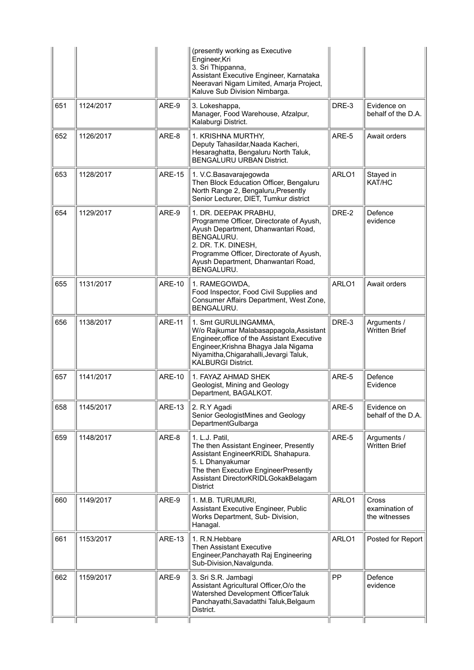|     |           |               | (presently working as Executive<br>Engineer, Kri<br>3. Sri Thippanna,<br>Assistant Executive Engineer, Karnataka<br>Neeravari Nigam Limited, Amarja Project,<br>Kaluve Sub Division Nimbarga.                                                  |       |                                          |
|-----|-----------|---------------|------------------------------------------------------------------------------------------------------------------------------------------------------------------------------------------------------------------------------------------------|-------|------------------------------------------|
| 651 | 1124/2017 | ARE-9         | 3. Lokeshappa,<br>Manager, Food Warehouse, Afzalpur,<br>Kalaburgi District.                                                                                                                                                                    | DRE-3 | Evidence on<br>behalf of the D.A.        |
| 652 | 1126/2017 | ARE-8         | 1. KRISHNA MURTHY,<br>Deputy Tahasildar, Naada Kacheri,<br>Hesaraghatta, Bengaluru North Taluk,<br><b>BENGALURU URBAN District.</b>                                                                                                            | ARE-5 | Await orders                             |
| 653 | 1128/2017 | <b>ARE-15</b> | 1. V.C. Basavarajegowda<br>Then Block Education Officer, Bengaluru<br>North Range 2, Bengaluru, Presently<br>Senior Lecturer, DIET, Tumkur district                                                                                            | ARLO1 | Stayed in<br>KAT/HC                      |
| 654 | 1129/2017 | ARE-9         | 1. DR. DEEPAK PRABHU,<br>Programme Officer, Directorate of Ayush,<br>Ayush Department, Dhanwantari Road,<br>BENGALURU.<br>2. DR. T.K. DINESH,<br>Programme Officer, Directorate of Ayush,<br>Ayush Department, Dhanwantari Road,<br>BENGALURU. | DRE-2 | Defence<br>evidence                      |
| 655 | 1131/2017 | <b>ARE-10</b> | 1. RAMEGOWDA,<br>Food Inspector, Food Civil Supplies and<br>Consumer Affairs Department, West Zone,<br>BENGALURU.                                                                                                                              | ARLO1 | Await orders                             |
| 656 | 1138/2017 | <b>ARE-11</b> | 1. Smt GURULINGAMMA,<br>W/o Rajkumar Malabasappagola, Assistant<br>Engineer, office of the Assistant Executive<br>Engineer, Krishna Bhagya Jala Nigama<br>Niyamitha, Chigarahalli, Jevargi Taluk,<br><b>KALBURGI District.</b>                 | DRE-3 | Arguments /<br><b>Written Brief</b>      |
| 657 | 1141/2017 | <b>ARE-10</b> | 1. FAYAZ AHMAD SHEK<br>Geologist, Mining and Geology<br>Department, BAGALKOT.                                                                                                                                                                  | ARE-5 | Defence<br>Evidence                      |
| 658 | 1145/2017 | <b>ARE-13</b> | 2. R.Y Agadi<br>Senior GeologistMines and Geology<br>DepartmentGulbarga                                                                                                                                                                        | ARE-5 | Evidence on<br>behalf of the D.A.        |
| 659 | 1148/2017 | ARE-8         | 1. L.J. Patil,<br>The then Assistant Engineer, Presently<br>Assistant EngineerKRIDL Shahapura.<br>5. L Dhanyakumar<br>The then Executive EngineerPresently<br>Assistant DirectorKRIDLGokakBelagam<br><b>District</b>                           | ARE-5 | Arguments /<br><b>Written Brief</b>      |
| 660 | 1149/2017 | ARE-9         | 1. M.B. TURUMURI,<br>Assistant Executive Engineer, Public<br>Works Department, Sub- Division,<br>Hanagal.                                                                                                                                      | ARLO1 | Cross<br>examination of<br>the witnesses |
| 661 | 1153/2017 | <b>ARE-13</b> | 1. R.N.Hebbare<br>Then Assistant Executive<br>Engineer, Panchayath Raj Engineering<br>Sub-Division, Navalgunda.                                                                                                                                | ARLO1 | Posted for Report                        |
| 662 | 1159/2017 | ARE-9         | 3. Sri S.R. Jambagi<br>Assistant Agricultural Officer, O/o the<br>Watershed Development OfficerTaluk<br>Panchayathi, Savadatthi Taluk, Belgaum<br>District.                                                                                    | PP    | Defence<br>evidence                      |
|     |           |               |                                                                                                                                                                                                                                                |       |                                          |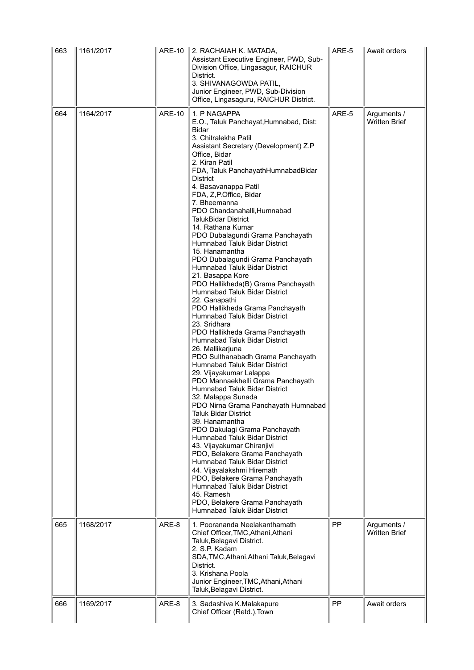| 663 | 1161/2017 | ARE-10        | 2. RACHAIAH K. MATADA,<br>Assistant Executive Engineer, PWD, Sub-<br>Division Office, Lingasagur, RAICHUR<br>District.<br>3. SHIVANAGOWDA PATIL,<br>Junior Engineer, PWD, Sub-Division<br>Office, Lingasaguru, RAICHUR District.                                                                                                                                                                                                                                                                                                                                                                                                                                                                                                                                                                                                                                                                                                                                                                                                                                                                                                                                                                                                                                                                                                                                                                                                                                                | ARE-5     | Await orders                        |
|-----|-----------|---------------|---------------------------------------------------------------------------------------------------------------------------------------------------------------------------------------------------------------------------------------------------------------------------------------------------------------------------------------------------------------------------------------------------------------------------------------------------------------------------------------------------------------------------------------------------------------------------------------------------------------------------------------------------------------------------------------------------------------------------------------------------------------------------------------------------------------------------------------------------------------------------------------------------------------------------------------------------------------------------------------------------------------------------------------------------------------------------------------------------------------------------------------------------------------------------------------------------------------------------------------------------------------------------------------------------------------------------------------------------------------------------------------------------------------------------------------------------------------------------------|-----------|-------------------------------------|
| 664 | 1164/2017 | <b>ARE-10</b> | 1. P NAGAPPA<br>E.O., Taluk Panchayat, Humnabad, Dist:<br>Bidar<br>3. Chitralekha Patil<br>Assistant Secretary (Development) Z.P<br>Office, Bidar<br>2. Kiran Patil<br>FDA, Taluk PanchayathHumnabadBidar<br><b>District</b><br>4. Basavanappa Patil<br>FDA, Z, P.Office, Bidar<br>7. Bheemanna<br>PDO Chandanahalli, Humnabad<br><b>TalukBidar District</b><br>14. Rathana Kumar<br>PDO Dubalagundi Grama Panchayath<br>Humnabad Taluk Bidar District<br>15. Hanamantha<br>PDO Dubalagundi Grama Panchayath<br>Humnabad Taluk Bidar District<br>21. Basappa Kore<br>PDO Hallikheda(B) Grama Panchayath<br>Humnabad Taluk Bidar District<br>22. Ganapathi<br>PDO Hallikheda Grama Panchayath<br>Humnabad Taluk Bidar District<br>23. Sridhara<br>PDO Hallikheda Grama Panchayath<br>Humnabad Taluk Bidar District<br>26. Mallikarjuna<br>PDO Sulthanabadh Grama Panchayath<br>Humnabad Taluk Bidar District<br>29. Vijayakumar Lalappa<br>PDO Mannaekhelli Grama Panchayath<br><b>Humnabad Taluk Bidar District</b><br>32. Malappa Sunada<br>PDO Nirna Grama Panchayath Humnabad<br>Taluk Bidar District<br>39. Hanamantha<br>PDO Dakulagi Grama Panchayath<br>Humnabad Taluk Bidar District<br>43. Vijayakumar Chiranjivi<br>PDO, Belakere Grama Panchayath<br>Humnabad Taluk Bidar District<br>44. Vijayalakshmi Hiremath<br>PDO, Belakere Grama Panchayath<br>Humnabad Taluk Bidar District<br>45. Ramesh<br>PDO, Belakere Grama Panchayath<br>Humnabad Taluk Bidar District | ARE-5     | Arguments /<br><b>Written Brief</b> |
| 665 | 1168/2017 | ARE-8         | 1. Poorananda Neelakanthamath<br>Chief Officer, TMC, Athani, Athani<br>Taluk, Belagavi District.<br>2. S.P. Kadam<br>SDA, TMC, Athani, Athani Taluk, Belagavi<br>District.<br>3. Krishana Poola<br>Junior Engineer, TMC, Athani, Athani<br>Taluk, Belagavi District.                                                                                                                                                                                                                                                                                                                                                                                                                                                                                                                                                                                                                                                                                                                                                                                                                                                                                                                                                                                                                                                                                                                                                                                                            | <b>PP</b> | Arguments /<br><b>Written Brief</b> |
| 666 | 1169/2017 | ARE-8         | 3. Sadashiva K.Malakapure<br>Chief Officer (Retd.), Town                                                                                                                                                                                                                                                                                                                                                                                                                                                                                                                                                                                                                                                                                                                                                                                                                                                                                                                                                                                                                                                                                                                                                                                                                                                                                                                                                                                                                        | <b>PP</b> | Await orders                        |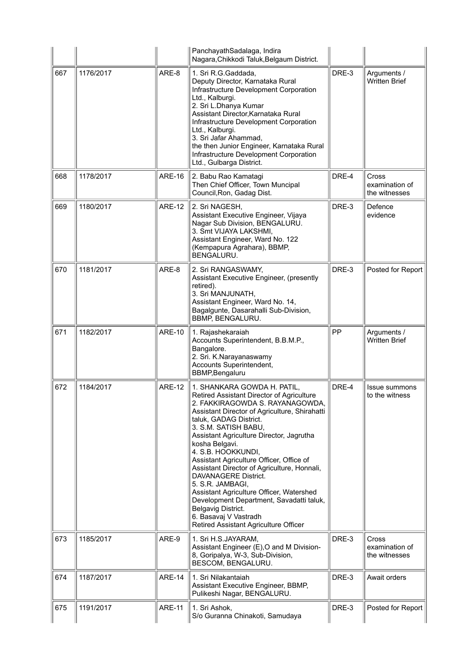|     |           |               | PanchayathSadalaga, Indira<br>Nagara, Chikkodi Taluk, Belgaum District.                                                                                                                                                                                                                                                                                                                                                                                                                                                                                                                                                   |       |                                          |
|-----|-----------|---------------|---------------------------------------------------------------------------------------------------------------------------------------------------------------------------------------------------------------------------------------------------------------------------------------------------------------------------------------------------------------------------------------------------------------------------------------------------------------------------------------------------------------------------------------------------------------------------------------------------------------------------|-------|------------------------------------------|
| 667 | 1176/2017 | ARE-8         | 1. Sri R.G. Gaddada,<br>Deputy Director, Karnataka Rural<br>Infrastructure Development Corporation<br>Ltd., Kalburgi.<br>2. Sri L.Dhanya Kumar<br>Assistant Director, Karnataka Rural<br>Infrastructure Development Corporation<br>Ltd., Kalburgi.<br>3. Sri Jafar Ahammad,<br>the then Junior Engineer, Karnataka Rural<br>Infrastructure Development Corporation<br>Ltd., Gulbarga District.                                                                                                                                                                                                                            | DRE-3 | Arguments /<br><b>Written Brief</b>      |
| 668 | 1178/2017 | <b>ARE-16</b> | 2. Babu Rao Kamatagi<br>Then Chief Officer, Town Muncipal<br>Council, Ron, Gadag Dist.                                                                                                                                                                                                                                                                                                                                                                                                                                                                                                                                    | DRE-4 | Cross<br>examination of<br>the witnesses |
| 669 | 1180/2017 | <b>ARE-12</b> | 2. Sri NAGESH,<br>Assistant Executive Engineer, Vijaya<br>Nagar Sub Division, BENGALURU.<br>3. Smt VIJAYA LAKSHMI,<br>Assistant Engineer, Ward No. 122<br>(Kempapura Agrahara), BBMP,<br>BENGALURU.                                                                                                                                                                                                                                                                                                                                                                                                                       | DRE-3 | Defence<br>evidence                      |
| 670 | 1181/2017 | ARE-8         | 2. Sri RANGASWAMY,<br>Assistant Executive Engineer, (presently<br>retired).<br>3. Sri MANJUNATH,<br>Assistant Engineer, Ward No. 14,<br>Bagalgunte, Dasarahalli Sub-Division,<br>BBMP, BENGALURU.                                                                                                                                                                                                                                                                                                                                                                                                                         | DRE-3 | Posted for Report                        |
| 671 | 1182/2017 | <b>ARE-10</b> | 1. Rajashekaraiah<br>Accounts Superintendent, B.B.M.P.,<br>Bangalore.<br>2. Sri. K.Narayanaswamy<br>Accounts Superintendent,<br><b>BBMP, Bengaluru</b>                                                                                                                                                                                                                                                                                                                                                                                                                                                                    | PP    | Arguments /<br><b>Written Brief</b>      |
| 672 | 1184/2017 | <b>ARE-12</b> | 1. SHANKARA GOWDA H. PATIL,<br>Retired Assistant Director of Agriculture<br>2. FAKKIRAGOWDA S. RAYANAGOWDA,<br>Assistant Director of Agriculture, Shirahatti<br>taluk, GADAG District.<br>3. S.M. SATISH BABU,<br>Assistant Agriculture Director, Jagrutha<br>kosha Belgavi.<br>4. S.B. HOOKKUNDI,<br>Assistant Agriculture Officer, Office of<br>Assistant Director of Agriculture, Honnali,<br>DAVANAGERE District.<br>5. S.R. JAMBAGI,<br>Assistant Agriculture Officer, Watershed<br>Development Department, Savadatti taluk,<br>Belgavig District.<br>6. Basavaj V Vastradh<br>Retired Assistant Agriculture Officer | DRE-4 | Issue summons<br>to the witness          |
| 673 | 1185/2017 | ARE-9         | 1. Sri H.S.JAYARAM,<br>Assistant Engineer (E), O and M Division-<br>8, Goripalya, W-3, Sub-Division,<br>BESCOM, BENGALURU.                                                                                                                                                                                                                                                                                                                                                                                                                                                                                                | DRE-3 | Cross<br>examination of<br>the witnesses |
| 674 | 1187/2017 | <b>ARE-14</b> | 1. Sri Nilakantaiah<br>Assistant Executive Engineer, BBMP,<br>Pulikeshi Nagar, BENGALURU.                                                                                                                                                                                                                                                                                                                                                                                                                                                                                                                                 | DRE-3 | Await orders                             |
| 675 | 1191/2017 | <b>ARE-11</b> | 1. Sri Ashok,<br>S/o Guranna Chinakoti, Samudaya                                                                                                                                                                                                                                                                                                                                                                                                                                                                                                                                                                          | DRE-3 | Posted for Report                        |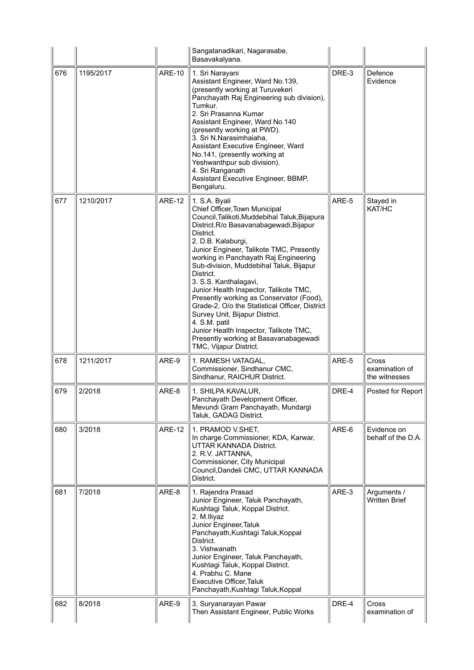|     |           |               | Sangatanadikari, Nagarasabe,<br>Basavakalyana.                                                                                                                                                                                                                                                                                                                                                                                                                                                                                                                                                                                                             |       |                                          |
|-----|-----------|---------------|------------------------------------------------------------------------------------------------------------------------------------------------------------------------------------------------------------------------------------------------------------------------------------------------------------------------------------------------------------------------------------------------------------------------------------------------------------------------------------------------------------------------------------------------------------------------------------------------------------------------------------------------------------|-------|------------------------------------------|
| 676 | 1195/2017 | <b>ARE-10</b> | 1. Sri Narayani<br>Assistant Engineer, Ward No.139,<br>(presently working at Turuvekeri<br>Panchayath Raj Engineering sub division),<br>Tumkur.<br>2. Sri Prasanna Kumar<br>Assistant Engineer, Ward No.140<br>(presently working at PWD).<br>3. Sri N.Narasimhaiaha,<br>Assistant Executive Engineer, Ward<br>No.141, (presently working at<br>Yeshwanthpur sub division).<br>4. Sri Ranganath<br>Assistant Executive Engineer, BBMP,<br>Bengaluru.                                                                                                                                                                                                       | DRE-3 | Defence<br>Evidence                      |
| 677 | 1210/2017 | <b>ARE-12</b> | 1. S.A. Byali<br>Chief Officer, Town Municipal<br>Council, Talikoti, Muddebihal Taluk, Bijapura<br>District.R/o Basavanabagewadi, Bijapur<br>District.<br>2. D.B. Kalaburgi,<br>Junior Engineer, Talikote TMC, Presently<br>working in Panchayath Raj Engineering<br>Sub-division, Muddebihal Taluk, Bijapur<br>District.<br>3. S.S. Kanthalagavi,<br>Junior Health Inspector, Talikote TMC,<br>Presently working as Conservator (Food),<br>Grade-2, O/o the Statistical Officer, District<br>Survey Unit, Bijapur District.<br>4. S.M. patil<br>Junior Health Inspector, Talikote TMC,<br>Presently working at Basavanabagewadi<br>TMC, Vijapur District. | ARE-5 | Stayed in<br>KAT/HC                      |
| 678 | 1211/2017 | ARE-9         | 1. RAMESH VATAGAL.<br>Commissioner, Sindhanur CMC,<br>Sindhanur, RAICHUR District.                                                                                                                                                                                                                                                                                                                                                                                                                                                                                                                                                                         | ARE-5 | Cross<br>examination of<br>the witnesses |
| 679 | 2/2018    | ARE-8         | 1. SHILPA KAVALUR,<br>Panchayath Development Officer,<br>Mevundi Gram Panchayath, Mundargi<br>Taluk, GADAG District.                                                                                                                                                                                                                                                                                                                                                                                                                                                                                                                                       | DRE-4 | Posted for Report                        |
| 680 | 3/2018    | <b>ARE-12</b> | 1. PRAMOD V.SHET,<br>In charge Commissioner, KDA, Karwar,<br>UTTAR KANNADA District.<br>2. R.V. JATTANNA,<br>Commissioner, City Municipal<br>Council, Dandeli CMC, UTTAR KANNADA<br>District.                                                                                                                                                                                                                                                                                                                                                                                                                                                              | ARE-6 | Evidence on<br>behalf of the D.A.        |
| 681 | 7/2018    | ARE-8         | 1. Rajendra Prasad<br>Junior Engineer, Taluk Panchayath,<br>Kushtagi Taluk, Koppal District.<br>2. M.lliyaz<br>Junior Engineer, Taluk<br>Panchayath, Kushtagi Taluk, Koppal<br>District.<br>3. Vishwanath<br>Junior Engineer, Taluk Panchayath,<br>Kushtagi Taluk, Koppal District.<br>4. Prabhu C. Mane<br>Executive Officer, Taluk<br>Panchayath, Kushtagi Taluk, Koppal                                                                                                                                                                                                                                                                                 | ARE-3 | Arguments /<br><b>Written Brief</b>      |
| 682 | 8/2018    | ARE-9         | 3. Suryanarayan Pawar<br>Then Assistant Engineer, Public Works                                                                                                                                                                                                                                                                                                                                                                                                                                                                                                                                                                                             | DRE-4 | <b>Cross</b><br>examination of           |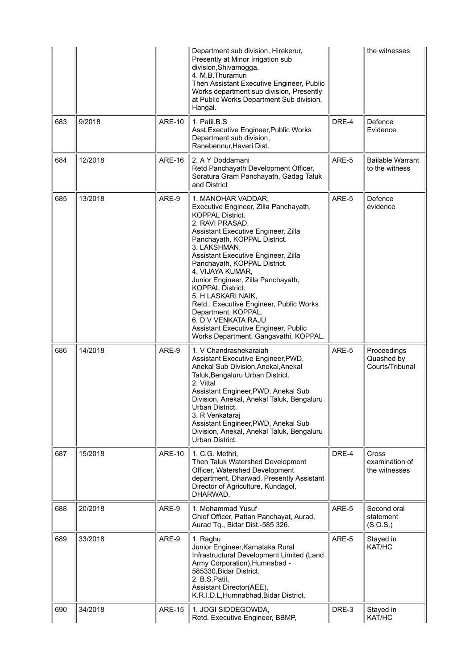|     |         |               | Department sub division, Hirekerur,<br>Presently at Minor Irrigation sub<br>division, Shivamogga.<br>4. M.B.Thuramuri<br>Then Assistant Executive Engineer, Public<br>Works department sub division, Presently<br>at Public Works Department Sub division,<br>Hangal.                                                                                                                                                                                                                                                                                        |       | the witnesses                                   |
|-----|---------|---------------|--------------------------------------------------------------------------------------------------------------------------------------------------------------------------------------------------------------------------------------------------------------------------------------------------------------------------------------------------------------------------------------------------------------------------------------------------------------------------------------------------------------------------------------------------------------|-------|-------------------------------------------------|
| 683 | 9/2018  | <b>ARE-10</b> | 1. Patil.B.S<br>Asst. Executive Engineer, Public Works<br>Department sub division,<br>Ranebennur, Haveri Dist.                                                                                                                                                                                                                                                                                                                                                                                                                                               | DRE-4 | Defence<br>Evidence                             |
| 684 | 12/2018 | <b>ARE-16</b> | 2. A Y Doddamani<br>Retd Panchayath Development Officer,<br>Soratura Gram Panchayath, Gadag Taluk<br>and District                                                                                                                                                                                                                                                                                                                                                                                                                                            | ARE-5 | <b>Bailable Warrant</b><br>to the witness       |
| 685 | 13/2018 | ARE-9         | 1. MANOHAR VADDAR,<br>Executive Engineer, Zilla Panchayath,<br><b>KOPPAL District.</b><br>2. RAVI PRASAD,<br>Assistant Executive Engineer, Zilla<br>Panchayath, KOPPAL District.<br>3. LAKSHMAN,<br>Assistant Executive Engineer, Zilla<br>Panchayath, KOPPAL District.<br>4. VIJAYA KUMAR,<br>Junior Engineer, Zilla Panchayath,<br><b>KOPPAL District.</b><br>5. H LASKARI NAIK,<br>Retd., Executive Engineer, Public Works<br>Department, KOPPAL.<br>6. D V VENKATA RAJU<br>Assistant Executive Engineer, Public<br>Works Department, Gangavathi, KOPPAL. | ARE-5 | Defence<br>evidence                             |
| 686 | 14/2018 | ARE-9         | 1. V Chandrashekaraiah<br>Assistant Executive Engineer, PWD,<br>Anekal Sub Division, Anekal, Anekal<br>Taluk, Bengaluru Urban District.<br>2. Vittal<br>Assistant Engineer, PWD, Anekal Sub<br>Division, Anekal, Anekal Taluk, Bengaluru<br>Urban District.<br>3. R Venkataraj<br>Assistant Engineer, PWD, Anekal Sub<br>Division, Anekal, Anekal Taluk, Bengaluru<br>Urban District.                                                                                                                                                                        | ARE-5 | Proceedings<br>Quashed by<br>Courts/Tribunal    |
| 687 | 15/2018 | <b>ARE-10</b> | 1. C.G. Methri,<br>Then Taluk Watershed Development<br>Officer, Watershed Development<br>department, Dharwad. Presently Assistant<br>Director of Agriculture, Kundagol,<br>DHARWAD.                                                                                                                                                                                                                                                                                                                                                                          | DRE-4 | <b>Cross</b><br>examination of<br>the witnesses |
| 688 | 20/2018 | ARE-9         | 1. Mohammad Yusuf<br>Chief Officer, Pattan Panchayat, Aurad,<br>Aurad Tq., Bidar Dist.-585 326.                                                                                                                                                                                                                                                                                                                                                                                                                                                              | ARE-5 | Second oral<br>statement<br>(S.O.S.)            |
| 689 | 33/2018 | ARE-9         | 1. Raghu<br>Junior Engineer, Karnataka Rural<br>Infrastructural Development Limited (Land<br>Army Corporation), Humnabad -<br>585330, Bidar District.<br>2. B.S.Patil,<br>Assistant Director(AEE),<br>K.R.I.D.L, Humnabhad, Bidar District.                                                                                                                                                                                                                                                                                                                  | ARE-5 | Stayed in<br>KAT/HC                             |
| 690 | 34/2018 | <b>ARE-15</b> | 1. JOGI SIDDEGOWDA,<br>Retd. Executive Engineer, BBMP,                                                                                                                                                                                                                                                                                                                                                                                                                                                                                                       | DRE-3 | Stayed in<br>KAT/HC                             |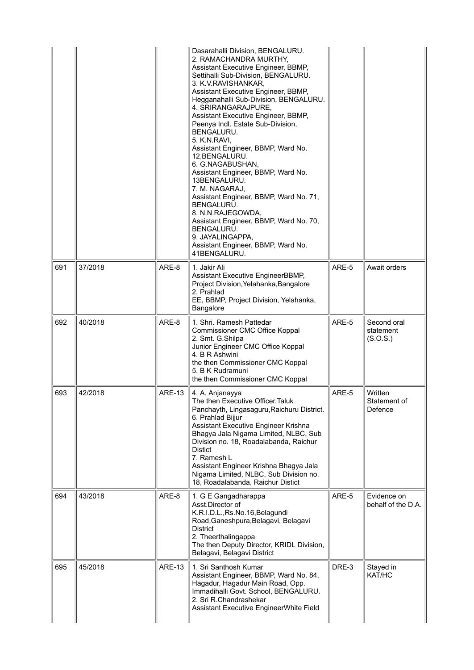|     |         |               | Dasarahalli Division, BENGALURU.<br>2. RAMACHANDRA MURTHY,<br>Assistant Executive Engineer, BBMP,<br>Settihalli Sub-Division, BENGALURU.<br>3. K.V. RAVISHANKAR,<br>Assistant Executive Engineer, BBMP,<br>Hegganahalli Sub-Division, BENGALURU.<br>4. SRIRANGARAJPURE,<br>Assistant Executive Engineer, BBMP,<br>Peenya Indl. Estate Sub-Division,<br>BENGALURU.<br>5. K.N.RAVI,<br>Assistant Engineer, BBMP, Ward No.<br>12.BENGALURU.<br>6. G.NAGABUSHAN,<br>Assistant Engineer, BBMP, Ward No.<br>13BENGALURU.<br>7. M. NAGARAJ,<br>Assistant Engineer, BBMP, Ward No. 71,<br><b>BENGALURU.</b><br>8. N.N.RAJEGOWDA,<br>Assistant Engineer, BBMP, Ward No. 70,<br>BENGALURU.<br>9. JAYALINGAPPA,<br>Assistant Engineer, BBMP, Ward No.<br>41BENGALURU. |       |                                      |
|-----|---------|---------------|------------------------------------------------------------------------------------------------------------------------------------------------------------------------------------------------------------------------------------------------------------------------------------------------------------------------------------------------------------------------------------------------------------------------------------------------------------------------------------------------------------------------------------------------------------------------------------------------------------------------------------------------------------------------------------------------------------------------------------------------------------|-------|--------------------------------------|
| 691 | 37/2018 | ARE-8         | 1. Jakir Ali<br>Assistant Executive EngineerBBMP,<br>Project Division, Yelahanka, Bangalore<br>2. Prahlad<br>EE, BBMP, Project Division, Yelahanka,<br>Bangalore                                                                                                                                                                                                                                                                                                                                                                                                                                                                                                                                                                                           | ARE-5 | Await orders                         |
| 692 | 40/2018 | ARE-8         | 1. Shri. Ramesh Pattedar<br>Commissioner CMC Office Koppal<br>2. Smt. G.Shilpa<br>Junior Engineer CMC Office Koppal<br>4. B R Ashwini<br>the then Commissioner CMC Koppal<br>5. B K Rudramuni<br>the then Commissioner CMC Koppal                                                                                                                                                                                                                                                                                                                                                                                                                                                                                                                          | ARE-5 | Second oral<br>statement<br>(S.O.S.) |
| 693 | 42/2018 | <b>ARE-13</b> | 4. A. Anjanayya<br>The then Executive Officer. Taluk<br>Panchayth, Lingasaguru, Raichuru District.<br>6. Prahlad Bijjur<br>Assistant Executive Engineer Krishna<br>Bhagya Jala Nigama Limited, NLBC, Sub<br>Division no. 18, Roadalabanda, Raichur<br><b>Distict</b><br>7. Ramesh L<br>Assistant Engineer Krishna Bhagya Jala<br>Nigama Limited, NLBC, Sub Division no.<br>18, Roadalabanda, Raichur Distict                                                                                                                                                                                                                                                                                                                                               | ARE-5 | Written<br>Statement of<br>Defence   |
| 694 | 43/2018 | ARE-8         | 1. G E Gangadharappa<br>Asst.Director of<br>K.R.I.D.L., Rs.No.16, Belagundi<br>Road, Ganeshpura, Belagavi, Belagavi<br><b>District</b><br>2. Theerthalingappa<br>The then Deputy Director, KRIDL Division,<br>Belagavi, Belagavi District                                                                                                                                                                                                                                                                                                                                                                                                                                                                                                                  | ARE-5 | Evidence on<br>behalf of the D.A.    |
| 695 | 45/2018 | <b>ARE-13</b> | 1. Sri Santhosh Kumar<br>Assistant Engineer, BBMP, Ward No. 84,<br>Hagadur, Hagadur Main Road, Opp.<br>Immadihalli Govt. School, BENGALURU.<br>2. Sri R.Chandrashekar<br>Assistant Executive EngineerWhite Field                                                                                                                                                                                                                                                                                                                                                                                                                                                                                                                                           | DRE-3 | Stayed in<br>KAT/HC                  |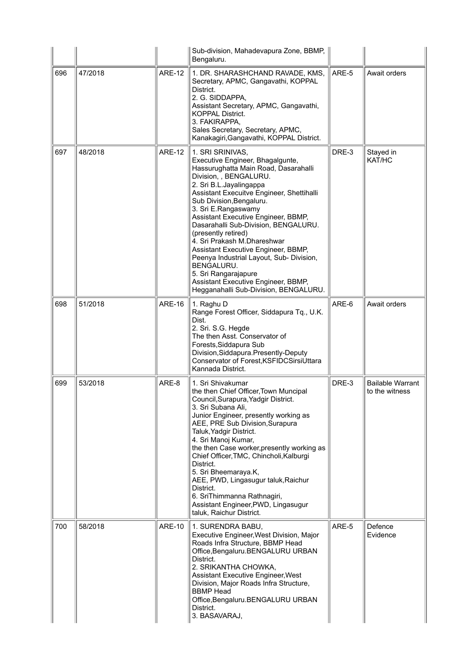|     |         |               | Sub-division, Mahadevapura Zone, BBMP,<br>Bengaluru.                                                                                                                                                                                                                                                                                                                                                                                                                                                                                                                                            |       |                                           |
|-----|---------|---------------|-------------------------------------------------------------------------------------------------------------------------------------------------------------------------------------------------------------------------------------------------------------------------------------------------------------------------------------------------------------------------------------------------------------------------------------------------------------------------------------------------------------------------------------------------------------------------------------------------|-------|-------------------------------------------|
| 696 | 47/2018 | <b>ARE-12</b> | 1. DR. SHARASHCHAND RAVADE, KMS,<br>Secretary, APMC, Gangavathi, KOPPAL<br>District.<br>2. G. SIDDAPPA,<br>Assistant Secretary, APMC, Gangavathi,<br><b>KOPPAL District.</b><br>3. FAKIRAPPA,<br>Sales Secretary, Secretary, APMC,<br>Kanakagiri, Gangavathi, KOPPAL District.                                                                                                                                                                                                                                                                                                                  | ARE-5 | Await orders                              |
| 697 | 48/2018 | <b>ARE-12</b> | 1. SRI SRINIVAS,<br>Executive Engineer, Bhagalgunte,<br>Hassurughatta Main Road, Dasarahalli<br>Division, , BENGALURU.<br>2. Sri B.L.Jayalingappa<br>Assistant Execuitve Engineer, Shettihalli<br>Sub Division, Bengaluru.<br>3. Sri E.Rangaswamy<br>Assistant Executive Engineer, BBMP,<br>Dasarahalli Sub-Division, BENGALURU.<br>(presently retired)<br>4. Sri Prakash M.Dhareshwar<br>Assistant Executive Engineer, BBMP,<br>Peenya Industrial Layout, Sub- Division,<br>BENGALURU.<br>5. Sri Rangarajapure<br>Assistant Executive Engineer, BBMP,<br>Hegganahalli Sub-Division, BENGALURU. | DRE-3 | Stayed in<br>KAT/HC                       |
| 698 | 51/2018 | <b>ARE-16</b> | 1. Raghu D<br>Range Forest Officer, Siddapura Tq., U.K.<br>Dist.<br>2. Sri. S.G. Hegde<br>The then Asst. Conservator of<br>Forests, Siddapura Sub<br>Division, Siddapura. Presently-Deputy<br>Conservator of Forest, KSFIDCSirsiUttara<br>Kannada District.                                                                                                                                                                                                                                                                                                                                     | ARE-6 | Await orders                              |
| 699 | 53/2018 | ARE-8         | 1. Sri Shivakumar<br>the then Chief Officer, Town Muncipal<br>Council, Surapura, Yadgir District.<br>3. Sri Subana Ali,<br>Junior Engineer, presently working as<br>AEE, PRE Sub Division, Surapura<br>Taluk, Yadgir District.<br>4. Sri Manoj Kumar,<br>the then Case worker, presently working as<br>Chief Officer, TMC, Chincholi, Kalburgi<br>District.<br>5. Sri Bheemaraya.K,<br>AEE, PWD, Lingasugur taluk, Raichur<br>District.<br>6. SriThimmanna Rathnagiri,<br>Assistant Engineer, PWD, Lingasugur<br>taluk, Raichur District.                                                       | DRE-3 | <b>Bailable Warrant</b><br>to the witness |
| 700 | 58/2018 | <b>ARE-10</b> | 1. SURENDRA BABU,<br>Executive Engineer, West Division, Major<br>Roads Infra Structure, BBMP Head<br>Office, Bengaluru. BENGALURU URBAN<br>District.<br>2. SRIKANTHA CHOWKA,<br><b>Assistant Executive Engineer, West</b><br>Division, Major Roads Infra Structure,<br><b>BBMP Head</b><br>Office, Bengaluru. BENGALURU URBAN<br>District.<br>3. BASAVARAJ,                                                                                                                                                                                                                                     | ARE-5 | Defence<br>Evidence                       |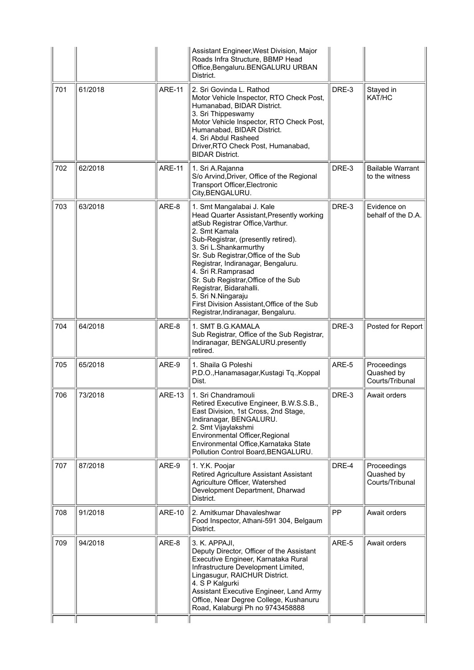|     |         |               | Assistant Engineer, West Division, Major<br>Roads Infra Structure, BBMP Head<br>Office, Bengaluru. BENGALURU URBAN<br>District.                                                                                                                                                                                                                                                                                                                                                |       |                                              |
|-----|---------|---------------|--------------------------------------------------------------------------------------------------------------------------------------------------------------------------------------------------------------------------------------------------------------------------------------------------------------------------------------------------------------------------------------------------------------------------------------------------------------------------------|-------|----------------------------------------------|
| 701 | 61/2018 | <b>ARE-11</b> | 2. Sri Govinda L. Rathod<br>Motor Vehicle Inspector, RTO Check Post,<br>Humanabad, BIDAR District.<br>3. Sri Thippeswamy<br>Motor Vehicle Inspector, RTO Check Post,<br>Humanabad, BIDAR District.<br>4. Sri Abdul Rasheed<br>Driver, RTO Check Post, Humanabad,<br><b>BIDAR District.</b>                                                                                                                                                                                     | DRE-3 | Stayed in<br>KAT/HC                          |
| 702 | 62/2018 | <b>ARE-11</b> | 1. Sri A.Rajanna<br>S/o Arvind, Driver, Office of the Regional<br>Transport Officer, Electronic<br>City, BENGALURU.                                                                                                                                                                                                                                                                                                                                                            | DRE-3 | <b>Bailable Warrant</b><br>to the witness    |
| 703 | 63/2018 | ARE-8         | 1. Smt Mangalabai J. Kale<br>Head Quarter Assistant, Presently working<br>atSub Registrar Office, Varthur.<br>2. Smt Kamala<br>Sub-Registrar, (presently retired).<br>3. Sri L.Shankarmurthy<br>Sr. Sub Registrar, Office of the Sub<br>Registrar, Indiranagar, Bengaluru.<br>4. Sri R.Ramprasad<br>Sr. Sub Registrar, Office of the Sub<br>Registrar, Bidarahalli.<br>5. Sri N.Ningaraju<br>First Division Assistant, Office of the Sub<br>Registrar, Indiranagar, Bengaluru. | DRE-3 | Evidence on<br>behalf of the D.A.            |
| 704 | 64/2018 | ARE-8         | 1. SMT B.G.KAMALA<br>Sub Registrar, Office of the Sub Registrar,<br>Indiranagar, BENGALURU.presently<br>retired.                                                                                                                                                                                                                                                                                                                                                               | DRE-3 | Posted for Report                            |
| 705 | 65/2018 | ARE-9         | 1. Shaila G Poleshi<br>P.D.O., Hanamasagar, Kustagi Tq., Koppal<br>Dist.                                                                                                                                                                                                                                                                                                                                                                                                       | ARE-5 | Proceedings<br>Quashed by<br>Courts/Tribunal |
| 706 | 73/2018 | <b>ARE-13</b> | 1. Sri Chandramouli<br>Retired Executive Engineer, B.W.S.S.B.,<br>East Division, 1st Cross, 2nd Stage,<br>Indiranagar, BENGALURU.<br>2. Smt Vijaylakshmi<br>Environmental Officer, Regional<br>Environmental Office, Karnataka State<br>Pollution Control Board, BENGALURU.                                                                                                                                                                                                    | DRE-3 | Await orders                                 |
| 707 | 87/2018 | ARE-9         | 1. Y.K. Poojar<br>Retired Agriculture Assistant Assistant<br>Agriculture Officer, Watershed<br>Development Department, Dharwad<br>District.                                                                                                                                                                                                                                                                                                                                    | DRE-4 | Proceedings<br>Quashed by<br>Courts/Tribunal |
| 708 | 91/2018 | <b>ARE-10</b> | 2. Amitkumar Dhavaleshwar<br>Food Inspector, Athani-591 304, Belgaum<br>District.                                                                                                                                                                                                                                                                                                                                                                                              | PP    | Await orders                                 |
| 709 | 94/2018 | ARE-8         | 3. K. APPAJI,<br>Deputy Director, Officer of the Assistant<br>Executive Engineer, Karnataka Rural<br>Infrastructure Development Limited,<br>Lingasugur, RAICHUR District.<br>4. S P Kalgurki<br>Assistant Executive Engineer, Land Army<br>Office, Near Degree College, Kushanuru<br>Road, Kalaburgi Ph no 9743458888                                                                                                                                                          | ARE-5 | Await orders                                 |
|     |         |               |                                                                                                                                                                                                                                                                                                                                                                                                                                                                                |       |                                              |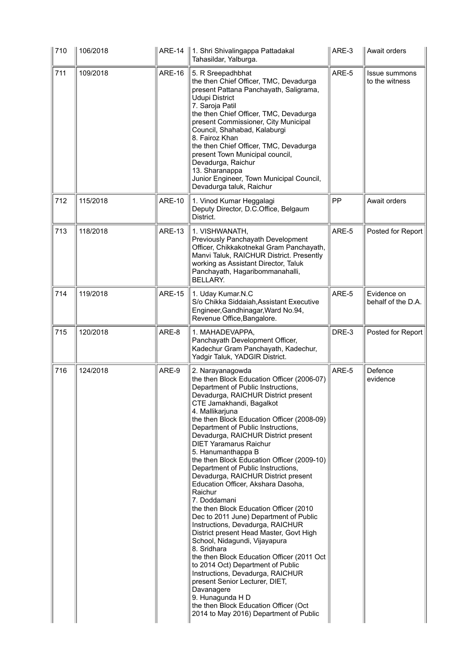| 710 | 106/2018 | <b>ARE-14</b> | ∥ 1. Shri Shivalingappa Pattadakal<br>Tahasildar, Yalburga.                                                                                                                                                                                                                                                                                                                                                                                                                                                                                                                                                                                                                                                                                                                                                                                                                                                                                                                                                                                                                | ARE-3 | Await orders                      |
|-----|----------|---------------|----------------------------------------------------------------------------------------------------------------------------------------------------------------------------------------------------------------------------------------------------------------------------------------------------------------------------------------------------------------------------------------------------------------------------------------------------------------------------------------------------------------------------------------------------------------------------------------------------------------------------------------------------------------------------------------------------------------------------------------------------------------------------------------------------------------------------------------------------------------------------------------------------------------------------------------------------------------------------------------------------------------------------------------------------------------------------|-------|-----------------------------------|
| 711 | 109/2018 | <b>ARE-16</b> | 5. R Sreepadhbhat<br>the then Chief Officer, TMC, Devadurga<br>present Pattana Panchayath, Saligrama,<br><b>Udupi District</b><br>7. Saroja Patil<br>the then Chief Officer, TMC, Devadurga<br>present Commissioner, City Municipal<br>Council, Shahabad, Kalaburgi<br>8. Fairoz Khan<br>the then Chief Officer, TMC, Devadurga<br>present Town Municipal council,<br>Devadurga, Raichur<br>13. Sharanappa<br>Junior Engineer, Town Municipal Council,<br>Devadurga taluk, Raichur                                                                                                                                                                                                                                                                                                                                                                                                                                                                                                                                                                                         | ARE-5 | Issue summons<br>to the witness   |
| 712 | 115/2018 | <b>ARE-10</b> | 1. Vinod Kumar Heggalagi<br>Deputy Director, D.C.Office, Belgaum<br>District.                                                                                                                                                                                                                                                                                                                                                                                                                                                                                                                                                                                                                                                                                                                                                                                                                                                                                                                                                                                              | PP    | Await orders                      |
| 713 | 118/2018 | <b>ARE-13</b> | 1. VISHWANATH,<br>Previously Panchayath Development<br>Officer, Chikkakotnekal Gram Panchayath,<br>Manvi Taluk, RAICHUR District. Presently<br>working as Assistant Director, Taluk<br>Panchayath, Hagaribommanahalli,<br><b>BELLARY.</b>                                                                                                                                                                                                                                                                                                                                                                                                                                                                                                                                                                                                                                                                                                                                                                                                                                  | ARE-5 | Posted for Report                 |
| 714 | 119/2018 | <b>ARE-15</b> | 1. Uday Kumar.N.C<br>S/o Chikka Siddaiah, Assistant Executive<br>Engineer, Gandhinagar, Ward No.94,<br>Revenue Office, Bangalore.                                                                                                                                                                                                                                                                                                                                                                                                                                                                                                                                                                                                                                                                                                                                                                                                                                                                                                                                          | ARE-5 | Evidence on<br>behalf of the D.A. |
| 715 | 120/2018 | ARE-8         | 1. MAHADEVAPPA,<br>Panchayath Development Officer,<br>Kadechur Gram Panchayath, Kadechur,<br>Yadgir Taluk, YADGIR District.                                                                                                                                                                                                                                                                                                                                                                                                                                                                                                                                                                                                                                                                                                                                                                                                                                                                                                                                                | DRE-3 | Posted for Report                 |
| 716 | 124/2018 | ARE-9         | 2. Narayanagowda<br>the then Block Education Officer (2006-07)<br>Department of Public Instructions,<br>Devadurga, RAICHUR District present<br>CTE Jamakhandi, Bagalkot<br>4. Mallikarjuna<br>the then Block Education Officer (2008-09)<br>Department of Public Instructions,<br>Devadurga, RAICHUR District present<br><b>DIET Yaramarus Raichur</b><br>5. Hanumanthappa B<br>the then Block Education Officer (2009-10)<br>Department of Public Instructions,<br>Devadurga, RAICHUR District present<br>Education Officer, Akshara Dasoha,<br>Raichur<br>7. Doddamani<br>the then Block Education Officer (2010)<br>Dec to 2011 June) Department of Public<br>Instructions, Devadurga, RAICHUR<br>District present Head Master, Govt High<br>School, Nidagundi, Vijayapura<br>8. Sridhara<br>the then Block Education Officer (2011 Oct<br>to 2014 Oct) Department of Public<br>Instructions, Devadurga, RAICHUR<br>present Senior Lecturer, DIET,<br>Davanagere<br>9. Hunagunda H D<br>the then Block Education Officer (Oct<br>2014 to May 2016) Department of Public | ARE-5 | Defence<br>evidence               |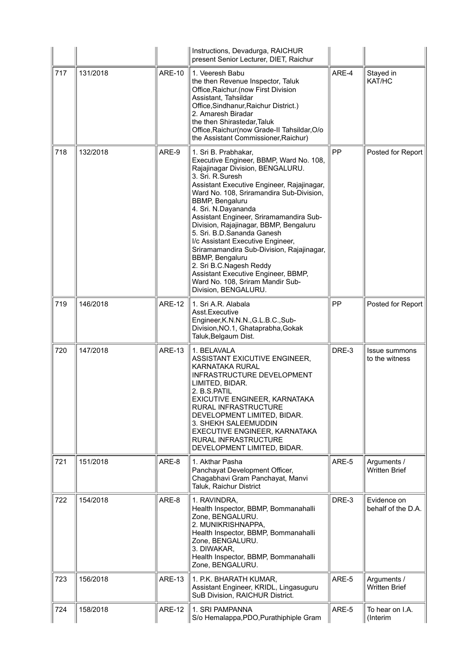|     |          |               | Instructions, Devadurga, RAICHUR<br>present Senior Lecturer, DIET, Raichur                                                                                                                                                                                                                                                                                                                                                                                                                                                                                                                                                      |       |                                        |
|-----|----------|---------------|---------------------------------------------------------------------------------------------------------------------------------------------------------------------------------------------------------------------------------------------------------------------------------------------------------------------------------------------------------------------------------------------------------------------------------------------------------------------------------------------------------------------------------------------------------------------------------------------------------------------------------|-------|----------------------------------------|
| 717 | 131/2018 | <b>ARE-10</b> | 1. Veeresh Babu<br>the then Revenue Inspector, Taluk<br>Office, Raichur. (now First Division<br>Assistant, Tahsildar<br>Office, Sindhanur, Raichur District.)<br>2. Amaresh Biradar<br>the then Shirastedar, Taluk<br>Office, Raichur (now Grade-II Tahsildar, O/o<br>the Assistant Commissioner, Raichur)                                                                                                                                                                                                                                                                                                                      | ARE-4 | Stayed in<br>KAT/HC                    |
| 718 | 132/2018 | ARE-9         | 1. Sri B. Prabhakar,<br>Executive Engineer, BBMP, Ward No. 108,<br>Rajajinagar Division, BENGALURU.<br>3. Sri. R.Suresh<br>Assistant Executive Engineer, Rajajinagar,<br>Ward No. 108, Sriramandira Sub-Division,<br><b>BBMP, Bengaluru</b><br>4. Sri. N.Dayananda<br>Assistant Engineer, Sriramamandira Sub-<br>Division, Rajajinagar, BBMP, Bengaluru<br>5. Sri. B.D.Sananda Ganesh<br>I/c Assistant Executive Engineer,<br>Sriramamandira Sub-Division, Rajajinagar,<br><b>BBMP, Bengaluru</b><br>2. Sri B.C.Nagesh Reddy<br>Assistant Executive Engineer, BBMP,<br>Ward No. 108, Sriram Mandir Sub-<br>Division, BENGALURU. | PP    | Posted for Report                      |
| 719 | 146/2018 | <b>ARE-12</b> | 1. Sri A.R. Alabala<br>Asst.Executive<br>Engineer, K.N.N.N., G.L.B.C., Sub-<br>Division, NO.1, Ghataprabha, Gokak<br>Taluk, Belgaum Dist.                                                                                                                                                                                                                                                                                                                                                                                                                                                                                       | PP    | Posted for Report                      |
| 720 | 147/2018 | <b>ARE-13</b> | 1. BELAVALA<br>ASSISTANT EXICUTIVE ENGINEER,<br><b>KARNATAKA RURAL</b><br>INFRASTRUCTURE DEVELOPMENT<br>LIMITED, BIDAR.<br>2. B.S.PATIL<br>EXICUTIVE ENGINEER, KARNATAKA<br>RURAL INFRASTRUCTURE<br>DEVELOPMENT LIMITED, BIDAR.<br>3. SHEKH SALEEMUDDIN<br>EXECUTIVE ENGINEER, KARNATAKA<br>RURAL INFRASTRUCTURE<br>DEVELOPMENT LIMITED, BIDAR.                                                                                                                                                                                                                                                                                 | DRE-3 | <b>Issue summons</b><br>to the witness |
| 721 | 151/2018 | ARE-8         | 1. Akthar Pasha<br>Panchayat Development Officer,<br>Chagabhavi Gram Panchayat, Manvi<br>Taluk, Raichur District                                                                                                                                                                                                                                                                                                                                                                                                                                                                                                                | ARE-5 | Arguments /<br><b>Written Brief</b>    |
| 722 | 154/2018 | ARE-8         | 1. RAVINDRA,<br>Health Inspector, BBMP, Bommanahalli<br>Zone, BENGALURU.<br>2. MUNIKRISHNAPPA,<br>Health Inspector, BBMP, Bommanahalli<br>Zone, BENGALURU.<br>3. DIWAKAR,<br>Health Inspector, BBMP, Bommanahalli<br>Zone, BENGALURU.                                                                                                                                                                                                                                                                                                                                                                                           | DRE-3 | Evidence on<br>behalf of the D.A.      |
| 723 | 156/2018 | <b>ARE-13</b> | 1. P.K. BHARATH KUMAR,<br>Assistant Engineer, KRIDL, Lingasuguru<br>SuB Division, RAICHUR District.                                                                                                                                                                                                                                                                                                                                                                                                                                                                                                                             | ARE-5 | Arguments /<br><b>Written Brief</b>    |
| 724 | 158/2018 | <b>ARE-12</b> | 1. SRI PAMPANNA<br>S/o Hemalappa, PDO, Purathiphiple Gram                                                                                                                                                                                                                                                                                                                                                                                                                                                                                                                                                                       | ARE-5 | To hear on I.A.<br>(Interim            |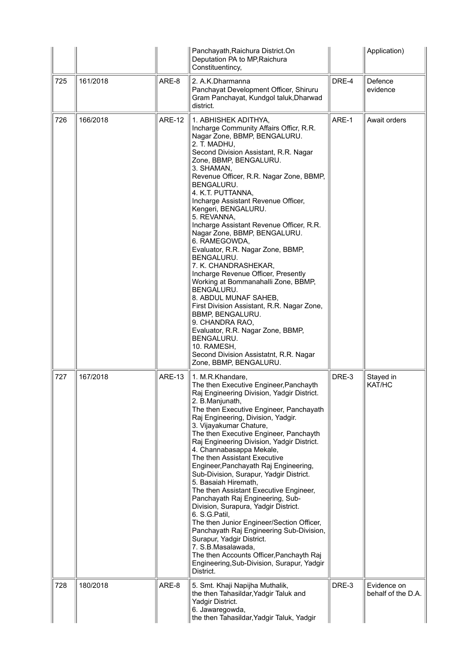|     |          |               | Panchayath, Raichura District. On<br>Deputation PA to MP, Raichura<br>Constituentincy,                                                                                                                                                                                                                                                                                                                                                                                                                                                                                                                                                                                                                                                                                                                                                                                                             |       | Application)                      |
|-----|----------|---------------|----------------------------------------------------------------------------------------------------------------------------------------------------------------------------------------------------------------------------------------------------------------------------------------------------------------------------------------------------------------------------------------------------------------------------------------------------------------------------------------------------------------------------------------------------------------------------------------------------------------------------------------------------------------------------------------------------------------------------------------------------------------------------------------------------------------------------------------------------------------------------------------------------|-------|-----------------------------------|
| 725 | 161/2018 | ARE-8         | 2. A.K.Dharmanna<br>Panchayat Development Officer, Shiruru<br>Gram Panchayat, Kundgol taluk, Dharwad<br>district.                                                                                                                                                                                                                                                                                                                                                                                                                                                                                                                                                                                                                                                                                                                                                                                  | DRE-4 | Defence<br>evidence               |
| 726 | 166/2018 | <b>ARE-12</b> | 1. ABHISHEK ADITHYA,<br>Incharge Community Affairs Officr, R.R.<br>Nagar Zone, BBMP, BENGALURU.<br>2. T. MADHU,<br>Second Division Assistant, R.R. Nagar<br>Zone, BBMP, BENGALURU.<br>3. SHAMAN,<br>Revenue Officer, R.R. Nagar Zone, BBMP,<br>BENGALURU.<br>4. K.T. PUTTANNA,<br>Incharge Assistant Revenue Officer,<br>Kengeri, BENGALURU.<br>5. REVANNA,<br>Incharge Assistant Revenue Officer, R.R.<br>Nagar Zone, BBMP, BENGALURU.<br>6. RAMEGOWDA,<br>Evaluator, R.R. Nagar Zone, BBMP,<br>BENGALURU.<br>7. K. CHANDRASHEKAR,<br>Incharge Revenue Officer, Presently<br>Working at Bommanahalli Zone, BBMP,<br>BENGALURU.<br>8. ABDUL MUNAF SAHEB,<br>First Division Assistant, R.R. Nagar Zone,<br>BBMP, BENGALURU.<br>9. CHANDRA RAO,<br>Evaluator, R.R. Nagar Zone, BBMP,<br>BENGALURU.<br>10. RAMESH,<br>Second Division Assistatnt, R.R. Nagar<br>Zone, BBMP, BENGALURU.                | ARE-1 | Await orders                      |
| 727 | 167/2018 | <b>ARE-13</b> | 1. M.R.Khandare,<br>The then Executive Engineer, Panchayth<br>Raj Engineering Division, Yadgir District.<br>2. B.Manjunath,<br>The then Executive Engineer, Panchayath<br>Raj Engineering, Division, Yadgir.<br>3. Vijayakumar Chature,<br>The then Executive Engineer, Panchayth<br>Raj Engineering Division, Yadgir District.<br>4. Channabasappa Mekale,<br>The then Assistant Executive<br>Engineer, Panchayath Raj Engineering,<br>Sub-Division, Surapur, Yadgir District.<br>5. Basaiah Hiremath,<br>The then Assistant Executive Engineer,<br>Panchayath Raj Engineering, Sub-<br>Division, Surapura, Yadgir District.<br>6. S.G.Patil,<br>The then Junior Engineer/Section Officer,<br>Panchayath Raj Engineering Sub-Division,<br>Surapur, Yadgir District.<br>7. S.B. Masalawada,<br>The then Accounts Officer, Panchayth Raj<br>Engineering, Sub-Division, Surapur, Yadgir<br>District. | DRE-3 | Stayed in<br>KAT/HC               |
| 728 | 180/2018 | ARE-8         | 5. Smt. Khaji Napijha Muthalik,<br>the then Tahasildar, Yadgir Taluk and<br>Yadgir District.<br>6. Jawaregowda,<br>the then Tahasildar, Yadgir Taluk, Yadgir                                                                                                                                                                                                                                                                                                                                                                                                                                                                                                                                                                                                                                                                                                                                       | DRE-3 | Evidence on<br>behalf of the D.A. |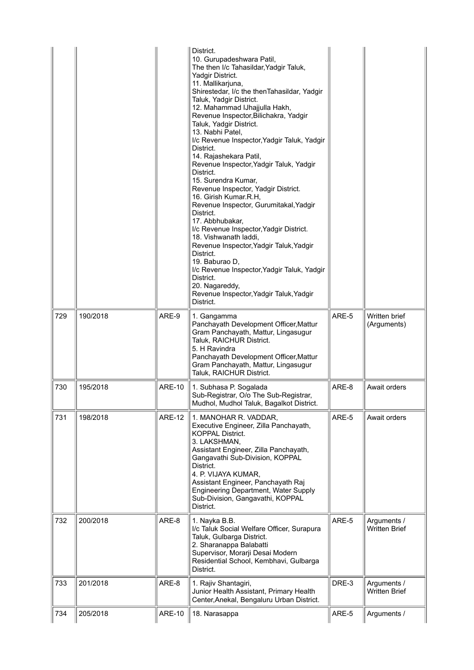|     |          |               | District.<br>10. Gurupadeshwara Patil,<br>The then I/c Tahasildar, Yadgir Taluk,<br>Yadgir District.<br>11. Mallikarjuna,<br>Shirestedar, I/c the thenTahasildar, Yadgir<br>Taluk, Yadgir District.<br>12. Mahammad IJhajjulla Hakh,<br>Revenue Inspector, Bilichakra, Yadgir<br>Taluk, Yadgir District.<br>13. Nabhi Patel,<br>I/c Revenue Inspector, Yadgir Taluk, Yadgir<br>District.<br>14. Rajashekara Patil,<br>Revenue Inspector, Yadgir Taluk, Yadgir<br>District.<br>15. Surendra Kumar,<br>Revenue Inspector, Yadgir District.<br>16. Girish Kumar.R.H,<br>Revenue Inspector, Gurumitakal, Yadgir<br>District.<br>17. Abbhubakar,<br>I/c Revenue Inspector, Yadgir District.<br>18. Vishwanath laddi,<br>Revenue Inspector, Yadgir Taluk, Yadgir<br>District.<br>19. Baburao D,<br>I/c Revenue Inspector, Yadgir Taluk, Yadgir<br>District.<br>20. Nagareddy,<br>Revenue Inspector, Yadgir Taluk, Yadgir<br>District. |       |                                     |
|-----|----------|---------------|---------------------------------------------------------------------------------------------------------------------------------------------------------------------------------------------------------------------------------------------------------------------------------------------------------------------------------------------------------------------------------------------------------------------------------------------------------------------------------------------------------------------------------------------------------------------------------------------------------------------------------------------------------------------------------------------------------------------------------------------------------------------------------------------------------------------------------------------------------------------------------------------------------------------------------|-------|-------------------------------------|
| 729 | 190/2018 | ARE-9         | 1. Gangamma<br>Panchayath Development Officer, Mattur<br>Gram Panchayath, Mattur, Lingasugur<br>Taluk, RAICHUR District.<br>5. H Ravindra<br>Panchayath Development Officer, Mattur<br>Gram Panchayath, Mattur, Lingasugur<br>Taluk, RAICHUR District.                                                                                                                                                                                                                                                                                                                                                                                                                                                                                                                                                                                                                                                                          | ARE-5 | Written brief<br>(Arguments)        |
| 730 | 195/2018 | <b>ARE-10</b> | 1. Subhasa P. Sogalada<br>Sub-Registrar, O/o The Sub-Registrar,<br>Mudhol, Mudhol Taluk, Bagalkot District.                                                                                                                                                                                                                                                                                                                                                                                                                                                                                                                                                                                                                                                                                                                                                                                                                     | ARE-8 | Await orders                        |
| 731 | 198/2018 | <b>ARE-12</b> | 1. MANOHAR R. VADDAR,<br>Executive Engineer, Zilla Panchayath,<br><b>KOPPAL District.</b><br>3. LAKSHMAN,<br>Assistant Engineer, Zilla Panchayath,<br>Gangavathi Sub-Division, KOPPAL<br>District.<br>4. P. VIJAYA KUMAR,<br>Assistant Engineer, Panchayath Raj<br><b>Engineering Department, Water Supply</b><br>Sub-Division, Gangavathi, KOPPAL<br>District.                                                                                                                                                                                                                                                                                                                                                                                                                                                                                                                                                                 | ARE-5 | Await orders                        |
| 732 | 200/2018 | ARE-8         | 1. Nayka B.B.<br>I/c Taluk Social Welfare Officer, Surapura<br>Taluk, Gulbarga District.<br>2. Sharanappa Balabatti<br>Supervisor, Morarji Desai Modern<br>Residential School, Kembhavi, Gulbarga<br>District.                                                                                                                                                                                                                                                                                                                                                                                                                                                                                                                                                                                                                                                                                                                  | ARE-5 | Arguments /<br><b>Written Brief</b> |
| 733 | 201/2018 | ARE-8         | 1. Rajiv Shantagiri,<br>Junior Health Assistant, Primary Health<br>Center, Anekal, Bengaluru Urban District.                                                                                                                                                                                                                                                                                                                                                                                                                                                                                                                                                                                                                                                                                                                                                                                                                    | DRE-3 | Arguments /<br><b>Written Brief</b> |
| 734 | 205/2018 | <b>ARE-10</b> | 18. Narasappa                                                                                                                                                                                                                                                                                                                                                                                                                                                                                                                                                                                                                                                                                                                                                                                                                                                                                                                   | ARE-5 | Arguments /                         |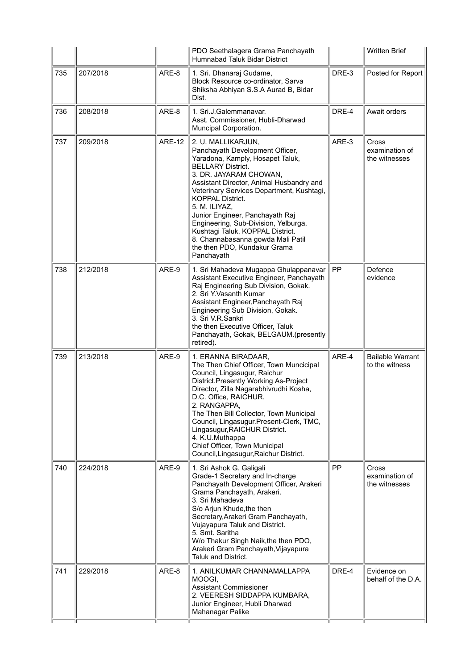|     |          |               | PDO Seethalagera Grama Panchayath<br>Humnabad Taluk Bidar District                                                                                                                                                                                                                                                                                                                                                                                                                     |           | <b>Written Brief</b>                      |
|-----|----------|---------------|----------------------------------------------------------------------------------------------------------------------------------------------------------------------------------------------------------------------------------------------------------------------------------------------------------------------------------------------------------------------------------------------------------------------------------------------------------------------------------------|-----------|-------------------------------------------|
| 735 | 207/2018 | ARE-8         | 1. Sri. Dhanaraj Gudame,<br>Block Resource co-ordinator, Sarva<br>Shiksha Abhiyan S.S.A Aurad B, Bidar<br>Dist.                                                                                                                                                                                                                                                                                                                                                                        | DRE-3     | Posted for Report                         |
| 736 | 208/2018 | ARE-8         | 1. Sri.J.Galemmanavar.<br>Asst. Commissioner, Hubli-Dharwad<br>Muncipal Corporation.                                                                                                                                                                                                                                                                                                                                                                                                   | DRE-4     | Await orders                              |
| 737 | 209/2018 | <b>ARE-12</b> | 2. U. MALLIKARJUN,<br>Panchayath Development Officer,<br>Yaradona, Kamply, Hosapet Taluk,<br><b>BELLARY District.</b><br>3. DR. JAYARAM CHOWAN,<br>Assistant Director, Animal Husbandry and<br>Veterinary Services Department, Kushtagi,<br><b>KOPPAL District.</b><br>5. M. ILIYAZ,<br>Junior Engineer, Panchayath Raj<br>Engineering, Sub-Division, Yelburga,<br>Kushtagi Taluk, KOPPAL District.<br>8. Channabasanna gowda Mali Patil<br>the then PDO, Kundakur Grama<br>Panchayath | ARE-3     | Cross<br>examination of<br>the witnesses  |
| 738 | 212/2018 | ARE-9         | 1. Sri Mahadeva Mugappa Ghulappanavar<br>Assistant Executive Engineer, Panchayath<br>Raj Engineering Sub Division, Gokak.<br>2. Sri Y.Vasanth Kumar<br>Assistant Engineer, Panchayath Raj<br>Engineering Sub Division, Gokak.<br>3. Sri V.R.Sankri<br>the then Executive Officer, Taluk<br>Panchayath, Gokak, BELGAUM.(presently<br>retired).                                                                                                                                          | <b>PP</b> | Defence<br>evidence                       |
| 739 | 213/2018 | ARE-9         | 1. ERANNA BIRADAAR,<br>The Then Chief Officer, Town Muncicipal<br>Council, Lingasugur, Raichur<br>District.Presently Working As-Project<br>Director, Zilla Nagarabhivrudhi Kosha,<br>D.C. Office, RAICHUR.<br>2. RANGAPPA,<br>The Then Bill Collector, Town Municipal<br>Council, Lingasugur.Present-Clerk, TMC,<br>Lingasugur, RAICHUR District.<br>4. K.U.Muthappa<br>Chief Officer, Town Municipal<br>Council, Lingasugur, Raichur District.                                        | ARE-4     | <b>Bailable Warrant</b><br>to the witness |
| 740 | 224/2018 | ARE-9         | 1. Sri Ashok G. Galigali<br>Grade-1 Secretary and In-charge<br>Panchayath Development Officer, Arakeri<br>Grama Panchayath, Arakeri.<br>3. Sri Mahadeva<br>S/o Arjun Khude, the then<br>Secretary, Arakeri Gram Panchayath,<br>Vujayapura Taluk and District.<br>5. Smt. Saritha<br>W/o Thakur Singh Naik, the then PDO,<br>Arakeri Gram Panchayath, Vijayapura<br><b>Taluk and District.</b>                                                                                          | PP        | Cross<br>examination of<br>the witnesses  |
| 741 | 229/2018 | ARE-8         | 1. ANILKUMAR CHANNAMALLAPPA<br>MOOGI,<br><b>Assistant Commissioner</b><br>2. VEERESH SIDDAPPA KUMBARA,<br>Junior Engineer, Hubli Dharwad<br>Mahanagar Palike                                                                                                                                                                                                                                                                                                                           | DRE-4     | Evidence on<br>behalf of the D.A.         |
|     |          |               |                                                                                                                                                                                                                                                                                                                                                                                                                                                                                        |           |                                           |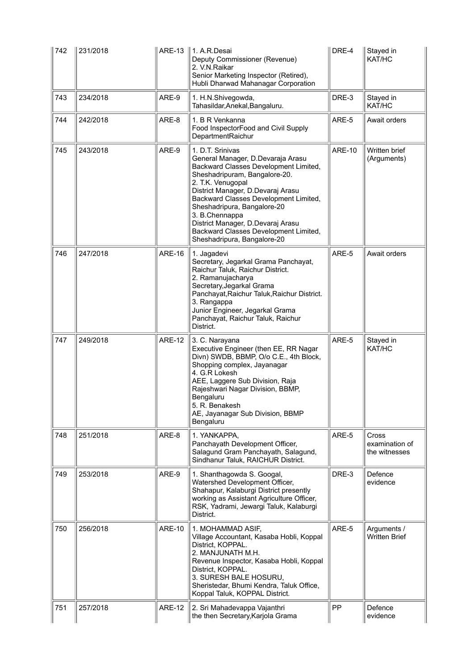| 742 | 231/2018 | <b>ARE-13</b> | l 1. A.R.Desai<br>Deputy Commissioner (Revenue)<br>2. V.N.Raikar<br>Senior Marketing Inspector (Retired),<br>Hubli Dharwad Mahanagar Corporation                                                                                                                                                                                                                                                 | DRE-4         | Stayed in<br>KAT/HC                      |
|-----|----------|---------------|--------------------------------------------------------------------------------------------------------------------------------------------------------------------------------------------------------------------------------------------------------------------------------------------------------------------------------------------------------------------------------------------------|---------------|------------------------------------------|
| 743 | 234/2018 | ARE-9         | 1. H.N.Shivegowda,<br>Tahasildar, Anekal, Bangaluru.                                                                                                                                                                                                                                                                                                                                             | DRE-3         | Stayed in<br>KAT/HC                      |
| 744 | 242/2018 | ARE-8         | 1. B R Venkanna<br>Food InspectorFood and Civil Supply<br>DepartmentRaichur                                                                                                                                                                                                                                                                                                                      | ARE-5         | Await orders                             |
| 745 | 243/2018 | ARE-9         | 1. D.T. Srinivas<br>General Manager, D.Devaraja Arasu<br>Backward Classes Development Limited,<br>Sheshadripuram, Bangalore-20.<br>2. T.K. Venugopal<br>District Manager, D.Devaraj Arasu<br>Backward Classes Development Limited,<br>Sheshadripura, Bangalore-20<br>3. B.Chennappa<br>District Manager, D.Devaraj Arasu<br>Backward Classes Development Limited,<br>Sheshadripura, Bangalore-20 | <b>ARE-10</b> | Written brief<br>(Arguments)             |
| 746 | 247/2018 | <b>ARE-16</b> | 1. Jagadevi<br>Secretary, Jegarkal Grama Panchayat,<br>Raichur Taluk, Raichur District.<br>2. Ramanujacharya<br>Secretary, Jegarkal Grama<br>Panchayat, Raichur Taluk, Raichur District.<br>3. Rangappa<br>Junior Engineer, Jegarkal Grama<br>Panchayat, Raichur Taluk, Raichur<br>District.                                                                                                     | ARE-5         | Await orders                             |
| 747 | 249/2018 | <b>ARE-12</b> | 3. C. Narayana                                                                                                                                                                                                                                                                                                                                                                                   | ARE-5         | Stayed in                                |
|     |          |               | Executive Engineer (then EE, RR Nagar<br>Divn) SWDB, BBMP, O/o C.E., 4th Block,<br>Shopping complex, Jayanagar<br>4. G.R Lokesh<br>AEE, Laggere Sub Division, Raja<br>Rajeshwari Nagar Division, BBMP,<br>Bengaluru<br>5. R. Benakesh<br>AE, Jayanagar Sub Division, BBMP<br>Bengaluru                                                                                                           |               | KAT/HC                                   |
| 748 | 251/2018 | ARE-8         | 1. YANKAPPA.<br>Panchayath Development Officer,<br>Salagund Gram Panchayath, Salagund,<br>Sindhanur Taluk, RAICHUR District.                                                                                                                                                                                                                                                                     | ARE-5         | Cross<br>examination of<br>the witnesses |
| 749 | 253/2018 | ARE-9         | 1. Shanthagowda S. Googal,<br>Watershed Development Officer,<br>Shahapur, Kalaburgi District presently<br>working as Assistant Agriculture Officer,<br>RSK, Yadrami, Jewargi Taluk, Kalaburgi<br>District.                                                                                                                                                                                       | DRE-3         | Defence<br>evidence                      |
| 750 | 256/2018 | <b>ARE-10</b> | 1. MOHAMMAD ASIF,<br>Village Accountant, Kasaba Hobli, Koppal<br>District, KOPPAL.<br>2. MANJUNATH M.H.<br>Revenue Inspector, Kasaba Hobli, Koppal<br>District, KOPPAL.<br>3. SURESH BALE HOSURU,<br>Sheristedar, Bhumi Kendra, Taluk Office,<br>Koppal Taluk, KOPPAL District.                                                                                                                  | ARE-5         | Arguments /<br><b>Written Brief</b>      |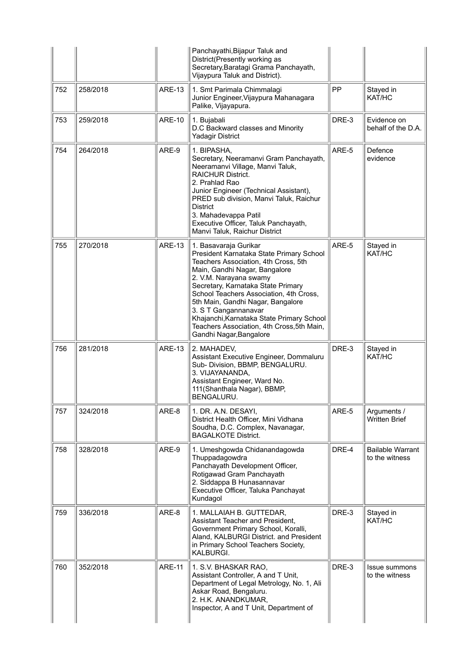|     |          |               | Panchayathi, Bijapur Taluk and<br>District(Presently working as<br>Secretary, Baratagi Grama Panchayath,<br>Vijaypura Taluk and District).                                                                                                                                                                                                                                                                                               |       |                                           |
|-----|----------|---------------|------------------------------------------------------------------------------------------------------------------------------------------------------------------------------------------------------------------------------------------------------------------------------------------------------------------------------------------------------------------------------------------------------------------------------------------|-------|-------------------------------------------|
| 752 | 258/2018 | <b>ARE-13</b> | 1. Smt Parimala Chimmalagi<br>Junior Engineer, Vijaypura Mahanagara<br>Palike, Vijayapura.                                                                                                                                                                                                                                                                                                                                               | PP    | Stayed in<br>KAT/HC                       |
| 753 | 259/2018 | <b>ARE-10</b> | 1. Bujabali<br>D.C Backward classes and Minority<br><b>Yadagir District</b>                                                                                                                                                                                                                                                                                                                                                              | DRE-3 | Evidence on<br>behalf of the D.A.         |
| 754 | 264/2018 | ARE-9         | 1. BIPASHA,<br>Secretary, Neeramanvi Gram Panchayath,<br>Neeramanvi Village, Manvi Taluk,<br><b>RAICHUR District.</b><br>2. Prahlad Rao<br>Junior Engineer (Technical Assistant),<br>PRED sub division, Manvi Taluk, Raichur<br><b>District</b><br>3. Mahadevappa Patil<br>Executive Officer, Taluk Panchayath,<br>Manvi Taluk, Raichur District                                                                                         | ARE-5 | Defence<br>evidence                       |
| 755 | 270/2018 | <b>ARE-13</b> | 1. Basavaraja Gurikar<br>President Karnataka State Primary School<br>Teachers Association, 4th Cross, 5th<br>Main, Gandhi Nagar, Bangalore<br>2. V.M. Narayana swamy<br>Secretary, Karnataka State Primary<br>School Teachers Association, 4th Cross,<br>5th Main, Gandhi Nagar, Bangalore<br>3. S T Gangannanavar<br>Khajanchi, Karnataka State Primary School<br>Teachers Association, 4th Cross, 5th Main,<br>Gandhi Nagar, Bangalore | ARE-5 | Stayed in<br>KAT/HC                       |
| 756 | 281/2018 | <b>ARE-13</b> | 2. MAHADEV,<br>Assistant Executive Engineer, Dommaluru<br>Sub- Division, BBMP, BENGALURU.<br>3. VIJAYANANDA,<br>Assistant Engineer, Ward No.<br>111(Shanthala Nagar), BBMP,<br>BENGALURU.                                                                                                                                                                                                                                                | DRE-3 | Stayed in<br>KAT/HC                       |
| 757 | 324/2018 | ARE-8         | 1. DR. A.N. DESAYI,<br>District Health Officer, Mini Vidhana<br>Soudha, D.C. Complex, Navanagar,<br><b>BAGALKOTE District.</b>                                                                                                                                                                                                                                                                                                           | ARE-5 | Arguments /<br><b>Written Brief</b>       |
| 758 | 328/2018 | ARE-9         | 1. Umeshgowda Chidanandagowda<br>Thuppadagowdra<br>Panchayath Development Officer,<br>Rotigawad Gram Panchayath<br>2. Siddappa B Hunasannavar<br>Executive Officer, Taluka Panchayat<br>Kundagol                                                                                                                                                                                                                                         | DRE-4 | <b>Bailable Warrant</b><br>to the witness |
| 759 | 336/2018 | ARE-8         | 1. MALLAIAH B. GUTTEDAR,<br>Assistant Teacher and President,<br>Government Primary School, Koralli,<br>Aland, KALBURGI District. and President<br>in Primary School Teachers Society,<br>KALBURGI.                                                                                                                                                                                                                                       | DRE-3 | Stayed in<br>KAT/HC                       |
| 760 | 352/2018 | <b>ARE-11</b> | 1. S.V. BHASKAR RAO,<br>Assistant Controller, A and T Unit,<br>Department of Legal Metrology, No. 1, Ali<br>Askar Road, Bengaluru.<br>2. H.K. ANANDKUMAR,<br>Inspector, A and T Unit, Department of                                                                                                                                                                                                                                      | DRE-3 | Issue summons<br>to the witness           |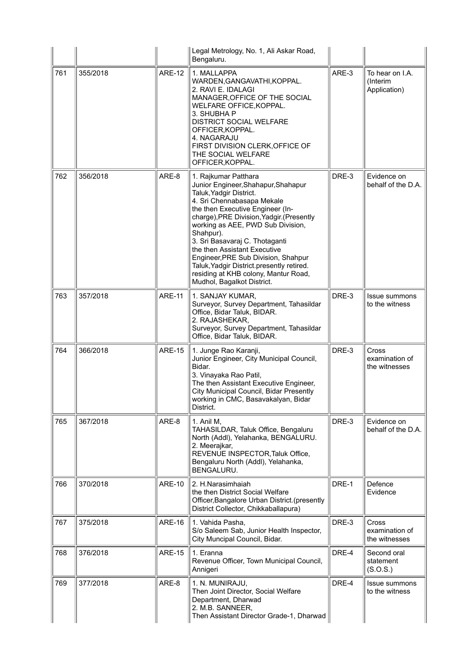|     |          |               | Legal Metrology, No. 1, Ali Askar Road,<br>Bengaluru.                                                                                                                                                                                                                                                                                                                                                                                                                               |       |                                                 |
|-----|----------|---------------|-------------------------------------------------------------------------------------------------------------------------------------------------------------------------------------------------------------------------------------------------------------------------------------------------------------------------------------------------------------------------------------------------------------------------------------------------------------------------------------|-------|-------------------------------------------------|
| 761 | 355/2018 | <b>ARE-12</b> | 1. MALLAPPA<br>WARDEN, GANGAVATHI, KOPPAL.<br>2. RAVI E. IDALAGI<br>MANAGER, OFFICE OF THE SOCIAL<br>WELFARE OFFICE, KOPPAL.<br>3. SHUBHA P<br><b>DISTRICT SOCIAL WELFARE</b><br>OFFICER, KOPPAL.<br>4. NAGARAJU<br>FIRST DIVISION CLERK, OF FICE OF<br>THE SOCIAL WELFARE<br>OFFICER, KOPPAL.                                                                                                                                                                                      | ARE-3 | To hear on I.A.<br>(Interim<br>Application)     |
| 762 | 356/2018 | ARE-8         | 1. Rajkumar Patthara<br>Junior Engineer, Shahapur, Shahapur<br>Taluk, Yadgir District.<br>4. Sri Chennabasapa Mekale<br>the then Executive Engineer (In-<br>charge), PRE Division, Yadgir. (Presently<br>working as AEE, PWD Sub Division,<br>Shahpur).<br>3. Sri Basavaraj C. Thotaganti<br>the then Assistant Executive<br>Engineer, PRE Sub Division, Shahpur<br>Taluk, Yadgir District.presently retired.<br>residing at KHB colony, Mantur Road,<br>Mudhol, Bagalkot District. | DRE-3 | Evidence on<br>behalf of the D.A.               |
| 763 | 357/2018 | <b>ARE-11</b> | 1. SANJAY KUMAR,<br>Surveyor, Survey Department, Tahasildar<br>Office, Bidar Taluk, BIDAR.<br>2. RAJASHEKAR,<br>Surveyor, Survey Department, Tahasildar<br>Office, Bidar Taluk, BIDAR.                                                                                                                                                                                                                                                                                              | DRE-3 | <b>Issue summons</b><br>to the witness          |
| 764 | 366/2018 | <b>ARE-15</b> | 1. Junge Rao Karanji,<br>Junior Engineer, City Municipal Council,<br>Bidar.<br>3. Vinayaka Rao Patil,<br>The then Assistant Executive Engineer,<br>City Municipal Council, Bidar Presently<br>working in CMC, Basavakalyan, Bidar<br>District.                                                                                                                                                                                                                                      | DRE-3 | <b>Cross</b><br>examination of<br>the witnesses |
| 765 | 367/2018 | ARE-8         | 1. Anil M.<br>TAHASILDAR, Taluk Office, Bengaluru<br>North (Addl), Yelahanka, BENGALURU.<br>2. Meerajkar,<br>REVENUE INSPECTOR, Taluk Office,<br>Bengaluru North (Addl), Yelahanka,<br>BENGALURU.                                                                                                                                                                                                                                                                                   | DRE-3 | Evidence on<br>behalf of the D.A.               |
| 766 | 370/2018 | <b>ARE-10</b> | 2. H.Narasimhaiah<br>the then District Social Welfare<br>Officer, Bangalore Urban District. (presently<br>District Collector, Chikkaballapura)                                                                                                                                                                                                                                                                                                                                      | DRE-1 | Defence<br>Evidence                             |
| 767 | 375/2018 | <b>ARE-16</b> | 1. Vahida Pasha,<br>S/o Saleem Sab, Junior Health Inspector,<br>City Muncipal Council, Bidar.                                                                                                                                                                                                                                                                                                                                                                                       | DRE-3 | Cross<br>examination of<br>the witnesses        |
| 768 | 376/2018 | <b>ARE-15</b> | 1. Eranna<br>Revenue Officer, Town Municipal Council,<br>Annigeri                                                                                                                                                                                                                                                                                                                                                                                                                   | DRE-4 | Second oral<br>statement<br>(S.O.S.)            |
| 769 | 377/2018 | ARE-8         | 1. N. MUNIRAJU,<br>Then Joint Director, Social Welfare<br>Department, Dharwad<br>2. M.B. SANNEER,<br>Then Assistant Director Grade-1, Dharwad                                                                                                                                                                                                                                                                                                                                       | DRE-4 | <b>Issue summons</b><br>to the witness          |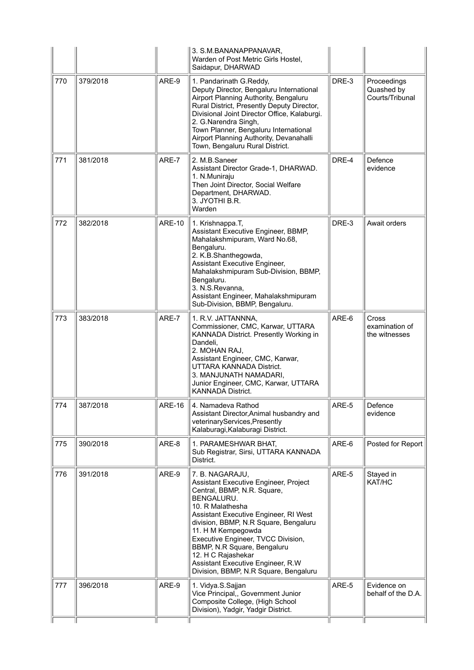|     |          |               | 3. S.M.BANANAPPANAVAR,<br>Warden of Post Metric Girls Hostel,<br>Saidapur, DHARWAD                                                                                                                                                                                                                                                                                                                         |       |                                                 |
|-----|----------|---------------|------------------------------------------------------------------------------------------------------------------------------------------------------------------------------------------------------------------------------------------------------------------------------------------------------------------------------------------------------------------------------------------------------------|-------|-------------------------------------------------|
| 770 | 379/2018 | ARE-9         | 1. Pandarinath G.Reddy,<br>Deputy Director, Bengaluru International<br>Airport Planning Authority, Bengaluru<br>Rural District, Presently Deputy Director,<br>Divisional Joint Director Office, Kalaburgi.<br>2. G.Narendra Singh,<br>Town Planner, Bengaluru International<br>Airport Planning Authority, Devanahalli<br>Town, Bengaluru Rural District.                                                  | DRE-3 | Proceedings<br>Quashed by<br>Courts/Tribunal    |
| 771 | 381/2018 | ARE-7         | 2. M.B.Saneer<br>Assistant Director Grade-1, DHARWAD.<br>1. N.Muniraju<br>Then Joint Director, Social Welfare<br>Department, DHARWAD.<br>3. JYOTHI B.R.<br>Warden                                                                                                                                                                                                                                          | DRE-4 | Defence<br>evidence                             |
| 772 | 382/2018 | <b>ARE-10</b> | 1. Krishnappa.T,<br>Assistant Executive Engineer, BBMP,<br>Mahalakshmipuram, Ward No.68,<br>Bengaluru.<br>2. K.B.Shanthegowda,<br>Assistant Executive Engineer,<br>Mahalakshmipuram Sub-Division, BBMP,<br>Bengaluru.<br>3. N.S.Revanna,<br>Assistant Engineer, Mahalakshmipuram<br>Sub-Division, BBMP, Bengaluru.                                                                                         | DRE-3 | Await orders                                    |
| 773 | 383/2018 | ARE-7         | 1. R.V. JATTANNNA,<br>Commissioner, CMC, Karwar, UTTARA<br>KANNADA District. Presently Working in<br>Dandeli,<br>2. MOHAN RAJ,<br>Assistant Engineer, CMC, Karwar,<br>UTTARA KANNADA District.<br>3. MANJUNATH NAMADARI,<br>Junior Engineer, CMC, Karwar, UTTARA<br><b>KANNADA District.</b>                                                                                                               | ARE-6 | <b>Cross</b><br>examination of<br>the witnesses |
| 774 | 387/2018 | <b>ARE-16</b> | 4. Namadeva Rathod<br>Assistant Director, Animal husbandry and<br>veterinaryServices, Presently<br>Kalaburagi, Kalaburagi District.                                                                                                                                                                                                                                                                        | ARE-5 | Defence<br>evidence                             |
| 775 | 390/2018 | ARE-8         | 1. PARAMESHWAR BHAT,<br>Sub Registrar, Sirsi, UTTARA KANNADA<br>District.                                                                                                                                                                                                                                                                                                                                  | ARE-6 | Posted for Report                               |
| 776 | 391/2018 | ARE-9         | 7. B. NAGARAJU,<br>Assistant Executive Engineer, Project<br>Central, BBMP, N.R. Square,<br>BENGALURU.<br>10. R Malathesha<br>Assistant Executive Engineer, RI West<br>division, BBMP, N.R Square, Bengaluru<br>11. H M Kempegowda<br>Executive Engineer, TVCC Division,<br>BBMP, N.R Square, Bengaluru<br>12. H C Rajashekar<br>Assistant Executive Engineer, R.W<br>Division, BBMP, N.R Square, Bengaluru | ARE-5 | Stayed in<br>KAT/HC                             |
| 777 | 396/2018 | ARE-9         | 1. Vidya.S.Sajjan<br>Vice Principal,, Government Junior<br>Composite College, (High School<br>Division), Yadgir, Yadgir District.                                                                                                                                                                                                                                                                          | ARE-5 | Evidence on<br>behalf of the D.A.               |
|     |          |               |                                                                                                                                                                                                                                                                                                                                                                                                            |       |                                                 |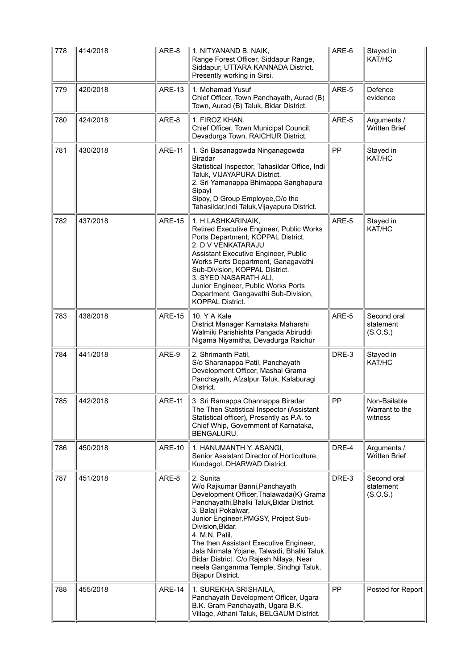| 778 | 414/2018 | ARE-8         | 1. NITYANAND B. NAIK,<br>Range Forest Officer, Siddapur Range,<br>Siddapur, UTTARA KANNADA District.<br>Presently working in Sirsi.                                                                                                                                                                                                                                                                                                         | ARE-6 | Stayed in<br>KAT/HC                       |
|-----|----------|---------------|---------------------------------------------------------------------------------------------------------------------------------------------------------------------------------------------------------------------------------------------------------------------------------------------------------------------------------------------------------------------------------------------------------------------------------------------|-------|-------------------------------------------|
| 779 | 420/2018 | <b>ARE-13</b> | 1. Mohamad Yusuf<br>Chief Officer, Town Panchayath, Aurad (B)<br>Town, Aurad (B) Taluk, Bidar District.                                                                                                                                                                                                                                                                                                                                     | ARE-5 | Defence<br>evidence                       |
| 780 | 424/2018 | ARE-8         | 1. FIROZ KHAN,<br>Chief Officer, Town Municipal Council,<br>Devadurga Town, RAICHUR District.                                                                                                                                                                                                                                                                                                                                               | ARE-5 | Arguments /<br><b>Written Brief</b>       |
| 781 | 430/2018 | <b>ARE-11</b> | 1. Sri Basanagowda Ninganagowda<br><b>Biradar</b><br>Statistical Inspector, Tahasildar Office, Indi<br>Taluk, VIJAYAPURA District.<br>2. Sri Yamanappa Bhimappa Sanghapura<br>Sipayi<br>Sipoy, D Group Employee, O/o the<br>Tahasildar, Indi Taluk, Vijayapura District.                                                                                                                                                                    | PP    | Stayed in<br>KAT/HC                       |
| 782 | 437/2018 | <b>ARE-15</b> | 1. H LASHKARINAIK,<br>Retired Executive Engineer, Public Works<br>Ports Department, KOPPAL District.<br>2. D V VENKATARAJU<br>Assistant Executive Engineer, Public<br>Works Ports Department, Ganagavathi<br>Sub-Division, KOPPAL District.<br>3. SYED NASARATH ALI,<br>Junior Engineer, Public Works Ports<br>Department, Gangavathi Sub-Division,<br><b>KOPPAL District.</b>                                                              | ARE-5 | Stayed in<br>KAT/HC                       |
| 783 | 438/2018 | <b>ARE-15</b> | 10. Y A Kale<br>District Manager Karnataka Maharshi<br>Walmiki Parishishta Pangada Abiruddi<br>Nigama Niyamitha, Devadurga Raichur                                                                                                                                                                                                                                                                                                          | ARE-5 | Second oral<br>statement<br>(S.O.S.)      |
| 784 | 441/2018 | ARE-9         | 2. Shrimanth Patil,<br>S/o Sharanappa Patil, Panchayath<br>Development Officer, Mashal Grama<br>Panchayath, Afzalpur Taluk, Kalaburagi<br>District.                                                                                                                                                                                                                                                                                         | DRE-3 | Stayed in<br>KAT/HC                       |
| 785 | 442/2018 | <b>ARF-11</b> | 3. Sri Ramappa Channappa Biradar<br>The Then Statistical Inspector (Assistant<br>Statistical officer), Presently as P.A. to<br>Chief Whip, Government of Karnataka,<br>BENGALURU.                                                                                                                                                                                                                                                           | PP    | Non-Bailable<br>Warrant to the<br>witness |
| 786 | 450/2018 | <b>ARE-10</b> | 1. HANUMANTH Y. ASANGI,<br>Senior Assistant Director of Horticulture,<br>Kundagol, DHARWAD District.                                                                                                                                                                                                                                                                                                                                        | DRE-4 | Arguments /<br><b>Written Brief</b>       |
| 787 | 451/2018 | ARE-8         | 2. Sunita<br>W/o Rajkumar Banni, Panchayath<br>Development Officer, Thalawada(K) Grama<br>Panchayathi, Bhalki Taluk, Bidar District.<br>3. Balaji Pokalwar,<br>Junior Engineer, PMGSY, Project Sub-<br>Division, Bidar.<br>4. M.N. Patil,<br>The then Assistant Executive Engineer,<br>Jala Nirmala Yojane, Talwadi, Bhalki Taluk,<br>Bidar District. C/o Rajesh Nilaya, Near<br>neela Gangamma Temple, Sindhgi Taluk,<br>Bijapur District. | DRE-3 | Second oral<br>statement<br>(S.O.S.)      |
| 788 | 455/2018 | <b>ARE-14</b> | 1. SUREKHA SRISHAILA,<br>Panchayath Development Officer, Ugara<br>B.K. Gram Panchayath, Ugara B.K.<br>Village, Athani Taluk, BELGAUM District.                                                                                                                                                                                                                                                                                              | PP    | Posted for Report                         |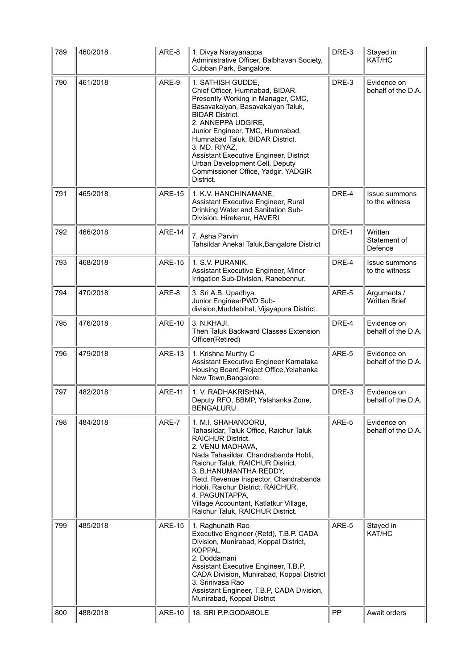| 789 | 460/2018 | ARE-8         | 1. Divya Narayanappa<br>Administrative Officer, Balbhavan Society,<br>Cubban Park, Bangalore.                                                                                                                                                                                                                                                                                                          | DRE-3 | Stayed in<br>KAT/HC                    |
|-----|----------|---------------|--------------------------------------------------------------------------------------------------------------------------------------------------------------------------------------------------------------------------------------------------------------------------------------------------------------------------------------------------------------------------------------------------------|-------|----------------------------------------|
| 790 | 461/2018 | ARE-9         | 1. SATHISH GUDDE,<br>Chief Officer, Humnabad, BIDAR.<br>Presently Working in Manager, CMC,<br>Basavakalyan, Basavakalyan Taluk,<br><b>BIDAR District.</b><br>2. ANNEPPA UDGIRE,<br>Junior Engineer, TMC, Humnabad,<br>Humnabad Taluk, BIDAR District.<br>3. MD. RIYAZ,<br>Assistant Executive Engineer, District<br>Urban Development Cell, Deputy<br>Commissioner Office, Yadgir, YADGIR<br>District. | DRE-3 | Evidence on<br>behalf of the D.A.      |
| 791 | 465/2018 | <b>ARE-15</b> | 1. K.V. HANCHINAMANE,<br>Assistant Executive Engineer, Rural<br>Drinking Water and Sanitation Sub-<br>Division, Hirekerur, HAVERI                                                                                                                                                                                                                                                                      | DRE-4 | Issue summons<br>to the witness        |
| 792 | 466/2018 | <b>ARE-14</b> | 7. Asha Parvin<br>Tahsildar Anekal Taluk, Bangalore District                                                                                                                                                                                                                                                                                                                                           | DRE-1 | Written<br>Statement of<br>Defence     |
| 793 | 468/2018 | <b>ARE-15</b> | 1. S.V. PURANIK,<br>Assistant Executive Engineer, Minor<br>Irrigation Sub-Division, Ranebennur.                                                                                                                                                                                                                                                                                                        | DRE-4 | <b>Issue summons</b><br>to the witness |
| 794 | 470/2018 | ARE-8         | 3. Sri A.B. Upadhya<br>Junior EngineerPWD Sub-<br>division, Muddebihal, Vijayapura District.                                                                                                                                                                                                                                                                                                           | ARE-5 | Arguments /<br><b>Written Brief</b>    |
| 795 | 476/2018 | <b>ARE-10</b> | 3. N.KHAJI,<br>Then Taluk Backward Classes Extension<br>Officer(Retired)                                                                                                                                                                                                                                                                                                                               | DRE-4 | Evidence on<br>behalf of the D.A.      |
| 796 | 479/2018 | <b>ARE-13</b> | 1. Krishna Murthy C<br>Assistant Executive Engineer Karnataka<br>Housing Board, Project Office, Yelahanka<br>New Town, Bangalore.                                                                                                                                                                                                                                                                      | ARE-5 | Evidence on<br>behalf of the D.A.      |
| 797 | 482/2018 | <b>ARE-11</b> | 1. V. RADHAKRISHNA,<br>Deputy RFO, BBMP, Yalahanka Zone,<br>BENGALURU.                                                                                                                                                                                                                                                                                                                                 | DRE-3 | Evidence on<br>behalf of the D.A.      |
| 798 | 484/2018 | ARE-7         | 1. M.I. SHAHANOORU,<br>Tahasildar, Taluk Office, Raichur Taluk<br><b>RAICHUR District.</b><br>2. VENU MADHAVA,<br>Nada Tahasildar, Chandrabanda Hobli,<br>Raichur Taluk, RAICHUR District.<br>3. B.HANUMANTHA REDDY,<br>Retd. Revenue Inspector, Chandrabanda<br>Hobli, Raichur District, RAICHUR.<br>4. PAGUNTAPPA,<br>Village Accountant, Katlatkur Village,<br>Raichur Taluk, RAICHUR District.     | ARE-5 | Evidence on<br>behalf of the D.A.      |
| 799 | 485/2018 | <b>ARE-15</b> | 1. Raghunath Rao<br>Executive Engineer (Retd), T.B.P. CADA<br>Division, Munirabad, Koppal District,<br>KOPPAL.<br>2. Doddamani<br>Assistant Executive Engineer, T.B.P,<br>CADA Division, Munirabad, Koppal District<br>3. Srinivasa Rao<br>Assistant Engineer, T.B.P, CADA Division,<br>Munirabad, Koppal District                                                                                     | ARE-5 | Stayed in<br>KAT/HC                    |
| 800 | 488/2018 | ARE-10        | 18. SRI P.P.GODABOLE                                                                                                                                                                                                                                                                                                                                                                                   | PP    | Await orders                           |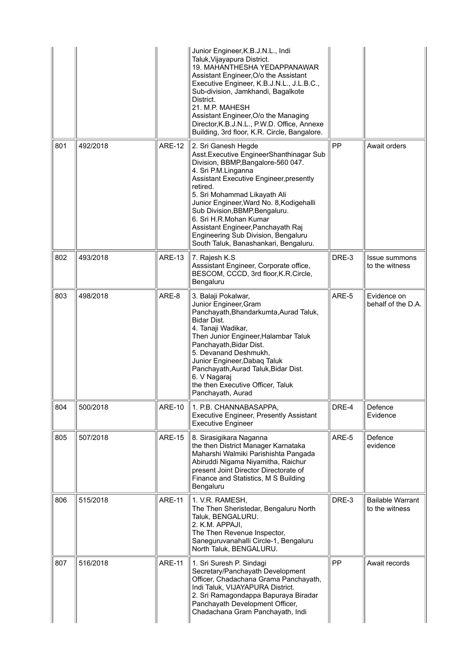|     |          |               | Junior Engineer, K.B.J.N.L., Indi<br>Taluk, Vijayapura District.<br>19. MAHANTHESHA YEDAPPANAWAR<br>Assistant Engineer, O/o the Assistant<br>Executive Engineer, K.B.J.N.L., J.L.B.C.,<br>Sub-division, Jamkhandi, Bagalkote<br>District.<br>21. M.P. MAHESH<br>Assistant Engineer, O/o the Managing<br>Director, K.B.J.N.L., P.W.D. Office, Annexe<br>Building, 3rd floor, K.R. Circle, Bangalore.                                               |       |                                           |
|-----|----------|---------------|---------------------------------------------------------------------------------------------------------------------------------------------------------------------------------------------------------------------------------------------------------------------------------------------------------------------------------------------------------------------------------------------------------------------------------------------------|-------|-------------------------------------------|
| 801 | 492/2018 | <b>ARE-12</b> | 2. Sri Ganesh Hegde<br>Asst. Executive EngineerShanthinagar Sub<br>Division, BBMP, Bangalore-560 047.<br>4. Sri P.M.Linganna<br>Assistant Executive Engineer, presently<br>retired.<br>5. Sri Mohammad Likayath Ali<br>Junior Engineer, Ward No. 8, Kodigehalli<br>Sub Division, BBMP, Bengaluru.<br>6. Sri H.R.Mohan Kumar<br>Assistant Engineer, Panchayath Raj<br>Engineering Sub Division, Bengaluru<br>South Taluk, Banashankari, Bengaluru. | PP    | Await orders                              |
| 802 | 493/2018 | <b>ARE-13</b> | 7. Rajesh K.S<br>Asssistant Engineer, Corporate office,<br>BESCOM, CCCD, 3rd floor, K.R.Circle,<br>Bengaluru                                                                                                                                                                                                                                                                                                                                      | DRE-3 | <b>Issue summons</b><br>to the witness    |
| 803 | 498/2018 | ARE-8         | 3. Balaji Pokalwar,<br>Junior Engineer, Gram<br>Panchayath, Bhandarkumta, Aurad Taluk,<br>Bidar Dist.<br>4. Tanaji Wadikar,<br>Then Junior Engineer, Halambar Taluk<br>Panchayath, Bidar Dist.<br>5. Devanand Deshmukh,<br>Junior Engineer, Dabaq Taluk<br>Panchayath, Aurad Taluk, Bidar Dist.<br>6. V Nagaraj<br>the then Executive Officer, Taluk<br>Panchayath, Aurad                                                                         | ARE-5 | Evidence on<br>behalf of the D.A.         |
| 804 | 500/2018 | <b>ARE-10</b> | 1. P.B. CHANNABASAPPA,<br><b>Executive Engineer, Presently Assistant</b><br><b>Executive Engineer</b>                                                                                                                                                                                                                                                                                                                                             | DRE-4 | Defence<br>Evidence                       |
| 805 | 507/2018 | <b>ARE-15</b> | 8. Sirasigikara Naganna<br>the then District Manager Karnataka<br>Maharshi Walmiki Parishishta Pangada<br>Abiruddi Nigama Niyamitha, Raichur<br>present Joint Director Directorate of<br>Finance and Statistics, M S Building<br>Bengaluru                                                                                                                                                                                                        | ARE-5 | Defence<br>evidence                       |
| 806 | 515/2018 | <b>ARE-11</b> | 1. V.R. RAMESH,<br>The Then Sheristedar, Bengaluru North<br>Taluk, BENGALURU.<br>2. K.M. APPAJI,<br>The Then Revenue Inspector,<br>Saneguruvanahalli Circle-1, Bengaluru<br>North Taluk, BENGALURU.                                                                                                                                                                                                                                               | DRE-3 | <b>Bailable Warrant</b><br>to the witness |
| 807 | 516/2018 | <b>ARE-11</b> | 1. Sri Suresh P. Sindagi<br>Secretary/Panchayath Development<br>Officer, Chadachana Grama Panchayath,<br>Indi Taluk, VIJAYAPURA District.<br>2. Sri Ramagondappa Bapuraya Biradar<br>Panchayath Development Officer,<br>Chadachana Gram Panchayath, Indi                                                                                                                                                                                          | PP    | Await records                             |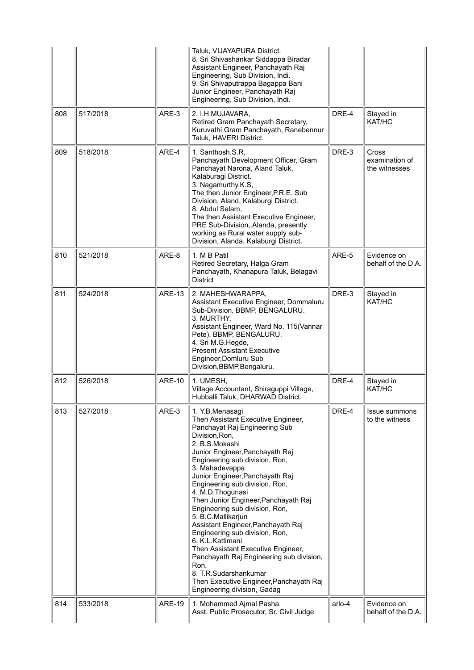|     |          |               | Taluk, VIJAYAPURA District.<br>8. Sri Shivashankar Siddappa Biradar<br>Assistant Engineer, Panchayath Raj<br>Engineering, Sub Division, Indi.<br>9. Sri Shivaputrappa Bagappa Bani<br>Junior Engineer, Panchayath Raj<br>Engineering, Sub Division, Indi.                                                                                                                                                                                                                                                                                                                                                                                                                                            |        |                                                 |
|-----|----------|---------------|------------------------------------------------------------------------------------------------------------------------------------------------------------------------------------------------------------------------------------------------------------------------------------------------------------------------------------------------------------------------------------------------------------------------------------------------------------------------------------------------------------------------------------------------------------------------------------------------------------------------------------------------------------------------------------------------------|--------|-------------------------------------------------|
| 808 | 517/2018 | ARE-3         | 2. I.H.MUJAVARA,<br>Retired Gram Panchayath Secretary,<br>Kuruvathi Gram Panchayath, Ranebennur<br>Taluk, HAVERI District.                                                                                                                                                                                                                                                                                                                                                                                                                                                                                                                                                                           | DRE-4  | Stayed in<br>KAT/HC                             |
| 809 | 518/2018 | ARE-4         | 1. Santhosh.S.R,<br>Panchayath Development Officer, Gram<br>Panchayat Narona, Aland Taluk,<br>Kalaburagi District.<br>3. Nagamurthy.K.S,<br>The then Junior Engineer, P.R.E. Sub<br>Division, Aland, Kalaburgi District.<br>8. Abdul Salam,<br>The then Assistant Executive Engineer,<br>PRE Sub-Division, Alanda, presently<br>working as Rural water supply sub-<br>Division, Alanda, Kalaburgi District.                                                                                                                                                                                                                                                                                          | DRE-3  | <b>Cross</b><br>examination of<br>the witnesses |
| 810 | 521/2018 | ARE-8         | 1. M B Patil<br>Retired Secretary, Halga Gram<br>Panchayath, Khanapura Taluk, Belagavi<br><b>District</b>                                                                                                                                                                                                                                                                                                                                                                                                                                                                                                                                                                                            | ARE-5  | Evidence on<br>behalf of the D.A.               |
| 811 | 524/2018 | <b>ARE-13</b> | 2. MAHESHWARAPPA,<br>Assistant Executive Engineer, Dommaluru<br>Sub-Division, BBMP, BENGALURU.<br>3. MURTHY,<br>Assistant Engineer, Ward No. 115(Vannar<br>Pete), BBMP, BENGALURU.<br>4. Sri M.G.Hegde,<br><b>Present Assistant Executive</b><br>Engineer, Domluru Sub<br>Division, BBMP, Bengaluru.                                                                                                                                                                                                                                                                                                                                                                                                 | DRE-3  | Stayed in<br>KAT/HC                             |
| 812 | 526/2018 | <b>ARE-10</b> | 1. UMESH,<br>Village Accountant, Shiraguppi Village,<br>Hubballi Taluk, DHARWAD District.                                                                                                                                                                                                                                                                                                                                                                                                                                                                                                                                                                                                            | DRE-4  | Stayed in<br>KAT/HC                             |
| 813 | 527/2018 | ARE-3         | 1. Y.B.Menasagi<br>Then Assistant Executive Engineer,<br>Panchayat Raj Engineering Sub<br>Division, Ron,<br>2. B.S.Mokashi<br>Junior Engineer, Panchayath Raj<br>Engineering sub division, Ron,<br>3. Mahadevappa<br>Junior Engineer, Panchayath Raj<br>Engineering sub division, Ron,<br>4. M.D. Thogunasi<br>Then Junior Engineer, Panchayath Raj<br>Engineering sub division, Ron,<br>5. B.C.Mallikarjun<br>Assistant Engineer, Panchayath Raj<br>Engineering sub division, Ron,<br>6. K.L.Kattimani<br>Then Assistant Executive Engineer,<br>Panchayath Raj Engineering sub division,<br>Ron,<br>8. T.R.Sudarshankumar<br>Then Executive Engineer, Panchayath Raj<br>Engineering division, Gadag | DRE-4  | Issue summons<br>to the witness                 |
| 814 | 533/2018 | <b>ARE-19</b> | 1. Mohammed Ajmal Pasha,<br>Asst. Public Prosecutor, Sr. Civil Judge                                                                                                                                                                                                                                                                                                                                                                                                                                                                                                                                                                                                                                 | arlo-4 | Evidence on<br>behalf of the D.A.               |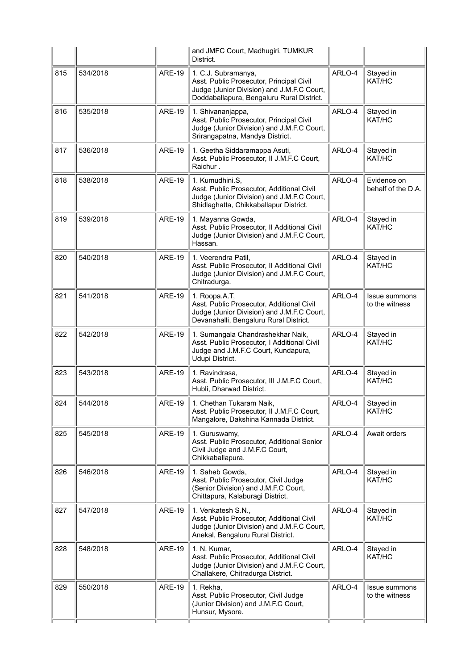|     |          |               | and JMFC Court, Madhugiri, TUMKUR<br>District.                                                                                                             |        |                                   |
|-----|----------|---------------|------------------------------------------------------------------------------------------------------------------------------------------------------------|--------|-----------------------------------|
| 815 | 534/2018 | <b>ARE-19</b> | 1. C.J. Subramanya,<br>Asst. Public Prosecutor, Principal Civil<br>Judge (Junior Division) and J.M.F.C Court,<br>Doddaballapura, Bengaluru Rural District. | ARLO-4 | Stayed in<br>KAT/HC               |
| 816 | 535/2018 | <b>ARE-19</b> | 1. Shivananjappa,<br>Asst. Public Prosecutor, Principal Civil<br>Judge (Junior Division) and J.M.F.C Court,<br>Srirangapatna, Mandya District.             | ARLO-4 | Stayed in<br>KAT/HC               |
| 817 | 536/2018 | <b>ARE-19</b> | 1. Geetha Siddaramappa Asuti,<br>Asst. Public Prosecutor, II J.M.F.C Court,<br>Raichur.                                                                    | ARLO-4 | Stayed in<br>KAT/HC               |
| 818 | 538/2018 | <b>ARE-19</b> | 1. Kumudhini.S,<br>Asst. Public Prosecutor, Additional Civil<br>Judge (Junior Division) and J.M.F.C Court,<br>Shidlaghatta, Chikkaballapur District.       | ARLO-4 | Evidence on<br>behalf of the D.A. |
| 819 | 539/2018 | <b>ARE-19</b> | 1. Mayanna Gowda,<br>Asst. Public Prosecutor, Il Additional Civil<br>Judge (Junior Division) and J.M.F.C Court,<br>Hassan.                                 | ARLO-4 | Stayed in<br>KAT/HC               |
| 820 | 540/2018 | <b>ARE-19</b> | 1. Veerendra Patil,<br>Asst. Public Prosecutor, II Additional Civil<br>Judge (Junior Division) and J.M.F.C Court,<br>Chitradurga.                          | ARLO-4 | Stayed in<br>KAT/HC               |
| 821 | 541/2018 | <b>ARE-19</b> | 1. Roopa.A.T,<br>Asst. Public Prosecutor, Additional Civil<br>Judge (Junior Division) and J.M.F.C Court,<br>Devanahalli, Bengaluru Rural District.         | ARLO-4 | Issue summons<br>to the witness   |
| 822 | 542/2018 | <b>ARE-19</b> | 1. Sumangala Chandrashekhar Naik,<br>Asst. Public Prosecutor, I Additional Civil<br>Judge and J.M.F.C Court, Kundapura,<br>Udupi District.                 | ARLO-4 | Stayed in<br>KAT/HC               |
| 823 | 543/2018 | <b>ARE-19</b> | 1. Ravindrasa,<br>Asst. Public Prosecutor, III J.M.F.C Court,<br>Hubli, Dharwad District.                                                                  | ARLO-4 | Stayed in<br>KAT/HC               |
| 824 | 544/2018 | <b>ARE-19</b> | 1. Chethan Tukaram Naik,<br>Asst. Public Prosecutor, II J.M.F.C Court,<br>Mangalore, Dakshina Kannada District.                                            | ARLO-4 | $\parallel$ Stayed in<br>KAT/HC   |
| 825 | 545/2018 | <b>ARE-19</b> | 1. Guruswamy,<br>Asst. Public Prosecutor, Additional Senior<br>Civil Judge and J.M.F.C Court,<br>Chikkaballapura.                                          | ARLO-4 | Await orders                      |
| 826 | 546/2018 | <b>ARE-19</b> | 1. Saheb Gowda,<br>Asst. Public Prosecutor, Civil Judge<br>(Senior Division) and J.M.F.C Court,<br>Chittapura, Kalaburagi District.                        | ARLO-4 | Stayed in<br>KAT/HC               |
| 827 | 547/2018 | <b>ARE-19</b> | 1. Venkatesh S.N.,<br>Asst. Public Prosecutor, Additional Civil<br>Judge (Junior Division) and J.M.F.C Court,<br>Anekal, Bengaluru Rural District.         | ARLO-4 | Stayed in<br>KAT/HC               |
| 828 | 548/2018 | <b>ARE-19</b> | 1. N. Kumar,<br>Asst. Public Prosecutor, Additional Civil<br>Judge (Junior Division) and J.M.F.C Court,<br>Challakere, Chitradurga District.               | ARLO-4 | Stayed in<br>KAT/HC               |
| 829 | 550/2018 | <b>ARE-19</b> | 1. Rekha,<br>Asst. Public Prosecutor, Civil Judge<br>(Junior Division) and J.M.F.C Court,<br>Hunsur, Mysore.                                               | ARLO-4 | Issue summons<br>to the witness   |
|     |          |               |                                                                                                                                                            |        |                                   |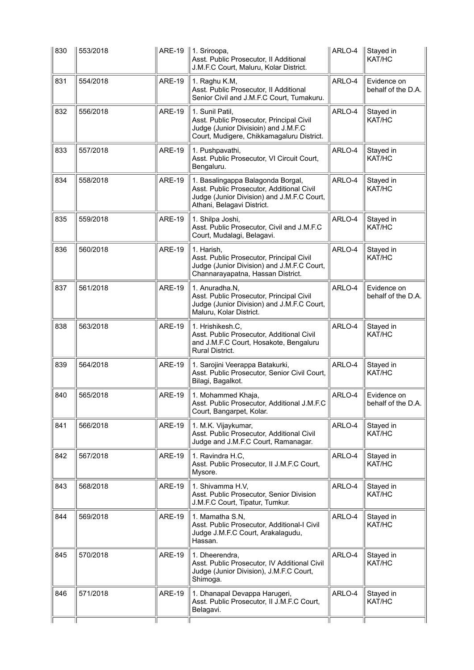| 830 | 553/2018 |               | ARE-19   1. Sriroopa,<br>Asst. Public Prosecutor, II Additional<br>J.M.F.C Court, Maluru, Kolar District.                                                  | ARLO-4 | Stayed in<br>KAT/HC               |
|-----|----------|---------------|------------------------------------------------------------------------------------------------------------------------------------------------------------|--------|-----------------------------------|
| 831 | 554/2018 | <b>ARE-19</b> | 1. Raghu K.M,<br>Asst. Public Prosecutor, II Additional<br>Senior Civil and J.M.F.C Court, Tumakuru.                                                       | ARLO-4 | Evidence on<br>behalf of the D.A. |
| 832 | 556/2018 | <b>ARE-19</b> | 1. Sunil Patil,<br>Asst. Public Prosecutor, Principal Civil<br>Judge (Junior Divisioin) and J.M.F.C<br>Court, Mudigere, Chikkamagaluru District.           | ARLO-4 | Stayed in<br>KAT/HC               |
| 833 | 557/2018 | <b>ARE-19</b> | 1. Pushpavathi,<br>Asst. Public Prosecutor, VI Circuit Court,<br>Bengaluru.                                                                                | ARLO-4 | Stayed in<br>KAT/HC               |
| 834 | 558/2018 | <b>ARE-19</b> | 1. Basalingappa Balagonda Borgal,<br>Asst. Public Prosecutor, Additional Civil<br>Judge (Junior Division) and J.M.F.C Court,<br>Athani, Belagavi District. | ARLO-4 | Stayed in<br>KAT/HC               |
| 835 | 559/2018 | <b>ARE-19</b> | 1. Shilpa Joshi,<br>Asst. Public Prosecutor, Civil and J.M.F.C<br>Court, Mudalagi, Belagavi.                                                               | ARLO-4 | Stayed in<br>KAT/HC               |
| 836 | 560/2018 | <b>ARE-19</b> | 1. Harish,<br>Asst. Public Prosecutor, Principal Civil<br>Judge (Junior Division) and J.M.F.C Court,<br>Channarayapatna, Hassan District.                  | ARLO-4 | Stayed in<br>KAT/HC               |
| 837 | 561/2018 | <b>ARE-19</b> | 1. Anuradha.N.<br>Asst. Public Prosecutor, Principal Civil<br>Judge (Junior Division) and J.M.F.C Court,<br>Maluru, Kolar District.                        | ARLO-4 | Evidence on<br>behalf of the D.A. |
| 838 | 563/2018 | <b>ARE-19</b> | 1. Hrishikesh.C.<br>Asst. Public Prosecutor, Additional Civil<br>and J.M.F.C Court, Hosakote, Bengaluru<br>Rural District.                                 | ARLO-4 | Stayed in<br>KAT/HC               |
| 839 | 564/2018 | <b>ARE-19</b> | 1. Sarojini Veerappa Batakurki,<br>Asst. Public Prosecutor, Senior Civil Court,<br>Bilagi, Bagalkot.                                                       | ARLO-4 | Stayed in<br>KAT/HC               |
| 840 | 565/2018 | <b>ARE-19</b> | 1. Mohammed Khaja,<br>Asst. Public Prosecutor, Additional J.M.F.C<br>Court, Bangarpet, Kolar.                                                              | ARLO-4 | Evidence on<br>behalf of the D.A. |
| 841 | 566/2018 | <b>ARE-19</b> | 1. M.K. Vijaykumar,<br>Asst. Public Prosecutor, Additional Civil<br>Judge and J.M.F.C Court, Ramanagar.                                                    | ARLO-4 | Stayed in<br>KAT/HC               |
| 842 | 567/2018 | <b>ARE-19</b> | 1. Ravindra H.C,<br>Asst. Public Prosecutor, II J.M.F.C Court,<br>Mysore.                                                                                  | ARLO-4 | Stayed in<br>KAT/HC               |
| 843 | 568/2018 | <b>ARE-19</b> | 1. Shivamma H.V,<br>Asst. Public Prosecutor, Senior Division<br>J.M.F.C Court, Tipatur, Tumkur.                                                            | ARLO-4 | Stayed in<br>KAT/HC               |
| 844 | 569/2018 | <b>ARE-19</b> | 1. Mamatha S.N,<br>Asst. Public Prosecutor, Additional-I Civil<br>Judge J.M.F.C Court, Arakalagudu,<br>Hassan.                                             | ARLO-4 | Stayed in<br>KAT/HC               |
| 845 | 570/2018 | <b>ARE-19</b> | 1. Dheerendra,<br>Asst. Public Prosecutor, IV Additional Civil<br>Judge (Junior Division), J.M.F.C Court,<br>Shimoga.                                      | ARLO-4 | Stayed in<br>KAT/HC               |
| 846 | 571/2018 | <b>ARE-19</b> | 1. Dhanapal Devappa Harugeri,<br>Asst. Public Prosecutor, II J.M.F.C Court,<br>Belagavi.                                                                   | ARLO-4 | Stayed in<br>KAT/HC               |
|     |          |               |                                                                                                                                                            |        |                                   |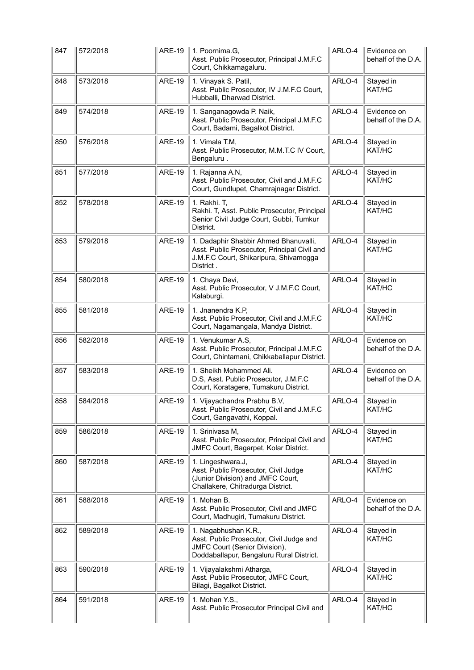| 847 | 572/2018 |               | ARE-19    1. Poornima.G,<br>Asst. Public Prosecutor, Principal J.M.F.C<br>Court, Chikkamagaluru.                                                     | ARLO-4 | Evidence on<br>behalf of the D.A. |
|-----|----------|---------------|------------------------------------------------------------------------------------------------------------------------------------------------------|--------|-----------------------------------|
| 848 | 573/2018 | <b>ARE-19</b> | 1. Vinayak S. Patil,<br>Asst. Public Prosecutor, IV J.M.F.C Court,<br>Hubballi, Dharwad District.                                                    | ARLO-4 | Stayed in<br>KAT/HC               |
| 849 | 574/2018 | <b>ARE-19</b> | 1. Sanganagowda P. Naik,<br>Asst. Public Prosecutor, Principal J.M.F.C<br>Court, Badami, Bagalkot District.                                          | ARLO-4 | Evidence on<br>behalf of the D.A. |
| 850 | 576/2018 | <b>ARE-19</b> | 1. Vimala T.M,<br>Asst. Public Prosecutor, M.M.T.C IV Court,<br>Bengaluru.                                                                           | ARLO-4 | Stayed in<br>KAT/HC               |
| 851 | 577/2018 | <b>ARE-19</b> | 1. Rajanna A.N,<br>Asst. Public Prosecutor, Civil and J.M.F.C<br>Court, Gundlupet, Chamrajnagar District.                                            | ARLO-4 | Stayed in<br>KAT/HC               |
| 852 | 578/2018 | <b>ARE-19</b> | 1. Rakhi. T,<br>Rakhi. T, Asst. Public Prosecutor, Principal<br>Senior Civil Judge Court, Gubbi, Tumkur<br>District.                                 | ARLO-4 | Stayed in<br>KAT/HC               |
| 853 | 579/2018 | <b>ARE-19</b> | 1. Dadaphir Shabbir Ahmed Bhanuvalli,<br>Asst. Public Prosecutor, Principal Civil and<br>J.M.F.C Court, Shikaripura, Shivamogga<br>District.         | ARLO-4 | Stayed in<br>KAT/HC               |
| 854 | 580/2018 | <b>ARE-19</b> | 1. Chaya Devi,<br>Asst. Public Prosecutor, V J.M.F.C Court,<br>Kalaburgi.                                                                            | ARLO-4 | Stayed in<br>KAT/HC               |
| 855 | 581/2018 | <b>ARE-19</b> | 1. Jnanendra K.P,<br>Asst. Public Prosecutor, Civil and J.M.F.C<br>Court, Nagamangala, Mandya District.                                              | ARLO-4 | Stayed in<br>KAT/HC               |
|     |          |               |                                                                                                                                                      |        |                                   |
| 856 | 582/2018 | <b>ARE-19</b> | 1. Venukumar A.S,<br>Asst. Public Prosecutor, Principal J.M.F.C<br>Court, Chintamani, Chikkaballapur District.                                       | ARLO-4 | Evidence on<br>behalf of the D.A. |
| 857 | 583/2018 | <b>ARE-19</b> | 1. Sheikh Mohammed Ali.<br>D.S, Asst. Public Prosecutor, J.M.F.C<br>Court, Koratagere, Tumakuru District.                                            | ARLO-4 | Evidence on<br>behalf of the D.A. |
| 858 | 584/2018 | <b>ARE-19</b> | 1. Vijayachandra Prabhu B.V,<br>Asst. Public Prosecutor, Civil and J.M.F.C<br>Court, Gangavathi, Koppal.                                             | ARLO-4 | Stayed in<br>KAT/HC               |
| 859 | 586/2018 | <b>ARE-19</b> | 1. Srinivasa M,<br>Asst. Public Prosecutor, Principal Civil and<br>JMFC Court, Bagarpet, Kolar District.                                             | ARLO-4 | Stayed in<br>KAT/HC               |
| 860 | 587/2018 | <b>ARE-19</b> | 1. Lingeshwara.J,<br>Asst. Public Prosecutor, Civil Judge<br>(Junior Division) and JMFC Court,<br>Challakere, Chitradurga District.                  | ARLO-4 | Stayed in<br>KAT/HC               |
| 861 | 588/2018 | <b>ARE-19</b> | 1. Mohan B.<br>Asst. Public Prosecutor, Civil and JMFC<br>Court, Madhugiri, Tumakuru District.                                                       | ARLO-4 | Evidence on<br>behalf of the D.A. |
| 862 | 589/2018 | <b>ARE-19</b> | 1. Nagabhushan K.R.,<br>Asst. Public Prosecutor, Civil Judge and<br><b>JMFC Court (Senior Division),</b><br>Doddaballapur, Bengaluru Rural District. | ARLO-4 | Stayed in<br>KAT/HC               |
| 863 | 590/2018 | <b>ARE-19</b> | 1. Vijayalakshmi Atharga,<br>Asst. Public Prosecutor, JMFC Court,<br>Bilagi, Bagalkot District.                                                      | ARLO-4 | Stayed in<br>KAT/HC               |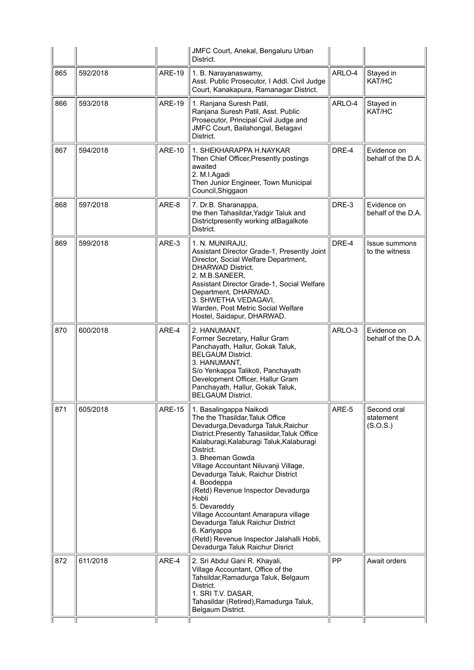|     |          |               | JMFC Court, Anekal, Bengaluru Urban<br>District.                                                                                                                                                                                                                                                                                                                                                                                                                                                                                                                      |        |                                      |
|-----|----------|---------------|-----------------------------------------------------------------------------------------------------------------------------------------------------------------------------------------------------------------------------------------------------------------------------------------------------------------------------------------------------------------------------------------------------------------------------------------------------------------------------------------------------------------------------------------------------------------------|--------|--------------------------------------|
| 865 | 592/2018 | <b>ARE-19</b> | 1. B. Narayanaswamy,<br>Asst. Public Prosecutor, I Addl. Civil Judge<br>Court, Kanakapura, Ramanagar District.                                                                                                                                                                                                                                                                                                                                                                                                                                                        | ARLO-4 | Stayed in<br>KAT/HC                  |
| 866 | 593/2018 | <b>ARE-19</b> | 1. Ranjana Suresh Patil,<br>Ranjana Suresh Patil, Asst. Public<br>Prosecutor, Principal Civil Judge and<br>JMFC Court, Bailahongal, Belagavi<br>District.                                                                                                                                                                                                                                                                                                                                                                                                             | ARLO-4 | Stayed in<br>KAT/HC                  |
| 867 | 594/2018 | <b>ARE-10</b> | 1. SHEKHARAPPA H.NAYKAR<br>Then Chief Officer, Presently postings<br>awaited<br>2. M.I.Agadi<br>Then Junior Engineer, Town Municipal<br>Council, Shiggaon                                                                                                                                                                                                                                                                                                                                                                                                             | DRE-4  | Evidence on<br>behalf of the D.A.    |
| 868 | 597/2018 | ARE-8         | 7. Dr.B. Sharanappa,<br>the then Tahasildar, Yadgir Taluk and<br>Districtpresently working atBagalkote<br>District.                                                                                                                                                                                                                                                                                                                                                                                                                                                   | DRE-3  | Evidence on<br>behalf of the D.A.    |
| 869 | 599/2018 | ARE-3         | 1. N. MUNIRAJU,<br>Assistant Director Grade-1, Presently Joint<br>Director, Social Welfare Department,<br><b>DHARWAD District.</b><br>2. M.B.SANEER,<br>Assistant Director Grade-1, Social Welfare<br>Department, DHARWAD.<br>3. SHWETHA VEDAGAVI,<br>Warden, Post Metric Social Welfare<br>Hostel, Saidapur, DHARWAD.                                                                                                                                                                                                                                                | DRE-4  | Issue summons<br>to the witness      |
| 870 | 600/2018 | ARE-4         | 2. HANUMANT,<br>Former Secretary, Hallur Gram<br>Panchayath, Hallur, Gokak Taluk,<br><b>BELGAUM District.</b><br>3. HANUMANT,<br>S/o Yenkappa Talikoti, Panchayath<br>Development Officer, Hallur Gram<br>Panchayath, Hallur, Gokak Taluk,<br><b>BELGAUM District.</b>                                                                                                                                                                                                                                                                                                | ARLO-3 | Evidence on<br>behalf of the D.A.    |
| 871 | 605/2018 | <b>ARE-15</b> | 1. Basalingappa Naikodi<br>The the Thasildar, Taluk Office<br>Devadurga, Devadurga Taluk, Raichur<br>District.Presently Tahasildar, Taluk Office<br>Kalaburagi, Kalaburagi Taluk, Kalaburagi<br>District.<br>3. Bheeman Gowda<br>Village Accountant Niluvanji Village,<br>Devadurga Taluk, Raichur District<br>4. Boodeppa<br>(Retd) Revenue Inspector Devadurga<br>Hobli<br>5. Devareddy<br>Village Accountant Amarapura village<br>Devadurga Taluk Raichur District<br>6. Kariyappa<br>(Retd) Revenue Inspector Jalahalli Hobli,<br>Devadurga Taluk Raichur Disrict | ARE-5  | Second oral<br>statement<br>(S.O.S.) |
| 872 | 611/2018 | ARE-4         | 2. Sri Abdul Gani R. Khayali,<br>Village Accountant, Office of the<br>Tahsildar, Ramadurga Taluk, Belgaum<br>District.<br>1. SRI T.V. DASAR,<br>Tahasildar (Retired), Ramadurga Taluk,<br>Belgaum District.                                                                                                                                                                                                                                                                                                                                                           | PP     | Await orders                         |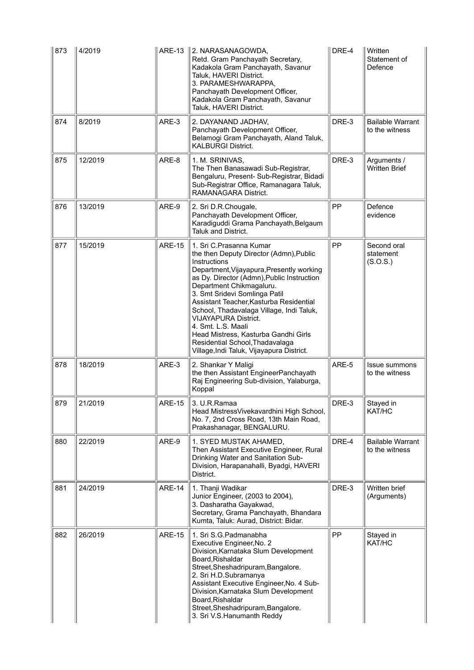| 873 | 4/2019  |               | ARE-13 2. NARASANAGOWDA,<br>Retd. Gram Panchayath Secretary,<br>Kadakola Gram Panchayath, Savanur<br>Taluk, HAVERI District.<br>3. PARAMESHWARAPPA,<br>Panchayath Development Officer,<br>Kadakola Gram Panchayath, Savanur<br>Taluk, HAVERI District.                                                                                                                                                                                                                                                         | DRE-4 | Written<br>Statement of<br>Defence        |
|-----|---------|---------------|----------------------------------------------------------------------------------------------------------------------------------------------------------------------------------------------------------------------------------------------------------------------------------------------------------------------------------------------------------------------------------------------------------------------------------------------------------------------------------------------------------------|-------|-------------------------------------------|
| 874 | 8/2019  | ARE-3         | 2. DAYANAND JADHAV,<br>Panchayath Development Officer,<br>Belamogi Gram Panchayath, Aland Taluk,<br><b>KALBURGI District.</b>                                                                                                                                                                                                                                                                                                                                                                                  | DRE-3 | <b>Bailable Warrant</b><br>to the witness |
| 875 | 12/2019 | ARE-8         | 1. M. SRINIVAS,<br>The Then Banasawadi Sub-Registrar,<br>Bengaluru, Present- Sub-Registrar, Bidadi<br>Sub-Registrar Office, Ramanagara Taluk,<br>RAMANAGARA District.                                                                                                                                                                                                                                                                                                                                          | DRE-3 | Arguments /<br><b>Written Brief</b>       |
| 876 | 13/2019 | ARE-9         | 2. Sri D.R.Chougale,<br>Panchayath Development Officer,<br>Karadiguddi Grama Panchayath, Belgaum<br>Taluk and District.                                                                                                                                                                                                                                                                                                                                                                                        | PP    | Defence<br>evidence                       |
| 877 | 15/2019 | <b>ARE-15</b> | 1. Sri C.Prasanna Kumar<br>the then Deputy Director (Admn), Public<br>Instructions<br>Department, Vijayapura, Presently working<br>as Dy. Director (Admn), Public Instruction<br>Department Chikmagaluru.<br>3. Smt Sridevi Somlinga Patil<br>Assistant Teacher, Kasturba Residential<br>School, Thadavalaga Village, Indi Taluk,<br><b>VIJAYAPURA District.</b><br>4. Smt. L.S. Maali<br>Head Mistress, Kasturba Gandhi Girls<br>Residential School, Thadavalaga<br>Village, Indi Taluk, Vijayapura District. | PP    | Second oral<br>statement<br>(S.O.S.)      |
| 878 | 18/2019 | ARE-3         | 2. Shankar Y Maligi<br>the then Assistant EngineerPanchayath<br>Raj Engineering Sub-division, Yalaburga,<br>Koppal                                                                                                                                                                                                                                                                                                                                                                                             | ARE-5 | <b>Issue summons</b><br>to the witness    |
| 879 | 21/2019 | <b>ARE-15</b> | $\parallel$ 3. U.R.Ramaa<br>Head Mistress Vivekavardhini High School,<br>No. 7, 2nd Cross Road, 13th Main Road,<br>Prakashanagar, BENGALURU.                                                                                                                                                                                                                                                                                                                                                                   | DRE-3 | Stayed in<br>KAT/HC                       |
| 880 | 22/2019 | ARE-9         | 1. SYED MUSTAK AHAMED,<br>Then Assistant Executive Engineer, Rural<br>Drinking Water and Sanitation Sub-<br>Division, Harapanahalli, Byadgi, HAVERI<br>District.                                                                                                                                                                                                                                                                                                                                               | DRE-4 | <b>Bailable Warrant</b><br>to the witness |
| 881 | 24/2019 | <b>ARE-14</b> | 1. Thanji Wadikar<br>Junior Engineer, (2003 to 2004),<br>3. Dasharatha Gayakwad,<br>Secretary, Grama Panchayath, Bhandara<br>Kumta, Taluk: Aurad, District: Bidar.                                                                                                                                                                                                                                                                                                                                             | DRE-3 | Written brief<br>(Arguments)              |
| 882 | 26/2019 | <b>ARE-15</b> | 1. Sri S.G. Padmanabha<br>Executive Engineer, No. 2<br>Division, Karnataka Slum Development<br>Board, Rishaldar<br>Street, Sheshadripuram, Bangalore.<br>2. Sri H.D.Subramanya<br>Assistant Executive Engineer, No. 4 Sub-<br>Division, Karnataka Slum Development<br>Board, Rishaldar<br>Street, Sheshadripuram, Bangalore.<br>3. Sri V.S. Hanumanth Reddy                                                                                                                                                    | PP    | Stayed in<br>KAT/HC                       |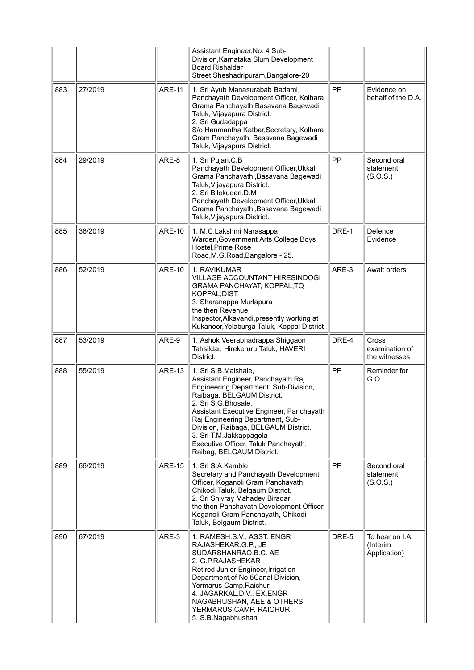|     |         |               | Assistant Engineer, No. 4 Sub-<br>Division, Karnataka Slum Development<br>Board, Rishaldar<br>Street, Sheshadripuram, Bangalore-20                                                                                                                                                                                                                                               |       |                                             |
|-----|---------|---------------|----------------------------------------------------------------------------------------------------------------------------------------------------------------------------------------------------------------------------------------------------------------------------------------------------------------------------------------------------------------------------------|-------|---------------------------------------------|
| 883 | 27/2019 | <b>ARE-11</b> | 1. Sri Ayub Manasurabab Badami,<br>Panchayath Development Officer, Kolhara<br>Grama Panchayath, Basavana Bagewadi<br>Taluk, Vijayapura District.<br>2. Sri Gudadappa<br>S/o Hanmantha Katbar, Secretary, Kolhara<br>Gram Panchayath, Basavana Bagewadi<br>Taluk, Vijayapura District.                                                                                            | PP    | Evidence on<br>behalf of the D.A.           |
| 884 | 29/2019 | ARE-8         | 1. Sri Pujari.C.B<br>Panchayath Development Officer, Ukkali<br>Grama Panchayathi, Basavana Bagewadi<br>Taluk, Vijayapura District.<br>2. Sri Bilekudari.D.M<br>Panchayath Development Officer, Ukkali<br>Grama Panchayathi, Basavana Bagewadi<br>Taluk, Vijayapura District.                                                                                                     | PP    | Second oral<br>statement<br>(S.O.S.)        |
| 885 | 36/2019 | <b>ARE-10</b> | 1. M.C.Lakshmi Narasappa<br>Warden, Government Arts College Boys<br>Hostel, Prime Rose<br>Road, M.G. Road, Bangalore - 25.                                                                                                                                                                                                                                                       | DRE-1 | Defence<br>Evidence                         |
| 886 | 52/2019 | <b>ARE-10</b> | 1. RAVIKUMAR<br>VILLAGE ACCOUNTANT HIRESINDOGI<br>GRAMA PANCHAYAT, KOPPAL;TQ<br>KOPPAL; DIST<br>3. Sharanappa Murlapura<br>the then Revenue<br>Inspector, Alkavandi, presently working at<br>Kukanoor, Yelaburga Taluk, Koppal District                                                                                                                                          | ARE-3 | Await orders                                |
| 887 | 53/2019 | ARE-9         | 1. Ashok Veerabhadrappa Shiggaon<br>Tahsildar, Hirekeruru Taluk, HAVERI<br>District.                                                                                                                                                                                                                                                                                             | DRE-4 | Cross<br>examination of<br>the witnesses    |
| 888 | 55/2019 | <b>ARE-13</b> | 1. Sri S.B.Maishale,<br>Assistant Engineer, Panchayath Raj<br>Engineering Department, Sub-Division,<br>Raibaga, BELGAUM District.<br>2. Sri S.G.Bhosale,<br>Assistant Executive Engineer, Panchayath<br>Raj Engineering Department, Sub-<br>Division, Raibaga, BELGAUM District.<br>3. Sri T.M.Jakkappagola<br>Executive Officer, Taluk Panchayath,<br>Raibag, BELGAUM District. | PP    | Reminder for<br>G.O                         |
| 889 | 66/2019 | <b>ARE-15</b> | 1. Sri S.A.Kamble<br>Secretary and Panchayath Development<br>Officer, Koganoli Gram Panchayath,<br>Chikodi Taluk, Belgaum District.<br>2. Sri Shivray Mahadev Biradar<br>the then Panchayath Development Officer,<br>Koganoli Gram Panchayath, Chikodi<br>Taluk, Belgaum District.                                                                                               | PP    | Second oral<br>statement<br>(S.O.S.)        |
| 890 | 67/2019 | ARE-3         | 1. RAMESH.S.V., ASST. ENGR<br>RAJASHEKAR.G.P., JE<br>SUDARSHANRAO.B.C. AE<br>2. G.P.RAJASHEKAR<br>Retired Junior Engineer, Irrigation<br>Department, of No 5Canal Division,<br>Yermarus Camp, Raichur.<br>4. JAGARKAL.D.V., EX.ENGR<br>NAGABHUSHAN, AEE & OTHERS<br>YERMARUS CAMP. RAICHUR<br>5. S.B.Nagabhushan                                                                 | DRE-5 | To hear on I.A.<br>(Interim<br>Application) |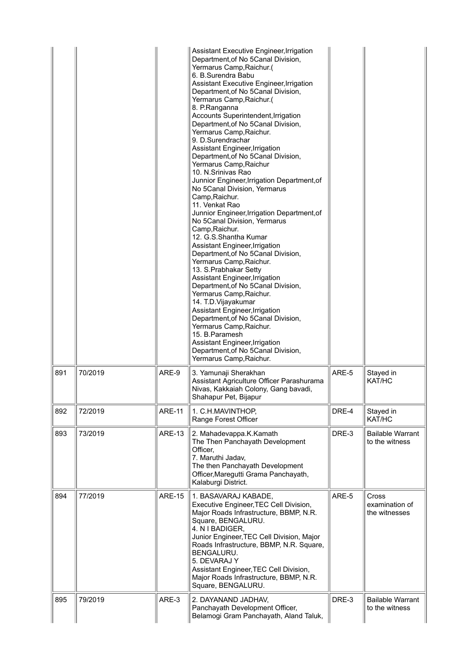|     |         |               | Assistant Executive Engineer, Irrigation<br>Department, of No 5Canal Division,<br>Yermarus Camp, Raichur.(<br>6. B.Surendra Babu<br>Assistant Executive Engineer, Irrigation<br>Department, of No 5Canal Division,<br>Yermarus Camp, Raichur.(<br>8. P.Ranganna<br>Accounts Superintendent, Irrigation<br>Department, of No 5Canal Division,<br>Yermarus Camp, Raichur.<br>9. D.Surendrachar<br>Assistant Engineer, Irrigation<br>Department, of No 5Canal Division,<br>Yermarus Camp, Raichur<br>10. N.Srinivas Rao<br>Junnior Engineer, Irrigation Department, of<br>No 5Canal Division, Yermarus<br>Camp, Raichur.<br>11. Venkat Rao<br>Junnior Engineer, Irrigation Department, of<br>No 5Canal Division, Yermarus<br>Camp, Raichur.<br>12. G.S.Shantha Kumar<br>Assistant Engineer, Irrigation<br>Department, of No 5Canal Division,<br>Yermarus Camp, Raichur.<br>13. S. Prabhakar Setty<br>Assistant Engineer, Irrigation<br>Department, of No 5Canal Division,<br>Yermarus Camp, Raichur.<br>14. T.D. Vijayakumar<br>Assistant Engineer, Irrigation<br>Department, of No 5Canal Division,<br>Yermarus Camp, Raichur.<br>15. B. Paramesh<br>Assistant Engineer, Irrigation<br>Department, of No 5Canal Division,<br>Yermarus Camp, Raichur. |       |                                           |
|-----|---------|---------------|----------------------------------------------------------------------------------------------------------------------------------------------------------------------------------------------------------------------------------------------------------------------------------------------------------------------------------------------------------------------------------------------------------------------------------------------------------------------------------------------------------------------------------------------------------------------------------------------------------------------------------------------------------------------------------------------------------------------------------------------------------------------------------------------------------------------------------------------------------------------------------------------------------------------------------------------------------------------------------------------------------------------------------------------------------------------------------------------------------------------------------------------------------------------------------------------------------------------------------------------------|-------|-------------------------------------------|
| 891 | 70/2019 | ARE-9         | 3. Yamunaji Sherakhan<br>Assistant Agriculture Officer Parashurama<br>Nivas, Kakkaiah Colony, Gang bavadi,<br>Shahapur Pet, Bijapur                                                                                                                                                                                                                                                                                                                                                                                                                                                                                                                                                                                                                                                                                                                                                                                                                                                                                                                                                                                                                                                                                                                | ARE-5 | Stayed in<br>KAT/HC                       |
| 892 | 72/2019 | <b>ARE-11</b> | 1. C.H.MAVINTHOP,<br>Range Forest Officer                                                                                                                                                                                                                                                                                                                                                                                                                                                                                                                                                                                                                                                                                                                                                                                                                                                                                                                                                                                                                                                                                                                                                                                                          | DRE-4 | Stayed in<br>KAT/HC                       |
| 893 | 73/2019 | <b>ARE-13</b> | 2. Mahadevappa.K.Kamath<br>The Then Panchayath Development<br>Officer,<br>7. Maruthi Jadav,<br>The then Panchayath Development<br>Officer, Maregutti Grama Panchayath,<br>Kalaburgi District.                                                                                                                                                                                                                                                                                                                                                                                                                                                                                                                                                                                                                                                                                                                                                                                                                                                                                                                                                                                                                                                      | DRE-3 | <b>Bailable Warrant</b><br>to the witness |
| 894 | 77/2019 | <b>ARE-15</b> | 1. BASAVARAJ KABADE,<br>Executive Engineer, TEC Cell Division,<br>Major Roads Infrastructure, BBMP, N.R.<br>Square, BENGALURU.<br>4. N I BADIGER,<br>Junior Engineer, TEC Cell Division, Major<br>Roads Infrastructure, BBMP, N.R. Square,<br>BENGALURU.<br>5. DEVARAJ Y<br>Assistant Engineer, TEC Cell Division,<br>Major Roads Infrastructure, BBMP, N.R.<br>Square, BENGALURU.                                                                                                                                                                                                                                                                                                                                                                                                                                                                                                                                                                                                                                                                                                                                                                                                                                                                 | ARE-5 | Cross<br>examination of<br>the witnesses  |
| 895 | 79/2019 | ARE-3         | 2. DAYANAND JADHAV,<br>Panchayath Development Officer,<br>Belamogi Gram Panchayath, Aland Taluk,                                                                                                                                                                                                                                                                                                                                                                                                                                                                                                                                                                                                                                                                                                                                                                                                                                                                                                                                                                                                                                                                                                                                                   | DRE-3 | <b>Bailable Warrant</b><br>to the witness |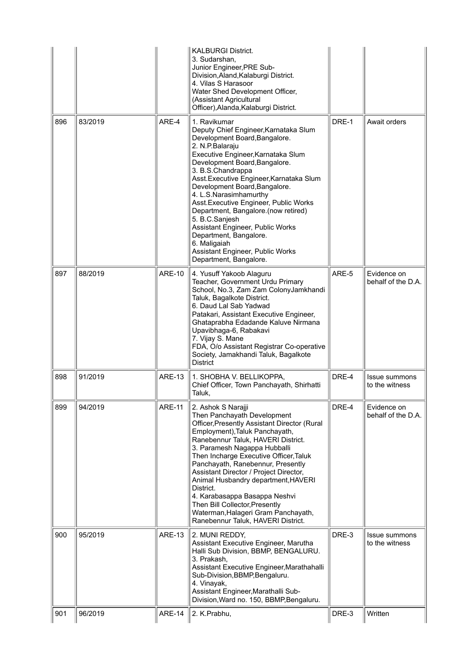|     |         |               | <b>KALBURGI District.</b><br>3. Sudarshan,<br>Junior Engineer, PRE Sub-<br>Division, Aland, Kalaburgi District.<br>4. Vilas S Harasoor<br>Water Shed Development Officer,<br>(Assistant Agricultural<br>Officer), Alanda, Kalaburgi District.                                                                                                                                                                                                                                                                                                                |       |                                        |
|-----|---------|---------------|--------------------------------------------------------------------------------------------------------------------------------------------------------------------------------------------------------------------------------------------------------------------------------------------------------------------------------------------------------------------------------------------------------------------------------------------------------------------------------------------------------------------------------------------------------------|-------|----------------------------------------|
| 896 | 83/2019 | ARE-4         | 1. Ravikumar<br>Deputy Chief Engineer, Karnataka Slum<br>Development Board, Bangalore.<br>2. N.P.Balaraju<br>Executive Engineer, Karnataka Slum<br>Development Board, Bangalore.<br>3. B.S.Chandrappa<br>Asst. Executive Engineer, Karnataka Slum<br>Development Board, Bangalore.<br>4. L.S. Narasimhamurthy<br>Asst. Executive Engineer, Public Works<br>Department, Bangalore.(now retired)<br>5. B.C.Sanjesh<br>Assistant Engineer, Public Works<br>Department, Bangalore.<br>6. Maligaiah<br>Assistant Engineer, Public Works<br>Department, Bangalore. | DRE-1 | Await orders                           |
| 897 | 88/2019 | <b>ARE-10</b> | 4. Yusuff Yakoob Alaguru<br>Teacher, Government Urdu Primary<br>School, No.3, Zam Zam ColonyJamkhandi<br>Taluk, Bagalkote District.<br>6. Daud Lal Sab Yadwad<br>Patakari, Assistant Executive Engineer,<br>Ghataprabha Edadande Kaluve Nirmana<br>Upavibhaga-6, Rabakavi<br>7. Vijay S. Mane<br>FDA, O/o Assistant Registrar Co-operative<br>Society, Jamakhandi Taluk, Bagalkote<br><b>District</b>                                                                                                                                                        | ARE-5 | Evidence on<br>behalf of the D.A.      |
| 898 | 91/2019 | <b>ARE-13</b> | 1. SHOBHA V. BELLIKOPPA,<br>Chief Officer, Town Panchayath, Shirhatti<br>Taluk,                                                                                                                                                                                                                                                                                                                                                                                                                                                                              | DRE-4 | <b>Issue summons</b><br>to the witness |
| 899 | 94/2019 | <b>ARE-11</b> | 2. Ashok S Narajji<br>Then Panchayath Development<br>Officer, Presently Assistant Director (Rural<br>Employment), Taluk Panchayath,<br>Ranebennur Taluk, HAVERI District.<br>3. Paramesh Nagappa Hubballi<br>Then Incharge Executive Officer, Taluk<br>Panchayath, Ranebennur, Presently<br>Assistant Director / Project Director,<br>Animal Husbandry department, HAVERI<br>District.<br>4. Karabasappa Basappa Neshvi<br>Then Bill Collector, Presently<br>Waterman, Halageri Gram Panchayath,<br>Ranebennur Taluk, HAVERI District.                       | DRE-4 | Evidence on<br>behalf of the D.A.      |
| 900 | 95/2019 | ARE-13        | 2. MUNI REDDY,<br>Assistant Executive Engineer, Marutha<br>Halli Sub Division, BBMP, BENGALURU.<br>3. Prakash,<br>Assistant Executive Engineer, Marathahalli<br>Sub-Division, BBMP, Bengaluru.<br>4. Vinayak,<br>Assistant Engineer, Marathalli Sub-<br>Division, Ward no. 150, BBMP, Bengaluru.                                                                                                                                                                                                                                                             | DRE-3 | Issue summons<br>to the witness        |
| 901 | 96/2019 | ARE-14        | 2. K.Prabhu,                                                                                                                                                                                                                                                                                                                                                                                                                                                                                                                                                 | DRE-3 | Written                                |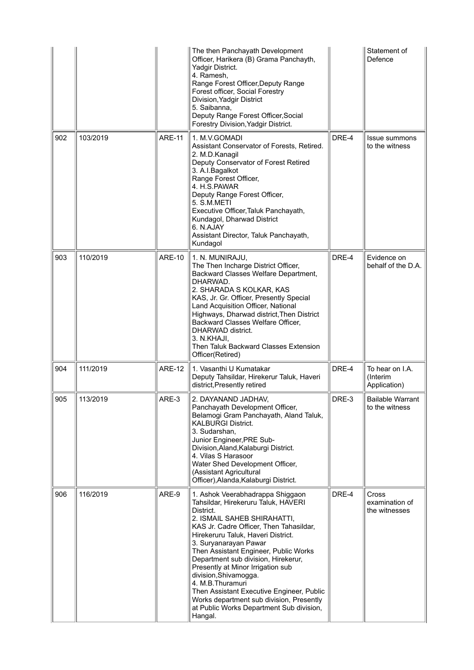|     |          |               | The then Panchayath Development<br>Officer, Harikera (B) Grama Panchayth,<br>Yadgir District.<br>4. Ramesh,<br>Range Forest Officer, Deputy Range<br>Forest officer, Social Forestry<br>Division, Yadgir District<br>5. Saibanna,<br>Deputy Range Forest Officer, Social<br>Forestry Division, Yadgir District.                                                                                                                                                                                                                                 |       | Statement of<br>Defence                     |
|-----|----------|---------------|-------------------------------------------------------------------------------------------------------------------------------------------------------------------------------------------------------------------------------------------------------------------------------------------------------------------------------------------------------------------------------------------------------------------------------------------------------------------------------------------------------------------------------------------------|-------|---------------------------------------------|
| 902 | 103/2019 | <b>ARE-11</b> | 1. M.V.GOMADI<br>Assistant Conservator of Forests, Retired.<br>2. M.D.Kanagil<br>Deputy Conservator of Forest Retired<br>3. A.I. Bagalkot<br>Range Forest Officer,<br>4. H.S.PAWAR<br>Deputy Range Forest Officer,<br>5. S.M.METI<br>Executive Officer, Taluk Panchayath,<br>Kundagol, Dharwad District<br>6. N.AJAY<br>Assistant Director, Taluk Panchayath,<br>Kundagol                                                                                                                                                                       | DRE-4 | Issue summons<br>to the witness             |
| 903 | 110/2019 | <b>ARE-10</b> | 1. N. MUNIRAJU,<br>The Then Incharge District Officer,<br>Backward Classes Welfare Department,<br>DHARWAD.<br>2. SHARADA S KOLKAR, KAS<br>KAS, Jr. Gr. Officer, Presently Special<br>Land Acquisition Officer, National<br>Highways, Dharwad district, Then District<br>Backward Classes Welfare Officer,<br>DHARWAD district.<br>3. N.KHAJI,<br>Then Taluk Backward Classes Extension<br>Officer(Retired)                                                                                                                                      | DRE-4 | Evidence on<br>behalf of the D.A.           |
| 904 | 111/2019 | <b>ARE-12</b> | 1. Vasanthi U Kumatakar<br>Deputy Tahsildar, Hirekerur Taluk, Haveri<br>district, Presently retired                                                                                                                                                                                                                                                                                                                                                                                                                                             | DRE-4 | To hear on I.A.<br>(Interim<br>Application) |
| 905 | 113/2019 | ARE-3         | 2. DAYANAND JADHAV,<br>Panchayath Development Officer,<br>Belamogi Gram Panchayath, Aland Taluk,<br><b>KALBURGI District.</b><br>3. Sudarshan,<br>Junior Engineer, PRE Sub-<br>Division, Aland, Kalaburgi District.<br>4. Vilas S Harasoor<br>Water Shed Development Officer,<br>(Assistant Agricultural<br>Officer), Alanda, Kalaburgi District.                                                                                                                                                                                               | DRE-3 | <b>Bailable Warrant</b><br>to the witness   |
| 906 | 116/2019 | ARE-9         | 1. Ashok Veerabhadrappa Shiggaon<br>Tahsildar, Hirekeruru Taluk, HAVERI<br>District.<br>2. ISMAIL SAHEB SHIRAHATTI,<br>KAS Jr. Cadre Officer, Then Tahasildar,<br>Hirekeruru Taluk, Haveri District.<br>3. Suryanarayan Pawar<br>Then Assistant Engineer, Public Works<br>Department sub division, Hirekerur,<br>Presently at Minor Irrigation sub<br>division, Shivamogga.<br>4. M.B.Thuramuri<br>Then Assistant Executive Engineer, Public<br>Works department sub division, Presently<br>at Public Works Department Sub division,<br>Hangal. | DRE-4 | Cross<br>examination of<br>the witnesses    |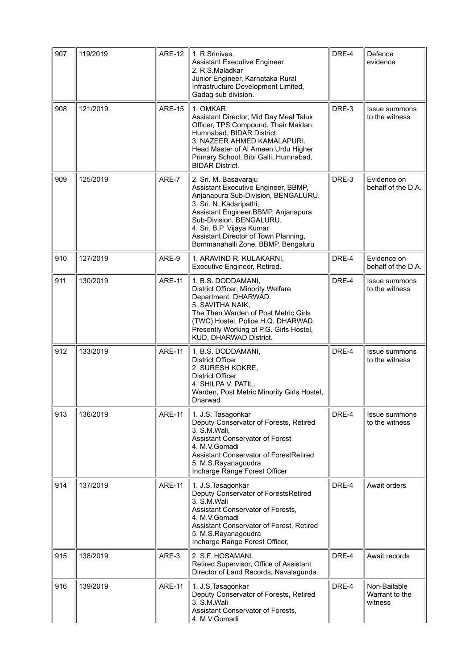| 907 | 119/2019 | <b>ARE-12</b> | 1. R.Srinivas,<br><b>Assistant Executive Engineer</b><br>2. R.S.Maladkar<br>Junior Engineer, Karnataka Rural<br>Infrastructure Development Limited,<br>Gadag sub division.                                                                                                                                    | DRE-4 | Defence<br>evidence                       |
|-----|----------|---------------|---------------------------------------------------------------------------------------------------------------------------------------------------------------------------------------------------------------------------------------------------------------------------------------------------------------|-------|-------------------------------------------|
| 908 | 121/2019 | <b>ARE-15</b> | 1. OMKAR,<br>Assistant Director, Mid Day Meal Taluk<br>Officer, TPS Compound, Thair Maidan,<br>Humnabad, BIDAR District.<br>3. NAZEER AHMED KAMALAPURI,<br>Head Master of Al Ameen Urdu Higher<br>Primary School, Bibi Galli, Humnabad,<br><b>BIDAR District.</b>                                             | DRE-3 | Issue summons<br>to the witness           |
| 909 | 125/2019 | ARE-7         | 2. Sri. M. Basavaraju<br>Assistant Executive Engineer, BBMP,<br>Anjanapura Sub-Division, BENGALURU.<br>3. Sri. N. Kadaripathi,<br>Assistant Engineer, BBMP, Anjanapura<br>Sub-Division, BENGALURU.<br>4. Sri. B.P. Vijaya Kumar<br>Assistant Director of Town Planning,<br>Bommanahalli Zone, BBMP, Bengaluru | DRE-3 | Evidence on<br>behalf of the D.A.         |
| 910 | 127/2019 | ARE-9         | 1. ARAVIND R. KULAKARNI,<br>Executive Engineer, Retired.                                                                                                                                                                                                                                                      | DRE-4 | Evidence on<br>behalf of the D.A.         |
| 911 | 130/2019 | <b>ARE-11</b> | 1. B.S. DODDAMANI,<br>District Officer, Minority Welfare<br>Department, DHARWAD.<br>5. SAVITHA NAIK,<br>The Then Warden of Post Metric Girls<br>(TWC) Hostel, Police H.Q, DHARWAD.<br>Presently Working at P.G. Girls Hostel,<br>KUD, DHARWAD District.                                                       | DRE-4 | Issue summons<br>to the witness           |
| 912 | 133/2019 | <b>ARE-11</b> | 1. B.S. DODDAMANI,<br><b>District Officer</b><br>2. SURESH KOKRE,<br><b>District Officer</b><br>4. SHILPA V. PATIL,<br>Warden, Post Metric Minority Girls Hostel,<br>Dharwad                                                                                                                                  | DRE-4 | <b>Issue summons</b><br>to the witness    |
| 913 | 136/2019 | <b>ARE-11</b> | 1. J.S. Tasagonkar<br>Deputy Conservator of Forests, Retired<br>3. S.M. Wali,<br>Assistant Conservator of Forest<br>4. M.V.Gomadi<br>Assistant Conservator of ForestRetired<br>5. M.S.Rayanagoudra<br>Incharge Range Forest Officer                                                                           | DRE-4 | Issue summons<br>to the witness           |
| 914 | 137/2019 | <b>ARE-11</b> | 1. J.S. Tasagonkar<br>Deputy Conservator of ForestsRetired<br>3. S.M.Wali<br>Assistant Conservator of Forests,<br>4. M.V.Gomadi<br>Assistant Conservator of Forest, Retired<br>5. M.S.Rayanagoudra<br>Incharge Range Forest Officer,                                                                          | DRE-4 | Await orders                              |
| 915 | 138/2019 | ARE-3         | 2. S.F. HOSAMANI,<br>Retired Supervisor, Office of Assistant<br>Director of Land Records, Navalagunda                                                                                                                                                                                                         | DRE-4 | Await records                             |
| 916 | 139/2019 | <b>ARE-11</b> | 1. J.S. Tasagonkar<br>Deputy Conservator of Forests, Retired<br>3. S.M.Wali<br>Assistant Conservator of Forests,<br>4. M.V.Gomadi                                                                                                                                                                             | DRE-4 | Non-Bailable<br>Warrant to the<br>witness |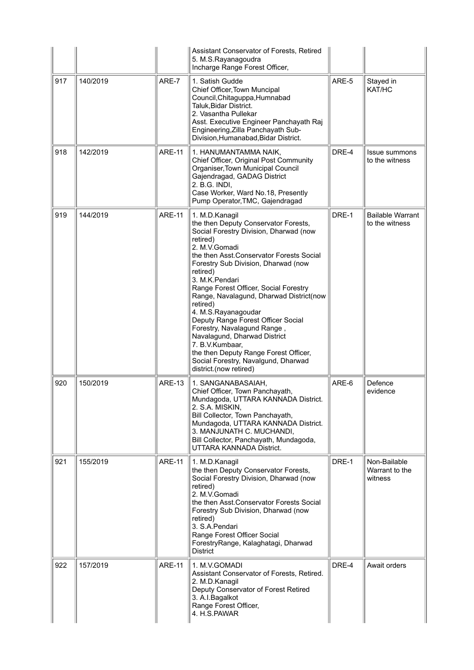|     |          |               | Assistant Conservator of Forests, Retired<br>5. M.S.Rayanagoudra<br>Incharge Range Forest Officer,                                                                                                                                                                                                                                                                                                                                                                                                                                                                                                       |       |                                           |
|-----|----------|---------------|----------------------------------------------------------------------------------------------------------------------------------------------------------------------------------------------------------------------------------------------------------------------------------------------------------------------------------------------------------------------------------------------------------------------------------------------------------------------------------------------------------------------------------------------------------------------------------------------------------|-------|-------------------------------------------|
| 917 | 140/2019 | ARE-7         | 1. Satish Gudde<br>Chief Officer, Town Muncipal<br>Council, Chitaguppa, Humnabad<br>Taluk, Bidar District.<br>2. Vasantha Pullekar<br>Asst. Executive Engineer Panchayath Raj<br>Engineering, Zilla Panchayath Sub-<br>Division, Humanabad, Bidar District.                                                                                                                                                                                                                                                                                                                                              | ARE-5 | Stayed in<br>KAT/HC                       |
| 918 | 142/2019 | <b>ARE-11</b> | 1. HANUMANTAMMA NAIK,<br>Chief Officer, Original Post Community<br>Organiser, Town Municipal Council<br>Gajendragad, GADAG District<br>2. B.G. INDI,<br>Case Worker, Ward No.18, Presently<br>Pump Operator, TMC, Gajendragad                                                                                                                                                                                                                                                                                                                                                                            | DRE-4 | Issue summons<br>to the witness           |
| 919 | 144/2019 | <b>ARE-11</b> | 1. M.D.Kanagil<br>the then Deputy Conservator Forests,<br>Social Forestry Division, Dharwad (now<br>retired)<br>2. M.V.Gomadi<br>the then Asst. Conservator Forests Social<br>Forestry Sub Division, Dharwad (now<br>retired)<br>3. M.K.Pendari<br>Range Forest Officer, Social Forestry<br>Range, Navalagund, Dharwad District(now<br>retired)<br>4. M.S.Rayanagoudar<br>Deputy Range Forest Officer Social<br>Forestry, Navalagund Range,<br>Navalagund, Dharwad District<br>7. B.V.Kumbaar,<br>the then Deputy Range Forest Officer,<br>Social Forestry, Navalgund, Dharwad<br>district.(now retired) | DRE-1 | <b>Bailable Warrant</b><br>to the witness |
| 920 | 150/2019 | <b>ARE-13</b> | 1. SANGANABASAIAH,<br>Chief Officer, Town Panchayath,<br>Mundagoda, UTTARA KANNADA District.<br>2. S.A. MISKIN,<br>Bill Collector, Town Panchayath,<br>Mundagoda, UTTARA KANNADA District.<br>3. MANJUNATH C. MUCHANDI,<br>Bill Collector, Panchayath, Mundagoda,<br><b>UTTARA KANNADA District.</b>                                                                                                                                                                                                                                                                                                     | ARE-6 | Defence<br>evidence                       |
| 921 | 155/2019 | <b>ARE-11</b> | 1. M.D.Kanagil<br>the then Deputy Conservator Forests,<br>Social Forestry Division, Dharwad (now<br>retired)<br>2. M.V.Gomadi<br>the then Asst Conservator Forests Social<br>Forestry Sub Division, Dharwad (now<br>retired)<br>3. S.A. Pendari<br>Range Forest Officer Social<br>ForestryRange, Kalaghatagi, Dharwad<br><b>District</b>                                                                                                                                                                                                                                                                 | DRE-1 | Non-Bailable<br>Warrant to the<br>witness |
| 922 | 157/2019 | <b>ARE-11</b> | 1. M.V.GOMADI<br>Assistant Conservator of Forests, Retired.<br>2. M.D.Kanagil<br>Deputy Conservator of Forest Retired<br>3. A.I.Bagalkot<br>Range Forest Officer,<br>4. H.S.PAWAR                                                                                                                                                                                                                                                                                                                                                                                                                        | DRE-4 | Await orders                              |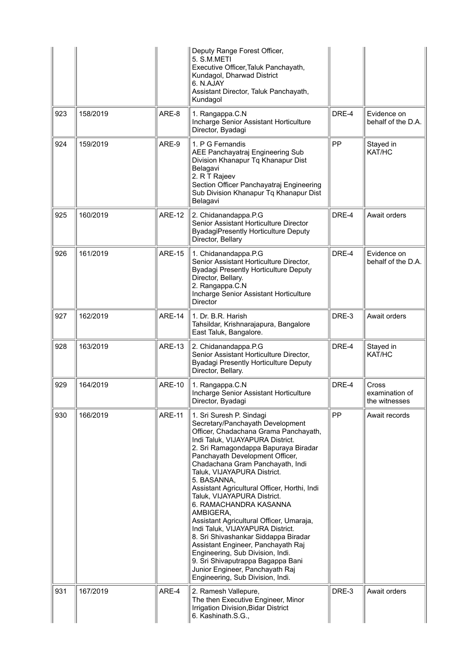|     |          |               | Deputy Range Forest Officer,<br>5. S.M.METI<br>Executive Officer, Taluk Panchayath,<br>Kundagol, Dharwad District<br>6. N.AJAY<br>Assistant Director, Taluk Panchayath,<br>Kundagol                                                                                                                                                                                                                                                                                                                                                                                                                                                                                                                                                        |       |                                                 |
|-----|----------|---------------|--------------------------------------------------------------------------------------------------------------------------------------------------------------------------------------------------------------------------------------------------------------------------------------------------------------------------------------------------------------------------------------------------------------------------------------------------------------------------------------------------------------------------------------------------------------------------------------------------------------------------------------------------------------------------------------------------------------------------------------------|-------|-------------------------------------------------|
| 923 | 158/2019 | ARE-8         | 1. Rangappa.C.N<br>Incharge Senior Assistant Horticulture<br>Director, Byadagi                                                                                                                                                                                                                                                                                                                                                                                                                                                                                                                                                                                                                                                             | DRE-4 | Evidence on<br>behalf of the D.A.               |
| 924 | 159/2019 | ARE-9         | 1. P G Fernandis<br>AEE Panchayatraj Engineering Sub<br>Division Khanapur Tq Khanapur Dist<br>Belagavi<br>2. R T Rajeev<br>Section Officer Panchayatraj Engineering<br>Sub Division Khanapur Tq Khanapur Dist<br>Belagavi                                                                                                                                                                                                                                                                                                                                                                                                                                                                                                                  | PP    | Stayed in<br>KAT/HC                             |
| 925 | 160/2019 | <b>ARE-12</b> | 2. Chidanandappa.P.G<br>Senior Assistant Horticulture Director<br><b>ByadagiPresently Horticulture Deputy</b><br>Director, Bellary                                                                                                                                                                                                                                                                                                                                                                                                                                                                                                                                                                                                         | DRE-4 | Await orders                                    |
| 926 | 161/2019 | <b>ARE-15</b> | 1. Chidanandappa.P.G<br>Senior Assistant Horticulture Director,<br><b>Byadagi Presently Horticulture Deputy</b><br>Director, Bellary.<br>2. Rangappa.C.N<br>Incharge Senior Assistant Horticulture<br><b>Director</b>                                                                                                                                                                                                                                                                                                                                                                                                                                                                                                                      | DRE-4 | Evidence on<br>behalf of the D.A.               |
| 927 | 162/2019 | <b>ARE-14</b> | 1. Dr. B.R. Harish<br>Tahsildar, Krishnarajapura, Bangalore<br>East Taluk, Bangalore.                                                                                                                                                                                                                                                                                                                                                                                                                                                                                                                                                                                                                                                      | DRE-3 | Await orders                                    |
| 928 | 163/2019 | <b>ARE-13</b> | 2. Chidanandappa.P.G<br>Senior Assistant Horticulture Director,<br><b>Byadagi Presently Horticulture Deputy</b><br>Director, Bellary.                                                                                                                                                                                                                                                                                                                                                                                                                                                                                                                                                                                                      | DRE-4 | Stayed in<br>KAT/HC                             |
| 929 | 164/2019 | <b>ARE-10</b> | 1. Rangappa.C.N<br>Incharge Senior Assistant Horticulture<br>Director, Byadagi                                                                                                                                                                                                                                                                                                                                                                                                                                                                                                                                                                                                                                                             | DRE-4 | <b>Cross</b><br>examination of<br>the witnesses |
| 930 | 166/2019 | <b>ARE-11</b> | 1. Sri Suresh P. Sindagi<br>Secretary/Panchayath Development<br>Officer, Chadachana Grama Panchayath,<br>Indi Taluk, VIJAYAPURA District.<br>2. Sri Ramagondappa Bapuraya Biradar<br>Panchayath Development Officer,<br>Chadachana Gram Panchayath, Indi<br>Taluk, VIJAYAPURA District.<br>5. BASANNA,<br>Assistant Agricultural Officer, Horthi, Indi<br>Taluk, VIJAYAPURA District.<br>6. RAMACHANDRA KASANNA<br>AMBIGERA,<br>Assistant Agricultural Officer, Umaraja,<br>Indi Taluk, VIJAYAPURA District.<br>8. Sri Shivashankar Siddappa Biradar<br>Assistant Engineer, Panchayath Raj<br>Engineering, Sub Division, Indi.<br>9. Sri Shivaputrappa Bagappa Bani<br>Junior Engineer, Panchayath Raj<br>Engineering, Sub Division, Indi. | PP    | Await records                                   |
| 931 | 167/2019 | ARE-4         | 2. Ramesh Vallepure,<br>The then Executive Engineer, Minor<br>Irrigation Division, Bidar District<br>6. Kashinath.S.G.,                                                                                                                                                                                                                                                                                                                                                                                                                                                                                                                                                                                                                    | DRE-3 | Await orders                                    |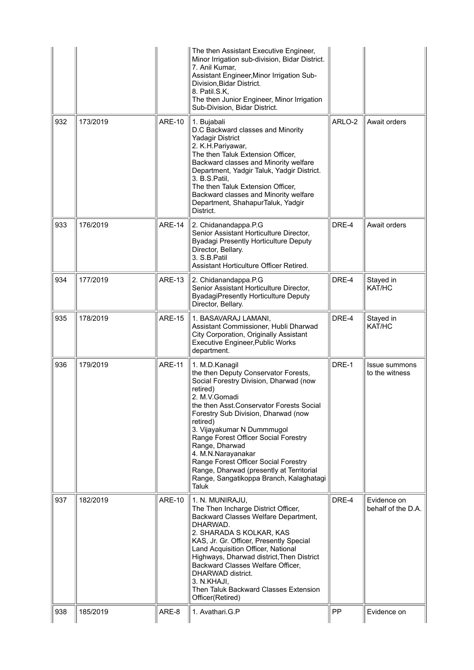|     |          |               | The then Assistant Executive Engineer,<br>Minor Irrigation sub-division, Bidar District.<br>7. Anil Kumar,<br>Assistant Engineer, Minor Irrigation Sub-<br>Division, Bidar District.<br>8. Patil.S.K,<br>The then Junior Engineer, Minor Irrigation<br>Sub-Division, Bidar District.                                                                                                                                                                                               |        |                                        |
|-----|----------|---------------|------------------------------------------------------------------------------------------------------------------------------------------------------------------------------------------------------------------------------------------------------------------------------------------------------------------------------------------------------------------------------------------------------------------------------------------------------------------------------------|--------|----------------------------------------|
| 932 | 173/2019 | <b>ARE-10</b> | 1. Bujabali<br>D.C Backward classes and Minority<br><b>Yadagir District</b><br>2. K.H.Pariyawar,<br>The then Taluk Extension Officer,<br>Backward classes and Minority welfare<br>Department, Yadgir Taluk, Yadgir District.<br>3. B.S.Patil,<br>The then Taluk Extension Officer,<br>Backward classes and Minority welfare<br>Department, ShahapurTaluk, Yadgir<br>District.                                                                                                      | ARLO-2 | Await orders                           |
| 933 | 176/2019 | <b>ARE-14</b> | 2. Chidanandappa.P.G<br>Senior Assistant Horticulture Director,<br><b>Byadagi Presently Horticulture Deputy</b><br>Director, Bellary.<br>3. S.B.Patil<br>Assistant Horticulture Officer Retired.                                                                                                                                                                                                                                                                                   | DRE-4  | Await orders                           |
| 934 | 177/2019 | <b>ARE-13</b> | 2. Chidanandappa.P.G<br>Senior Assistant Horticulture Director,<br><b>ByadagiPresently Horticulture Deputy</b><br>Director, Bellary.                                                                                                                                                                                                                                                                                                                                               | DRE-4  | Stayed in<br>KAT/HC                    |
| 935 | 178/2019 | <b>ARE-15</b> | 1. BASAVARAJ LAMANI,<br>Assistant Commissioner, Hubli Dharwad<br>City Corporation, Originally Assistant<br><b>Executive Engineer, Public Works</b><br>department.                                                                                                                                                                                                                                                                                                                  | DRE-4  | Stayed in<br>KAT/HC                    |
| 936 | 179/2019 | <b>ARE-11</b> | 1. M.D.Kanagil<br>the then Deputy Conservator Forests,<br>Social Forestry Division, Dharwad (now<br>retired)<br>2. M.V.Gomadi<br>the then Asst.Conservator Forests Social<br>Forestry Sub Division, Dharwad (now<br>retired)<br>3. Vijayakumar N Dummmugol<br>Range Forest Officer Social Forestry<br>Range, Dharwad<br>4. M.N.Narayanakar<br>Range Forest Officer Social Forestry<br>Range, Dharwad (presently at Territorial<br>Range, Sangatikoppa Branch, Kalaghatagi<br>Taluk | DRE-1  | <b>Issue summons</b><br>to the witness |
| 937 | 182/2019 | <b>ARE-10</b> | 1. N. MUNIRAJU,<br>The Then Incharge District Officer,<br>Backward Classes Welfare Department,<br>DHARWAD.<br>2. SHARADA S KOLKAR, KAS<br>KAS, Jr. Gr. Officer, Presently Special<br>Land Acquisition Officer, National<br>Highways, Dharwad district, Then District<br>Backward Classes Welfare Officer,<br>DHARWAD district.<br>3. N.KHAJI,<br>Then Taluk Backward Classes Extension<br>Officer(Retired)                                                                         | DRE-4  | Evidence on<br>behalf of the D.A.      |
| 938 | 185/2019 | ARE-8         | 1. Avathari.G.P                                                                                                                                                                                                                                                                                                                                                                                                                                                                    | PP     | Evidence on                            |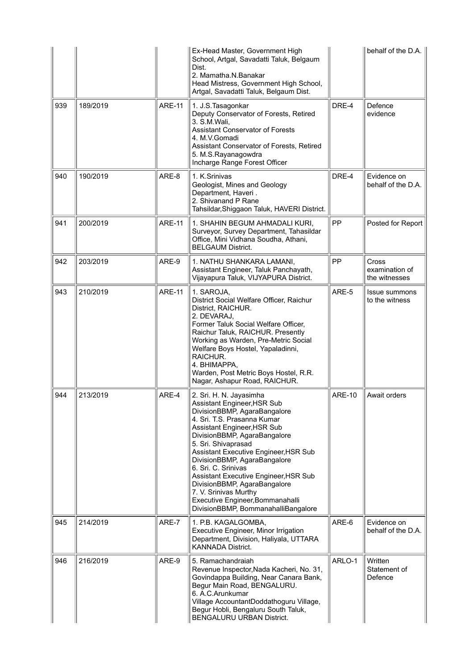|     |          |               | Ex-Head Master, Government High<br>School, Artgal, Savadatti Taluk, Belgaum<br>Dist.<br>2. Mamatha.N.Banakar<br>Head Mistress, Government High School,<br>Artgal, Savadatti Taluk, Belgaum Dist.                                                                                                                                                                                                                                                                                         |               | behalf of the D.A. $ $                   |
|-----|----------|---------------|------------------------------------------------------------------------------------------------------------------------------------------------------------------------------------------------------------------------------------------------------------------------------------------------------------------------------------------------------------------------------------------------------------------------------------------------------------------------------------------|---------------|------------------------------------------|
| 939 | 189/2019 | <b>ARE-11</b> | 1. J.S. Tasagonkar<br>Deputy Conservator of Forests, Retired<br>3. S.M.Wali,<br><b>Assistant Conservator of Forests</b><br>4. M.V.Gomadi<br>Assistant Conservator of Forests, Retired<br>5. M.S.Rayanagowdra<br>Incharge Range Forest Officer                                                                                                                                                                                                                                            | DRE-4         | Defence<br>evidence                      |
| 940 | 190/2019 | ARE-8         | 1. K.Srinivas<br>Geologist, Mines and Geology<br>Department, Haveri.<br>2. Shivanand P Rane<br>Tahsildar, Shiggaon Taluk, HAVERI District.                                                                                                                                                                                                                                                                                                                                               | DRE-4         | Evidence on<br>behalf of the D.A.        |
| 941 | 200/2019 | <b>ARE-11</b> | 1. SHAHIN BEGUM AHMADALI KURI,<br>Surveyor, Survey Department, Tahasildar<br>Office, Mini Vidhana Soudha, Athani,<br><b>BELGAUM District.</b>                                                                                                                                                                                                                                                                                                                                            | <b>PP</b>     | Posted for Report                        |
| 942 | 203/2019 | ARE-9         | 1. NATHU SHANKARA LAMANI,<br>Assistant Engineer, Taluk Panchayath,<br>Vijayapura Taluk, VIJYAPURA District.                                                                                                                                                                                                                                                                                                                                                                              | PP            | Cross<br>examination of<br>the witnesses |
| 943 | 210/2019 | <b>ARE-11</b> | 1. SAROJA,<br>District Social Welfare Officer, Raichur<br>District, RAICHUR.<br>2. DEVARAJ,<br>Former Taluk Social Welfare Officer,<br>Raichur Taluk, RAICHUR. Presently<br>Working as Warden, Pre-Metric Social<br>Welfare Boys Hostel, Yapaladinni,<br>RAICHUR.<br>4. BHIMAPPA.<br>Warden, Post Metric Boys Hostel, R.R.<br>Nagar, Ashapur Road, RAICHUR.                                                                                                                              | ARE-5         | <b>Issue summons</b><br>to the witness   |
| 944 | 213/2019 | ARE-4         | 2. Sri. H. N. Jayasimha<br>Assistant Engineer, HSR Sub<br>DivisionBBMP, AgaraBangalore<br>4. Sri. T.S. Prasanna Kumar<br>Assistant Engineer, HSR Sub<br>DivisionBBMP, AgaraBangalore<br>5. Sri. Shivaprasad<br>Assistant Executive Engineer, HSR Sub<br>DivisionBBMP, AgaraBangalore<br>6. Sri. C. Srinivas<br>Assistant Executive Engineer, HSR Sub<br>DivisionBBMP, AgaraBangalore<br>7. V. Srinivas Murthy<br>Executive Engineer, Bommanahalli<br>DivisionBBMP, BommanahalliBangalore | <b>ARE-10</b> | Await orders                             |
| 945 | 214/2019 | ARE-7         | 1. P.B. KAGALGOMBA,<br>Executive Engineer, Minor Irrigation<br>Department, Division, Haliyala, UTTARA<br><b>KANNADA District.</b>                                                                                                                                                                                                                                                                                                                                                        | ARE-6         | Evidence on<br>behalf of the D.A.        |
| 946 | 216/2019 | ARE-9         | 5. Ramachandraiah<br>Revenue Inspector, Nada Kacheri, No. 31,<br>Govindappa Building, Near Canara Bank,<br>Begur Main Road, BENGALURU.<br>6. A.C. Arunkumar<br>Village AccountantDoddathoguru Village,<br>Begur Hobli, Bengaluru South Taluk,<br><b>BENGALURU URBAN District.</b>                                                                                                                                                                                                        | ARLO-1        | Written<br>Statement of<br>Defence       |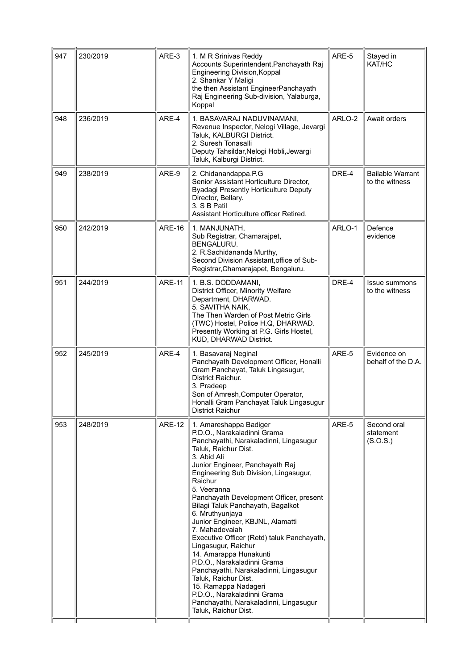| 230/2019 | ARE-3         | 1. M R Srinivas Reddy<br>Accounts Superintendent, Panchayath Raj<br>Engineering Division, Koppal<br>2. Shankar Y Maligi<br>the then Assistant EngineerPanchayath<br>Raj Engineering Sub-division, Yalaburga,<br>Koppal                                                                                                                                                                                                                                                                                                                                                                                                                                                                                                         | ARE-5  | Stayed in<br>KAT/HC                       |
|----------|---------------|--------------------------------------------------------------------------------------------------------------------------------------------------------------------------------------------------------------------------------------------------------------------------------------------------------------------------------------------------------------------------------------------------------------------------------------------------------------------------------------------------------------------------------------------------------------------------------------------------------------------------------------------------------------------------------------------------------------------------------|--------|-------------------------------------------|
| 236/2019 | ARE-4         | 1. BASAVARAJ NADUVINAMANI,<br>Revenue Inspector, Nelogi Village, Jevargi<br>Taluk, KALBURGI District.<br>2. Suresh Tonasalli<br>Deputy Tahsildar, Nelogi Hobli, Jewargi<br>Taluk, Kalburgi District.                                                                                                                                                                                                                                                                                                                                                                                                                                                                                                                           | ARLO-2 | Await orders                              |
| 238/2019 | ARE-9         | 2. Chidanandappa.P.G<br>Senior Assistant Horticulture Director,<br><b>Byadagi Presently Horticulture Deputy</b><br>Director, Bellary.<br>3. S B Patil<br>Assistant Horticulture officer Retired.                                                                                                                                                                                                                                                                                                                                                                                                                                                                                                                               | DRE-4  | <b>Bailable Warrant</b><br>to the witness |
| 242/2019 | <b>ARE-16</b> | 1. MANJUNATH,<br>Sub Registrar, Chamarajpet,<br><b>BENGALURU.</b><br>2. R.Sachidananda Murthy,<br>Second Division Assistant, office of Sub-<br>Registrar, Chamarajapet, Bengaluru.                                                                                                                                                                                                                                                                                                                                                                                                                                                                                                                                             | ARLO-1 | Defence<br>evidence                       |
| 244/2019 | <b>ARE-11</b> | 1. B.S. DODDAMANI,<br>District Officer, Minority Welfare<br>Department, DHARWAD.<br>5. SAVITHA NAIK,<br>The Then Warden of Post Metric Girls<br>(TWC) Hostel, Police H.Q, DHARWAD.<br>Presently Working at P.G. Girls Hostel,<br>KUD, DHARWAD District.                                                                                                                                                                                                                                                                                                                                                                                                                                                                        | DRE-4  | <b>Issue summons</b><br>to the witness    |
| 245/2019 | ARE-4         | 1. Basavaraj Neginal<br>Panchayath Development Officer, Honalli<br>Gram Panchayat, Taluk Lingasugur,<br>District Raichur.<br>3. Pradeep<br>Son of Amresh, Computer Operator,<br>Honalli Gram Panchayat Taluk Lingasugur<br>District Raichur                                                                                                                                                                                                                                                                                                                                                                                                                                                                                    | ARE-5  | Evidence on<br>behalf of the D.A.         |
| 248/2019 | <b>ARE-12</b> | 1. Amareshappa Badiger<br>P.D.O., Narakaladinni Grama<br>Panchayathi, Narakaladinni, Lingasugur<br>Taluk, Raichur Dist.<br>3. Abid Ali<br>Junior Engineer, Panchayath Raj<br>Engineering Sub Division, Lingasugur,<br>Raichur<br>5. Veeranna<br>Panchayath Development Officer, present<br>Bilagi Taluk Panchayath, Bagalkot<br>6. Mruthyunjaya<br>Junior Engineer, KBJNL, Alamatti<br>7. Mahadevaiah<br>Executive Officer (Retd) taluk Panchayath,<br>Lingasugur, Raichur<br>14. Amarappa Hunakunti<br>P.D.O., Narakaladinni Grama<br>Panchayathi, Narakaladinni, Lingasugur<br>Taluk, Raichur Dist.<br>15. Ramappa Nadageri<br>P.D.O., Narakaladinni Grama<br>Panchayathi, Narakaladinni, Lingasugur<br>Taluk, Raichur Dist. | ARE-5  | Second oral<br>statement<br>(S.O.S.)      |
|          |               |                                                                                                                                                                                                                                                                                                                                                                                                                                                                                                                                                                                                                                                                                                                                |        |                                           |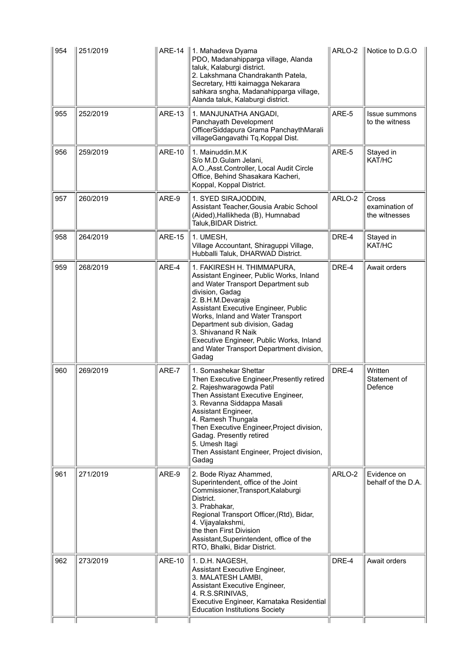| 954 | 251/2019 | <b>ARE-14</b> | 1. Mahadeva Dyama<br>PDO, Madanahipparga village, Alanda<br>taluk, Kalaburgi district.<br>2. Lakshmana Chandrakanth Patela,<br>Secretary, Htti kaimagga Nekarara<br>sahkara sngha, Madanahipparga village,<br>Alanda taluk, Kalaburgi district.                                                                                                                                             | ARLO-2 | $\parallel$ Notice to D.G.O                     |
|-----|----------|---------------|---------------------------------------------------------------------------------------------------------------------------------------------------------------------------------------------------------------------------------------------------------------------------------------------------------------------------------------------------------------------------------------------|--------|-------------------------------------------------|
| 955 | 252/2019 | <b>ARE-13</b> | 1. MANJUNATHA ANGADI,<br>Panchayath Development<br>OfficerSiddapura Grama PanchaythMarali<br>villageGangavathi Tq.Koppal Dist.                                                                                                                                                                                                                                                              | ARE-5  | Issue summons<br>to the witness                 |
| 956 | 259/2019 | <b>ARE-10</b> | 1. Mainuddin.M.K<br>S/o M.D.Gulam Jelani,<br>A.O., Asst. Controller, Local Audit Circle<br>Office, Behind Shasakara Kacheri,<br>Koppal, Koppal District.                                                                                                                                                                                                                                    | ARE-5  | Stayed in<br>KAT/HC                             |
| 957 | 260/2019 | ARE-9         | 1. SYED SIRAJODDIN,<br>Assistant Teacher, Gousia Arabic School<br>(Aided), Hallikheda (B), Humnabad<br>Taluk, BIDAR District.                                                                                                                                                                                                                                                               | ARLO-2 | <b>Cross</b><br>examination of<br>the witnesses |
| 958 | 264/2019 | <b>ARE-15</b> | 1. UMESH,<br>Village Accountant, Shiraguppi Village,<br>Hubballi Taluk, DHARWAD District.                                                                                                                                                                                                                                                                                                   | DRE-4  | Stayed in<br>KAT/HC                             |
| 959 | 268/2019 | ARE-4         | 1. FAKIRESH H. THIMMAPURA,<br>Assistant Engineer, Public Works, Inland<br>and Water Transport Department sub<br>division, Gadag<br>2. B.H.M.Devaraja<br>Assistant Executive Engineer, Public<br>Works, Inland and Water Transport<br>Department sub division, Gadag<br>3. Shivanand R Naik<br>Executive Engineer, Public Works, Inland<br>and Water Transport Department division,<br>Gadag | DRE-4  | Await orders                                    |
| 960 | 269/2019 | ARE-7         | 1. Somashekar Shettar<br>Then Executive Engineer, Presently retired<br>2. Rajeshwaragowda Patil<br>Then Assistant Executive Engineer,<br>3. Revanna Siddappa Masali<br>Assistant Engineer,<br>4. Ramesh Thungala<br>Then Executive Engineer, Project division,<br>Gadag. Presently retired<br>5. Umesh Itagi<br>Then Assistant Engineer, Project division,<br>Gadag                         | DRE-4  | Written<br>Statement of<br>Defence              |
| 961 | 271/2019 | ARE-9         | 2. Bode Riyaz Ahammed,<br>Superintendent, office of the Joint<br>Commissioner, Transport, Kalaburgi<br>District.<br>3. Prabhakar,<br>Regional Transport Officer, (Rtd), Bidar,<br>4. Vijayalakshmi,<br>the then First Division<br>Assistant, Superintendent, office of the<br>RTO, Bhalki, Bidar District.                                                                                  | ARLO-2 | Evidence on<br>behalf of the D.A.               |
| 962 | 273/2019 | <b>ARE-10</b> | 1. D.H. NAGESH,<br>Assistant Executive Engineer,<br>3. MALATESH LAMBI,<br>Assistant Executive Engineer,<br>4. R.S.SRINIVAS,<br>Executive Engineer, Karnataka Residential<br><b>Education Institutions Society</b>                                                                                                                                                                           | DRE-4  | Await orders                                    |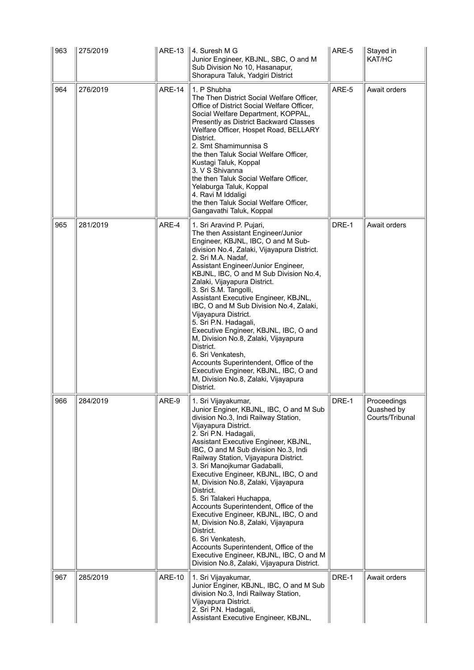| 963 | 275/2019 | <b>ARE-13</b> | │4. Suresh M G<br>Junior Engineer, KBJNL, SBC, O and M<br>Sub Division No 10, Hasanapur,<br>Shorapura Taluk, Yadgiri District                                                                                                                                                                                                                                                                                                                                                                                                                                                                                                                                                                                                                | ARE-5 | Stayed in<br>KAT/HC                          |
|-----|----------|---------------|----------------------------------------------------------------------------------------------------------------------------------------------------------------------------------------------------------------------------------------------------------------------------------------------------------------------------------------------------------------------------------------------------------------------------------------------------------------------------------------------------------------------------------------------------------------------------------------------------------------------------------------------------------------------------------------------------------------------------------------------|-------|----------------------------------------------|
| 964 | 276/2019 | <b>ARE-14</b> | 1. P Shubha<br>The Then District Social Welfare Officer,<br>Office of District Social Welfare Officer,<br>Social Welfare Department, KOPPAL,<br>Presently as District Backward Classes<br>Welfare Officer, Hospet Road, BELLARY<br>District.<br>2. Smt Shamimunnisa S<br>the then Taluk Social Welfare Officer,<br>Kustagi Taluk, Koppal<br>3. V S Shivanna<br>the then Taluk Social Welfare Officer,<br>Yelaburga Taluk, Koppal<br>4. Ravi M Iddaligi<br>the then Taluk Social Welfare Officer,<br>Gangavathi Taluk, Koppal                                                                                                                                                                                                                 | ARE-5 | Await orders                                 |
| 965 | 281/2019 | ARE-4         | 1. Sri Aravind P. Pujari,<br>The then Assistant Engineer/Junior<br>Engineer, KBJNL, IBC, O and M Sub-<br>division No.4, Zalaki, Vijayapura District.<br>2. Sri M.A. Nadaf,<br>Assistant Engineer/Junior Engineer,<br>KBJNL, IBC, O and M Sub Division No.4,<br>Zalaki, Vijayapura District.<br>3. Sri S.M. Tangolli,<br>Assistant Executive Engineer, KBJNL,<br>IBC, O and M Sub Division No.4, Zalaki,<br>Vijayapura District.<br>5. Sri P.N. Hadagali,<br>Executive Engineer, KBJNL, IBC, O and<br>M, Division No.8, Zalaki, Vijayapura<br>District.<br>6. Sri Venkatesh,<br>Accounts Superintendent, Office of the<br>Executive Engineer, KBJNL, IBC, O and<br>M, Division No.8, Zalaki, Vijayapura<br>District.                          | DRE-1 | Await orders                                 |
| 966 | 284/2019 | ARE-9         | 1. Sri Vijayakumar,<br>Junior Enginer, KBJNL, IBC, O and M Sub<br>division No.3, Indi Railway Station,<br>Vijayapura District.<br>2. Sri P.N. Hadagali,<br>Assistant Executive Engineer, KBJNL,<br>IBC, O and M Sub division No.3, Indi<br>Railway Station, Vijayapura District.<br>3. Sri Manojkumar Gadaballi,<br>Executive Engineer, KBJNL, IBC, O and<br>M, Division No.8, Zalaki, Vijayapura<br>District.<br>5. Sri Talakeri Huchappa,<br>Accounts Superintendent, Office of the<br>Executive Engineer, KBJNL, IBC, O and<br>M, Division No.8, Zalaki, Vijayapura<br>District.<br>6. Sri Venkatesh,<br>Accounts Superintendent, Office of the<br>Executive Engineer, KBJNL, IBC, O and M<br>Division No.8, Zalaki, Vijayapura District. | DRE-1 | Proceedings<br>Quashed by<br>Courts/Tribunal |
| 967 | 285/2019 | <b>ARE-10</b> | 1. Sri Vijayakumar,<br>Junior Enginer, KBJNL, IBC, O and M Sub<br>division No.3, Indi Railway Station,<br>Vijayapura District.<br>2. Sri P.N. Hadagali,<br>Assistant Executive Engineer, KBJNL,                                                                                                                                                                                                                                                                                                                                                                                                                                                                                                                                              | DRE-1 | Await orders                                 |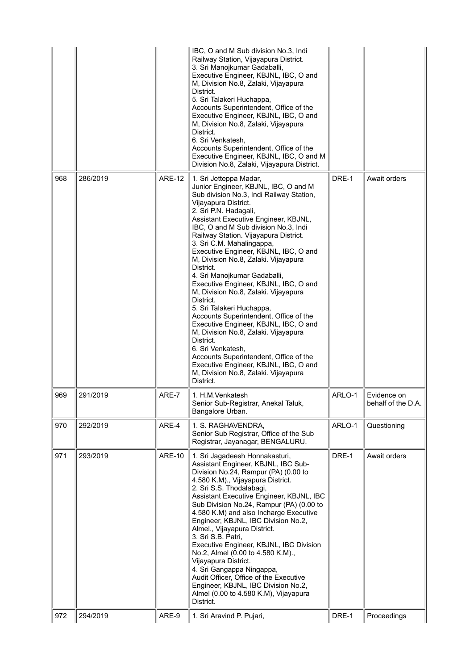|     |          |               | IBC, O and M Sub division No.3, Indi<br>Railway Station, Vijayapura District.<br>3. Sri Manojkumar Gadaballi,<br>Executive Engineer, KBJNL, IBC, O and<br>M, Division No.8, Zalaki, Vijayapura<br>District.<br>5. Sri Talakeri Huchappa,<br>Accounts Superintendent, Office of the<br>Executive Engineer, KBJNL, IBC, O and<br>M, Division No.8, Zalaki, Vijayapura<br>District.<br>6. Sri Venkatesh,<br>Accounts Superintendent, Office of the<br>Executive Engineer, KBJNL, IBC, O and M<br>Division No.8, Zalaki, Vijayapura District.                                                                                                                                                                                                                                                                                                                                       |        |                                   |
|-----|----------|---------------|---------------------------------------------------------------------------------------------------------------------------------------------------------------------------------------------------------------------------------------------------------------------------------------------------------------------------------------------------------------------------------------------------------------------------------------------------------------------------------------------------------------------------------------------------------------------------------------------------------------------------------------------------------------------------------------------------------------------------------------------------------------------------------------------------------------------------------------------------------------------------------|--------|-----------------------------------|
| 968 | 286/2019 | <b>ARE-12</b> | 1. Sri Jetteppa Madar,<br>Junior Engineer, KBJNL, IBC, O and M<br>Sub division No.3, Indi Railway Station,<br>Vijayapura District.<br>2. Sri P.N. Hadagali,<br>Assistant Executive Engineer, KBJNL,<br>IBC, O and M Sub division No.3, Indi<br>Railway Station. Vijayapura District.<br>3. Sri C.M. Mahalingappa,<br>Executive Engineer, KBJNL, IBC, O and<br>M, Division No.8, Zalaki. Vijayapura<br>District.<br>4. Sri Manojkumar Gadaballi,<br>Executive Engineer, KBJNL, IBC, O and<br>M, Division No.8, Zalaki. Vijayapura<br>District.<br>5. Sri Talakeri Huchappa,<br>Accounts Superintendent, Office of the<br>Executive Engineer, KBJNL, IBC, O and<br>M, Division No.8, Zalaki. Vijayapura<br>District.<br>6. Sri Venkatesh,<br>Accounts Superintendent, Office of the<br>Executive Engineer, KBJNL, IBC, O and<br>M, Division No.8, Zalaki. Vijayapura<br>District. | DRE-1  | Await orders                      |
| 969 | 291/2019 | ARE-7         | 1. H.M.Venkatesh<br>Senior Sub-Registrar, Anekal Taluk,<br>Bangalore Urban.                                                                                                                                                                                                                                                                                                                                                                                                                                                                                                                                                                                                                                                                                                                                                                                                     | ARLO-1 | Evidence on<br>behalf of the D.A. |
| 970 | 292/2019 | ARE-4         | 1. S. RAGHAVENDRA,<br>Senior Sub Registrar, Office of the Sub<br>Registrar, Jayanagar, BENGALURU.                                                                                                                                                                                                                                                                                                                                                                                                                                                                                                                                                                                                                                                                                                                                                                               | ARLO-1 | Questioning                       |
| 971 | 293/2019 | <b>ARE-10</b> | 1. Sri Jagadeesh Honnakasturi,<br>Assistant Engineer, KBJNL, IBC Sub-<br>Division No.24, Rampur (PA) (0.00 to<br>4.580 K.M)., Vijayapura District.<br>2. Sri S.S. Thodalabagi,<br>Assistant Executive Engineer, KBJNL, IBC<br>Sub Division No.24, Rampur (PA) (0.00 to<br>4.580 K.M) and also Incharge Executive<br>Engineer, KBJNL, IBC Division No.2,<br>Almel., Vijayapura District.<br>3. Sri S.B. Patri,<br>Executive Engineer, KBJNL, IBC Division<br>No.2, Almel (0.00 to 4.580 K.M).,<br>Vijayapura District.<br>4. Sri Gangappa Ningappa,<br>Audit Officer, Office of the Executive<br>Engineer, KBJNL, IBC Division No.2,<br>Almel (0.00 to 4.580 K.M), Vijayapura<br>District.                                                                                                                                                                                       | DRE-1  | Await orders                      |
| 972 | 294/2019 | ARE-9         | 1. Sri Aravind P. Pujari,                                                                                                                                                                                                                                                                                                                                                                                                                                                                                                                                                                                                                                                                                                                                                                                                                                                       | DRE-1  | Proceedings                       |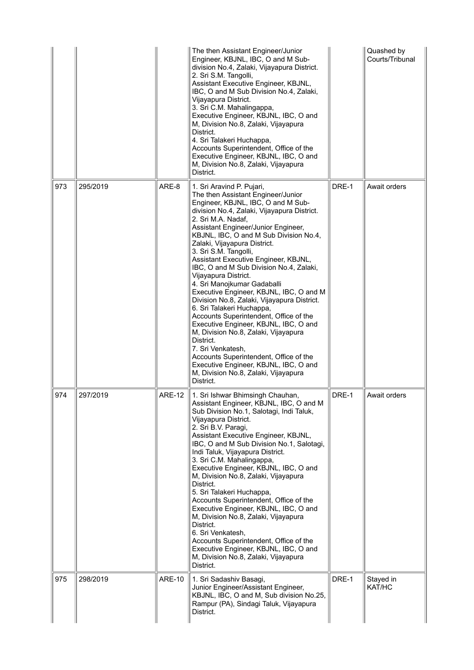|     |          |               | The then Assistant Engineer/Junior<br>Engineer, KBJNL, IBC, O and M Sub-<br>division No.4, Zalaki, Vijayapura District.<br>2. Sri S.M. Tangolli,<br>Assistant Executive Engineer, KBJNL,<br>IBC, O and M Sub Division No.4, Zalaki,<br>Vijayapura District.<br>3. Sri C.M. Mahalingappa,<br>Executive Engineer, KBJNL, IBC, O and<br>M, Division No.8, Zalaki, Vijayapura<br>District.<br>4. Sri Talakeri Huchappa,<br>Accounts Superintendent, Office of the<br>Executive Engineer, KBJNL, IBC, O and<br>M, Division No.8, Zalaki, Vijayapura<br>District.                                                                                                                                                                                                                                                                                                                                |       | Quashed by<br>Courts/Tribunal |
|-----|----------|---------------|--------------------------------------------------------------------------------------------------------------------------------------------------------------------------------------------------------------------------------------------------------------------------------------------------------------------------------------------------------------------------------------------------------------------------------------------------------------------------------------------------------------------------------------------------------------------------------------------------------------------------------------------------------------------------------------------------------------------------------------------------------------------------------------------------------------------------------------------------------------------------------------------|-------|-------------------------------|
| 973 | 295/2019 | ARE-8         | 1. Sri Aravind P. Pujari,<br>The then Assistant Engineer/Junior<br>Engineer, KBJNL, IBC, O and M Sub-<br>division No.4, Zalaki, Vijayapura District.<br>2. Sri M.A. Nadaf,<br>Assistant Engineer/Junior Engineer,<br>KBJNL, IBC, O and M Sub Division No.4,<br>Zalaki, Vijayapura District.<br>3. Sri S.M. Tangolli,<br>Assistant Executive Engineer, KBJNL,<br>IBC, O and M Sub Division No.4, Zalaki,<br>Vijayapura District.<br>4. Sri Manojkumar Gadaballi<br>Executive Engineer, KBJNL, IBC, O and M<br>Division No.8, Zalaki, Vijayapura District.<br>6. Sri Talakeri Huchappa,<br>Accounts Superintendent, Office of the<br>Executive Engineer, KBJNL, IBC, O and<br>M, Division No.8, Zalaki, Vijayapura<br>District.<br>7. Sri Venkatesh,<br>Accounts Superintendent, Office of the<br>Executive Engineer, KBJNL, IBC, O and<br>M, Division No.8, Zalaki, Vijayapura<br>District. | DRE-1 | Await orders                  |
| 974 | 297/2019 | <b>ARE-12</b> | 1. Sri Ishwar Bhimsingh Chauhan,<br>Assistant Engineer, KBJNL, IBC, O and M<br>Sub Division No.1, Salotagi, Indi Taluk,<br>Vijayapura District.<br>2. Sri B.V. Paragi,<br>Assistant Executive Engineer, KBJNL,<br>IBC, O and M Sub Division No.1, Salotagi,<br>Indi Taluk, Vijayapura District.<br>3. Sri C.M. Mahalingappa,<br>Executive Engineer, KBJNL, IBC, O and<br>M, Division No.8, Zalaki, Vijayapura<br>District.<br>5. Sri Talakeri Huchappa,<br>Accounts Superintendent, Office of the<br>Executive Engineer, KBJNL, IBC, O and<br>M, Division No.8, Zalaki, Vijayapura<br>District.<br>6. Sri Venkatesh,<br>Accounts Superintendent, Office of the<br>Executive Engineer, KBJNL, IBC, O and<br>M, Division No.8, Zalaki, Vijayapura<br>District.                                                                                                                               | DRE-1 | Await orders                  |
| 975 | 298/2019 | <b>ARE-10</b> | 1. Sri Sadashiv Basagi,<br>Junior Engineer/Assistant Engineer,<br>KBJNL, IBC, O and M, Sub division No.25,<br>Rampur (PA), Sindagi Taluk, Vijayapura<br>District.                                                                                                                                                                                                                                                                                                                                                                                                                                                                                                                                                                                                                                                                                                                          | DRE-1 | Stayed in<br>KAT/HC           |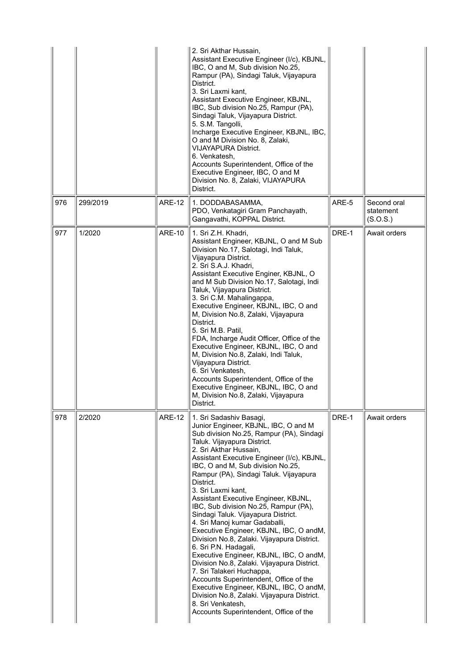|     |          |               | 2. Sri Akthar Hussain,<br>Assistant Executive Engineer (I/c), KBJNL,<br>IBC, O and M, Sub division No.25,<br>Rampur (PA), Sindagi Taluk, Vijayapura<br>District.<br>3. Sri Laxmi kant,<br>Assistant Executive Engineer, KBJNL,<br>IBC, Sub division No.25, Rampur (PA),<br>Sindagi Taluk, Vijayapura District.<br>5. S.M. Tangolli,<br>Incharge Executive Engineer, KBJNL, IBC,<br>O and M Division No. 8, Zalaki,<br><b>VIJAYAPURA District.</b><br>6. Venkatesh.<br>Accounts Superintendent, Office of the<br>Executive Engineer, IBC, O and M<br>Division No. 8, Zalaki, VIJAYAPURA<br>District.                                                                                                                                                                                                                                                                                                                                        |       |                                      |
|-----|----------|---------------|--------------------------------------------------------------------------------------------------------------------------------------------------------------------------------------------------------------------------------------------------------------------------------------------------------------------------------------------------------------------------------------------------------------------------------------------------------------------------------------------------------------------------------------------------------------------------------------------------------------------------------------------------------------------------------------------------------------------------------------------------------------------------------------------------------------------------------------------------------------------------------------------------------------------------------------------|-------|--------------------------------------|
| 976 | 299/2019 | <b>ARE-12</b> | 1. DODDABASAMMA,<br>PDO, Venkatagiri Gram Panchayath,<br>Gangavathi, KOPPAL District.                                                                                                                                                                                                                                                                                                                                                                                                                                                                                                                                                                                                                                                                                                                                                                                                                                                      | ARE-5 | Second oral<br>statement<br>(S.O.S.) |
| 977 | 1/2020   | <b>ARE-10</b> | 1. Sri Z.H. Khadri,<br>Assistant Engineer, KBJNL, O and M Sub<br>Division No.17, Salotagi, Indi Taluk,<br>Vijayapura District.<br>2. Sri S.A.J. Khadri,<br>Assistant Executive Enginer, KBJNL, O<br>and M Sub Division No.17, Salotagi, Indi<br>Taluk, Vijayapura District.<br>3. Sri C.M. Mahalingappa,<br>Executive Engineer, KBJNL, IBC, O and<br>M, Division No.8, Zalaki, Vijayapura<br>District.<br>5. Sri M.B. Patil,<br>FDA, Incharge Audit Officer, Office of the<br>Executive Engineer, KBJNL, IBC, O and<br>M, Division No.8, Zalaki, Indi Taluk,<br>Vijayapura District.<br>6. Sri Venkatesh,<br>Accounts Superintendent, Office of the<br>Executive Engineer, KBJNL, IBC, O and<br>M, Division No.8, Zalaki, Vijayapura<br>District.                                                                                                                                                                                          | DRE-1 | Await orders                         |
| 978 | 2/2020   | <b>ARE-12</b> | 1. Sri Sadashiv Basagi,<br>Junior Engineer, KBJNL, IBC, O and M<br>Sub division No.25, Rampur (PA), Sindagi<br>Taluk. Vijayapura District.<br>2. Sri Akthar Hussain,<br>Assistant Executive Engineer (I/c), KBJNL,<br>IBC, O and M, Sub division No.25,<br>Rampur (PA), Sindagi Taluk. Vijayapura<br>District.<br>3. Sri Laxmi kant,<br>Assistant Executive Engineer, KBJNL,<br>IBC, Sub division No.25, Rampur (PA),<br>Sindagi Taluk. Vijayapura District.<br>4. Sri Manoj kumar Gadaballi,<br>Executive Engineer, KBJNL, IBC, O andM,<br>Division No.8, Zalaki. Vijayapura District.<br>6. Sri P.N. Hadagali,<br>Executive Engineer, KBJNL, IBC, O andM,<br>Division No.8, Zalaki. Vijayapura District.<br>7. Sri Talakeri Huchappa,<br>Accounts Superintendent, Office of the<br>Executive Engineer, KBJNL, IBC, O andM,<br>Division No.8, Zalaki. Vijayapura District.<br>8. Sri Venkatesh,<br>Accounts Superintendent, Office of the | DRE-1 | Await orders                         |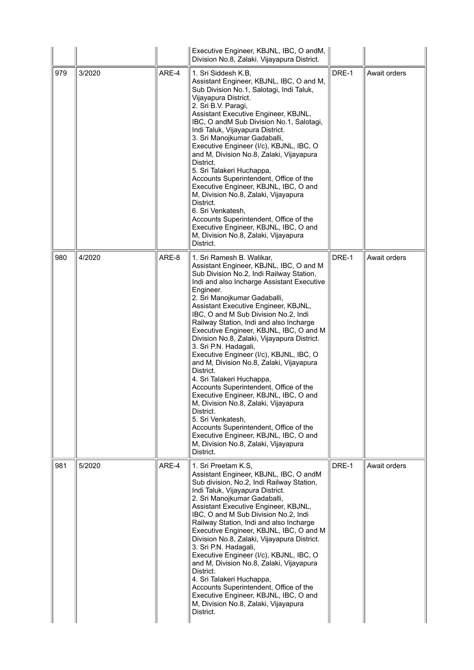|     |        |       | Executive Engineer, KBJNL, IBC, O andM,<br>Division No.8, Zalaki. Vijayapura District.                                                                                                                                                                                                                                                                                                                                                                                                                                                                                                                                                                                                                                                                                                                                                                                                          |       |              |
|-----|--------|-------|-------------------------------------------------------------------------------------------------------------------------------------------------------------------------------------------------------------------------------------------------------------------------------------------------------------------------------------------------------------------------------------------------------------------------------------------------------------------------------------------------------------------------------------------------------------------------------------------------------------------------------------------------------------------------------------------------------------------------------------------------------------------------------------------------------------------------------------------------------------------------------------------------|-------|--------------|
| 979 | 3/2020 | ARE-4 | 1. Sri Siddesh K.B,<br>Assistant Engineer, KBJNL, IBC, O and M,<br>Sub Division No.1, Salotagi, Indi Taluk,<br>Vijayapura District.<br>2. Sri B.V. Paragi,<br>Assistant Executive Engineer, KBJNL,<br>IBC, O and M Sub Division No.1, Salotagi,<br>Indi Taluk, Vijayapura District.<br>3. Sri Manojkumar Gadaballi,<br>Executive Engineer (I/c), KBJNL, IBC, O<br>and M, Division No.8, Zalaki, Vijayapura<br>District.<br>5. Sri Talakeri Huchappa,<br>Accounts Superintendent, Office of the<br>Executive Engineer, KBJNL, IBC, O and<br>M, Division No.8, Zalaki, Vijayapura<br>District.<br>6. Sri Venkatesh,<br>Accounts Superintendent, Office of the<br>Executive Engineer, KBJNL, IBC, O and<br>M, Division No.8, Zalaki, Vijayapura<br>District.                                                                                                                                       | DRE-1 | Await orders |
| 980 | 4/2020 | ARE-8 | 1. Sri Ramesh B. Walikar,<br>Assistant Engineer, KBJNL, IBC, O and M<br>Sub Division No.2, Indi Railway Station,<br>Indi and also Incharge Assistant Executive<br>Engineer.<br>2. Sri Manojkumar Gadaballi,<br>Assistant Executive Engineer, KBJNL,<br>IBC, O and M Sub Division No.2, Indi<br>Railway Station, Indi and also Incharge<br>Executive Engineer, KBJNL, IBC, O and M<br>Division No.8, Zalaki, Vijayapura District.<br>3. Sri P.N. Hadagali,<br>Executive Engineer (I/c), KBJNL, IBC, O<br>and M, Division No.8, Zalaki, Vijayapura<br>District.<br>4. Sri Talakeri Huchappa,<br>Accounts Superintendent, Office of the<br>Executive Engineer, KBJNL, IBC, O and<br>M, Division No.8, Zalaki, Vijayapura<br>District.<br>5. Sri Venkatesh,<br>Accounts Superintendent, Office of the<br>Executive Engineer, KBJNL, IBC, O and<br>M, Division No.8, Zalaki, Vijayapura<br>District. | DRE-1 | Await orders |
| 981 | 5/2020 | ARE-4 | 1. Sri Preetam K.S,<br>Assistant Engineer, KBJNL, IBC, O andM<br>Sub division, No.2, Indi Railway Station,<br>Indi Taluk, Vijayapura District.<br>2. Sri Manojkumar Gadaballi,<br>Assistant Executive Engineer, KBJNL,<br>IBC, O and M Sub Division No.2, Indi<br>Railway Station, Indi and also Incharge<br>Executive Engineer, KBJNL, IBC, O and M<br>Division No.8, Zalaki, Vijayapura District.<br>3. Sri P.N. Hadagali,<br>Executive Engineer (I/c), KBJNL, IBC, O<br>and M, Division No.8, Zalaki, Vijayapura<br>District.<br>4. Sri Talakeri Huchappa,<br>Accounts Superintendent, Office of the<br>Executive Engineer, KBJNL, IBC, O and<br>M, Division No.8, Zalaki, Vijayapura<br>District.                                                                                                                                                                                           | DRE-1 | Await orders |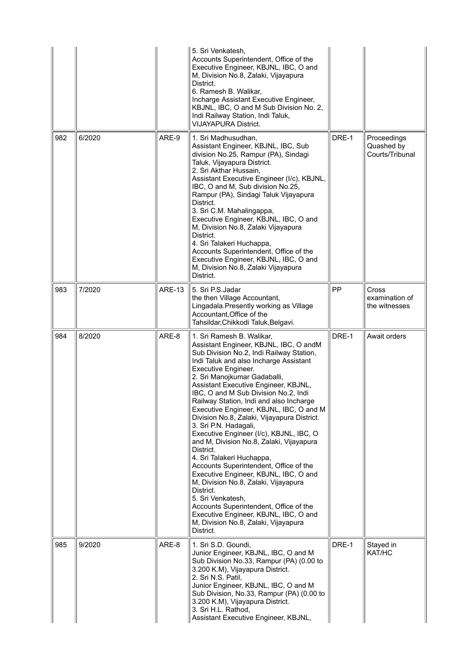|     |        |               | 5. Sri Venkatesh,<br>Accounts Superintendent, Office of the<br>Executive Engineer, KBJNL, IBC, O and<br>M, Division No.8, Zalaki, Vijayapura<br>District.<br>6. Ramesh B. Walikar,<br>Incharge Assistant Executive Engineer,<br>KBJNL, IBC, O and M Sub Division No. 2,<br>Indi Railway Station, Indi Taluk,<br><b>VIJAYAPURA District.</b>                                                                                                                                                                                                                                                                                                                                                                                                                                                                                                                                                          |       |                                                 |
|-----|--------|---------------|------------------------------------------------------------------------------------------------------------------------------------------------------------------------------------------------------------------------------------------------------------------------------------------------------------------------------------------------------------------------------------------------------------------------------------------------------------------------------------------------------------------------------------------------------------------------------------------------------------------------------------------------------------------------------------------------------------------------------------------------------------------------------------------------------------------------------------------------------------------------------------------------------|-------|-------------------------------------------------|
| 982 | 6/2020 | ARE-9         | 1. Sri Madhusudhan,<br>Assistant Engineer, KBJNL, IBC, Sub<br>division No.25, Rampur (PA), Sindagi<br>Taluk, Vijayapura District.<br>2. Sri Akthar Hussain,<br>Assistant Executive Engineer (I/c), KBJNL,<br>IBC, O and M, Sub division No.25,<br>Rampur (PA), Sindagi Taluk Vijayapura<br>District.<br>3. Sri C.M. Mahalingappa,<br>Executive Engineer, KBJNL, IBC, O and<br>M, Division No.8, Zalaki Vijayapura<br>District.<br>4. Sri Talakeri Huchappa,<br>Accounts Superintendent, Office of the<br>Executive Engineer, KBJNL, IBC, O and<br>M, Division No.8, Zalaki Vijayapura<br>District.                                                                                                                                                                                                                                                                                                   | DRE-1 | Proceedings<br>Quashed by<br>Courts/Tribunal    |
| 983 | 7/2020 | <b>ARE-13</b> | 5. Sri P.S.Jadar<br>the then Village Accountant,<br>Lingadala. Presently working as Village<br>Accountant, Office of the<br>Tahsildar, Chikkodi Taluk, Belgavi.                                                                                                                                                                                                                                                                                                                                                                                                                                                                                                                                                                                                                                                                                                                                      | PP    | <b>Cross</b><br>examination of<br>the witnesses |
| 984 | 8/2020 | ARE-8         | 1. Sri Ramesh B. Walikar,<br>Assistant Engineer, KBJNL, IBC, O andM<br>Sub Division No.2, Indi Railway Station,<br>Indi Taluk and also Incharge Assistant<br>Executive Engineer.<br>2. Sri Manojkumar Gadaballi,<br>Assistant Executive Engineer, KBJNL,<br>IBC, O and M Sub Division No.2, Indi<br>Railway Station, Indi and also Incharge<br>Executive Engineer, KBJNL, IBC, O and M<br>Division No.8, Zalaki, Vijayapura District.<br>3. Sri P.N. Hadagali,<br>Executive Engineer (I/c), KBJNL, IBC, O<br>and M, Division No.8, Zalaki, Vijayapura<br>District.<br>4. Sri Talakeri Huchappa,<br>Accounts Superintendent, Office of the<br>Executive Engineer, KBJNL, IBC, O and<br>M, Division No.8, Zalaki, Vijayapura<br>District.<br>5. Sri Venkatesh,<br>Accounts Superintendent, Office of the<br>Executive Engineer, KBJNL, IBC, O and<br>M, Division No.8, Zalaki, Vijayapura<br>District. | DRE-1 | Await orders                                    |
| 985 | 9/2020 | ARE-8         | 1. Sri S.D. Goundi,<br>Junior Engineer, KBJNL, IBC, O and M<br>Sub Division No.33, Rampur (PA) (0.00 to<br>3.200 K.M), Vijayapura District.<br>2. Sri N.S. Patil,<br>Junior Engineer, KBJNL, IBC, O and M<br>Sub Division, No.33, Rampur (PA) (0.00 to<br>3.200 K.M), Vijayapura District.<br>3. Sri H.L. Rathod,<br>Assistant Executive Engineer, KBJNL,                                                                                                                                                                                                                                                                                                                                                                                                                                                                                                                                            | DRE-1 | Stayed in<br>KAT/HC                             |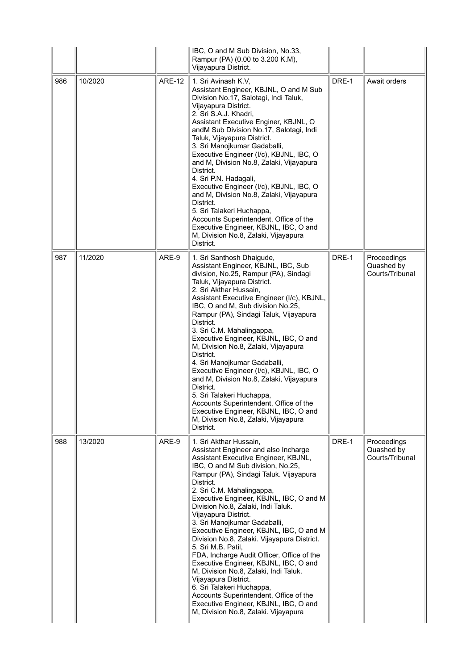|     |         |               | IBC, O and M Sub Division, No.33,<br>Rampur (PA) (0.00 to 3.200 K.M),<br>Vijayapura District.                                                                                                                                                                                                                                                                                                                                                                                                                                                                                                                                                                                                                                                                                                            |       |                                              |
|-----|---------|---------------|----------------------------------------------------------------------------------------------------------------------------------------------------------------------------------------------------------------------------------------------------------------------------------------------------------------------------------------------------------------------------------------------------------------------------------------------------------------------------------------------------------------------------------------------------------------------------------------------------------------------------------------------------------------------------------------------------------------------------------------------------------------------------------------------------------|-------|----------------------------------------------|
| 986 | 10/2020 | <b>ARE-12</b> | 1. Sri Avinash K.V,<br>Assistant Engineer, KBJNL, O and M Sub<br>Division No.17, Salotagi, Indi Taluk,<br>Vijayapura District.<br>2. Sri S.A.J. Khadri,<br>Assistant Executive Enginer, KBJNL, O<br>andM Sub Division No.17, Salotagi, Indi<br>Taluk, Vijayapura District.<br>3. Sri Manojkumar Gadaballi,<br>Executive Engineer (I/c), KBJNL, IBC, O<br>and M, Division No.8, Zalaki, Vijayapura<br>District.<br>4. Sri P.N. Hadagali,<br>Executive Engineer (I/c), KBJNL, IBC, O<br>and M, Division No.8, Zalaki, Vijayapura<br>District.<br>5. Sri Talakeri Huchappa,<br>Accounts Superintendent, Office of the<br>Executive Engineer, KBJNL, IBC, O and<br>M, Division No.8, Zalaki, Vijayapura<br>District.                                                                                         | DRE-1 | Await orders                                 |
| 987 | 11/2020 | ARE-9         | 1. Sri Santhosh Dhaigude,<br>Assistant Engineer, KBJNL, IBC, Sub<br>division, No.25, Rampur (PA), Sindagi<br>Taluk, Vijayapura District.<br>2. Sri Akthar Hussain,<br>Assistant Executive Engineer (I/c), KBJNL,<br>IBC, O and M, Sub division No.25,<br>Rampur (PA), Sindagi Taluk, Vijayapura<br>District.<br>3. Sri C.M. Mahalingappa,<br>Executive Engineer, KBJNL, IBC, O and<br>M, Division No.8, Zalaki, Vijayapura<br>District.<br>4. Sri Manojkumar Gadaballi,<br>Executive Engineer (I/c), KBJNL, IBC, O<br>and M, Division No.8, Zalaki, Vijayapura<br>District.<br>5. Sri Talakeri Huchappa,<br>Accounts Superintendent, Office of the<br>Executive Engineer, KBJNL, IBC, O and<br>M, Division No.8, Zalaki, Vijayapura<br>District.                                                         | DRE-1 | Proceedings<br>Quashed by<br>Courts/Tribunal |
| 988 | 13/2020 | ARE-9         | 1. Sri Akthar Hussain,<br>Assistant Engineer and also Incharge<br>Assistant Executive Engineer, KBJNL,<br>IBC, O and M Sub division, No.25,<br>Rampur (PA), Sindagi Taluk. Vijayapura<br>District.<br>2. Sri C.M. Mahalingappa,<br>Executive Engineer, KBJNL, IBC, O and M<br>Division No.8, Zalaki, Indi Taluk.<br>Vijayapura District.<br>3. Sri Manojkumar Gadaballi,<br>Executive Engineer, KBJNL, IBC, O and M<br>Division No.8, Zalaki. Vijayapura District.<br>5. Sri M.B. Patil,<br>FDA, Incharge Audit Officer, Office of the<br>Executive Engineer, KBJNL, IBC, O and<br>M, Division No.8, Zalaki, Indi Taluk.<br>Vijayapura District.<br>6. Sri Talakeri Huchappa,<br>Accounts Superintendent, Office of the<br>Executive Engineer, KBJNL, IBC, O and<br>M, Division No.8, Zalaki. Vijayapura | DRE-1 | Proceedings<br>Quashed by<br>Courts/Tribunal |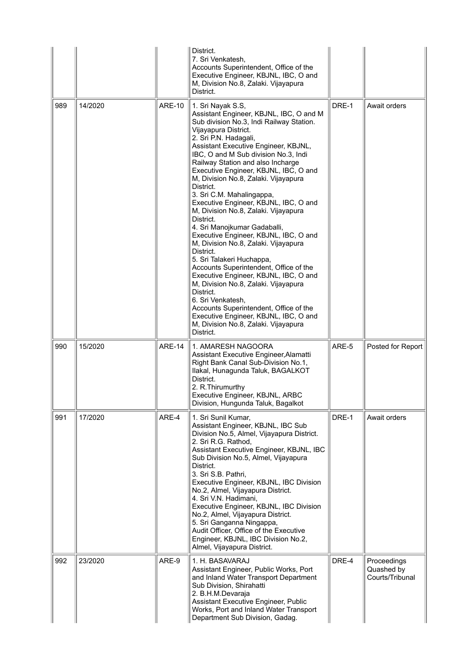|     |         |               | District.<br>7. Sri Venkatesh.<br>Accounts Superintendent, Office of the<br>Executive Engineer, KBJNL, IBC, O and<br>M, Division No.8, Zalaki. Vijayapura<br>District.                                                                                                                                                                                                                                                                                                                                                                                                                                                                                                                                                                                                                                                                                                                                                                                                  |       |                                              |
|-----|---------|---------------|-------------------------------------------------------------------------------------------------------------------------------------------------------------------------------------------------------------------------------------------------------------------------------------------------------------------------------------------------------------------------------------------------------------------------------------------------------------------------------------------------------------------------------------------------------------------------------------------------------------------------------------------------------------------------------------------------------------------------------------------------------------------------------------------------------------------------------------------------------------------------------------------------------------------------------------------------------------------------|-------|----------------------------------------------|
| 989 | 14/2020 | <b>ARE-10</b> | 1. Sri Nayak S.S,<br>Assistant Engineer, KBJNL, IBC, O and M<br>Sub division No.3, Indi Railway Station.<br>Vijayapura District.<br>2. Sri P.N. Hadagali,<br>Assistant Executive Engineer, KBJNL,<br>IBC, O and M Sub division No.3, Indi<br>Railway Station and also Incharge<br>Executive Engineer, KBJNL, IBC, O and<br>M, Division No.8, Zalaki. Vijayapura<br>District.<br>3. Sri C.M. Mahalingappa,<br>Executive Engineer, KBJNL, IBC, O and<br>M, Division No.8, Zalaki. Vijayapura<br>District.<br>4. Sri Manojkumar Gadaballi,<br>Executive Engineer, KBJNL, IBC, O and<br>M, Division No.8, Zalaki. Vijayapura<br>District.<br>5. Sri Talakeri Huchappa,<br>Accounts Superintendent, Office of the<br>Executive Engineer, KBJNL, IBC, O and<br>M, Division No.8, Zalaki. Vijayapura<br>District.<br>6. Sri Venkatesh,<br>Accounts Superintendent, Office of the<br>Executive Engineer, KBJNL, IBC, O and<br>M, Division No.8, Zalaki. Vijayapura<br>District. | DRE-1 | Await orders                                 |
| 990 | 15/2020 | <b>ARE-14</b> | 1. AMARESH NAGOORA<br>Assistant Executive Engineer, Alamatti<br>Right Bank Canal Sub-Division No.1,<br>Ilakal, Hunagunda Taluk, BAGALKOT<br>District.<br>2. R. Thirumurthy<br>Executive Engineer, KBJNL, ARBC<br>Division, Hungunda Taluk, Bagalkot                                                                                                                                                                                                                                                                                                                                                                                                                                                                                                                                                                                                                                                                                                                     | ARE-5 | Posted for Report                            |
| 991 | 17/2020 | ARE-4         | 1. Sri Sunil Kumar,<br>Assistant Engineer, KBJNL, IBC Sub<br>Division No.5, Almel, Vijayapura District.<br>2. Sri R.G. Rathod,<br>Assistant Executive Engineer, KBJNL, IBC<br>Sub Division No.5, Almel, Vijayapura<br>District.<br>3. Sri S.B. Pathri,<br>Executive Engineer, KBJNL, IBC Division<br>No.2, Almel, Vijayapura District.<br>4. Sri V.N. Hadimani,<br>Executive Engineer, KBJNL, IBC Division<br>No.2, Almel, Vijayapura District.<br>5. Sri Ganganna Ningappa,<br>Audit Officer, Office of the Executive<br>Engineer, KBJNL, IBC Division No.2,<br>Almel, Vijayapura District.                                                                                                                                                                                                                                                                                                                                                                            | DRE-1 | Await orders                                 |
| 992 | 23/2020 | ARE-9         | 1. H. BASAVARAJ<br>Assistant Engineer, Public Works, Port<br>and Inland Water Transport Department<br>Sub Division, Shirahatti<br>2. B.H.M.Devaraja<br>Assistant Executive Engineer, Public<br>Works, Port and Inland Water Transport<br>Department Sub Division, Gadag.                                                                                                                                                                                                                                                                                                                                                                                                                                                                                                                                                                                                                                                                                                | DRE-4 | Proceedings<br>Quashed by<br>Courts/Tribunal |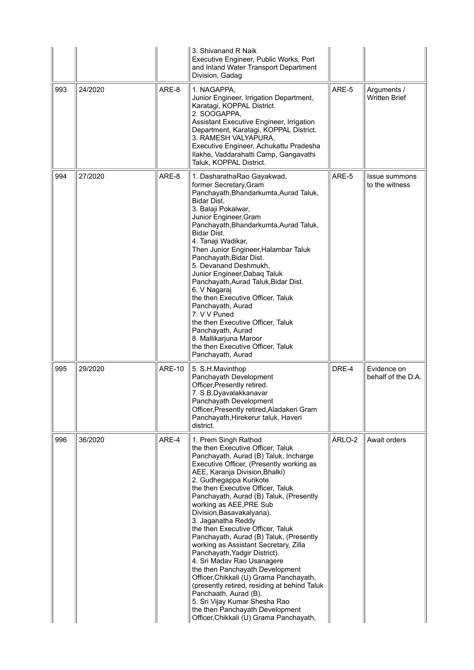|     |         |               | 3. Shivanand R Naik<br>Executive Engineer, Public Works, Port<br>and Inland Water Transport Department<br>Division, Gadag                                                                                                                                                                                                                                                                                                                                                                                                                                                                                                                                                                                                                                                                                                              |        |                                     |
|-----|---------|---------------|----------------------------------------------------------------------------------------------------------------------------------------------------------------------------------------------------------------------------------------------------------------------------------------------------------------------------------------------------------------------------------------------------------------------------------------------------------------------------------------------------------------------------------------------------------------------------------------------------------------------------------------------------------------------------------------------------------------------------------------------------------------------------------------------------------------------------------------|--------|-------------------------------------|
| 993 | 24/2020 | ARE-8         | 1. NAGAPPA,<br>Junior Engineer, Irrigation Department,<br>Karatagi, KOPPAL District.<br>2. SOOGAPPA,<br>Assistant Executive Engineer, Irrigation<br>Department, Karatagi, KOPPAL District.<br>3. RAMESH VALYAPURA,<br>Executive Engineer, Achukattu Pradesha<br>Ilakhe, Vaddarahatti Camp, Gangavathi<br>Taluk, KOPPAL District.                                                                                                                                                                                                                                                                                                                                                                                                                                                                                                       | ARE-5  | Arguments /<br><b>Written Brief</b> |
| 994 | 27/2020 | ARE-8         | 1. DasharathaRao Gayakwad,<br>former Secretary, Gram<br>Panchayath, Bhandarkumta, Aurad Taluk,<br>Bidar Dist.<br>3. Balaji Pokalwar,<br>Junior Engineer, Gram<br>Panchayath, Bhandarkumta, Aurad Taluk,<br>Bidar Dist.<br>4. Tanaji Wadikar,<br>Then Junior Engineer, Halambar Taluk<br>Panchayath, Bidar Dist.<br>5. Devanand Deshmukh,<br>Junior Engineer, Dabaq Taluk<br>Panchayath, Aurad Taluk, Bidar Dist.<br>6. V Nagaraj<br>the then Executive Officer, Taluk<br>Panchayath, Aurad<br>7. V V Puned<br>the then Executive Officer, Taluk<br>Panchayath, Aurad<br>8. Mallikarjuna Maroor<br>the then Executive Officer, Taluk<br>Panchayath, Aurad                                                                                                                                                                               | ARE-5  | Issue summons<br>to the witness     |
| 995 | 29/2020 | <b>ARE-10</b> | 5. S.H.Mavinthop<br>Panchayath Development<br>Officer, Presently retired.<br>7. S.B.Dyavalakkanavar<br>Panchayath Development<br>Officer, Presently retired, Aladakeri Gram<br>Panchayath, Hirekerur taluk, Haveri<br>district.                                                                                                                                                                                                                                                                                                                                                                                                                                                                                                                                                                                                        | DRE-4  | Evidence on<br>behalf of the D.A.   |
| 996 | 36/2020 | ARE-4         | 1. Prem Singh Rathod<br>the then Executive Officer, Taluk<br>Panchayath, Aurad (B) Taluk, Incharge<br>Executive Officer, (Presently working as<br>AEE, Karanja Division, Bhalki)<br>2. Gudhegappa Kurikote<br>the then Executive Officer, Taluk<br>Panchayath, Aurad (B) Taluk, (Presently<br>working as AEE, PRE Sub<br>Division, Basavakalyana).<br>3. Jaganatha Reddy<br>the then Executive Officer, Taluk<br>Panchayath, Aurad (B) Taluk, (Presently<br>working as Assistant Secretary, Zilla<br>Panchayath, Yadgir District).<br>4. Sri Madav Rao Usanagere<br>the then Panchayath Development<br>Officer, Chikkali (U) Grama Panchayath,<br>(presently retired, residing at behind Taluk<br>Panchaath, Aurad (B).<br>5. Sri Vijay Kumar Shesha Rao<br>the then Panchayath Development<br>Officer, Chikkali (U) Grama Panchayath, | ARLO-2 | Await orders                        |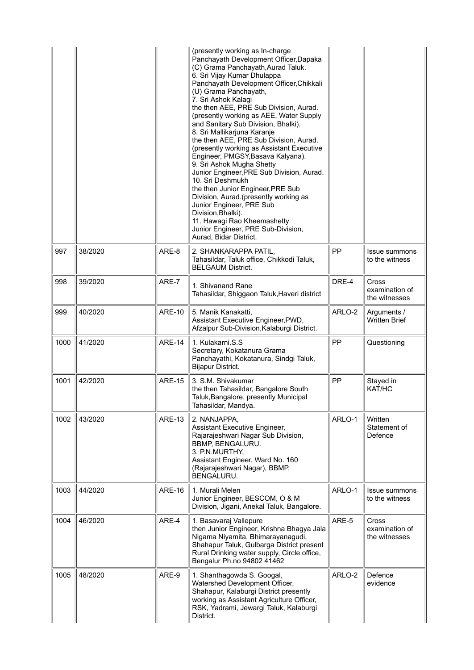|      |         |               | (presently working as In-charge<br>Panchayath Development Officer, Dapaka<br>(C) Grama Panchayath, Aurad Taluk.<br>6. Sri Vijay Kumar Dhulappa<br>Panchayath Development Officer, Chikkali<br>(U) Grama Panchayath,<br>7. Sri Ashok Kalagi<br>the then AEE, PRE Sub Division, Aurad.<br>(presently working as AEE, Water Supply<br>and Sanitary Sub Division, Bhalki).<br>8. Sri Mallikarjuna Karanje<br>the then AEE, PRE Sub Division, Aurad.<br>(presently working as Assistant Executive<br>Engineer, PMGSY, Basava Kalyana).<br>9. Sri Ashok Mugha Shetty<br>Junior Engineer, PRE Sub Division, Aurad.<br>10. Sri Deshmukh<br>the then Junior Engineer, PRE Sub<br>Division, Aurad.(presently working as<br>Junior Engineer, PRE Sub<br>Division, Bhalki).<br>11. Hawagi Rao Kheemashetty<br>Junior Engineer, PRE Sub-Division,<br>Aurad, Bidar District. |           |                                                 |
|------|---------|---------------|----------------------------------------------------------------------------------------------------------------------------------------------------------------------------------------------------------------------------------------------------------------------------------------------------------------------------------------------------------------------------------------------------------------------------------------------------------------------------------------------------------------------------------------------------------------------------------------------------------------------------------------------------------------------------------------------------------------------------------------------------------------------------------------------------------------------------------------------------------------|-----------|-------------------------------------------------|
| 997  | 38/2020 | ARE-8         | 2. SHANKARAPPA PATIL,<br>Tahasildar, Taluk office, Chikkodi Taluk,<br><b>BELGAUM District.</b>                                                                                                                                                                                                                                                                                                                                                                                                                                                                                                                                                                                                                                                                                                                                                                 | PP        | Issue summons<br>to the witness                 |
| 998  | 39/2020 | ARE-7         | 1. Shivanand Rane<br>Tahasildar, Shiggaon Taluk, Haveri district                                                                                                                                                                                                                                                                                                                                                                                                                                                                                                                                                                                                                                                                                                                                                                                               | DRE-4     | Cross<br>examination of<br>the witnesses        |
| 999  | 40/2020 | <b>ARE-10</b> | 5. Manik Kanakatti,<br>Assistant Executive Engineer, PWD,<br>Afzalpur Sub-Division, Kalaburgi District.                                                                                                                                                                                                                                                                                                                                                                                                                                                                                                                                                                                                                                                                                                                                                        | ARLO-2    | Arguments /<br><b>Written Brief</b>             |
| 1000 | 41/2020 | <b>ARE-14</b> | 1. Kulakarni.S.S<br>Secretary, Kokatanura Grama<br>Panchayathi, Kokatanura, Sindgi Taluk,<br>Bijapur District.                                                                                                                                                                                                                                                                                                                                                                                                                                                                                                                                                                                                                                                                                                                                                 | <b>PP</b> | Questioning                                     |
| 1001 | 42/2020 | <b>ARE-15</b> | 3. S.M. Shivakumar<br>the then Tahasildar, Bangalore South<br>Taluk, Bangalore, presently Municipal<br>Tahasildar, Mandya.                                                                                                                                                                                                                                                                                                                                                                                                                                                                                                                                                                                                                                                                                                                                     | PP        | Stayed in<br>KAT/HC                             |
| 1002 | 43/2020 | <b>ARE-13</b> | 2. NANJAPPA,<br>Assistant Executive Engineer,<br>Rajarajeshwari Nagar Sub Division,<br>BBMP, BENGALURU.<br>3. P.N.MURTHY,<br>Assistant Engineer, Ward No. 160<br>(Rajarajeshwari Nagar), BBMP,<br>BENGALURU.                                                                                                                                                                                                                                                                                                                                                                                                                                                                                                                                                                                                                                                   | ARLO-1    | Written<br>Statement of<br>Defence              |
| 1003 | 44/2020 | <b>ARE-16</b> | 1. Murali Melen<br>Junior Engineer, BESCOM, O & M<br>Division, Jigani, Anekal Taluk, Bangalore.                                                                                                                                                                                                                                                                                                                                                                                                                                                                                                                                                                                                                                                                                                                                                                | ARLO-1    | Issue summons<br>to the witness                 |
| 1004 | 46/2020 | ARE-4         | 1. Basavaraj Vallepure<br>then Junior Engineer, Krishna Bhagya Jala<br>Nigama Niyamita, Bhimarayanagudi,<br>Shahapur Taluk, Gulbarga District present<br>Rural Drinking water supply, Circle office,<br>Bengalur Ph.no 94802 41462                                                                                                                                                                                                                                                                                                                                                                                                                                                                                                                                                                                                                             | ARE-5     | <b>Cross</b><br>examination of<br>the witnesses |
| 1005 | 48/2020 | ARE-9         | 1. Shanthagowda S. Googal,<br>Watershed Development Officer,<br>Shahapur, Kalaburgi District presently                                                                                                                                                                                                                                                                                                                                                                                                                                                                                                                                                                                                                                                                                                                                                         | ARLO-2    | Defence<br>evidence                             |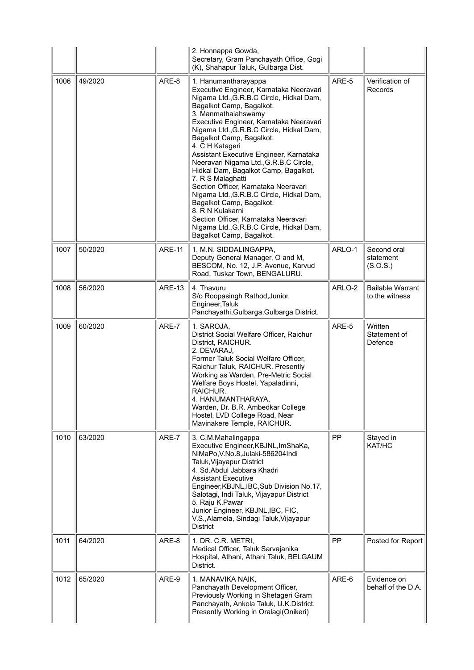|      |         |               | 2. Honnappa Gowda,<br>Secretary, Gram Panchayath Office, Gogi<br>(K), Shahapur Taluk, Gulbarga Dist.                                                                                                                                                                                                                                                                                                                                                                                                                                                                                                                                                                                                       |        |                                           |
|------|---------|---------------|------------------------------------------------------------------------------------------------------------------------------------------------------------------------------------------------------------------------------------------------------------------------------------------------------------------------------------------------------------------------------------------------------------------------------------------------------------------------------------------------------------------------------------------------------------------------------------------------------------------------------------------------------------------------------------------------------------|--------|-------------------------------------------|
| 1006 | 49/2020 | ARE-8         | 1. Hanumantharayappa<br>Executive Engineer, Karnataka Neeravari<br>Nigama Ltd., G.R.B.C Circle, Hidkal Dam,<br>Bagalkot Camp, Bagalkot.<br>3. Manmathaiahswamy<br>Executive Engineer, Karnataka Neeravari<br>Nigama Ltd., G.R.B.C Circle, Hidkal Dam,<br>Bagalkot Camp, Bagalkot.<br>4. C H Katageri<br>Assistant Executive Engineer, Karnataka<br>Neeravari Nigama Ltd., G.R.B.C Circle,<br>Hidkal Dam, Bagalkot Camp, Bagalkot.<br>7. R S Malaghatti<br>Section Officer, Karnataka Neeravari<br>Nigama Ltd., G.R.B.C Circle, Hidkal Dam,<br>Bagalkot Camp, Bagalkot.<br>8. R N Kulakarni<br>Section Officer, Karnataka Neeravari<br>Nigama Ltd., G.R.B.C Circle, Hidkal Dam,<br>Bagalkot Camp, Bagalkot. | ARE-5  | Verification of<br>Records                |
| 1007 | 50/2020 | <b>ARE-11</b> | 1. M.N. SIDDALINGAPPA,<br>Deputy General Manager, O and M,<br>BESCOM, No. 12, J.P. Avenue, Karvud<br>Road, Tuskar Town, BENGALURU.                                                                                                                                                                                                                                                                                                                                                                                                                                                                                                                                                                         | ARLO-1 | Second oral<br>statement<br>(S.O.S.)      |
| 1008 | 56/2020 | <b>ARE-13</b> | 4. Thavuru<br>S/o Roopasingh Rathod, Junior<br>Engineer, Taluk<br>Panchayathi, Gulbarga, Gulbarga District.                                                                                                                                                                                                                                                                                                                                                                                                                                                                                                                                                                                                | ARLO-2 | <b>Bailable Warrant</b><br>to the witness |
| 1009 | 60/2020 | ARE-7         | 1. SAROJA,<br>District Social Welfare Officer, Raichur<br>District, RAICHUR.<br>2. DEVARAJ,<br>Former Taluk Social Welfare Officer,<br>Raichur Taluk, RAICHUR. Presently<br>Working as Warden, Pre-Metric Social<br>Welfare Boys Hostel, Yapaladinni,<br>RAICHUR.<br>4. HANUMANTHARAYA,<br>Warden, Dr. B.R. Ambedkar College<br>Hostel, LVD College Road, Near<br>Mavinakere Temple, RAICHUR.                                                                                                                                                                                                                                                                                                              | ARE-5  | Written<br>Statement of<br>Defence        |
| 1010 | 63/2020 | ARE-7         | 3. C.M.Mahalingappa<br>Executive Engineer, KBJNL, ImShaKa,<br>NiMaPo, V.No.8, Julaki-586204Indi<br>Taluk, Vijayapur District<br>4. Sd. Abdul Jabbara Khadri<br><b>Assistant Executive</b><br>Engineer, KBJNL, IBC, Sub Division No.17,<br>Salotagi, Indi Taluk, Vijayapur District<br>5. Raju K.Pawar<br>Junior Engineer, KBJNL, IBC, FIC,<br>V.S., Alamela, Sindagi Taluk, Vijayapur<br><b>District</b>                                                                                                                                                                                                                                                                                                   | PP     | Stayed in<br>KAT/HC                       |
| 1011 | 64/2020 | ARE-8         | 1. DR. C.R. METRI,<br>Medical Officer, Taluk Sarvajanika<br>Hospital, Athani, Athani Taluk, BELGAUM<br>District.                                                                                                                                                                                                                                                                                                                                                                                                                                                                                                                                                                                           | PP     | Posted for Report                         |
| 1012 | 65/2020 | ARE-9         | 1. MANAVIKA NAIK,<br>Panchayath Development Officer,<br>Previously Working in Shetageri Gram<br>Panchayath, Ankola Taluk, U.K.District.<br>Presently Working in Oralagi(Onikeri)                                                                                                                                                                                                                                                                                                                                                                                                                                                                                                                           | ARE-6  | Evidence on<br>behalf of the D.A.         |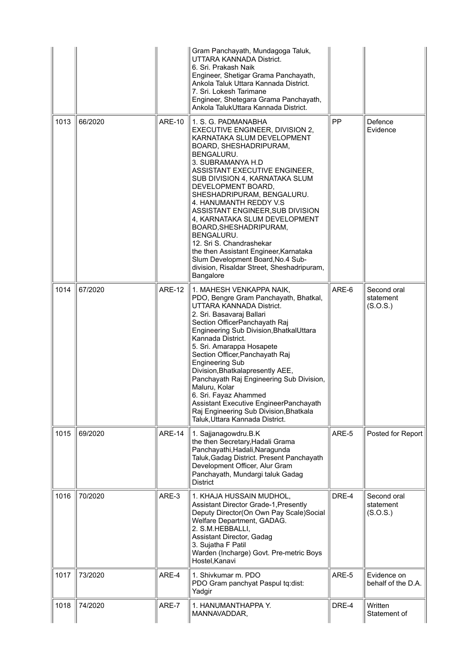|      |         |               | Gram Panchayath, Mundagoga Taluk,<br>UTTARA KANNADA District.<br>6. Sri. Prakash Naik<br>Engineer, Shetigar Grama Panchayath,<br>Ankola Taluk Uttara Kannada District.<br>7. Sri. Lokesh Tarimane<br>Engineer, Shetegara Grama Panchayath,<br>Ankola TalukUttara Kannada District.                                                                                                                                                                                                                                                                                                    |           |                                      |
|------|---------|---------------|---------------------------------------------------------------------------------------------------------------------------------------------------------------------------------------------------------------------------------------------------------------------------------------------------------------------------------------------------------------------------------------------------------------------------------------------------------------------------------------------------------------------------------------------------------------------------------------|-----------|--------------------------------------|
| 1013 | 66/2020 | <b>ARE-10</b> | 1. S. G. PADMANABHA<br>EXECUTIVE ENGINEER, DIVISION 2,<br>KARNATAKA SLUM DEVELOPMENT<br>BOARD, SHESHADRIPURAM,<br>BENGALURU.<br>3. SUBRAMANYA H.D<br>ASSISTANT EXECUTIVE ENGINEER,<br>SUB DIVISION 4, KARNATAKA SLUM<br>DEVELOPMENT BOARD,<br>SHESHADRIPURAM, BENGALURU.<br>4. HANUMANTH REDDY V.S<br>ASSISTANT ENGINEER, SUB DIVISION<br>4, KARNATAKA SLUM DEVELOPMENT<br>BOARD, SHESHADRIPURAM,<br>BENGALURU.<br>12. Sri S. Chandrashekar<br>the then Assistant Engineer, Karnataka<br>Slum Development Board, No.4 Sub-<br>division, Risaldar Street, Sheshadripuram,<br>Bangalore | <b>PP</b> | Defence<br>Evidence                  |
| 1014 | 67/2020 | <b>ARE-12</b> | 1. MAHESH VENKAPPA NAIK,<br>PDO, Bengre Gram Panchayath, Bhatkal,<br>UTTARA KANNADA District.<br>2. Sri. Basavaraj Ballari<br>Section OfficerPanchayath Raj<br>Engineering Sub Division, BhatkalUttara<br>Kannada District.<br>5. Sri. Amarappa Hosapete<br>Section Officer, Panchayath Raj<br><b>Engineering Sub</b><br>Division, Bhatkalapresently AEE,<br>Panchayath Raj Engineering Sub Division,<br>Maluru, Kolar<br>6. Sri. Fayaz Ahammed<br>Assistant Executive EngineerPanchayath<br>Raj Engineering Sub Division, Bhatkala<br>Taluk, Uttara Kannada District.                | ARE-6     | Second oral<br>statement<br>(S.O.S.) |
| 1015 | 69/2020 | <b>ARE-14</b> | 1. Sajjanagowdru.B.K<br>the then Secretary, Hadali Grama<br>Panchayathi, Hadali, Naragunda<br>Taluk, Gadag District. Present Panchayath<br>Development Officer, Alur Gram<br>Panchayath, Mundargi taluk Gadag<br><b>District</b>                                                                                                                                                                                                                                                                                                                                                      | ARE-5     | Posted for Report                    |
| 1016 | 70/2020 | ARE-3         | 1. KHAJA HUSSAIN MUDHOL,<br><b>Assistant Director Grade-1, Presently</b><br>Deputy Director(On Own Pay Scale)Social<br>Welfare Department, GADAG.<br>2. S.M.HEBBALLI,<br>Assistant Director, Gadag<br>3. Sujatha F Patil<br>Warden (Incharge) Govt. Pre-metric Boys<br>Hostel, Kanavi                                                                                                                                                                                                                                                                                                 | DRE-4     | Second oral<br>statement<br>(S.O.S.) |
| 1017 | 73/2020 | ARE-4         | 1. Shivkumar m. PDO<br>PDO Gram panchyat Paspul tq:dist:<br>Yadgir                                                                                                                                                                                                                                                                                                                                                                                                                                                                                                                    | ARE-5     | Evidence on<br>behalf of the D.A.    |
| 1018 | 74/2020 | ARE-7         | 1. HANUMANTHAPPA Y.<br>MANNAVADDAR,                                                                                                                                                                                                                                                                                                                                                                                                                                                                                                                                                   | DRE-4     | Written<br>Statement of              |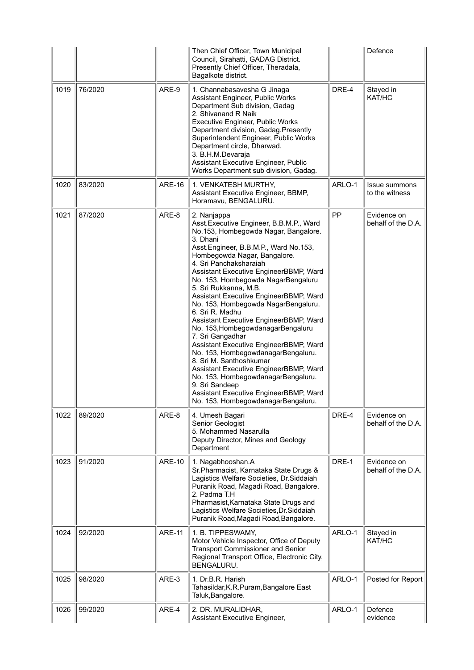|      |         |               | Then Chief Officer, Town Municipal<br>Council, Sirahatti, GADAG District.<br>Presently Chief Officer, Theradala,<br>Bagalkote district.                                                                                                                                                                                                                                                                                                                                                                                                                                                                                                                                                                                                                                                                                     |        | Defence                           |
|------|---------|---------------|-----------------------------------------------------------------------------------------------------------------------------------------------------------------------------------------------------------------------------------------------------------------------------------------------------------------------------------------------------------------------------------------------------------------------------------------------------------------------------------------------------------------------------------------------------------------------------------------------------------------------------------------------------------------------------------------------------------------------------------------------------------------------------------------------------------------------------|--------|-----------------------------------|
| 1019 | 76/2020 | ARE-9         | 1. Channabasavesha G Jinaga<br>Assistant Engineer, Public Works<br>Department Sub division, Gadag<br>2. Shivanand R Naik<br>Executive Engineer, Public Works<br>Department division, Gadag.Presently<br>Superintendent Engineer, Public Works<br>Department circle, Dharwad.<br>3. B.H.M.Devaraja<br>Assistant Executive Engineer, Public<br>Works Department sub division, Gadag.                                                                                                                                                                                                                                                                                                                                                                                                                                          | DRE-4  | Stayed in<br>KAT/HC               |
| 1020 | 83/2020 | <b>ARE-16</b> | 1. VENKATESH MURTHY,<br>Assistant Executive Engineer, BBMP,<br>Horamavu, BENGALURU.                                                                                                                                                                                                                                                                                                                                                                                                                                                                                                                                                                                                                                                                                                                                         | ARLO-1 | Issue summons<br>to the witness   |
| 1021 | 87/2020 | ARE-8         | 2. Nanjappa<br>Asst.Executive Engineer, B.B.M.P., Ward<br>No.153, Hombegowda Nagar, Bangalore.<br>3. Dhani<br>Asst.Engineer, B.B.M.P., Ward No.153,<br>Hombegowda Nagar, Bangalore.<br>4. Sri Panchaksharaiah<br>Assistant Executive EngineerBBMP, Ward<br>No. 153, Hombegowda NagarBengaluru<br>5. Sri Rukkanna, M.B.<br>Assistant Executive EngineerBBMP, Ward<br>No. 153, Hombegowda NagarBengaluru.<br>6. Sri R. Madhu<br>Assistant Executive EngineerBBMP, Ward<br>No. 153, Hombegowdanagar Bengaluru<br>7. Sri Gangadhar<br>Assistant Executive EngineerBBMP, Ward<br>No. 153, HombegowdanagarBengaluru.<br>8. Sri M. Santhoshkumar<br>Assistant Executive EngineerBBMP, Ward<br>No. 153, HombegowdanagarBengaluru.<br>9. Sri Sandeep<br>Assistant Executive EngineerBBMP, Ward<br>No. 153, HombegowdanagarBengaluru. | PP     | Evidence on<br>behalf of the D.A. |
| 1022 | 89/2020 | ARE-8         | 4. Umesh Bagari<br>Senior Geologist<br>5. Mohammed Nasarulla<br>Deputy Director, Mines and Geology<br>Department                                                                                                                                                                                                                                                                                                                                                                                                                                                                                                                                                                                                                                                                                                            | DRE-4  | Evidence on<br>behalf of the D.A. |
| 1023 | 91/2020 | <b>ARE-10</b> | 1. Nagabhooshan.A<br>Sr.Pharmacist, Karnataka State Drugs &<br>Lagistics Welfare Societies, Dr.Siddaiah<br>Puranik Road, Magadi Road, Bangalore.<br>2. Padma T.H<br>Pharmasist, Karnataka State Drugs and<br>Lagistics Welfare Societies, Dr. Siddaiah<br>Puranik Road, Magadi Road, Bangalore.                                                                                                                                                                                                                                                                                                                                                                                                                                                                                                                             | DRE-1  | Evidence on<br>behalf of the D.A. |
| 1024 | 92/2020 | <b>ARE-11</b> | 1. B. TIPPESWAMY,<br>Motor Vehicle Inspector, Office of Deputy<br><b>Transport Commissioner and Senior</b><br>Regional Transport Office, Electronic City,<br>BENGALURU.                                                                                                                                                                                                                                                                                                                                                                                                                                                                                                                                                                                                                                                     | ARLO-1 | Stayed in<br>KAT/HC               |
| 1025 | 98/2020 | ARE-3         | 1. Dr.B.R. Harish<br>Tahasildar, K.R. Puram, Bangalore East<br>Taluk, Bangalore.                                                                                                                                                                                                                                                                                                                                                                                                                                                                                                                                                                                                                                                                                                                                            | ARLO-1 | Posted for Report                 |
| 1026 | 99/2020 | ARE-4         | 2. DR. MURALIDHAR,<br>Assistant Executive Engineer,                                                                                                                                                                                                                                                                                                                                                                                                                                                                                                                                                                                                                                                                                                                                                                         | ARLO-1 | Defence<br>evidence               |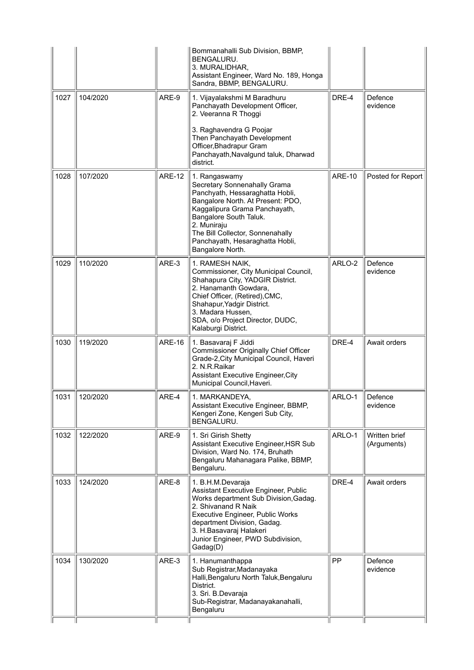|      |          |               | Bommanahalli Sub Division, BBMP,<br>BENGALURU.<br>3. MURALIDHAR,<br>Assistant Engineer, Ward No. 189, Honga<br>Sandra, BBMP, BENGALURU.                                                                                                                                                    |               |                              |
|------|----------|---------------|--------------------------------------------------------------------------------------------------------------------------------------------------------------------------------------------------------------------------------------------------------------------------------------------|---------------|------------------------------|
| 1027 | 104/2020 | ARE-9         | 1. Vijayalakshmi M Baradhuru<br>Panchayath Development Officer,<br>2. Veeranna R Thoggi                                                                                                                                                                                                    | DRE-4         | Defence<br>evidence          |
|      |          |               | 3. Raghavendra G Poojar<br>Then Panchayath Development<br>Officer, Bhadrapur Gram<br>Panchayath, Navalgund taluk, Dharwad<br>district.                                                                                                                                                     |               |                              |
| 1028 | 107/2020 | <b>ARE-12</b> | 1. Rangaswamy<br>Secretary Sonnenahally Grama<br>Panchyath, Hessaraghatta Hobli,<br>Bangalore North. At Present: PDO,<br>Kaggalipura Grama Panchayath,<br>Bangalore South Taluk.<br>2. Muniraju<br>The Bill Collector, Sonnenahally<br>Panchayath, Hesaraghatta Hobli,<br>Bangalore North. | <b>ARE-10</b> | Posted for Report            |
| 1029 | 110/2020 | ARE-3         | 1. RAMESH NAIK,<br>Commissioner, City Municipal Council,<br>Shahapura City, YADGIR District.<br>2. Hanamanth Gowdara,<br>Chief Officer, (Retired), CMC,<br>Shahapur, Yadgir District.<br>3. Madara Hussen,<br>SDA, o/o Project Director, DUDC,<br>Kalaburgi District.                      | ARLO-2        | Defence<br>evidence          |
| 1030 | 119/2020 | <b>ARE-16</b> | 1. Basavaraj F Jiddi<br><b>Commissioner Originally Chief Officer</b><br>Grade-2, City Municipal Council, Haveri<br>2. N.R.Raikar<br><b>Assistant Executive Engineer, City</b><br>Municipal Council, Haveri.                                                                                | DRE-4         | Await orders                 |
| 1031 | 120/2020 | ARE-4         | 1. MARKANDEYA,<br>Assistant Executive Engineer, BBMP,<br>Kengeri Zone, Kengeri Sub City,<br>BENGALURU.                                                                                                                                                                                     | ARLO-1        | Defence<br>evidence          |
| 1032 | 122/2020 | ARE-9         | 1. Sri Girish Shetty<br>Assistant Executive Engineer, HSR Sub<br>Division, Ward No. 174, Bruhath<br>Bengaluru Mahanagara Palike, BBMP,<br>Bengaluru.                                                                                                                                       | ARLO-1        | Written brief<br>(Arguments) |
| 1033 | 124/2020 | ARE-8         | 1. B.H.M.Devaraja<br>Assistant Executive Engineer, Public<br>Works department Sub Division, Gadag.<br>2. Shivanand R Naik<br><b>Executive Engineer, Public Works</b><br>department Division, Gadag.<br>3. H.Basavaraj Halakeri<br>Junior Engineer, PWD Subdivision,<br>Gadag(D)            | DRE-4         | Await orders                 |
| 1034 | 130/2020 | ARE-3         | 1. Hanumanthappa<br>Sub Registrar, Madanayaka<br>Halli, Bengaluru North Taluk, Bengaluru<br>District.<br>3. Sri. B.Devaraja<br>Sub-Registrar, Madanayakanahalli,<br>Bengaluru                                                                                                              | PP            | Defence<br>evidence          |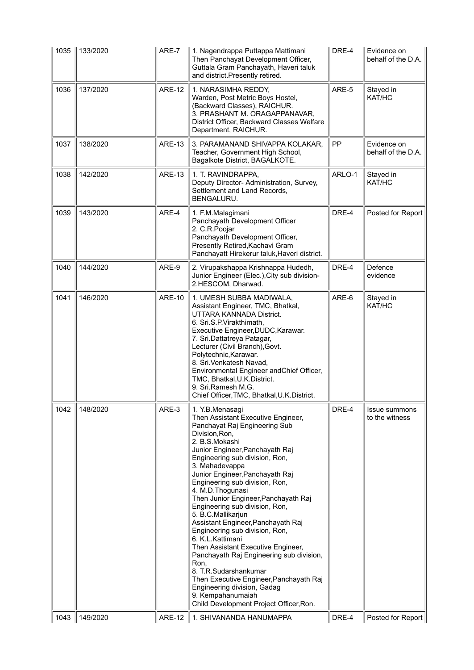| 1035 | 133/2020        | ARE-7         | 1. Nagendrappa Puttappa Mattimani<br>Then Panchayat Development Officer,<br>Guttala Gram Panchayath, Haveri taluk<br>and district. Presently retired.                                                                                                                                                                                                                                                                                                                                                                                                                                                                                                                                                                                                                | DRE-4  | Evidence on<br>behalf of the D.A. |
|------|-----------------|---------------|----------------------------------------------------------------------------------------------------------------------------------------------------------------------------------------------------------------------------------------------------------------------------------------------------------------------------------------------------------------------------------------------------------------------------------------------------------------------------------------------------------------------------------------------------------------------------------------------------------------------------------------------------------------------------------------------------------------------------------------------------------------------|--------|-----------------------------------|
| 1036 | 137/2020        | <b>ARE-12</b> | 1. NARASIMHA REDDY,<br>Warden, Post Metric Boys Hostel,<br>(Backward Classes), RAICHUR.<br>3. PRASHANT M. ORAGAPPANAVAR,<br>District Officer, Backward Classes Welfare<br>Department, RAICHUR.                                                                                                                                                                                                                                                                                                                                                                                                                                                                                                                                                                       | ARE-5  | Stayed in<br>KAT/HC               |
| 1037 | 138/2020        | <b>ARE-13</b> | 3. PARAMANAND SHIVAPPA KOLAKAR,<br>Teacher, Government High School,<br>Bagalkote District, BAGALKOTE.                                                                                                                                                                                                                                                                                                                                                                                                                                                                                                                                                                                                                                                                | PP     | Evidence on<br>behalf of the D.A. |
| 1038 | 142/2020        | <b>ARE-13</b> | 1. T. RAVINDRAPPA,<br>Deputy Director- Administration, Survey,<br>Settlement and Land Records,<br>BENGALURU.                                                                                                                                                                                                                                                                                                                                                                                                                                                                                                                                                                                                                                                         | ARLO-1 | Stayed in<br>KAT/HC               |
| 1039 | 143/2020        | ARE-4         | 1. F.M.Malagimani<br>Panchayath Development Officer<br>2. C.R. Poojar<br>Panchayath Development Officer,<br>Presently Retired, Kachavi Gram<br>Panchayatt Hirekerur taluk, Haveri district.                                                                                                                                                                                                                                                                                                                                                                                                                                                                                                                                                                          | DRE-4  | Posted for Report                 |
| 1040 | 144/2020        | ARE-9         | 2. Virupakshappa Krishnappa Hudedh,<br>Junior Engineer (Elec.), City sub division-<br>2,HESCOM, Dharwad.                                                                                                                                                                                                                                                                                                                                                                                                                                                                                                                                                                                                                                                             | DRE-4  | Defence<br>evidence               |
| 1041 | 146/2020        | <b>ARE-10</b> | 1. UMESH SUBBA MADIWALA,<br>Assistant Engineer, TMC, Bhatkal,<br>UTTARA KANNADA District.<br>6. Sri.S.P.Virakthimath,<br>Executive Engineer, DUDC, Karawar.<br>7. Sri.Dattatreya Patagar,<br>Lecturer (Civil Branch), Govt.<br>Polytechnic, Karawar.<br>8. Sri. Venkatesh Navad,<br>Environmental Engineer andChief Officer,<br>TMC, Bhatkal, U.K. District.<br>9. Sri.Ramesh M.G.<br>Chief Officer, TMC, Bhatkal, U.K. District.                                                                                                                                                                                                                                                                                                                                    | ARE-6  | Stayed in<br>KAT/HC               |
| 1042 | 148/2020        | ARE-3         | 1. Y.B.Menasagi<br>Then Assistant Executive Engineer,<br>Panchayat Raj Engineering Sub<br>Division, Ron,<br>2. B.S.Mokashi<br>Junior Engineer, Panchayath Raj<br>Engineering sub division, Ron,<br>3. Mahadevappa<br>Junior Engineer, Panchayath Raj<br>Engineering sub division, Ron,<br>4. M.D. Thogunasi<br>Then Junior Engineer, Panchayath Raj<br>Engineering sub division, Ron,<br>5. B.C.Mallikarjun<br>Assistant Engineer, Panchayath Raj<br>Engineering sub division, Ron,<br>6. K.L.Kattimani<br>Then Assistant Executive Engineer,<br>Panchayath Raj Engineering sub division,<br>Ron,<br>8. T.R.Sudarshankumar<br>Then Executive Engineer, Panchayath Raj<br>Engineering division, Gadag<br>9. Kempahanumaiah<br>Child Development Project Officer, Ron. | DRE-4  | Issue summons<br>to the witness   |
|      | 1043   149/2020 |               | ARE-12   1. SHIVANANDA HANUMAPPA                                                                                                                                                                                                                                                                                                                                                                                                                                                                                                                                                                                                                                                                                                                                     | DRE-4  | Posted for Report                 |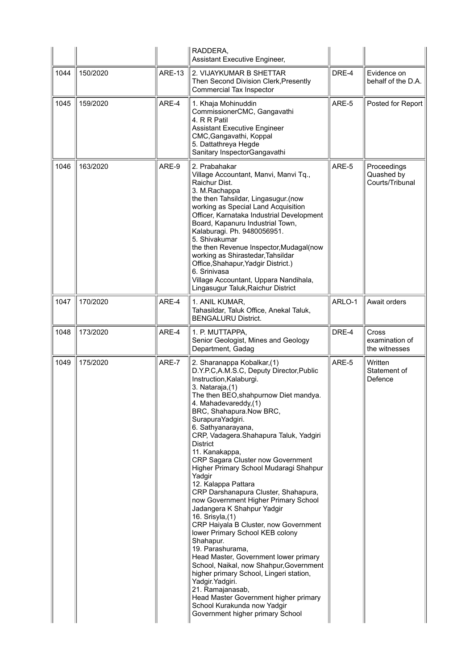|      |          |               | RADDERA,<br>Assistant Executive Engineer,                                                                                                                                                                                                                                                                                                                                                                                                                                                                                                                                                                                                                                                                                                                                                                                                                                                                                                                                                       |        |                                                 |
|------|----------|---------------|-------------------------------------------------------------------------------------------------------------------------------------------------------------------------------------------------------------------------------------------------------------------------------------------------------------------------------------------------------------------------------------------------------------------------------------------------------------------------------------------------------------------------------------------------------------------------------------------------------------------------------------------------------------------------------------------------------------------------------------------------------------------------------------------------------------------------------------------------------------------------------------------------------------------------------------------------------------------------------------------------|--------|-------------------------------------------------|
| 1044 | 150/2020 | <b>ARE-13</b> | 2. VIJAYKUMAR B SHETTAR<br>Then Second Division Clerk, Presently<br>Commercial Tax Inspector                                                                                                                                                                                                                                                                                                                                                                                                                                                                                                                                                                                                                                                                                                                                                                                                                                                                                                    | DRE-4  | Evidence on<br>behalf of the D.A.               |
| 1045 | 159/2020 | ARE-4         | 1. Khaja Mohinuddin<br>CommissionerCMC, Gangavathi<br>4. R R Patil<br><b>Assistant Executive Engineer</b><br>CMC, Gangavathi, Koppal<br>5. Dattathreya Hegde<br>Sanitary InspectorGangavathi                                                                                                                                                                                                                                                                                                                                                                                                                                                                                                                                                                                                                                                                                                                                                                                                    | ARE-5  | Posted for Report                               |
| 1046 | 163/2020 | ARE-9         | 2. Prabahakar<br>Village Accountant, Manvi, Manvi Tq.,<br>Raichur Dist.<br>3. M.Rachappa<br>the then Tahsildar, Lingasugur.(now<br>working as Special Land Acquisition<br>Officer, Karnataka Industrial Development<br>Board, Kapanuru Industrial Town,<br>Kalaburagi. Ph. 9480056951.<br>5. Shivakumar<br>the then Revenue Inspector, Mudagal(now<br>working as Shirastedar, Tahsildar<br>Office, Shahapur, Yadgir District.)<br>6. Srinivasa<br>Village Accountant, Uppara Nandihala,<br>Lingasugur Taluk, Raichur District                                                                                                                                                                                                                                                                                                                                                                                                                                                                   | ARE-5  | Proceedings<br>Quashed by<br>Courts/Tribunal    |
| 1047 | 170/2020 | ARE-4         | 1. ANIL KUMAR,<br>Tahasildar, Taluk Office, Anekal Taluk,<br><b>BENGALURU District.</b>                                                                                                                                                                                                                                                                                                                                                                                                                                                                                                                                                                                                                                                                                                                                                                                                                                                                                                         | ARLO-1 | Await orders                                    |
| 1048 | 173/2020 | ARE-4         | 1. P. MUTTAPPA,<br>Senior Geologist, Mines and Geology<br>Department, Gadag                                                                                                                                                                                                                                                                                                                                                                                                                                                                                                                                                                                                                                                                                                                                                                                                                                                                                                                     | DRE-4  | <b>Cross</b><br>examination of<br>the witnesses |
| 1049 | 175/2020 | ARE-7         | 2. Sharanappa Kobalkar, (1)<br>D.Y.P.C,A.M.S.C, Deputy Director, Public<br>Instruction, Kalaburgi.<br>3. Nataraja, (1)<br>The then BEO, shahpurnow Diet mandya.<br>4. Mahadevareddy,(1)<br>BRC, Shahapura.Now BRC,<br>SurapuraYadgiri.<br>6. Sathyanarayana,<br>CRP, Vadagera.Shahapura Taluk, Yadgiri<br><b>District</b><br>11. Kanakappa,<br>CRP Sagara Cluster now Government<br>Higher Primary School Mudaragi Shahpur<br>Yadgir<br>12. Kalappa Pattara<br>CRP Darshanapura Cluster, Shahapura,<br>now Government Higher Primary School<br>Jadangera K Shahpur Yadgir<br>16. Srisyla, $(1)$<br>CRP Haiyala B Cluster, now Government<br>lower Primary School KEB colony<br>Shahapur.<br>19. Parashurama,<br>Head Master, Government lower primary<br>School, Naikal, now Shahpur, Government<br>higher primary School, Lingeri station,<br>Yadgir. Yadgiri.<br>21. Ramajanasab,<br>Head Master Government higher primary<br>School Kurakunda now Yadgir<br>Government higher primary School | ARE-5  | Written<br>Statement of<br>Defence              |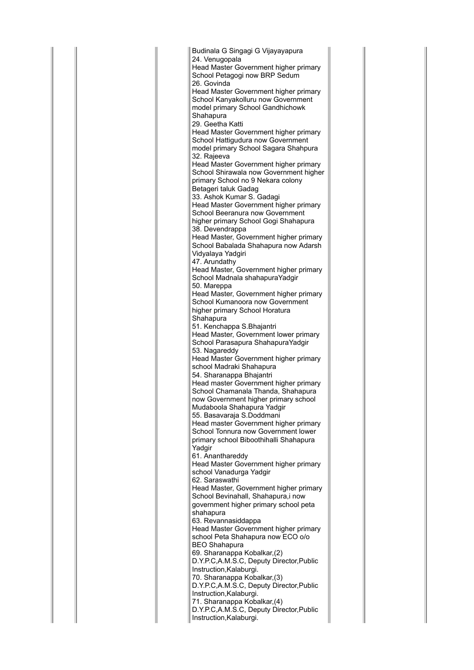Budinala G Singagi G Vijayayapura 24. Venugopala Head Master Government higher primary School Petagogi now BRP Sedum 26. Govinda Head Master Government higher primary School Kanyakolluru now Government model primary School Gandhichowk Shahapura 29. Geetha Katti Head Master Government higher primary School Hattigudura now Government model primary School Sagara Shahpura 32. Rajeeva Head Master Government higher primary School Shirawala now Government higher primary School no 9 Nekara colony Betageri taluk Gadag 33. Ashok Kumar S. Gadagi Head Master Government higher primary School Beeranura now Government higher primary School Gogi Shahapura 38. Devendrappa Head Master, Government higher primary School Babalada Shahapura now Adarsh Vidyalaya Yadgiri 47. Arundathy Head Master, Government higher primary School Madnala shahapuraYadgir 50. Mareppa Head Master, Government higher primary School Kumanoora now Government higher primary School Horatura Shahapura 51. Kenchappa S.Bhajantri Head Master, Government lower primary School Parasapura ShahapuraYadgir 53. Nagareddy Head Master Government higher primary school Madraki Shahapura 54. Sharanappa Bhajantri Head master Government higher primary School Chamanala Thanda, Shahapura now Government higher primary school Mudaboola Shahapura Yadgir 55. Basavaraja S.Doddmani Head master Government higher primary School Tonnura now Government lower primary school Biboothihalli Shahapura Yadgir 61. Ananthareddy Head Master Government higher primary school Vanadurga Yadgir 62. Saraswathi Head Master, Government higher primary School Bevinahall, Shahapura,i now government higher primary school peta shahapura 63. Revannasiddappa Head Master Government higher primary school Peta Shahapura now ECO o/o BEO Shahapura 69. Sharanappa Kobalkar,(2) D.Y.P.C,A.M.S.C, Deputy Director,Public Instruction,Kalaburgi. 70. Sharanappa Kobalkar,(3) D.Y.P.C,A.M.S.C, Deputy Director,Public Instruction,Kalaburgi. 71. Sharanappa Kobalkar,(4) D.Y.P.C,A.M.S.C, Deputy Director,Public Instruction,Kalaburgi.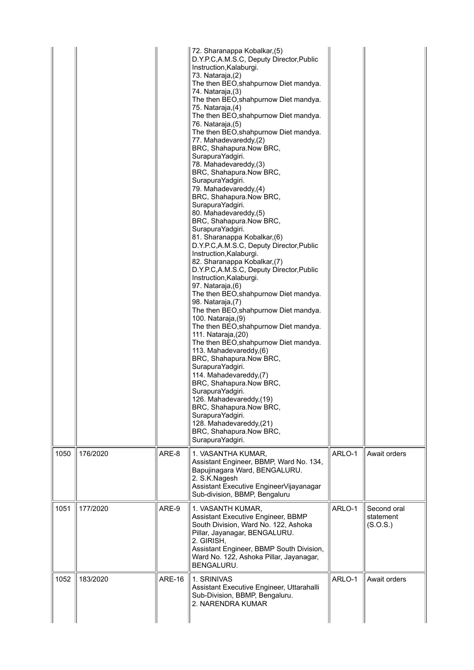|      |          |               | 72. Sharanappa Kobalkar, (5)<br>D.Y.P.C,A.M.S.C, Deputy Director, Public<br>Instruction, Kalaburgi.<br>73. Nataraja, (2)<br>The then BEO, shahpurnow Diet mandya.<br>74. Nataraja, (3)<br>The then BEO, shahpurnow Diet mandya.<br>75. Nataraja, (4)<br>The then BEO, shahpurnow Diet mandya.<br>76. Nataraja, (5)<br>The then BEO, shahpurnow Diet mandya.<br>77. Mahadevareddy, (2)<br>BRC, Shahapura.Now BRC,<br>SurapuraYadgiri.<br>78. Mahadevareddy, (3)<br>BRC, Shahapura.Now BRC,<br>SurapuraYadgiri.<br>79. Mahadevareddy, (4)<br>BRC, Shahapura.Now BRC,<br>SurapuraYadgiri.<br>80. Mahadevareddy, (5)<br>BRC, Shahapura.Now BRC,<br>SurapuraYadgiri.<br>81. Sharanappa Kobalkar, (6)<br>D.Y.P.C, A.M.S.C, Deputy Director, Public<br>Instruction, Kalaburgi.<br>82. Sharanappa Kobalkar, (7)<br>D.Y.P.C,A.M.S.C, Deputy Director, Public<br>Instruction, Kalaburgi.<br>97. Nataraja, (6)<br>The then BEO, shahpurnow Diet mandya.<br>98. Nataraja,(7)<br>The then BEO, shahpurnow Diet mandya.<br>100. Nataraja,(9)<br>The then BEO, shahpurnow Diet mandya.<br>111. Nataraja, (20)<br>The then BEO, shahpurnow Diet mandya.<br>113. Mahadevareddy, (6)<br>BRC, Shahapura.Now BRC,<br>SurapuraYadgiri.<br>114. Mahadevareddy, (7)<br>BRC, Shahapura.Now BRC,<br>SurapuraYadgiri.<br>126. Mahadevareddy,(19)<br>BRC, Shahapura.Now BRC,<br>SurapuraYadgiri.<br>128. Mahadevareddy,(21)<br>BRC, Shahapura.Now BRC,<br>SurapuraYadgiri. |        |                                      |
|------|----------|---------------|-------------------------------------------------------------------------------------------------------------------------------------------------------------------------------------------------------------------------------------------------------------------------------------------------------------------------------------------------------------------------------------------------------------------------------------------------------------------------------------------------------------------------------------------------------------------------------------------------------------------------------------------------------------------------------------------------------------------------------------------------------------------------------------------------------------------------------------------------------------------------------------------------------------------------------------------------------------------------------------------------------------------------------------------------------------------------------------------------------------------------------------------------------------------------------------------------------------------------------------------------------------------------------------------------------------------------------------------------------------------------------------------------------------------------------------------------|--------|--------------------------------------|
| 1050 | 176/2020 | ARE-8         | 1. VASANTHA KUMAR,<br>Assistant Engineer, BBMP, Ward No. 134,<br>Bapujinagara Ward, BENGALURU.<br>2. S.K.Nagesh<br>Assistant Executive EngineerVijayanagar<br>Sub-division, BBMP, Bengaluru                                                                                                                                                                                                                                                                                                                                                                                                                                                                                                                                                                                                                                                                                                                                                                                                                                                                                                                                                                                                                                                                                                                                                                                                                                                     | ARLO-1 | Await orders                         |
| 1051 | 177/2020 | ARE-9         | 1. VASANTH KUMAR,<br>Assistant Executive Engineer, BBMP<br>South Division, Ward No. 122, Ashoka<br>Pillar, Jayanagar, BENGALURU.<br>2. GIRISH,<br>Assistant Engineer, BBMP South Division,<br>Ward No. 122, Ashoka Pillar, Jayanagar,<br>BENGALURU.                                                                                                                                                                                                                                                                                                                                                                                                                                                                                                                                                                                                                                                                                                                                                                                                                                                                                                                                                                                                                                                                                                                                                                                             | ARLO-1 | Second oral<br>statement<br>(S.O.S.) |
| 1052 | 183/2020 | <b>ARE-16</b> | 1. SRINIVAS<br>Assistant Executive Engineer, Uttarahalli<br>Sub-Division, BBMP, Bengaluru.<br>2. NARENDRA KUMAR                                                                                                                                                                                                                                                                                                                                                                                                                                                                                                                                                                                                                                                                                                                                                                                                                                                                                                                                                                                                                                                                                                                                                                                                                                                                                                                                 | ARLO-1 | Await orders                         |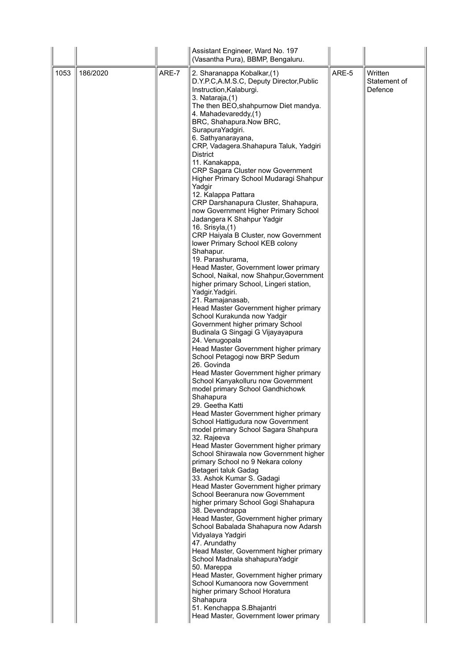|      |          |       | Assistant Engineer, Ward No. 197<br>(Vasantha Pura), BBMP, Bengaluru.                                                                                                                                                                                                                                                                                                                                                                                                                                                                                                                                                                                                                                                                                                                                                                                                                                                                                                                                                                                                                                                                                                                                                                                                                                                                                                                                                                                                                                                                                                                                                |       |                                    |
|------|----------|-------|----------------------------------------------------------------------------------------------------------------------------------------------------------------------------------------------------------------------------------------------------------------------------------------------------------------------------------------------------------------------------------------------------------------------------------------------------------------------------------------------------------------------------------------------------------------------------------------------------------------------------------------------------------------------------------------------------------------------------------------------------------------------------------------------------------------------------------------------------------------------------------------------------------------------------------------------------------------------------------------------------------------------------------------------------------------------------------------------------------------------------------------------------------------------------------------------------------------------------------------------------------------------------------------------------------------------------------------------------------------------------------------------------------------------------------------------------------------------------------------------------------------------------------------------------------------------------------------------------------------------|-------|------------------------------------|
| 1053 | 186/2020 | ARE-7 | 2. Sharanappa Kobalkar, (1)<br>D.Y.P.C,A.M.S.C, Deputy Director, Public<br>Instruction, Kalaburgi.<br>3. Nataraja, (1)<br>The then BEO, shahpurnow Diet mandya.<br>4. Mahadevareddy, (1)<br>BRC, Shahapura.Now BRC,<br>SurapuraYadgiri.<br>6. Sathyanarayana,<br>CRP, Vadagera.Shahapura Taluk, Yadgiri<br><b>District</b><br>11. Kanakappa,<br>CRP Sagara Cluster now Government<br>Higher Primary School Mudaragi Shahpur<br>Yadgir<br>12. Kalappa Pattara<br>CRP Darshanapura Cluster, Shahapura,<br>now Government Higher Primary School<br>Jadangera K Shahpur Yadgir<br>16. Srisyla, (1)<br>CRP Haiyala B Cluster, now Government<br>lower Primary School KEB colony<br>Shahapur.<br>19. Parashurama,<br>Head Master, Government lower primary<br>School, Naikal, now Shahpur, Government<br>higher primary School, Lingeri station,<br>Yadgir. Yadgiri.<br>21. Ramajanasab,<br>Head Master Government higher primary<br>School Kurakunda now Yadgir<br>Government higher primary School<br>Budinala G Singagi G Vijayayapura<br>24. Venugopala<br>Head Master Government higher primary<br>School Petagogi now BRP Sedum<br>26. Govinda<br>Head Master Government higher primary<br>School Kanyakolluru now Government<br>model primary School Gandhichowk<br>Shahapura<br>29. Geetha Katti<br>Head Master Government higher primary<br>School Hattigudura now Government<br>model primary School Sagara Shahpura<br>32. Rajeeva<br>Head Master Government higher primary<br>School Shirawala now Government higher<br>primary School no 9 Nekara colony<br>Betageri taluk Gadag<br>33. Ashok Kumar S. Gadagi | ARE-5 | Written<br>Statement of<br>Defence |
|      |          |       | Head Master Government higher primary<br>School Beeranura now Government<br>higher primary School Gogi Shahapura<br>38. Devendrappa<br>Head Master, Government higher primary<br>School Babalada Shahapura now Adarsh<br>Vidyalaya Yadgiri<br>47. Arundathy<br>Head Master, Government higher primary<br>School Madnala shahapuraYadgir<br>50. Mareppa<br>Head Master, Government higher primary<br>School Kumanoora now Government<br>higher primary School Horatura<br>Shahapura<br>51. Kenchappa S.Bhajantri<br>Head Master, Government lower primary                                                                                                                                                                                                                                                                                                                                                                                                                                                                                                                                                                                                                                                                                                                                                                                                                                                                                                                                                                                                                                                             |       |                                    |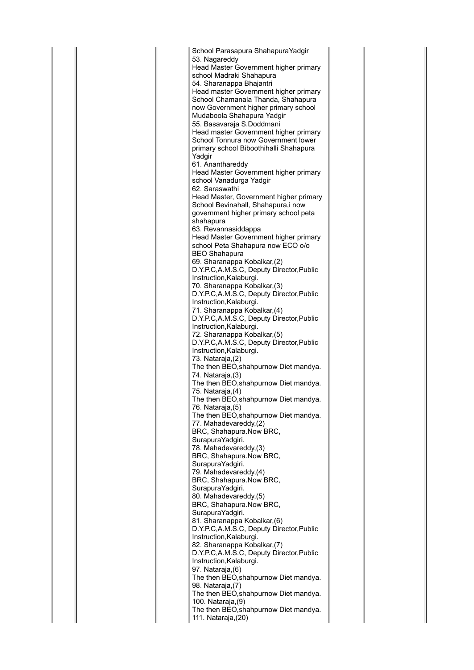School Parasapura ShahapuraYadgir 53. Nagareddy Head Master Government higher primary school Madraki Shahapura 54. Sharanappa Bhajantri Head master Government higher primary School Chamanala Thanda, Shahapura now Government higher primary school Mudaboola Shahapura Yadgir 55. Basavaraja S.Doddmani Head master Government higher primary School Tonnura now Government lower primary school Biboothihalli Shahapura Yadgir 61. Ananthareddy Head Master Government higher primary school Vanadurga Yadgir 62. Saraswathi Head Master, Government higher primary School Bevinahall, Shahapura,i now government higher primary school peta shahapura 63. Revannasiddappa Head Master Government higher primary school Peta Shahapura now ECO o/o BEO Shahapura 69. Sharanappa Kobalkar,(2) D.Y.P.C,A.M.S.C, Deputy Director,Public Instruction,Kalaburgi. 70. Sharanappa Kobalkar,(3) D.Y.P.C,A.M.S.C, Deputy Director,Public Instruction,Kalaburgi. 71. Sharanappa Kobalkar,(4) D.Y.P.C,A.M.S.C, Deputy Director,Public Instruction,Kalaburgi. 72. Sharanappa Kobalkar,(5) D.Y.P.C,A.M.S.C, Deputy Director,Public Instruction,Kalaburgi. 73. Nataraja,(2) The then BEO,shahpurnow Diet mandya. 74. Nataraja,(3) The then BEO,shahpurnow Diet mandya. 75. Nataraja,(4) The then BEO,shahpurnow Diet mandya. 76. Nataraja,(5) The then BEO,shahpurnow Diet mandya. 77. Mahadevareddy,(2) BRC, Shahapura.Now BRC, SurapuraYadgiri. 78. Mahadevareddy,(3) BRC, Shahapura.Now BRC, SurapuraYadgiri. 79. Mahadevareddy,(4) BRC, Shahapura.Now BRC, SurapuraYadgiri. 80. Mahadevareddy,(5) BRC, Shahapura.Now BRC, SurapuraYadgiri. 81. Sharanappa Kobalkar,(6) D.Y.P.C,A.M.S.C, Deputy Director,Public Instruction,Kalaburgi. 82. Sharanappa Kobalkar,(7) D.Y.P.C,A.M.S.C, Deputy Director,Public Instruction,Kalaburgi. 97. Nataraja,(6) The then BEO,shahpurnow Diet mandya. 98. Nataraja,(7) The then BEO,shahpurnow Diet mandya. 100. Nataraja,(9) The then BEO,shahpurnow Diet mandya. 111. Nataraja,(20)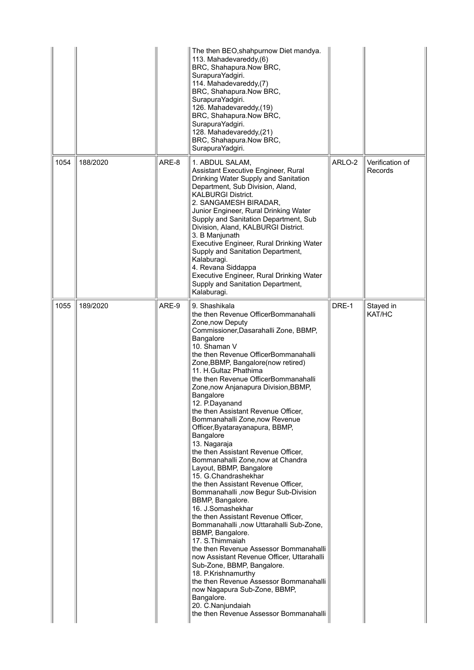|      |          |       | The then BEO, shahpurnow Diet mandya.<br>113. Mahadevareddy, (6)<br>BRC, Shahapura.Now BRC,<br>SurapuraYadgiri.<br>114. Mahadevareddy, (7)<br>BRC, Shahapura.Now BRC,<br>SurapuraYadgiri.<br>126. Mahadevareddy, (19)<br>BRC, Shahapura.Now BRC,<br>SurapuraYadgiri.<br>128. Mahadevareddy,(21)<br>BRC, Shahapura.Now BRC,<br>SurapuraYadgiri.                                                                                                                                                                                                                                                                                                                                                                                                                                                                                                                                                                                                                                                                                                                                                                                                                                                             |        |                            |
|------|----------|-------|------------------------------------------------------------------------------------------------------------------------------------------------------------------------------------------------------------------------------------------------------------------------------------------------------------------------------------------------------------------------------------------------------------------------------------------------------------------------------------------------------------------------------------------------------------------------------------------------------------------------------------------------------------------------------------------------------------------------------------------------------------------------------------------------------------------------------------------------------------------------------------------------------------------------------------------------------------------------------------------------------------------------------------------------------------------------------------------------------------------------------------------------------------------------------------------------------------|--------|----------------------------|
| 1054 | 188/2020 | ARE-8 | 1. ABDUL SALAM,<br>Assistant Executive Engineer, Rural<br>Drinking Water Supply and Sanitation<br>Department, Sub Division, Aland,<br><b>KALBURGI District.</b><br>2. SANGAMESH BIRADAR,<br>Junior Engineer, Rural Drinking Water<br>Supply and Sanitation Department, Sub<br>Division, Aland, KALBURGI District.<br>3. B Manjunath<br>Executive Engineer, Rural Drinking Water<br>Supply and Sanitation Department,<br>Kalaburagi.<br>4. Revana Siddappa<br>Executive Engineer, Rural Drinking Water<br>Supply and Sanitation Department,<br>Kalaburagi.                                                                                                                                                                                                                                                                                                                                                                                                                                                                                                                                                                                                                                                  | ARLO-2 | Verification of<br>Records |
| 1055 | 189/2020 | ARE-9 | 9. Shashikala<br>the then Revenue OfficerBommanahalli<br>Zone, now Deputy<br>Commissioner, Dasarahalli Zone, BBMP,<br>Bangalore<br>10. Shaman V<br>the then Revenue OfficerBommanahalli<br>Zone, BBMP, Bangalore(now retired)<br>11. H.Gultaz Phathima<br>the then Revenue OfficerBommanahalli<br>Zone, now Anjanapura Division, BBMP,<br><b>Bangalore</b><br>12. P.Dayanand<br>the then Assistant Revenue Officer,<br>Bommanahalli Zone, now Revenue<br>Officer, Byatarayanapura, BBMP,<br>Bangalore<br>13. Nagaraja<br>the then Assistant Revenue Officer,<br>Bommanahalli Zone, now at Chandra<br>Layout, BBMP, Bangalore<br>15. G.Chandrashekhar<br>the then Assistant Revenue Officer,<br>Bommanahalli ,now Begur Sub-Division<br>BBMP, Bangalore.<br>16. J.Somashekhar<br>the then Assistant Revenue Officer,<br>Bommanahalli, now Uttarahalli Sub-Zone,<br>BBMP, Bangalore.<br>17. S. Thimmaiah<br>the then Revenue Assessor Bommanahalli<br>now Assistant Revenue Officer, Uttarahalli<br>Sub-Zone, BBMP, Bangalore.<br>18. P.Krishnamurthy<br>the then Revenue Assessor Bommanahalli<br>now Nagapura Sub-Zone, BBMP,<br>Bangalore.<br>20. C.Nanjundaiah<br>the then Revenue Assessor Bommanahalli | DRE-1  | Stayed in<br>KAT/HC        |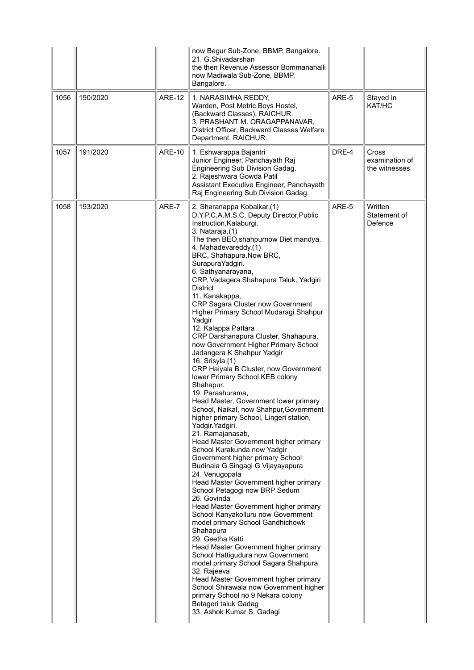| 1056 | 190/2020 | <b>ARE-12</b> | now Begur Sub-Zone, BBMP, Bangalore.<br>21. G.Shivadarshan<br>the then Revenue Assessor Bommanahalli<br>now Madiwala Sub-Zone, BBMP,<br>Bangalore.<br>1. NARASIMHA REDDY,<br>Warden, Post Metric Boys Hostel,<br>(Backward Classes), RAICHUR.<br>3. PRASHANT M. ORAGAPPANAVAR,<br>District Officer, Backward Classes Welfare<br>Department, RAICHUR.                                                                                                                                                                                                                                                                                                                                                                                                                                                                                                                                                                                                                                                                                                                                                                                                                                                                                                                                                                                                                                                                                                                                                                                                                                                                 | ARE-5 | Stayed in<br>KAT/HC                      |
|------|----------|---------------|----------------------------------------------------------------------------------------------------------------------------------------------------------------------------------------------------------------------------------------------------------------------------------------------------------------------------------------------------------------------------------------------------------------------------------------------------------------------------------------------------------------------------------------------------------------------------------------------------------------------------------------------------------------------------------------------------------------------------------------------------------------------------------------------------------------------------------------------------------------------------------------------------------------------------------------------------------------------------------------------------------------------------------------------------------------------------------------------------------------------------------------------------------------------------------------------------------------------------------------------------------------------------------------------------------------------------------------------------------------------------------------------------------------------------------------------------------------------------------------------------------------------------------------------------------------------------------------------------------------------|-------|------------------------------------------|
| 1057 | 191/2020 | <b>ARE-10</b> | 1. Eshwarappa Bajantri<br>Junior Engineer, Panchayath Raj<br>Engineering Sub Division Gadag.<br>2. Rajeshwara Gowda Patil<br>Assistant Executive Engineer, Panchayath<br>Raj Engineering Sub Division Gadag.                                                                                                                                                                                                                                                                                                                                                                                                                                                                                                                                                                                                                                                                                                                                                                                                                                                                                                                                                                                                                                                                                                                                                                                                                                                                                                                                                                                                         | DRE-4 | Cross<br>examination of<br>the witnesses |
| 1058 | 193/2020 | ARE-7         | 2. Sharanappa Kobalkar, (1)<br>D.Y.P.C,A.M.S.C, Deputy Director, Public<br>Instruction, Kalaburgi.<br>3. Nataraja, (1)<br>The then BEO, shahpurnow Diet mandya.<br>4. Mahadevareddy, (1)<br>BRC, Shahapura.Now BRC,<br>SurapuraYadgiri.<br>6. Sathyanarayana,<br>CRP, Vadagera.Shahapura Taluk, Yadgiri<br><b>District</b><br>11. Kanakappa,<br>CRP Sagara Cluster now Government<br>Higher Primary School Mudaragi Shahpur<br>Yadgir<br>12. Kalappa Pattara<br>CRP Darshanapura Cluster, Shahapura,<br>now Government Higher Primary School<br>Jadangera K Shahpur Yadgir<br>16. Srisyla, (1)<br>CRP Haiyala B Cluster, now Government<br>lower Primary School KEB colony<br>Shahapur.<br>19. Parashurama,<br>Head Master, Government lower primary<br>School, Naikal, now Shahpur, Government<br>higher primary School, Lingeri station,<br>Yadgir. Yadgiri.<br>21. Ramajanasab,<br>Head Master Government higher primary<br>School Kurakunda now Yadgir<br>Government higher primary School<br>Budinala G Singagi G Vijayayapura<br>24. Venugopala<br>Head Master Government higher primary<br>School Petagogi now BRP Sedum<br>26. Govinda<br>Head Master Government higher primary<br>School Kanyakolluru now Government<br>model primary School Gandhichowk<br>Shahapura<br>29. Geetha Katti<br>Head Master Government higher primary<br>School Hattigudura now Government<br>model primary School Sagara Shahpura<br>32. Rajeeva<br>Head Master Government higher primary<br>School Shirawala now Government higher<br>primary School no 9 Nekara colony<br>Betageri taluk Gadag<br>33. Ashok Kumar S. Gadagi | ARE-5 | Written<br>Statement of<br>Defence       |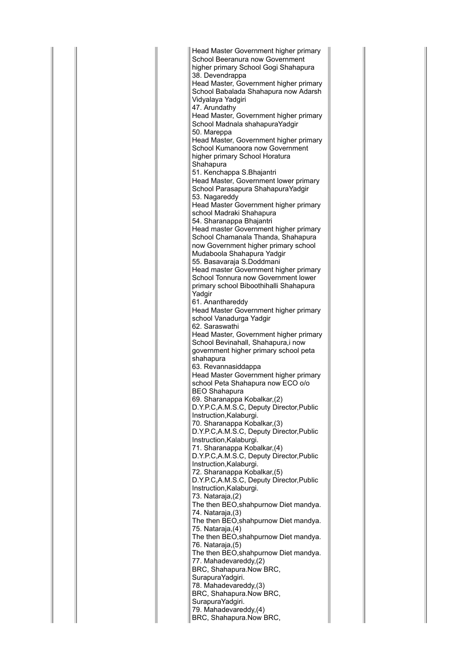Head Master Government higher primary School Beeranura now Government higher primary School Gogi Shahapura 38. Devendrappa Head Master, Government higher primary School Babalada Shahapura now Adarsh Vidyalaya Yadgiri 47. Arundathy Head Master, Government higher primary School Madnala shahapuraYadgir 50. Mareppa Head Master, Government higher primary School Kumanoora now Government higher primary School Horatura Shahapura 51. Kenchappa S.Bhajantri Head Master, Government lower primary School Parasapura ShahapuraYadgir 53. Nagareddy Head Master Government higher primary school Madraki Shahapura 54. Sharanappa Bhajantri Head master Government higher primary School Chamanala Thanda, Shahapura now Government higher primary school Mudaboola Shahapura Yadgir 55. Basavaraja S.Doddmani Head master Government higher primary School Tonnura now Government lower primary school Biboothihalli Shahapura Yadgir 61. Ananthareddy Head Master Government higher primary school Vanadurga Yadgir 62. Saraswathi Head Master, Government higher primary School Bevinahall, Shahapura,i now government higher primary school peta shahapura 63. Revannasiddappa Head Master Government higher primary school Peta Shahapura now ECO o/o BEO Shahapura 69. Sharanappa Kobalkar,(2) D.Y.P.C,A.M.S.C, Deputy Director,Public Instruction,Kalaburgi. 70. Sharanappa Kobalkar,(3) D.Y.P.C,A.M.S.C, Deputy Director,Public Instruction,Kalaburgi. 71. Sharanappa Kobalkar,(4) D.Y.P.C,A.M.S.C, Deputy Director,Public Instruction,Kalaburgi. 72. Sharanappa Kobalkar,(5) D.Y.P.C,A.M.S.C, Deputy Director,Public Instruction,Kalaburgi. 73. Nataraja,(2) The then BEO,shahpurnow Diet mandya. 74. Nataraja,(3) The then BEO,shahpurnow Diet mandya. 75. Nataraja,(4) The then BEO, shahpurnow Diet mandya. 76. Nataraja,(5) The then BEO,shahpurnow Diet mandya. 77. Mahadevareddy,(2) BRC, Shahapura.Now BRC, SurapuraYadgiri. 78. Mahadevareddy,(3) BRC, Shahapura.Now BRC, SurapuraYadgiri. 79. Mahadevareddy,(4) BRC, Shahapura.Now BRC,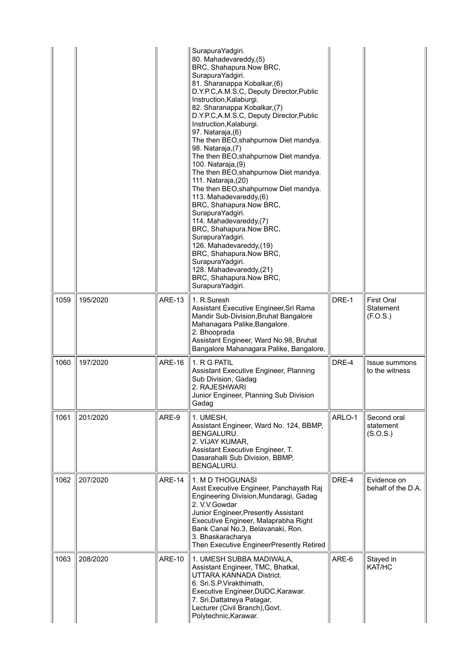|      |          |               | SurapuraYadgiri.<br>80. Mahadevareddy,(5)<br>BRC, Shahapura.Now BRC,<br>SurapuraYadgiri.<br>81. Sharanappa Kobalkar, (6)<br>D.Y.P.C,A.M.S.C, Deputy Director, Public<br>Instruction, Kalaburgi.<br>82. Sharanappa Kobalkar, (7)<br>D.Y.P.C,A.M.S.C, Deputy Director, Public<br>Instruction, Kalaburgi.<br>97. Nataraja, (6)<br>The then BEO, shahpurnow Diet mandya.<br>98. Nataraja, (7)<br>The then BEO, shahpurnow Diet mandya.<br>100. Nataraja, (9)<br>The then BEO, shahpurnow Diet mandya.<br>111. Nataraja, (20)<br>The then BEO, shahpurnow Diet mandya.<br>113. Mahadevareddy, (6)<br>BRC, Shahapura.Now BRC,<br>SurapuraYadgiri.<br>114. Mahadevareddy,(7)<br>BRC, Shahapura.Now BRC,<br>SurapuraYadgiri.<br>126. Mahadevareddy, (19)<br>BRC, Shahapura.Now BRC,<br>SurapuraYadgiri.<br>128. Mahadevareddy,(21)<br>BRC, Shahapura.Now BRC,<br>SurapuraYadgiri. |        |                                            |
|------|----------|---------------|---------------------------------------------------------------------------------------------------------------------------------------------------------------------------------------------------------------------------------------------------------------------------------------------------------------------------------------------------------------------------------------------------------------------------------------------------------------------------------------------------------------------------------------------------------------------------------------------------------------------------------------------------------------------------------------------------------------------------------------------------------------------------------------------------------------------------------------------------------------------------|--------|--------------------------------------------|
| 1059 | 195/2020 | <b>ARE-13</b> | 1. R.Suresh<br>Assistant Executive Engineer, Sri Rama<br>Mandir Sub-Division, Bruhat Bangalore<br>Mahanagara Palike, Bangalore.<br>2. Bhooprada<br>Assistant Engineer, Ward No.98, Bruhat<br>Bangalore Mahanagara Palike, Bangalore.                                                                                                                                                                                                                                                                                                                                                                                                                                                                                                                                                                                                                                      | DRE-1  | <b>First Oral</b><br>Statement<br>(F.O.S.) |
| 1060 | 197/2020 | <b>ARE-16</b> | 1. R G PATIL<br>Assistant Executive Engineer, Planning<br>Sub Division, Gadag<br>2. RAJESHWARI<br>Junior Engineer, Planning Sub Division<br>Gadag                                                                                                                                                                                                                                                                                                                                                                                                                                                                                                                                                                                                                                                                                                                         | DRE-4  | <b>Issue summons</b><br>to the witness     |
| 1061 | 201/2020 | ARE-9         | 1. UMESH,<br>Assistant Engineer, Ward No. 124, BBMP,<br>BENGALURU.<br>2. VIJAY KUMAR,<br>Assistant Executive Engineer, T.<br>Dasarahalli Sub Division, BBMP,<br>BENGALURU.                                                                                                                                                                                                                                                                                                                                                                                                                                                                                                                                                                                                                                                                                                | ARLO-1 | Second oral<br>statement<br>(S.O.S.)       |
| 1062 | 207/2020 | <b>ARE-14</b> | 1. M D THOGUNASI<br>Asst Executive Engineer, Panchayath Raj<br>Engineering Division, Mundaragi, Gadag<br>2. V.V.Gowdar<br>Junior Engineer, Presently Assistant<br>Executive Engineer, Malaprabha Right<br>Bank Canal No.3, Belavanaki, Ron.<br>3. Bhaskaracharya<br>Then Executive EngineerPresently Retired                                                                                                                                                                                                                                                                                                                                                                                                                                                                                                                                                              | DRE-4  | Evidence on<br>behalf of the D.A.          |
| 1063 | 208/2020 | <b>ARE-10</b> | 1. UMESH SUBBA MADIWALA,<br>Assistant Engineer, TMC, Bhatkal,<br>UTTARA KANNADA District.<br>6. Sri.S.P. Virakthimath,<br>Executive Engineer, DUDC, Karawar.<br>7. Sri.Dattatreya Patagar,<br>Lecturer (Civil Branch), Govt.<br>Polytechnic, Karawar.                                                                                                                                                                                                                                                                                                                                                                                                                                                                                                                                                                                                                     | ARE-6  | Stayed in<br>KAT/HC                        |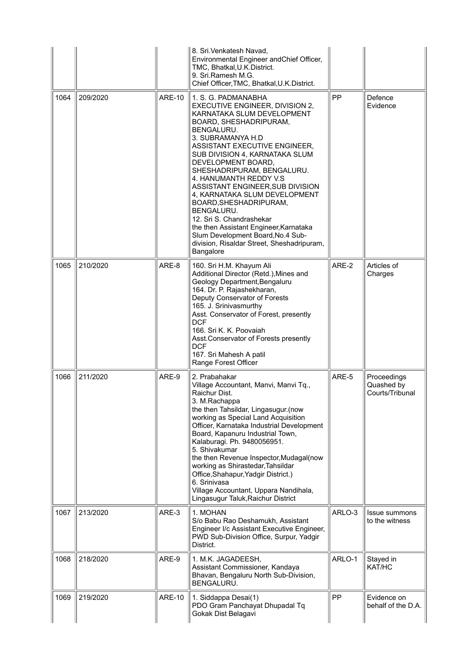|      |          |               | 8. Sri. Venkatesh Navad,<br>Environmental Engineer andChief Officer,<br>TMC, Bhatkal, U.K.District.<br>9. Sri.Ramesh M.G.<br>Chief Officer, TMC, Bhatkal, U.K. District.                                                                                                                                                                                                                                                                                                                                                                                                                      |           |                                              |
|------|----------|---------------|-----------------------------------------------------------------------------------------------------------------------------------------------------------------------------------------------------------------------------------------------------------------------------------------------------------------------------------------------------------------------------------------------------------------------------------------------------------------------------------------------------------------------------------------------------------------------------------------------|-----------|----------------------------------------------|
| 1064 | 209/2020 | <b>ARE-10</b> | 1. S. G. PADMANABHA<br>EXECUTIVE ENGINEER, DIVISION 2,<br>KARNATAKA SLUM DEVELOPMENT<br>BOARD, SHESHADRIPURAM,<br>BENGALURU.<br>3. SUBRAMANYA H.D<br>ASSISTANT EXECUTIVE ENGINEER,<br>SUB DIVISION 4, KARNATAKA SLUM<br>DEVELOPMENT BOARD,<br>SHESHADRIPURAM, BENGALURU.<br>4. HANUMANTH REDDY V.S.<br>ASSISTANT ENGINEER, SUB DIVISION<br>4, KARNATAKA SLUM DEVELOPMENT<br>BOARD, SHESHADRIPURAM,<br><b>BENGALURU.</b><br>12. Sri S. Chandrashekar<br>the then Assistant Engineer, Karnataka<br>Slum Development Board, No.4 Sub-<br>division, Risaldar Street, Sheshadripuram,<br>Bangalore | <b>PP</b> | Defence<br>Evidence                          |
| 1065 | 210/2020 | ARE-8         | 160. Sri H.M. Khayum Ali<br>Additional Director (Retd.), Mines and<br>Geology Department, Bengaluru<br>164. Dr. P. Rajashekharan,<br>Deputy Conservator of Forests<br>165. J. Srinivasmurthy<br>Asst. Conservator of Forest, presently<br><b>DCF</b><br>166. Sri K. K. Poovaiah<br>Asst.Conservator of Forests presently<br><b>DCF</b><br>167. Sri Mahesh A patil<br>Range Forest Officer                                                                                                                                                                                                     | ARE-2     | Articles of<br>Charges                       |
| 1066 | 211/2020 | ARE-9         | 2. Prabahakar<br>Village Accountant, Manvi, Manvi Tq.,<br>Raichur Dist.<br>3. M.Rachappa<br>the then Tahsildar, Lingasugur.(now<br>working as Special Land Acquisition<br>Officer, Karnataka Industrial Development<br>Board, Kapanuru Industrial Town,<br>Kalaburagi. Ph. 9480056951.<br>5. Shivakumar<br>the then Revenue Inspector, Mudagal (now<br>working as Shirastedar, Tahsildar<br>Office, Shahapur, Yadgir District.)<br>6. Srinivasa<br>Village Accountant, Uppara Nandihala,<br>Lingasugur Taluk, Raichur District                                                                | ARE-5     | Proceedings<br>Quashed by<br>Courts/Tribunal |
| 1067 | 213/2020 | ARE-3         | 1. MOHAN<br>S/o Babu Rao Deshamukh, Assistant<br>Engineer I/c Assistant Executive Engineer,<br>PWD Sub-Division Office, Surpur, Yadgir<br>District.                                                                                                                                                                                                                                                                                                                                                                                                                                           | ARLO-3    | Issue summons<br>to the witness              |
| 1068 | 218/2020 | ARE-9         | 1. M.K. JAGADEESH,<br>Assistant Commissioner, Kandaya<br>Bhavan, Bengaluru North Sub-Division,<br>BENGALURU.                                                                                                                                                                                                                                                                                                                                                                                                                                                                                  | ARLO-1    | Stayed in<br>KAT/HC                          |
| 1069 | 219/2020 | <b>ARE-10</b> | 1. Siddappa Desai(1)<br>PDO Gram Panchayat Dhupadal Tq<br>Gokak Dist Belagavi                                                                                                                                                                                                                                                                                                                                                                                                                                                                                                                 | PP        | Evidence on<br>behalf of the D.A.            |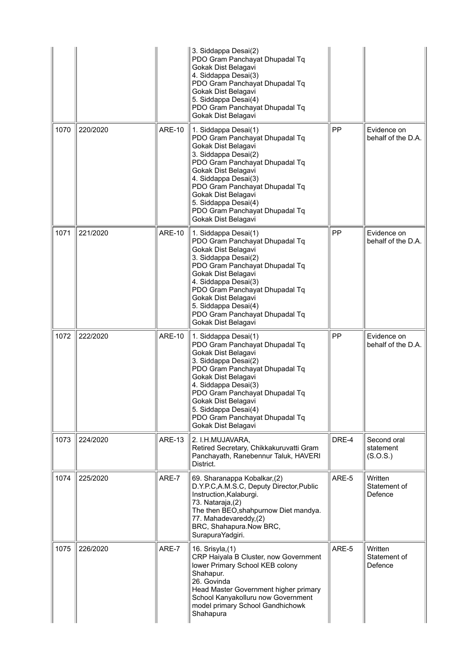|      |          |               | 3. Siddappa Desai(2)<br>PDO Gram Panchayat Dhupadal Tq<br>Gokak Dist Belagavi<br>4. Siddappa Desai(3)<br>PDO Gram Panchayat Dhupadal Tq<br>Gokak Dist Belagavi<br>5. Siddappa Desai(4)<br>PDO Gram Panchayat Dhupadal Tq<br>Gokak Dist Belagavi                                                                                  |       |                                      |
|------|----------|---------------|----------------------------------------------------------------------------------------------------------------------------------------------------------------------------------------------------------------------------------------------------------------------------------------------------------------------------------|-------|--------------------------------------|
| 1070 | 220/2020 | <b>ARE-10</b> | 1. Siddappa Desai(1)<br>PDO Gram Panchayat Dhupadal Tq<br>Gokak Dist Belagavi<br>3. Siddappa Desai(2)<br>PDO Gram Panchayat Dhupadal Tq<br>Gokak Dist Belagavi<br>4. Siddappa Desai(3)<br>PDO Gram Panchayat Dhupadal Tq<br>Gokak Dist Belagavi<br>5. Siddappa Desai(4)<br>PDO Gram Panchayat Dhupadal Tq<br>Gokak Dist Belagavi | PP    | Evidence on<br>behalf of the D.A.    |
| 1071 | 221/2020 | <b>ARE-10</b> | 1. Siddappa Desai(1)<br>PDO Gram Panchayat Dhupadal Tq<br>Gokak Dist Belagavi<br>3. Siddappa Desai(2)<br>PDO Gram Panchayat Dhupadal Tq<br>Gokak Dist Belagavi<br>4. Siddappa Desai(3)<br>PDO Gram Panchayat Dhupadal Tq<br>Gokak Dist Belagavi<br>5. Siddappa Desai(4)<br>PDO Gram Panchayat Dhupadal Tq<br>Gokak Dist Belagavi | PP    | Evidence on<br>behalf of the D.A.    |
| 1072 | 222/2020 | <b>ARE-10</b> | 1. Siddappa Desai(1)<br>PDO Gram Panchayat Dhupadal Tq<br>Gokak Dist Belagavi<br>3. Siddappa Desai(2)<br>PDO Gram Panchayat Dhupadal Tq<br>Gokak Dist Belagavi<br>4. Siddappa Desai(3)<br>PDO Gram Panchayat Dhupadal Tq<br>Gokak Dist Belagavi<br>5. Siddappa Desai(4)<br>PDO Gram Panchayat Dhupadal Tq<br>Gokak Dist Belagavi | PP    | Evidence on<br>behalf of the D.A.    |
| 1073 | 224/2020 | <b>ARE-13</b> | 2. I.H.MUJAVARA,<br>Retired Secretary, Chikkakuruvatti Gram<br>Panchayath, Ranebennur Taluk, HAVERI<br>District.                                                                                                                                                                                                                 | DRE-4 | Second oral<br>statement<br>(S.O.S.) |
| 1074 | 225/2020 | ARE-7         | 69. Sharanappa Kobalkar, (2)<br>D.Y.P.C,A.M.S.C, Deputy Director, Public<br>Instruction, Kalaburgi.<br>73. Nataraja,(2)<br>The then BEO, shahpurnow Diet mandya.<br>77. Mahadevareddy,(2)<br>BRC, Shahapura.Now BRC,<br>SurapuraYadgiri.                                                                                         | ARE-5 | Written<br>Statement of<br>Defence   |
| 1075 | 226/2020 | ARE-7         | 16. Srisyla, (1)<br>CRP Haiyala B Cluster, now Government<br>lower Primary School KEB colony<br>Shahapur.<br>26. Govinda<br>Head Master Government higher primary<br>School Kanyakolluru now Government<br>model primary School Gandhichowk<br>Shahapura                                                                         | ARE-5 | Written<br>Statement of<br>Defence   |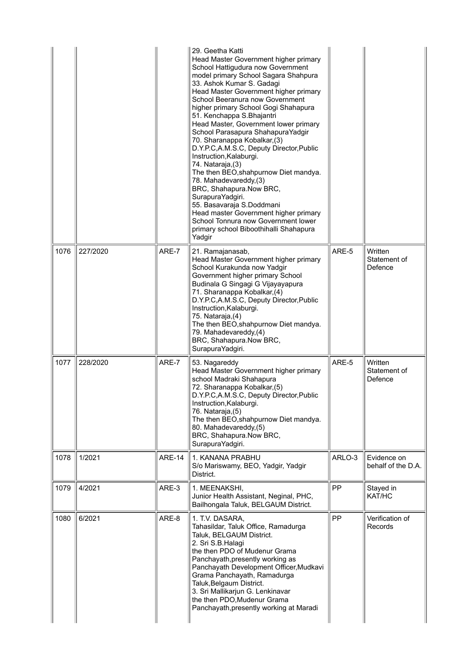|      |          |               | 29. Geetha Katti<br>Head Master Government higher primary<br>School Hattigudura now Government<br>model primary School Sagara Shahpura<br>33. Ashok Kumar S. Gadagi<br>Head Master Government higher primary<br>School Beeranura now Government<br>higher primary School Gogi Shahapura<br>51. Kenchappa S.Bhajantri<br>Head Master, Government lower primary<br>School Parasapura ShahapuraYadgir<br>70. Sharanappa Kobalkar, (3)<br>D.Y.P.C,A.M.S.C, Deputy Director, Public<br>Instruction, Kalaburgi.<br>74. Nataraja, (3)<br>The then BEO, shahpurnow Diet mandya.<br>78. Mahadevareddy, (3)<br>BRC, Shahapura.Now BRC,<br>SurapuraYadgiri.<br>55. Basavaraja S.Doddmani<br>Head master Government higher primary<br>School Tonnura now Government lower<br>primary school Biboothihalli Shahapura<br>Yadgir |        |                                    |
|------|----------|---------------|-------------------------------------------------------------------------------------------------------------------------------------------------------------------------------------------------------------------------------------------------------------------------------------------------------------------------------------------------------------------------------------------------------------------------------------------------------------------------------------------------------------------------------------------------------------------------------------------------------------------------------------------------------------------------------------------------------------------------------------------------------------------------------------------------------------------|--------|------------------------------------|
| 1076 | 227/2020 | ARE-7         | 21. Ramajanasab,<br>Head Master Government higher primary<br>School Kurakunda now Yadgir<br>Government higher primary School<br>Budinala G Singagi G Vijayayapura<br>71. Sharanappa Kobalkar, (4)<br>D.Y.P.C,A.M.S.C, Deputy Director, Public<br>Instruction, Kalaburgi.<br>75. Nataraja, (4)<br>The then BEO, shahpurnow Diet mandya.<br>79. Mahadevareddy,(4)<br>BRC, Shahapura.Now BRC,<br>SurapuraYadgiri.                                                                                                                                                                                                                                                                                                                                                                                                    | ARE-5  | Written<br>Statement of<br>Defence |
| 1077 | 228/2020 | ARE-7         | 53. Nagareddy<br>Head Master Government higher primary<br>school Madraki Shahapura<br>72. Sharanappa Kobalkar, (5)<br>D.Y.P.C,A.M.S.C, Deputy Director, Public<br>Instruction, Kalaburgi.<br>76. Nataraja, (5)<br>The then BEO, shahpurnow Diet mandya.<br>80. Mahadevareddy,(5)<br>BRC, Shahapura.Now BRC,<br>SurapuraYadgiri.                                                                                                                                                                                                                                                                                                                                                                                                                                                                                   | ARE-5  | Written<br>Statement of<br>Defence |
| 1078 | 1/2021   | <b>ARE-14</b> | 1. KANANA PRABHU<br>S/o Mariswamy, BEO, Yadgir, Yadgir<br>District.                                                                                                                                                                                                                                                                                                                                                                                                                                                                                                                                                                                                                                                                                                                                               | ARLO-3 | Evidence on<br>behalf of the D.A.  |
| 1079 | 4/2021   | ARE-3         | 1. MEENAKSHI,<br>Junior Health Assistant, Neginal, PHC,<br>Bailhongala Taluk, BELGAUM District.                                                                                                                                                                                                                                                                                                                                                                                                                                                                                                                                                                                                                                                                                                                   | PP     | Stayed in<br>KAT/HC                |
| 1080 | 6/2021   | ARE-8         | 1. T.V. DASARA,<br>Tahasildar, Taluk Office, Ramadurga<br>Taluk, BELGAUM District.<br>2. Sri S.B.Halagi<br>the then PDO of Mudenur Grama<br>Panchayath, presently working as<br>Panchayath Development Officer, Mudkavi<br>Grama Panchayath, Ramadurga<br>Taluk, Belgaum District.<br>3. Sri Mallikarjun G. Lenkinavar<br>the then PDO, Mudenur Grama<br>Panchayath, presently working at Maradi                                                                                                                                                                                                                                                                                                                                                                                                                  | PP     | Verification of<br>Records         |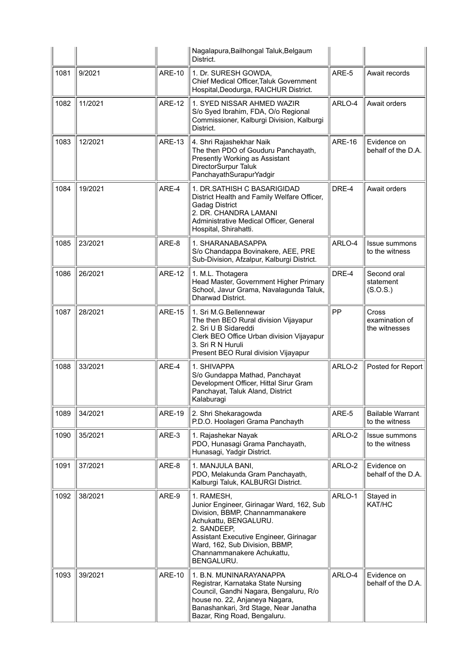|      |         |               | Nagalapura, Bailhongal Taluk, Belgaum<br>District.                                                                                                                                                                                                          |               |                                           |
|------|---------|---------------|-------------------------------------------------------------------------------------------------------------------------------------------------------------------------------------------------------------------------------------------------------------|---------------|-------------------------------------------|
| 1081 | 9/2021  | <b>ARE-10</b> | 1. Dr. SURESH GOWDA,<br>Chief Medical Officer, Taluk Government<br>Hospital, Deodurga, RAICHUR District.                                                                                                                                                    | ARE-5         | Await records                             |
| 1082 | 11/2021 | <b>ARE-12</b> | 1. SYED NISSAR AHMED WAZIR<br>S/o Syed Ibrahim, FDA, O/o Regional<br>Commissioner, Kalburgi Division, Kalburgi<br>District.                                                                                                                                 | ARLO-4        | Await orders                              |
| 1083 | 12/2021 | <b>ARE-13</b> | 4. Shri Rajashekhar Naik<br>The then PDO of Gouduru Panchayath,<br>Presently Working as Assistant<br>DirectorSurpur Taluk<br>PanchayathSurapurYadgir                                                                                                        | <b>ARE-16</b> | Evidence on<br>behalf of the D.A.         |
| 1084 | 19/2021 | ARE-4         | 1. DR.SATHISH C BASARIGIDAD<br>District Health and Family Welfare Officer,<br><b>Gadag District</b><br>2. DR. CHANDRA LAMANI<br>Administrative Medical Officer, General<br>Hospital, Shirahatti.                                                            | DRE-4         | Await orders                              |
| 1085 | 23/2021 | ARE-8         | 1. SHARANABASAPPA<br>S/o Chandappa Bovinakere, AEE, PRE<br>Sub-Division, Afzalpur, Kalburgi District.                                                                                                                                                       | ARLO-4        | <b>Issue summons</b><br>to the witness    |
| 1086 | 26/2021 | <b>ARE-12</b> | 1. M.L. Thotagera<br>Head Master, Government Higher Primary<br>School, Javur Grama, Navalagunda Taluk,<br>Dharwad District.                                                                                                                                 | DRE-4         | Second oral<br>statement<br>(S.O.S.)      |
| 1087 | 28/2021 | <b>ARE-15</b> | 1. Sri M.G.Bellennewar<br>The then BEO Rural division Vijayapur<br>2. Sri U B Sidareddi<br>Clerk BEO Office Urban division Vijayapur<br>3. Sri R N Huruli<br>Present BEO Rural division Vijayapur                                                           | PP            | Cross<br>examination of<br>the witnesses  |
| 1088 | 33/2021 | ARE-4         | 1. SHIVAPPA<br>S/o Gundappa Mathad, Panchayat<br>Development Officer, Hittal Sirur Gram<br>Panchayat, Taluk Aland, District<br>Kalaburagi                                                                                                                   | ARLO-2        | Posted for Report                         |
| 1089 | 34/2021 | <b>ARE-19</b> | 2. Shri Shekaragowda<br>P.D.O. Hoolageri Grama Panchayth                                                                                                                                                                                                    | ARE-5         | <b>Bailable Warrant</b><br>to the witness |
| 1090 | 35/2021 | ARE-3         | 1. Rajashekar Nayak<br>PDO, Hunasagi Grama Panchayath,<br>Hunasagi, Yadgir District.                                                                                                                                                                        | ARLO-2        | Issue summons<br>to the witness           |
| 1091 | 37/2021 | ARE-8         | 1. MANJULA BANI,<br>PDO, Melakunda Gram Panchayath,<br>Kalburgi Taluk, KALBURGI District.                                                                                                                                                                   | ARLO-2        | Evidence on<br>behalf of the D.A.         |
| 1092 | 38/2021 | ARE-9         | 1. RAMESH,<br>Junior Engineer, Girinagar Ward, 162, Sub<br>Division, BBMP, Channammanakere<br>Achukattu, BENGALURU.<br>2. SANDEEP,<br>Assistant Executive Engineer, Girinagar<br>Ward, 162, Sub Division, BBMP,<br>Channammanakere Achukattu,<br>BENGALURU. | ARLO-1        | Stayed in<br>KAT/HC                       |
| 1093 | 39/2021 | <b>ARE-10</b> | 1. B.N. MUNINARAYANAPPA<br>Registrar, Karnataka State Nursing<br>Council, Gandhi Nagara, Bengaluru, R/o<br>house no. 22, Anjaneya Nagara,<br>Banashankari, 3rd Stage, Near Janatha<br>Bazar, Ring Road, Bengaluru.                                          | ARLO-4        | Evidence on<br>behalf of the D.A.         |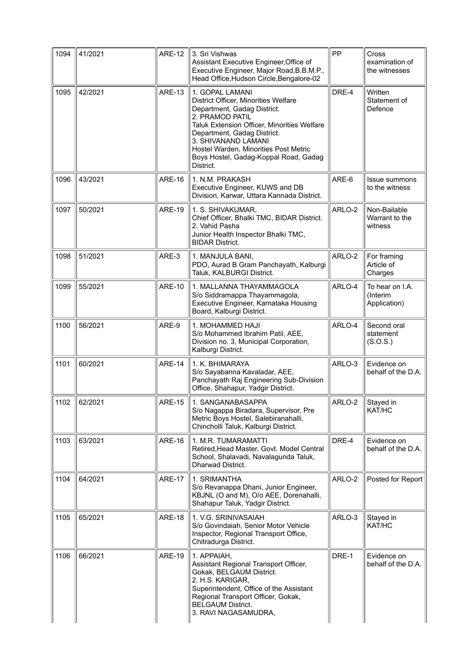| 1094 | 41/2021 | <b>ARE-12</b> | 3. Sri Vishwas<br>Assistant Executive Engineer, Office of<br>Executive Engineer, Major Road, B.B.M.P.,<br>Head Office, Hudson Circle, Bengalore-02                                                                                                                                                            | PP     | Cross<br>examination of<br>the witnesses    |
|------|---------|---------------|---------------------------------------------------------------------------------------------------------------------------------------------------------------------------------------------------------------------------------------------------------------------------------------------------------------|--------|---------------------------------------------|
| 1095 | 42/2021 | <b>ARE-13</b> | 1. GOPAL LAMANI<br>District Officer, Minorities Welfare<br>Department, Gadag District.<br>2. PRAMOD PATIL<br>Taluk Extension Officer, Minorities Welfare<br>Department, Gadag District.<br>3. SHIVANAND LAMANI<br>Hostel Warden, Minorities Post Metric<br>Boys Hostel, Gadag-Koppal Road, Gadag<br>District. | DRE-4  | Written<br>Statement of<br>Defence          |
| 1096 | 43/2021 | <b>ARE-16</b> | 1. N.M. PRAKASH<br>Executive Engineer, KUWS and DB<br>Division, Karwar, Uttara Kannada District.                                                                                                                                                                                                              | ARE-6  | Issue summons<br>to the witness             |
| 1097 | 50/2021 | <b>ARE-19</b> | 1. S. SHIVAKUMAR,<br>Chief Officer, Bhalki TMC, BIDAR District.<br>2. Vahid Pasha<br>Junior Health Inspector Bhalki TMC,<br><b>BIDAR District.</b>                                                                                                                                                            | ARLO-2 | Non-Bailable<br>Warrant to the<br>witness   |
| 1098 | 51/2021 | ARE-3         | 1. MANJULA BANI,<br>PDO, Aurad B Gram Panchayath, Kalburgi<br>Taluk, KALBURGI District.                                                                                                                                                                                                                       | ARLO-2 | For framing<br>Article of<br>Charges        |
| 1099 | 55/2021 | <b>ARE-10</b> | 1. MALLANNA THAYAMMAGOLA<br>S/o Siddramappa Thayammagola,<br>Executive Engineer, Karnataka Housing<br>Board, Kalburgi District.                                                                                                                                                                               | ARLO-4 | To hear on I.A.<br>(Interim<br>Application) |
| 1100 | 56/2021 | ARE-9         | 1. MOHAMMED HAJI<br>S/o Mohammed Ibrahim Patil, AEE,<br>Division no. 3, Municipal Corporation,<br>Kalburgi District.                                                                                                                                                                                          | ARLO-4 | Second oral<br>statement<br>(S.O.S.)        |
| 1101 | 60/2021 | <b>ARE-14</b> | 1. K. BHIMARAYA<br>S/o Sayabanna Kavaladar, AEE,<br>Panchayath Raj Engineering Sub-Division<br>Office, Shahapur, Yadgir District.                                                                                                                                                                             | ARLO-3 | Evidence on<br>behalf of the D.A.           |
| 1102 | 62/2021 | <b>ARE-15</b> | 1. SANGANABASAPPA<br>S/o Nagappa Biradara, Supervisor, Pre<br>Metric Boys Hostel, Salebiranahalli,<br>Chincholli Taluk, Kalburgi District.                                                                                                                                                                    | ARLO-2 | Stayed in<br>KAT/HC                         |
| 1103 | 63/2021 | <b>ARE-16</b> | 1. M.R. TUMARAMATTI<br>Retired, Head Master, Govt. Model Central<br>School, Shalavadi, Navalagunda Taluk,<br>Dharwad District.                                                                                                                                                                                | DRE-4  | Evidence on<br>behalf of the D.A.           |
| 1104 | 64/2021 | <b>ARE-17</b> | 1. SRIMANTHA<br>S/o Revanappa Dhani, Junior Engineer,<br>KBJNL (O and M), O/o AEE, Dorenahalli,<br>Shahapur Taluk, Yadgir District.                                                                                                                                                                           | ARLO-2 | Posted for Report                           |
| 1105 | 65/2021 | <b>ARE-18</b> | 1. V.G. SRINIVASAIAH<br>S/o Govindaiah, Senior Motor Vehicle<br>Inspector, Regional Transport Office,<br>Chitradurga District.                                                                                                                                                                                | ARLO-3 | Stayed in<br>KAT/HC                         |
| 1106 | 66/2021 | <b>ARE-19</b> | 1. APPAIAH,<br>Assistant Regional Transport Officer,<br>Gokak, BELGAUM District.<br>2. H.S. KARIGAR,<br>Superintendent, Office of the Assistant<br>Regional Transport Officer, Gokak,<br><b>BELGAUM District.</b><br>3. RAVI NAGASAMUDRA,                                                                     | DRE-1  | Evidence on<br>behalf of the D.A.           |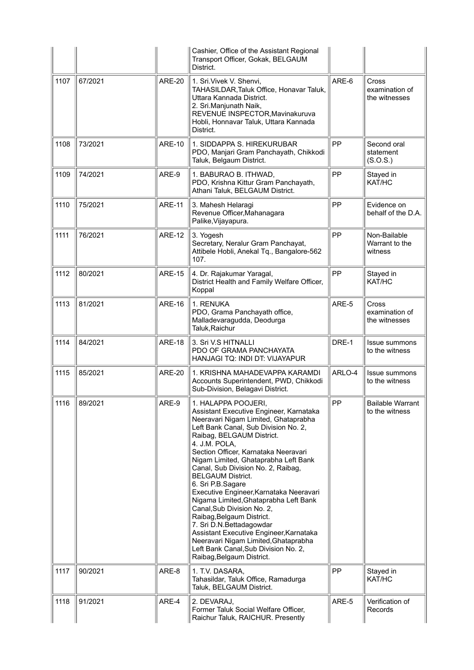|      |         |               | Cashier, Office of the Assistant Regional<br>Transport Officer, Gokak, BELGAUM<br>District.                                                                                                                                                                                                                                                                                                                                                                                                                                                                                                                                                                                                            |        |                                           |
|------|---------|---------------|--------------------------------------------------------------------------------------------------------------------------------------------------------------------------------------------------------------------------------------------------------------------------------------------------------------------------------------------------------------------------------------------------------------------------------------------------------------------------------------------------------------------------------------------------------------------------------------------------------------------------------------------------------------------------------------------------------|--------|-------------------------------------------|
| 1107 | 67/2021 | <b>ARE-20</b> | 1. Sri. Vivek V. Shenvi,<br>TAHASILDAR, Taluk Office, Honavar Taluk,<br>Uttara Kannada District.<br>2. Sri. Manjunath Naik,<br>REVENUE INSPECTOR, Mavinakuruva<br>Hobli, Honnavar Taluk, Uttara Kannada<br>District.                                                                                                                                                                                                                                                                                                                                                                                                                                                                                   | ARE-6  | Cross<br>examination of<br>the witnesses  |
| 1108 | 73/2021 | <b>ARE-10</b> | 1. SIDDAPPA S. HIREKURUBAR<br>PDO, Manjari Gram Panchayath, Chikkodi<br>Taluk, Belgaum District.                                                                                                                                                                                                                                                                                                                                                                                                                                                                                                                                                                                                       | PP     | Second oral<br>statement<br>(S.O.S.)      |
| 1109 | 74/2021 | ARE-9         | 1. BABURAO B. ITHWAD,<br>PDO, Krishna Kittur Gram Panchayath,<br>Athani Taluk, BELGAUM District.                                                                                                                                                                                                                                                                                                                                                                                                                                                                                                                                                                                                       | PP     | Stayed in<br>KAT/HC                       |
| 1110 | 75/2021 | <b>ARE-11</b> | 3. Mahesh Helaragi<br>Revenue Officer, Mahanagara<br>Palike, Vijayapura.                                                                                                                                                                                                                                                                                                                                                                                                                                                                                                                                                                                                                               | PP     | Evidence on<br>behalf of the D.A.         |
| 1111 | 76/2021 | <b>ARE-12</b> | 3. Yogesh<br>Secretary, Neralur Gram Panchayat,<br>Attibele Hobli, Anekal Tq., Bangalore-562<br>107.                                                                                                                                                                                                                                                                                                                                                                                                                                                                                                                                                                                                   | PP     | Non-Bailable<br>Warrant to the<br>witness |
| 1112 | 80/2021 | <b>ARE-15</b> | 4. Dr. Rajakumar Yaragal,<br>District Health and Family Welfare Officer,<br>Koppal                                                                                                                                                                                                                                                                                                                                                                                                                                                                                                                                                                                                                     | PP     | Stayed in<br>KAT/HC                       |
| 1113 | 81/2021 | <b>ARE-16</b> | 1. RENUKA<br>PDO, Grama Panchayath office,<br>Malladevaragudda, Deodurga<br>Taluk, Raichur                                                                                                                                                                                                                                                                                                                                                                                                                                                                                                                                                                                                             | ARE-5  | Cross<br>examination of<br>the witnesses  |
| 1114 | 84/2021 | <b>ARE-18</b> | 3. Sri V.S HITNALLI<br>PDO OF GRAMA PANCHAYATA<br>HANJAGI TQ: INDI DT: VIJAYAPUR                                                                                                                                                                                                                                                                                                                                                                                                                                                                                                                                                                                                                       | DRE-1  | Issue summons<br>to the witness           |
| 1115 | 85/2021 | <b>ARE-20</b> | 1. KRISHNA MAHADEVAPPA KARAMDI<br>Accounts Superintendent, PWD, Chikkodi<br>Sub-Division, Belagavi District.                                                                                                                                                                                                                                                                                                                                                                                                                                                                                                                                                                                           | ARLO-4 | Issue summons<br>to the witness           |
| 1116 | 89/2021 | ARE-9         | 1. HALAPPA POOJERI,<br>Assistant Executive Engineer, Karnataka<br>Neeravari Nigam Limited, Ghataprabha<br>Left Bank Canal, Sub Division No. 2,<br>Raibag, BELGAUM District.<br>4. J.M. POLA,<br>Section Officer, Karnataka Neeravari<br>Nigam Limited, Ghataprabha Left Bank<br>Canal, Sub Division No. 2, Raibag,<br><b>BELGAUM District.</b><br>6. Sri P.B.Sagare<br>Executive Engineer, Karnataka Neeravari<br>Nigama Limited, Ghataprabha Left Bank<br>Canal, Sub Division No. 2,<br>Raibag, Belgaum District.<br>7. Sri D.N.Bettadagowdar<br>Assistant Executive Engineer, Karnataka<br>Neeravari Nigam Limited, Ghataprabha<br>Left Bank Canal, Sub Division No. 2,<br>Raibag, Belgaum District. | PP     | <b>Bailable Warrant</b><br>to the witness |
| 1117 | 90/2021 | ARE-8         | 1. T.V. DASARA,<br>Tahasildar, Taluk Office, Ramadurga<br>Taluk, BELGAUM District.                                                                                                                                                                                                                                                                                                                                                                                                                                                                                                                                                                                                                     | PP     | Stayed in<br>KAT/HC                       |
| 1118 | 91/2021 | ARE-4         | 2. DEVARAJ,                                                                                                                                                                                                                                                                                                                                                                                                                                                                                                                                                                                                                                                                                            | ARE-5  | Verification of                           |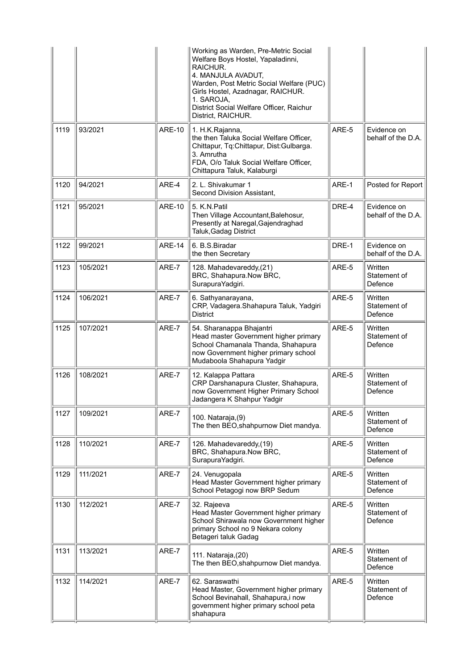|      |          |               | Working as Warden, Pre-Metric Social<br>Welfare Boys Hostel, Yapaladinni,<br>RAICHUR.<br>4. MANJULA AVADUT,<br>Warden, Post Metric Social Welfare (PUC)<br>Girls Hostel, Azadnagar, RAICHUR.<br>1. SAROJA,<br>District Social Welfare Officer, Raichur<br>District, RAICHUR. |       |                                    |
|------|----------|---------------|------------------------------------------------------------------------------------------------------------------------------------------------------------------------------------------------------------------------------------------------------------------------------|-------|------------------------------------|
| 1119 | 93/2021  | <b>ARE-10</b> | 1. H.K.Rajanna,<br>the then Taluka Social Welfare Officer,<br>Chittapur, Tq:Chittapur, Dist:Gulbarga.<br>3. Amrutha<br>FDA, O/o Taluk Social Welfare Officer,<br>Chittapura Taluk, Kalaburgi                                                                                 | ARE-5 | Evidence on<br>behalf of the D.A.  |
| 1120 | 94/2021  | ARE-4         | 2. L. Shivakumar 1<br>Second Division Assistant,                                                                                                                                                                                                                             | ARE-1 | Posted for Report                  |
| 1121 | 95/2021  | <b>ARE-10</b> | 5. K.N.Patil<br>Then Village Accountant, Balehosur,<br>Presently at Naregal, Gajendraghad<br>Taluk, Gadag District                                                                                                                                                           | DRE-4 | Evidence on<br>behalf of the D.A.  |
| 1122 | 99/2021  | <b>ARE-14</b> | 6. B.S.Biradar<br>the then Secretary                                                                                                                                                                                                                                         | DRE-1 | Evidence on<br>behalf of the D.A.  |
| 1123 | 105/2021 | ARE-7         | 128. Mahadevareddy,(21)<br>BRC, Shahapura.Now BRC,<br>SurapuraYadgiri.                                                                                                                                                                                                       | ARE-5 | Written<br>Statement of<br>Defence |
| 1124 | 106/2021 | ARE-7         | 6. Sathyanarayana,<br>CRP, Vadagera.Shahapura Taluk, Yadgiri<br>District                                                                                                                                                                                                     | ARE-5 | Written<br>Statement of<br>Defence |
| 1125 | 107/2021 | ARE-7         | 54. Sharanappa Bhajantri<br>Head master Government higher primary<br>School Chamanala Thanda, Shahapura<br>now Government higher primary school<br>Mudaboola Shahapura Yadgir                                                                                                | ARE-5 | Written<br>Statement of<br>Defence |
| 1126 | 108/2021 | ARE-7         | 12. Kalappa Pattara<br>CRP Darshanapura Cluster, Shahapura,<br>now Government Higher Primary School<br>Jadangera K Shahpur Yadgir                                                                                                                                            | ARE-5 | Written<br>Statement of<br>Defence |
| 1127 | 109/2021 | ARE-7         | 100. Nataraja, (9)<br>The then BEO, shahpurnow Diet mandya.                                                                                                                                                                                                                  | ARE-5 | Written<br>Statement of<br>Defence |
| 1128 | 110/2021 | ARE-7         | 126. Mahadevareddy,(19)<br>BRC, Shahapura.Now BRC,<br>SurapuraYadgiri.                                                                                                                                                                                                       | ARE-5 | Written<br>Statement of<br>Defence |
| 1129 | 111/2021 | ARE-7         | 24. Venugopala<br>Head Master Government higher primary<br>School Petagogi now BRP Sedum                                                                                                                                                                                     | ARE-5 | Written<br>Statement of<br>Defence |
| 1130 | 112/2021 | ARE-7         | 32. Rajeeva<br>Head Master Government higher primary<br>School Shirawala now Government higher<br>primary School no 9 Nekara colony<br>Betageri taluk Gadag                                                                                                                  | ARE-5 | Written<br>Statement of<br>Defence |
| 1131 | 113/2021 | ARE-7         | 111. Nataraja, (20)<br>The then BEO, shahpurnow Diet mandya.                                                                                                                                                                                                                 | ARE-5 | Written<br>Statement of<br>Defence |
| 1132 | 114/2021 | ARE-7         | 62. Saraswathi<br>Head Master, Government higher primary<br>School Bevinahall, Shahapura, i now<br>government higher primary school peta<br>shahapura                                                                                                                        | ARE-5 | Written<br>Statement of<br>Defence |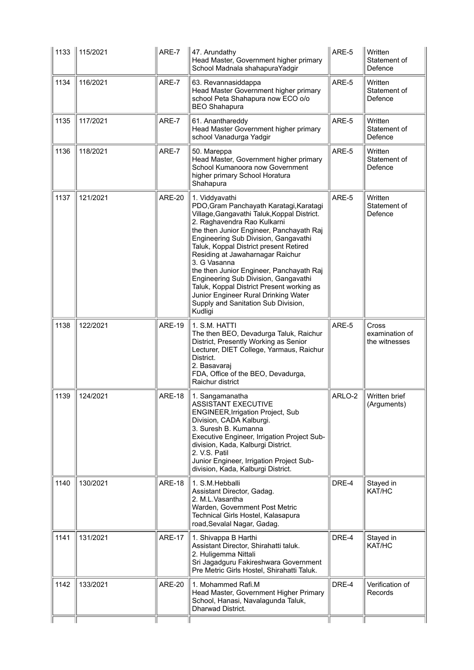| 1133 | 115/2021 | ARE-7         | 47. Arundathy<br>Head Master, Government higher primary<br>School Madnala shahapuraYadgir                                                                                                                                                                                                                                                                                                                                                                                                                                                            | ARE-5  | Written<br>Statement of<br>Defence       |
|------|----------|---------------|------------------------------------------------------------------------------------------------------------------------------------------------------------------------------------------------------------------------------------------------------------------------------------------------------------------------------------------------------------------------------------------------------------------------------------------------------------------------------------------------------------------------------------------------------|--------|------------------------------------------|
| 1134 | 116/2021 | ARE-7         | 63. Revannasiddappa<br>Head Master Government higher primary<br>school Peta Shahapura now ECO o/o<br><b>BEO Shahapura</b>                                                                                                                                                                                                                                                                                                                                                                                                                            | ARE-5  | Written<br>Statement of<br>Defence       |
| 1135 | 117/2021 | ARE-7         | 61. Ananthareddy<br>Head Master Government higher primary<br>school Vanadurga Yadgir                                                                                                                                                                                                                                                                                                                                                                                                                                                                 | ARE-5  | Written<br>Statement of<br>Defence       |
| 1136 | 118/2021 | ARE-7         | 50. Mareppa<br>Head Master, Government higher primary<br>School Kumanoora now Government<br>higher primary School Horatura<br>Shahapura                                                                                                                                                                                                                                                                                                                                                                                                              | ARE-5  | Written<br>Statement of<br>Defence       |
| 1137 | 121/2021 | <b>ARE-20</b> | 1. Viddyavathi<br>PDO, Gram Panchayath Karatagi, Karatagi<br>Village, Gangavathi Taluk, Koppal District.<br>2. Raghavendra Rao Kulkarni<br>the then Junior Engineer, Panchayath Raj<br>Engineering Sub Division, Gangavathi<br>Taluk, Koppal District present Retired<br>Residing at Jawaharnagar Raichur<br>3. G Vasanna<br>the then Junior Engineer, Panchayath Raj<br>Engineering Sub Division, Gangavathi<br>Taluk, Koppal District Present working as<br>Junior Engineer Rural Drinking Water<br>Supply and Sanitation Sub Division,<br>Kudligi | ARE-5  | Written<br>Statement of<br>Defence       |
| 1138 | 122/2021 | <b>ARE-19</b> | 1. S.M. HATTI<br>The then BEO, Devadurga Taluk, Raichur<br>District, Presently Working as Senior<br>Lecturer, DIET College, Yarmaus, Raichur<br>District.<br>2. Basavaraj<br>FDA, Office of the BEO, Devadurga,<br>Raichur district                                                                                                                                                                                                                                                                                                                  | ARE-5  | Cross<br>examination of<br>the witnesses |
| 1139 | 124/2021 | <b>ARE-18</b> | 1. Sangamanatha<br><b>ASSISTANT EXECUTIVE</b><br><b>ENGINEER, Irrigation Project, Sub</b><br>Division, CADA Kalburgi.<br>3. Suresh B. Kumanna<br>Executive Engineer, Irrigation Project Sub-<br>division, Kada, Kalburgi District.<br>2. V.S. Patil<br>Junior Engineer, Irrigation Project Sub-<br>division, Kada, Kalburgi District.                                                                                                                                                                                                                | ARLO-2 | Written brief<br>(Arguments)             |
| 1140 | 130/2021 | <b>ARE-18</b> | 1. S.M.Hebballi<br>Assistant Director, Gadag.<br>2. M.L.Vasantha<br>Warden, Government Post Metric<br>Technical Girls Hostel, Kalasapura<br>road, Sevalal Nagar, Gadag.                                                                                                                                                                                                                                                                                                                                                                              | DRE-4  | Stayed in<br>KAT/HC                      |
| 1141 | 131/2021 | <b>ARE-17</b> | 1. Shivappa B Harthi<br>Assistant Director, Shirahatti taluk.<br>2. Huligemma Nittali<br>Sri Jagadguru Fakireshwara Government<br>Pre Metric Girls Hostel, Shirahatti Taluk.                                                                                                                                                                                                                                                                                                                                                                         | DRE-4  | Stayed in<br>KAT/HC                      |
| 1142 | 133/2021 | <b>ARE-20</b> | 1. Mohammed Rafi.M<br>Head Master, Government Higher Primary<br>School, Hanasi, Navalagunda Taluk,<br>Dharwad District.                                                                                                                                                                                                                                                                                                                                                                                                                              | DRE-4  | Verification of<br>Records               |
|      |          |               |                                                                                                                                                                                                                                                                                                                                                                                                                                                                                                                                                      |        |                                          |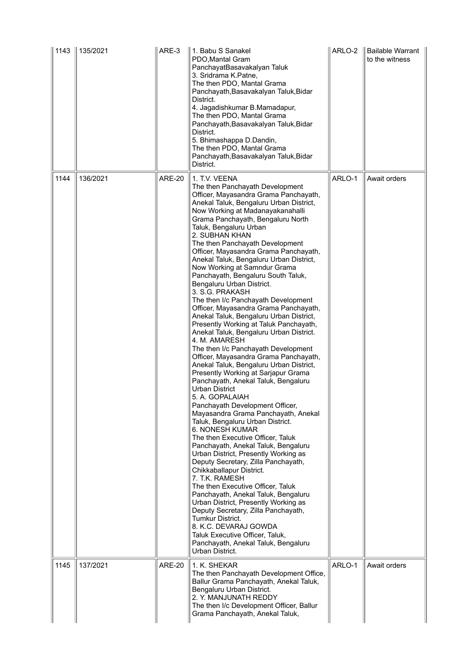| 1143 | 135/2021 | ARE-3         | 1. Babu S Sanakel<br>PDO, Mantal Gram<br>PanchayatBasavakalyan Taluk<br>3. Sridrama K.Patne,<br>The then PDO, Mantal Grama<br>Panchayath, Basavakalyan Taluk, Bidar<br>District.<br>4. Jagadishkumar B.Mamadapur,<br>The then PDO, Mantal Grama<br>Panchayath, Basavakalyan Taluk, Bidar<br>District.<br>5. Bhimashappa D.Dandin,<br>The then PDO, Mantal Grama<br>Panchayath, Basavakalyan Taluk, Bidar<br>District.                                                                                                                                                                                                                                                                                                                                                                                                                                                                                                                                                                                                                                                                                                                                                                                                                                                                                                                                                                                                                                                                                                                                                                                                                                     | ARLO-2 | <b>Bailable Warrant</b><br>to the witness |
|------|----------|---------------|-----------------------------------------------------------------------------------------------------------------------------------------------------------------------------------------------------------------------------------------------------------------------------------------------------------------------------------------------------------------------------------------------------------------------------------------------------------------------------------------------------------------------------------------------------------------------------------------------------------------------------------------------------------------------------------------------------------------------------------------------------------------------------------------------------------------------------------------------------------------------------------------------------------------------------------------------------------------------------------------------------------------------------------------------------------------------------------------------------------------------------------------------------------------------------------------------------------------------------------------------------------------------------------------------------------------------------------------------------------------------------------------------------------------------------------------------------------------------------------------------------------------------------------------------------------------------------------------------------------------------------------------------------------|--------|-------------------------------------------|
| 1144 | 136/2021 | <b>ARE-20</b> | 1. T.V. VEENA<br>The then Panchayath Development<br>Officer, Mayasandra Grama Panchayath,<br>Anekal Taluk, Bengaluru Urban District,<br>Now Working at Madanayakanahalli<br>Grama Panchayath, Bengaluru North<br>Taluk, Bengaluru Urban<br>2. SUBHAN KHAN<br>The then Panchayath Development<br>Officer, Mayasandra Grama Panchayath,<br>Anekal Taluk, Bengaluru Urban District,<br>Now Working at Samndur Grama<br>Panchayath, Bengaluru South Taluk,<br>Bengaluru Urban District.<br>3. S.G. PRAKASH<br>The then I/c Panchayath Development<br>Officer, Mayasandra Grama Panchayath,<br>Anekal Taluk, Bengaluru Urban District,<br>Presently Working at Taluk Panchayath,<br>Anekal Taluk, Bengaluru Urban District.<br>4. M. AMARESH<br>The then I/c Panchayath Development<br>Officer, Mayasandra Grama Panchayath,<br>Anekal Taluk, Bengaluru Urban District,<br>Presently Working at Sarjapur Grama<br>Panchayath, Anekal Taluk, Bengaluru<br><b>Urban District</b><br>5. A. GOPALAIAH<br>Panchayath Development Officer,<br>Mayasandra Grama Panchayath, Anekal<br>Taluk, Bengaluru Urban District.<br><b>6. NONESH KUMAR</b><br>The then Executive Officer, Taluk<br>Panchayath, Anekal Taluk, Bengaluru<br>Urban District, Presently Working as<br>Deputy Secretary, Zilla Panchayath,<br>Chikkaballapur District.<br>7. T.K. RAMESH<br>The then Executive Officer, Taluk<br>Panchayath, Anekal Taluk, Bengaluru<br>Urban District, Presently Working as<br>Deputy Secretary, Zilla Panchayath,<br><b>Tumkur District.</b><br>8. K.C. DEVARAJ GOWDA<br>Taluk Executive Officer, Taluk,<br>Panchayath, Anekal Taluk, Bengaluru<br>Urban District. | ARLO-1 | Await orders                              |
| 1145 | 137/2021 | <b>ARE-20</b> | 1. K. SHEKAR<br>The then Panchayath Development Office,<br>Ballur Grama Panchayath, Anekal Taluk,<br>Bengaluru Urban District.<br>2. Y. MANJUNATH REDDY<br>The then I/c Development Officer, Ballur<br>Grama Panchayath, Anekal Taluk,                                                                                                                                                                                                                                                                                                                                                                                                                                                                                                                                                                                                                                                                                                                                                                                                                                                                                                                                                                                                                                                                                                                                                                                                                                                                                                                                                                                                                    | ARLO-1 | Await orders                              |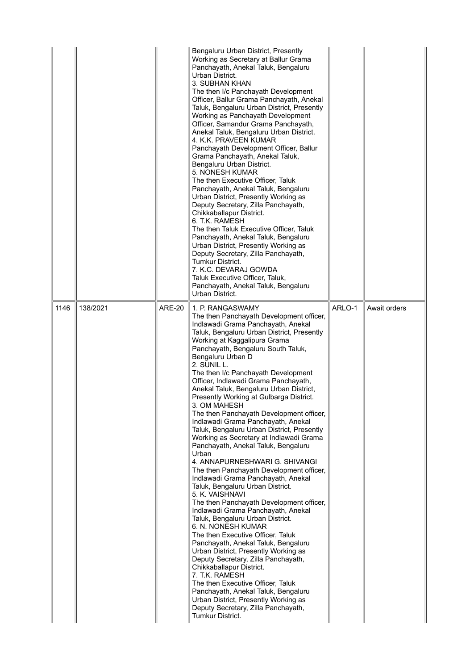|      |          |               | Bengaluru Urban District, Presently<br>Working as Secretary at Ballur Grama<br>Panchayath, Anekal Taluk, Bengaluru<br>Urban District.<br>3. SUBHAN KHAN<br>The then I/c Panchayath Development<br>Officer, Ballur Grama Panchayath, Anekal<br>Taluk, Bengaluru Urban District, Presently<br>Working as Panchayath Development<br>Officer, Samandur Grama Panchayath,<br>Anekal Taluk, Bengaluru Urban District.<br>4. K.K. PRAVEEN KUMAR<br>Panchayath Development Officer, Ballur<br>Grama Panchayath, Anekal Taluk,<br>Bengaluru Urban District.<br>5. NONESH KUMAR<br>The then Executive Officer, Taluk<br>Panchayath, Anekal Taluk, Bengaluru<br>Urban District, Presently Working as<br>Deputy Secretary, Zilla Panchayath,<br>Chikkaballapur District.<br>6. T.K. RAMESH<br>The then Taluk Executive Officer, Taluk<br>Panchayath, Anekal Taluk, Bengaluru<br>Urban District, Presently Working as<br>Deputy Secretary, Zilla Panchayath,<br>Tumkur District.<br>7. K.C. DEVARAJ GOWDA<br>Taluk Executive Officer, Taluk,<br>Panchayath, Anekal Taluk, Bengaluru<br>Urban District.                                                                                                                                                                                                                                                                                                 |        |              |
|------|----------|---------------|-------------------------------------------------------------------------------------------------------------------------------------------------------------------------------------------------------------------------------------------------------------------------------------------------------------------------------------------------------------------------------------------------------------------------------------------------------------------------------------------------------------------------------------------------------------------------------------------------------------------------------------------------------------------------------------------------------------------------------------------------------------------------------------------------------------------------------------------------------------------------------------------------------------------------------------------------------------------------------------------------------------------------------------------------------------------------------------------------------------------------------------------------------------------------------------------------------------------------------------------------------------------------------------------------------------------------------------------------------------------------------------------|--------|--------------|
| 1146 | 138/2021 | <b>ARE-20</b> | 1. P. RANGASWAMY<br>The then Panchayath Development officer,<br>Indlawadi Grama Panchayath, Anekal<br>Taluk, Bengaluru Urban District, Presently<br>Working at Kaggalipura Grama<br>Panchayath, Bengaluru South Taluk,<br>Bengaluru Urban D<br>2. SUNIL L.<br>The then I/c Panchayath Development<br>Officer, Indlawadi Grama Panchayath,<br>Anekal Taluk, Bengaluru Urban District,<br>Presently Working at Gulbarga District.<br>3. OM MAHESH<br>The then Panchayath Development officer,<br>Indlawadi Grama Panchayath, Anekal<br>Taluk, Bengaluru Urban District, Presently<br>Working as Secretary at Indlawadi Grama<br>Panchayath, Anekal Taluk, Bengaluru<br>Urban<br>4. ANNAPURNESHWARI G. SHIVANGI<br>The then Panchayath Development officer,<br>Indlawadi Grama Panchayath, Anekal<br>Taluk, Bengaluru Urban District.<br>5. K. VAISHNAVI<br>The then Panchayath Development officer,<br>Indlawadi Grama Panchayath, Anekal<br>Taluk, Bengaluru Urban District.<br>6. N. NONESH KUMAR<br>The then Executive Officer, Taluk<br>Panchayath, Anekal Taluk, Bengaluru<br>Urban District, Presently Working as<br>Deputy Secretary, Zilla Panchayath,<br>Chikkaballapur District.<br>7. T.K. RAMESH<br>The then Executive Officer, Taluk<br>Panchayath, Anekal Taluk, Bengaluru<br>Urban District, Presently Working as<br>Deputy Secretary, Zilla Panchayath,<br>Tumkur District. | ARLO-1 | Await orders |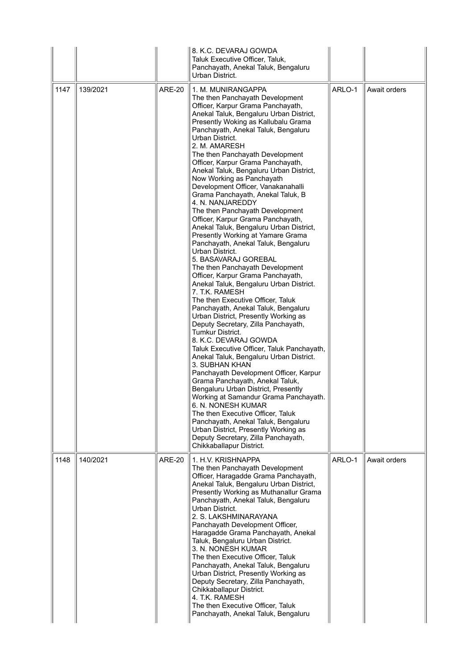|      |          |               | 8. K.C. DEVARAJ GOWDA<br>Taluk Executive Officer, Taluk,<br>Panchayath, Anekal Taluk, Bengaluru<br>Urban District.                                                                                                                                                                                                                                                                                                                                                                                                                                                                                                                                                                                                                                                                                                                                                                                                                                                                                                                                                                                                                                                                                                                                                                                                                                                                                                                                                                                                                                                                 |        |              |
|------|----------|---------------|------------------------------------------------------------------------------------------------------------------------------------------------------------------------------------------------------------------------------------------------------------------------------------------------------------------------------------------------------------------------------------------------------------------------------------------------------------------------------------------------------------------------------------------------------------------------------------------------------------------------------------------------------------------------------------------------------------------------------------------------------------------------------------------------------------------------------------------------------------------------------------------------------------------------------------------------------------------------------------------------------------------------------------------------------------------------------------------------------------------------------------------------------------------------------------------------------------------------------------------------------------------------------------------------------------------------------------------------------------------------------------------------------------------------------------------------------------------------------------------------------------------------------------------------------------------------------------|--------|--------------|
| 1147 | 139/2021 | <b>ARE-20</b> | 1. M. MUNIRANGAPPA<br>The then Panchayath Development<br>Officer, Karpur Grama Panchayath,<br>Anekal Taluk, Bengaluru Urban District,<br>Presently Woking as Kallubalu Grama<br>Panchayath, Anekal Taluk, Bengaluru<br>Urban District.<br>2. M. AMARESH<br>The then Panchayath Development<br>Officer, Karpur Grama Panchayath,<br>Anekal Taluk, Bengaluru Urban District,<br>Now Working as Panchayath<br>Development Officer, Vanakanahalli<br>Grama Panchayath, Anekal Taluk, B<br>4. N. NANJAREDDY<br>The then Panchayath Development<br>Officer, Karpur Grama Panchayath,<br>Anekal Taluk, Bengaluru Urban District,<br>Presently Working at Yamare Grama<br>Panchayath, Anekal Taluk, Bengaluru<br>Urban District.<br>5. BASAVARAJ GOREBAL<br>The then Panchayath Development<br>Officer, Karpur Grama Panchayath,<br>Anekal Taluk, Bengaluru Urban District.<br>7. T.K. RAMESH<br>The then Executive Officer, Taluk<br>Panchayath, Anekal Taluk, Bengaluru<br>Urban District, Presently Working as<br>Deputy Secretary, Zilla Panchayath,<br>Tumkur District.<br>8. K.C. DEVARAJ GOWDA<br>Taluk Executive Officer, Taluk Panchayath,<br>Anekal Taluk, Bengaluru Urban District.<br>3. SUBHAN KHAN<br>Panchayath Development Officer, Karpur<br>Grama Panchayath, Anekal Taluk,<br>Bengaluru Urban District, Presently<br>Working at Samandur Grama Panchayath.<br>6. N. NONESH KUMAR<br>The then Executive Officer, Taluk<br>Panchayath, Anekal Taluk, Bengaluru<br>Urban District, Presently Working as<br>Deputy Secretary, Zilla Panchayath,<br>Chikkaballapur District. | ARLO-1 | Await orders |
| 1148 | 140/2021 | <b>ARE-20</b> | 1. H.V. KRISHNAPPA<br>The then Panchayath Development<br>Officer, Haragadde Grama Panchayath,<br>Anekal Taluk, Bengaluru Urban District,<br>Presently Working as Muthanallur Grama<br>Panchayath, Anekal Taluk, Bengaluru<br>Urban District.<br>2. S. LAKSHMINARAYANA<br>Panchayath Development Officer,<br>Haragadde Grama Panchayath, Anekal<br>Taluk, Bengaluru Urban District.<br>3. N. NONESH KUMAR<br>The then Executive Officer, Taluk<br>Panchayath, Anekal Taluk, Bengaluru<br>Urban District, Presently Working as<br>Deputy Secretary, Zilla Panchayath,<br>Chikkaballapur District.<br>4. T.K. RAMESH<br>The then Executive Officer, Taluk<br>Panchayath, Anekal Taluk, Bengaluru                                                                                                                                                                                                                                                                                                                                                                                                                                                                                                                                                                                                                                                                                                                                                                                                                                                                                      | ARLO-1 | Await orders |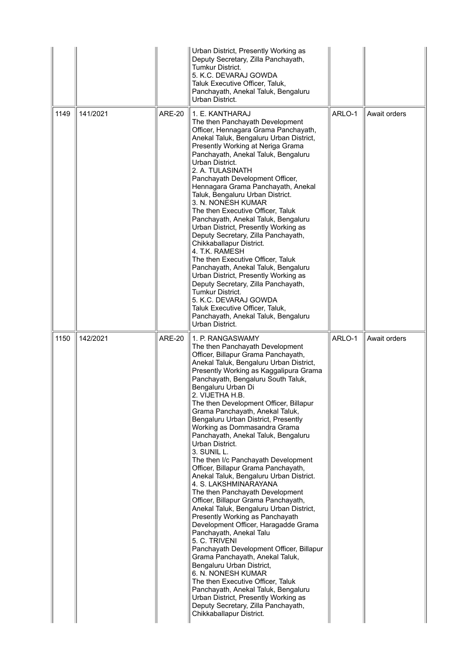|      |          |               | Urban District, Presently Working as<br>Deputy Secretary, Zilla Panchayath,<br><b>Tumkur District.</b><br>5. K.C. DEVARAJ GOWDA<br>Taluk Executive Officer, Taluk,<br>Panchayath, Anekal Taluk, Bengaluru<br>Urban District.                                                                                                                                                                                                                                                                                                                                                                                                                                                                                                                                                                                                                                                                                                                                                                                                                                                                                                                                                                                       |        |              |
|------|----------|---------------|--------------------------------------------------------------------------------------------------------------------------------------------------------------------------------------------------------------------------------------------------------------------------------------------------------------------------------------------------------------------------------------------------------------------------------------------------------------------------------------------------------------------------------------------------------------------------------------------------------------------------------------------------------------------------------------------------------------------------------------------------------------------------------------------------------------------------------------------------------------------------------------------------------------------------------------------------------------------------------------------------------------------------------------------------------------------------------------------------------------------------------------------------------------------------------------------------------------------|--------|--------------|
| 1149 | 141/2021 | <b>ARE-20</b> | 1. E. KANTHARAJ<br>The then Panchayath Development<br>Officer, Hennagara Grama Panchayath,<br>Anekal Taluk, Bengaluru Urban District,<br>Presently Working at Neriga Grama<br>Panchayath, Anekal Taluk, Bengaluru<br>Urban District.<br>2. A. TULASINATH<br>Panchayath Development Officer,<br>Hennagara Grama Panchayath, Anekal<br>Taluk, Bengaluru Urban District.<br>3. N. NONESH KUMAR<br>The then Executive Officer, Taluk<br>Panchayath, Anekal Taluk, Bengaluru<br>Urban District, Presently Working as<br>Deputy Secretary, Zilla Panchayath,<br>Chikkaballapur District.<br>4. T.K. RAMESH<br>The then Executive Officer, Taluk<br>Panchayath, Anekal Taluk, Bengaluru<br>Urban District, Presently Working as<br>Deputy Secretary, Zilla Panchayath,<br>Tumkur District.<br>5. K.C. DEVARAJ GOWDA<br>Taluk Executive Officer, Taluk,<br>Panchayath, Anekal Taluk, Bengaluru<br>Urban District.                                                                                                                                                                                                                                                                                                          | ARLO-1 | Await orders |
| 1150 | 142/2021 | <b>ARE-20</b> | 1. P. RANGASWAMY<br>The then Panchayath Development<br>Officer, Billapur Grama Panchayath,<br>Anekal Taluk, Bengaluru Urban District,<br>Presently Working as Kaggalipura Grama<br>Panchayath, Bengaluru South Taluk,<br>Bengaluru Urban Di<br>2. VIJETHA H.B.<br>The then Development Officer, Billapur<br>Grama Panchayath, Anekal Taluk,<br>Bengaluru Urban District, Presently<br>Working as Dommasandra Grama<br>Panchayath, Anekal Taluk, Bengaluru<br>Urban District.<br>3. SUNIL L.<br>The then I/c Panchayath Development<br>Officer, Billapur Grama Panchayath,<br>Anekal Taluk, Bengaluru Urban District.<br>4. S. LAKSHMINARAYANA<br>The then Panchayath Development<br>Officer, Billapur Grama Panchayath,<br>Anekal Taluk, Bengaluru Urban District,<br>Presently Working as Panchayath<br>Development Officer, Haragadde Grama<br>Panchayath, Anekal Talu<br>5. C. TRIVENI<br>Panchayath Development Officer, Billapur<br>Grama Panchayath, Anekal Taluk,<br>Bengaluru Urban District,<br>6. N. NONESH KUMAR<br>The then Executive Officer, Taluk<br>Panchayath, Anekal Taluk, Bengaluru<br>Urban District, Presently Working as<br>Deputy Secretary, Zilla Panchayath,<br>Chikkaballapur District. | ARLO-1 | Await orders |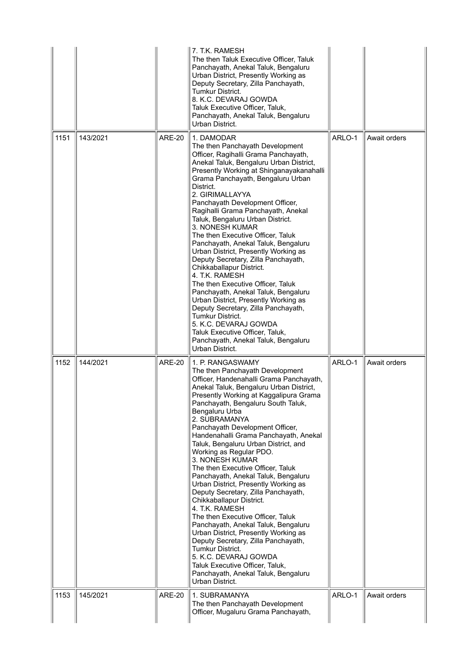|      |          |               | 7. T.K. RAMESH<br>The then Taluk Executive Officer, Taluk<br>Panchayath, Anekal Taluk, Bengaluru<br>Urban District, Presently Working as<br>Deputy Secretary, Zilla Panchayath,<br>Tumkur District.<br>8. K.C. DEVARAJ GOWDA<br>Taluk Executive Officer, Taluk,<br>Panchayath, Anekal Taluk, Bengaluru<br>Urban District.                                                                                                                                                                                                                                                                                                                                                                                                                                                                                                                                                                                                                    |        |              |
|------|----------|---------------|----------------------------------------------------------------------------------------------------------------------------------------------------------------------------------------------------------------------------------------------------------------------------------------------------------------------------------------------------------------------------------------------------------------------------------------------------------------------------------------------------------------------------------------------------------------------------------------------------------------------------------------------------------------------------------------------------------------------------------------------------------------------------------------------------------------------------------------------------------------------------------------------------------------------------------------------|--------|--------------|
| 1151 | 143/2021 | <b>ARE-20</b> | 1. DAMODAR<br>The then Panchayath Development<br>Officer, Ragihalli Grama Panchayath,<br>Anekal Taluk, Bengaluru Urban District,<br>Presently Working at Shinganayakanahalli<br>Grama Panchayath, Bengaluru Urban<br>District.<br>2. GIRIMALLAYYA<br>Panchayath Development Officer,<br>Ragihalli Grama Panchayath, Anekal<br>Taluk, Bengaluru Urban District.<br>3. NONESH KUMAR<br>The then Executive Officer, Taluk<br>Panchayath, Anekal Taluk, Bengaluru<br>Urban District, Presently Working as<br>Deputy Secretary, Zilla Panchayath,<br>Chikkaballapur District.<br>4. T.K. RAMESH<br>The then Executive Officer, Taluk<br>Panchayath, Anekal Taluk, Bengaluru<br>Urban District, Presently Working as<br>Deputy Secretary, Zilla Panchayath,<br>Tumkur District.<br>5. K.C. DEVARAJ GOWDA<br>Taluk Executive Officer, Taluk,<br>Panchayath, Anekal Taluk, Bengaluru<br>Urban District.                                              | ARLO-1 | Await orders |
| 1152 | 144/2021 | <b>ARE-20</b> | 1. P. RANGASWAMY<br>The then Panchayath Development<br>Officer, Handenahalli Grama Panchayath,<br>Anekal Taluk, Bengaluru Urban District,<br>Presently Working at Kaggalipura Grama<br>Panchayath, Bengaluru South Taluk,<br>Bengaluru Urba<br>2. SUBRAMANYA<br>Panchayath Development Officer,<br>Handenahalli Grama Panchayath, Anekal<br>Taluk, Bengaluru Urban District, and<br>Working as Regular PDO.<br>3. NONESH KUMAR<br>The then Executive Officer, Taluk<br>Panchayath, Anekal Taluk, Bengaluru<br>Urban District, Presently Working as<br>Deputy Secretary, Zilla Panchayath,<br>Chikkaballapur District.<br>4. T.K. RAMESH<br>The then Executive Officer, Taluk<br>Panchayath, Anekal Taluk, Bengaluru<br>Urban District, Presently Working as<br>Deputy Secretary, Zilla Panchayath,<br>Tumkur District.<br>5. K.C. DEVARAJ GOWDA<br>Taluk Executive Officer, Taluk,<br>Panchayath, Anekal Taluk, Bengaluru<br>Urban District. | ARLO-1 | Await orders |
| 1153 | 145/2021 | <b>ARE-20</b> | 1. SUBRAMANYA<br>The then Panchayath Development<br>Officer, Mugaluru Grama Panchayath,                                                                                                                                                                                                                                                                                                                                                                                                                                                                                                                                                                                                                                                                                                                                                                                                                                                      | ARLO-1 | Await orders |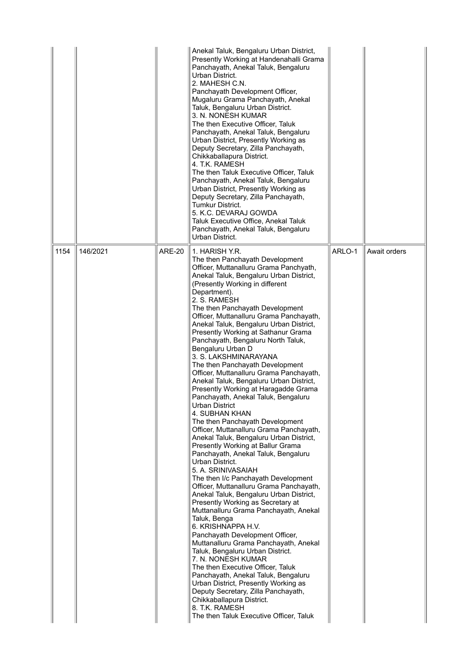|      |          |               | Anekal Taluk, Bengaluru Urban District,<br>Presently Working at Handenahalli Grama<br>Panchayath, Anekal Taluk, Bengaluru<br>Urban District.<br>2. MAHESH C.N.<br>Panchayath Development Officer,<br>Mugaluru Grama Panchayath, Anekal<br>Taluk, Bengaluru Urban District.<br>3. N. NONESH KUMAR<br>The then Executive Officer, Taluk<br>Panchayath, Anekal Taluk, Bengaluru<br>Urban District, Presently Working as<br>Deputy Secretary, Zilla Panchayath,<br>Chikkaballapura District.<br>4. T.K. RAMESH<br>The then Taluk Executive Officer, Taluk<br>Panchayath, Anekal Taluk, Bengaluru<br>Urban District, Presently Working as<br>Deputy Secretary, Zilla Panchayath,<br>Tumkur District.<br>5. K.C. DEVARAJ GOWDA<br>Taluk Executive Office, Anekal Taluk<br>Panchayath, Anekal Taluk, Bengaluru<br>Urban District.                                                                                                                                                                                                                                                                                                                                                                                                                                                                                                                                                                                                                                                                                                                                                                          |        |              |
|------|----------|---------------|-----------------------------------------------------------------------------------------------------------------------------------------------------------------------------------------------------------------------------------------------------------------------------------------------------------------------------------------------------------------------------------------------------------------------------------------------------------------------------------------------------------------------------------------------------------------------------------------------------------------------------------------------------------------------------------------------------------------------------------------------------------------------------------------------------------------------------------------------------------------------------------------------------------------------------------------------------------------------------------------------------------------------------------------------------------------------------------------------------------------------------------------------------------------------------------------------------------------------------------------------------------------------------------------------------------------------------------------------------------------------------------------------------------------------------------------------------------------------------------------------------------------------------------------------------------------------------------------------------|--------|--------------|
| 1154 | 146/2021 | <b>ARE-20</b> | 1. HARISH Y.R.<br>The then Panchayath Development<br>Officer, Muttanalluru Grama Panchyath,<br>Anekal Taluk, Bengaluru Urban District,<br>(Presently Working in different<br>Department).<br>2. S. RAMESH<br>The then Panchayath Development<br>Officer, Muttanalluru Grama Panchayath,<br>Anekal Taluk, Bengaluru Urban District,<br>Presently Working at Sathanur Grama<br>Panchayath, Bengaluru North Taluk,<br>Bengaluru Urban D<br>3. S. LAKSHMINARAYANA<br>The then Panchayath Development<br>Officer, Muttanalluru Grama Panchayath,<br>Anekal Taluk, Bengaluru Urban District,<br>Presently Working at Haragadde Grama<br>Panchayath, Anekal Taluk, Bengaluru<br>Urban District<br>4. SUBHAN KHAN<br>The then Panchayath Development<br>Officer, Muttanalluru Grama Panchayath,<br>Anekal Taluk, Bengaluru Urban District,<br>Presently Working at Ballur Grama<br>Panchayath, Anekal Taluk, Bengaluru<br>Urban District.<br>5. A. SRINIVASAIAH<br>The then I/c Panchayath Development<br>Officer, Muttanalluru Grama Panchayath,<br>Anekal Taluk, Bengaluru Urban District,<br>Presently Working as Secretary at<br>Muttanalluru Grama Panchayath, Anekal<br>Taluk, Benga<br>6. KRISHNAPPA H.V.<br>Panchayath Development Officer,<br>Muttanalluru Grama Panchayath, Anekal<br>Taluk, Bengaluru Urban District.<br>7. N. NONESH KUMAR<br>The then Executive Officer, Taluk<br>Panchayath, Anekal Taluk, Bengaluru<br>Urban District, Presently Working as<br>Deputy Secretary, Zilla Panchayath,<br>Chikkaballapura District.<br>8. T.K. RAMESH<br>The then Taluk Executive Officer, Taluk | ARLO-1 | Await orders |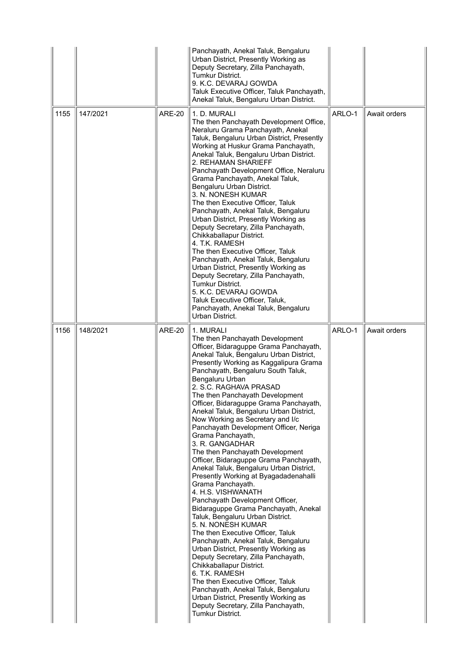|      |          |               | Panchayath, Anekal Taluk, Bengaluru<br>Urban District, Presently Working as<br>Deputy Secretary, Zilla Panchayath,<br><b>Tumkur District.</b><br>9. K.C. DEVARAJ GOWDA<br>Taluk Executive Officer, Taluk Panchayath,<br>Anekal Taluk, Bengaluru Urban District.                                                                                                                                                                                                                                                                                                                                                                                                                                                                                                                                                                                                                                                                                                                                                                                                                                                                                                                                                                                       |        |              |
|------|----------|---------------|-------------------------------------------------------------------------------------------------------------------------------------------------------------------------------------------------------------------------------------------------------------------------------------------------------------------------------------------------------------------------------------------------------------------------------------------------------------------------------------------------------------------------------------------------------------------------------------------------------------------------------------------------------------------------------------------------------------------------------------------------------------------------------------------------------------------------------------------------------------------------------------------------------------------------------------------------------------------------------------------------------------------------------------------------------------------------------------------------------------------------------------------------------------------------------------------------------------------------------------------------------|--------|--------------|
| 1155 | 147/2021 | <b>ARE-20</b> | 1. D. MURALI<br>The then Panchayath Development Office,<br>Neraluru Grama Panchayath, Anekal<br>Taluk, Bengaluru Urban District, Presently<br>Working at Huskur Grama Panchayath,<br>Anekal Taluk, Bengaluru Urban District.<br>2. REHAMAN SHARIEFF<br>Panchayath Development Office, Neraluru<br>Grama Panchayath, Anekal Taluk,<br>Bengaluru Urban District.<br>3. N. NONESH KUMAR<br>The then Executive Officer, Taluk<br>Panchayath, Anekal Taluk, Bengaluru<br>Urban District, Presently Working as<br>Deputy Secretary, Zilla Panchayath,<br>Chikkaballapur District.<br>4. T.K. RAMESH<br>The then Executive Officer, Taluk<br>Panchayath, Anekal Taluk, Bengaluru<br>Urban District, Presently Working as<br>Deputy Secretary, Zilla Panchayath,<br><b>Tumkur District.</b><br>5. K.C. DEVARAJ GOWDA<br>Taluk Executive Officer, Taluk,<br>Panchayath, Anekal Taluk, Bengaluru<br>Urban District.                                                                                                                                                                                                                                                                                                                                             | ARLO-1 | Await orders |
| 1156 | 148/2021 | <b>ARE-20</b> | 1. MURALI<br>The then Panchayath Development<br>Officer, Bidaraguppe Grama Panchayath,<br>Anekal Taluk, Bengaluru Urban District,<br>Presently Working as Kaggalipura Grama<br>Panchayath, Bengaluru South Taluk,<br>Bengaluru Urban<br>2. S.C. RAGHAVA PRASAD<br>The then Panchayath Development<br>Officer, Bidaraguppe Grama Panchayath,<br>Anekal Taluk, Bengaluru Urban District,<br>Now Working as Secretary and I/c<br>Panchayath Development Officer, Neriga<br>Grama Panchayath,<br>3. R. GANGADHAR<br>The then Panchayath Development<br>Officer, Bidaraguppe Grama Panchayath,<br>Anekal Taluk, Bengaluru Urban District,<br>Presently Working at Byagadadenahalli<br>Grama Panchayath.<br>4. H.S. VISHWANATH<br>Panchayath Development Officer,<br>Bidaraguppe Grama Panchayath, Anekal<br>Taluk, Bengaluru Urban District.<br>5. N. NONESH KUMAR<br>The then Executive Officer, Taluk<br>Panchayath, Anekal Taluk, Bengaluru<br>Urban District, Presently Working as<br>Deputy Secretary, Zilla Panchayath,<br>Chikkaballapur District.<br>6. T.K. RAMESH<br>The then Executive Officer, Taluk<br>Panchayath, Anekal Taluk, Bengaluru<br>Urban District, Presently Working as<br>Deputy Secretary, Zilla Panchayath,<br>Tumkur District. | ARLO-1 | Await orders |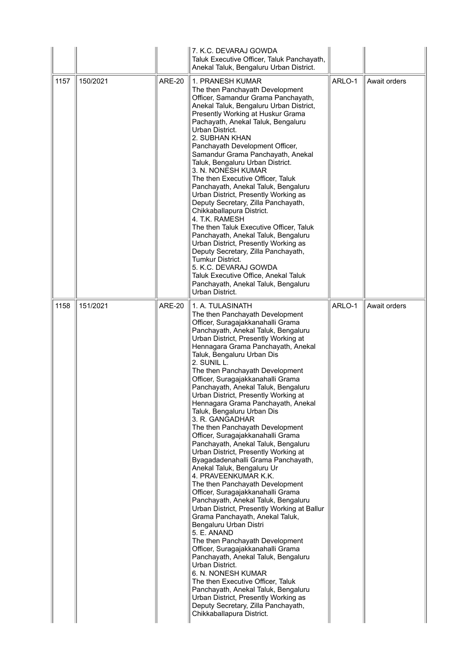|      |          |               | 7. K.C. DEVARAJ GOWDA<br>Taluk Executive Officer, Taluk Panchayath,<br>Anekal Taluk, Bengaluru Urban District.                                                                                                                                                                                                                                                                                                                                                                                                                                                                                                                                                                                                                                                                                                                                                                                                                                                                                                                                                                                                                                                                                                                                                                                                                                        |        |              |
|------|----------|---------------|-------------------------------------------------------------------------------------------------------------------------------------------------------------------------------------------------------------------------------------------------------------------------------------------------------------------------------------------------------------------------------------------------------------------------------------------------------------------------------------------------------------------------------------------------------------------------------------------------------------------------------------------------------------------------------------------------------------------------------------------------------------------------------------------------------------------------------------------------------------------------------------------------------------------------------------------------------------------------------------------------------------------------------------------------------------------------------------------------------------------------------------------------------------------------------------------------------------------------------------------------------------------------------------------------------------------------------------------------------|--------|--------------|
| 1157 | 150/2021 | <b>ARE-20</b> | 1. PRANESH KUMAR<br>The then Panchayath Development<br>Officer, Samandur Grama Panchayath,<br>Anekal Taluk, Bengaluru Urban District,<br>Presently Working at Huskur Grama<br>Pachayath, Anekal Taluk, Bengaluru<br>Urban District.<br>2. SUBHAN KHAN<br>Panchayath Development Officer,<br>Samandur Grama Panchayath, Anekal<br>Taluk, Bengaluru Urban District.<br>3. N. NONESH KUMAR<br>The then Executive Officer, Taluk<br>Panchayath, Anekal Taluk, Bengaluru<br>Urban District, Presently Working as<br>Deputy Secretary, Zilla Panchayath,<br>Chikkaballapura District.<br>4. T.K. RAMESH<br>The then Taluk Executive Officer, Taluk<br>Panchayath, Anekal Taluk, Bengaluru<br>Urban District, Presently Working as<br>Deputy Secretary, Zilla Panchayath,<br>Tumkur District.<br>5. K.C. DEVARAJ GOWDA<br>Taluk Executive Office, Anekal Taluk<br>Panchayath, Anekal Taluk, Bengaluru<br>Urban District.                                                                                                                                                                                                                                                                                                                                                                                                                                     | ARLO-1 | Await orders |
| 1158 | 151/2021 | <b>ARE-20</b> | 1. A. TULASINATH<br>The then Panchayath Development<br>Officer, Suragajakkanahalli Grama<br>Panchayath, Anekal Taluk, Bengaluru<br>Urban District, Presently Working at<br>Hennagara Grama Panchayath, Anekal<br>Taluk, Bengaluru Urban Dis<br>2. SUNIL L.<br>The then Panchayath Development<br>Officer, Suragajakkanahalli Grama<br>Panchayath, Anekal Taluk, Bengaluru<br>Urban District, Presently Working at<br>Hennagara Grama Panchayath, Anekal<br>Taluk, Bengaluru Urban Dis<br>3. R. GANGADHAR<br>The then Panchayath Development<br>Officer, Suragajakkanahalli Grama<br>Panchayath, Anekal Taluk, Bengaluru<br>Urban District, Presently Working at<br>Byagadadenahalli Grama Panchayath,<br>Anekal Taluk, Bengaluru Ur<br>4. PRAVEENKUMAR K.K.<br>The then Panchayath Development<br>Officer, Suragajakkanahalli Grama<br>Panchayath, Anekal Taluk, Bengaluru<br>Urban District, Presently Working at Ballur<br>Grama Panchayath, Anekal Taluk,<br>Bengaluru Urban Distri<br>5. E. ANAND<br>The then Panchayath Development<br>Officer, Suragajakkanahalli Grama<br>Panchayath, Anekal Taluk, Bengaluru<br>Urban District.<br>6. N. NONESH KUMAR<br>The then Executive Officer, Taluk<br>Panchayath, Anekal Taluk, Bengaluru<br>Urban District, Presently Working as<br>Deputy Secretary, Zilla Panchayath,<br>Chikkaballapura District. | ARLO-1 | Await orders |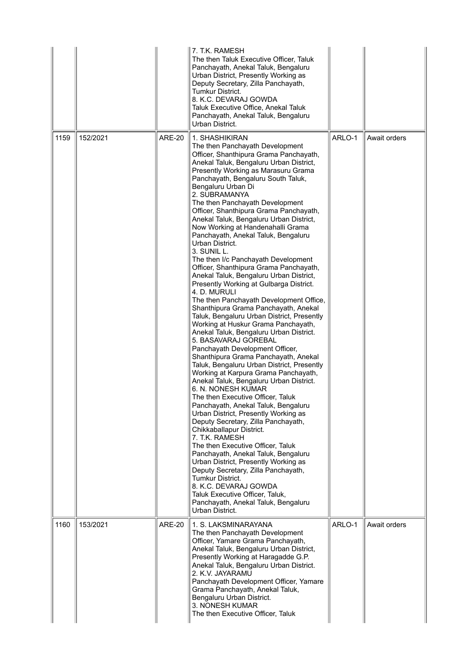|      |          |               | 7. T.K. RAMESH<br>The then Taluk Executive Officer, Taluk<br>Panchayath, Anekal Taluk, Bengaluru<br>Urban District, Presently Working as<br>Deputy Secretary, Zilla Panchayath,<br>Tumkur District.<br>8. K.C. DEVARAJ GOWDA<br>Taluk Executive Office, Anekal Taluk<br>Panchayath, Anekal Taluk, Bengaluru<br>Urban District.                                                                                                                                                                                                                                                                                                                                                                                                                                                                                                                                                                                                                                                                                                                                                                                                                                                                                                                                                                                                                                                                                                                                                                                                                                                                                                                                                     |        |              |
|------|----------|---------------|------------------------------------------------------------------------------------------------------------------------------------------------------------------------------------------------------------------------------------------------------------------------------------------------------------------------------------------------------------------------------------------------------------------------------------------------------------------------------------------------------------------------------------------------------------------------------------------------------------------------------------------------------------------------------------------------------------------------------------------------------------------------------------------------------------------------------------------------------------------------------------------------------------------------------------------------------------------------------------------------------------------------------------------------------------------------------------------------------------------------------------------------------------------------------------------------------------------------------------------------------------------------------------------------------------------------------------------------------------------------------------------------------------------------------------------------------------------------------------------------------------------------------------------------------------------------------------------------------------------------------------------------------------------------------------|--------|--------------|
| 1159 | 152/2021 | <b>ARE-20</b> | 1. SHASHIKIRAN<br>The then Panchayath Development<br>Officer, Shanthipura Grama Panchayath,<br>Anekal Taluk, Bengaluru Urban District,<br>Presently Working as Marasuru Grama<br>Panchayath, Bengaluru South Taluk,<br>Bengaluru Urban Di<br>2. SUBRAMANYA<br>The then Panchayath Development<br>Officer, Shanthipura Grama Panchayath,<br>Anekal Taluk, Bengaluru Urban District,<br>Now Working at Handenahalli Grama<br>Panchayath, Anekal Taluk, Bengaluru<br>Urban District.<br>3. SUNIL L.<br>The then I/c Panchayath Development<br>Officer, Shanthipura Grama Panchayath,<br>Anekal Taluk, Bengaluru Urban District,<br>Presently Working at Gulbarga District.<br>4. D. MURULI<br>The then Panchayath Development Office,<br>Shanthipura Grama Panchayath, Anekal<br>Taluk, Bengaluru Urban District, Presently<br>Working at Huskur Grama Panchayath,<br>Anekal Taluk, Bengaluru Urban District.<br>5. BASAVARAJ GOREBAL<br>Panchayath Development Officer,<br>Shanthipura Grama Panchayath, Anekal<br>Taluk, Bengaluru Urban District, Presently<br>Working at Karpura Grama Panchayath,<br>Anekal Taluk, Bengaluru Urban District.<br>6. N. NONESH KUMAR<br>The then Executive Officer, Taluk<br>Panchayath, Anekal Taluk, Bengaluru<br>Urban District, Presently Working as<br>Deputy Secretary, Zilla Panchayath,<br>Chikkaballapur District.<br>7. T.K. RAMESH<br>The then Executive Officer, Taluk<br>Panchayath, Anekal Taluk, Bengaluru<br>Urban District, Presently Working as<br>Deputy Secretary, Zilla Panchayath,<br>Tumkur District.<br>8. K.C. DEVARAJ GOWDA<br>Taluk Executive Officer, Taluk,<br>Panchayath, Anekal Taluk, Bengaluru<br>Urban District. | ARLO-1 | Await orders |
| 1160 | 153/2021 | <b>ARE-20</b> | 1. S. LAKSMINARAYANA<br>The then Panchayath Development<br>Officer, Yamare Grama Panchayath,<br>Anekal Taluk, Bengaluru Urban District,<br>Presently Working at Haragadde G.P.<br>Anekal Taluk, Bengaluru Urban District.<br>2. K.V. JAYARAMU<br>Panchayath Development Officer, Yamare<br>Grama Panchayath, Anekal Taluk,<br>Bengaluru Urban District.<br>3. NONESH KUMAR<br>The then Executive Officer, Taluk                                                                                                                                                                                                                                                                                                                                                                                                                                                                                                                                                                                                                                                                                                                                                                                                                                                                                                                                                                                                                                                                                                                                                                                                                                                                    | ARLO-1 | Await orders |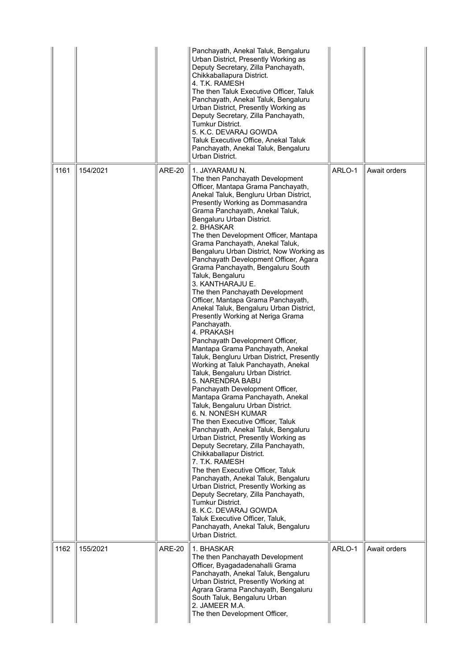|      |          |               | Panchayath, Anekal Taluk, Bengaluru<br>Urban District, Presently Working as<br>Deputy Secretary, Zilla Panchayath,<br>Chikkaballapura District.<br>4. T.K. RAMESH<br>The then Taluk Executive Officer, Taluk<br>Panchayath, Anekal Taluk, Bengaluru<br>Urban District, Presently Working as<br>Deputy Secretary, Zilla Panchayath,<br>Tumkur District.<br>5. K.C. DEVARAJ GOWDA<br>Taluk Executive Office, Anekal Taluk<br>Panchayath, Anekal Taluk, Bengaluru<br>Urban District.                                                                                                                                                                                                                                                                                                                                                                                                                                                                                                                                                                                                                                                                                                                                                                                                                                                                                                                                                                                                                                                                         |        |              |
|------|----------|---------------|-----------------------------------------------------------------------------------------------------------------------------------------------------------------------------------------------------------------------------------------------------------------------------------------------------------------------------------------------------------------------------------------------------------------------------------------------------------------------------------------------------------------------------------------------------------------------------------------------------------------------------------------------------------------------------------------------------------------------------------------------------------------------------------------------------------------------------------------------------------------------------------------------------------------------------------------------------------------------------------------------------------------------------------------------------------------------------------------------------------------------------------------------------------------------------------------------------------------------------------------------------------------------------------------------------------------------------------------------------------------------------------------------------------------------------------------------------------------------------------------------------------------------------------------------------------|--------|--------------|
| 1161 | 154/2021 | <b>ARE-20</b> | 1. JAYARAMU N.<br>The then Panchayath Development<br>Officer, Mantapa Grama Panchayath,<br>Anekal Taluk, Bengluru Urban District,<br>Presently Working as Dommasandra<br>Grama Panchayath, Anekal Taluk,<br>Bengaluru Urban District.<br>2. BHASKAR<br>The then Development Officer, Mantapa<br>Grama Panchayath, Anekal Taluk,<br>Bengaluru Urban District, Now Working as<br>Panchayath Development Officer, Agara<br>Grama Panchayath, Bengaluru South<br>Taluk, Bengaluru<br>3. KANTHARAJU E.<br>The then Panchayath Development<br>Officer, Mantapa Grama Panchayath,<br>Anekal Taluk, Bengaluru Urban District,<br>Presently Working at Neriga Grama<br>Panchayath.<br>4. PRAKASH<br>Panchayath Development Officer,<br>Mantapa Grama Panchayath, Anekal<br>Taluk, Bengluru Urban District, Presently<br>Working at Taluk Panchayath, Anekal<br>Taluk, Bengaluru Urban District.<br>5. NARENDRA BABU<br>Panchayath Development Officer,<br>Mantapa Grama Panchayath, Anekal<br>Taluk, Bengaluru Urban District.<br>6. N. NONESH KUMAR<br>The then Executive Officer, Taluk<br>Panchayath, Anekal Taluk, Bengaluru<br>Urban District, Presently Working as<br>Deputy Secretary, Zilla Panchayath,<br>Chikkaballapur District.<br>7. T.K. RAMESH<br>The then Executive Officer, Taluk<br>Panchayath, Anekal Taluk, Bengaluru<br>Urban District, Presently Working as<br>Deputy Secretary, Zilla Panchayath,<br>Tumkur District.<br>8. K.C. DEVARAJ GOWDA<br>Taluk Executive Officer, Taluk,<br>Panchayath, Anekal Taluk, Bengaluru<br>Urban District. | ARLO-1 | Await orders |
| 1162 | 155/2021 | <b>ARE-20</b> | 1. BHASKAR<br>The then Panchayath Development<br>Officer, Byagadadenahalli Grama<br>Panchayath, Anekal Taluk, Bengaluru<br>Urban District, Presently Working at<br>Agrara Grama Panchayath, Bengaluru<br>South Taluk, Bengaluru Urban<br>2. JAMEER M.A.<br>The then Development Officer,                                                                                                                                                                                                                                                                                                                                                                                                                                                                                                                                                                                                                                                                                                                                                                                                                                                                                                                                                                                                                                                                                                                                                                                                                                                                  | ARLO-1 | Await orders |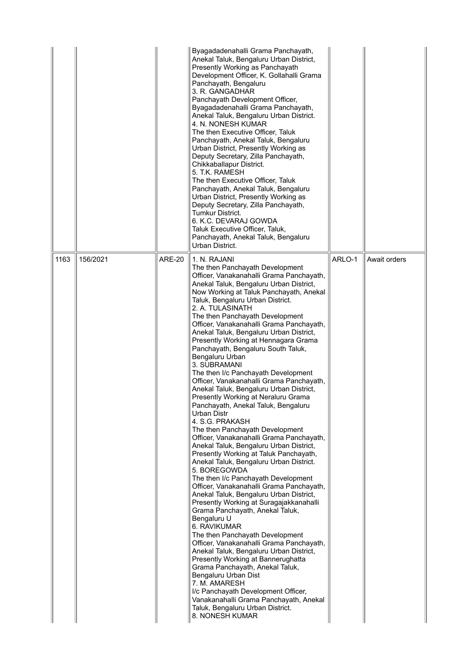|      |          |               | Byagadadenahalli Grama Panchayath,<br>Anekal Taluk, Bengaluru Urban District,<br>Presently Working as Panchayath<br>Development Officer, K. Gollahalli Grama<br>Panchayath, Bengaluru<br>3. R. GANGADHAR<br>Panchayath Development Officer,<br>Byagadadenahalli Grama Panchayath,<br>Anekal Taluk, Bengaluru Urban District.<br>4. N. NONESH KUMAR<br>The then Executive Officer, Taluk<br>Panchayath, Anekal Taluk, Bengaluru<br>Urban District, Presently Working as<br>Deputy Secretary, Zilla Panchayath,<br>Chikkaballapur District.<br>5. T.K. RAMESH<br>The then Executive Officer, Taluk<br>Panchayath, Anekal Taluk, Bengaluru<br>Urban District, Presently Working as<br>Deputy Secretary, Zilla Panchayath,<br><b>Tumkur District.</b><br>6. K.C. DEVARAJ GOWDA<br>Taluk Executive Officer, Taluk,<br>Panchayath, Anekal Taluk, Bengaluru<br>Urban District.                                                                                                                                                                                                                                                                                                                                                                                                                                                                                                                                                                                                                                                                                                                                 |        |              |
|------|----------|---------------|---------------------------------------------------------------------------------------------------------------------------------------------------------------------------------------------------------------------------------------------------------------------------------------------------------------------------------------------------------------------------------------------------------------------------------------------------------------------------------------------------------------------------------------------------------------------------------------------------------------------------------------------------------------------------------------------------------------------------------------------------------------------------------------------------------------------------------------------------------------------------------------------------------------------------------------------------------------------------------------------------------------------------------------------------------------------------------------------------------------------------------------------------------------------------------------------------------------------------------------------------------------------------------------------------------------------------------------------------------------------------------------------------------------------------------------------------------------------------------------------------------------------------------------------------------------------------------------------------------|--------|--------------|
| 1163 | 156/2021 | <b>ARE-20</b> | 1. N. RAJANI<br>The then Panchayath Development<br>Officer, Vanakanahalli Grama Panchayath,<br>Anekal Taluk, Bengaluru Urban District,<br>Now Working at Taluk Panchayath, Anekal<br>Taluk, Bengaluru Urban District.<br>2. A. TULASINATH<br>The then Panchayath Development<br>Officer, Vanakanahalli Grama Panchayath,<br>Anekal Taluk, Bengaluru Urban District,<br>Presently Working at Hennagara Grama<br>Panchayath, Bengaluru South Taluk,<br>Bengaluru Urban<br>3. SUBRAMANI<br>The then I/c Panchayath Development<br>Officer, Vanakanahalli Grama Panchayath,<br>Anekal Taluk, Bengaluru Urban District,<br>Presently Working at Neraluru Grama<br>Panchayath, Anekal Taluk, Bengaluru<br><b>Urban Distr</b><br>4. S.G. PRAKASH<br>The then Panchayath Development<br>Officer, Vanakanahalli Grama Panchayath,<br>Anekal Taluk, Bengaluru Urban District,<br>Presently Working at Taluk Panchayath,<br>Anekal Taluk, Bengaluru Urban District.<br>5. BOREGOWDA<br>The then I/c Panchayath Development<br>Officer, Vanakanahalli Grama Panchayath,<br>Anekal Taluk, Bengaluru Urban District,<br>Presently Working at Suragajakkanahalli<br>Grama Panchayath, Anekal Taluk,<br>Bengaluru U<br>6. RAVIKUMAR<br>The then Panchayath Development<br>Officer, Vanakanahalli Grama Panchayath,<br>Anekal Taluk, Bengaluru Urban District,<br>Presently Working at Bannerughatta<br>Grama Panchayath, Anekal Taluk,<br>Bengaluru Urban Dist<br>7. M. AMARESH<br>I/c Panchayath Development Officer,<br>Vanakanahalli Grama Panchayath, Anekal<br>Taluk, Bengaluru Urban District.<br>8. NONESH KUMAR | ARLO-1 | Await orders |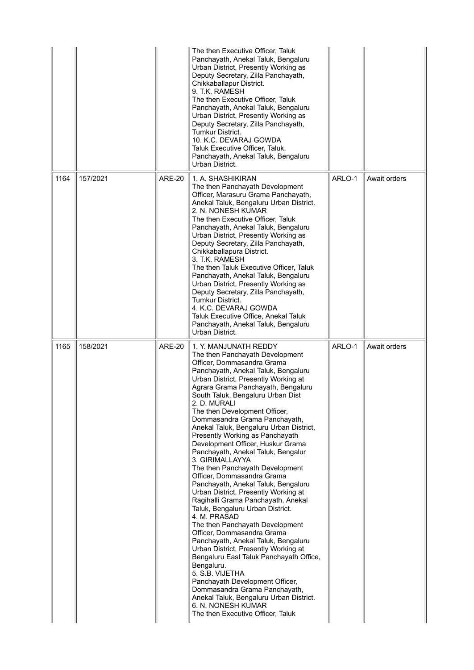|      |          |               | The then Executive Officer, Taluk<br>Panchayath, Anekal Taluk, Bengaluru<br>Urban District, Presently Working as<br>Deputy Secretary, Zilla Panchayath,<br>Chikkaballapur District.<br>9. T.K. RAMESH<br>The then Executive Officer, Taluk<br>Panchayath, Anekal Taluk, Bengaluru<br>Urban District, Presently Working as<br>Deputy Secretary, Zilla Panchayath,<br>Tumkur District.<br>10. K.C. DEVARAJ GOWDA<br>Taluk Executive Officer, Taluk,<br>Panchayath, Anekal Taluk, Bengaluru<br>Urban District.                                                                                                                                                                                                                                                                                                                                                                                                                                                                                                                                                                                                                                                    |        |              |
|------|----------|---------------|----------------------------------------------------------------------------------------------------------------------------------------------------------------------------------------------------------------------------------------------------------------------------------------------------------------------------------------------------------------------------------------------------------------------------------------------------------------------------------------------------------------------------------------------------------------------------------------------------------------------------------------------------------------------------------------------------------------------------------------------------------------------------------------------------------------------------------------------------------------------------------------------------------------------------------------------------------------------------------------------------------------------------------------------------------------------------------------------------------------------------------------------------------------|--------|--------------|
| 1164 | 157/2021 | <b>ARE-20</b> | 1. A. SHASHIKIRAN<br>The then Panchayath Development<br>Officer, Marasuru Grama Panchayath,<br>Anekal Taluk, Bengaluru Urban District.<br>2. N. NONESH KUMAR<br>The then Executive Officer. Taluk<br>Panchayath, Anekal Taluk, Bengaluru<br>Urban District, Presently Working as<br>Deputy Secretary, Zilla Panchayath,<br>Chikkaballapura District.<br>3. T.K. RAMESH<br>The then Taluk Executive Officer, Taluk<br>Panchayath, Anekal Taluk, Bengaluru<br>Urban District, Presently Working as<br>Deputy Secretary, Zilla Panchayath,<br>Tumkur District.<br>4. K.C. DEVARAJ GOWDA<br>Taluk Executive Office, Anekal Taluk<br>Panchayath, Anekal Taluk, Bengaluru<br>Urban District.                                                                                                                                                                                                                                                                                                                                                                                                                                                                         | ARLO-1 | Await orders |
| 1165 | 158/2021 | <b>ARE-20</b> | 1. Y. MANJUNATH REDDY<br>The then Panchayath Development<br>Officer, Dommasandra Grama<br>Panchayath, Anekal Taluk, Bengaluru<br>Urban District, Presently Working at<br>Agrara Grama Panchayath, Bengaluru<br>South Taluk, Bengaluru Urban Dist<br>2. D. MURALI<br>The then Development Officer,<br>Dommasandra Grama Panchayath,<br>Anekal Taluk, Bengaluru Urban District,<br>Presently Working as Panchayath<br>Development Officer, Huskur Grama<br>Panchayath, Anekal Taluk, Bengalur<br>3. GIRIMALLAYYA<br>The then Panchayath Development<br>Officer, Dommasandra Grama<br>Panchayath, Anekal Taluk, Bengaluru<br>Urban District, Presently Working at<br>Ragihalli Grama Panchayath, Anekal<br>Taluk, Bengaluru Urban District.<br>4. M. PRASAD<br>The then Panchayath Development<br>Officer, Dommasandra Grama<br>Panchayath, Anekal Taluk, Bengaluru<br>Urban District, Presently Working at<br>Bengaluru East Taluk Panchayath Office,<br>Bengaluru.<br>5. S.B. VIJETHA<br>Panchayath Development Officer,<br>Dommasandra Grama Panchayath,<br>Anekal Taluk, Bengaluru Urban District.<br>6. N. NONESH KUMAR<br>The then Executive Officer, Taluk | ARLO-1 | Await orders |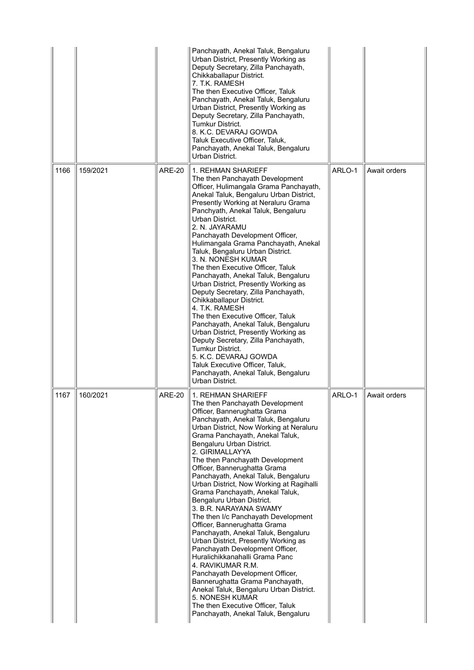|      |          |               | Panchayath, Anekal Taluk, Bengaluru<br>Urban District, Presently Working as<br>Deputy Secretary, Zilla Panchayath,<br>Chikkaballapur District.<br>7. T.K. RAMESH<br>The then Executive Officer, Taluk<br>Panchayath, Anekal Taluk, Bengaluru<br>Urban District, Presently Working as<br>Deputy Secretary, Zilla Panchayath,<br>Tumkur District.<br>8. K.C. DEVARAJ GOWDA<br>Taluk Executive Officer, Taluk,<br>Panchayath, Anekal Taluk, Bengaluru<br>Urban District.                                                                                                                                                                                                                                                                                                                                                                                                                                                                                                      |        |              |
|------|----------|---------------|----------------------------------------------------------------------------------------------------------------------------------------------------------------------------------------------------------------------------------------------------------------------------------------------------------------------------------------------------------------------------------------------------------------------------------------------------------------------------------------------------------------------------------------------------------------------------------------------------------------------------------------------------------------------------------------------------------------------------------------------------------------------------------------------------------------------------------------------------------------------------------------------------------------------------------------------------------------------------|--------|--------------|
| 1166 | 159/2021 | <b>ARE-20</b> | 1. REHMAN SHARIEFF<br>The then Panchayath Development<br>Officer, Hulimangala Grama Panchayath,<br>Anekal Taluk, Bengaluru Urban District,<br>Presently Working at Neraluru Grama<br>Panchyath, Anekal Taluk, Bengaluru<br>Urban District.<br>2. N. JAYARAMU<br>Panchayath Development Officer,<br>Hulimangala Grama Panchayath, Anekal<br>Taluk, Bengaluru Urban District.<br>3. N. NONESH KUMAR<br>The then Executive Officer, Taluk<br>Panchayath, Anekal Taluk, Bengaluru<br>Urban District, Presently Working as<br>Deputy Secretary, Zilla Panchayath,<br>Chikkaballapur District.<br>4. T.K. RAMESH<br>The then Executive Officer, Taluk<br>Panchayath, Anekal Taluk, Bengaluru<br>Urban District, Presently Working as<br>Deputy Secretary, Zilla Panchayath,<br><b>Tumkur District.</b><br>5. K.C. DEVARAJ GOWDA<br>Taluk Executive Officer, Taluk,<br>Panchayath, Anekal Taluk, Bengaluru<br>Urban District.                                                     | ARLO-1 | Await orders |
| 1167 | 160/2021 | <b>ARE-20</b> | 1. REHMAN SHARIEFF<br>The then Panchayath Development<br>Officer, Bannerughatta Grama<br>Panchayath, Anekal Taluk, Bengaluru<br>Urban District, Now Working at Neraluru<br>Grama Panchayath, Anekal Taluk,<br>Bengaluru Urban District.<br>2. GIRIMALLAYYA<br>The then Panchayath Development<br>Officer, Bannerughatta Grama<br>Panchayath, Anekal Taluk, Bengaluru<br>Urban District, Now Working at Ragihalli<br>Grama Panchayath, Anekal Taluk,<br>Bengaluru Urban District.<br>3. B.R. NARAYANA SWAMY<br>The then I/c Panchayath Development<br>Officer, Bannerughatta Grama<br>Panchayath, Anekal Taluk, Bengaluru<br>Urban District, Presently Working as<br>Panchayath Development Officer,<br>Huralichikkanahalli Grama Panc<br>4. RAVIKUMAR R.M.<br>Panchayath Development Officer,<br>Bannerughatta Grama Panchayath,<br>Anekal Taluk, Bengaluru Urban District.<br>5. NONESH KUMAR<br>The then Executive Officer, Taluk<br>Panchayath, Anekal Taluk, Bengaluru | ARLO-1 | Await orders |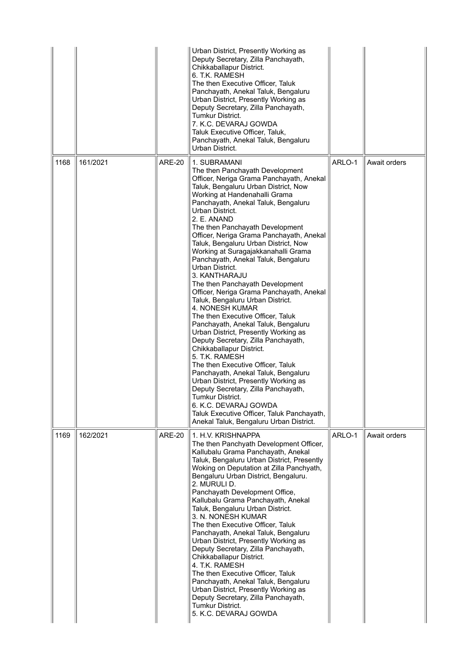|      |          |               | Urban District, Presently Working as<br>Deputy Secretary, Zilla Panchayath,<br>Chikkaballapur District.<br>6. T.K. RAMESH<br>The then Executive Officer, Taluk<br>Panchayath, Anekal Taluk, Bengaluru<br>Urban District, Presently Working as<br>Deputy Secretary, Zilla Panchayath,<br>Tumkur District.<br>7. K.C. DEVARAJ GOWDA<br>Taluk Executive Officer, Taluk,<br>Panchayath, Anekal Taluk, Bengaluru<br>Urban District.                                                                                                                                                                                                                                                                                                                                                                                                                                                                                                                                                                                                                                                                                                                       |        |              |
|------|----------|---------------|------------------------------------------------------------------------------------------------------------------------------------------------------------------------------------------------------------------------------------------------------------------------------------------------------------------------------------------------------------------------------------------------------------------------------------------------------------------------------------------------------------------------------------------------------------------------------------------------------------------------------------------------------------------------------------------------------------------------------------------------------------------------------------------------------------------------------------------------------------------------------------------------------------------------------------------------------------------------------------------------------------------------------------------------------------------------------------------------------------------------------------------------------|--------|--------------|
| 1168 | 161/2021 | <b>ARE-20</b> | 1. SUBRAMANI<br>The then Panchayath Development<br>Officer, Neriga Grama Panchayath, Anekal<br>Taluk, Bengaluru Urban District, Now<br>Working at Handenahalli Grama<br>Panchayath, Anekal Taluk, Bengaluru<br>Urban District.<br>2. E. ANAND<br>The then Panchayath Development<br>Officer, Neriga Grama Panchayath, Anekal<br>Taluk, Bengaluru Urban District, Now<br>Working at Suragajakkanahalli Grama<br>Panchayath, Anekal Taluk, Bengaluru<br>Urban District.<br>3. KANTHARAJU<br>The then Panchayath Development<br>Officer, Neriga Grama Panchayath, Anekal<br>Taluk, Bengaluru Urban District.<br><b>4. NONESH KUMAR</b><br>The then Executive Officer, Taluk<br>Panchayath, Anekal Taluk, Bengaluru<br>Urban District, Presently Working as<br>Deputy Secretary, Zilla Panchayath,<br>Chikkaballapur District.<br>5. T.K. RAMESH<br>The then Executive Officer, Taluk<br>Panchayath, Anekal Taluk, Bengaluru<br>Urban District, Presently Working as<br>Deputy Secretary, Zilla Panchayath,<br><b>Tumkur District.</b><br>6. K.C. DEVARAJ GOWDA<br>Taluk Executive Officer, Taluk Panchayath,<br>Anekal Taluk, Bengaluru Urban District. | ARLO-1 | Await orders |
| 1169 | 162/2021 | <b>ARE-20</b> | 1. H.V. KRISHNAPPA<br>The then Panchyath Development Officer,<br>Kallubalu Grama Panchayath, Anekal<br>Taluk, Bengaluru Urban District, Presently<br>Woking on Deputation at Zilla Panchyath,<br>Bengaluru Urban District, Bengaluru.<br>2. MURULI D.<br>Panchayath Development Office,<br>Kallubalu Grama Panchayath, Anekal<br>Taluk, Bengaluru Urban District.<br>3. N. NONESH KUMAR<br>The then Executive Officer, Taluk<br>Panchayath, Anekal Taluk, Bengaluru<br>Urban District, Presently Working as<br>Deputy Secretary, Zilla Panchayath,<br>Chikkaballapur District.<br>4. T.K. RAMESH<br>The then Executive Officer, Taluk<br>Panchayath, Anekal Taluk, Bengaluru<br>Urban District, Presently Working as<br>Deputy Secretary, Zilla Panchayath,<br>Tumkur District.<br>5. K.C. DEVARAJ GOWDA                                                                                                                                                                                                                                                                                                                                             | ARLO-1 | Await orders |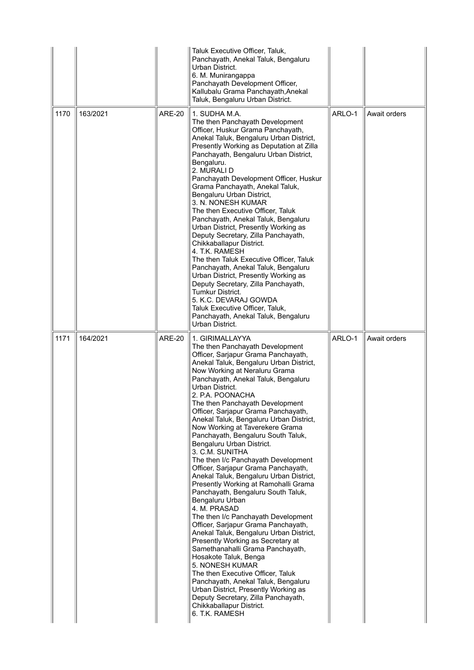|      |          |               | Taluk Executive Officer, Taluk,<br>Panchayath, Anekal Taluk, Bengaluru<br>Urban District.<br>6. M. Munirangappa<br>Panchayath Development Officer,<br>Kallubalu Grama Panchayath, Anekal<br>Taluk, Bengaluru Urban District.                                                                                                                                                                                                                                                                                                                                                                                                                                                                                                                                                                                                                                                                                                                                                                                                                                                                                                                                                                       |        |              |
|------|----------|---------------|----------------------------------------------------------------------------------------------------------------------------------------------------------------------------------------------------------------------------------------------------------------------------------------------------------------------------------------------------------------------------------------------------------------------------------------------------------------------------------------------------------------------------------------------------------------------------------------------------------------------------------------------------------------------------------------------------------------------------------------------------------------------------------------------------------------------------------------------------------------------------------------------------------------------------------------------------------------------------------------------------------------------------------------------------------------------------------------------------------------------------------------------------------------------------------------------------|--------|--------------|
| 1170 | 163/2021 | <b>ARE-20</b> | 1. SUDHA M.A.<br>The then Panchayath Development<br>Officer, Huskur Grama Panchayath,<br>Anekal Taluk, Bengaluru Urban District,<br>Presently Working as Deputation at Zilla<br>Panchayath, Bengaluru Urban District,<br>Bengaluru.<br>2. MURALI D<br>Panchayath Development Officer, Huskur<br>Grama Panchayath, Anekal Taluk,<br>Bengaluru Urban District,<br>3. N. NONESH KUMAR<br>The then Executive Officer. Taluk<br>Panchayath, Anekal Taluk, Bengaluru<br>Urban District, Presently Working as<br>Deputy Secretary, Zilla Panchayath,<br>Chikkaballapur District.<br>4. T.K. RAMESH<br>The then Taluk Executive Officer, Taluk<br>Panchayath, Anekal Taluk, Bengaluru<br>Urban District, Presently Working as<br>Deputy Secretary, Zilla Panchayath,<br>Tumkur District.<br>5. K.C. DEVARAJ GOWDA<br>Taluk Executive Officer, Taluk,<br>Panchayath, Anekal Taluk, Bengaluru<br>Urban District.                                                                                                                                                                                                                                                                                             | ARLO-1 | Await orders |
| 1171 | 164/2021 | <b>ARE-20</b> | 1. GIRIMALLAYYA<br>The then Panchayath Development<br>Officer, Sarjapur Grama Panchayath,<br>Anekal Taluk, Bengaluru Urban District,<br>Now Working at Neraluru Grama<br>Panchayath, Anekal Taluk, Bengaluru<br>Urban District.<br>2. P.A. POONACHA<br>The then Panchayath Development<br>Officer, Sarjapur Grama Panchayath,<br>Anekal Taluk, Bengaluru Urban District,<br>Now Working at Taverekere Grama<br>Panchayath, Bengaluru South Taluk,<br>Bengaluru Urban District.<br>3. C.M. SUNITHA<br>The then I/c Panchayath Development<br>Officer, Sarjapur Grama Panchayath,<br>Anekal Taluk, Bengaluru Urban District,<br>Presently Working at Ramohalli Grama<br>Panchayath, Bengaluru South Taluk,<br>Bengaluru Urban<br>4. M. PRASAD<br>The then I/c Panchayath Development<br>Officer, Sarjapur Grama Panchayath,<br>Anekal Taluk, Bengaluru Urban District,<br>Presently Working as Secretary at<br>Samethanahalli Grama Panchayath,<br>Hosakote Taluk, Benga<br>5. NONESH KUMAR<br>The then Executive Officer, Taluk<br>Panchayath, Anekal Taluk, Bengaluru<br>Urban District, Presently Working as<br>Deputy Secretary, Zilla Panchayath,<br>Chikkaballapur District.<br>6. T.K. RAMESH | ARLO-1 | Await orders |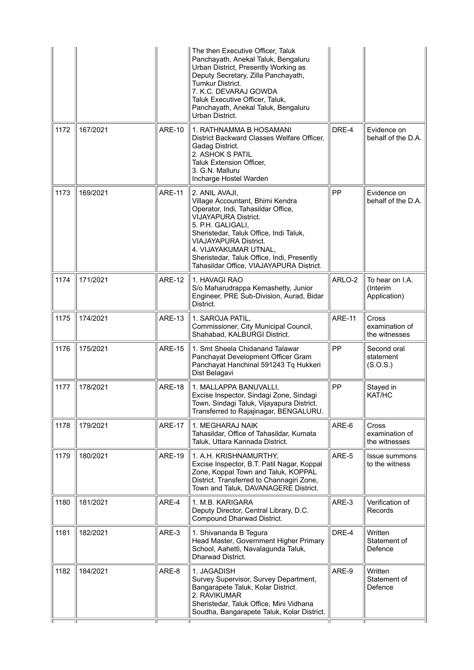|      |          |               | The then Executive Officer, Taluk<br>Panchayath, Anekal Taluk, Bengaluru<br>Urban District, Presently Working as<br>Deputy Secretary, Zilla Panchayath,<br>Tumkur District.<br>7. K.C. DEVARAJ GOWDA<br>Taluk Executive Officer, Taluk,<br>Panchayath, Anekal Taluk, Bengaluru<br>Urban District.                                         |               |                                             |
|------|----------|---------------|-------------------------------------------------------------------------------------------------------------------------------------------------------------------------------------------------------------------------------------------------------------------------------------------------------------------------------------------|---------------|---------------------------------------------|
| 1172 | 167/2021 | <b>ARE-10</b> | 1. RATHNAMMA B HOSAMANI<br>District Backward Classes Welfare Officer,<br>Gadag District.<br>2. ASHOK S PATIL<br>Taluk Extension Officer,<br>3. G.N. Malluru<br>Incharge Hostel Warden                                                                                                                                                     | DRE-4         | Evidence on<br>behalf of the D.A.           |
| 1173 | 169/2021 | <b>ARE-11</b> | 2. ANIL AVAJI,<br>Village Accountant, Bhimi Kendra<br>Operator, Indi, Tahasildar Office,<br><b>VIJAYAPURA District.</b><br>5. P.H. GALIGALI,<br>Sheristedar, Taluk Office, Indi Taluk,<br><b>VIAJAYAPURA District.</b><br>4. VIJAYAKUMAR UTNAL,<br>Sheristedar, Taluk Office, Indi, Presently<br>Tahasildar Office, VIAJAYAPURA District. | <b>PP</b>     | Evidence on<br>behalf of the D.A.           |
| 1174 | 171/2021 | <b>ARE-12</b> | 1. HAVAGI RAO<br>S/o Maharudrappa Kemashetty, Junior<br>Engineer, PRE Sub-Division, Aurad, Bidar<br>District.                                                                                                                                                                                                                             | ARLO-2        | To hear on I.A.<br>(Interim<br>Application) |
| 1175 | 174/2021 | <b>ARE-13</b> | 1. SAROJA PATIL,<br>Commissioner, City Municipal Council,<br>Shahabad, KALBURGI District.                                                                                                                                                                                                                                                 | <b>ARE-11</b> | Cross<br>examination of<br>the witnesses    |
| 1176 | 175/2021 | <b>ARE-15</b> | 1. Smt Sheela Chidanand Talawar<br>Panchayat Development Officer Gram<br>Panchayat Hanchinal 591243 Tq Hukkeri<br>Dist Belagavi                                                                                                                                                                                                           | <b>PP</b>     | Second oral<br>statement<br>(S.O.S.)        |
| 1177 | 178/2021 | <b>ARE-18</b> | 1. MALLAPPA BANUVALLI,<br>Excise Inspector, Sindagi Zone, Sindagi<br>Town, Sindagi Taluk, Vijayapura District.<br>Transferred to Rajajinagar, BENGALURU.                                                                                                                                                                                  | PP            | Stayed in<br>KAT/HC                         |
| 1178 | 179/2021 | <b>ARE-17</b> | 1. MEGHARAJ NAIK<br>Tahasildar, Office of Tahasildar, Kumata<br>Taluk, Uttara Kannada District.                                                                                                                                                                                                                                           | ARE-6         | Cross<br>examination of<br>the witnesses    |
| 1179 | 180/2021 | <b>ARE-19</b> | 1. A.H. KRISHNAMURTHY,<br>Excise Inspector, B.T. Patil Nagar, Koppal<br>Zone, Koppal Town and Taluk, KOPPAL<br>District. Transferred to Channagiri Zone,<br>Town and Taluk, DAVANAGERE District.                                                                                                                                          | ARE-5         | Issue summons<br>to the witness             |
| 1180 | 181/2021 | ARE-4         | 1. M.B. KARIGARA<br>Deputy Director, Central Library, D.C.<br>Compound Dharwad District.                                                                                                                                                                                                                                                  | ARE-3         | Verification of<br>Records                  |
| 1181 | 182/2021 | ARE-3         | 1. Shivananda B Tegura<br>Head Master, Government Higher Primary<br>School, Aahetti, Navalagunda Taluk,<br>Dharwad District.                                                                                                                                                                                                              | DRE-4         | Written<br>Statement of<br>Defence          |
| 1182 | 184/2021 | ARE-8         | 1. JAGADISH<br>Survey Supervisor, Survey Department,<br>Bangarapete Taluk, Kolar District.<br>2. RAVIKUMAR<br>Sheristedar, Taluk Office, Mini Vidhana<br>Soudha, Bangarapete Taluk, Kolar District.                                                                                                                                       | ARE-9         | Written<br>Statement of<br>Defence          |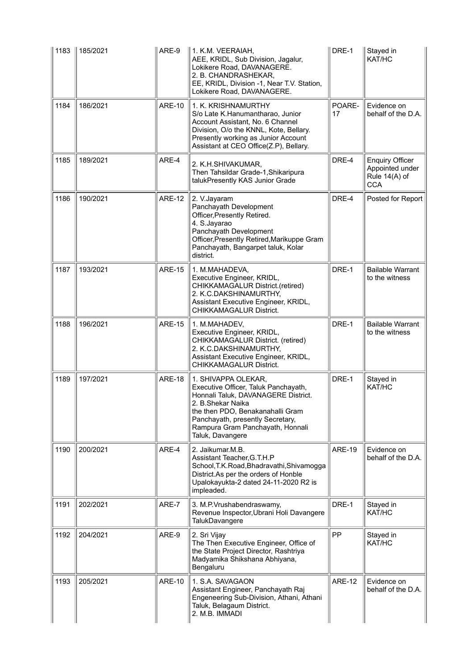| 1183 | 185/2021 | ARE-9         | 1. K.M. VEERAIAH,<br>AEE, KRIDL, Sub Division, Jagalur,<br>Lokikere Road, DAVANAGERE.<br>2. B. CHANDRASHEKAR,<br>EE, KRIDL, Division -1, Near T.V. Station,<br>Lokikere Road, DAVANAGERE.                                                               | DRE-1         | Stayed in<br>KAT/HC                                                      |
|------|----------|---------------|---------------------------------------------------------------------------------------------------------------------------------------------------------------------------------------------------------------------------------------------------------|---------------|--------------------------------------------------------------------------|
| 1184 | 186/2021 | <b>ARE-10</b> | 1. K. KRISHNAMURTHY<br>S/o Late K.Hanumantharao, Junior<br>Account Assistant, No. 6 Channel<br>Division, O/o the KNNL, Kote, Bellary.<br>Presently working as Junior Account<br>Assistant at CEO Office(Z.P), Bellary.                                  | POARE-<br>17  | Evidence on<br>behalf of the D.A.                                        |
| 1185 | 189/2021 | ARE-4         | 2. K.H.SHIVAKUMAR,<br>Then Tahsildar Grade-1, Shikaripura<br>talukPresently KAS Junior Grade                                                                                                                                                            | DRE-4         | <b>Enquiry Officer</b><br>Appointed under<br>Rule 14(A) of<br><b>CCA</b> |
| 1186 | 190/2021 | <b>ARE-12</b> | 2. V. Jayaram<br>Panchayath Development<br>Officer, Presently Retired.<br>4. S.Jayarao<br>Panchayath Development<br>Officer, Presently Retired, Marikuppe Gram<br>Panchayath, Bangarpet taluk, Kolar<br>district.                                       | DRE-4         | Posted for Report                                                        |
| 1187 | 193/2021 | <b>ARE-15</b> | 1. M.MAHADEVA,<br>Executive Engineer, KRIDL,<br>CHIKKAMAGALUR District.(retired)<br>2. K.C.DAKSHINAMURTHY,<br>Assistant Executive Engineer, KRIDL,<br><b>CHIKKAMAGALUR District.</b>                                                                    | DRE-1         | <b>Bailable Warrant</b><br>to the witness                                |
| 1188 | 196/2021 | <b>ARE-15</b> | 1. M.MAHADEV,<br>Executive Engineer, KRIDL,<br>CHIKKAMAGALUR District. (retired)<br>2. K.C.DAKSHINAMURTHY,<br>Assistant Executive Engineer, KRIDL,<br>CHIKKAMAGALUR District.                                                                           | DRE-1         | <b>Bailable Warrant</b><br>to the witness                                |
| 1189 | 197/2021 | <b>ARE-18</b> | 1. SHIVAPPA OLEKAR,<br>Executive Officer, Taluk Panchayath,<br>Honnali Taluk, DAVANAGERE District.<br>2. B.Shekar Naika<br>the then PDO, Benakanahalli Gram<br>Panchayath, presently Secretary,<br>Rampura Gram Panchayath, Honnali<br>Taluk, Davangere | DRE-1         | Stayed in<br>KAT/HC                                                      |
| 1190 | 200/2021 | ARE-4         | 2. Jaikumar.M.B.<br>Assistant Teacher, G.T.H.P<br>School, T.K. Road, Bhadravathi, Shivamogga<br>District.As per the orders of Honble<br>Upalokayukta-2 dated 24-11-2020 R2 is<br>impleaded.                                                             | <b>ARE-19</b> | Evidence on<br>behalf of the D.A.                                        |
| 1191 | 202/2021 | ARE-7         | 3. M.P. Vrushabendraswamy,<br>Revenue Inspector, Ubrani Holi Davangere<br>TalukDavangere                                                                                                                                                                | DRE-1         | Stayed in<br>KAT/HC                                                      |
| 1192 | 204/2021 | ARE-9         | 2. Sri Vijay<br>The Then Executive Engineer, Office of<br>the State Project Director, Rashtriya<br>Madyamika Shikshana Abhiyana,<br>Bengaluru                                                                                                           | PP            | Stayed in<br>KAT/HC                                                      |
| 1193 | 205/2021 | <b>ARE-10</b> | 1. S.A. SAVAGAON<br>Assistant Engineer, Panchayath Raj<br>Engeneering Sub-Division, Athani, Athani<br>Taluk, Belagaum District.<br>2. M.B. IMMADI                                                                                                       | <b>ARE-12</b> | Evidence on<br>behalf of the D.A.                                        |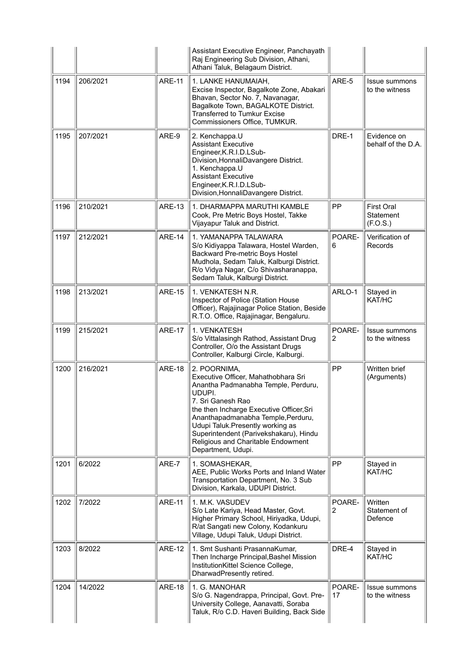|      |          |               | Assistant Executive Engineer, Panchayath<br>Raj Engineering Sub Division, Athani,<br>Athani Taluk, Belagaum District.                                                                                                                                                                                                                                  |              |                                            |
|------|----------|---------------|--------------------------------------------------------------------------------------------------------------------------------------------------------------------------------------------------------------------------------------------------------------------------------------------------------------------------------------------------------|--------------|--------------------------------------------|
| 1194 | 206/2021 | <b>ARE-11</b> | 1. LANKE HANUMAIAH,<br>Excise Inspector, Bagalkote Zone, Abakari<br>Bhavan, Sector No. 7, Navanagar,<br>Bagalkote Town, BAGALKOTE District.<br><b>Transferred to Tumkur Excise</b><br>Commissioners Office, TUMKUR.                                                                                                                                    | ARE-5        | <b>Issue summons</b><br>to the witness     |
| 1195 | 207/2021 | ARE-9         | 2. Kenchappa.U<br><b>Assistant Executive</b><br>Engineer, K.R.I.D.LSub-<br>Division, HonnaliDavangere District.<br>1. Kenchappa.U<br><b>Assistant Executive</b><br>Engineer, K.R.I.D.LSub-<br>Division, HonnaliDavangere District.                                                                                                                     | DRE-1        | Evidence on<br>behalf of the D.A.          |
| 1196 | 210/2021 | <b>ARE-13</b> | 1. DHARMAPPA MARUTHI KAMBLE<br>Cook, Pre Metric Boys Hostel, Takke<br>Vijayapur Taluk and District.                                                                                                                                                                                                                                                    | PP           | <b>First Oral</b><br>Statement<br>(F.O.S.) |
| 1197 | 212/2021 | <b>ARE-14</b> | 1. YAMANAPPA TALAWARA<br>S/o Kidiyappa Talawara, Hostel Warden,<br>Backward Pre-metric Boys Hostel<br>Mudhola, Sedam Taluk, Kalburgi District.<br>R/o Vidya Nagar, C/o Shivasharanappa,<br>Sedam Taluk, Kalburgi District.                                                                                                                             | POARE-<br>6  | Verification of<br>Records                 |
| 1198 | 213/2021 | <b>ARE-15</b> | 1. VENKATESH N.R.<br>Inspector of Police (Station House<br>Officer), Rajajinagar Police Station, Beside<br>R.T.O. Office, Rajajinagar, Bengaluru.                                                                                                                                                                                                      | ARLO-1       | Stayed in<br>KAT/HC                        |
| 1199 | 215/2021 | <b>ARE-17</b> | 1. VENKATESH<br>S/o Vittalasingh Rathod, Assistant Drug<br>Controller, O/o the Assistant Drugs<br>Controller, Kalburgi Circle, Kalburgi.                                                                                                                                                                                                               | POARE-<br>2  | <b>Issue summons</b><br>to the witness     |
| 1200 | 216/2021 | <b>ARE-18</b> | 2. POORNIMA,<br>Executive Officer, Mahathobhara Sri<br>Anantha Padmanabha Temple, Perduru,<br>UDUPI.<br>7. Sri Ganesh Rao<br>the then Incharge Executive Officer, Sri<br>Ananthapadmanabha Temple, Perduru,<br>Udupi Taluk. Presently working as<br>Superintendent (Parivekshakaru), Hindu<br>Religious and Charitable Endowment<br>Department, Udupi. | PP           | Written brief<br>(Arguments)               |
| 1201 | 6/2022   | ARE-7         | 1. SOMASHEKAR,<br>AEE, Public Works Ports and Inland Water<br>Transportation Department, No. 3 Sub<br>Division, Karkala, UDUPI District.                                                                                                                                                                                                               | PP           | Stayed in<br>KAT/HC                        |
| 1202 | 7/2022   | <b>ARE-11</b> | 1. M.K. VASUDEV<br>S/o Late Kariya, Head Master, Govt.<br>Higher Primary School, Hiriyadka, Udupi,<br>R/at Sangati new Colony, Kodankuru<br>Village, Udupi Taluk, Udupi District.                                                                                                                                                                      | POARE-<br>2  | Written<br>Statement of<br>Defence         |
| 1203 | 8/2022   | <b>ARE-12</b> | 1. Smt Sushanti PrasannaKumar,<br>Then Incharge Principal, Bashel Mission<br>InstitutionKittel Science College,<br>DharwadPresently retired.                                                                                                                                                                                                           | DRE-4        | Stayed in<br>KAT/HC                        |
| 1204 | 14/2022  | <b>ARE-18</b> | 1. G. MANOHAR<br>S/o G. Nagendrappa, Principal, Govt. Pre-<br>University College, Aanavatti, Soraba<br>Taluk, R/o C.D. Haveri Building, Back Side                                                                                                                                                                                                      | POARE-<br>17 | Issue summons<br>to the witness            |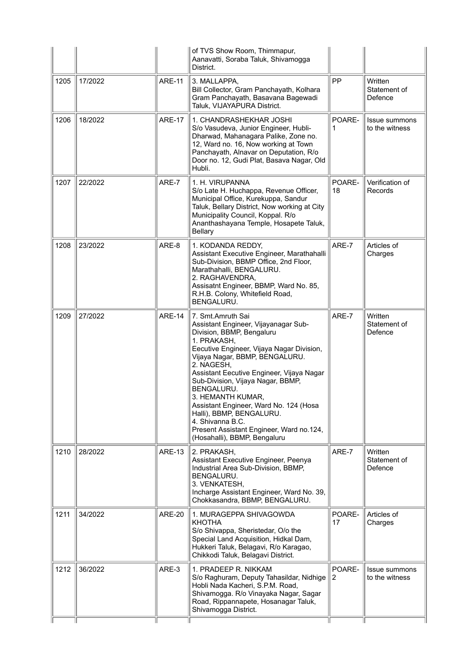|      |         |               | of TVS Show Room, Thimmapur,<br>Aanavatti, Soraba Taluk, Shivamogga<br>District.                                                                                                                                                                                                                                                                                                                                                                                                              |              |                                        |
|------|---------|---------------|-----------------------------------------------------------------------------------------------------------------------------------------------------------------------------------------------------------------------------------------------------------------------------------------------------------------------------------------------------------------------------------------------------------------------------------------------------------------------------------------------|--------------|----------------------------------------|
| 1205 | 17/2022 | <b>ARE-11</b> | 3. MALLAPPA,<br>Bill Collector, Gram Panchayath, Kolhara<br>Gram Panchayath, Basavana Bagewadi<br>Taluk, VIJAYAPURA District.                                                                                                                                                                                                                                                                                                                                                                 | PP           | Written<br>Statement of<br>Defence     |
| 1206 | 18/2022 | <b>ARE-17</b> | 1. CHANDRASHEKHAR JOSHI<br>S/o Vasudeva, Junior Engineer, Hubli-<br>Dharwad, Mahanagara Palike, Zone no.<br>12, Ward no. 16, Now working at Town<br>Panchayath, Alnavar on Deputation, R/o<br>Door no. 12, Gudi Plat, Basava Nagar, Old<br>Hubli.                                                                                                                                                                                                                                             | POARE-<br>1  | <b>Issue summons</b><br>to the witness |
| 1207 | 22/2022 | ARE-7         | 1. H. VIRUPANNA<br>S/o Late H. Huchappa, Revenue Officer,<br>Municipal Office, Kurekuppa, Sandur<br>Taluk, Bellary District, Now working at City<br>Municipality Council, Koppal. R/o<br>Ananthashayana Temple, Hosapete Taluk,<br><b>Bellary</b>                                                                                                                                                                                                                                             | POARE-<br>18 | Verification of<br>Records             |
| 1208 | 23/2022 | ARE-8         | 1. KODANDA REDDY.<br>Assistant Executive Engineer, Marathahalli<br>Sub-Division, BBMP Office, 2nd Floor,<br>Marathahalli, BENGALURU.<br>2. RAGHAVENDRA,<br>Assisatnt Engineer, BBMP, Ward No. 85,<br>R.H.B. Colony, Whitefield Road,<br>BENGALURU.                                                                                                                                                                                                                                            | ARE-7        | Articles of<br>Charges                 |
| 1209 | 27/2022 | <b>ARE-14</b> | 7. Smt.Amruth Sai<br>Assistant Engineer, Vijayanagar Sub-<br>Division, BBMP, Bengaluru<br>1. PRAKASH,<br>Eecutive Engineer, Vijaya Nagar Division,<br>Vijaya Nagar, BBMP, BENGALURU.<br>2. NAGESH,<br>Assistant Eecutive Engineer, Vijaya Nagar<br>Sub-Division, Vijaya Nagar, BBMP,<br>BENGALURU.<br>3. HEMANTH KUMAR,<br>Assistant Engineer, Ward No. 124 (Hosa<br>Halli), BBMP, BENGALURU.<br>4. Shivanna B.C.<br>Present Assistant Engineer, Ward no.124,<br>(Hosahalli), BBMP, Bengaluru | ARE-7        | Written<br>Statement of<br>Defence     |
| 1210 | 28/2022 | <b>ARE-13</b> | 2. PRAKASH,<br>Assistant Executive Engineer, Peenya<br>Industrial Area Sub-Division, BBMP,<br>BENGALURU.<br>3. VENKATESH,<br>Incharge Assistant Engineer, Ward No. 39,<br>Chokkasandra, BBMP, BENGALURU.                                                                                                                                                                                                                                                                                      | ARE-7        | Written<br>Statement of<br>Defence     |
| 1211 | 34/2022 | <b>ARE-20</b> | 1. MURAGEPPA SHIVAGOWDA<br><b>KHOTHA</b><br>S/o Shivappa, Sheristedar, O/o the<br>Special Land Acquisition, Hidkal Dam,<br>Hukkeri Taluk, Belagavi, R/o Karagao,<br>Chikkodi Taluk, Belagavi District.                                                                                                                                                                                                                                                                                        | POARE-<br>17 | Articles of<br>Charges                 |
| 1212 | 36/2022 | ARE-3         | 1. PRADEEP R. NIKKAM<br>S/o Raghuram, Deputy Tahasildar, Nidhige<br>Hobli Nada Kacheri, S.P.M. Road,<br>Shivamogga. R/o Vinayaka Nagar, Sagar<br>Road, Rippannapete, Hosanagar Taluk,<br>Shivamogga District.                                                                                                                                                                                                                                                                                 | POARE-<br>2  | Issue summons<br>to the witness        |
|      |         |               |                                                                                                                                                                                                                                                                                                                                                                                                                                                                                               |              |                                        |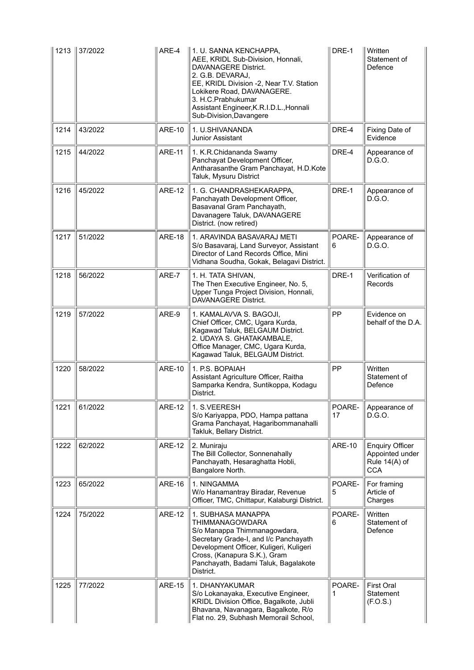|      | 1213 37/2022 | ARE-4         | 1. U. SANNA KENCHAPPA,<br>AEE, KRIDL Sub-Division, Honnali,<br><b>DAVANAGERE District.</b><br>2. G.B. DEVARAJ,<br>EE, KRIDL Division -2, Near T.V. Station<br>Lokikere Road, DAVANAGERE.<br>3. H.C.Prabhukumar<br>Assistant Engineer, K.R.I.D.L., Honnali<br>Sub-Division, Davangere | DRE-1         | Written<br>Statement of<br>Defence                                       |
|------|--------------|---------------|--------------------------------------------------------------------------------------------------------------------------------------------------------------------------------------------------------------------------------------------------------------------------------------|---------------|--------------------------------------------------------------------------|
| 1214 | 43/2022      | <b>ARE-10</b> | 1. U.SHIVANANDA<br><b>Junior Assistant</b>                                                                                                                                                                                                                                           | DRE-4         | Fixing Date of<br>Evidence                                               |
| 1215 | 44/2022      | ARE-11        | 1. K.R.Chidananda Swamy<br>Panchayat Development Officer,<br>Antharasanthe Gram Panchayat, H.D.Kote<br>Taluk, Mysuru District                                                                                                                                                        | DRE-4         | Appearance of<br>D.G.O.                                                  |
| 1216 | 45/2022      | <b>ARE-12</b> | 1. G. CHANDRASHEKARAPPA,<br>Panchayath Development Officer,<br>Basavanal Gram Panchayath,<br>Davanagere Taluk, DAVANAGERE<br>District. (now retired)                                                                                                                                 | DRE-1         | Appearance of<br>D.G.O.                                                  |
| 1217 | 51/2022      | <b>ARE-18</b> | 1. ARAVINDA BASAVARAJ METI<br>S/o Basavaraj, Land Surveyor, Assistant<br>Director of Land Records Office, Mini<br>Vidhana Soudha, Gokak, Belagavi District.                                                                                                                          | POARE-<br>6   | Appearance of<br>D.G.O.                                                  |
| 1218 | 56/2022      | ARE-7         | 1. H. TATA SHIVAN,<br>The Then Executive Engineer, No. 5,<br>Upper Tunga Project Division, Honnali,<br>DAVANAGERE District.                                                                                                                                                          | DRE-1         | Verification of<br>Records                                               |
| 1219 | 57/2022      | ARE-9         | 1. KAMALAVVA S. BAGOJI,<br>Chief Officer, CMC, Ugara Kurda,<br>Kagawad Taluk, BELGAUM District.<br>2. UDAYA S. GHATAKAMBALE,<br>Office Manager, CMC, Ugara Kurda,<br>Kagawad Taluk, BELGAUM District.                                                                                | PP            | Evidence on<br>behalf of the D.A.                                        |
| 1220 | 58/2022      | <b>ARE-10</b> | 1. P.S. BOPAIAH<br>Assistant Agriculture Officer, Raitha<br>Samparka Kendra, Suntikoppa, Kodagu<br>District.                                                                                                                                                                         | PP            | Written<br>Statement of<br>Defence                                       |
| 1221 | 61/2022      | <b>ARE-12</b> | 1. S.VEERESH<br>S/o Kariyappa, PDO, Hampa pattana<br>Grama Panchayat, Hagaribommanahalli<br>Takluk, Bellary District.                                                                                                                                                                | POARE-<br>17  | Appearance of<br>D.G.O.                                                  |
| 1222 | 62/2022      | <b>ARE-12</b> | 2. Muniraju<br>The Bill Collector, Sonnenahally<br>Panchayath, Hesaraghatta Hobli,<br>Bangalore North.                                                                                                                                                                               | <b>ARE-10</b> | <b>Enquiry Officer</b><br>Appointed under<br>Rule 14(A) of<br><b>CCA</b> |
| 1223 | 65/2022      | <b>ARE-16</b> | 1. NINGAMMA<br>W/o Hanamantray Biradar, Revenue<br>Officer, TMC, Chittapur, Kalaburgi District.                                                                                                                                                                                      | POARE-<br>5   | For framing<br>Article of<br>Charges                                     |
| 1224 | 75/2022      | <b>ARE-12</b> | 1. SUBHASA MANAPPA<br><b>THIMMANAGOWDARA</b><br>S/o Manappa Thimmanagowdara,<br>Secretary Grade-I, and I/c Panchayath<br>Development Officer, Kuligeri, Kuligeri<br>Cross, (Kanapura S.K.), Gram<br>Panchayath, Badami Taluk, Bagalakote<br>District.                                | POARE-<br>6   | Written<br>Statement of<br>Defence                                       |
| 1225 | 77/2022      | <b>ARE-15</b> | 1. DHANYAKUMAR<br>S/o Lokanayaka, Executive Engineer,<br>KRIDL Division Office, Bagalkote, Jubli<br>Bhavana, Navanagara, Bagalkote, R/o<br>Flat no. 29, Subhash Memorail School,                                                                                                     | POARE-        | <b>First Oral</b><br>Statement<br>(F.O.S.)                               |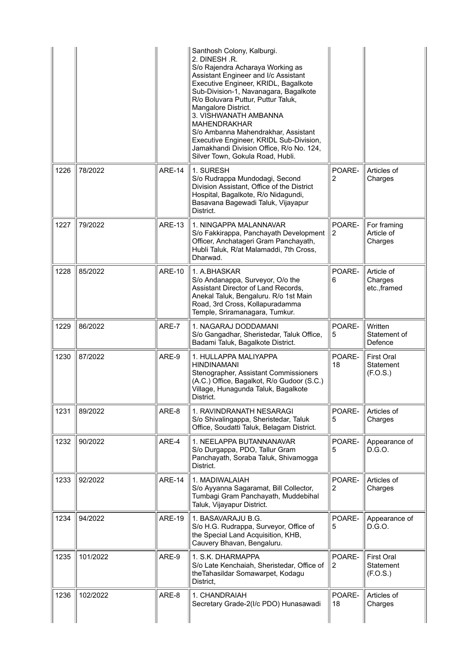|      |          |               | Santhosh Colony, Kalburgi.<br>2. DINESH.R.<br>S/o Rajendra Acharaya Working as<br>Assistant Engineer and I/c Assistant<br>Executive Engineer, KRIDL, Bagalkote<br>Sub-Division-1, Navanagara, Bagalkote<br>R/o Boluvara Puttur, Puttur Taluk,<br>Mangalore District.<br>3. VISHWANATH AMBANNA<br><b>MAHENDRAKHAR</b><br>S/o Ambanna Mahendrakhar, Assistant<br>Executive Engineer, KRIDL Sub-Division,<br>Jamakhandi Division Office, R/o No. 124,<br>Silver Town, Gokula Road, Hubli. |              |                                                   |
|------|----------|---------------|----------------------------------------------------------------------------------------------------------------------------------------------------------------------------------------------------------------------------------------------------------------------------------------------------------------------------------------------------------------------------------------------------------------------------------------------------------------------------------------|--------------|---------------------------------------------------|
| 1226 | 78/2022  | <b>ARE-14</b> | 1. SURESH<br>S/o Rudrappa Mundodagi, Second<br>Division Assistant, Office of the District<br>Hospital, Bagalkote, R/o Nidagundi,<br>Basavana Bagewadi Taluk, Vijayapur<br>District.                                                                                                                                                                                                                                                                                                    | POARE-<br>2  | Articles of<br>Charges                            |
| 1227 | 79/2022  | <b>ARE-13</b> | 1. NINGAPPA MALANNAVAR<br>S/o Fakkirappa, Panchayath Development<br>Officer, Anchatageri Gram Panchayath,<br>Hubli Taluk, R/at Malamaddi, 7th Cross,<br>Dharwad.                                                                                                                                                                                                                                                                                                                       | POARE-<br>2  | For framing<br>Article of<br>Charges              |
| 1228 | 85/2022  | <b>ARE-10</b> | 1. A.BHASKAR<br>S/o Andanappa, Surveyor, O/o the<br>Assistant Director of Land Records,<br>Anekal Taluk, Bengaluru. R/o 1st Main<br>Road, 3rd Cross, Kollapuradamma<br>Temple, Sriramanagara, Tumkur.                                                                                                                                                                                                                                                                                  | POARE-<br>6  | Article of<br>Charges<br>etc.,framed              |
| 1229 | 86/2022  | ARE-7         | 1. NAGARAJ DODDAMANI<br>S/o Gangadhar, Sheristedar, Taluk Office,<br>Badami Taluk, Bagalkote District.                                                                                                                                                                                                                                                                                                                                                                                 | POARE-<br>5  | Written<br>Statement of<br>Defence                |
| 1230 | 87/2022  | ARE-9         | 1. HULLAPPA MALIYAPPA<br><b>HINDINAMANI</b><br>Stenographer, Assistant Commissioners<br>(A.C.) Office, Bagalkot, R/o Gudoor (S.C.)<br>Village, Hunagunda Taluk, Bagalkote<br>District.                                                                                                                                                                                                                                                                                                 | POARE-<br>18 | <b>First Oral</b><br>Statement<br>(F.O.S.)        |
| 1231 | 89/2022  | ARE-8         | 1. RAVINDRANATH NESARAGI<br>S/o Shivalingappa, Sheristedar, Taluk<br>Office, Soudatti Taluk, Belagam District.                                                                                                                                                                                                                                                                                                                                                                         | POARE-<br>5  | Articles of<br>Charges                            |
| 1232 | 90/2022  | ARE-4         | 1. NEELAPPA BUTANNANAVAR<br>S/o Durgappa, PDO, Tallur Gram<br>Panchayath, Soraba Taluk, Shivamogga<br>District.                                                                                                                                                                                                                                                                                                                                                                        | POARE-<br>5  | Appearance of<br>D.G.O.                           |
| 1233 | 92/2022  | <b>ARE-14</b> | 1. MADIWALAIAH<br>S/o Ayyanna Sagaramat, Bill Collector,<br>Tumbagi Gram Panchayath, Muddebihal<br>Taluk, Vijayapur District.                                                                                                                                                                                                                                                                                                                                                          | POARE-<br>2  | Articles of<br>Charges                            |
| 1234 | 94/2022  | <b>ARE-19</b> | 1. BASAVARAJU B.G.<br>S/o H.G. Rudrappa, Surveyor, Office of<br>the Special Land Acquisition, KHB,<br>Cauvery Bhavan, Bengaluru.                                                                                                                                                                                                                                                                                                                                                       | POARE-<br>5  | Appearance of<br>D.G.O.                           |
| 1235 | 101/2022 | ARE-9         | 1. S.K. DHARMAPPA<br>S/o Late Kenchaiah, Sheristedar, Office of<br>the Tahasildar Somawarpet, Kodagu<br>District,                                                                                                                                                                                                                                                                                                                                                                      | POARE-<br>2  | <b>First Oral</b><br><b>Statement</b><br>(F.O.S.) |
| 1236 | 102/2022 | ARE-8         | 1. CHANDRAIAH<br>Secretary Grade-2(I/c PDO) Hunasawadi                                                                                                                                                                                                                                                                                                                                                                                                                                 | POARE-<br>18 | Articles of<br>Charges                            |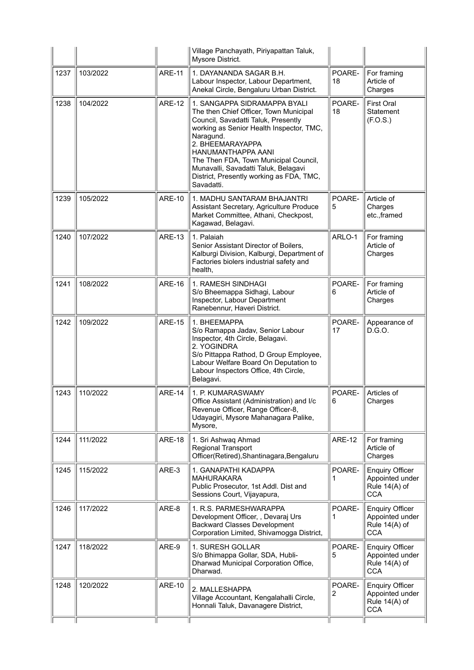|      |          |               | Village Panchayath, Piriyapattan Taluk,<br>Mysore District.                                                                                                                                                                                                                                                                                                 |               |                                                                          |
|------|----------|---------------|-------------------------------------------------------------------------------------------------------------------------------------------------------------------------------------------------------------------------------------------------------------------------------------------------------------------------------------------------------------|---------------|--------------------------------------------------------------------------|
| 1237 | 103/2022 | <b>ARE-11</b> | 1. DAYANANDA SAGAR B.H.<br>Labour Inspector, Labour Department,<br>Anekal Circle, Bengaluru Urban District.                                                                                                                                                                                                                                                 | POARE-<br>18  | For framing<br>Article of<br>Charges                                     |
| 1238 | 104/2022 | <b>ARE-12</b> | 1. SANGAPPA SIDRAMAPPA BYALI<br>The then Chief Officer, Town Municipal<br>Council, Savadatti Taluk, Presently<br>working as Senior Health Inspector, TMC,<br>Naragund.<br>2. BHEEMARAYAPPA<br>HANUMANTHAPPA AANI<br>The Then FDA, Town Municipal Council,<br>Munavalli, Savadatti Taluk, Belagavi<br>District, Presently working as FDA, TMC,<br>Savadatti. | POARE-<br>18  | First Oral<br><b>Statement</b><br>(F.O.S.)                               |
| 1239 | 105/2022 | <b>ARE-10</b> | 1. MADHU SANTARAM BHAJANTRI<br>Assistant Secretary, Agriculture Produce<br>Market Committee, Athani, Checkpost,<br>Kagawad, Belagavi.                                                                                                                                                                                                                       | POARE-<br>5   | Article of<br>Charges<br>etc.,framed                                     |
| 1240 | 107/2022 | <b>ARE-13</b> | 1. Palaiah<br>Senior Assistant Director of Boilers,<br>Kalburgi Division, Kalburgi, Department of<br>Factories biolers industrial safety and<br>health,                                                                                                                                                                                                     | ARLO-1        | For framing<br>Article of<br>Charges                                     |
| 1241 | 108/2022 | <b>ARE-16</b> | 1. RAMESH SINDHAGI<br>S/o Bheemappa Sidhagi, Labour<br>Inspector, Labour Department<br>Ranebennur, Haveri District.                                                                                                                                                                                                                                         | POARE-<br>6   | For framing<br>Article of<br>Charges                                     |
| 1242 | 109/2022 | <b>ARE-15</b> | 1. BHEEMAPPA<br>S/o Ramappa Jadav, Senior Labour<br>Inspector, 4th Circle, Belagavi.<br>2. YOGINDRA<br>S/o Pittappa Rathod, D Group Employee,<br>Labour Welfare Board On Deputation to<br>Labour Inspectors Office, 4th Circle,<br>Belagavi.                                                                                                                | POARE-<br>17  | Appearance of<br>D.G.O.                                                  |
| 1243 | 110/2022 | <b>ARE-14</b> | 1. P. KUMARASWAMY<br>Office Assistant (Administration) and I/c<br>Revenue Officer, Range Officer-8,<br>Udayagiri, Mysore Mahanagara Palike,<br>Mysore,                                                                                                                                                                                                      | POARE-<br>6   | Articles of<br>Charges                                                   |
| 1244 | 111/2022 | <b>ARE-18</b> | 1. Sri Ashwaq Ahmad<br>Regional Transport<br>Officer(Retired), Shantinagara, Bengaluru                                                                                                                                                                                                                                                                      | <b>ARE-12</b> | For framing<br>Article of<br>Charges                                     |
| 1245 | 115/2022 | ARE-3         | 1. GANAPATHI KADAPPA<br><b>MAHURAKARA</b><br>Public Prosecutor, 1st Addl. Dist and<br>Sessions Court, Vijayapura,                                                                                                                                                                                                                                           | POARE-<br>1   | <b>Enquiry Officer</b><br>Appointed under<br>Rule 14(A) of<br><b>CCA</b> |
| 1246 | 117/2022 | ARE-8         | 1. R.S. PARMESHWARAPPA<br>Development Officer, , Devaraj Urs<br><b>Backward Classes Development</b><br>Corporation Limited, Shivamogga District,                                                                                                                                                                                                            | POARE-<br>1   | <b>Enquiry Officer</b><br>Appointed under<br>Rule 14(A) of<br><b>CCA</b> |
| 1247 | 118/2022 | ARE-9         | 1. SURESH GOLLAR<br>S/o Bhimappa Gollar, SDA, Hubli-<br>Dharwad Municipal Corporation Office,<br>Dharwad.                                                                                                                                                                                                                                                   | POARE-<br>5   | <b>Enquiry Officer</b><br>Appointed under<br>Rule 14(A) of<br><b>CCA</b> |
| 1248 | 120/2022 | <b>ARE-10</b> | 2. MALLESHAPPA<br>Village Accountant, Kengalahalli Circle,<br>Honnali Taluk, Davanagere District,                                                                                                                                                                                                                                                           | POARE-<br>2   | <b>Enquiry Officer</b><br>Appointed under<br>Rule 14(A) of<br><b>CCA</b> |
|      |          |               |                                                                                                                                                                                                                                                                                                                                                             |               |                                                                          |